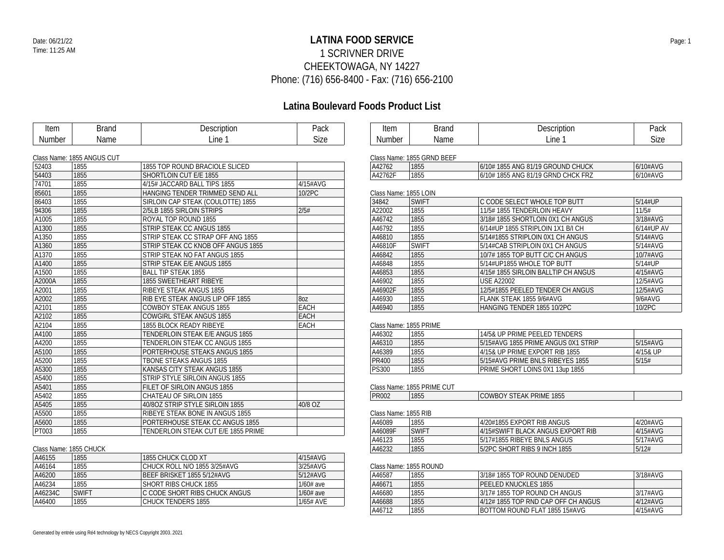## **LATINA FOOD SERVICE** Date: 06/21/22 Page: 1 1 SCRIVNER DRIVE CHEEKTOWAGA, NY 14227 Phone: (716) 656-8400 - Fax: (716) 656-2100

## **Latina Boulevard Foods Product List**

| Item          | <b>Brand</b>               | Description                         | Pack        | Item                   | <b>Brand</b>               | Description                         | Pack       |
|---------------|----------------------------|-------------------------------------|-------------|------------------------|----------------------------|-------------------------------------|------------|
| <b>Number</b> | Name                       | Line 1                              | <b>Size</b> | <b>Number</b>          | Name                       | Line 1                              | Size       |
|               |                            |                                     |             |                        |                            |                                     |            |
|               | Class Name: 1855 ANGUS CUT |                                     |             |                        | Class Name: 1855 GRND BEEF |                                     |            |
| 52403         | 1855                       | 1855 TOP ROUND BRACIOLE SLICED      |             | A42762                 | 1855                       | 6/10# 1855 ANG 81/19 GROUND CHUCK   | 6/10#AVG   |
| 54403         | 1855                       | SHORTLOIN CUT E/E 1855              |             | A42762F                | 1855                       | 6/10# 1855 ANG 81/19 GRND CHCK FRZ  | 6/10#AVG   |
| 74701         | 1855                       | 4/15# JACCARD BALL TIPS 1855        | 4/15#AVG    |                        |                            |                                     |            |
| 85601         | 1855                       | HANGING TENDER TRIMMED SEND ALL     | 10/2PC      | Class Name: 1855 LOIN  |                            |                                     |            |
| 86403         | 1855                       | SIRLOIN CAP STEAK (COULOTTE) 1855   |             | 34842                  | <b>SWIFT</b>               | C CODE SELECT WHOLE TOP BUTT        | 5/14#UP    |
| 94306         | 1855                       | 2/5LB 1855 SIRLOIN STRIPS           | 2/5#        | A22002                 | 1855                       | 11/5#1855 TENDERLOIN HEAVY          | 11/5#      |
| A1005         | 1855                       | ROYAL TOP ROUND 1855                |             | A46742                 | 1855                       | 3/18#1855 SHORTLOIN 0X1 CH ANGUS    | 3/18#AVG   |
| A1300         | 1855                       | STRIP STEAK CC ANGUS 1855           |             | A46792                 | 1855                       | 6/14#UP 1855 STRIPLOIN 1X1 B/I CH   | 6/14#UP A' |
| A1350         | 1855                       | STRIP STEAK CC STRAP OFF ANG 1855   |             | A46810                 | 1855                       | 5/14#1855 STRIPLOIN 0X1 CH ANGUS    | 5/14#AVG   |
| A1360         | 1855                       | STRIP STEAK CC KNOB OFF ANGUS 1855  |             | A46810F                | <b>SWIFT</b>               | 5/14#CAB STRIPLOIN 0X1 CH ANGUS     | 5/14#AVG   |
| A1370         | 1855                       | STRIP STEAK NO FAT ANGUS 1855       |             | A46842                 | 1855                       | 10/7# 1855 TOP BUTT C/C CH ANGUS    | 10/7#AVG   |
| A1400         | 1855                       | STRIP STEAK E/E ANGUS 1855          |             | A46848                 | 1855                       | 5/14#UP1855 WHOLE TOP BUTT          | 5/14#UP    |
| A1500         | 1855                       | <b>BALL TIP STEAK 1855</b>          |             | A46853                 | 1855                       | 4/15# 1855 SIRLOIN BALLTIP CH ANGUS | 4/15#AVG   |
| A2000A        | 1855                       | <b>1855 SWEETHEART RIBEYE</b>       |             | A46902                 | 1855                       | <b>USE A22002</b>                   | 12/5#AVG   |
| A2001         | 1855                       | RIBEYE STEAK ANGUS 1855             |             | A46902F                | 1855                       | 12/5#1855 PEELED TENDER CH ANGUS    | 12/5#AVG   |
| A2002         | 1855                       | RIB EYE STEAK ANGUS LIP OFF 1855    | 80Z         | A46930                 | 1855                       | FLANK STEAK 1855 9/6#AVG            | 9/6#AVG    |
| A2101         | 1855                       | <b>COWBOY STEAK ANGUS 1855</b>      | EACH        | A46940                 | 1855                       | HANGING TENDER 1855 10/2PC          | 10/2PC     |
| A2102         | 1855                       | <b>COWGIRL STEAK ANGUS 1855</b>     | <b>EACH</b> |                        |                            |                                     |            |
| A2104         | 1855                       | 1855 BLOCK READY RIBEYE             | EACH        | Class Name: 1855 PRIME |                            |                                     |            |
| A4100         | 1855                       | TENDERLOIN STEAK E/E ANGUS 1855     |             | A46302                 | 1855                       | 14/5& UP PRIME PEELED TENDERS       |            |
| A4200         | 1855                       | TENDERLOIN STEAK CC ANGUS 1855      |             | A46310                 | 1855                       | 5/15#AVG 1855 PRIME ANGUS 0X1 STRIP | 5/15#AVG   |
| A5100         | 1855                       | PORTERHOUSE STEAKS ANGUS 1855       |             | A46389                 | 1855                       | 4/15& UP PRIME EXPORT RIB 1855      | 4/15& UP   |
| A5200         | 1855                       | TBONE STEAKS ANGUS 1855             |             | <b>PR400</b>           | 1855                       | 5/15#AVG PRIME BNLS RIBEYES 1855    | 5/15#      |
| A5300         | 1855                       | KANSAS CITY STEAK ANGUS 1855        |             | <b>PS300</b>           | 1855                       | PRIME SHORT LOINS 0X1 13up 1855     |            |
| A5400         | 1855                       | STRIP STYLE SIRLOIN ANGUS 1855      |             |                        |                            |                                     |            |
| A5401         | 1855                       | FILET OF SIRLOIN ANGUS 1855         |             |                        | Class Name: 1855 PRIME CUT |                                     |            |
| A5402         | 1855                       | CHATEAU OF SIRLOIN 1855             |             | <b>PR002</b>           | 1855                       | COWBOY STEAK PRIME 1855             |            |
| A5405         | 1855                       | 40/8OZ STRIP STYLE SIRLOIN 1855     | 40/8 OZ     |                        |                            |                                     |            |
| A5500         | 1855                       | RIBEYE STEAK BONE IN ANGUS 1855     |             | Class Name: 1855 RIB   |                            |                                     |            |
| A5600         | 1855                       | PORTERHOUSE STEAK CC ANGUS 1855     |             | A46089                 | 1855                       | 4/20#1855 EXPORT RIB ANGUS          | 4/20#AVG   |
| PT003         | 1855                       | TENDERLOIN STEAK CUT E/E 1855 PRIME |             | A46089F                | <b>SWIFT</b>               | 4/15#SWIFT BLACK ANGUS EXPORT RIB   | 4/15#AVG   |
|               |                            |                                     |             | A46123                 | 1855                       | 5/17#1855 RIBEYE BNLS ANGUS         | 5/17#AVG   |
|               | Clace Namo: 1855 CHIICK    |                                     |             | AA4232                 | 1855                       | 5/2PC SHORT RIRS 0 INCH 1855        | 5/12#      |

| A46155  | 1855         | 1855 CHUCK CLOD XT            | $4/15\#$ AVG |  |  |  |  |
|---------|--------------|-------------------------------|--------------|--|--|--|--|
| A46164  | 1855         | CHUCK ROLL N/O 1855 3/25#AVG  | 3/25#AVG     |  |  |  |  |
| A46200  | 1855         | BEEF BRISKET 1855 5/12#AVG    | 5/12#AVG     |  |  |  |  |
| A46234  | 1855         | SHORT RIBS CHUCK 1855         | $1/60#$ ave  |  |  |  |  |
| A46234C | <b>SWIFT</b> | C CODE SHORT RIBS CHUCK ANGUS | 1/60# ave    |  |  |  |  |
| A46400  | 1855         | <b>CHUCK TENDERS 1855</b>     | 1/65# AVE    |  |  |  |  |

| Drond | <b>Depariation</b> | Dool |  |
|-------|--------------------|------|--|

| A42762  | 1855 | 6/10# 1855 ANG 81/19 GROUND CHUCK  | 6/10#AVG |
|---------|------|------------------------------------|----------|
| A42762F | 1855 | 6/10# 1855 ANG 81/19 GRND CHCK FRZ | 6/10#AVG |
|         |      |                                    |          |

| GIASS INAHIE. TOJJ LUIN |              |                                     |              |
|-------------------------|--------------|-------------------------------------|--------------|
| 34842                   | <b>SWIFT</b> | C CODE SELECT WHOLE TOP BUTT        | $5/14$ #UP   |
| A22002                  | 1855         | 11/5#1855 TENDERLOIN HEAVY          | 11/5#        |
| A46742                  | 1855         | 3/18#1855 SHORTLOIN 0X1 CH ANGUS    | $3/18\#$ AVG |
| A46792                  | 1855         | 6/14#UP 1855 STRIPLOIN 1X1 B/I CH   | 6/14#UP AV   |
| A46810                  | 1855         | 5/14#1855 STRIPLOIN 0X1 CH ANGUS    | 5/14#AVG     |
| A46810F                 | <b>SWIFT</b> | 5/14#CAB STRIPLOIN 0X1 CH ANGUS     | 5/14#AVG     |
| A46842                  | 1855         | 10/7#1855 TOP BUTT C/C CH ANGUS     | $10/7$ #AVG  |
| A46848                  | 1855         | 5/14#UP1855 WHOLE TOP BUTT          | $5/14$ #UP   |
| A46853                  | 1855         | 4/15# 1855 SIRLOIN BALLTIP CH ANGUS | $4/15\#$ AVG |
| A46902                  | 1855         | <b>USE A22002</b>                   | 12/5#AVG     |
| A46902F                 | 1855         | 12/5#1855 PEELED TENDER CH ANGUS    | 12/5#AVG     |
| A46930                  | 1855         | FLANK STEAK 1855 9/6#AVG            | 9/6#AVG      |
| A46940                  | 1855         | HANGING TENDER 1855 10/2PC          | 10/2PC       |
|                         |              |                                     |              |

| A46302 | 1855 | 14/5& UP PRIME PEELED TENDERS       |          |
|--------|------|-------------------------------------|----------|
| A46310 | 1855 | 5/15#AVG 1855 PRIME ANGUS 0X1 STRIP | 5/15#AVG |
| A46389 | 1855 | 4/15& UP PRIME EXPORT RIB 1855      | 4/15& UP |
| PR400  | 1855 | 5/15#AVG PRIME BNLS RIBEYES 1855    | 5/15#    |
| PS300  | 1855 | PRIME SHORT LOINS 0X1 13up 1855     |          |

| <b>DDOO</b><br>″KUU∠ | 10 <sub>RF</sub><br>∴CO' | OWBOY STEAK PRIME 1855 |  |
|----------------------|--------------------------|------------------------|--|
|                      |                          |                        |  |

| A46089  | 1855         | 4/20#1855 EXPORT RIB ANGLIS       | 4/20#AVG     |
|---------|--------------|-----------------------------------|--------------|
| A46089F | <b>SWIFT</b> | 4/15#SWIFT BLACK ANGUS EXPORT RIB | $4/15\#$ AVG |
| A46123  | 1855         | 5/17#1855 RIBEYE BNLS ANGUS       | 15/17#AVG    |
| A46232  | 1855         | 5/2PC SHORT RIBS 9 INCH 1855      | 5/12#        |

### Class Name: 1855 ROUND

| A46587 | 1855 | 3/18#1855 TOP ROUND DENUDED         | $3/18\#$ AVG |
|--------|------|-------------------------------------|--------------|
| A46671 | 1855 | PFFI FD KNUCKI FS 1855              |              |
| A46680 | 1855 | 3/17# 1855 TOP ROUND CH ANGUS       | 3/17#AVG     |
| A46688 | 1855 | 4/12# 1855 TOP RND CAP OFF CH ANGUS | 4/12#AVG     |
| A46712 | 1855 | BOTTOM ROUND FLAT 1855 15#AVG       | $4/15\#$ AVG |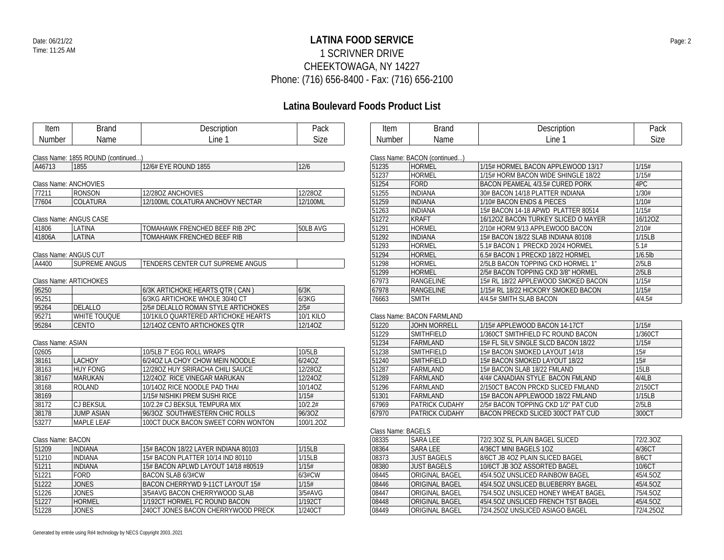## **LATINA FOOD SERVICE** Date: 06/21/22 Page: 2 1 SCRIVNER DRIVE CHEEKTOWAGA, NY 14227 Phone: (716) 656-8400 - Fax: (716) 656-2100

| <b>Item</b>           | <b>Brand</b>                      | Description                         | Pack      | Item               | <b>Brand</b>                  | Description                         | Pack       |
|-----------------------|-----------------------------------|-------------------------------------|-----------|--------------------|-------------------------------|-------------------------------------|------------|
| Number                | Name                              | Line 1                              | Size      | Number             | Name                          | Line 1                              | Size       |
|                       | Class Name: 1855 ROUND (continued |                                     |           |                    | Class Name: BACON (continued) |                                     |            |
| A46713                | 1855                              | 12/6# EYE ROUND 1855                | 12/6      | 51235              | HORMEL                        | 1/15# HORMEL BACON APPLEWOOD 13/17  | 1/15#      |
|                       |                                   |                                     |           | 51237              | <b>HORMEL</b>                 | 1/15# HORM BACON WIDE SHINGLE 18/22 | 1/15#      |
|                       | Class Name: ANCHOVIES             |                                     |           | 51254              | FORD                          | BACON PEAMEAL 4/3.5# CURED PORK     | 4PC        |
| 77211                 | <b>RONSON</b>                     | 12/28OZ ANCHOVIES                   | 12/28OZ   | 51255              | <b>INDIANA</b>                | 30# BACON 14/18 PLATTER INDIANA     | 1/30#      |
| 77604                 | <b>COLATURA</b>                   | 12/100ML COLATURA ANCHOVY NECTAR    | 12/100ML  | 51259              | <b>INDIANA</b>                | 1/10# BACON ENDS & PIECES           | 1/10#      |
|                       |                                   |                                     |           | 51263              | <b>INDIANA</b>                | 15# BACON 14-18 APWD PLATTER 80514  | 1/15#      |
|                       | Class Name: ANGUS CASE            |                                     |           | 51272              | <b>KRAFT</b>                  | 16/120Z BACON TURKEY SLICED O MAYER | 16/12OZ    |
| 41806                 | LATINA                            | TOMAHAWK FRENCHED BEEF RIB 2PC      | 50LB AVG  | 51291              | <b>HORMEL</b>                 | 2/10# HORM 9/13 APPLEWOOD BACON     | 2/10#      |
| 41806A                | LATINA                            | TOMAHAWK FRENCHED BEEF RIB          |           | 51292              | <b>INDIANA</b>                | 15# BACON 18/22 SLAB INDIANA 80108  | 1/15LB     |
|                       |                                   |                                     |           | 51293              | HORMEL                        | 5.1# BACON 1 PRECKD 20/24 HORMEL    | 5.1#       |
| Class Name: ANGUS CUT |                                   |                                     |           | 51294              | <b>HORMEL</b>                 | 6.5# BACON 1 PRECKD 18/22 HORMEL    | $1/6.5$ lb |
| A4400                 | SUPREME ANGUS                     | TENDERS CENTER CUT SUPREME ANGUS    |           | 51298              | <b>HORMEL</b>                 | 2/5LB BACON TOPPING CKD HORMEL 1"   | 2/5LB      |
|                       |                                   |                                     |           | 51299              | <b>HORMEL</b>                 | 2/5# BACON TOPPING CKD 3/8" HORMEL  | 2/5LB      |
|                       | Class Name: ARTICHOKES            |                                     |           | 67973              | RANGELINE                     | 15# RL 18/22 APPLEWOOD SMOKED BACON | 1/15#      |
| 95250                 |                                   | 6/3K ARTICHOKE HEARTS QTR (CAN)     | 6/3K      | 67978              | RANGELINE                     | 1/15# RL 18/22 HICKORY SMOKED BACON | 1/15#      |
| 95251                 |                                   | 6/3KG ARTICHOKE WHOLE 30/40 CT      | 6/3KG     | 76663              | SMITH                         | 4/4.5# SMITH SLAB BACON             | 4/4.5#     |
| 95264                 | <b>DELALLO</b>                    | 2/5# DELALLO ROMAN STYLE ARTICHOKES | 2/5#      |                    |                               |                                     |            |
| 95271                 | WHITE TOUQUE                      | 10/1KILO QUARTERED ARTICHOKE HEARTS | 10/1 KILO |                    | Class Name: BACON FARMLAND    |                                     |            |
| 95284                 | <b>CENTO</b>                      | 12/14OZ CENTO ARTICHOKES QTR        | 12/14OZ   | 51220              | <b>JOHN MORRELL</b>           | 1/15# APPLEWOOD BACON 14-17CT       | 1/15#      |
|                       |                                   |                                     |           | 51229              | SMITHFIELD                    | 1/360CT SMITHFIELD FC ROUND BACON   | 1/360CT    |
| Class Name: ASIAN     |                                   |                                     |           | 51234              | FARMLAND                      | 15# FL SILV SINGLE SLCD BACON 18/22 | 1/15#      |
| 02605                 |                                   | 10/5LB 7" EGG ROLL WRAPS            | 10/5LB    | 51238              | SMITHFIELD                    | 15# BACON SMOKED LAYOUT 14/18       | 15#        |
| 38161                 | <b>LACHOY</b>                     | 6/24OZ LA CHOY CHOW MEIN NOODLE     | 6/24OZ    | 51240              | SMITHFIELD                    | 15# BACON SMOKED LAYOUT 18/22       | 15#        |
| 38163                 | <b>HUY FONG</b>                   | 12/280Z HUY SRIRACHA CHILI SAUCE    | 12/28OZ   | 51287              | FARMLAND                      | 15# BACON SLAB 18/22 FMLAND         | 15LB       |
| 38167                 | <b>MARUKAN</b>                    | 12/24OZ RICE VINEGAR MARUKAN        | 12/24OZ   | 51289              | FARMLAND                      | 4/4# CANADIAN STYLE BACON FMLAND    | 4/4LB      |
| 38168                 | <b>ROLAND</b>                     | 10/14OZ RICE NOODLE PAD THAI        | 10/14OZ   | 51296              | FARMLAND                      | 2/150CT BACON PRCKD SLICED FMLAND   | 2/150CT    |
| 38169                 |                                   | 1/15# NISHIKI PREM SUSHI RICE       | 1/15#     | 51301              | FARMLAND                      | 15# BACON APPLEWOOD 18/22 FMLAND    | 1/15LB     |
| 38172                 | <b>CJ BEKSUL</b>                  | 10/2.2# CJ BEKSUL TEMPURA MIX       | 10/2.2#   | 67969              | <b>PATRICK CUDAHY</b>         | 2/5# BACON TOPPING CKD 1/2" PAT CUD | 2/5LB      |
| 38178                 | <b>JUMP ASIAN</b>                 | 96/30Z SOUTHWESTERN CHIC ROLLS      | 96/3OZ    | 67970              | <b>PATRICK CUDAHY</b>         | BACON PRECKD SLICED 300CT PAT CUD   | 300CT      |
| 53277                 | <b>MAPLE LEAF</b>                 | 100CT DUCK BACON SWEET CORN WONTON  | 100/1.2OZ |                    |                               |                                     |            |
|                       |                                   |                                     |           | Class Name: BAGELS |                               |                                     |            |
| Class Name: BACON     |                                   |                                     |           | 08335              | <b>SARA LEE</b>               | 72/2.30Z SL PLAIN BAGEL SLICED      | 72/2.30Z   |
| 51209                 | <b>INDIANA</b>                    | 15# BACON 18/22 LAYER INDIANA 80103 | 1/15LB    | 08364              | <b>SARA LEE</b>               | 4/36CT MINI BAGELS 10Z              | 4/36CT     |
| 51210                 | <b>INDIANA</b>                    | 15# BACON PLATTER 10/14 IND 80110   | 1/15LB    | 08373              | <b>JUST BAGELS</b>            | 8/6CT JB 4OZ PLAIN SLICED BAGEL     | 8/6CT      |
| 51211                 | <b>INDIANA</b>                    | 15# BACON APLWD LAYOUT 14/18 #80519 | 1/15#     | 08380              | <b>JUST BAGELS</b>            | 10/6CT JB 3OZ ASSORTED BAGEL        | 10/6CT     |
| 51221                 | <b>FORD</b>                       | <b>BACON SLAB 6/3#CW</b>            | 6/3#CW    | 08445              | <b>ORIGINAL BAGEL</b>         | 45/4.50Z UNSLICED RAINBOW BAGEL     | 45/4.5OZ   |
| 51222                 | <b>JONES</b>                      | BACON CHERRYWD 9-11CT LAYOUT 15#    | 1/15#     | 08446              | <b>ORIGINAL BAGEL</b>         | 45/4.5OZ UNSLICED BLUEBERRY BAGEL   | 45/4.5OZ   |
| 51226                 | <b>JONES</b>                      | 3/5#AVG BACON CHERRYWOOD SLAB       | 3/5#AVG   | 08447              | <b>ORIGINAL BAGEL</b>         | 75/4.50Z UNSLICED HONEY WHEAT BAGEL | 75/4.5OZ   |
| 51227                 | <b>HORMEL</b>                     | 1/192CT HORMEL FC ROUND BACON       | 1/192CT   | 08448              | <b>ORIGINAL BAGEL</b>         | 45/4.5OZ UNSLICED FRENCH TST BAGEL  | 45/4.5OZ   |
|                       |                                   |                                     |           |                    |                               |                                     | 72/4.25OZ  |
| 51228                 | <b>JONES</b>                      | 240CT JONES BACON CHERRYWOOD PRECK  | 1/240CT   | 08449              | <b>ORIGINAL BAGEL</b>         | 72/4.250Z UNSLICED ASIAGO BAGEL     |            |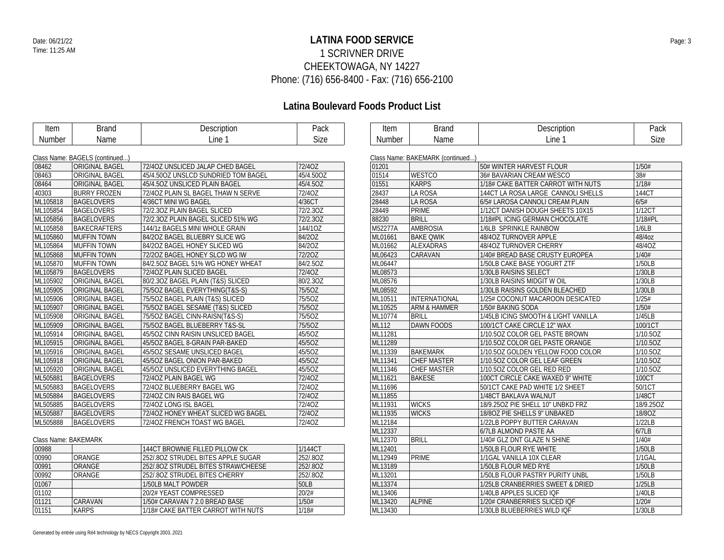## **LATINA FOOD SERVICE** Date: 06/21/22 Page: 3 1 SCRIVNER DRIVE CHEEKTOWAGA, NY 14227 Phone: (716) 656-8400 - Fax: (716) 656-2100

| Item                 | <b>Brand</b>                   | Description                         | Pack        | Item    | <b>Brand</b>                    | Description                         | Pack        |
|----------------------|--------------------------------|-------------------------------------|-------------|---------|---------------------------------|-------------------------------------|-------------|
| Number               | Name                           | Line 1                              | <b>Size</b> | Number  | Name                            | Line 1                              | <b>Size</b> |
|                      |                                |                                     |             |         |                                 |                                     |             |
|                      | Class Name: BAGELS (continued) |                                     |             |         | Class Name: BAKEMARK (continued |                                     |             |
| 08462                | <b>ORIGINAL BAGEL</b>          | 72/40Z UNSLICED JALAP CHED BAGEL    | 72/40Z      | 01201   |                                 | 50# WINTER HARVEST FLOUR            | 1/50#       |
| 08463                | ORIGINAL BAGEL                 | 45/4.500Z UNSLCD SUNDRIED TOM BAGEL | 45/4.50OZ   | 01514   | <b>WESTCO</b>                   | 36# BAVARIAN CREAM WESCO            | 38#         |
| 08464                | <b>ORIGINAL BAGEL</b>          | 45/4.50Z UNSLICED PLAIN BAGEL       | 45/4.5OZ    | 01551   | <b>KARPS</b>                    | 1/18# CAKE BATTER CARROT WITH NUTS  | 1/18#       |
| 40303                | <b>BURRY FROZEN</b>            | 72/40Z PLAIN SL BAGEL THAW N SERVE  | 72/40Z      | 28437   | LA ROSA                         | 144CT LA ROSA LARGE CANNOLI SHELLS  | 144CT       |
| ML105818             | <b>BAGELOVERS</b>              | 4/36CT MINI WG BAGEL                | 4/36CT      | 28448   | LA ROSA                         | 6/5# LAROSA CANNOLI CREAM PLAIN     | 6/5#        |
| ML105854             | <b>BAGELOVERS</b>              | 72/2.30Z PLAIN BAGEL SLICED         | 72/2.30Z    | 28449   | <b>PRIME</b>                    | 1/12CT DANISH DOUGH SHEETS 10X15    | 1/12CT      |
| ML105856             | <b>BAGELOVERS</b>              | 72/2.30Z PLAIN BAGEL SLICED 51% WG  | 72/2.30Z    | 88230   | <b>BRILL</b>                    | 1/18#PL ICING GERMAN CHOCOLATE      | 1/18#PL     |
| ML105858             | <b>BAKECRAFTERS</b>            | 144/1z BAGELS MINI WHOLE GRAIN      | 144/10Z     | M52277A | <b>AMBROSIA</b>                 | 1/6LB SPRINKLE RAINBOW              | 1/6LB       |
| ML105860             | <b>MUFFIN TOWN</b>             | 84/20Z BAGEL BLUEBRY SLICE WG       | 84/2OZ      | ML01661 | <b>BAKE QWIK</b>                | 48/40Z TURNOVER APPLE               | 48/4oz      |
| ML105864             | <b>MUFFIN TOWN</b>             | 84/20Z BAGEL HONEY SLICED WG        | 84/2OZ      | ML01662 | <b>ALEXADRAS</b>                | 48/40Z TURNOVER CHERRY              | 48/4OZ      |
| ML105868             | <b>MUFFIN TOWN</b>             | 72/20Z BAGEL HONEY SLCD WG IW       | 72/20Z      | ML06423 | <b>CARAVAN</b>                  | 1/40# BREAD BASE CRUSTY EUROPEA     | 1/40#       |
| ML105870             | <b>MUFFIN TOWN</b>             | 84/2.50Z BAGEL 51% WG HONEY WHEAT   | 84/2.5OZ    | ML06447 |                                 | 1/50LB CAKE BASE YOGURT ZTF         | 1/50LB      |
| ML105879             | <b>BAGELOVERS</b>              | 72/40Z PLAIN SLICED BAGEL           | 72/40Z      | ML08573 |                                 | 1/30LB RAISINS SELECT               | 1/30LB      |
| ML105902             | <b>ORIGINAL BAGEL</b>          | 80/2.30Z BAGEL PLAIN (T&S) SLICED   | 80/2.3OZ    | ML08576 |                                 | 1/30LB RAISINS MIDGIT W OIL         | 1/30LB      |
| ML105905             | <b>ORIGINAL BAGEL</b>          | 75/50Z BAGEL EVERYTHING(T&S-S)      | 75/5OZ      | ML08592 |                                 | 1/30LB RAISINS GOLDEN BLEACHED      | 1/30LB      |
| ML105906             | <b>ORIGINAL BAGEL</b>          | 75/50Z BAGEL PLAIN (T&S) SLICED     | 75/5OZ      | ML10511 | INTERNATIONAL                   | 1/25# COCONUT MACAROON DESICATED    | 1/25#       |
| ML105907             | <b>ORIGINAL BAGEL</b>          | 75/5OZ BAGEL SESAME (T&S) SLICED    | 75/5OZ      | ML10525 | <b>ARM &amp; HAMMER</b>         | 1/50# BAKING SODA                   | 1/50#       |
| ML105908             | <b>ORIGINAL BAGEL</b>          | 75/50Z BAGEL CINN-RAISN(T&S-S)      | 75/5OZ      | ML10774 | <b>BRILL</b>                    | 1/45LB ICING SMOOTH & LIGHT VANILLA | 1/45LB      |
| ML105909             | <b>ORIGINAL BAGEL</b>          | 75/50Z BAGEL BLUEBERRY T&S-SL       | 75/5OZ      | ML112   | <b>DAWN FOODS</b>               | 100/1CT CAKE CIRCLE 12" WAX         | 100/1CT     |
| ML105914             | <b>ORIGINAL BAGEL</b>          | 45/5OZ CINN RAISIN UNSLICED BAGEL   | 45/5OZ      | ML11281 |                                 | 1/10.50Z COLOR GEL PASTE BROWN      | 1/10.5OZ    |
| ML105915             | <b>ORIGINAL BAGEL</b>          | 45/50Z BAGEL 8-GRAIN PAR-BAKED      | 45/5OZ      | ML11289 |                                 | 1/10.50Z COLOR GEL PASTE ORANGE     | 1/10.5OZ    |
| ML105916             | <b>ORIGINAL BAGEL</b>          | 45/5OZ SESAME UNSLICED BAGEL        | 45/5OZ      | ML11339 | <b>BAKEMARK</b>                 | 1/10.50Z GOLDEN YELLOW FOOD COLOR   | 1/10.5OZ    |
| ML105918             | <b>ORIGINAL BAGEL</b>          | 45/5OZ BAGEL ONION PAR-BAKED        | 45/5OZ      | ML11341 | <b>CHEF MASTER</b>              | 1/10.50Z COLOR GEL LEAF GREEN       | 1/10.5OZ    |
| ML105920             | <b>ORIGINAL BAGEL</b>          | 45/5OZ UNSLICED EVERYTHING BAGEL    | 45/5OZ      | ML11346 | <b>CHEF MASTER</b>              | 1/10.50Z COLOR GEL RED RED          | 1/10.5OZ    |
| ML505881             | <b>BAGELOVERS</b>              | 72/40Z PLAIN BAGEL WG               | 72/4OZ      | ML11621 | <b>BAKESE</b>                   | 100CT CIRCLE CAKE WAXED 9" WHITE    | 100CT       |
| ML505883             | <b>BAGELOVERS</b>              | 72/40Z BLUEBERRY BAGEL WG           | 72/40Z      | ML11696 |                                 | 50/1CT CAKE PAD WHITE 1/2 SHEET     | 50/1CT      |
| ML505884             | <b>BAGELOVERS</b>              | 72/40Z CIN RAIS BAGEL WG            | 72/40Z      | ML11855 |                                 | 1/48CT BAKLAVA WALNUT               | 1/48CT      |
| ML505885             | <b>BAGELOVERS</b>              | 72/40Z LONG ISL BAGEL               | 72/4OZ      | ML11931 | <b>WICKS</b>                    | 18/9.25OZ PIE SHELL 10" UNBKD FRZ   | 18/9.25OZ   |
| ML505887             | <b>BAGELOVERS</b>              | 72/40Z HONEY WHEAT SLICED WG BAGEL  | 72/40Z      | ML11935 | <b>WICKS</b>                    | 18/80Z PIE SHELLS 9" UNBAKED        | 18/8OZ      |
| ML505888             | <b>BAGELOVERS</b>              | 72/40Z FRENCH TOAST WG BAGEL        | 72/4OZ      | ML12184 |                                 | 1/22LB POPPY BUTTER CARAVAN         | 1/22LB      |
|                      |                                |                                     |             | ML12337 |                                 | 6/7LB ALMOND PASTE AA               | 6/7LB       |
| Class Name: BAKEMARK |                                |                                     |             | ML12370 | <b>BRILL</b>                    | 1/40# GLZ DNT GLAZE N SHINE         | 1/40#       |
| 00988                |                                | 144CT BROWNIE FILLED PILLOW CK      | 1/144CT     | ML12401 |                                 | 1/50LB FLOUR RYE WHITE              | 1/50LB      |
| 00990                | ORANGE                         | 252/.80Z STRUDEL BITES APPLE SUGAR  | 252/.8OZ    | ML12949 | <b>PRIME</b>                    | 1/1GAL VANILLA 10X CLEAR            | 1/1GAL      |
| 00991                | ORANGE                         | 252/802 STRUDEL BITES STRAW/CHEESE  | 252/.80Z    | ML13189 |                                 | 1/50LB FLOUR MED RYE                | 1/50LB      |
| 00992                | ORANGE                         | 252/.80Z STRUDEL BITES CHERRY       | 252/.8OZ    | ML13201 |                                 | 1/50LB FLOUR PASTRY PURITY UNBL     | 1/50LB      |
| 01067                |                                | 1/50LB MALT POWDER                  | 50LB        | ML13374 |                                 | 1/25LB CRANBERRIES SWEET & DRIED    | 1/25LB      |
| 01102                |                                | 20/2# YEAST COMPRESSED              | 20/2#       | ML13406 |                                 | 1/40LB APPLES SLICED IQF            | 1/40LB      |
| 01121                | CARAVAN                        | 1/50# CARAVAN 7 2.0 BREAD BASE      | 1/50#       | ML13420 | <b>ALPINE</b>                   | 1/20# CRANBERRIES SLICED IQF        | 1/20#       |
| 01151                | <b>KARPS</b>                   | 1/18# CAKE BATTER CARROT WITH NUTS  | 1/18#       | ML13430 |                                 | 1/30LB BLUEBERRIES WILD IQF         | 1/30LB      |
|                      |                                |                                     |             |         |                                 |                                     |             |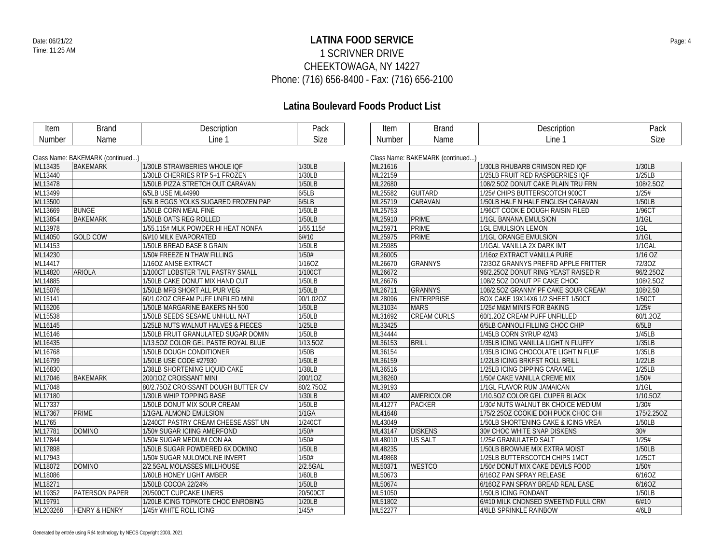## **LATINA FOOD SERVICE** Date: 06/21/22 Page: 4 1 SCRIVNER DRIVE CHEEKTOWAGA, NY 14227 Phone: (716) 656-8400 - Fax: (716) 656-2100

| Item     | <b>Brand</b>                     | Description                         | Pack        | Item    | <b>Brand</b>                     | Description                              | Pack        |
|----------|----------------------------------|-------------------------------------|-------------|---------|----------------------------------|------------------------------------------|-------------|
| Number   | Name                             | Line 1                              | <b>Size</b> | Number  | Name                             | Line 1                                   | <b>Size</b> |
|          |                                  |                                     |             |         |                                  |                                          |             |
|          | Class Name: BAKEMARK (continued) |                                     |             |         | Class Name: BAKEMARK (continued) |                                          |             |
| ML13435  | <b>BAKEMARK</b>                  | 1/30LB STRAWBERIES WHOLE IQF        | 1/30LB      | ML21616 |                                  | 1/30LB RHUBARB CRIMSON RED IQF           | 1/30LB      |
| ML13440  |                                  | 1/30LB CHERRIES RTP 5+1 FROZEN      | 1/30LB      | ML22159 |                                  | 1/25LB FRUIT RED RASPBERRIES IOF         | 1/25LB      |
| ML13478  |                                  | 1/50LB PIZZA STRETCH OUT CARAVAN    | 1/50LB      | ML22680 |                                  | 108/2.5OZ DONUT CAKE PLAIN TRU FRN       | 108/2.5OZ   |
| ML13499  |                                  | 6/5LB USE ML44990                   | 6/5LB       | ML25582 | <b>GUITARD</b>                   | 1/25# CHIPS BUTTERSCOTCH 900CT           | 1/25#       |
| ML13500  |                                  | 6/5LB EGGS YOLKS SUGARED FROZEN PAP | 6/5LB       | ML25719 | <b>CARAVAN</b>                   | 1/50LB HALF N HALF ENGLISH CARAVAN       | 1/50LB      |
| ML13669  | <b>BUNGE</b>                     | 1/50LB CORN MEAL FINE               | 1/50LB      | ML25753 |                                  | 1/96CT COOKIE DOUGH RAISIN FILED         | 1/96CT      |
| ML13854  | <b>BAKEMARK</b>                  | 1/50LB OATS REG ROLLED              | 1/50LB      | ML25910 | <b>PRIME</b>                     | 1/1GL BANANA EMULSION                    | $1/1$ GL    |
| ML13978  |                                  | 1/55.115# MILK POWDER HI HEAT NONFA | 1/55.115#   | ML25971 | <b>PRIME</b>                     | <b>1GL EMULSION LEMON</b>                | 1GL         |
| ML14050  | <b>GOLD COW</b>                  | 6/#10 MILK EVAPORATED               | 6/#10       | ML25975 | <b>PRIME</b>                     | 1/1GL ORANGE EMULSION                    | $1/1$ GL    |
| ML14153  |                                  | 1/50LB BREAD BASE 8 GRAIN           | 1/50LB      | ML25985 |                                  | 1/1GAL VANILLA 2X DARK IMT               | 1/1GAL      |
| ML14230  |                                  | 1/50# FREEZE N THAW FILLING         | 1/50#       | ML26005 |                                  | 1/160Z EXTRACT VANILLA PURE              | 1/16 OZ     |
| ML14417  |                                  | 1/16OZ ANISE EXTRACT                | 1/16OZ      | ML26670 | <b>GRANNYS</b>                   | 72/30Z GRANNYS PREFRD APPLE FRITTER      | 72/30Z      |
| ML14820  | <b>ARIOLA</b>                    | 1/100CT LOBSTER TAIL PASTRY SMALL   | 1/100CT     | ML26672 |                                  | 96/2.25OZ DONUT RING YEAST RAISED R      | 96/2.25OZ   |
| ML14885  |                                  | 1/50LB CAKE DONUT MIX HAND CUT      | 1/50LB      | ML26676 |                                  | 108/2.50Z DONUT PF CAKE CHOC             | 108/2.5OZ   |
| ML15076  |                                  | 1/50LB MFB SHORT ALL PUR VEG        | 1/50LB      | ML26711 | <b>GRANNYS</b>                   | 108/2.50Z GRANNY PF CAKE SOUR CREAM      | 108/2.50    |
| ML15141  |                                  | 60/1.020Z CREAM PUFF UNFILED MINI   | 90/1.02OZ   | ML28096 | <b>ENTERPRISE</b>                | <b>BOX CAKE 19X14X6 1/2 SHEET 1/50CT</b> | 1/50CT      |
| ML15206  |                                  | 1/50LB MARGARINE BAKERS NH 500      | 1/50LB      | ML31034 | <b>MARS</b>                      | 1/25# M&M MINI'S FOR BAKING              | 1/25#       |
| ML15538  |                                  | 1/50LB SEEDS SESAME UNHULL NAT      | 1/50LB      | ML31692 | <b>CREAM CURLS</b>               | 60/1.2OZ CREAM PUFF UNFILLED             | 60/1.20Z    |
| ML16145  |                                  | 1/25LB NUTS WALNUT HALVES & PIECES  | 1/25LB      | ML33425 |                                  | 6/5LB CANNOLI FILLING CHOC CHIP          | 6/5LB       |
| ML16146  |                                  | 1/50LB FRUIT GRANULATED SUGAR DOMIN | 1/50LB      | ML34444 |                                  | 1/45LB CORN SYRUP 42/43                  | 1/45LB      |
| ML16435  |                                  | 1/13.50Z COLOR GEL PASTE ROYAL BLUE | 1/13.5OZ    | ML36153 | <b>BRILL</b>                     | 1/35LB ICING VANILLA LIGHT N FLUFFY      | 1/35LB      |
| ML16768  |                                  | 1/50LB DOUGH CONDITIONER            | 1/50B       | ML36154 |                                  | 1/35LB ICING CHOCOLATE LIGHT N FLUF      | 1/35LB      |
| ML16799  |                                  | 1/50LB USE CODE #27930              | 1/50LB      | ML36159 |                                  | 1/22LB ICING BRKFST ROLL BRILL           | 1/22LB      |
| ML16830  |                                  | 1/38LB SHORTENING LIQUID CAKE       | 1/38LB      | ML36516 |                                  | 1/25LB ICING DIPPING CARAMEL             | 1/25LB      |
| ML17046  | <b>BAKEMARK</b>                  | 200/10Z CROISSANT MINI              | 200/10Z     | ML38260 |                                  | 1/50# CAKE VANILLA CREME MIX             | 1/50#       |
| ML17048  |                                  | 80/2.750Z CROISSANT DOUGH BUTTER CV | 80/2.75OZ   | ML39193 |                                  | 1/1GL FLAVOR RUM JAMAICAN                | $1/1$ GL    |
| ML17180  |                                  | 1/30LB WHIP TOPPING BASE            | 1/30LB      | ML402   | AMERICOLOR                       | 1/10.50Z COLOR GEL CUPER BLACK           | 1/10.5OZ    |
| ML17337  |                                  | 1/50LB DONUT MIX SOUR CREAM         | 1/50LB      | ML41277 | <b>PACKER</b>                    | 1/30# NUTS WALNUT BK CHOICE MEDIUM       | 1/30#       |
| ML17367  | <b>PRIME</b>                     | 1/1GAL ALMOND EMULSION              | 1/1GA       | ML41648 |                                  | 175/2.250Z COOKIE DOH PUCK CHOC CHI      | 175/2.25OZ  |
| ML1765   |                                  | 1/240CT PASTRY CREAM CHEESE ASST UN | 1/240CT     | ML43049 |                                  | 1/50LB SHORTENING CAKE & ICING VREA      | 1/50LB      |
| ML17781  | <b>DOMINO</b>                    | 1/50# SUGAR ICIING AMERFOND         | 1/50#       | ML43147 | <b>DISKENS</b>                   | 30# CHOC WHITE SNAP DISKENS              | 30#         |
| ML17844  |                                  | 1/50# SUGAR MEDIUM CON AA           | 1/50#       | ML48010 | US SALT                          | 1/25# GRANULATED SALT                    | 1/25#       |
| ML17898  |                                  | 1/50LB SUGAR POWDERED 6X DOMINO     | 1/50LB      | ML48235 |                                  | 1/50LB BROWNIE MIX EXTRA MOIST           | 1/50LB      |
| ML17943  |                                  | 1/50# SUGAR NULOMOLINE INVERT       | 1/50#       | ML49868 |                                  | 1/25LB BUTTERSCOTCH CHIPS 1MCT           | 1/25CT      |
| ML18072  | <b>DOMINO</b>                    | 2/2.5GAL MOLASSES MILLHOUSE         | 2/2.5GAL    | ML50371 | <b>WESTCO</b>                    | 1/50# DONUT MIX CAKE DEVILS FOOD         | 1/50#       |
| ML18086  |                                  | 1/60LB HONEY LIGHT AMBER            | 1/60LB      | ML50673 |                                  | 6/16OZ PAN SPRAY RELEASE                 | 6/16OZ      |
| ML18271  |                                  | 1/50LB COCOA 22/24%                 | 1/50LB      | ML50674 |                                  | 6/16OZ PAN SPRAY BREAD REAL EASE         | 6/160Z      |
| ML19352  | PATERSON PAPER                   | 20/500CT CUPCAKE LINERS             | 20/500CT    | ML51050 |                                  | 1/50LB ICING FONDANT                     | 1/50LB      |
| ML19791  |                                  | 1/20LB ICING TOPKOTE CHOC ENROBING  | 1/20LB      | ML51802 |                                  | 6/#10 MILK CNDNSED SWEETND FULL CRM      | 6/#10       |
| ML203268 | <b>HENRY &amp; HENRY</b>         | 1/45# WHITE ROLL ICING              | 1/45#       | ML52277 |                                  | 4/6LB SPRINKLE RAINBOW                   | 4/6LB       |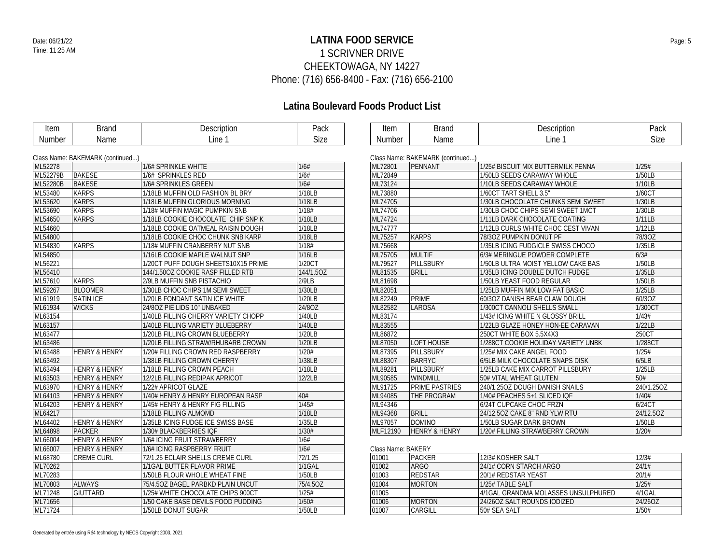## **LATINA FOOD SERVICE** Date: 06/21/22 Page: 5 1 SCRIVNER DRIVE CHEEKTOWAGA, NY 14227 Phone: (716) 656-8400 - Fax: (716) 656-2100

| Item     | <b>Brand</b>                     | Description                         | Pack        | Item               | <b>Brand</b>                     | Description                         | Pack       |
|----------|----------------------------------|-------------------------------------|-------------|--------------------|----------------------------------|-------------------------------------|------------|
| Number   | Name                             | Line 1                              | <b>Size</b> | Number             | Name                             | Line 1                              | Size       |
|          |                                  |                                     |             |                    |                                  |                                     |            |
|          | Class Name: BAKEMARK (continued) |                                     |             |                    | Class Name: BAKEMARK (continued) |                                     |            |
| ML52278  |                                  | 1/6# SPRINKLE WHITE                 | 1/6#        | ML72801            | PENNANT                          | 1/25# BISCUIT MIX BUTTERMILK PENNA  | 1/25#      |
| ML52279B | <b>BAKESE</b>                    | 1/6# SPRINKLES RED                  | 1/6#        | ML72849            |                                  | 1/50LB SEEDS CARAWAY WHOLE          | 1/50LB     |
| ML52280B | <b>BAKESE</b>                    | 1/6# SPRINKLES GREEN                | 1/6#        | ML73124            |                                  | 1/10LB SEEDS CARAWAY WHOLE          | 1/10LB     |
| ML53480  | <b>KARPS</b>                     | 1/18LB MUFFIN OLD FASHION BL BRY    | 1/18LB      | ML73880            |                                  | 1/60CT TART SHELL 3.5"              | 1/60CT     |
| ML53620  | <b>KARPS</b>                     | 1/18LB MUFFIN GLORIOUS MORNING      | 1/18LB      | ML74705            |                                  | 1/30LB CHOCOLATE CHUNKS SEMI SWEET  | 1/30LB     |
| ML53690  | <b>KARPS</b>                     | 1/18# MUFFIN MAGIC PUMPKIN SNB      | 1/18#       | ML74706            |                                  | 1/30LB CHOC CHIPS SEMI SWEET 1MCT   | 1/30LB     |
| ML54650  | <b>KARPS</b>                     | 1/18LB COOKIE CHOCOLATE CHIP SNP K  | 1/18LB      | ML74724            |                                  | 1/11LB DARK CHOCOLATE COATING       | 1/11LB     |
| ML54660  |                                  | 1/18LB COOKIE OATMEAL RAISIN DOUGH  | 1/18LB      | ML74777            |                                  | 1/12LB CURLS WHITE CHOC CEST VIVAN  | 1/12LB     |
| ML54800  |                                  | 1/18LB COOKIE CHOC CHUNK SNB KARP   | 1/18LB      | ML75257            | <b>KARPS</b>                     | 78/30Z PUMPKIN DONUT PF             | 78/30Z     |
| ML54830  | <b>KARPS</b>                     | 1/18# MUFFIN CRANBERRY NUT SNB      | 1/18#       | ML75668            |                                  | 1/35LB ICING FUDGICLE SWISS CHOCO   | 1/35LB     |
| ML54850  |                                  | 1/16LB COOKIE MAPLE WALNUT SNP      | 1/16LB      | ML75705            | <b>MULTIF</b>                    | 6/3# MERINGUE POWDER COMPLETE       | 6/3#       |
| ML56221  |                                  | 1/20CT PUFF DOUGH SHEETS10X15 PRIME | 1/20CT      | ML79527            | <b>PILLSBURY</b>                 | 1/50LB ULTRA MOIST YELLOW CAKE BAS  | 1/50LB     |
| ML56410  |                                  | 144/1.50OZ COOKIE RASP FILLED RTB   | 144/1.5OZ   | ML81535            | <b>BRILL</b>                     | 1/35LB ICING DOUBLE DUTCH FUDGE     | 1/35LB     |
| ML57610  | <b>KARPS</b>                     | 2/9LB MUFFIN SNB PISTACHIO          | 2/9LB       | ML81698            |                                  | 1/50LB YEAST FOOD REGULAR           | 1/50LB     |
| ML59267  | <b>BLOOMER</b>                   | 1/30LB CHOC CHIPS 1M SEMI SWEET     | 1/30LB      | ML82051            |                                  | 1/25LB MUFFIN MIX LOW FAT BASIC     | 1/25LB     |
| ML61919  | <b>SATIN ICE</b>                 | 1/20LB FONDANT SATIN ICE WHITE      | 1/20LB      | ML82249            | <b>PRIME</b>                     | 60/3OZ DANISH BEAR CLAW DOUGH       | 60/3OZ     |
| ML61934  | <b>WICKS</b>                     | 24/8OZ PIE LIDS 10" UNBAKED         | 24/8OZ      | ML82582            | <b>LAROSA</b>                    | 1/300CT CANNOLI SHELLS SMALL        | 1/300CT    |
| ML63154  |                                  | 1/40LB FILLING CHERRY VARIETY CHOPP | 1/40LB      | ML83174            |                                  | 1/43# ICING WHITE N GLOSSY BRILL    | 1/43#      |
| ML63157  |                                  | 1/40LB FILLING VARIETY BLUEBERRY    | 1/40LB      | ML83555            |                                  | 1/22LB GLAZE HONEY HON-EE CARAVAN   | 1/22LB     |
| ML63477  |                                  | 1/20LB FILLING CROWN BLUEBERRY      | 1/20LB      | ML86872            |                                  | 250CT WHITE BOX 5.5X4X3             | 250CT      |
| ML63486  |                                  | 1/20LB FILLING STRAW/RHUBARB CROWN  | 1/20LB      | ML87050            | <b>LOFT HOUSE</b>                | 1/288CT COOKIE HOLIDAY VARIETY UNBK | 1/288CT    |
| ML63488  | <b>HENRY &amp; HENRY</b>         | 1/20# FILLING CROWN RED RASPBERRY   | 1/20#       | ML87395            | PILLSBURY                        | 1/25# MIX CAKE ANGEL FOOD           | 1/25#      |
| ML63492  |                                  | 1/38LB FILLING CROWN CHERRY         | 1/38LB      | ML88307            | <b>BARRYC</b>                    | 6/5LB MILK CHOCOLATE SNAPS DISK     | 6/5LB      |
| ML63494  | <b>HENRY &amp; HENRY</b>         | 1/18LB FILLING CROWN PEACH          | 1/18LB      | ML89281            | PILLSBURY                        | 1/25LB CAKE MIX CARROT PILLSBURY    | 1/25LB     |
| ML63503  | <b>HENRY &amp; HENRY</b>         | 12/2LB FILLING REDIPAK APRICOT      | 12/2LB      | ML90585            | <b>WINDMILL</b>                  | 50# VITAL WHEAT GLUTEN              | 50#        |
| ML63970  | <b>HENRY &amp; HENRY</b>         | 1/22# APRICOT GLAZE                 |             | ML91725            | PRIME PASTRIES                   | 240/1.25OZ DOUGH DANISH SNAILS      | 240/1.25OZ |
| ML64103  | <b>HENRY &amp; HENRY</b>         | 1/40# HENRY & HENRY EUROPEAN RASP   | 40#         | ML94085            | THE PROGRAM                      | 1/40# PEACHES 5+1 SLICED IQF        | 1/40#      |
| ML64203  | <b>HENRY &amp; HENRY</b>         | 1/45# HENRY & HENRY FIG FILLING     | 1/45#       | ML94346            |                                  | 6/24T CUPCAKE CHOC FRZN             | 6/24CT     |
| ML64217  |                                  | 1/18LB FILLING ALMOMD               | 1/18LB      | ML94368            | <b>BRILL</b>                     | 24/12.5OZ CAKE 8" RND YLW RTU       | 24/12.5OZ  |
| ML64402  | <b>HENRY &amp; HENRY</b>         | 1/35LB ICING FUDGE ICE SWISS BASE   | 1/35LB      | ML97057            | <b>DOMINO</b>                    | 1/50LB SUGAR DARK BROWN             | 1/50LB     |
| ML64898  | PACKER                           | 1/30# BLACKBERRIES IQF              | 1/30#       | MLF12190           | <b>HENRY &amp; HENRY</b>         | 1/20# FILLING STRAWBERRY CROWN      | 1/20#      |
| ML66004  | <b>HENRY &amp; HENRY</b>         | 1/6# ICING FRUIT STRAWBERRY         | 1/6#        |                    |                                  |                                     |            |
| ML66007  | <b>HENRY &amp; HENRY</b>         | 1/6# ICING RASPBERRY FRUIT          | 1/6#        | Class Name: BAKERY |                                  |                                     |            |
| ML68780  | <b>CREME CURL</b>                | 72/1.25 ECLAIR SHELLS CREME CURL    | 72/1.25     | 01001              | <b>PACKER</b>                    | 12/3# KOSHER SALT                   | 12/3#      |
| ML70262  |                                  | 1/1GAL BUTTER FLAVOR PRIME          | 1/1GAL      | 01002              | <b>ARGO</b>                      | 24/1# CORN STARCH ARGO              | 24/1#      |
| ML70283  |                                  | 1/50LB FLOUR WHOLE WHEAT FINE       | 1/50LB      | 01003              | REDSTAR                          | 20/1# REDSTAR YEAST                 | 20/1#      |
| ML70803  | ALWAYS                           | 75/4.5OZ BAGEL PARBKD PLAIN UNCUT   | 75/4.5OZ    | 01004              | <b>MORTON</b>                    | 1/25# TABLE SALT                    | 1/25#      |
| ML71248  | <b>GIUTTARD</b>                  | 1/25# WHITE CHOCOLATE CHIPS 900CT   | 1/25#       | 01005              |                                  | 4/1GAL GRANDMA MOLASSES UNSULPHURED | 4/1GAL     |
|          |                                  |                                     |             |                    |                                  |                                     |            |
| ML71656  |                                  | 1/50 CAKE BASE DEVILS FOOD PUDDING  | 1/50#       | 01006              | <b>MORTON</b>                    | 24/26OZ SALT ROUNDS IODIZED         | 24/26OZ    |
| ML71724  |                                  | 1/50LB DONUT SUGAR                  | 1/50LB      | 01007              | CARGILL                          | 50# SEA SALT                        | 1/50#      |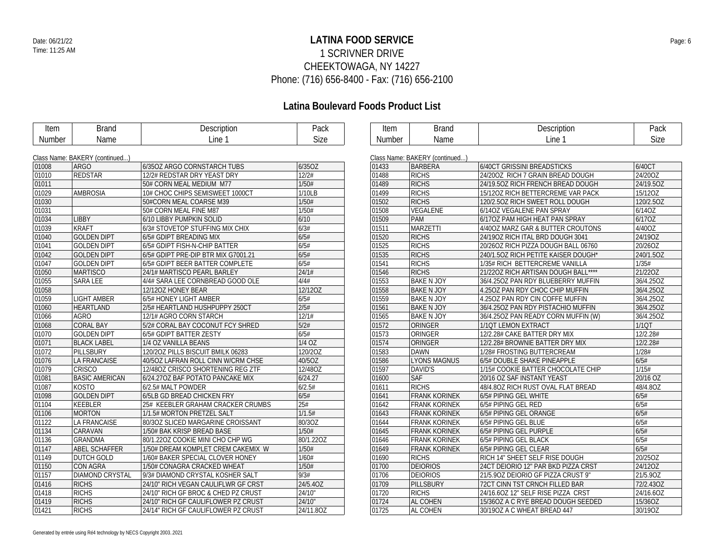## Date: 06/21/22 **Page: 6** Page: 6 1 SCRIVNER DRIVE CHEEKTOWAGA, NY 14227 Phone: (716) 656-8400 - Fax: (716) 656-2100

| Item   | <b>Brand</b>                   | Description                         | Pack        | Item          | <b>Brand</b>                   | Description                         | Pack      |
|--------|--------------------------------|-------------------------------------|-------------|---------------|--------------------------------|-------------------------------------|-----------|
| Number | Name                           | Line 1                              | <b>Size</b> | <b>Number</b> | Name                           | Line 1                              | Size      |
|        |                                |                                     |             |               |                                |                                     |           |
|        | Class Name: BAKERY (continued) |                                     |             |               | Class Name: BAKERY (continued) |                                     |           |
| 01008  | <b>ARGO</b>                    | 6/350Z ARGO CORNSTARCH TUBS         | 6/35OZ      | 01433         | <b>BARBERA</b>                 | 6/40CT GRISSINI BREADSTICKS         | 6/40CT    |
| 01010  | <b>REDSTAR</b>                 | 12/2# REDSTAR DRY YEAST DRY         | 12/2#       | 01488         | <b>RICHS</b>                   | 24/200Z RICH 7 GRAIN BREAD DOUGH    | 24/200Z   |
| 01011  |                                | 50# CORN MEAL MEDIUM M77            | 1/50#       | 01489         | <b>RICHS</b>                   | 24/19.50Z RICH FRENCH BREAD DOUGH   | 24/19.5OZ |
| 01029  | <b>AMBROSIA</b>                | 10# CHOC CHIPS SEMISWEET 1000CT     | 1/10LB      | 01499         | <b>RICHS</b>                   | 15/120Z RICH BETTERCREME VAR PACK   | 15/12OZ   |
| 01030  |                                | 50#CORN MEAL COARSE M39             | 1/50#       | 01502         | <b>RICHS</b>                   | 120/2.50Z RICH SWEET ROLL DOUGH     | 120/2.5OZ |
| 01031  |                                | 50# CORN MEAL FINE M87              | 1/50#       | 01508         | VEGALENE                       | 6/14OZ VEGALENE PAN SPRAY           | 6/14OZ    |
| 01034  | <b>LIBBY</b>                   | 6/10 LIBBY PUMPKIN SOLID            | 6/10        | 01509         | <b>PAM</b>                     | 6/170Z PAM HIGH HEAT PAN SPRAY      | 6/170Z    |
| 01039  | <b>KRAFT</b>                   | 6/3# STOVETOP STUFFING MIX CHIX     | 6/3#        | 01511         | <b>MARZETTI</b>                | 4/400Z MARZ GAR & BUTTER CROUTONS   | 4/400Z    |
| 01040  | <b>GOLDEN DIPT</b>             | 6/5# GDIPT BREADING MIX             | 6/5#        | 01520         | <b>RICHS</b>                   | 24/190Z RICH ITAL BRD DOUGH 3041    | 24/19OZ   |
| 01041  | <b>GOLDEN DIPT</b>             | 6/5# GDIPT FISH-N-CHIP BATTER       | 6/5#        | 01525         | <b>RICHS</b>                   | 20/26OZ RICH PIZZA DOUGH BALL 06760 | 20/26OZ   |
| 01042  | <b>GOLDEN DIPT</b>             | 6/5# GDIPT PRE-DIP BTR MIX G7001.21 | 6/5#        | 01535         | <b>RICHS</b>                   | 240/1.50Z RICH PETITE KAISER DOUGH* | 240/1.5OZ |
| 01047  | <b>GOLDEN DIPT</b>             | 6/5# GDIPT BEER BATTER COMPLETE     | 6/5#        | 01541         | <b>RICHS</b>                   | 1/35# RICH BETTERCREME VANILLA      | 1/35#     |
| 01050  | <b>MARTISCO</b>                | 24/1# MARTISCO PEARL BARLEY         | 24/1#       | 01546         | <b>RICHS</b>                   | 21/220Z RICH ARTISAN DOUGH BALL**** | 21/22OZ   |
| 01055  | <b>SARA LEE</b>                | 4/4# SARA LEE CORNBREAD GOOD OLE    | 4/4#        | 01553         | <b>BAKE N JOY</b>              | 36/4.25OZ PAN RDY BLUEBERRY MUFFIN  | 36/4.25OZ |
| 01058  |                                | 12/12OZ HONEY BEAR                  | 12/12OZ     | 01558         | <b>BAKE N JOY</b>              | 4.250Z PAN RDY CHOC CHIP MUFFIN     | 36/4.25OZ |
| 01059  | <b>LIGHT AMBER</b>             | 6/5# HONEY LIGHT AMBER              | 6/5#        | 01559         | <b>BAKE N JOY</b>              | 4.250Z PAN RDY CIN COFFE MUFFIN     | 36/4.25OZ |
| 01060  | <b>HEARTLAND</b>               | 2/5# HEARTLAND HUSHPUPPY 250CT      | 2/5#        | 01561         | <b>BAKE N JOY</b>              | 36/4.25OZ PAN RDY PISTACHIO MUFFIN  | 36/4.25OZ |
| 01066  | <b>AGRO</b>                    | 12/1# AGRO CORN STARCH              | 12/1#       | 01565         | <b>BAKE N JOY</b>              | 36/4.25OZ PAN READY CORN MUFFIN (W) | 36/4.25OZ |
| 01068  | <b>CORAL BAY</b>               | 5/2# CORAL BAY COCONUT FCY SHRED    | 5/2#        | 01572         | ORINGER                        | 1/1QT LEMON EXTRACT                 | 1/1QT     |
| 01070  | <b>GOLDEN DIPT</b>             | 6/5# GDIPT BATTER ZESTY             | 6/5#        | 01573         | ORINGER                        | 12/2.28# CAKE BATTER DRY MIX        | 12/2.28#  |
| 01071  | <b>BLACK LABEL</b>             | 1/4 OZ VANILLA BEANS                | $1/4$ OZ    | 01574         | ORINGER                        | 12/2.28# BROWNIE BATTER DRY MIX     | 12/2.28#  |
| 01072  | PILLSBURY                      | 120/20Z PILLS BISCUIT BMILK 06283   | 120/2OZ     | 01583         | <b>DAWN</b>                    | 1/28# FROSTING BUTTERCREAM          | 1/28#     |
| 01076  | <b>LA FRANCAISE</b>            | 40/5OZ LAFRAN ROLL CINN W/CRM CHSE  | 40/5OZ      | 01586         | <b>LYONS MAGNUS</b>            | 6/5# DOUBLE SHAKE PINEAPPLE         | 6/5#      |
| 01079  | <b>CRISCO</b>                  | 12/48OZ CRISCO SHORTENING REG ZTF   | 12/48OZ     | 01597         | DAVID'S                        | 1/15# COOKIE BATTER CHOCOLATE CHIP  | 1/15#     |
| 01081  | <b>BASIC AMERICAN</b>          | 6/24.27OZ BAF POTATO PANCAKE MIX    | 6/24.27     | 01600         | <b>SAF</b>                     | 20/16 OZ SAF INSTANT YEAST          | 20/16 OZ  |
| 01087  | <b>KOSTO</b>                   | 6/2.5# MALT POWDER                  | 6/2.5#      | 01611         | <b>RICHS</b>                   | 48/4.80Z RICH RUST OVAL FLAT BREAD  | 48/4.8OZ  |
| 01098  | <b>GOLDEN DIPT</b>             | 6/5LB GD BREAD CHICKEN FRY          | 6/5#        | 01641         | <b>FRANK KORINEK</b>           | 6/5# PIPING GEL WHITE               | 6/5#      |
| 01104  | <b>KEEBLER</b>                 | 25# KEEBLER GRAHAM CRACKER CRUMBS   | 25#         | 01642         | <b>FRANK KORINEK</b>           | 6/5# PIPING GEL RED                 | 6/5#      |
| 01106  | <b>MORTON</b>                  | 1/1.5# MORTON PRETZEL SALT          | 1/1.5#      | 01643         | <b>FRANK KORINEK</b>           | 6/5# PIPING GEL ORANGE              | 6/5#      |
| 01122  | <b>LA FRANCAISE</b>            | 80/3OZ SLICED MARGARINE CROISSANT   | 80/3OZ      | 01644         | <b>FRANK KORINEK</b>           | 6/5# PIPING GEL BLUE                | 6/5#      |
| 01134  | CARAVAN                        | 1/50# BAK KRISP BREAD BASE          | 1/50#       | 01645         | <b>FRANK KORINEK</b>           | 6/5# PIPING GEL PURPLE              | 6/5#      |
| 01136  | <b>GRANDMA</b>                 | 80/1.22OZ COOKIE MINI CHO CHP WG    | 80/1.22OZ   | 01646         | <b>FRANK KORINEK</b>           | 6/5# PIPING GEL BLACK               | 6/5#      |
| 01147  | ABEL SCHAFFER                  | 1/50# DREAM KOMPLET CREM CAKEMIX W  | 1/50#       | 01649         | <b>FRANK KORINEK</b>           | 6/5# PIPING GEL CLEAR               | 6/5#      |
| 01149  | DUTCH GOLD                     | 1/60# BAKER SPECIAL CLOVER HONEY    | 1/60#       | 01690         | <b>RICHS</b>                   | RICH 14" SHEET SELF RISE DOUGH      | 20/25OZ   |
| 01150  | CON AGRA                       | 1/50# CONAGRA CRACKED WHEAT         | 1/50#       | 01700         | <b>DEIORIOS</b>                | 24CT DEIORIO 12" PAR BKD PIZZA CRST | 24/12OZ   |
| 01157  | <b>DIAMOND CRYSTAL</b>         | 9/3# DIAMOND CRYSTAL KOSHER SALT    | 9/3#        | 01706         | <b>DEIORIOS</b>                | 21/5.90Z DEIORIO GF PIZZA CRUST 9"  | 21/5.90Z  |
| 01416  | <b>RICHS</b>                   | 24/10" RICH VEGAN CAULIFLWR GF CRST | 24/5.40Z    | 01709         | PILLSBURY                      | 72CT CINN TST CRNCH FILLED BAR      | 72/2.43OZ |
| 01418  | <b>RICHS</b>                   | 24/10" RICH GF BROC & CHED PZ CRUST | 24/10"      | 01720         | <b>RICHS</b>                   | 24/16.6OZ 12" SELF RISE PIZZA CRST  | 24/16.6OZ |
| 01419  | <b>RICHS</b>                   | 24/10" RICH GF CAULIFLOWER PZ CRUST | 24/10"      | 01724         | AL COHEN                       | 15/36OZ A C RYE BREAD DOUGH SEEDED  | 15/36OZ   |
| 01421  | <b>RICHS</b>                   | 24/14" RICH GF CAULIFLOWER PZ CRUST | 24/11.80Z   | 01725         | AL COHEN                       | 30/19OZ A C WHEAT BREAD 447         | 30/19OZ   |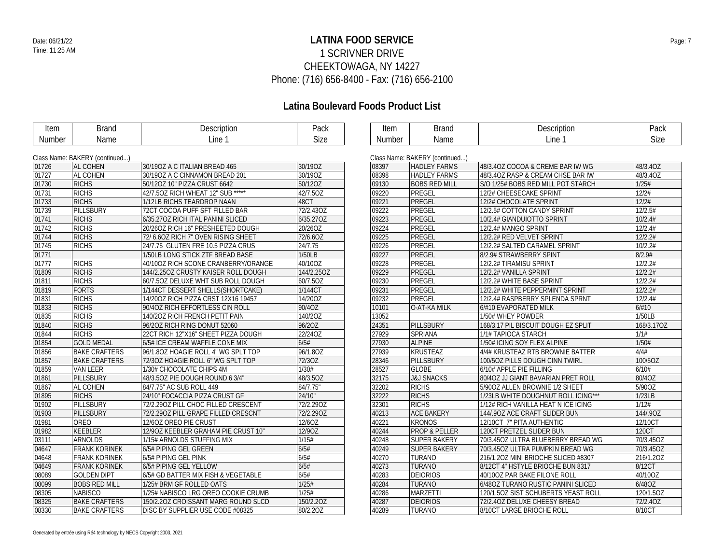## **LATINA FOOD SERVICE** Date: 06/21/22 Page: 7 1 SCRIVNER DRIVE CHEEKTOWAGA, NY 14227 Phone: (716) 656-8400 - Fax: (716) 656-2100

| Item          | <b>Brand</b>                   | Description                         | Pack       | Item          | <b>Brand</b>                   | Description                         | Pack       |
|---------------|--------------------------------|-------------------------------------|------------|---------------|--------------------------------|-------------------------------------|------------|
| <b>Number</b> | Name                           | Line 1                              | Size       | <b>Number</b> | Name                           | Line 1                              | Size       |
|               |                                |                                     |            |               |                                |                                     |            |
|               | Class Name: BAKERY (continued) |                                     |            |               | Class Name: BAKERY (continued) |                                     |            |
| 01726         | <b>AL COHEN</b>                | 30/190Z A C ITALIAN BREAD 465       | 30/19OZ    | 08397         | <b>HADLEY FARMS</b>            | 48/3.40Z COCOA & CREME BAR IW WG    | 48/3.40Z   |
| 01727         | <b>AL COHEN</b>                | 30/19OZ A C CINNAMON BREAD 201      | 30/19OZ    | 08398         | <b>HADLEY FARMS</b>            | 48/3.40Z RASP & CREAM CHSE BAR IW   | 48/3.4OZ   |
| 01730         | <b>RICHS</b>                   | 50/12OZ 10" PIZZA CRUST 6642        | 50/12OZ    | 09130         | <b>BOBS RED MILL</b>           | S/O 1/25# BOBS RED MILL POT STARCH  | 1/25#      |
| 01731         | <b>RICHS</b>                   | 42/7.50Z RICH WHEAT 12" SUB *****   | 42/7.50Z   | 09220         | PREGEL                         | 12/2# CHEESECAKE SPRINT             | 12/2#      |
| 01733         | <b>RICHS</b>                   | 1/12LB RICHS TEARDROP NAAN          | 48CT       | 09221         | PREGEL                         | 12/2# CHOCOLATE SPRINT              | 12/2#      |
| 01739         | PILLSBURY                      | 72CT COCOA PUFF SFT FILLED BAR      | 72/2.43OZ  | 09222         | PREGEL                         | 12/2.5# COTTON CANDY SPRINT         | 12/2.5#    |
| 01741         | <b>RICHS</b>                   | 6/35.27OZ RICH ITAL PANINI SLICED   | 6/35.27OZ  | 09223         | PREGEL                         | 10/2.4# GIANDUIOTTO SPRINT          | 10/2.4#    |
| 01742         | <b>RICHS</b>                   | 20/26OZ RICH 16" PRESHEETED DOUGH   | 20/26OZ    | 09224         | PREGEL                         | 12/2.4# MANGO SPRINT                | 12/2.4#    |
| 01744         | <b>RICHS</b>                   | 72/6.60Z RICH 7" OVEN RISING SHEET  | 72/6.60Z   | 09225         | PREGEL                         | 12/2.2# RED VELVET SPRINT           | 12/2.2#    |
| 01745         | <b>RICHS</b>                   | 24/7.75 GLUTEN FRE 10.5 PIZZA CRUS  | 24/7.75    | 09226         | PREGEL                         | 12/2.2# SALTED CARAMEL SPRINT       | 10/2.2#    |
| 01771         |                                | 1/50LB LONG STICK ZTF BREAD BASE    | 1/50LB     | 09227         | PREGEL                         | 8/2.9# STRAWBERRY SPINT             | 8/2.9#     |
| 01777         | <b>RICHS</b>                   | 40/100Z RICH SCONE CRANBERRY/ORANGE | 40/10OZ    | 09228         | PREGEL                         | 12/2.2# TIRAMISU SPRINT             | 12/2.2#    |
| 01809         | <b>RICHS</b>                   | 144/2.25OZ CRUSTY KAISER ROLL DOUGH | 144/2.25OZ | 09229         | PREGEL                         | 12/2.2# VANILLA SPRINT              | 12/2.2#    |
| 01811         | <b>RICHS</b>                   | 60/7.50Z DELUXE WHT SUB ROLL DOUGH  | 60/7.50Z   | 09230         | PREGEL                         | 12/2.2# WHITE BASE SPRINT           | 12/2.2#    |
| 01819         | <b>FORTS</b>                   | 1/144CT DESSERT SHELLS(SHORTCAKE)   | 1/144CT    | 09231         | PREGEL                         | 12/2.2# WHITE PEPPERMINT SPRINT     | 12/2.2#    |
| 01831         | <b>RICHS</b>                   | 14/200Z RICH PIZZA CRST 12X16 19457 | 14/20OZ    | 09232         | PREGEL                         | 12/2.4# RASPBERRY SPLENDA SPRNT     | 12/2.4#    |
| 01833         | <b>RICHS</b>                   | 90/4OZ RICH EFFORTLESS CIN ROLL     | 90/4OZ     | 10101         | O-AT-KA MILK                   | 6/#10 EVAPORATED MILK               | 6/#10      |
| 01835         | <b>RICHS</b>                   | 140/20Z RICH FRENCH PETIT PAIN      | 140/2OZ    | 13052         |                                | 1/50# WHEY POWDER                   | 1/50LB     |
| 01840         | <b>RICHS</b>                   | 96/20Z RICH RING DONUT 52060        | 96/20Z     | 24351         | PILLSBURY                      | 168/3.17 PIL BISCUIT DOUGH EZ SPLIT | 168/3.17OZ |
| 01844         | <b>RICHS</b>                   | 22CT RICH 12"X16" SHEET PIZZA DOUGH | 22/24OZ    | 27929         | SPRIANA                        | 1/1# TAPIOCA STARCH                 | 1/1#       |
| 01854         | <b>GOLD MEDAL</b>              | 6/5# ICE CREAM WAFFLE CONE MIX      | 6/5#       | 27930         | <b>ALPINE</b>                  | 1/50# ICING SOY FLEX ALPINE         | 1/50#      |
| 01856         | <b>BAKE CRAFTERS</b>           | 96/1.80Z HOAGIE ROLL 4" WG SPLT TOP | 96/1.80Z   | 27939         | <b>KRUSTEAZ</b>                | 4/4# KRUSTEAZ RTB BROWNIE BATTER    | 4/4#       |
| 01857         | <b>BAKE CRAFTERS</b>           | 72/30Z HOAGIE ROLL 6" WG SPLT TOP   | 72/30Z     | 28346         | <b>PILLSBURY</b>               | 100/50Z PILLS DOUGH CINN TWIRL      | 100/5OZ    |
| 01859         | <b>VAN LEER</b>                | 1/30# CHOCOLATE CHIPS 4M            | 1/30#      | 28527         | <b>GLOBE</b>                   | 6/10# APPLE PIE FILLING             | 6/10#      |
| 01861         | PILLSBURY                      | 48/3.50Z PIE DOUGH ROUND 6 3/4"     | 48/3.5OZ   | 32175         | <b>J&amp;J SNACKS</b>          | 80/4OZ JJ GIANT BAVARIAN PRET ROLL  | 80/4OZ     |
| 01867         | <b>AL COHEN</b>                | 84/7.75" AC SUB ROLL 449            | 84/7.75"   | 32202         | <b>RICHS</b>                   | 5/90OZ ALLEN BROWNIE 1/2 SHEET      | 5/90OZ     |
| 01895         | <b>RICHS</b>                   | 24/10" FOCACCIA PIZZA CRUST GF      | 24/10"     | 32222         | <b>RICHS</b>                   | 1/23LB WHITE DOUGHNUT ROLL ICING*** | 1/23LB     |
| 01902         | PILLSBURY                      | 72/2.290Z PILL CHOC FILLED CRESCENT | 72/2.29OZ  | 32301         | <b>RICHS</b>                   | 1/12# RICH VANILLA HEAT N ICE ICING | 1/12#      |
| 01903         | PILLSBURY                      | 72/2.290Z PILL GRAPE FILLED CRESCNT | 72/2.29OZ  | 40213         | <b>ACE BAKERY</b>              | 144/.90Z ACE CRAFT SLIDER BUN       | 144/.90Z   |
| 01981         | OREO                           | 12/60Z OREO PIE CRUST               | 12/6OZ     | 40221         | <b>KRONOS</b>                  | 12/10CT 7" PITA AUTHENTIC           | 12/10CT    |
| 01982         | <b>KEEBLER</b>                 | 12/90Z KEEBLER GRAHAM PIE CRUST 10" | 12/90Z     | 40244         | <b>PROP &amp; PELLER</b>       | 120CT PRETZEL SLIDER BUN            | 120CT      |
| 03111         | ARNOLDS                        | 1/15# ARNOLDS STUFFING MIX          | 1/15#      | 40248         | SUPER BAKERY                   | 70/3.45OZ ULTRA BLUEBERRY BREAD WG  | 70/3.45OZ  |
| 04647         | <b>FRANK KORINEK</b>           | 6/5# PIPING GEL GREEN               | 6/5#       | 40249         | <b>SUPER BAKERY</b>            | 70/3.45OZ ULTRA PUMPKIN BREAD WG    | 70/3.45OZ  |
| 04648         | <b>FRANK KORINEK</b>           | 6/5# PIPING GEL PINK                | 6/5#       | 40270         | <b>TURANO</b>                  | 216/1.20Z MINI BRIOCHE SLICED #8307 | 216/1.20Z  |
| 04649         | <b>FRANK KORINEK</b>           | 6/5# PIPING GEL YELLOW              | 6/5#       | 40273         | <b>TURANO</b>                  | 8/12CT 4" HSTYLE BRIOCHE BUN 8317   | 8/12CT     |
| 08089         | <b>GOLDEN DIPT</b>             | 6/5# GD BATTER MIX FISH & VEGETABLE | 6/5#       | 40283         | <b>DEIORIOS</b>                | 40/100Z PAR BAKE FILONE ROLL        | 40/10OZ    |
| 08099         | <b>BOBS RED MILL</b>           | 1/25# BRM GF ROLLED OATS            | 1/25#      | 40284         | <b>TURANO</b>                  | 6/48OZ TURANO RUSTIC PANINI SLICED  | 6/48OZ     |
| 08305         | <b>NABISCO</b>                 | 1/25# NABISCO LRG OREO COOKIE CRUMB | 1/25#      | 40286         | <b>MARZETTI</b>                | 120/1.50Z SIST SCHUBERTS YEAST ROLL | 120/1.5OZ  |
| 08325         | <b>BAKE CRAFTERS</b>           | 150/2.20Z CROISSANT MARG ROUND SLCD | 150/2.20Z  | 40287         | <b>DEIORIOS</b>                | 72/2.40Z DELUXE CHEESY BREAD        | 72/2.40Z   |
| 08330         | <b>BAKE CRAFTERS</b>           | DISC BY SUPPLIER USE CODE #08325    | 80/2.20Z   | 40289         | <b>TURANO</b>                  | 8/10CT LARGE BRIOCHE ROLL           | 8/10CT     |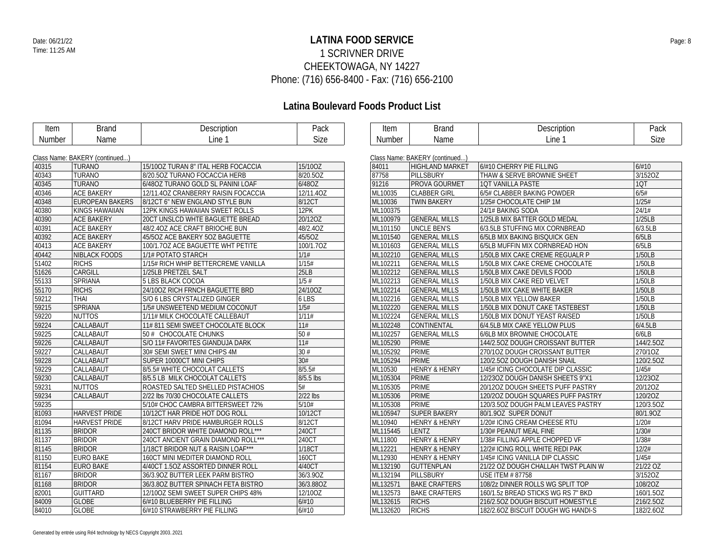## **LATINA FOOD SERVICE** Date: 06/21/22 Page: 8 1 SCRIVNER DRIVE CHEEKTOWAGA, NY 14227 Phone: (716) 656-8400 - Fax: (716) 656-2100

| Item   | <b>Brand</b>                   | Description                         | Pack         | <b>Item</b> | <b>Brand</b>                   | Description                         | Pack      |
|--------|--------------------------------|-------------------------------------|--------------|-------------|--------------------------------|-------------------------------------|-----------|
| Number | Name                           | Line 1                              | <b>Size</b>  | Number      | Name                           | Line 1                              | Size      |
|        |                                |                                     |              |             |                                |                                     |           |
|        | Class Name: BAKERY (continued) |                                     |              |             | Class Name: BAKERY (continued) |                                     |           |
| 40315  | <b>TURANO</b>                  | 15/100Z TURAN 8" ITAL HERB FOCACCIA | 15/10OZ      | 84011       | <b>HIGHLAND MARKET</b>         | 6/#10 CHERRY PIE FILLING            | 6/#10     |
| 40343  | <b>TURANO</b>                  | 8/20.5OZ TURANO FOCACCIA HERB       | 8/20.5OZ     | 87758       | PILLSBURY                      | THAW & SERVE BROWNIE SHEET          | 3/152OZ   |
| 40345  | <b>TURANO</b>                  | 6/48OZ TURANO GOLD SL PANINI LOAF   | 6/48OZ       | 91216       | <b>PROVA GOURMET</b>           | 1QT VANILLA PASTE                   | 1QT       |
| 40346  | <b>ACE BAKERY</b>              | 12/11.40Z CRANBERRY RAISIN FOCACCIA | 12/11.40Z    | ML10035     | <b>CLABBER GIRL</b>            | 6/5# CLABBER BAKING POWDER          | 6/5#      |
| 40348  | <b>EUROPEAN BAKERS</b>         | 8/12CT 6" NEW ENGLAND STYLE BUN     | 8/12CT       | ML10036     | <b>TWIN BAKERY</b>             | 1/25# CHOCOLATE CHIP 1M             | 1/25#     |
| 40380  | <b>KINGS HAWAIIAN</b>          | 12PK KINGS HAWAIIAN SWEET ROLLS     | 12PK         | ML100375    |                                | 24/1# BAKING SODA                   | 24/1#     |
| 40390  | <b>ACE BAKERY</b>              | 20CT UNSLCD WHTE BAGUETTE BREAD     | 20/12OZ      | ML100979    | <b>GENERAL MILLS</b>           | 1/25LB MIX BATTER GOLD MEDAL        | 1/25LB    |
| 40391  | <b>ACE BAKERY</b>              | 48/2.40Z ACE CRAFT BRIOCHE BUN      | 48/2.40Z     | ML101150    | <b>UNCLE BEN'S</b>             | 6/3.5LB STUFFING MIX CORNBREAD      | 6/3.5LB   |
| 40392  | <b>ACE BAKERY</b>              | 45/50Z ACE BAKERY 50Z BAGUETTE      | 45/5OZ       | ML101540    | <b>GENERAL MILLS</b>           | 6/5LB MIX BAKING BISQUICK GEN       | 6/5LB     |
| 40413  | <b>ACE BAKERY</b>              | 100/1.7OZ ACE BAGUETTE WHT PETITE   | 100/1.7OZ    | ML101603    | <b>GENERAL MILLS</b>           | 6/5LB MUFFIN MIX CORNBREAD HON      | 6/5LB     |
| 40442  | <b>NIBLACK FOODS</b>           | 1/1# POTATO STARCH                  | 1/1#         | ML102210    | <b>GENERAL MILLS</b>           | 1/50LB MIX CAKE CREME REGUALR P     | 1/50LB    |
| 51402  | <b>RICHS</b>                   | 1/15# RICH WHIP BETTERCREME VANILLA | 1/15#        | ML102211    | <b>GENERAL MILLS</b>           | 1/50LB MIX CAKE CREME CHOCOLATE     | 1/50LB    |
| 51626  | CARGILL                        | 1/25LB PRETZEL SALT                 | 25LB         | ML102212    | <b>GENERAL MILLS</b>           | 1/50LB MIX CAKE DEVILS FOOD         | 1/50LB    |
| 55133  | <b>SPRIANA</b>                 | 5 LBS BLACK COCOA                   | 1/5#         | ML102213    | <b>GENERAL MILLS</b>           | 1/50LB MIX CAKE RED VELVET          | 1/50LB    |
| 55170  | <b>RICHS</b>                   | 24/10OZ RICH FRNCH BAGUETTE BRD     | 24/10OZ      | ML102214    | <b>GENERAL MILLS</b>           | 1/50LB MIX CAKE WHITE BAKER         | 1/50LB    |
| 59212  | <b>THAI</b>                    | S/O 6 LBS CRYSTALIZED GINGER        | 6 LBS        | ML102216    | <b>GENERAL MILLS</b>           | 1/50LB MIX YELLOW BAKER             | 1/50LB    |
| 59215  | <b>SPRIANA</b>                 | 1/5# UNSWEETEND MEDIUM COCONUT      | 1/5#         | ML102220    | <b>GENERAL MILLS</b>           | 1/50LB MIX DONUT CAKE TASTEBEST     | 1/50LB    |
| 59220  | <b>NUTTOS</b>                  | 1/11# MILK CHOCOLATE CALLEBAUT      | 1/11#        | ML102224    | <b>GENERAL MILLS</b>           | 1/50LB MIX DONUT YEAST RAISED       | 1/50LB    |
| 59224  | CALLABAUT                      | 11# 811 SEMI SWEET CHOCOLATE BLOCK  | 11#          | ML102248    | <b>CONTINENTAL</b>             | 6/4.5LB MIX CAKE YELLOW PLUS        | 6/4.5LB   |
| 59225  | CALLABAUT                      | 50 # CHOCOLATE CHUNKS               | 50#          | ML102257    | <b>GENERAL MILLS</b>           | 6/6LB MIX BROWNIE CHOCOLATE         | 6/6LB     |
| 59226  | CALLABAUT                      | S/O 11# FAVORITES GIANDUJA DARK     | 11#          | ML105290    | <b>PRIME</b>                   | 144/2.50Z DOUGH CROISSANT BUTTER    | 144/2.5OZ |
| 59227  | CALLABAUT                      | 30# SEMI SWEET MINI CHIPS 4M        | 30#          | ML105292    | <b>PRIME</b>                   | 270/10Z DOUGH CROISSANT BUTTER      | 270/10Z   |
| 59228  | CALLABAUT                      | SUPER 10000CT MINI CHIPS            | 30#          | ML105294    | <b>PRIME</b>                   | 120/2.50Z DOUGH DANISH SNAIL        | 120/2.5OZ |
| 59229  | CALLABAUT                      | 8/5.5# WHITE CHOCOLAT CALLETS       | 8/5.5#       | ML10530     | <b>HENRY &amp; HENRY</b>       | 1/45# ICING CHOCOLATE DIP CLASSIC   | 1/45#     |
| 59230  | CALLABAUT                      | 8/5.5 LB MILK CHOCOLAT CALLETS      | 8/5.5 lbs    | ML105304    | <b>PRIME</b>                   | 12/230Z DOUGH DANISH SHEETS 9"X1    | 12/23OZ   |
| 59231  | <b>NUTTOS</b>                  | ROASTED SALTED SHELLED PISTACHIOS   | 5#           | ML105305    | <b>PRIME</b>                   | 20/12OZ DOUGH SHEETS PUFF PASTRY    | 20/12OZ   |
| 59234  | CALLABAUT                      | 2/22 lbs 70/30 CHOCOLATE CALLETS    | $2/22$ lbs   | ML105306    | <b>PRIME</b>                   | 120/20Z DOUGH SQUARES PUFF PASTRY   | 120/20Z   |
| 59235  |                                | 5/10# CHOC CAMBRA BITTERSWEET 72%   | 5/10#        | ML105308    | <b>PRIME</b>                   | 120/3.50Z DOUGH PALM LEAVES PASTRY  | 120/3.5OZ |
| 81093  | <b>HARVEST PRIDE</b>           | 10/12CT HAR PRIDE HOT DOG ROLL      | 10/12CT      | ML105947    | <b>SUPER BAKERY</b>            | 80/1.9OZ SUPER DONUT                | 80/1.90Z  |
| 81094  | <b>HARVEST PRIDE</b>           | 8/12CT HARV PRIDE HAMBURGER ROLLS   | 8/12CT       | ML10940     | <b>HENRY &amp; HENRY</b>       | 1/20# ICING CREAM CHEESE RTU        | 1/20#     |
| 81135  | <b>BRIDOR</b>                  | 240CT BRIDOR WHITE DIAMOND ROLL***  | 240CT        | ML115445    | LENTZ                          | 1/30# PEANUT MEAL FINE              | 1/30#     |
| 81137  | <b>BRIDOR</b>                  | 240CT ANCIENT GRAIN DIAMOND ROLL*** | 240CT        | ML11800     | <b>HENRY &amp; HENRY</b>       | 1/38# FILLING APPLE CHOPPED VF      | 1/38#     |
| 81145  | <b>BRIDOR</b>                  | 1/18CT BRIDOR NUT & RAISIN LOAF***  | 1/18CT       | ML12221     | <b>HENRY &amp; HENRY</b>       | 12/2# ICING ROLL WHITE REDI PAK     | 12/2#     |
| 81150  | <b>EURO BAKE</b>               | 160CT MINI MEDITER DIAMOND ROLL     | <b>160CT</b> | ML12930     | <b>HENRY &amp; HENRY</b>       | 1/45# ICING VANILLA DIP CLASSIC     | 1/45#     |
| 81154  | <b>EURO BAKE</b>               | 4/40CT 1.5OZ ASSORTED DINNER ROLL   | 4/40CT       | ML132190    | <b>GUTTENPLAN</b>              | 21/22 OZ DOUGH CHALLAH TWST PLAIN W | 21/22 OZ  |
| 81167  | <b>BRIDOR</b>                  | 36/3.90Z BUTTER LEEK PARM BISTRO    | 36/3.90Z     | ML132194    | PILLSBURY                      | <b>USE ITEM # 87758</b>             | 3/1520Z   |
| 81168  | <b>BRIDOR</b>                  | 36/3.80Z BUTTER SPINACH FETA BISTRO | 36/3.88OZ    | ML132571    | <b>BAKE CRAFTERS</b>           | 108/2z DINNER ROLLS WG SPLIT TOP    | 108/20Z   |
| 82001  | <b>GUITTARD</b>                | 12/10OZ SEMI SWEET SUPER CHIPS 48%  | 12/10OZ      | ML132573    | <b>BAKE CRAFTERS</b>           | 160/1.5z BREAD STICKS WG RS 7" BKD  | 160/1.5OZ |
| 84009  | <b>GLOBE</b>                   | 6/#10 BLUEBERRY PIE FILLING         | 6/#10        | ML132615    | <b>RICHS</b>                   | 216/2.50Z DOUGH BISCUIT HOMESTYLE   | 216/2.5OZ |
| 84010  | <b>GLOBE</b>                   | 6/#10 STRAWBERRY PIE FILLING        | 6/#10        | ML132620    | <b>RICHS</b>                   | 182/2.6OZ BISCUIT DOUGH WG HANDI-S  | 182/2.6OZ |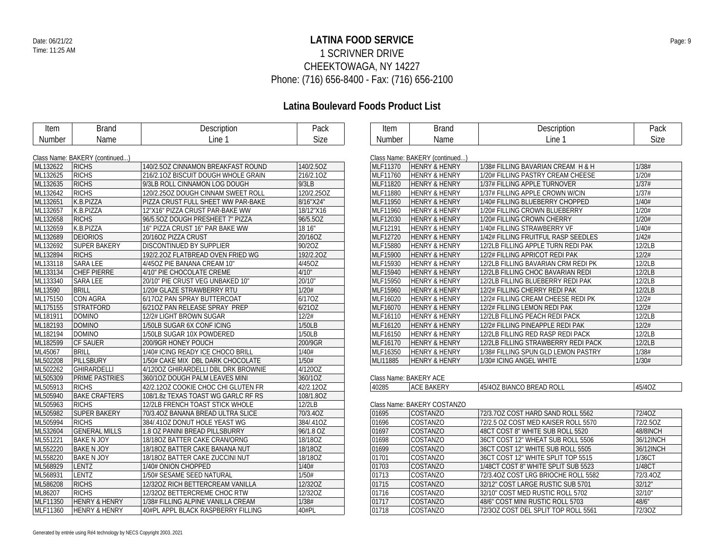## **LATINA FOOD SERVICE** Date: 06/21/22 Page: 9 1 SCRIVNER DRIVE CHEEKTOWAGA, NY 14227 Phone: (716) 656-8400 - Fax: (716) 656-2100

| Item     | <b>Brand</b>                   | Description                         | Pack       | Item     | <b>Brand</b>                   | Description                         | Pack      |
|----------|--------------------------------|-------------------------------------|------------|----------|--------------------------------|-------------------------------------|-----------|
| Number   | Name                           | Line 1                              | Size       | Number   | Name                           | Line 1                              | Size      |
|          |                                |                                     |            |          |                                |                                     |           |
|          | Class Name: BAKERY (continued) |                                     |            |          | Class Name: BAKERY (continued) |                                     |           |
| ML132622 | <b>RICHS</b>                   | 140/2.5OZ CINNAMON BREAKFAST ROUND  | 140/2.5OZ  | MLF11370 | <b>HENRY &amp; HENRY</b>       | 1/38# FILLING BAVARIAN CREAM H & H  | 1/38#     |
| ML132625 | <b>RICHS</b>                   | 216/2.10Z BISCUIT DOUGH WHOLE GRAIN | 216/2.10Z  | MLF11760 | <b>HENRY &amp; HENRY</b>       | 1/20# FILLING PASTRY CREAM CHEESE   | 1/20#     |
| ML132635 | <b>RICHS</b>                   | 9/3LB ROLL CINNAMON LOG DOUGH       | 9/3LB      | MLF11820 | <b>HENRY &amp; HENRY</b>       | 1/37# FILLING APPLE TURNOVER        | 1/37#     |
| ML132642 | <b>RICHS</b>                   | 120/2.25OZ DOUGH CINNAM SWEET ROLL  | 120/2.25OZ | MLF11880 | <b>HENRY &amp; HENRY</b>       | 1/37# FILLING APPLE CROWN W/CIN     | 1/37#     |
| ML132651 | K.B.PIZZA                      | PIZZA CRUST FULL SHEET WW PAR-BAKE  | 8/16"X24"  | MLF11950 | <b>HENRY &amp; HENRY</b>       | 1/40# FILLING BLUEBERRY CHOPPED     | 1/40#     |
| ML132657 | K.B.PIZZA                      | 12"X16" PIZZA CRUST PAR-BAKE WW     | 18/12"X16  | MLF11960 | <b>HENRY &amp; HENRY</b>       | 1/20# FILLING CROWN BLUEBERRY       | 1/20#     |
| ML132658 | <b>RICHS</b>                   | 96/5.50Z DOUGH PRESHEET 7" PIZZA    | 96/5.50Z   | MLF12030 | <b>HENRY &amp; HENRY</b>       | 1/20# FILLING CROWN CHERRY          | 1/20#     |
| ML132659 | K.B.PIZZA                      | 16" PIZZA CRUST 16" PAR BAKE WW     | 18 16"     | MLF12191 | <b>HENRY &amp; HENRY</b>       | 1/40# FILLING STRAWBERRY VF         | 1/40#     |
| ML132689 | <b>DEIORIOS</b>                | 20/16OZ PIZZA CRUST                 | 20/16OZ    | MLF12720 | <b>HENRY &amp; HENRY</b>       | 1/42# FILLING FRUITFUL RASP SEEDLES | 1/42#     |
| ML132692 | <b>SUPER BAKERY</b>            | <b>DISCONTINUED BY SUPPLIER</b>     | 90/20Z     | MLF15880 | <b>HENRY &amp; HENRY</b>       | 12/2LB FILLING APPLE TURN REDI PAK  | 12/2LB    |
| ML132894 | <b>RICHS</b>                   | 192/2.20Z FLATBREAD OVEN FRIED WG   | 192/2.20Z  | MLF15900 | <b>HENRY &amp; HENRY</b>       | 12/2# FILLING APRICOT REDI PAK      | 12/2#     |
| ML133118 | SARA LEE                       | 4/45OZ PIE BANANA CREAM 10"         | 4/45OZ     | MLF15930 | <b>HENRY &amp; HENRY</b>       | 12/2LB FILLING BAVARIAN CRM REDI PK | 12/2LB    |
| ML133134 | CHEF PIERRE                    | 4/10" PIE CHOCOLATE CREME           | 4/10"      | MLF15940 | <b>HENRY &amp; HENRY</b>       | 12/2LB FILLING CHOC BAVARIAN REDI   | 12/2LB    |
| ML133340 | SARA LEE                       | 20/10" PIE CRUST VEG UNBAKED 10"    | 20/10"     | MLF15950 | <b>HENRY &amp; HENRY</b>       | 12/2LB FILLING BLUEBERRY REDI PAK   | 12/2LB    |
| ML13590  | <b>BRILL</b>                   | 1/20# GLAZE STRAWBERRY RTU          | 1/20#      | MLF15960 | <b>HENRY &amp; HENRY</b>       | 12/2# FILLING CHERRY REDI PAK       | 12/2LB    |
| ML175150 | CON AGRA                       | 6/170Z PAN SPRAY BUTTERCOAT         | 6/170Z     | MLF16020 | <b>HENRY &amp; HENRY</b>       | 12/2# FILLING CREAM CHEESE REDI PK  | 12/2#     |
| ML175155 | <b>STRATFORD</b>               | 6/210Z PAN RELEASE SPRAY PREP       | 6/210Z     | MLF16070 | <b>HENRY &amp; HENRY</b>       | 12/2# FILLING LEMON REDI PAK        | 12/2#     |
| ML181911 | <b>DOMINO</b>                  | 12/2# LIGHT BROWN SUGAR             | 12/2#      | MLF16110 | <b>HENRY &amp; HENRY</b>       | 12/2LB FILLING PEACH REDI PACK      | 12/2LB    |
| ML182193 | <b>DOMINO</b>                  | 1/50LB SUGAR 6X CONF ICING          | 1/50LB     | MLF16120 | <b>HENRY &amp; HENRY</b>       | 12/2# FILLING PINEAPPLE REDI PAK    | 12/2#     |
| ML182194 | <b>DOMINO</b>                  | 1/50LB SUGAR 10X POWDERED           | 1/50LB     | MLF16150 | <b>HENRY &amp; HENRY</b>       | 12/2LB FILLING RED RASP REDI PACK   | 12/2LB    |
| ML182599 | CF SAUER                       | 200/9GR HONEY POUCH                 | 200/9GR    | MLF16170 | <b>HENRY &amp; HENRY</b>       | 12/2LB FILLING STRAWBERRY REDI PACK | 12/2LB    |
| ML45067  | <b>BRILL</b>                   | 1/40# ICING READY ICE CHOCO BRILL   | 1/40#      | MLF16350 | <b>HENRY &amp; HENRY</b>       | 1/38# FILLING SPUN GLD LEMON PASTRY | 1/38#     |
| ML502208 | <b>PILLSBURY</b>               | 1/50# CAKE MIX DBL DARK CHOCOLATE   | 1/50#      | MLI11885 | <b>HENRY &amp; HENRY</b>       | 1/30# ICING ANGEL WHITE             | 1/30#     |
| ML502262 | <b>GHIRARDELLI</b>             | 4/1200Z GHIRARDELLI DBL DRK BROWNIE | 4/120OZ    |          |                                |                                     |           |
| ML505309 | PRIME PASTRIES                 | 360/10Z DOUGH PALM LEAVES MINI      | 360/1OZ    |          | Class Name: BAKERY ACE         |                                     |           |
| ML505913 | <b>RICHS</b>                   | 42/2.12OZ COOKIE CHOC CHI GLUTEN FR | 42/2.12OZ  | 40285    | <b>ACE BAKERY</b>              | 45/40Z BIANCO BREAD ROLL            | 45/4OZ    |
| ML505940 | <b>BAKE CRAFTERS</b>           | 108/1.8z TEXAS TOAST WG GARLC RF RS | 108/1.8OZ  |          |                                |                                     |           |
| ML505963 | <b>RICHS</b>                   | 12/2LB FRENCH TOAST STICK WHOLE     | 12/2LB     |          | Class Name: BAKERY COSTANZO    |                                     |           |
| ML505982 | <b>SUPER BAKERY</b>            | 70/3.4OZ BANANA BREAD ULTRA SLICE   | 70/3.4OZ   | 01695    | <b>COSTANZO</b>                | 72/3.70Z COST HARD SAND ROLL 5562   | 72/40Z    |
| ML505994 | <b>RICHS</b>                   | 384/.41OZ DONUT HOLE YEAST WG       | 384/.41OZ  | 01696    | COSTANZO                       | 72/2.5 OZ COST MED KAISER ROLL 5570 | 72/2.50Z  |
| ML532604 | <b>GENERAL MILLS</b>           | 1.8 OZ PANINI BREAD PILLSBURRY      | 96/1.8 OZ  | 01697    | COSTANZO                       | 48CT COST 8" WHITE SUB ROLL 5520    | 48/8INCH  |
| ML551221 | <b>BAKE N JOY</b>              | 18/180Z BATTER CAKE CRAN/ORNG       | 18/18OZ    | 01698    | COSTANZO                       | 36CT COST 12" WHEAT SUB ROLL 5506   | 36/12INCH |
| ML552220 | <b>BAKE N JOY</b>              | 18/18OZ BATTER CAKE BANANA NUT      | 18/18OZ    | 01699    | <b>COSTANZO</b>                | 36CT COST 12" WHITE SUB ROLL 5505   | 36/12INCH |
| ML558220 | <b>BAKE N JOY</b>              | 18/180Z BATTER CAKE ZUCCINI NUT     | 18/18OZ    | 01701    | <b>COSTANZO</b>                | 36CT COST 12" WHITE SPLIT TOP 5515  | 1/36CT    |
| ML568929 | <b>LENTZ</b>                   | 1/40# ONION CHOPPED                 | 1/40#      | 01703    | COSTANZO                       | 1/48CT COST 8" WHITE SPLIT SUB 5523 | 1/48CT    |
| ML568931 | <b>LENTZ</b>                   | 1/50# SESAME SEED NATURAL           | 1/50#      | 01713    | COSTANZO                       | 72/3.40Z COST LRG BRIOCHE ROLL 5582 | 72/3.40Z  |
| ML586208 | <b>RICHS</b>                   | 12/32OZ RICH BETTERCREAM VANILLA    | 12/32OZ    | 01715    | COSTANZO                       | 32/12" COST LARGE RUSTIC SUB 5701   | 32/12"    |
| ML86207  | <b>RICHS</b>                   | 12/32OZ BETTERCREME CHOC RTW        | 12/32OZ    | 01716    | COSTANZO                       | 32/10" COST MED RUSTIC ROLL 5702    | 32/10"    |
| MLF11350 | <b>HENRY &amp; HENRY</b>       | 1/38# FILLING ALPINE VANILLA CREAM  | 1/38#      | 01717    | <b>COSTANZO</b>                | 48/6" COST MINI RUSTIC ROLL 5703    | 48/6"     |
| MLF11360 | <b>HENRY &amp; HENRY</b>       | 40#PL APPL BLACK RASPBERRY FILLING  | 40#PL      | 01718    | <b>COSTANZO</b>                | 72/30Z COST DEL SPLIT TOP ROLL 5561 | 72/30Z    |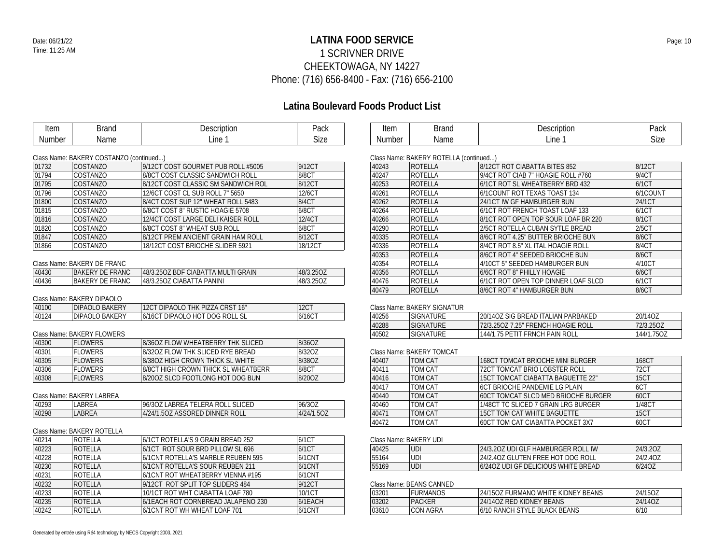## **LATINA FOOD SERVICE** Date: 06/21/22 Page: 10 1 SCRIVNER DRIVE CHEEKTOWAGA, NY 14227 Phone: (716) 656-8400 - Fax: (716) 656-2100

## **Latina Boulevard Foods Product List**

| Item   | Brand | Description | Pack        |
|--------|-------|-------------|-------------|
| Number | Name  | ∟ine ⊺      | <b>Size</b> |

| Item   | ,,,,, | ⊶<br>' INUULL | Pack            |
|--------|-------|---------------|-----------------|
| Number | vame  | ine           | <b></b><br>Size |

### Class Name: BAKERY COSTANZO (continued...)

| 01732 | <b>COSTANZO</b> | 9/12CT COST GOURMET PUB ROLL #5005  | 9/12CT  |
|-------|-----------------|-------------------------------------|---------|
| 01794 | <b>COSTANZO</b> | 8/8CT COST CLASSIC SANDWICH ROLL    | 8/8CT   |
| 01795 | <b>COSTANZO</b> | 8/12CT COST CLASSIC SM SANDWICH ROL | 8/12CT  |
| 01796 | <b>COSTANZO</b> | 12/6CT COST CL SUB ROLL 7" 5650     | 12/6CT  |
| 01800 | <b>COSTANZO</b> | 8/4CT COST SUP 12" WHEAT ROLL 5483  | 8/4CT   |
| 01815 | <b>COSTANZO</b> | 6/8CT COST 8" RUSTIC HOAGIE 5708    | 6/8CT   |
| 01816 | <b>COSTANZO</b> | 12/4CT COST LARGE DELI KAISER ROLL  | 12/4CT  |
| 01820 | <b>COSTANZO</b> | 6/8CT COST 8" WHEAT SUB ROLL        | 6/8CT   |
| 01847 | <b>COSTANZO</b> | 8/12CT PREM ANCIENT GRAIN HAM ROLL  | 8/12CT  |
| 01866 | <b>COSTANZO</b> | 18/12CT COST BRIOCHE SLIDER 5921    | 18/12CT |

### Class Name: BAKERY DE FRANC

| 40430 | BAKERY DE FRANC        | 148/3.25OZ BDF CIABATTA MULTI GRAIN | 48/3.25OZ |
|-------|------------------------|-------------------------------------|-----------|
| 40436 | <b>BAKERY DE FRANC</b> | 48/3.25OZ CIABATTA PANINI           | 48/3.2507 |

### Class Name: BAKERY DIPAOLO

| 40100 | DIPAOLO BAKERY | 12CT DIPAOLO THK PIZZA CRST 16" | <b>12CT</b> |
|-------|----------------|---------------------------------|-------------|
| 40124 | DIPAOLO BAKERY | 16/16CT DIPAOLO HOT DOG ROLL SL | 6/16CT      |

#### Class Name: BAKERY FLOWERS

| 40300 | FLOWERS | 8/36OZ FLOW WHEATBERRY THK SLICED   | 8/3607 |
|-------|---------|-------------------------------------|--------|
| 40301 | FLOWERS | 8/3207 FLOW THK SLICED RYF BREAD    | 8/3207 |
| 40305 | FLOWERS | 8/3807 HIGH CROWN THICK SL WHITE    | 8/3807 |
| 40306 | FLOWERS | B/8CT HIGH CROWN THICK SL WHEATRERR | 8/8CT  |
| 40308 | FLOWERS | 8/200Z SLCD FOOTLONG HOT DOG BUN    | 8/2007 |

#### Class Name: BAKERY LABREA

| 40293 | . ABREA       | LABREA TELERA ROLL SLICED<br>96/30Z | 96/30Z                          |
|-------|---------------|-------------------------------------|---------------------------------|
| 40298 | <b>LABREA</b> | 4/24/1.50Z ASSORED DINNER ROLL      | 1.50Z<br>$14/24$ / <sup>2</sup> |

#### Class Name: BAKERY ROTELLA

| 40214 | ROTELLA        | 6/1CT ROTELLA'S 9 GRAIN BREAD 252  | 6/1CT     |
|-------|----------------|------------------------------------|-----------|
| 40223 | <b>ROTELLA</b> | 6/1CT ROT SOUR BRD PILLOW SL 696   | 6/1CT     |
| 40228 | <b>ROTELLA</b> | 6/1CNT ROTELLA'S MARBLE REUBEN 595 | $6/1$ CNT |
| 40230 | ROTELLA        | 6/1CNT ROTELLA'S SOUR REUBEN 211   | $6/1$ CNT |
| 40231 | ROTELLA        | 6/1CNT ROT WHEATBERRY VIENNA #195  | $6/1$ CNT |
| 40232 | ROTELLA        | 9/12CT ROT SPLIT TOP SLIDERS 484   | 9/12CT    |
| 40233 | ROTELLA        | 10/1CT ROT WHT CIABATTA LOAF 780   | 10/1CT    |
| 40235 | ROTELLA        | 6/1EACH ROT CORNBREAD JALAPENO 230 | 6/1EACH   |
| 40242 | ROTELLA        | 6/1CNT ROT WH WHEAT LOAF 701       | 6/1CNT    |

| 40243 | <b>ROTELLA</b> | 8/12CT ROT CIABATTA BITES 852       | 8/12CT   |
|-------|----------------|-------------------------------------|----------|
| 40247 | ROTELLA        | 9/4CT ROT CIAB 7" HOAGIE ROLL #760  | 9/4CT    |
| 40253 | <b>ROTELLA</b> | 6/1CT ROT SL WHEATBERRY BRD 432     | 6/1CT    |
| 40261 | ROTELLA        | 6/1COUNT ROT TEXAS TOAST 134        | 6/1COUNT |
| 40262 | ROTELLA        | 24/1CT IW GF HAMBURGER BUN          | 24/1CT   |
| 40264 | ROTELLA        | 6/1CT ROT FRENCH TOAST LOAF 133     | 6/1CT    |
| 40266 | ROTELLA        | 8/1CT ROT OPEN TOP SOUR LOAF BR 220 | 8/1CT    |
| 40290 | ROTELLA        | 2/5CT ROTELLA CUBAN SYTLE BREAD     | 2/5CT    |
| 40335 | ROTELLA        | 8/6CT ROT 4.25" BUTTER BRIOCHE BUN  | 8/6CT    |
| 40336 | <b>ROTELLA</b> | 8/4CT ROT 8.5" XL ITAL HOAGIE ROLL  | 8/4CT    |
| 40353 | ROTELLA        | 8/6CT ROT 4" SEEDED BRIOCHE BUN     | 8/6CT    |
| 40354 | ROTELLA        | 4/10CT 5" SEEDED HAMBURGER BUN      | 4/10CT   |
| 40356 | <b>ROTELLA</b> | 6/6CT ROT 8" PHILLY HOAGIE          | 6/6CT    |
| 40476 | ROTELLA        | 6/1CT ROT OPEN TOP DINNER LOAF SLCD | 6/1CT    |
| 40479 | ROTELLA        | 8/6CT ROT 4" HAMBURGER BUN          | 8/6CT    |

#### Class Name: BAKERY SIGNATUR

| 40256 | <b>SIGNATURE</b>  | 120/14OZ SIG BREAD ITALIAN PARBAKED. | 20/14OZ    |
|-------|-------------------|--------------------------------------|------------|
| 40288 | <b>ISIGNATURE</b> | 72/3.25OZ 7.25" FRENCH HOAGIE ROLL   | 72/3.2507  |
| 40502 | <b>SIGNATURE</b>  | 144/1.75 PETIT FRNCH PAIN ROLL       | 144/1.75OZ |

### Class Name: BAKERY TOMCAT

| 40407 | TOM CAT | 168CT TOMCAT BRIOCHE MINI BURGER        | 168CT       |
|-------|---------|-----------------------------------------|-------------|
| 40411 | TOM CAT | <b>72CT TOMCAT BRIO LOBSTER ROLL</b>    | 72CT        |
| 40416 | TOM CAT | 15CT TOMCAT CIABATTA BAGUETTE 22"       | <b>15CT</b> |
| 40417 | TOM CAT | <b>6CT BRIOCHE PANDEMIE LG PLAIN</b>    | 6CT         |
| 40440 | TOM CAT | 60CT TOMCAT SLCD MED BRIOCHE BURGER     | 60CT        |
| 40460 | TOM CAT | 1/48CT TC SLICED 7 GRAIN LRG BURGER     | 1/48CT      |
| 40471 | TOM CAT | <b>15CT TOM CAT WHITE BAGUETTE</b>      | <b>15CT</b> |
| 40472 | TOM CAT | <b>60CT TOM CAT CIABATTA POCKET 3X7</b> | 60CT        |

#### Class Name: BAKERY UDI

| 40425 | UDI | 24/3.20Z UDI GLF HAMBURGER ROLL IW  | 24/3.207 |
|-------|-----|-------------------------------------|----------|
| 55164 | UDI | 24/2.40Z GLUTEN FREE HOT DOG ROLL   | 24/2.40Z |
| 55169 | UDI | 6/240Z UDI GF DELICIOUS WHITE BREAD | 6/24OZ   |

### Class Name: BEANS CANNED

| 03201 | URMANOS       | 24/15OZ FURMANO WHITE KIDNEY BEANS | 24/15OZ |
|-------|---------------|------------------------------------|---------|
| 03202 | <b>PACKER</b> | 24/14OZ RED KIDNEY BEANS           | 24/14OZ |
| 03610 | CON AGRA      | 6/10 RANCH STYLE BLACK BEANS       | 6/10    |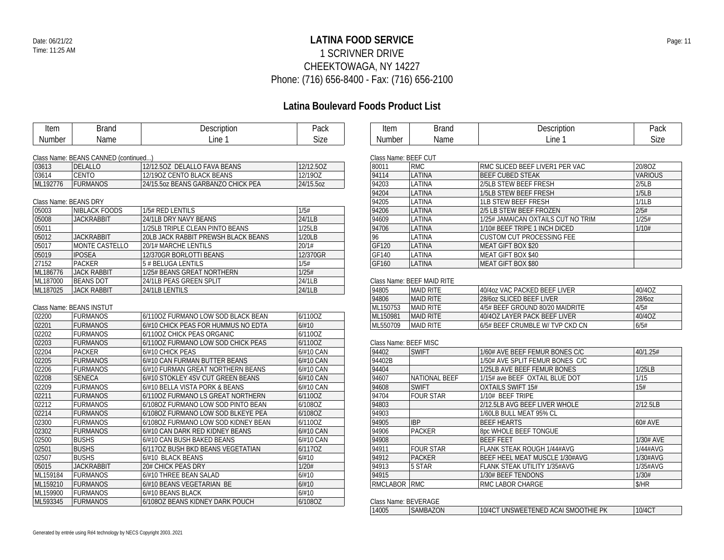## **LATINA FOOD SERVICE** Date: 06/21/22 Page: 11 1 SCRIVNER DRIVE CHEEKTOWAGA, NY 14227 Phone: (716) 656-8400 - Fax: (716) 656-2100

## **Latina Boulevard Foods Product List**

|          |                                      |                                     | Latina Douicvaru i Oous Froudet List |                       |                            |                                    |                |
|----------|--------------------------------------|-------------------------------------|--------------------------------------|-----------------------|----------------------------|------------------------------------|----------------|
| Item     | <b>Brand</b>                         | Description                         | Pack                                 | Item                  | <b>Brand</b>               | Description                        | Pack           |
| Number   | Name                                 | Line 1                              | <b>Size</b>                          | <b>Number</b>         | Name                       | Line 1                             | Size           |
|          |                                      |                                     |                                      |                       |                            |                                    |                |
|          | Class Name: BEANS CANNED (continued) |                                     |                                      | Class Name: BEEF CUT  |                            |                                    |                |
| 03613    | <b>DELALLO</b>                       | 12/12.5OZ DELALLO FAVA BEANS        | 12/12.50Z                            | 80011                 | <b>RMC</b>                 | RMC SLICED BEEF LIVER1 PER VAC     | 20/8OZ         |
| 03614    | <b>CENTO</b>                         | 12/190Z CENTO BLACK BEANS           | 12/190Z                              | 94114                 | LATINA                     | <b>BEEF CUBED STEAK</b>            | <b>VARIOUS</b> |
| ML192776 | <b>FURMANOS</b>                      | 24/15.5oz BEANS GARBANZO CHICK PEA  | 24/15.5oz                            | 94203                 | LATINA                     | 2/5LB STEW BEEF FRESH              | 2/5LB          |
|          |                                      |                                     |                                      | 94204                 | LATINA                     | 1/5LB STEW BEEF FRESH              | 1/5LB          |
|          | Class Name: BEANS DRY                |                                     |                                      | 94205                 | LATINA                     | <b>1LB STEW BEEF FRESH</b>         | 1/1LB          |
| 05003    | NIBLACK FOODS                        | 1/5# RED LENTILS                    | 1/5#                                 | 94206                 | LATINA                     | 2/5 LB STEW BEEF FROZEN            | 2/5#           |
| 05008    | <b>JACKRABBIT</b>                    | 24/1LB DRY NAVY BEANS               | 24/1LB                               | 94609                 | LATINA                     | 1/25# JAMAICAN OXTAILS CUT NO TRIM | 1/25#          |
| 05011    |                                      | 1/25LB TRIPLE CLEAN PINTO BEANS     | 1/25LB                               | 94706                 | LATINA                     | 1/10# BEEF TRIPE 1 INCH DICED      | 1/10#          |
| 05012    | <b>JACKRABBIT</b>                    | 20LB JACK RABBIT PREWSH BLACK BEANS | 1/20LB                               | 96                    | LATINA                     | <b>CUSTOM CUT PROCESSING FEE</b>   |                |
| 05017    | <b>MONTE CASTELLO</b>                | 20/1# MARCHE LENTILS                | 20/1#                                | GF120                 | LATINA                     | MEAT GIFT BOX \$20                 |                |
| 05019    | <b>IPOSEA</b>                        | 12/370GR BORLOTTI BEANS             | 12/370GR                             | GF140                 | LATINA                     | MEAT GIFT BOX \$40                 |                |
| 27152    | <b>PACKER</b>                        | 5 # BELUGA LENTILS                  | 1/5#                                 | GF160                 | LATINA                     | MEAT GIFT BOX \$80                 |                |
| ML186776 | <b>JACK RABBIT</b>                   | 1/25# BEANS GREAT NORTHERN          | 1/25#                                |                       |                            |                                    |                |
| ML187000 | <b>BEANS DOT</b>                     | 24/1LB PEAS GREEN SPLIT             | 24/1LB                               |                       | Class Name: BEEF MAID RITE |                                    |                |
| ML187025 | <b>JACK RABBIT</b>                   | 24/1LB LENTILS                      | 24/1LB                               | 94805                 | <b>MAID RITE</b>           | 40/4oz VAC PACKED BEEF LIVER       | 40/4OZ         |
|          |                                      |                                     |                                      | 94806                 | <b>MAID RITE</b>           | 28/60z SLICED BEEF LIVER           | 28/60Z         |
|          | Class Name: BEANS INSTUT             |                                     |                                      | ML150753              | <b>MAID RITE</b>           | 4/5# BEEF GROUND 80/20 MAIDRITE    | 4/5#           |
| 02200    | <b>FURMANOS</b>                      | 6/110OZ FURMANO LOW SOD BLACK BEAN  | 6/110OZ                              | ML150981              | <b>MAID RITE</b>           | 40/4OZ LAYER PACK BEEF LIVER       | 40/4OZ         |
| 02201    | <b>FURMANOS</b>                      | 6/#10 CHICK PEAS FOR HUMMUS NO EDTA | 6/#10                                | ML550709              | <b>MAID RITE</b>           | 6/5# BEEF CRUMBLE W/ TVP CKD CN    | 6/5#           |
| 02202    | <b>FURMANOS</b>                      | 6/1100Z CHICK PEAS ORGANIC          | 6/1100Z                              |                       |                            |                                    |                |
| 02203    | <b>FURMANOS</b>                      | 6/1100Z FURMANO LOW SOD CHICK PEAS  | 6/1100Z                              | Class Name: BEEF MISC |                            |                                    |                |
| 02204    | <b>PACKER</b>                        | 6/#10 CHICK PEAS                    | 6/#10 CAN                            | 94402                 | <b>SWIFT</b>               | 1/60# AVE BEEF FEMUR BONES C/C     | 40/1.25#       |
| 02205    | <b>FURMANOS</b>                      | 6/#10 CAN FURMAN BUTTER BEANS       | 6/#10 CAN                            | 94402B                |                            | 1/50# AVE SPLIT FEMUR BONES C/C    |                |
| 02206    | <b>FURMANOS</b>                      | 6/#10 FURMAN GREAT NORTHERN BEANS   | 6/#10 CAN                            | 94404                 |                            | 1/25LB AVE BEEF FEMUR BONES        | 1/25LB         |
| 02208    | <b>SENECA</b>                        | 6/#10 STOKLEY 4SV CUT GREEN BEANS   | 6/#10 CAN                            | 94607                 | NATIONAL BEEF              | 1/15# ave BEEF OXTAIL BLUE DOT     | 1/15           |
| 02209    | <b>FURMANOS</b>                      | 6/#10 BELLA VISTA PORK & BEANS      | 6/#10 CAN                            | 94608                 | <b>SWIFT</b>               | <b>OXTAILS SWIFT 15#</b>           | 15#            |
| 02211    | <b>FURMANOS</b>                      | 6/110OZ FURMANO LS GREAT NORTHERN   | 6/110OZ                              | 94704                 | <b>FOUR STAR</b>           | 1/10# BEEF TRIPE                   |                |
| 02212    | <b>FURMANOS</b>                      | 6/108OZ FURMANO LOW SOD PINTO BEAN  | 6/108OZ                              | 94803                 |                            | 2/12.5LB AVG BEEF LIVER WHOLE      | 2/12.5LB       |
| 02214    | <b>FURMANOS</b>                      | 6/108OZ FURMANO LOW SOD BLKEYE PEA  | 6/1080Z                              | 94903                 |                            | 1/60LB BULL MEAT 95% CL            |                |
| 02300    | <b>FURMANOS</b>                      | 6/108OZ FURMANO LOW SOD KIDNEY BEAN | 6/110OZ                              | 94905                 | <b>IBP</b>                 | <b>BEEF HEARTS</b>                 | 60# AVE        |
| 02302    | <b>FURMANOS</b>                      | 6/#10 CAN DARK RED KIDNEY BEANS     | 6/#10 CAN                            | 94906                 | <b>PACKER</b>              | 8pc WHOLE BEEF TONGUE              |                |
| 02500    | <b>BUSHS</b>                         | 6/#10 CAN BUSH BAKED BEANS          | 6/#10 CAN                            | 94908                 |                            | <b>BEEF FEET</b>                   | 1/30# AVE      |
| 02501    | <b>BUSHS</b>                         | 6/1170Z BUSH BKD BEANS VEGETATIAN   | 6/1170Z                              | 94911                 | <b>FOUR STAR</b>           | FLANK STEAK ROUGH 1/44#AVG         | 1/44#AVG       |
| 02507    | <b>BUSHS</b>                         | 6/#10 BLACK BEANS                   | 6/#10                                | 94912                 | <b>PACKER</b>              | BEEF HEEL MEAT MUSCLE 1/30#AVG     | 1/30#AVG       |
| 05015    | <b>JACKRABBIT</b>                    | 20# CHICK PEAS DRY                  | 1/20#                                | 94913                 | 5 STAR                     | FLANK STEAK UTILITY 1/35#AVG       | 1/35#AVG       |
| ML159184 | <b>FURMANOS</b>                      | 6/#10 THREE BEAN SALAD              | 6/#10                                | 94915                 |                            | 1/30# BEEF TENDONS                 | 1/30#          |
| ML159210 | <b>FURMANOS</b>                      | 6/#10 BEANS VEGETARIAN BE           | 6/#10                                | RMCLABOR RMC          |                            | RMC LABOR CHARGE                   | \$/HR          |
| ML159900 | <b>FURMANOS</b>                      | 6/#10 BEANS BLACK                   | 6/#10                                |                       |                            |                                    |                |
| ML593345 | <b>FURMANOS</b>                      | 6/108OZ BEANS KIDNEY DARK POUCH     | 6/108OZ                              | Class Name: BEVERAGE  |                            |                                    |                |

| <b>OIUSS INGHIB. DEVEIVIOL</b> |          |                                                                     |            |  |  |
|--------------------------------|----------|---------------------------------------------------------------------|------------|--|--|
| 14005                          | SAMBAZON | 'hie pk<br>D ACAI<br>10/4C<br><b>SMOOT</b><br>. IN'<br>SWEE<br>:FNF | 10/40<br>v |  |  |
|                                |          |                                                                     |            |  |  |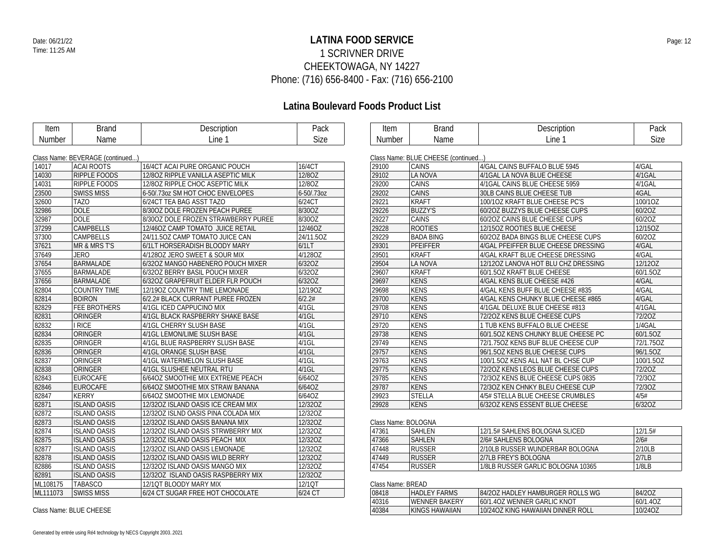## **LATINA FOOD SERVICE** Date: 06/21/22 Page: 12 1 SCRIVNER DRIVE CHEEKTOWAGA, NY 14227 Phone: (716) 656-8400 - Fax: (716) 656-2100

## **Latina Boulevard Foods Product List**

| Item          | <b>Brand</b>                     | Description                         | Pack       | Item                | <b>Brand</b>                        | Description                         | Pack        |
|---------------|----------------------------------|-------------------------------------|------------|---------------------|-------------------------------------|-------------------------------------|-------------|
| <b>Number</b> | Name                             | Line 1                              | Size       | Number              | Name                                | Line 1                              | <b>Size</b> |
|               |                                  |                                     |            |                     |                                     |                                     |             |
|               | Class Name: BEVERAGE (continued) |                                     |            |                     | Class Name: BLUE CHEESE (continued) |                                     |             |
| 14017         | <b>ACAI ROOTS</b>                | 16/4CT ACAI PURE ORGANIC POUCH      | 16/4CT     | 29100               | <b>CAINS</b>                        | 4/GAL CAINS BUFFALO BLUE 5945       | 4/GAL       |
| 14030         | <b>RIPPLE FOODS</b>              | 12/80Z RIPPLE VANILLA ASEPTIC MILK  | 12/8OZ     | 29102               | LA NOVA                             | 4/1GAL LA NOVA BLUE CHEESE          | 4/1GAL      |
| 14031         | RIPPLE FOODS                     | 12/80Z RIPPLE CHOC ASEPTIC MILK     | 12/80Z     | 29200               | CAINS                               | 4/1GAL CAINS BLUE CHEESE 5959       | 4/1GAL      |
| 23500         | <b>SWISS MISS</b>                | 6-50/.73oz SM HOT CHOC ENVELOPES    | 6-50/.73oz | 29202               | <b>CAINS</b>                        | 30LB CAINS BLUE CHEESE TUB          | 4GAL        |
| 32600         | <b>TAZO</b>                      | 6/24CT TEA BAG ASST TAZO            | 6/24CT     | 29221               | <b>KRAFT</b>                        | 100/10Z KRAFT BLUE CHEESE PC'S      | 100/10Z     |
| 32986         | <b>DOLE</b>                      | 8/30OZ DOLE FROZEN PEACH PUREE      | 8/30OZ     | 29226               | <b>BUZZY'S</b>                      | 60/20Z BUZZYS BLUE CHEESE CUPS      | 60/20Z      |
| 32987         | <b>DOLE</b>                      | 8/300Z DOLE FROZEN STRAWBERRY PUREE | 8/30OZ     | 29227               | CAINS                               | 60/20Z CAINS BLUE CHEESE CUPS       | 60/20Z      |
| 37299         | <b>CAMPBELLS</b>                 | 12/46OZ CAMP TOMATO JUICE RETAIL    | 12/46OZ    | 29228               | <b>ROOTIES</b>                      | 12/150Z ROOTIES BLUE CHEESE         | 12/15OZ     |
| 37300         | <b>CAMPBELLS</b>                 | 24/11.5OZ CAMP TOMATO JUICE CAN     | 24/11.5OZ  | 29229               | <b>BADA BING</b>                    | 60/20Z BADA BINGS BLUE CHEESE CUPS  | 60/20Z      |
| 37621         | MR & MRS T'S                     | 6/1LT HORSERADISH BLOODY MARY       | 6/1LT      | 29301               | <b>PFEIFFER</b>                     | 4/GAL PFEIFFER BLUE CHEESE DRESSING | 4/GAL       |
| 37649         | <b>JERO</b>                      | 4/1280Z JERO SWEET & SOUR MIX       | 4/1280Z    | 29501               | <b>KRAFT</b>                        | 4/GAL KRAFT BLUE CHEESE DRESSING    | 4/GAL       |
| 37654         | <b>BARMALADE</b>                 | 6/32OZ MANGO HABENERO POUCH MIXER   | 6/32OZ     | 29504               | LA NOVA                             | 12/120Z LANOVA HOT BLU CHZ DRESSING | 12/12OZ     |
| 37655         | <b>BARMALADE</b>                 | 6/32OZ BERRY BASIL POUCH MIXER      | 6/32OZ     | 29607               | <b>KRAFT</b>                        | 60/1.50Z KRAFT BLUE CHEESE          | 60/1.5OZ    |
| 37656         | <b>BARMALADE</b>                 | 6/32OZ GRAPEFRUIT ELDER FLR POUCH   | 6/32OZ     | 29697               | <b>KENS</b>                         | 4/GAL KENS BLUE CHEESE #426         | 4/GAL       |
| 82804         | <b>COUNTRY TIME</b>              | 12/190Z COUNTRY TIME LEMONADE       | 12/190Z    | 29698               | <b>KENS</b>                         | 4/GAL KENS BUFF BLUE CHEESE #835    | 4/GAL       |
| 82814         | <b>BOIRON</b>                    | 6/2.2# BLACK CURRANT PUREE FROZEN   | 6/2.2#     | 29700               | <b>KENS</b>                         | 4/GAL KENS CHUNKY BLUE CHEESE #865  | 4/GAL       |
| 82829         | <b>FEE BROTHERS</b>              | 4/1GL ICED CAPPUCINO MIX            | $4/1$ GL   | 29708               | <b>KENS</b>                         | 4/1GAL DELUXE BLUE CHEESE #813      | 4/1GAL      |
| 82831         | ORINGER                          | 4/1GL BLACK RASPBERRY SHAKE BASE    | $4/1$ GL   | 29710               | <b>KENS</b>                         | 72/202 KENS BLUE CHEESE CUPS        | 72/20Z      |
| 82832         | <b>I RICE</b>                    | 4/1GL CHERRY SLUSH BASE             | 4/1GL      | 29720               | <b>KENS</b>                         | 1 TUB KENS BUFFALO BLUE CHEESE      | 1/4GAL      |
| 82834         | ORINGER                          | 4/1GL LEMON/LIME SLUSH BASE         | $4/1$ GL   | 29738               | <b>KENS</b>                         | 60/1.50Z KENS CHUNKY BLUE CHEESE PC | 60/1.5OZ    |
| 82835         | ORINGER                          | 4/1GL BLUE RASPBERRY SLUSH BASE     | $4/1$ GL   | 29749               | <b>KENS</b>                         | 72/1.750Z KENS BUF BLUE CHEESE CUP  | 72/1.75OZ   |
| 82836         | ORINGER                          | 4/1GL ORANGE SLUSH BASE             | 4/1GL      | 29757               | <b>KENS</b>                         | 96/1.50Z KENS BLUE CHEESE CUPS      | 96/1.5OZ    |
| 82837         | ORINGER                          | 4/1GL WATERMELON SLUSH BASE         | $4/1$ GL   | 29763               | <b>KENS</b>                         | 100/1.5OZ KENS ALL NAT BL CHSE CUP  | 100/1.5OZ   |
| 82838         | ORINGER                          | 4/1GL SLUSHEE NEUTRAL RTU           | 4/1GL      | 29775               | <b>KENS</b>                         | 72/20Z KENS LEOS BLUE CHEESE CUPS   | 72/20Z      |
| 82843         | <b>EUROCAFE</b>                  | 6/64OZ SMOOTHIE MIX EXTREME PEACH   | 6/64OZ     | 29785               | <b>KENS</b>                         | 72/3OZ KENS BLUE CHEESE CUPS 0835   | 72/30Z      |
| 82846         | <b>EUROCAFE</b>                  | 6/64OZ SMOOTHIE MIX STRAW BANANA    | 6/64OZ     | 29787               | <b>KENS</b>                         | 72/30Z KEN CHNKY BLEU CHEESE CUP    | 72/30Z      |
| 82847         | <b>KERRY</b>                     | 6/64OZ SMOOTHIE MIX LEMONADE        | 6/64OZ     | 29923               | <b>STELLA</b>                       | 4/5# STELLA BLUE CHEESE CRUMBLES    | 4/5#        |
| 82871         | <b>ISLAND OASIS</b>              | 12/32OZ ISLAND OASIS ICE CREAM MIX  | 12/32OZ    | 29928               | <b>KENS</b>                         | 6/32OZ KENS ESSENT BLUE CHEESE      | 6/32OZ      |
| 82872         | <b>ISLAND OASIS</b>              | 12/320Z ISLND OASIS PINA COLADA MIX | 12/32OZ    |                     |                                     |                                     |             |
| 82873         | <b>ISLAND OASIS</b>              | 12/32OZ ISLAND OASIS BANANA MIX     | 12/32OZ    | Class Name: BOLOGNA |                                     |                                     |             |
| 82874         | <b>ISLAND OASIS</b>              | 12/32OZ ISLAND OASIS STRWBERRY MIX  | 12/32OZ    | 47361               | <b>SAHLEN</b>                       | 12/1.5# SAHLENS BOLOGNA SLICED      | 12/1.5#     |
| 82875         | <b>ISLAND OASIS</b>              | 12/32OZ ISLAND OASIS PEACH MIX      | 12/32OZ    | 47366               | <b>SAHLEN</b>                       | 2/6# SAHLENS BOLOGNA                | 2/6#        |
| 82877         | <b>ISLAND OASIS</b>              | 12/32OZ ISLAND OASIS LEMONADE       | 12/32OZ    | 47448               | <b>RUSSER</b>                       | 2/10LB RUSSER WUNDERBAR BOLOGNA     | 2/10LB      |
| 82878         | <b>ISLAND OASIS</b>              | 12/32OZ ISLAND OASIS WILD BERRY     | 12/32OZ    | 47449               | <b>RUSSER</b>                       | 2/7LB FREY'S BOLOGNA                | 2/7LB       |
| 82886         | <b>ISLAND OASIS</b>              | 12/32OZ ISLAND OASIS MANGO MIX      | 12/32OZ    | 47454               | <b>RUSSER</b>                       | 1/8LB RUSSER GARLIC BOLOGNA 10365   | 1/8LB       |
| 82891         | <b>ISLAND OASIS</b>              | 12/32OZ ISLAND OASIS RASPBERRY MIX  | 12/32OZ    |                     |                                     |                                     |             |
| ML108175      | <b>TABASCO</b>                   | 12/1QT BLOODY MARY MIX              | 12/1QT     | Class Name: BREAD   |                                     |                                     |             |
| ML111073      | <b>SWISS MISS</b>                | 6/24 CT SUGAR FREE HOT CHOCOLATE    | 6/24 CT    | 08418               | <b>HADLEY FARMS</b>                 | 84/20Z HADLEY HAMBURGER ROLLS WG    | 84/20Z      |
|               |                                  |                                     |            | 40316               | <b>WENNER BAKERY</b>                | 60/1.40Z WENNER GARLIC KNOT         | 60/1.4OZ    |
|               | Class Name: BLUE CHEESE          |                                     |            | 40384               | <b>KINGS HAWAIIAN</b>               | 10/240Z KING HAWAIIAN DINNER ROLL   | 10/24OZ     |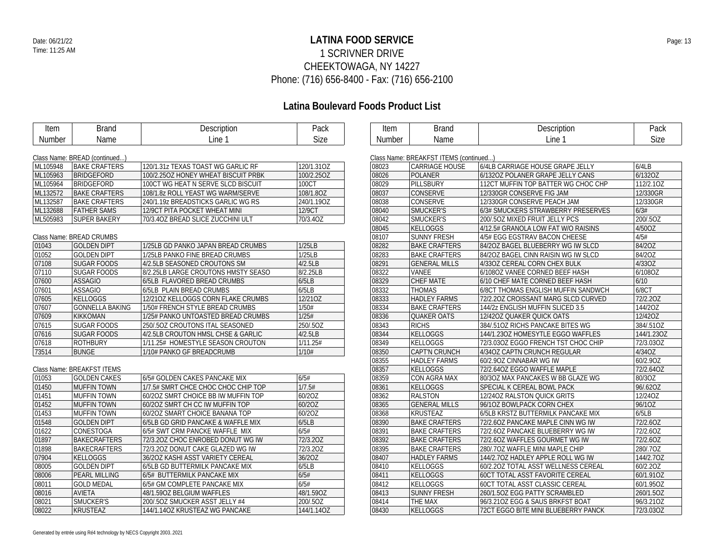## **LATINA FOOD SERVICE** Date: 06/21/22 Page: 13 1 SCRIVNER DRIVE CHEEKTOWAGA, NY 14227 Phone: (716) 656-8400 - Fax: (716) 656-2100

## **Latina Boulevard Foods Product List**

| Item     | <b>Brand</b>                  | Description                         | Pack        | Item   | <b>Brand</b>                           | Description                            | Pack       |
|----------|-------------------------------|-------------------------------------|-------------|--------|----------------------------------------|----------------------------------------|------------|
| Number   | Name                          | Line 1                              | <b>Size</b> | Number | Name                                   | Line 1                                 | Size       |
|          |                               |                                     |             |        |                                        |                                        |            |
|          | Class Name: BREAD (continued) |                                     |             |        | Class Name: BREAKFST ITEMS (continued) |                                        |            |
| ML105948 | <b>BAKE CRAFTERS</b>          | 120/1.31z TEXAS TOAST WG GARLIC RF  | 120/1.31OZ  | 08023  | <b>CARRIAGE HOUSE</b>                  | 6/4LB CARRIAGE HOUSE GRAPE JELLY       | 6/4LB      |
| ML105963 | <b>BRIDGEFORD</b>             | 100/2.25OZ HONEY WHEAT BISCUIT PRBK | 100/2.25OZ  | 08026  | POLANER                                | 6/1320Z POLANER GRAPE JELLY CANS       | 6/1320Z    |
| ML105964 | <b>BRIDGEFORD</b>             | 100CT WG HEAT N SERVE SLCD BISCUIT  | 100CT       | 08029  | PILLSBURY                              | 112CT MUFFIN TOP BATTER WG CHOC CHP    | 112/2.10Z  |
| ML132572 | <b>BAKE CRAFTERS</b>          | 108/1.8z ROLL YEAST WG WARM/SERVE   | 108/1.8OZ   | 08037  | <b>CONSERVE</b>                        | 12/330GR CONSERVE FIG JAM              | 12/330GR   |
| ML132587 | <b>BAKE CRAFTERS</b>          | 240/1.19z BREADSTICKS GARLIC WG RS  | 240/1.19OZ  | 08038  | <b>CONSERVE</b>                        | 12/330GR CONSERVE PEACH JAM            | 12/330GR   |
| ML132688 | <b>FATHER SAMS</b>            | 12/9CT PITA POCKET WHEAT MINI       | 12/9CT      | 08040  | SMUCKER'S                              | 6/3# SMUCKERS STRAWBERRY PRESERVES     | 6/3#       |
| ML505983 | <b>SUPER BAKERY</b>           | 70/3.40Z BREAD SLICE ZUCCHINI ULT   | 70/3.4OZ    | 08042  | SMUCKER'S                              | 200/.50Z MIXED FRUIT JELLY PCS         | 200/.5OZ   |
|          |                               |                                     |             | 08045  | KELLOGGS                               | 4/12.5# GRANOLA LOW FAT W/O RAISINS    | 4/50OZ     |
|          | Class Name: BREAD CRUMBS      |                                     |             | 08107  | <b>SUNNY FRESH</b>                     | 4/5# EGG EGSTRAV BACON CHEESE          | 4/5#       |
| 01043    | <b>GOLDEN DIPT</b>            | 1/25LB GD PANKO JAPAN BREAD CRUMBS  | 1/25LB      | 08282  | <b>BAKE CRAFTERS</b>                   | 84/2OZ BAGEL BLUEBERRY WG IW SLCD      | 84/2OZ     |
| 01052    | <b>GOLDEN DIPT</b>            | 1/25LB PANKO FINE BREAD CRUMBS      | 1/25LB      | 08283  | <b>BAKE CRAFTERS</b>                   | 84/2OZ BAGEL CINN RAISIN WG IW SLCD    | 84/2OZ     |
| 07108    | <b>SUGAR FOODS</b>            | 4/2.5LB SEASONED CROUTONS SM        | 4/2.5LB     | 08291  | <b>GENERAL MILLS</b>                   | 4/33OZ CEREAL CORN CHEX BULK           | 4/33OZ     |
| 07110    | <b>SUGAR FOODS</b>            | 8/2.25LB LARGE CROUTONS HMSTY SEASO | 8/2.25LB    | 08322  | VANEE                                  | 6/108OZ VANEE CORNED BEEF HASH         | 6/108OZ    |
| 07600    | <b>ASSAGIO</b>                | 6/5LB FLAVORED BREAD CRUMBS         | 6/5LB       | 08329  | <b>CHEF MATE</b>                       | 6/10 CHEF MATE CORNED BEEF HASH        | 6/10       |
| 07601    | <b>ASSAGIO</b>                | 6/5LB PLAIN BREAD CRUMBS            | 6/5LB       | 08332  | <b>THOMAS</b>                          | 6/8CT THOMAS ENGLISH MUFFIN SANDWCH    | 6/8CT      |
| 07605    | <b>KELLOGGS</b>               | 12/210Z KELLOGGS CORN FLAKE CRUMBS  | 12/21OZ     | 08333  | <b>HADLEY FARMS</b>                    | 72/2.20Z CROISSANT MARG SLCD CURVED    | 72/2.20Z   |
| 07607    | <b>GONNELLA BAKING</b>        | 1/50# FRENCH STYLE BREAD CRUMBS     | 1/50#       | 08334  | <b>BAKE CRAFTERS</b>                   | 144/2z ENGLISH MUFFIN SLICED 3.5       | 144/2OZ    |
| 07609    | <b>KIKKOMAN</b>               | 1/25# PANKO UNTOASTED BREAD CRUMBS  | 1/25#       | 08336  | <b>QUAKER OATS</b>                     | 12/420Z QUAKER QUICK OATS              | 12/42OZ    |
| 07615    | <b>SUGAR FOODS</b>            | 250/.50Z CROUTONS ITAL SEASONED     | 250/.5OZ    | 08343  | <b>RICHS</b>                           | 384/.510Z RICHS PANCAKE BITES WG       | 384/.51OZ  |
| 07616    | <b>SUGAR FOODS</b>            | 4/2.5LB CROUTON HMSL CHSE & GARLIC  | 4/2.5LB     | 08344  | KELLOGGS                               | 144/1.23OZ HOMESYTLE EGGO WAFFLES      | 144/1.23OZ |
| 07618    | <b>ROTHBURY</b>               | 1/11.25# HOMESTYLE SEASON CROUTON   | 1/11.25#    | 08349  | KELLOGGS                               | 72/3.03OZ EGGO FRENCH TST CHOC CHIP    | 72/3.03OZ  |
| 73514    | <b>BUNGE</b>                  | 1/10# PANKO GF BREADCRUMB           | 1/10#       | 08350  | <b>CAPT'N CRUNCH</b>                   | 4/34OZ CAPTN CRUNCH REGULAR            | 4/34OZ     |
|          |                               |                                     |             | 08355  | <b>HADLEY FARMS</b>                    | 60/2.90Z CINNABAR WG IW                | 60/2.90Z   |
|          | Class Name: BREAKFST ITEMS    |                                     |             | 08357  | KELLOGGS                               | 72/2.64OZ EGGO WAFFLE MAPLE            | 72/2.64OZ  |
| 01053    | <b>GOLDEN CAKES</b>           | 6/5# GOLDEN CAKES PANCAKE MIX       | 6/5#        | 08359  | CON AGRA MAX                           | 80/3OZ MAX PANCAKES W BB GLAZE WG      | 80/3OZ     |
| 01450    | <b>MUFFIN TOWN</b>            | 1/7.5# SMRT CHCE CHOC CHOC CHIP TOP | 1/7.5#      | 08361  | KELLOGGS                               | SPECIAL K CEREAL BOWL PACK             | 96/.62OZ   |
| 01451    | <b>MUFFIN TOWN</b>            | 60/2OZ SMRT CHOICE BB IW MUFFIN TOP | 60/20Z      | 08362  | <b>RALSTON</b>                         | 12/240Z RALSTON QUICK GRITS            | 12/24OZ    |
| 01452    | <b>MUFFIN TOWN</b>            | 60/20Z SMRT CH CC IW MUFFIN TOP     | 60/20Z      | 08365  | <b>GENERAL MILLS</b>                   | 96/10Z BOWLPACK CORN CHEX              | 96/10Z     |
| 01453    | <b>MUFFIN TOWN</b>            | 60/20Z SMART CHOICE BANANA TOP      | 60/20Z      | 08368  | <b>KRUSTEAZ</b>                        | 6/5LB KRSTZ BUTTERMILK PANCAKE MIX     | 6/5LB      |
| 01548    | <b>GOLDEN DIPT</b>            | 6/5LB GD GRID PANCAKE & WAFFLE MIX  | 6/5LB       | 08390  | <b>BAKE CRAFTERS</b>                   | 72/2.60Z PANCAKE MAPLE CINN WG IW      | 72/2.60Z   |
| 01622    | <b>CONESTOGA</b>              | 6/5# SWT CRM PANCKE WAFFLE MIX      | 6/5#        | 08391  | <b>BAKE CRAFTERS</b>                   | 72/2.60Z PANCAKE BLUEBERRY WG IW       | 72/2.60Z   |
| 01897    | <b>BAKECRAFTERS</b>           | 72/3.20Z CHOC ENROBED DONUT WG IW   | 72/3.20Z    | 08392  | <b>BAKE CRAFTERS</b>                   | 72/2.60Z WAFFLES GOURMET WG IW         | 72/2.60Z   |
| 01898    | <b>BAKECRAFTERS</b>           | 72/3.20Z DONUT CAKE GLAZED WG IW    | 72/3.20Z    | 08395  | <b>BAKE CRAFTERS</b>                   | 280/.70Z WAFFLE MINI MAPLE CHIP        | 280/.70Z   |
| 07904    | <b>KELLOGGS</b>               | 36/20Z KASHI ASST VARIETY CEREAL    | 36/20Z      | 08407  | <b>HADLEY FARMS</b>                    | 144/2.70Z HADLEY APPLE ROLL WG IW      | 144/2.70Z  |
| 08005    | <b>GOLDEN DIPT</b>            | 6/5LB GD BUTTERMILK PANCAKE MIX     | 6/5LB       | 08410  | KELLOGGS                               | 60/2.20Z TOTAL ASST WELLNESS CEREAL    | 60/2.20Z   |
| 08006    | <b>PEARL MILLING</b>          | 6/5# BUTTERMILK PANCAKE MIX         | 6/5#        | 08411  | KELLOGGS                               | <b>60CT TOTAL ASST FAVORITE CEREAL</b> | 60/1.91OZ  |
| 08011    | <b>GOLD MEDAL</b>             | 6/5# GM COMPLETE PANCAKE MIX        | 6/5#        | 08412  | KELLOGGS                               | <b>60CT TOTAL ASST CLASSIC CEREAL</b>  | 60/1.95OZ  |
| 08016    | <b>AVIETA</b>                 | 48/1.59OZ BELGIUM WAFFLES           | 48/1.59OZ   | 08413  | <b>SUNNY FRESH</b>                     | 260/1.5OZ EGG PATTY SCRAMBLED          | 260/1.5OZ  |
| 08021    | SMUCKER'S                     | 200/.50Z SMUCKER ASST JELLY #4      | 200/.5OZ    | 08414  | THE MAX                                | 96/3.210Z EGG & SAUS BRKFST BOAT       | 96/3.21OZ  |
| 08022    | <b>KRUSTEAZ</b>               | 144/1.14OZ KRUSTEAZ WG PANCAKE      | 144/1.14OZ  | 08430  | KELLOGGS                               | 72CT EGGO BITE MINI BLUEBERRY PANCK    | 72/3.03OZ  |
|          |                               |                                     |             |        |                                        |                                        |            |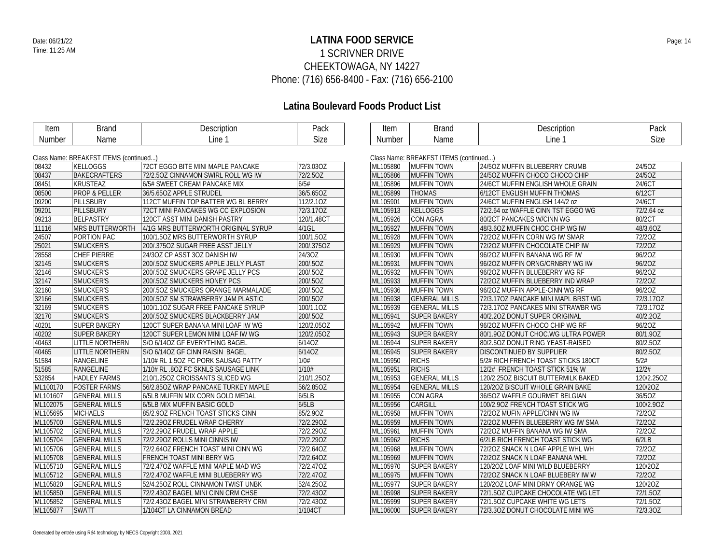## **LATINA FOOD SERVICE** Date: 06/21/22 Page: 14 1 SCRIVNER DRIVE CHEEKTOWAGA, NY 14227 Phone: (716) 656-8400 - Fax: (716) 656-2100

| Item               | <b>Brand</b>                           | Description                         | Pack        | Item                                   | <b>Brand</b>         | Description                         | Pack       |
|--------------------|----------------------------------------|-------------------------------------|-------------|----------------------------------------|----------------------|-------------------------------------|------------|
| Number             | Name                                   | Line 1                              | <b>Size</b> | Number                                 | Name                 | Line 1                              | Size       |
|                    |                                        |                                     |             |                                        |                      |                                     |            |
|                    | Class Name: BREAKFST ITEMS (continued) |                                     |             | Class Name: BREAKFST ITEMS (continued) |                      |                                     |            |
| 08432              | KELLOGGS                               | 72CT EGGO BITE MINI MAPLE PANCAKE   | 72/3.03OZ   | ML105880                               | <b>MUFFIN TOWN</b>   | 24/5OZ MUFFIN BLUEBERRY CRUMB       | 24/5OZ     |
| 08437              | <b>BAKECRAFTERS</b>                    | 72/2.50Z CINNAMON SWIRL ROLL WG IW  | 72/2.50Z    | ML105886                               | <b>MUFFIN TOWN</b>   | 24/50Z MUFFIN CHOCO CHOCO CHIP      | 24/5OZ     |
| 08451              | <b>KRUSTEAZ</b>                        | 6/5# SWEET CREAM PANCAKE MIX        | 6/5#        | ML105896                               | <b>MUFFIN TOWN</b>   | 24/6CT MUFFIN ENGLISH WHOLE GRAIN   | 24/6CT     |
| 08500              | <b>PROP &amp; PELLER</b>               | 36/5.65OZ APPLE STRUDEL             | 36/5.65OZ   | ML105899                               | <b>THOMAS</b>        | 6/12CT ENGLISH MUFFIN THOMAS        | 6/12CT     |
| 09200              | PILLSBURY                              | 112CT MUFFIN TOP BATTER WG BL BERRY | 112/2.10Z   | ML105901                               | <b>MUFFIN TOWN</b>   | 24/6CT MUFFIN ENGLISH 144/2 oz      | 24/6CT     |
| 09201              | PILLSBURY                              | 72CT MINI PANCAKES WG CC EXPLOSION  | 72/3.17OZ   | ML105913                               | <b>KELLOGGS</b>      | 72/2.64 oz WAFFLE CINN TST EGGO WG  | 72/2.64 oz |
| 09213              | BELPASTRY                              | 120CT ASST MINI DANISH PASTRY       | 120/1.48CT  | ML105926                               | <b>CON AGRA</b>      | 80/2CT PANCAKES W/CINN WG           | 80/2CT     |
| 11116              | <b>MRS BUTTERWORTH</b>                 | 4/1G MRS BUTTERWORTH ORIGINAL SYRUP | 4/1GL       | ML105927                               | <b>MUFFIN TOWN</b>   | 48/3.60Z MUFFIN CHOC CHIP WG IW     | 48/3.6OZ   |
| 24507              | PORTION PAC                            | 100/1.5OZ MRS BUTTERWORTH SYRUP     | 100/1.5OZ   | ML105928                               | <b>MUFFIN TOWN</b>   | 72/20Z MUFFIN CORN WG IW SMAR       | 72/20Z     |
| 25021              | SMUCKER'S                              | 200/.375OZ SUGAR FREE ASST JELLY    | 200/.375OZ  | ML105929                               | <b>MUFFIN TOWN</b>   | 72/20Z MUFFIN CHOCOLATE CHIP IW     | 72/20Z     |
| 28558              | <b>CHEF PIERRE</b>                     | 24/3OZ CP ASST 3OZ DANISH IW        | 24/3OZ      | ML105930                               | <b>MUFFIN TOWN</b>   | 96/20Z MUFFIN BANANA WG RF IW       | 96/20Z     |
| $32\overline{145}$ | SMUCKER'S                              | 200/.50Z SMUCKERS APPLE JELLY PLAST | 200/.5OZ    | ML105931                               | <b>MUFFIN TOWN</b>   | 96/20Z MUFFIN ORNG/CRNBRY WG IW     | 96/20Z     |
| 32146              | SMUCKER'S                              | 200/.50Z SMUCKERS GRAPE JELLY PCS   | 200/.5OZ    | ML105932                               | <b>MUFFIN TOWN</b>   | 96/20Z MUFFIN BLUEBERRY WG RF       | 96/20Z     |
| 32147              | SMUCKER'S                              | 200/.5OZ SMUCKERS HONEY PCS         | 200/.5OZ    | ML105933                               | <b>MUFFIN TOWN</b>   | 72/20Z MUFFIN BLUEBERRY IND WRAP    | 72/20Z     |
| 32160              | SMUCKER'S                              | 200/.5OZ SMUCKERS ORANGE MARMALADE  | 200/.5OZ    | ML105936                               | <b>MUFFIN TOWN</b>   | 96/20Z MUFFIN APPLE-CINN WG RF      | 96/20Z     |
| 32166              | SMUCKER'S                              | 200/.50Z SM STRAWBERRY JAM PLASTIC  | 200/.5OZ    | ML105938                               | <b>GENERAL MILLS</b> | 72/3.17OZ PANCAKE MINI MAPL BRST WG | 72/3.17OZ  |
| 32169              | SMUCKER'S                              | 100/1.10Z SUGAR FREE PANCAKE SYRUP  | 100/1.1OZ   | ML105939                               | <b>GENERAL MILLS</b> | 72/3.17OZ PANCAKES MINI STRAWBR WG  | 72/3.170Z  |
| 32170              | SMUCKER'S                              | 200/.50Z SMUCKERS BLACKBERRY JAM    | 200/.5OZ    | ML105941                               | <b>SUPER BAKERY</b>  | 40/2.20Z DONUT SUPER ORIGINAL       | 40/2.20Z   |
| 40201              | <b>SUPER BAKERY</b>                    | 120CT SUPER BANANA MINI LOAF IW WG  | 120/2.05OZ  | ML105942                               | <b>MUFFIN TOWN</b>   | 96/20Z MUFFIN CHOCO CHIP WG RF      | 96/20Z     |
| 40202              | <b>SUPER BAKERY</b>                    | 120CT SUPER LEMON MINI LOAF IW WG   | 120/2.05OZ  | ML105943                               | <b>SUPER BAKERY</b>  | 80/1.90Z DONUT CHOC.WG ULTRA POWER  | 80/1.90Z   |
| 40463              | <b>LITTLE NORTHERN</b>                 | S/O 6/14OZ GF EVERYTHING BAGEL      | 6/14OZ      | ML105944                               | <b>SUPER BAKERY</b>  | 80/2.5OZ DONUT RING YEAST-RAISED    | 80/2.5OZ   |
| 40465              | <b>LITTLE NORTHERN</b>                 | S/O 6/14OZ GF CINN RAISIN BAGEL     | 6/14OZ      | ML105945                               | <b>SUPER BAKERY</b>  | DISCONTINUED BY SUPPLIER            | 80/2.50Z   |
| 51584              | RANGELINE                              | 1/10# RL 1.5OZ FC PORK SAUSAG PATTY | 1/0#        | ML105950                               | <b>RICHS</b>         | 5/2# RICH FRENCH TOAST STICKS 180CT | 5/2#       |
| 51585              | <b>RANGELINE</b>                       | 1/10# RL .8OZ FC SKNLS SAUSAGE LINK | 1/10#       | ML105951                               | <b>RICHS</b>         | 12/2# FRENCH TOAST STICK 51% W      | 12/2#      |
| 532854             | <b>HADLEY FARMS</b>                    | 210/1.25OZ CROISSANTS SLICED WG     | 210/1.25OZ  | ML105953                               | <b>GENERAL MILLS</b> | 120/2.25OZ BISCUIT BUTTERMILK BAKED | 120/2.25OZ |
| ML100170           | <b>FOSTER FARMS</b>                    | 56/2.85OZ WRAP PANCAKE TURKEY MAPLE | 56/2.85OZ   | ML105954                               | <b>GENERAL MILLS</b> | 120/20Z BISCUIT WHOLE GRAIN BAKE    | 120/2OZ    |
| ML101607           | <b>GENERAL MILLS</b>                   | 6/5LB MUFFIN MIX CORN GOLD MEDAL    | 6/5LB       | ML105955                               | <b>CON AGRA</b>      | 36/5OZ WAFFLE GOURMET BELGIAN       | 36/5OZ     |
| ML102075           | <b>GENERAL MILLS</b>                   | 6/5LB MIX MUFFIN BASIC GOLD         | 6/5LB       | ML105956                               | <b>CARGILL</b>       | 100/2.90Z FRENCH TOAST STICK WG     | 100/2.9OZ  |
| ML105695           | <b>MICHAELS</b>                        | 85/2.90Z FRENCH TOAST STICKS CINN   | 85/2.90Z    | ML105958                               | <b>MUFFIN TOWN</b>   | 72/20Z MUFIN APPLE/CINN WG IW       | 72/20Z     |
| ML105700           | <b>GENERAL MILLS</b>                   | 72/2.290Z FRUDEL WRAP CHERRY        | 72/2.29OZ   | ML105959                               | <b>MUFFIN TOWN</b>   | 72/20Z MUFFIN BLUEBERRY WG IW SMA   | 72/20Z     |
| ML105702           | <b>GENERAL MILLS</b>                   | 72/2.290Z FRUDEL WRAP APPLE         | 72/2.29OZ   | ML105961                               | <b>MUFFIN TOWN</b>   | 72/20Z MUFFIN BANANA WG IW SMA      | 72/20Z     |
| ML105704           | <b>GENERAL MILLS</b>                   | 72/2.290Z ROLLS MINI CINNIS IW      | 72/2.29OZ   | ML105962                               | <b>RICHS</b>         | 6/2LB RICH FRENCH TOAST STICK WG    | 6/2LB      |
| ML105706           | <b>GENERAL MILLS</b>                   | 72/2.640Z FRENCH TOAST MINI CINN WG | 72/2.64OZ   | ML105968                               | <b>MUFFIN TOWN</b>   | 72/20Z SNACK N LOAF APPLE WHL WH    | 72/20Z     |
| ML105708           | <b>GENERAL MILLS</b>                   | FRENCH TOAST MINI BERY WG           | 72/2.64OZ   | ML105969                               | <b>MUFFIN TOWN</b>   | 72/20Z SNACK N LOAF BANANA WHL      | 72/20Z     |
| ML105710           | <b>GENERAL MILLS</b>                   | 72/2.47OZ WAFFLE MINI MAPLE MAD WG  | 72/2.47OZ   | ML105970                               | <b>SUPER BAKERY</b>  | 120/20Z LOAF MINI WILD BLUEBERRY    | 120/2OZ    |
| ML105712           | <b>GENERAL MILLS</b>                   | 72/2.47OZ WAFFLE MINI BLUEBERRY WG  | 72/2.47OZ   | ML105975                               | <b>MUFFIN TOWN</b>   | 72/20Z SNACK N LOAF BLUEBERY IW W   | 72/20Z     |
| ML105820           | <b>GENERAL MILLS</b>                   | 52/4.25OZ ROLL CINNAMON TWIST UNBK  | 52/4.25OZ   | ML105977                               | <b>SUPER BAKERY</b>  | 120/20Z LOAF MINI DRMY ORANGE WG    | 120/20Z    |
| ML105850           | <b>GENERAL MILLS</b>                   | 72/2.43OZ BAGEL MINI CINN CRM CHSE  | 72/2.43OZ   | ML105998                               | <b>SUPER BAKERY</b>  | 72/1.50Z CUPCAKE CHOCOLATE WG LET   | 72/1.5OZ   |
| ML105852           | <b>GENERAL MILLS</b>                   | 72/2.430Z BAGEL MINI STRAWBERRY CRM | 72/2.43OZ   | ML105999                               | <b>SUPER BAKERY</b>  | 72/1.50Z CUPCAKE WHITE WG LETS      | 72/1.50Z   |
| ML105877           | <b>SWATT</b>                           | 1/104CT LA CINNAMON BREAD           | 1/104CT     | ML106000                               | <b>SUPER BAKERY</b>  | 72/3.30Z DONUT CHOCOLATE MINI WG    | 72/3.30Z   |
|                    |                                        |                                     |             |                                        |                      |                                     |            |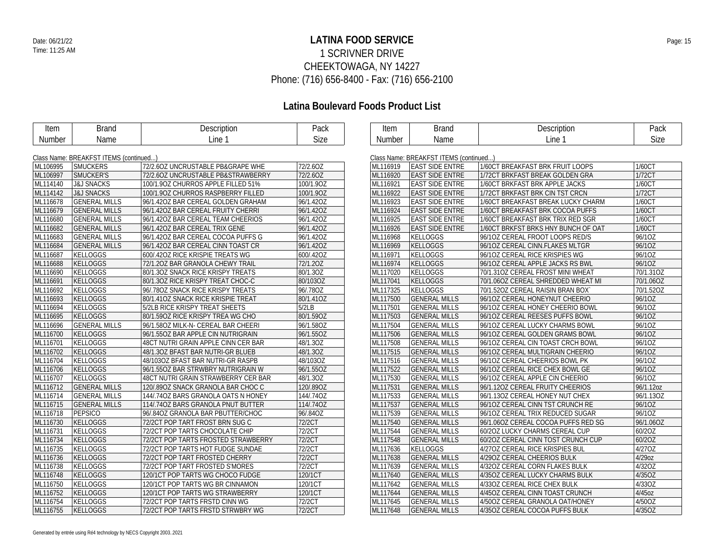## **LATINA FOOD SERVICE** Date: 06/21/22 Page: 15 1 SCRIVNER DRIVE CHEEKTOWAGA, NY 14227 Phone: (716) 656-8400 - Fax: (716) 656-2100

| Item     | <b>Brand</b>                           | Description                         | Pack          | Item     | <b>Brand</b>                           | Description                         | Pack        |
|----------|----------------------------------------|-------------------------------------|---------------|----------|----------------------------------------|-------------------------------------|-------------|
| Number   | Name                                   | Line 1                              | Size          | Number   | Name                                   | Line 1                              | <b>Size</b> |
|          |                                        |                                     |               |          |                                        |                                     |             |
|          | Class Name: BREAKFST ITEMS (continued) |                                     |               |          | Class Name: BREAKFST ITEMS (continued) |                                     |             |
| ML106995 | <b>SMUCKERS</b>                        | 72/2.60Z UNCRUSTABLE PB&GRAPE WHE   | 72/2.60Z      | ML116919 | <b>EAST SIDE ENTRE</b>                 | 1/60CT BREAKFAST BRK FRUIT LOOPS    | 1/60CT      |
| ML106997 | SMUCKER'S                              | 72/2.60Z UNCRUSTABLE PB&STRAWBERRY  | 72/2.60Z      | ML116920 | <b>EAST SIDE ENTRE</b>                 | 1/72CT BRKFAST BREAK GOLDEN GRA     | 1/72CT      |
| ML114140 | <b>J&amp;J SNACKS</b>                  | 100/1.90Z CHURROS APPLE FILLED 51%  | 100/1.9OZ     | ML116921 | <b>EAST SIDE ENTRE</b>                 | 1/60CT BRKFAST BRK APPLE JACKS      | 1/60CT      |
| ML114142 | <b>J&amp;J SNACKS</b>                  | 100/1.90Z CHURROS RASPBERRY FILLED  | 100/1.9OZ     | ML116922 | <b>EAST SIDE ENTRE</b>                 | 1/72CT BRKFAST BRK CIN TST CRCN     | 1/72CT      |
| ML116678 | <b>GENERAL MILLS</b>                   | 96/1.42OZ BAR CEREAL GOLDEN GRAHAM  | 96/1.42OZ     | ML116923 | <b>EAST SIDE ENTRE</b>                 | 1/60CT BREAKFAST BREAK LUCKY CHARM  | 1/60CT      |
| ML116679 | <b>GENERAL MILLS</b>                   | 96/1.42OZ BAR CEREAL FRUITY CHERRI  | 96/1.42OZ     | ML116924 | <b>EAST SIDE ENTRE</b>                 | 1/60CT BREAKFAST BRK COCOA PUFFS    | 1/60CT      |
| ML116680 | <b>GENERAL MILLS</b>                   | 96/1.42OZ BAR CEREAL TEAM CHEERIOS  | 96/1.42OZ     | ML116925 | <b>EAST SIDE ENTRE</b>                 | 1/60CT BREAKFAST BRK TRIX RED SGR   | 1/60CT      |
| ML116682 | <b>GENERAL MILLS</b>                   | 96/1.42OZ BAR CEREAL TRIX GENE      | 96/1.42OZ     | ML116926 | <b>EAST SIDE ENTRE</b>                 | 1/60CT BRKFST BRKS HNY BUNCH OF OAT | 1/60CT      |
| ML116683 | <b>GENERAL MILLS</b>                   | 96/1.42OZ BAR CEREAL COCOA PUFFS G  | 96/1.42OZ     | ML116968 | KELLOGGS                               | 96/10Z CEREAL FROOT LOOPS RED/S     | 96/10Z      |
| ML116684 | <b>GENERAL MILLS</b>                   | 96/1.42OZ BAR CEREAL CINN TOAST CR  | 96/1.42OZ     | ML116969 | KELLOGGS                               | 96/10Z CEREAL CINN.FLAKES MLTGR     | 96/10Z      |
| ML116687 | KELLOGGS                               | 600/.42OZ RICE KRISPIE TREATS WG    | 600/.42OZ     | ML116971 | KELLOGGS                               | 96/10Z CEREAL RICE KRISPIES WG      | 96/10Z      |
| ML116688 | <b>KELLOGGS</b>                        | 72/1.20Z BAR GRANOLA CHEWY TRAIL    | 72/1.20Z      | ML116974 | KELLOGGS                               | 96/10Z CEREAL APPLE JACKS RS BWL    | 96/10Z      |
| ML116690 | KELLOGGS                               | 80/1.30Z SNACK RICE KRISPY TREATS   | 80/1.3OZ      | ML117020 | KELLOGGS                               | 70/1.31OZ CEREAL FROST MINI WHEAT   | 70/1.31OZ   |
| ML116691 | <b>KELLOGGS</b>                        | 80/1.30Z RICE KRISPY TREAT CHOC-C   | 80/103OZ      | ML117041 | KELLOGGS                               | 70/1.06OZ CEREAL SHREDDED WHEAT MI  | 70/1.06OZ   |
| ML116692 | KELLOGGS                               | 96/.780Z SNACK RICE KRISPY TREATS   | 96/.78OZ      | ML117325 | <b>KELLOGGS</b>                        | 70/1.52OZ CEREAL RAISIN BRAN BOX    | 70/1.52OZ   |
| ML116693 | <b>KELLOGGS</b>                        | 80/1.410Z SNACK RICE KRISPIE TREAT  | 80/1.41OZ     | ML117500 | <b>GENERAL MILLS</b>                   | 96/10Z CEREAL HONEYNUT CHEERIO      | 96/10Z      |
| ML116694 | KELLOGGS                               | 5/2LB RICE KRISPY TREAT SHEETS      | 5/2LB         | ML117501 | <b>GENERAL MILLS</b>                   | 96/10Z CEREAL HONEY CHEERIO BOWL    | 96/10Z      |
| ML116695 | <b>KELLOGGS</b>                        | 80/1.590Z RICE KRISPY TREA WG CHO   | 80/1.59OZ     | ML117503 | <b>GENERAL MILLS</b>                   | 96/10Z CEREAL REESES PUFFS BOWL     | 96/10Z      |
| ML116696 | <b>GENERAL MILLS</b>                   | 96/1.580Z MILK-N- CEREAL BAR CHEERI | 96/1.58OZ     | ML117504 | <b>GENERAL MILLS</b>                   | 96/10Z CEREAL LUCKY CHARMS BOWL     | 96/10Z      |
| ML116700 | KELLOGGS                               | 96/1.55OZ BAR APPLE CIN NUTRIGRAIN  | 96/1.55OZ     | ML117506 | <b>GENERAL MILLS</b>                   | 96/10Z CEREAL GOLDEN GRAMS BOWL     | 96/10Z      |
| ML116701 | KELLOGGS                               | 48CT NUTRI GRAIN APPLE CINN CER BAR | 48/1.3OZ      | ML117508 | <b>GENERAL MILLS</b>                   | 96/10Z CEREAL CIN TOAST CRCH BOWL   | 96/10Z      |
| ML116702 | <b>KELLOGGS</b>                        | 48/1.30Z BFAST BAR NUTRI-GR BLUEB   | 48/1.30Z      | ML117515 | <b>GENERAL MILLS</b>                   | 96/10Z CEREAL MULTIGRAIN CHEERIO    | 96/10Z      |
| ML116704 | KELLOGGS                               | 48/103OZ BFAST BAR NUTRI-GR RASPB   | 48/103OZ      | ML117516 | <b>GENERAL MILLS</b>                   | 96/10Z CEREAL CHEERIOS BOWL PK      | 96/10Z      |
| ML116706 | <b>KELLOGGS</b>                        | 96/1.55OZ BAR STRWBRY NUTRIGRAIN W  | 96/1.55OZ     | ML117522 | <b>GENERAL MILLS</b>                   | 96/10Z CEREAL RICE CHEX BOWL GE     | 96/10Z      |
| ML116707 | <b>KELLOGGS</b>                        | 48CT NUTRI GRAIN STRAWBERRY CER BAR | 48/1.30Z      | ML117530 | <b>GENERAL MILLS</b>                   | 96/10Z CEREAL APPLE CIN CHEERIO     | 96/10Z      |
| ML116712 | <b>GENERAL MILLS</b>                   | 120/.890Z SNACK GRANOLA BAR CHOC C  | 120/.89OZ     | ML117531 | <b>GENERAL MILLS</b>                   | 96/1.12OZ CEREAL FRUITY CHEERIOS    | 96/1.12oz   |
| ML116714 | <b>GENERAL MILLS</b>                   | 144/.740Z BARS GRANOLA OATS N HONEY | 144/.74OZ     | ML117533 | <b>GENERAL MILLS</b>                   | 96/1.13OZ CEREAL HONEY NUT CHEX     | 96/1.13OZ   |
| ML116715 | <b>GENERAL MILLS</b>                   | 114/.740Z BARS GRANOLA PNUT BUTTER  | 114/.740Z     | ML117537 | <b>GENERAL MILLS</b>                   | 96/10Z CEREAL CINN TST CRUNCH RE    | 96/10Z      |
| ML116718 | <b>PEPSICO</b>                         | 96/.840Z GRANOLA BAR PBUTTER/CHOC   | 96/.84OZ      | ML117539 | <b>GENERAL MILLS</b>                   | 96/10Z CEREAL TRIX REDUCED SUGAR    | 96/10Z      |
| ML116730 | <b>KELLOGGS</b>                        | 72/2CT POP TART FROST BRN SUG C     | 72/2CT        | ML117540 | <b>GENERAL MILLS</b>                   | 96/1.06OZ CEREAL COCOA PUFFS RED SG | 96/1.06OZ   |
| ML116731 | KELLOGGS                               | 72/2CT POP TARTS CHOCOLATE CHIP     | 72/2CT        | ML117544 | <b>GENERAL MILLS</b>                   | 60/20Z LUCKY CHARMS CEREAL CUP      | 60/2OZ      |
| ML116734 | <b>KELLOGGS</b>                        | 72/2CT POP TARTS FROSTED STRAWBERRY | 72/2CT        | ML117548 | <b>GENERAL MILLS</b>                   | 60/20Z CEREAL CINN TOST CRUNCH CUP  | 60/2OZ      |
| ML116735 | KELLOGGS                               | 72/2CT POP TARTS HOT FUDGE SUNDAE   | 72/2CT        | ML117636 | <b>KELLOGGS</b>                        | 4/270Z CEREAL RICE KRISPIES BUL     | 4/27OZ      |
| ML116736 | <b>KELLOGGS</b>                        | 72/2CT POP TART FROSTED CHERRY      | <b>72/2CT</b> | ML117638 | <b>GENERAL MILLS</b>                   | 4/290Z CEREAL CHEERIOS BULK         | 4/29oz      |
| ML116738 | <b>KELLOGGS</b>                        | 72/2CT POP TART FROSTED S'MORES     | 72/2CT        | ML117639 | <b>GENERAL MILLS</b>                   | 4/32OZ CEREAL CORN FLAKES BULK      | 4/32OZ      |
| ML116748 | <b>KELLOGGS</b>                        | 120/1CT POP TARTS WG CHOCO FUDGE    | 120/1CT       | ML117640 | <b>GENERAL MILLS</b>                   | 4/35OZ CEREAL LUCKY CHARMS BULK     | 4/35OZ      |
| ML116750 | KELLOGGS                               | 120/1CT POP TARTS WG BR CINNAMON    | 120/1CT       | ML117642 | <b>GENERAL MILLS</b>                   | 4/330Z CEREAL RICE CHEX BULK        | 4/33OZ      |
| ML116752 | <b>KELLOGGS</b>                        | 120/1CT POP TARTS WG STRAWBERRY     | 120/1CT       | ML117644 | <b>GENERAL MILLS</b>                   | 4/45OZ CEREAL CINN TOAST CRUNCH     | 4/45oz      |
| ML116754 | <b>KELLOGGS</b>                        | 72/2CT POP TARTS FRSTD CINN WG      | 72/2CT        | ML117645 | <b>GENERAL MILLS</b>                   | 4/50OZ CEREAL GRANOLA OAT/HONEY     | 4/50OZ      |
| ML116755 | <b>KELLOGGS</b>                        | 72/2CT POP TARTS FRSTD STRWBRY WG   | 72/2CT        | ML117648 | <b>GENERAL MILLS</b>                   | 4/350Z CEREAL COCOA PUFFS BULK      | 4/35OZ      |
|          |                                        |                                     |               |          |                                        |                                     |             |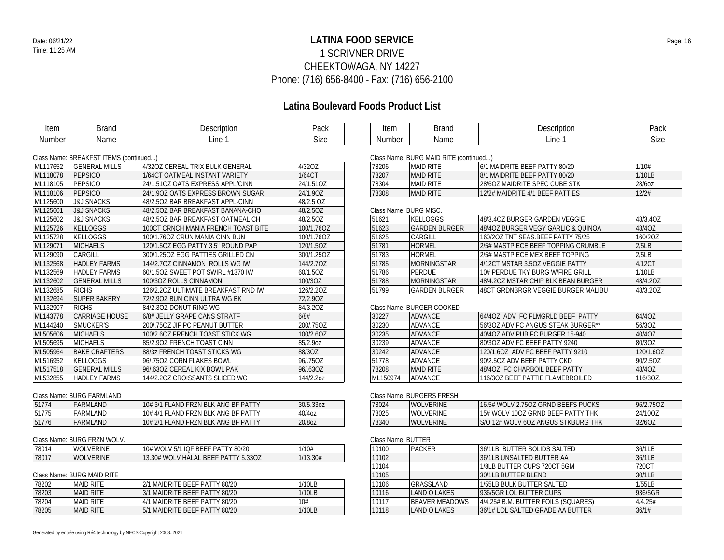## **LATINA FOOD SERVICE** Date: 06/21/22 Page: 16 1 SCRIVNER DRIVE CHEEKTOWAGA, NY 14227 Phone: (716) 656-8400 - Fax: (716) 656-2100

| Item     | <b>Brand</b>                           | Description                         | Pack       | Item                   | <b>Brand</b>                           | Description                         | Pack             |
|----------|----------------------------------------|-------------------------------------|------------|------------------------|----------------------------------------|-------------------------------------|------------------|
| Number   | Name                                   | Line 1                              | Size       | Number                 | Name                                   | Line 1                              | Size             |
|          |                                        |                                     |            |                        |                                        |                                     |                  |
|          | Class Name: BREAKFST ITEMS (continued) |                                     |            |                        | Class Name: BURG MAID RITE (continued) |                                     |                  |
| ML117652 | <b>GENERAL MILLS</b>                   | 4/32OZ CEREAL TRIX BULK GENERAL     | 4/32OZ     | 78206                  | <b>MAID RITE</b>                       | 6/1 MAIDRITE BEEF PATTY 80/20       | 1/10#            |
| ML118078 | PEPSICO                                | 1/64CT OATMEAL INSTANT VARIETY      | 1/64CT     | 78207                  | <b>MAID RITE</b>                       | 8/1 MAIDRITE BEEF PATTY 80/20       | 1/10LB           |
| ML118105 | PEPSICO                                | 24/1.510Z OATS EXPRESS APPL/CINN    | 24/1.51OZ  | 78304                  | <b>MAID RITE</b>                       | 28/6OZ MAIDRITE SPEC CUBE STK       | 28/60Z           |
| ML118106 | PEPSICO                                | 24/1.90Z OATS EXPRESS BROWN SUGAR   | 24/1.90Z   | 78308                  | <b>MAID RITE</b>                       | 12/2# MAIDRITE 4/1 BEEF PATTIES     | 12/2#            |
| ML125600 | <b>J&amp;J SNACKS</b>                  | 48/2.50Z BAR BREAKFAST APPL-CINN    | 48/2.5 OZ  |                        |                                        |                                     |                  |
| ML125601 | <b>J&amp;J SNACKS</b>                  | 48/2.50Z BAR BREAKFAST BANANA-CHO   | 48/2.5OZ   | Class Name: BURG MISC. |                                        |                                     |                  |
| ML125602 | <b>J&amp;J SNACKS</b>                  | 48/2.50Z BAR BREAKFAST OATMEAL CH   | 48/2.5OZ   | 51621                  | <b>KELLOGGS</b>                        | 48/3.40Z BURGER GARDEN VEGGIE       | 48/3.4OZ         |
| ML125726 | KELLOGGS                               | 100CT CRNCH MANIA FRENCH TOAST BITE | 100/1.76OZ | 51623                  | <b>GARDEN BURGER</b>                   | 48/40Z BURGER VEGY GARLIC & QUINOA  | 48/4OZ           |
| ML125728 | <b>KELLOGGS</b>                        | 100/1.76OZ CRUN MANIA CINN BUN      | 100/1.76OZ | 51625                  | CARGILL                                | 160/20Z TNT SEAS.BEEF PATTY 75/25   | 160/20Z          |
| ML129071 | <b>MICHAELS</b>                        | 120/1.5OZ EGG PATTY 3.5" ROUND PAP  | 120/1.5OZ  | 51781                  | <b>HORMEL</b>                          | 2/5# MASTPIECE BEEF TOPPING CRUMBLE | 2/5LB            |
| ML129090 | CARGILL                                | 300/1.25OZ EGG PATTIES GRILLED CN   | 300/1.25OZ | 51783                  | <b>HORMEL</b>                          | 2/5# MASTPIECE MEX BEEF TOPPING     | 2/5LB            |
| ML132568 | <b>HADLEY FARMS</b>                    | 144/2.70Z CINNAMON ROLLS WG IW      | 144/2.7OZ  | 51785                  | <b>MORNINGSTAR</b>                     | 4/12CT MSTAR 3.5OZ VEGGIE PATTY     | 4/12CT           |
| ML132569 | <b>HADLEY FARMS</b>                    | 60/1.50Z SWEET POT SWIRL #1370 IW   | 60/1.5OZ   | 51786                  | PERDUE                                 | 10# PERDUE TKY BURG W/FIRE GRILL    | 1/10LB           |
| ML132602 | <b>GENERAL MILLS</b>                   | 100/30Z ROLLS CINNAMON              | 100/3OZ    | 51788                  | <b>MORNINGSTAR</b>                     | 48/4.20Z MSTAR CHIP BLK BEAN BURGER | 48/4.20Z         |
| ML132685 | <b>RICHS</b>                           | 126/2.20Z ULTIMATE BREAKFAST RND IW | 126/2.20Z  | 51799                  | <b>GARDEN BURGER</b>                   | 48CT GRDNBRGR VEGGIE BURGER MALIBU  | 48/3.20Z         |
| ML132694 | <b>SUPER BAKERY</b>                    | 72/2.90Z BUN CINN ULTRA WG BK       | 72/2.90Z   |                        |                                        |                                     |                  |
| ML132907 | <b>RICHS</b>                           | 84/2.30Z DONUT RING WG              | 84/3.20Z   |                        | Class Name: BURGER COOKED              |                                     |                  |
| ML143778 | <b>CARRIAGE HOUSE</b>                  | 6/8# JELLY GRAPE CANS STRATF        | 6/8#       | 30227                  | ADVANCE                                | 64/4OZ ADV FC FLMGRLD BEEF PATTY    | 64/4OZ           |
| ML144240 | SMUCKER'S                              | 200/.75OZ JIF PC PEANUT BUTTER      | 200/.75OZ  | 30230                  | <b>ADVANCE</b>                         | 56/3OZ ADV FC ANGUS STEAK BURGER**  | 56/3OZ           |
| ML505606 | MICHAELS                               | 100/2.6OZ FRENCH TOAST STICK WG     | 100/2.6OZ  | 30235                  | ADVANCE                                | 40/4OZ ADV PUB FC BURGER 15-940     | 40/4OZ           |
| ML505695 | <b>MICHAELS</b>                        | 85/2.90Z FRENCH TOAST CINN          | 85/2.9oz   | 30239                  | <b>ADVANCE</b>                         | 80/3OZ ADV FC BEEF PATTY 9240       | 80/3OZ           |
| ML505964 | <b>BAKE CRAFTERS</b>                   | 88/3z FRENCH TOAST STICKS WG        | 88/3OZ     | 30242                  | <b>ADVANCE</b>                         | 120/1.6OZ ADV FC BEEF PATTY 9210    | 120/1.6OZ        |
| ML516952 | KELLOGGS                               | 96/.75OZ CORN FLAKES BOWL           | 96/.75OZ   | 51778                  | ADVANCE                                | 90/2.5OZ ADV BEEF PATTY CKD         | 90/2.5OZ         |
| ML517518 | <b>GENERAL MILLS</b>                   | 96/.63OZ CEREAL KIX BOWL PAK        | 96/.63OZ   | 78208                  | <b>MAID RITE</b>                       | 48/4OZ FC CHARBOIL BEEF PATTY       | 48/4OZ           |
| ML532855 | <b>HADLEY FARMS</b>                    | 144/2.20Z CROISSANTS SLICED WG      | 144/2.20Z  | ML150974               | <b>ADVANCE</b>                         | 116/30Z BEEF PATTIE FLAMEBROILED    | 116/30Z          |
|          |                                        |                                     |            |                        |                                        |                                     |                  |
|          | Class Name: BURG FARMLAND              |                                     |            |                        | Class Name: BURGERS FRESH              |                                     |                  |
| 51774    | FARMLAND                               | 10# 3/1 FLAND FRZN BLK ANG BF PATTY | 30/5.33oz  | 78024                  | <b>WOLVERINE</b>                       | 16.5# WOLV 2.75OZ GRND BEEFS PUCKS  | 96/2.75OZ        |
| 51775    | FARMLAND                               | 10# 4/1 FLAND FRZN BLK ANG BF PATTY | 40/4oz     | 78025                  | <b>WOLVERINE</b>                       | 15# WOLV 10OZ GRND BEEF PATTY THK   | 24/10OZ          |
| 51776    | FARMLAND                               | 10# 2/1 FLAND FRZN BLK ANG BF PATTY | 20/8oz     | 78340                  | <b>WOLVERINE</b>                       | S/O 12# WOLV 6OZ ANGUS STKBURG THK  | 32/6OZ           |
|          |                                        |                                     |            |                        |                                        |                                     |                  |
|          | Class Name: BURG FRZN WOLV.            |                                     |            | Class Name: BUTTER     |                                        |                                     |                  |
| 78014    | <b>WOLVERINE</b>                       | 10# WOLV 5/1 IQF BEEF PATTY 80/20   | 1/10#      | 10100                  | <b>PACKER</b>                          | 36/1LB BUTTER SOLIDS SALTED         | 36/1LB           |
| 78017    | <b>WOLVERINE</b>                       | 13.30# WOLV HALAL BEEF PATTY 5.33OZ | 1/13.30#   | 10102                  |                                        | 36/1LB UNSALTED BUTTER AA           | 36/1LB           |
|          |                                        |                                     |            | 10104                  |                                        | 1/8LB BUTTER CUPS 720CT 5GM         | 720CT            |
|          | Class Name: BURG MAID RITE             |                                     |            | 10105                  |                                        | 30/1LB BUTTER BLEND                 | 30/1LB           |
| 78202    | <b>MAID RITE</b>                       | 2/1 MAIDRITE BEEF PATTY 80/20       | 1/10LB     | 10106                  | GRASSLAND                              | 1/55LB BULK BUTTER SALTED           | 1/55LB           |
| 78203    | <b>MAID RITE</b>                       | 3/1 MAIDRITE BEEF PATTY 80/20       | 1/10LB     | 10116                  | <b>LAND O LAKES</b>                    | 936/5GR LOL BUTTER CUPS             | 936/5GR          |
| 78204    | <b>MAID RITE</b>                       | 4/1 MAIDRITE BEEF PATTY 80/20       | 10#        | 10117                  | <b>BEAVER MEADOWS</b>                  | 4/4.25# B.M. BUTTER FOILS (SQUARES) | 4/4.25#<br>36/1# |
| 78205    | <b>MAID RITE</b>                       | 5/1 MAIDRITE BEEF PATTY 80/20       | 1/10LB     | 10118                  | <b>LAND O LAKES</b>                    | 36/1# LOL SALTED GRADE AA BUTTER    |                  |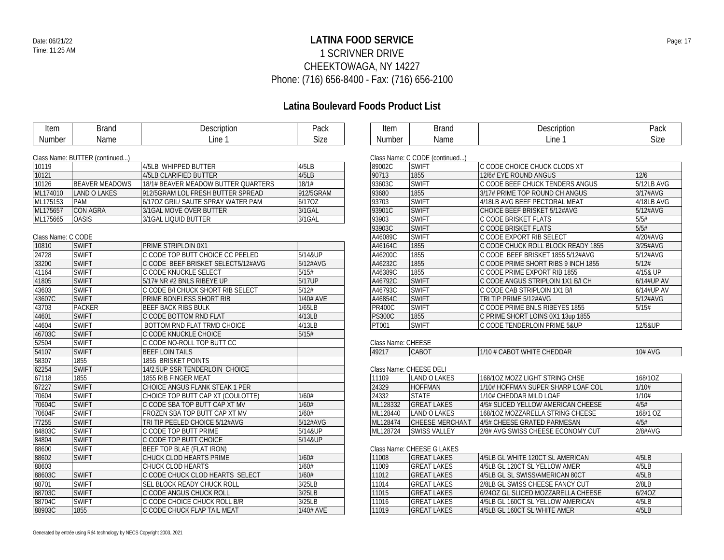## **LATINA FOOD SERVICE** Date: 06/21/22 Page: 17 1 SCRIVNER DRIVE CHEEKTOWAGA, NY 14227 Phone: (716) 656-8400 - Fax: (716) 656-2100

| Item               | <b>Brand</b>                   | Description                         | Pack      | Item               | <b>Brand</b>                   | Description                         | Pack           |
|--------------------|--------------------------------|-------------------------------------|-----------|--------------------|--------------------------------|-------------------------------------|----------------|
| Number             | Name                           | Line 1                              | Size      | <b>Number</b>      | Name                           | Line 1                              | Size           |
|                    |                                |                                     |           |                    |                                |                                     |                |
|                    | Class Name: BUTTER (continued) |                                     |           |                    | Class Name: C CODE (continued) |                                     |                |
| 10119              |                                | 4/5LB WHIPPED BUTTER                | 4/5LB     | 89002C             | <b>SWIFT</b>                   | C CODE CHOICE CHUCK CLODS XT        |                |
| 10121              |                                | 4/5LB CLARIFIED BUTTER              | 4/5LB     | 90713              | 1855                           | 12/6# EYE ROUND ANGUS               | $\frac{12}{6}$ |
| 10126              | <b>BEAVER MEADOWS</b>          | 18/1# BEAVER MEADOW BUTTER QUARTERS | 18/1#     | 93603C             | <b>SWIFT</b>                   | C CODE BEEF CHUCK TENDERS ANGUS     | 5/12LB AVG     |
| ML174010           | <b>LAND O LAKES</b>            | 912/5GRAM LOL FRESH BUTTER SPREAD   | 912/5GRAM | 93680              | 1855                           | 3/17# PRIME TOP ROUND CH ANGUS      | 3/17#AVG       |
| ML175153           | PAM                            | 6/17OZ GRIL/ SAUTE SPRAY WATER PAM  | 6/170Z    | 93703              | <b>SWIFT</b>                   | 4/18LB AVG BEEF PECTORAL MEAT       | 4/18LB AVG     |
| ML175657           | <b>CON AGRA</b>                | 3/1GAL MOVE OVER BUTTER             | 3/1GAL    | 93901C             | <b>SWIFT</b>                   | CHOICE BEEF BRISKET 5/12#AVG        | 5/12#AVG       |
| ML175665           | <b>OASIS</b>                   | 3/1GAL LIQUID BUTTER                | 3/1GAL    | 93903              | <b>SWIFT</b>                   | C CODE BRISKET FLATS                | 5/5#           |
|                    |                                |                                     |           | 93903C             | <b>SWIFT</b>                   | C CODE BRISKET FLATS                | 5/5#           |
| Class Name: C CODE |                                |                                     |           | A46089C            | <b>SWIFT</b>                   | C CODE EXPORT RIB SELECT            | 4/20#AVG       |
| 10810              | <b>SWIFT</b>                   | <b>PRIME STRIPLOIN 0X1</b>          |           | A46164C            | 1855                           | C CODE CHUCK ROLL BLOCK READY 1855  | 3/25#AVG       |
| 24728              | <b>SWIFT</b>                   | C CODE TOP BUTT CHOICE CC PEELED    | 5/14&UP   | A46200C            | 1855                           | C CODE BEEF BRISKET 1855 5/12#AVG   | 5/12#AVG       |
| 33200              | <b>SWIFT</b>                   | C CODE BEEF BRISKET SELECT5/12#AVG  | 5/12#AVG  | A46232C            | 1855                           | C CODE PRIME SHORT RIBS 9 INCH 1855 | 5/12#          |
| 41164              | <b>SWIFT</b>                   | C CODE KNUCKLE SELECT               | 5/15#     | A46389C            | 1855                           | C CODE PRIME EXPORT RIB 1855        | 4/15& UP       |
| 41805              | <b>SWIFT</b>                   | 5/17# NR #2 BNLS RIBEYE UP          | 5/17UP    | A46792C            | <b>SWIFT</b>                   | C CODE ANGUS STRIPLOIN 1X1 B/I CH   | 6/14#UP AV     |
| 43603              | <b>SWIFT</b>                   | C CODE B/I CHUCK SHORT RIB SELECT   | 5/12#     | A46793C            | <b>SWIFT</b>                   | C CODE CAB STRIPLOIN 1X1 B/I        | 6/14#UP AV     |
| 43607C             | <b>SWIFT</b>                   | <b>PRIME BONELESS SHORT RIB</b>     | 1/40# AVE | A46854C            | <b>SWIFT</b>                   | TRI TIP PRIME 5/12#AVG              | 5/12#AVG       |
| 43703              | <b>PACKER</b>                  | <b>BEEF BACK RIBS BULK</b>          | 1/65LB    | <b>PR400C</b>      | <b>SWIFT</b>                   | C CODE PRIME BNLS RIBEYES 1855      | 5/15#          |
| 44601              | <b>SWIFT</b>                   | C CODE BOTTOM RND FLAT              | 4/13LB    | <b>PS300C</b>      | 1855                           | C PRIME SHORT LOINS 0X1 13up 1855   |                |
| 44604              | <b>SWIFT</b>                   | BOTTOM RND FLAT TRMD CHOICE         | 4/13LB    | PT001              | <b>SWIFT</b>                   | C CODE TENDERLOIN PRIME 5&UP        | 12/5&UP        |
| 46703C             | <b>SWIFT</b>                   | C CODE KNUCKLE CHOICE               | 5/15#     |                    |                                |                                     |                |
| 52504              | <b>SWIFT</b>                   | C CODE NO-ROLL TOP BUTT CC          |           | Class Name: CHEESE |                                |                                     |                |
| 54107              | <b>SWIFT</b>                   | <b>BEEF LOIN TAILS</b>              |           | 49217              | CABOT                          | 1/10 # CABOT WHITE CHEDDAR          | 10# AVG        |
| 58307              | 1855                           | 1855 BRISKET POINTS                 |           |                    |                                |                                     |                |
| 62254              | <b>SWIFT</b>                   | 14/2.5UP SSR TENDERLOIN CHOICE      |           |                    | Class Name: CHEESE DELI        |                                     |                |
| 67118              | 1855                           | 1855 RIB FINGER MEAT                |           | 11109              | <b>LAND O LAKES</b>            | 168/10Z MOZZ LIGHT STRING CHSE      | 168/10Z        |
| 67227              | <b>SWIFT</b>                   | CHOICE ANGUS FLANK STEAK 1 PER      |           | 24329              | <b>HOFFMAN</b>                 | 1/10# HOFFMAN SUPER SHARP LOAF COL  | 1/10#          |
| 70604              | <b>SWIFT</b>                   | CHOICE TOP BUTT CAP XT (COULOTTE)   | 1/60#     | 24332              | <b>STATE</b>                   | 1/10# CHEDDAR MILD LOAF             | 1/10#          |
| 70604C             | <b>SWIFT</b>                   | I C CODE SBA TOP BUTT CAP XT MV     | 1/60#     | ML128332           | <b>GREAT LAKES</b>             | 4/5# SLICED YELLOW AMERICAN CHEESE  | 4/5#           |
| 70604F             | <b>SWIFT</b>                   | FROZEN SBA TOP BUTT CAP XT MV       | 1/60#     | ML128440           | <b>LAND O LAKES</b>            | 168/1OZ MOZZARELLA STRING CHEESE    | 168/1 OZ       |
| 77255              | <b>SWIFT</b>                   | TRI TIP PEELED CHOICE 5/12#AVG      | 5/12#AVG  | ML128474           | CHEESE MERCHANT                | 4/5# CHEESE GRATED PARMESAN         | 4/5#           |
| 84803C             | <b>SWIFT</b>                   | C CODE TOP BUTT PRIME               | 5/14&UP   | ML128724           | <b>SWISS VALLEY</b>            | 2/8# AVG SWISS CHEESE ECONOMY CUT   | 2/8#AVG        |
| 84804              | <b>SWIFT</b>                   | C CODE TOP BUTT CHOICE              | 5/14&UP   |                    |                                |                                     |                |
| 88600              | <b>SWIFT</b>                   | BEEF TOP BLAE (FLAT IRON)           |           |                    | Class Name: CHEESE G LAKES     |                                     |                |
| 88602              | <b>SWIFT</b>                   | <b>CHUCK CLOD HEARTS PRIME</b>      | 1/60#     | 11008              | <b>GREAT LAKES</b>             | 4/5LB GL WHITE 120CT SL AMERICAN    | 4/5LB          |
| 88603              |                                | <b>CHUCK CLOD HEARTS</b>            | 1/60#     | 11009              | <b>GREAT LAKES</b>             | 4/5LB GL 120CT SL YELLOW AMER       | 4/5LB          |
| 88603C             | <b>SWIFT</b>                   | C CODE CHUCK CLOD HEARTS SELECT     | 1/60#     | 11012              | <b>GREAT LAKES</b>             | 4/5LB GL SL SWISS/AMERICAN 80CT     | 4/5LB          |
| 88701              | <b>SWIFT</b>                   | <b>SEL BLOCK READY CHUCK ROLL</b>   | 3/25LB    | 11014              | <b>GREAT LAKES</b>             | 2/8LB GL SWISS CHEESE FANCY CUT     | 2/8LB          |
| 88703C             | <b>SWIFT</b>                   | C CODE ANGUS CHUCK ROLL             | 3/25LB    | 11015              | <b>GREAT LAKES</b>             | 6/24OZ GL SLICED MOZZARELLA CHEESE  | 6/240Z         |
| 88704C             | <b>SWIFT</b>                   | C CODE CHOICE CHUCK ROLL B/R        | 3/25LB    | 11016              | <b>GREAT LAKES</b>             | 4/5LB GL 160CT SL YELLOW AMERICAN   | 4/5LB          |
| 88903C             | 1855                           | C CODE CHUCK FLAP TAIL MEAT         | 1/40# AVE | 11019              | <b>GREAT LAKES</b>             | 4/5LB GL 160CT SL WHITE AMER        | 4/5LB          |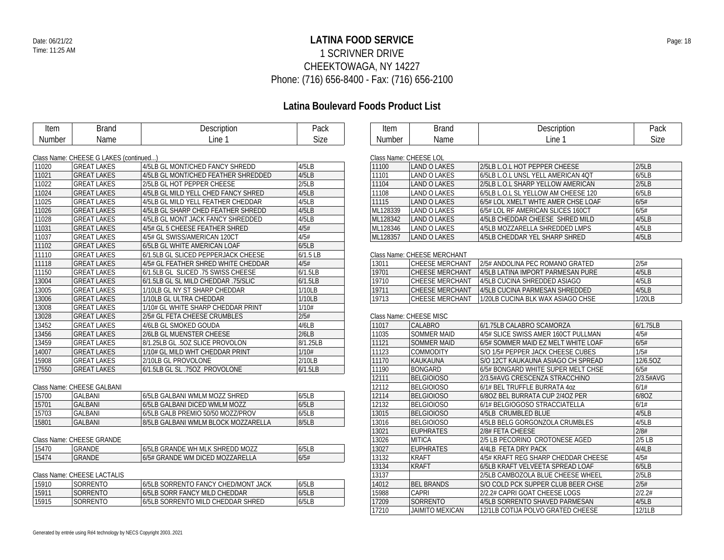## **LATINA FOOD SERVICE** Date: 06/21/22 Page: 18 1 SCRIVNER DRIVE CHEEKTOWAGA, NY 14227 Phone: (716) 656-8400 - Fax: (716) 656-2100

## **Latina Boulevard Foods Product List**

| Item           | <b>Brand</b>                                                 | Description                         | Pack        | Item     | <b>Brand</b>                                  | Description                         | Pack      |
|----------------|--------------------------------------------------------------|-------------------------------------|-------------|----------|-----------------------------------------------|-------------------------------------|-----------|
| <b>Number</b>  | Name                                                         | Line 1                              | <b>Size</b> | Number   | Name                                          | Line 1                              | Size      |
|                |                                                              |                                     |             |          |                                               |                                     |           |
| 11020          | Class Name: CHEESE G LAKES (continued)<br><b>GREAT LAKES</b> | 4/5LB GL MONT/CHED FANCY SHREDD     | 4/5LB       | 11100    | Class Name: CHEESE LOL<br><b>LAND O LAKES</b> | 2/5LB L.O.L HOT PEPPER CHEESE       | 2/5LB     |
| 11021          | <b>GREAT LAKES</b>                                           | 4/5LB GL MONT/CHED FEATHER SHREDDED | 4/5LB       | 11101    | <b>LAND O LAKES</b>                           | 6/5LB L.O.L UNSL YELL AMERICAN 4QT  | 6/5LB     |
| 11022          |                                                              | 2/5LB GL HOT PEPPER CHEESE          | 2/5LB       | 11104    |                                               | 2/5LB L.O.L SHARP YELLOW AMERICAN   | 2/5LB     |
|                | <b>GREAT LAKES</b><br><b>GREAT LAKES</b>                     |                                     | 4/5LB       | 11108    | <b>LAND O LAKES</b><br><b>LAND O LAKES</b>    |                                     | 6/5LB     |
| 11024<br>11025 |                                                              | 4/5LB GL MILD YELL CHED FANCY SHRED |             |          |                                               | 6/5LB L.O.L SL YELLOW AM CHEESE 120 |           |
|                | <b>GREAT LAKES</b>                                           | 4/5LB GL MILD YELL FEATHER CHEDDAR  | 4/5LB       | 11115    | <b>LAND O LAKES</b>                           | 6/5# LOL XMELT WHTE AMER CHSE LOAF  | 6/5#      |
| 11026          | <b>GREAT LAKES</b>                                           | 4/5LB GL SHARP CHED FEATHER SHREDD  | 4/5LB       | ML128339 | <b>LAND O LAKES</b>                           | 6/5# LOL RF AMERICAN SLICES 160CT   | 6/5#      |
| 11028          | <b>GREAT LAKES</b>                                           | 4/5LB GL MONT JACK FANCY SHREDDED   | 4/5LB       | ML128342 | <b>LAND O LAKES</b>                           | 4/5LB CHEDDAR CHEESE SHRED MILD     | 4/5LB     |
| 11031          | <b>GREAT LAKES</b>                                           | 4/5# GL 5 CHEESE FEATHER SHRED      | 4/5#        | ML128346 | LAND O LAKES                                  | 4/5LB MOZZARELLA SHREDDED LMPS      | 4/5LB     |
| 11037          | <b>GREAT LAKES</b>                                           | 4/5# GL SWISS/AMERICAN 120CT        | 4/5#        | ML128357 | <b>LAND O LAKES</b>                           | 4/5LB CHEDDAR YEL SHARP SHRED       | 4/5LB     |
| 11102          | <b>GREAT LAKES</b>                                           | 6/5LB GL WHITE AMERICAN LOAF        | 6/5LB       |          |                                               |                                     |           |
| 11110          | <b>GREAT LAKES</b>                                           | 6/1.5LB GL SLICED PEPPERJACK CHEESE | $6/1.5$ LB  |          | Class Name: CHEESE MERCHANT                   |                                     |           |
| 11118          | <b>GREAT LAKES</b>                                           | 4/5# GL FEATHER SHRED WHITE CHEDDAR | 4/5#        | 13011    | <b>CHEESE MERCHANT</b>                        | 2/5# ANDOLINA PEC ROMANO GRATED     | 2/5#      |
| 11150          | <b>GREAT LAKES</b>                                           | 6/1.5LB GL SLICED .75 SWISS CHEESE  | 6/1.5LB     | 19701    | <b>CHEESE MERCHANT</b>                        | 4/5LB LATINA IMPORT PARMESAN PURE   | 4/5LB     |
| 13004          | <b>GREAT LAKES</b>                                           | 6/1.5LB GL SL MILD CHEDDAR .75/SLIC | 6/1.5LB     | 19710    | <b>CHEESE MERCHANT</b>                        | 4/5LB CUCINA SHREDDED ASIAGO        | 4/5LB     |
| 13005          | <b>GREAT LAKES</b>                                           | 1/10LB GL NY ST SHARP CHEDDAR       | 1/10LB      | 19711    | <b>CHEESE MERCHANT</b>                        | 4/5LB CUCINA PARMESAN SHREDDED      | 4/5LB     |
| 13006          | <b>GREAT LAKES</b>                                           | 1/10LB GL ULTRA CHEDDAR             | 1/10LB      | 19713    | <b>CHEESE MERCHANT</b>                        | 1/20LB CUCINA BLK WAX ASIAGO CHSE   | 1/20LB    |
| 13008          | <b>GREAT LAKES</b>                                           | 1/10# GL WHITE SHARP CHEDDAR PRINT  | 1/10#       |          |                                               |                                     |           |
| 13028          | <b>GREAT LAKES</b>                                           | 2/5# GL FETA CHEESE CRUMBLES        | 2/5#        |          | Class Name: CHEESE MISC                       |                                     |           |
| 13452          | <b>GREAT LAKES</b>                                           | 4/6LB GL SMOKED GOUDA               | 4/6LB       | 11017    | <b>CALABRO</b>                                | 6/1.75LB CALABRO SCAMORZA           | 6/1.75LB  |
| 13456          | <b>GREAT LAKES</b>                                           | 2/6LB GL MUENSTER CHEESE            | 2/6LB       | 11035    | <b>SOMMER MAID</b>                            | 4/5# SLICE SWISS AMER 160CT PULLMAN | 4/5#      |
| 13459          | <b>GREAT LAKES</b>                                           | 8/1.25LB GL .5OZ SLICE PROVOLON     | 8/1.25LB    | 11121    | <b>SOMMER MAID</b>                            | 6/5# SOMMER MAID EZ MELT WHITE LOAF | 6/5#      |
| 14007          | <b>GREAT LAKES</b>                                           | 1/10# GL MILD WHT CHEDDAR PRINT     | 1/10#       | 11123    | <b>COMMODITY</b>                              | S/O 1/5# PEPPER JACK CHEESE CUBES   | 1/5#      |
| 15908          | <b>GREAT LAKES</b>                                           | 2/10LB GL PROVOLONE                 | 2/10LB      | 11170    | KAUKAUNA                                      | S/O 12CT KAUKAUNA ASIAGO CH SPREAD  | 12/6.50Z  |
| 17550          | <b>GREAT LAKES</b>                                           | 6/1.5LB GL SL .75OZ PROVOLONE       | 6/1.5LB     | 11190    | <b>BONGARD</b>                                | 6/5# BONGARD WHITE SUPER MELT CHSE  | 6/5#      |
|                |                                                              |                                     |             | 12111    | <b>BELGIOIOSO</b>                             | 2/3.5#AVG CRESCENZA STRACCHINO      | 2/3.5#AVG |
|                | Class Name: CHEESE GALBANI                                   |                                     |             | 12112    | <b>BELGIOIOSO</b>                             | 6/1# BEL TRUFFLE BURRATA 40Z        | 6/1#      |
| 15700          | <b>GALBANI</b>                                               | 6/5LB GALBANI WMLM MOZZ SHRED       | 6/5LB       | 12114    | <b>BELGIOIOSO</b>                             | 6/80Z BEL BURRATA CUP 2/40Z PER     | 6/8OZ     |
| 15701          | <b>GALBANI</b>                                               | 6/5LB GALBANI DICED WMLM MOZZ       | 6/5LB       | 12132    | <b>BELGIOIOSO</b>                             | 6/1# BELGIOGOSO STRACCIATELLA       | 6/1#      |
| 15703          | <b>GALBANI</b>                                               | 6/5LB GALB PREMIO 50/50 MOZZ/PROV   | 6/5LB       | 13015    | <b>BELGIOIOSO</b>                             | 4/5LB CRUMBLED BLUE                 | 4/5LB     |
| 15801          | <b>GALBANI</b>                                               | 8/5LB GALBANI WMLM BLOCK MOZZARELLA | 8/5LB       | 13016    | <b>BELGIOIOSO</b>                             | 4/5LB BELG GORGONZOLA CRUMBLES      | 4/5LB     |
|                |                                                              |                                     |             | 13021    | <b>EUPHRATES</b>                              | 2/8# FETA CHEESE                    | 2/8#      |
|                | Class Name: CHEESE GRANDE                                    |                                     |             | 13026    | MITICA                                        | 2/5 LB PECORINO CROTONESE AGED      | $2/5$ LB  |
| 15470          | <b>GRANDE</b>                                                | 6/5LB GRANDE WH MLK SHREDD MOZZ     | 6/5LB       | 13027    | <b>EUPHRATES</b>                              | 4/4LB FETA DRY PACK                 | 4/4LB     |
| 15474          | <b>GRANDE</b>                                                | 6/5# GRANDE WM DICED MOZZARELLA     | 6/5#        | 13132    | <b>KRAFT</b>                                  | 4/5# KRAFT REG SHARP CHEDDAR CHEESE | 4/5#      |
|                |                                                              |                                     |             |          |                                               |                                     |           |

### Class Name: CHEESE LACTALIS

|         | <u>UNUS NUMBER LESSE EN VINER</u> |                                      |       |  |  |  |  |  |
|---------|-----------------------------------|--------------------------------------|-------|--|--|--|--|--|
| ็ 15910 | <b>SORRENTO</b>                   | 16/5LB SORRENTO FANCY CHED/MONT JACK | 6/5LB |  |  |  |  |  |
| 15911   | <b>ISORRENTO</b>                  | 6/5LB SORR FANCY MILD CHEDDAR        | 6/5LB |  |  |  |  |  |
| 15915   | SORRENTO                          | 16/5LB SORRENTO MILD CHEDDAR SHRED   | 6/5LB |  |  |  |  |  |
|         |                                   |                                      |       |  |  |  |  |  |

| 11100    | LAND O LAKES | 2/5LB L.O.L HOT PEPPER CHEESE       | 2/5LB |  |  |  |  |  |
|----------|--------------|-------------------------------------|-------|--|--|--|--|--|
| 11101    | LAND O LAKES | 6/5LB L.O.L UNSL YELL AMERICAN 4OT  | 6/5LB |  |  |  |  |  |
| 11104    | LAND O LAKES | 2/5LB L O L SHARP YELLOW AMERICAN   | 2/5LB |  |  |  |  |  |
| 11108    | LAND O LAKES | 6/5LB L.O.L SL YELLOW AM CHEESE 120 | 6/5LB |  |  |  |  |  |
| 11115    | LAND O LAKES | 6/5# LOL XMELT WHTE AMER CHSE LOAF  | 6/5#  |  |  |  |  |  |
| ML128339 | LAND O LAKES | 6/5# LOL RF AMERICAN SLICES 160CT   | 6/5#  |  |  |  |  |  |
| ML128342 | LAND O LAKES | 4/5LB CHEDDAR CHEESE SHRED MILD     | 4/5LB |  |  |  |  |  |
| ML128346 | LAND O LAKES | 4/5LB MOZZARELLA SHREDDED LMPS      | 4/5LB |  |  |  |  |  |
| ML128357 | LAND O LAKES | 4/5LB CHEDDAR YEL SHARP SHRED       | 4/5LB |  |  |  |  |  |

| 13011 | <b>CHEESE MERCHANT</b> | 2/5# ANDOLINA PEC ROMANO GRATED   | 2/5#   |
|-------|------------------------|-----------------------------------|--------|
| 19701 | ICHEESE MERCHANT       | 4/5LB LATINA IMPORT PARMESAN PURE | 4/5LB  |
| 19710 | ICHEESE MERCHANT       | 4/5LB CUCINA SHREDDED ASIAGO      | 4/5LB  |
| 19711 | <b>CHEESE MERCHANT</b> | 4/5LB CUCINA PARMESAN SHREDDED    | 4/5LB  |
| 19713 | ICHEESE MERCHANT       | 1/20LB CUCINA BLK WAX ASIAGO CHSE | 1/20LB |

| 11017 | CALABRO           | 6/1.75LB CALABRO SCAMORZA           | 6/1.75LB      |
|-------|-------------------|-------------------------------------|---------------|
| 11035 | SOMMER MAID       | 4/5# SLICE SWISS AMER 160CT PULLMAN | 4/5#          |
| 11121 | SOMMER MAID       | 6/5# SOMMER MAID EZ MELT WHITE LOAF | 6/5#          |
| 11123 | <b>COMMODITY</b>  | S/O 1/5# PEPPER JACK CHEESE CUBES   | 1/5#          |
| 11170 | KAUKAUNA          | S/O 12CT KAUKAUNA ASIAGO CH SPREAD  | 12/6.5OZ      |
| 11190 | <b>BONGARD</b>    | 6/5# BONGARD WHITE SUPER MELT CHSE  | 6/5#          |
| 12111 | <b>BELGIOIOSO</b> | 2/3.5#AVG CRESCENZA STRACCHINO      | $2/3.5\#$ AVG |
| 12112 | <b>BELGIOIOSO</b> | 6/1# BEL TRUFFLE BURRATA 4oz        | 6/1#          |
| 12114 | <b>BELGIOIOSO</b> | 6/80Z BEL BURRATA CUP 2/40Z PER     | 6/80Z         |
| 12132 | <b>BELGIOIOSO</b> | 6/1# BELGIOGOSO STRACCIATELLA       | 6/1#          |
| 13015 | <b>BELGIOIOSO</b> | 4/5LB CRUMBLED BLUE                 | 4/5LB         |
| 13016 | <b>BELGIOIOSO</b> | 4/5LB BELG GORGONZOLA CRUMBLES      | 4/5LB         |
| 13021 | <b>EUPHRATES</b>  | 2/8# FETA CHEESE                    | 2/8#          |
| 13026 | <b>MITICA</b>     | 2/5 LB PECORINO CROTONESE AGED      | $2/5$ LB      |
| 13027 | <b>EUPHRATES</b>  | 4/4LB FETA DRY PACK                 | 4/4LB         |
| 13132 | <b>KRAFT</b>      | 4/5# KRAFT REG SHARP CHEDDAR CHEESE | 4/5#          |
| 13134 | <b>KRAFT</b>      | 6/5LB KRAFT VELVEETA SPREAD LOAF    | 6/5LB         |
| 13137 |                   | 2/5LB CAMBOZOLA BLUE CHEESE WHEEL   | 2/5LB         |
| 14012 | <b>BEL BRANDS</b> | S/O COLD PCK SUPPER CLUB BEER CHSE  | 2/5#          |
| 15988 | CAPRI             | 2/2.2# CAPRI GOAT CHEESE LOGS       | 2/2.2#        |
| 17209 | <b>SORRENTO</b>   | 4/5LB SORRENTO SHAVED PARMESAN      | 4/5LB         |
| 17210 | JAIMITO MEXICAN   | 12/1LB COTIJA POLVO GRATED CHEESE   | 12/1LB        |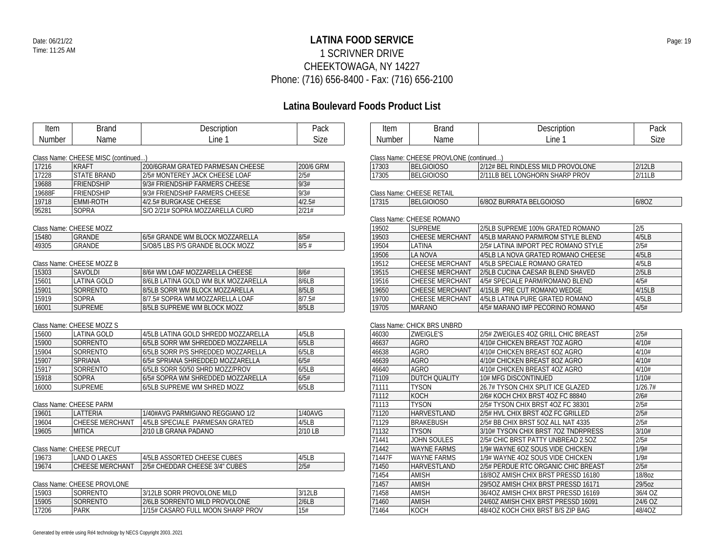Generated by entrée using Ré4 technology by NECS Copyright 2003..2021

## **LATINA FOOD SERVICE** Date: 06/21/22 Page: 19 1 SCRIVNER DRIVE CHEEKTOWAGA, NY 14227 Phone: (716) 656-8400 - Fax: (716) 656-2100

| Item                    | <b>Brand</b>                                    | Description                                                             | Pack         | Item           | <b>Brand</b>                                    | Description                                                    | Pack                     |
|-------------------------|-------------------------------------------------|-------------------------------------------------------------------------|--------------|----------------|-------------------------------------------------|----------------------------------------------------------------|--------------------------|
| <b>Number</b>           | Name                                            | Line 1                                                                  | Size         | <b>Number</b>  | Name                                            | Line 1                                                         | <b>Size</b>              |
|                         |                                                 |                                                                         |              |                |                                                 |                                                                |                          |
|                         | Class Name: CHEESE MISC (continued)             |                                                                         |              |                | Class Name: CHEESE PROVLONE (continued)         |                                                                |                          |
| 17216                   | <b>KRAFT</b>                                    | 200/6GRAM GRATED PARMESAN CHEESE                                        | 200/6 GRM    | 17303          | <b>BELGIOIOSO</b>                               | 2/12# BEL RINDLESS MILD PROVOLONE                              | 2/12LB                   |
| 17228                   | <b>STATE BRAND</b>                              | 2/5# MONTEREY JACK CHEESE LOAF                                          | 2/5#         | 17305          | <b>BELGIOIOSO</b>                               | 2/11LB BEL LONGHORN SHARP PROV                                 | 2/11LB                   |
| 19688                   | <b>FRIENDSHIP</b>                               | 9/3# FRIENDSHIP FARMERS CHEESE                                          | 9/3#         |                |                                                 |                                                                |                          |
| 19688F                  | <b>FRIENDSHIP</b>                               | 9/3# FRIENDSHIP FARMERS CHEESE                                          | 9/3#         |                | Class Name: CHEESE RETAIL                       |                                                                |                          |
| 19718                   | EMMI-ROTH                                       | 4/2.5# BURGKASE CHEESE                                                  | 4/2.5#       | 17315          | <b>BELGIOIOSO</b>                               | 6/80Z BURRATA BELGOIOSO                                        | 6/8OZ                    |
| 95281                   | SOPRA                                           | S/O 2/21# SOPRA MOZZARELLA CURD                                         | 2/21#        |                |                                                 |                                                                |                          |
|                         |                                                 |                                                                         |              |                | Class Name: CHEESE ROMANO                       |                                                                |                          |
|                         | Class Name: CHEESE MOZZ                         |                                                                         |              | 19502          | <b>SUPREME</b>                                  | 2/5LB SUPREME 100% GRATED ROMANO                               | 2/5                      |
| 15480                   | GRANDE                                          | 6/5# GRANDE WM BLOCK MOZZARELLA                                         | 8/5#         | 19503          | <b>CHEESE MERCHANT</b>                          | 4/5LB MARANO PARM/ROM STYLE BLEND                              | 4/5LB                    |
| 49305                   | <b>GRANDE</b>                                   | S/O8/5 LBS P/S GRANDE BLOCK MOZZ                                        | 8/5#         | 19504          | LATINA                                          | 2/5# LATINA IMPORT PEC ROMANO STYLE                            | 2/5#                     |
|                         |                                                 |                                                                         |              | 19506          | <b>LA NOVA</b>                                  | 4/5LB LA NOVA GRATED ROMANO CHEESE                             | 4/5LB                    |
|                         | Class Name: CHEESE MOZZ B                       |                                                                         |              | 19512          | <b>CHEESE MERCHANT</b>                          | 4/5LB SPECIALE ROMANO GRATED                                   | 4/5LB                    |
| 15303                   | SAVOLDI                                         | 8/6# WM LOAF MOZZARELLA CHEESE                                          | 8/6#         | 19515          | CHEESE MERCHANT                                 | 2/5LB CUCINA CAESAR BLEND SHAVED                               | 2/5LB                    |
| 15601                   | <b>LATINA GOLD</b>                              | 8/6LB LATINA GOLD WM BLK MOZZARELLA                                     | 8/6LB        | 19516          | <b>CHEESE MERCHANT</b>                          | 4/5# SPECIALE PARM/ROMANO BLEND                                | 4/5#                     |
| 15901                   | SORRENTO                                        | 8/5LB SORR WM BLOCK MOZZARELLA                                          | 8/5LB        | 19650          | CHEESE MERCHANT                                 | 4/15LB PRE CUT ROMANO WEDGE                                    | 4/15LB                   |
| 15919                   | <b>SOPRA</b>                                    | 8/7.5# SOPRA WM MOZZARELLA LOAF                                         | 8/7.5#       | 19700          | CHEESE MERCHANT                                 | 4/5LB LATINA PURE GRATED ROMANO                                | 4/5LB                    |
| 16001                   | <b>SUPREME</b>                                  | 8/5LB SUPREME WM BLOCK MOZZ                                             | 8/5LB        | 19705          | <b>MARANO</b>                                   | 4/5# MARANO IMP PECORINO ROMANO                                | 4/5#                     |
| 15600                   | Class Name: CHEESE MOZZ S<br><b>LATINA GOLD</b> | 4/5LB LATINA GOLD SHREDD MOZZARELLA                                     | 4/5LB        | 46030          | Class Name: CHICK BRS UNBRD<br><b>ZWEIGLE'S</b> | 2/5# ZWEIGLES 4OZ GRILL CHIC BREAST                            | 2/5#                     |
|                         |                                                 |                                                                         | 6/5LB        |                | <b>AGRO</b>                                     |                                                                |                          |
| 15900                   | SORRENTO<br>SORRENTO                            | 6/5LB SORR WM SHREDDED MOZZARELLA<br>6/5LB SORR P/S SHREDDED MOZZARELLA | 6/5LB        | 46637<br>46638 | <b>AGRO</b>                                     | 4/10# CHICKEN BREAST 7OZ AGRO<br>4/10# CHICKEN BREAST 6OZ AGRO | 4/10#                    |
| 15904                   |                                                 |                                                                         | 6/5#         |                | <b>AGRO</b>                                     |                                                                | 4/10#<br>4/10#           |
| 15907                   | SPRIANA                                         | 6/5# SPRIANA SHREDDED MOZZARELLA                                        |              | 46639          | <b>AGRO</b>                                     | 4/10# CHICKEN BREAST 8OZ AGRO                                  |                          |
| 15917                   | <b>SORRENTO</b>                                 | 6/5LB SORR 50/50 SHRD MOZZ/PROV                                         | 6/5LB        | 46640          |                                                 | 4/10# CHICKEN BREAST 4OZ AGRO                                  | 4/10#                    |
| 15918                   | <b>SOPRA</b>                                    | 6/5# SOPRA WM SHREDDED MOZZARELLA                                       | 6/5#         | 71109          | <b>DUTCH QUALITY</b>                            | 10# MFG DISCONTINUED                                           | 1/10#                    |
| 16000                   | <b>SUPREME</b>                                  | 6/5LB SUPREME WM SHRED MOZZ                                             | 6/5LB        | 71111          | <b>TYSON</b>                                    | 26.7# TYSON CHIX SPLIT ICE GLAZED                              | 1/26.7#                  |
|                         |                                                 |                                                                         |              | 71112          | KOCH                                            | 2/6# KOCH CHIX BRST 4OZ FC 88840                               | 2/6#                     |
|                         | Class Name: CHEESE PARM                         |                                                                         |              | 71113          | <b>TYSON</b>                                    | 2/5# TYSON CHIX BRST 4OZ FC 38301                              | 2/5#                     |
| 19601                   | LATTERIA                                        | 1/40#AVG PARMIGIANO REGGIANO 1/2                                        | 1/40AVG      | 71120          | <b>HARVESTLAND</b>                              | 2/5# HVL CHIX BRST 4OZ FC GRILLED                              | 2/5#                     |
| 19604                   | CHEESE MERCHANT                                 | 4/5LB SPECIALE PARMESAN GRATED                                          | 4/5LB        | 71129          | <b>BRAKEBUSH</b>                                | 2/5# BB CHIX BRST 5OZ ALL NAT 4335                             | 2/5#                     |
| 19605                   | <b>MITICA</b>                                   | 2/10 LB GRANA PADANO                                                    | 2/10 LB      | 71132          | <b>TYSON</b>                                    | 3/10# TYSON CHIX BRST 7OZ TNDRPRESS                            | 3/10#                    |
|                         |                                                 |                                                                         |              | 71441          | <b>JOHN SOULES</b>                              | 2/5# CHIC BRST PATTY UNBREAD 2.5OZ                             | $\overline{\frac{2}{5}}$ |
|                         | Class Name: CHEESE PRECUT                       |                                                                         |              | 71442          | <b>WAYNE FARMS</b>                              | 1/9# WAYNE 6OZ SOUS VIDE CHICKEN                               | 1/9#                     |
| 19673                   | <b>LAND O LAKES</b>                             | 4/5LB ASSORTED CHEESE CUBES                                             | 4/5LB        | 71447F         | <b>WAYNE FARMS</b>                              | 1/9# WAYNE 4OZ SOUS VIDE CHICKEN                               | 1/9#                     |
| 19674                   | <b>CHEESE MERCHANT</b>                          | 2/5# CHEDDAR CHEESE 3/4" CUBES                                          | 2/5#         | 71450          | HARVESTLAND                                     | 2/5# PERDUE RTC ORGANIC CHIC BREAST                            | 2/5#                     |
|                         |                                                 |                                                                         |              | 71454          | AMISH                                           | 18/8OZ AMISH CHIX BRST PRESSD 16180                            | 18/8oz                   |
|                         | Class Name: CHEESE PROVLONE                     |                                                                         |              | 71457          | <b>AMISH</b>                                    | 29/50Z AMISH CHIX BRST PRESSD 16171                            | 29/5oz                   |
|                         |                                                 | 3/12LB SORR PROVOLONE MILD                                              | 3/12LB       | 71458          | AMISH                                           | 36/4OZ AMISH CHIX BRST PRESSD 16169                            | 36/4 OZ                  |
|                         | SORRENTO                                        |                                                                         |              |                |                                                 |                                                                |                          |
| 15903<br>15905<br>17206 | SORRENTO<br><b>PARK</b>                         | 2/6LB SORRENTO MILD PROVOLONE                                           | 2/6LB<br>15# | 71460<br>71464 | <b>AMISH</b><br><b>KOCH</b>                     | 24/60Z AMISH CHIX BRST PRESSD 16091                            | 24/6 OZ<br>48/4OZ        |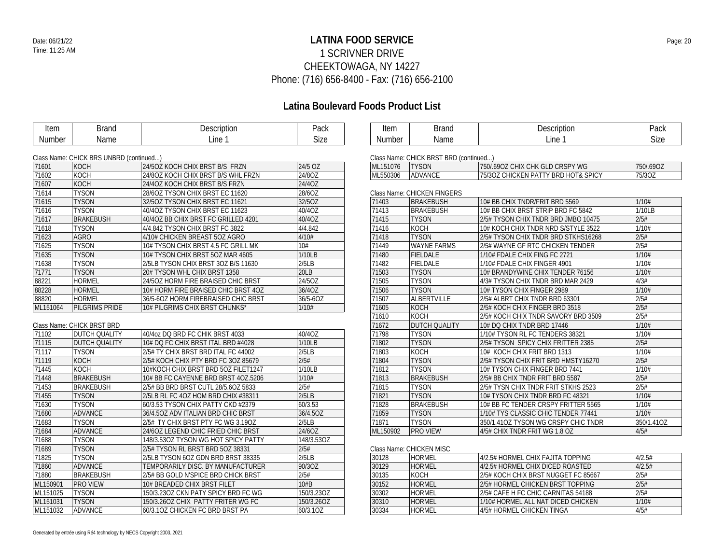## **LATINA FOOD SERVICE** Date: 06/21/22 Page: 20 1 SCRIVNER DRIVE CHEEKTOWAGA, NY 14227 Phone: (716) 656-8400 - Fax: (716) 656-2100

| Item     | <b>Brand</b>                            | Description                         | Pack        | Item     | <b>Brand</b>                           | Description                         | Pack       |
|----------|-----------------------------------------|-------------------------------------|-------------|----------|----------------------------------------|-------------------------------------|------------|
| Number   | Name                                    | Line 1                              | <b>Size</b> | Number   | Name                                   | Line 1                              | Size       |
|          |                                         |                                     |             |          |                                        |                                     |            |
|          | Class Name: CHICK BRS UNBRD (continued) |                                     |             |          | Class Name: CHICK BRST BRD (continued) |                                     |            |
| 71601    | KOCH                                    | 24/50Z KOCH CHIX BRST B/S FRZN      | 24/5 OZ     | ML151076 | <b>TYSON</b>                           | 750/.690Z CHIX CHK GLD CRSPY WG     | 750/.69OZ  |
| 71602    | KOCH                                    | 24/8OZ KOCH CHIX BRST B/S WHL FRZN  | 24/8OZ      | ML550306 | ADVANCE                                | 75/30Z CHICKEN PATTY BRD HOT& SPICY | 75/30Z     |
| 71607    | KOCH                                    | 24/4OZ KOCH CHIX BRST B/S FRZN      | 24/4OZ      |          |                                        |                                     |            |
| 71614    | <b>TYSON</b>                            | 28/6OZ TYSON CHIX BRST EC 11620     | 28/6OZ      |          | Class Name: CHICKEN FINGERS            |                                     |            |
| 71615    | <b>TYSON</b>                            | 32/5OZ TYSON CHIX BRST EC 11621     | 32/5OZ      | 71403    | <b>BRAKEBUSH</b>                       | 10# BB CHIX TNDR/FRIT BRD 5569      | 1/10#      |
| 71616    | <b>TYSON</b>                            | 40/4OZ TYSON CHIX BRST EC 11623     | 40/4OZ      | 71413    | <b>BRAKEBUSH</b>                       | 10# BB CHIX BRST STRIP BRD FC 5842  | 1/10LB     |
| 71617    | <b>BRAKEBUSH</b>                        | 40/4OZ BB CHIX BRST FC GRILLED 4201 | 40/4OZ      | 71415    | <b>TYSON</b>                           | 2/5# TYSON CHIX TNDR BRD JMBO 10475 | 2/5#       |
| 71618    | <b>TYSON</b>                            | 4/4.842 TYSON CHIX BRST FC 3822     | 4/4.842     | 71416    | KOCH                                   | 10# KOCH CHIX TNDR NRD S/STYLE 3522 | 1/10#      |
| 71623    | <b>AGRO</b>                             | 4/10# CHICKEN BREAST 5OZ AGRO       | 4/10#       | 71418    | <b>TYSON</b>                           | 2/5# TYSON CHIX TNDR BRD STKHS16268 | 2/5#       |
| 71625    | <b>TYSON</b>                            | 10# TYSON CHIX BRST 4.5 FC GRILL MK | 10#         | 71449    | <b>WAYNE FARMS</b>                     | 2/5# WAYNE GF RTC CHICKEN TENDER    | 2/5#       |
| 71635    | <b>TYSON</b>                            | 10# TYSON CHIX BRST 5OZ MAR 4605    | 1/10LB      | 71480    | <b>FIELDALE</b>                        | 1/10# FDALE CHIX FING FC 2721       | 1/10#      |
| 71638    | <b>TYSON</b>                            | 2/5LB TYSON CHIX BRST 3OZ B/S 11630 | 2/5LB       | 71482    | <b>FIELDALE</b>                        | 1/10# FDALE CHIX FINGER 4901        | 1/10#      |
| 71771    | <b>TYSON</b>                            | 20# TYSON WHL CHIX BRST 1358        | 20LB        | 71503    | <b>TYSON</b>                           | 10# BRANDYWINE CHIX TENDER 76156    | 1/10#      |
| 88221    | <b>HORMEL</b>                           | 24/5OZ HORM FIRE BRAISED CHIC BRST  | 24/5OZ      | 71505    | <b>TYSON</b>                           | 4/3# TYSON CHIX TNDR BRD MAR 2429   | 4/3#       |
| 88228    | <b>HORMEL</b>                           | 10# HORM FIRE BRAISED CHIC BRST 4OZ | 36/4OZ      | 71506    | <b>TYSON</b>                           | 10# TYSON CHIX FINGER 2989          | 1/10#      |
| 88820    | <b>HORMEL</b>                           | 36/5-60Z HORM FIREBRAISED CHIC BRST | 36/5-6OZ    | 71507    | <b>ALBERTVILLE</b>                     | 2/5# ALBRT CHIX TNDR BRD 63301      | 2/5#       |
| ML151064 | <b>PILGRIMS PRIDE</b>                   | 10# PILGRIMS CHIX BRST CHUNKS*      | 1/10#       | 71605    | KOCH                                   | 2/5# KOCH CHIX FINGER BRD 3518      | 2/5#       |
|          |                                         |                                     |             | 71610    | KOCH                                   | 2/5# KOCH CHIX TNDR SAVORY BRD 3509 | 2/5#       |
|          | Class Name: CHICK BRST BRD              |                                     |             | 71672    | DUTCH QUALITY                          | 10# DQ CHIX TNDR BRD 17446          | 1/10#      |
| 71102    | <b>DUTCH QUALITY</b>                    | 40/4oz DQ BRD FC CHIK BRST 4033     | 40/4OZ      | 71798    | <b>TYSON</b>                           | 1/10# TYSON RL FC TENDERS 38321     | 1/10#      |
| 71115    | <b>DUTCH QUALITY</b>                    | 10# DQ FC CHIX BRST ITAL BRD #4028  | 1/10LB      | 71802    | <b>TYSON</b>                           | 2/5# TYSON SPICY CHIX FRITTER 2385  | 2/5#       |
| 71117    | <b>TYSON</b>                            | 2/5# TY CHIX BRST BRD ITAL FC 44002 | 2/5LB       | 71803    | KOCH                                   | 10# KOCH CHIX FRIT BRD 1313         | 1/10#      |
| 71119    | KOCH                                    | 2/5# KOCH CHIX PTY BRD FC 30Z 85679 | 2/5#        | 71804    | <b>TYSON</b>                           | 2/5# TYSON CHIX FRIT BRD HMSTY16270 | 2/5#       |
| 71445    | KOCH                                    | 10#KOCH CHIX BRST BRD 5OZ FILET1247 | 1/10LB      | 71812    | <b>TYSON</b>                           | 10# TYSON CHIX FINGER BRD 7441      | 1/10#      |
| 71448    | <b>BRAKEBUSH</b>                        | 10# BB FC CAYENNE BRD BRST 4OZ.5206 | 1/10#       | 71813    | <b>BRAKEBUSH</b>                       | 2/5# BB CHIX TNDR FRIT BRD 5587     | 2/5#       |
| 71453    | <b>BRAKEBUSH</b>                        | 2/5# BB BRD BRST CUTL 28/5.6OZ 5833 | 2/5#        | 71815    | <b>TYSON</b>                           | 2/5# TYSN CHIX TNDR FRIT STKHS 2523 | 2/5#       |
| 71455    | <b>TYSON</b>                            | 2/5LB RL FC 4OZ HOM BRD CHIX #38311 | 2/5LB       | 71821    | <b>TYSON</b>                           | 10# TYSON CHIX TNDR BRD FC 48321    | 1/10#      |
| 71630    | <b>TYSON</b>                            | 60/3.53 TYSON CHIX PATTY CKD #2379  | 60/3.53     | 71828    | <b>BRAKEBUSH</b>                       | 10# BB FC TENDER CRSPY FRITTER 5565 | 1/10#      |
| 71680    | ADVANCE                                 | 36/4.50Z ADV ITALIAN BRD CHIC BRST  | 36/4.5OZ    | 71859    | <b>TYSON</b>                           | 1/10# TYS CLASSIC CHIC TENDER 77441 | 1/10#      |
| 71683    | <b>TYSON</b>                            | 2/5# TY CHIX BRST PTY FC WG 3.19OZ  | 2/5LB       | 71871    | <b>TYSON</b>                           | 350/1.41OZ TYSON WG CRSPY CHIC TNDR | 350/1.41OZ |
| 71684    | <b>ADVANCE</b>                          | 24/6OZ LEGEND CHIC FRIED CHIC BRST  | 24/6OZ      | ML150902 | <b>PRO VIEW</b>                        | 4/5# CHIX TNDR FRIT WG 1.8 OZ       | 4/5#       |
| 71688    | <b>TYSON</b>                            | 148/3.53OZ TYSON WG HOT SPICY PATTY | 148/3.53OZ  |          |                                        |                                     |            |
| 71689    | <b>TYSON</b>                            | 2/5# TYSON RL BRST BRD 5OZ 38331    | 2/5#        |          | Class Name: CHICKEN MISC               |                                     |            |
| 71825    | <b>TYSON</b>                            | 2/5LB TYSON 6OZ GDN BRD BRST 38335  | 2/5LB       | 30128    | <b>HORMEL</b>                          | 4/2.5# HORMEL CHIX FAJITA TOPPING   | 4/2.5#     |
| 71860    | ADVANCE                                 | TEMPORARILY DISC. BY MANUFACTURER   | 90/3OZ      | 30129    | <b>HORMEL</b>                          | 4/2.5# HORMEL CHIX DICED ROASTED    | 4/2.5#     |
| 71880    | <b>BRAKEBUSH</b>                        | 2/5# BB GOLD N'SPICE BRD CHICK BRST | 2/5#        | 30135    | KOCH                                   | 2/5# KOCH CHIX BRST NUGGET FC 85667 | 2/5#       |
| ML150901 | <b>PRO VIEW</b>                         | 10# BREADED CHIX BRST FILET         | 10#B        | 30152    | <b>HORMEL</b>                          | 2/5# HORMEL CHICKEN BRST TOPPING    | 2/5#       |
| ML151025 | <b>TYSON</b>                            | 150/3.23OZ CKN PATY SPICY BRD FC WG | 150/3.23OZ  | 30302    | <b>HORMEL</b>                          | 2/5# CAFE H FC CHIC CARNITAS 54188  | 2/5#       |
| ML151031 | <b>TYSON</b>                            | 150/3.26OZ CHIX PATTY FRITER WG FC  | 150/3.26OZ  | 30310    | <b>HORMEL</b>                          | 1/10# HORMEL ALL NAT DICED CHICKEN  | 1/10#      |
| ML151032 | ADVANCE                                 | 60/3.10Z CHICKEN FC BRD BRST PA     | 60/3.10Z    | 30334    | <b>HORMEL</b>                          | 4/5# HORMEL CHICKEN TINGA           | 4/5#       |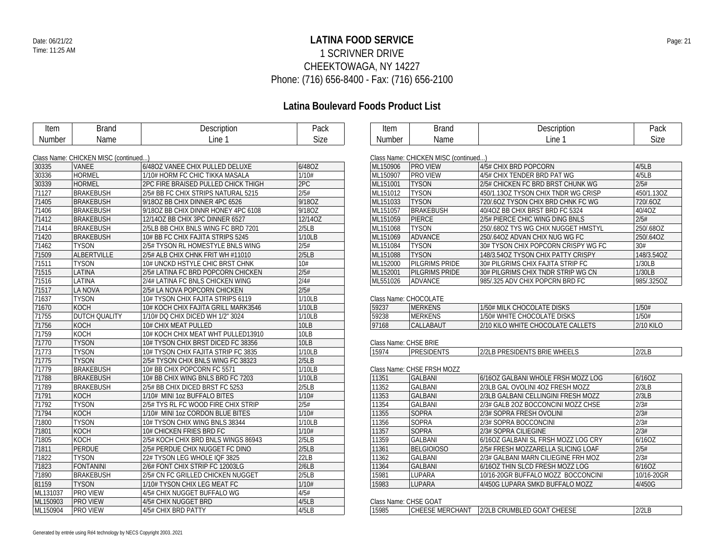## **LATINA FOOD SERVICE** Date: 06/21/22 Page: 21 1 SCRIVNER DRIVE CHEEKTOWAGA, NY 14227 Phone: (716) 656-8400 - Fax: (716) 656-2100

| Item          | <b>Brand</b>                         | Description                         | Pack        | Item                  | <b>Brand</b>                         | Description                         | Pack             |
|---------------|--------------------------------------|-------------------------------------|-------------|-----------------------|--------------------------------------|-------------------------------------|------------------|
| <b>Number</b> | Name                                 | Line 1                              | <b>Size</b> | <b>Number</b>         | Name                                 | Line 1                              | Size             |
|               |                                      |                                     |             |                       |                                      |                                     |                  |
|               | Class Name: CHICKEN MISC (continued) |                                     |             |                       | Class Name: CHICKEN MISC (continued) |                                     |                  |
| 30335         | <b>VANEE</b>                         | 6/48OZ VANEE CHIX PULLED DELUXE     | 6/48OZ      | ML150906              | <b>PRO VIEW</b>                      | 4/5# CHIX BRD POPCORN               | 4/5LB            |
| 30336         | <b>HORMEL</b>                        | 1/10# HORM FC CHIC TIKKA MASALA     | 1/10#       | ML150907              | <b>PRO VIEW</b>                      | 4/5# CHIX TENDER BRD PAT WG         | 4/5LB            |
| 30339         | <b>HORMEL</b>                        | 2PC FIRE BRAISED PULLED CHICK THIGH | 2PC         | ML151001              | <b>TYSON</b>                         | 2/5# CHICKEN FC BRD BRST CHUNK WG   | 2/5#             |
| 71127         | <b>BRAKEBUSH</b>                     | 2/5# BB FC CHIX STRIPS NATURAL 5215 | 2/5#        | ML151012              | <b>TYSON</b>                         | 450/1.13OZ TYSON CHIX TNDR WG CRISP | 450/1.13OZ       |
| 71405         | <b>BRAKEBUSH</b>                     | 9/180Z BB CHIX DINNER 4PC 6526      | 9/18OZ      | ML151033              | <b>TYSON</b>                         | 720/.60Z TYSON CHIX BRD CHNK FC WG  | 720/.6OZ         |
| 71406         | <b>BRAKEBUSH</b>                     | 9/180Z BB CHIX DINNR HONEY 4PC 6108 | 9/18OZ      | ML151057              | <b>BRAKEBUSH</b>                     | 40/4OZ BB CHIX BRST BRD FC 5324     | 40/4OZ           |
| 71412         | <b>BRAKEBUSH</b>                     | 12/14OZ BB CHIX 3PC DINNER 6527     | 12/14OZ     | ML151059              | <b>PIERCE</b>                        | 2/5# PIERCE CHIC WING DING BNLS     | 2/5#             |
| 71414         | <b>BRAKEBUSH</b>                     | 2/5LB BB CHIX BNLS WING FC BRD 7201 | 2/5LB       | ML151068              | <b>TYSON</b>                         | 250/.68OZ TYS WG CHIX NUGGET HMSTYL | 250/.68OZ        |
| 71420         | <b>BRAKEBUSH</b>                     | 10# BB FC CHIX FAJITA STRIPS 5245   | 1/10LB      | ML151069              | <b>ADVANCE</b>                       | 250/.64OZ ADVAN CHIX NUG WG FC      | 250/.64OZ        |
| 71462         | <b>TYSON</b>                         | 2/5# TYSON RL HOMESTYLE BNLS WING   | 2/5#        | ML151084              | <b>TYSON</b>                         | 30# TYSON CHIX POPCORN CRISPY WG FC | 30#              |
| 71509         | ALBERTVILLE                          | 2/5# ALB CHIX CHNK FRIT WH #11010   | 2/5LB       | ML151088              | <b>TYSON</b>                         | 148/3.54OZ TYSON CHIX PATTY CRISPY  | 148/3.54OZ       |
| 71511         | <b>TYSON</b>                         | 10# UNCKD HSTYLE CHIC BRST CHNK     | 10#         | ML152000              | PILGRIMS PRIDE                       | 30# PILGRIMS CHIX FAJITA STRIP FC   | 1/30LB           |
| 71515         | LATINA                               | 2/5# LATINA FC BRD POPCORN CHICKEN  | 2/5#        | ML152001              | PILGRIMS PRIDE                       | 30# PILGRIMS CHIX TNDR STRIP WG CN  | 1/30LB           |
| 71516         | LATINA                               | 2/4# LATINA FC BNLS CHICKEN WING    | 2/4#        | ML551026              | <b>ADVANCE</b>                       | 985/325 ADV CHIX POPCRN BRD FC      | 985/.325OZ       |
| 71517         | LA NOVA                              | 2/5# LA NOVA POPCORN CHICKEN        | 2/5#        |                       |                                      |                                     |                  |
| 71637         | <b>TYSON</b>                         | 10# TYSON CHIX FAJITA STRIPS 6119   | 1/10LB      |                       | Class Name: CHOCOLATE                |                                     |                  |
| 71670         | <b>KOCH</b>                          | 10# KOCH CHIX FAJITA GRILL MARK3546 | 1/10LB      | 59237                 | <b>MERKENS</b>                       | 1/50# MILK CHOCOLATE DISKS          | 1/50#            |
| 71755         | DUTCH QUALITY                        | 1/10# DQ CHIX DICED WH 1/2" 3024    | 1/10LB      | 59238                 | <b>MERKENS</b>                       | 1/50# WHITE CHOCOLATE DISKS         | 1/50#            |
| 71756         | <b>KOCH</b>                          | 10# CHIX MEAT PULLED                | <b>10LB</b> | 97168                 | CALLABAUT                            | 2/10 KILO WHITE CHOCOLATE CALLETS   | <b>2/10 KILO</b> |
| 71759         | KOCH                                 | 10# KOCH CHIX MEAT WHT PULLED13910  | 10LB        |                       |                                      |                                     |                  |
| 71770         | <b>TYSON</b>                         | 10# TYSON CHIX BRST DICED FC 38356  | 10LB        | Class Name: CHSE BRIE |                                      |                                     |                  |
| 71773         | <b>TYSON</b>                         | 10# TYSON CHIX FAJITA STRIP FC 3835 | 1/10LB      | 15974                 | <b>PRESIDENTS</b>                    | 2/2LB PRESIDENTS BRIE WHEELS        | 2/2LB            |
| 71775         | <b>TYSON</b>                         | 2/5# TYSON CHIX BNLS WING FC 38323  | 2/5LB       |                       |                                      |                                     |                  |
| 71779         | <b>BRAKEBUSH</b>                     | 10# BB CHIX POPCORN FC 5571         | 1/10LB      |                       | Class Name: CHSE FRSH MOZZ           |                                     |                  |
| 71788         | <b>BRAKEBUSH</b>                     | 10# BB CHIX WING BNLS BRD FC 7203   | 1/10LB      | 11351                 | <b>GALBANI</b>                       | 6/16OZ GALBANI WHOLE FRSH MOZZ LOG  | 6/16OZ           |
| 71789         | <b>BRAKEBUSH</b>                     | 2/5# BB CHIX DICED BRST FC 5253     | 2/5LB       | 11352                 | <b>GALBANI</b>                       | 2/3LB GAL OVOLINI 40Z FRESH MOZZ    | 2/3LB            |
| 71791         | KOCH                                 | 1/10# MINI 1oz BUFFALO BITES        | 1/10#       | 11353                 | <b>GALBANI</b>                       | 2/3LB GALBANI CELLINGINI FRESH MOZZ | 2/3LB            |
| 71792         | <b>TYSON</b>                         | 2/5# TYS RL FC WOOD FIRE CHIX STRIP | 2/5#        | 11354                 | <b>GALBANI</b>                       | 2/3# GALB 20Z BOCCONCINI MOZZ CHSE  | 2/3#             |
| 71794         | <b>KOCH</b>                          | 1/10# MINI 1oz CORDON BLUE BITES    | 1/10#       | 11355                 | <b>SOPRA</b>                         | 2/3# SOPRA FRESH OVOLINI            | 2/3#             |
| 71800         | <b>TYSON</b>                         | 10# TYSON CHIX WING BNLS 38344      | 1/10LB      | 11356                 | <b>SOPRA</b>                         | 2/3# SOPRA BOCCONCINI               | 2/3#             |
| 71801         | <b>KOCH</b>                          | 10# CHICKEN FRIES BRD FC            | 1/10#       | 11357                 | <b>SOPRA</b>                         | 2/3# SOPRA CILIEGINE                | 2/3#             |
| 71805         | <b>KOCH</b>                          | 2/5# KOCH CHIX BRD BNLS WINGS 86943 | 2/5LB       | 11359                 | <b>GALBANI</b>                       | 6/16OZ GALBANI SL FRSH MOZZ LOG CRY | 6/16OZ           |
| 71811         | PERDUE                               | 2/5# PERDUE CHIX NUGGET FC DINO     | 2/5LB       | 11361                 | <b>BELGIOIOSO</b>                    | 2/5# FRESH MOZZARELLA SLICING LOAF  | 2/5#             |
| 71822         | <b>TYSON</b>                         | 22# TYSON LEG WHOLE IQF 3825        | 22LB        | 11362                 | <b>GALBANI</b>                       | 2/3# GALBANI MARN CILIEGINE FRH MOZ | 2/3#             |
| 71823         | <b>FONTANINI</b>                     | 2/6# FONT CHIX STRIP FC 12003LG     | 2/6LB       | 11364                 | <b>GALBANI</b>                       | 6/16OZ THIN SLCD FRESH MOZZ LOG     | 6/160Z           |
| 71890         | <b>BRAKEBUSH</b>                     | 2/5# CN FC GRILLED CHICKEN NUGGET   | 2/5LB       | 15981                 | LUPARA                               | 10/16-20GR BUFFALO MOZZ BOCCONCINI  | 10/16-20GR       |
| 81159         | <b>TYSON</b>                         | 1/10# TYSON CHIX LEG MEAT FC        | 1/10#       | 15983                 | <b>LUPARA</b>                        | 4/450G LUPARA SMKD BUFFALO MOZZ     | 4/450G           |
| ML131037      | PRO VIEW                             | 4/5# CHIX NUGGET BUFFALO WG         | 4/5#        |                       |                                      |                                     |                  |
| ML150903      | PRO VIEW                             | 4/5# CHIX NUGGET BRD                | 4/5LB       |                       | Class Name: CHSE GOAT                |                                     |                  |
| ML150904      | <b>PRO VIEW</b>                      | 4/5# CHIX BRD PATTY                 | 4/5LB       | 15985                 | <b>CHEESE MERCHANT</b>               | 2/2LB CRUMBLED GOAT CHEESE          | 2/2LB            |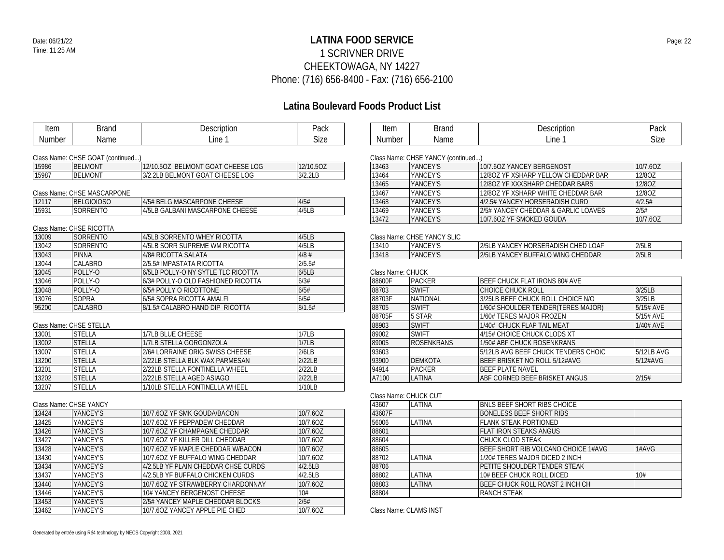## **LATINA FOOD SERVICE** Date: 06/21/22 Page: 22 1 SCRIVNER DRIVE CHEEKTOWAGA, NY 14227 Phone: (716) 656-8400 - Fax: (716) 656-2100

| Item                   | <b>Brand</b>                      | Description                         | Pack        | Item              | <b>Brand</b>                       | Description                          | Pack        |
|------------------------|-----------------------------------|-------------------------------------|-------------|-------------------|------------------------------------|--------------------------------------|-------------|
| <b>Number</b>          | Name                              | Line 1                              | <b>Size</b> | <b>Number</b>     | Name                               | Line 1                               | <b>Size</b> |
|                        |                                   |                                     |             |                   |                                    |                                      |             |
|                        | Class Name: CHSE GOAT (continued) |                                     |             |                   | Class Name: CHSE YANCY (continued) |                                      |             |
| 15986                  | <b>BELMONT</b>                    | 12/10.50Z BELMONT GOAT CHEESE LOG   | 12/10.5OZ   | 13463             | YANCEY'S                           | 10/7.6OZ YANCEY BERGENOST            | 10/7.6OZ    |
| 15987                  | <b>BELMONT</b>                    | 3/2.2LB BELMONT GOAT CHEESE LOG     | 3/2.2LB     | 13464             | YANCEY'S                           | 12/8OZ YF XSHARP YELLOW CHEDDAR BAR  | 12/80Z      |
|                        |                                   |                                     |             | 13465             | YANCEY'S                           | 12/8OZ YF XXXSHARP CHEDDAR BARS      | 12/80Z      |
|                        | Class Name: CHSE MASCARPONE       |                                     |             | 13467             | YANCEY'S                           | 12/8OZ YF XSHARP WHITE CHEDDAR BAR   | 12/8OZ      |
| 12117                  | <b>BELGIOIOSO</b>                 | 4/5# BELG MASCARPONE CHEESE         | 4/5#        | 13468             | YANCEY'S                           | 4/2.5# YANCEY HORSERADISH CURD       | 4/2.5#      |
| 15931                  | SORRENTO                          | 4/5LB GALBANI MASCARPONE CHEESE     | 4/5LB       | 13469             | YANCEY'S                           | 2/5# YANCEY CHEDDAR & GARLIC LOAVES  | 2/5#        |
|                        |                                   |                                     |             | 13472             | YANCEY'S                           | 10/7.6OZ YF SMOKED GOUDA             | 10/7.6OZ    |
|                        | Class Name: CHSE RICOTTA          |                                     |             |                   |                                    |                                      |             |
| 13009                  | SORRENTO                          | 4/5LB SORRENTO WHEY RICOTTA         | 4/5LB       |                   | Class Name: CHSE YANCY SLIC        |                                      |             |
| 13042                  | SORRENTO                          | 4/5LB SORR SUPREME WM RICOTTA       | 4/5LB       | 13410             | YANCEY'S                           | 2/5LB YANCEY HORSERADISH CHED LOAF   | 2/5LB       |
| 13043                  | <b>PINNA</b>                      | 4/8# RICOTTA SALATA                 | $4/8$ #     | 13418             | YANCEY'S                           | 2/5LB YANCEY BUFFALO WING CHEDDAR    | 2/5LB       |
| 13044                  | CALABRO                           | 2/5.5# IMPASTATA RICOTTA            | 2/5.5#      |                   |                                    |                                      |             |
| 13045                  | POLLY-O                           | 6/5LB POLLY-O NY SYTLE TLC RICOTTA  | 6/5LB       | Class Name: CHUCK |                                    |                                      |             |
| 13046                  | POLLY-O                           | 6/3# POLLY-O OLD FASHIONED RICOTTA  | 6/3#        | 88600F            | PACKER                             | <b>BEEF CHUCK FLAT IRONS 80# AVE</b> |             |
| 13048                  | POLLY-O                           | 6/5# POLLY O RICOTTONE              | 6/5#        | 88703             | <b>SWIFT</b>                       | CHOICE CHUCK ROLL                    | 3/25LB      |
| 13076                  | <b>SOPRA</b>                      | 6/5# SOPRA RICOTTA AMALFI           | 6/5#        | 88703F            | <b>NATIONAL</b>                    | 3/25LB BEEF CHUCK ROLL CHOICE N/O    | 3/25LB      |
| 95200                  | <b>CALABRO</b>                    | 8/1.5# CALABRO HAND DIP RICOTTA     | 8/1.5#      | 88705             | <b>SWIFT</b>                       | 1/60# SHOULDER TENDER(TERES MAJOR)   | 5/15# AVE   |
|                        |                                   |                                     |             | 88705F            | 5 STAR                             | 1/60# TERES MAJOR FROZEN             | 5/15# AVE   |
|                        | Class Name: CHSE STELLA           |                                     |             | 88903             | <b>SWIFT</b>                       | 1/40# CHUCK FLAP TAIL MEAT           | 1/40# AVE   |
| 13001                  | <b>STELLA</b>                     | 1/7LB BLUE CHEESE                   | 1/7LB       | 89002             | <b>SWIFT</b>                       | 4/15# CHOICE CHUCK CLODS XT          |             |
| 13002                  | <b>STELLA</b>                     | 1/7LB STELLA GORGONZOLA             | 1/7LB       | 89005             | <b>ROSENKRANS</b>                  | 1/50# ABF CHUCK ROSENKRANS           |             |
| 13007                  | <b>STELLA</b>                     | 2/6# LORRAINE ORIG SWISS CHEESE     | 2/6LB       | 93603             |                                    | 5/12LB AVG BEEF CHUCK TENDERS CHOIC  | 5/12LB AVG  |
| 13200                  | <b>STELLA</b>                     | 2/22LB STELLA BLK WAX PARMESAN      | 2/22LB      | 93900             | <b>DEMKOTA</b>                     | BEEF BRISKET NO ROLL 5/12#AVG        | 5/12#AVG    |
| 13201                  | <b>STELLA</b>                     | 2/22LB STELLA FONTINELLA WHEEL      | 2/22LB      | 94914             | <b>PACKER</b>                      | <b>BEEF PLATE NAVEL</b>              |             |
| 13202                  | <b>STELLA</b>                     | 2/22LB STELLA AGED ASIAGO           | 2/22LB      | A7100             | LATINA                             | ABF CORNED BEEF BRISKET ANGUS        | 2/15#       |
| 13207                  | <b>STELLA</b>                     | 1/10LB STELLA FONTINELLA WHEEL      | 1/10LB      |                   |                                    |                                      |             |
|                        |                                   |                                     |             |                   | Class Name: CHUCK CUT              |                                      |             |
| Class Name: CHSE YANCY |                                   |                                     |             | 43607             | LATINA                             | <b>BNLS BEEF SHORT RIBS CHOICE</b>   |             |
| 13424                  | YANCEY'S                          | 10/7.6OZ YF SMK GOUDA/BACON         | 10/7.6OZ    | 43607F            |                                    | <b>BONELESS BEEF SHORT RIBS</b>      |             |
| 13425                  | YANCEY'S                          | 10/7.6OZ YF PEPPADEW CHEDDAR        | 10/7.6OZ    | 56006             | <b>LATINA</b>                      | FLANK STEAK PORTIONED                |             |
| 13426                  | YANCEY'S                          | 10/7.6OZ YF CHAMPAGNE CHEDDAR       | 10/7.6OZ    | 88601             |                                    | FLAT IRON STEAKS ANGUS               |             |
| 13427                  | YANCEY'S                          | 10/7.60Z YF KILLER DILL CHEDDAR     | 10/7.6OZ    | 88604             |                                    | CHUCK CLOD STEAK                     |             |
| 13428                  | YANCEY'S                          | 10/7.6OZ YF MAPLE CHEDDAR W/BACON   | 10/7.6OZ    | 88605             |                                    | BEEF SHORT RIB VOLCANO CHOICE 1#AVG  | 1#AVG       |
| 13430                  | YANCEY'S                          | 10/7.6OZ YF BUFFALO WING CHEDDAR    | 10/7.6OZ    | 88702             | LATINA                             | 1/20# TERES MAJOR DICED 2 INCH       |             |
| 13434                  | YANCEY'S                          | 4/2.5LB YF PLAIN CHEDDAR CHSE CURDS | 4/2.5LB     | 88706             |                                    | PETITE SHOULDER TENDER STEAK         |             |
| 13437                  | YANCEY'S                          | 4/2.5LB YF BUFFALO CHICKEN CURDS    | 4/2.5LB     | 88802             | LATINA                             | 10# BEEF CHUCK ROLL DICED            | 10#         |
| 13440                  | YANCEY'S                          | 10/7.6OZ YF STRAWBERRY CHARDONNAY   | 10/7.6OZ    | 88803             | LATINA                             | BEEF CHUCK ROLL ROAST 2 INCH CH      |             |
| 13446                  | YANCEY'S                          | 10# YANCEY BERGENOST CHEESE         | 10#         | 88804             |                                    | <b>RANCH STEAK</b>                   |             |
| 13453                  | YANCEY'S                          | 2/5# YANCEY MAPLE CHEDDAR BLOCKS    | 2/5#        |                   |                                    |                                      |             |
| 13462                  | YANCEY'S                          | 10/7.60Z YANCEY APPLE PIE CHED      | 10/7.6OZ    |                   | Class Name: CLAMS INST             |                                      |             |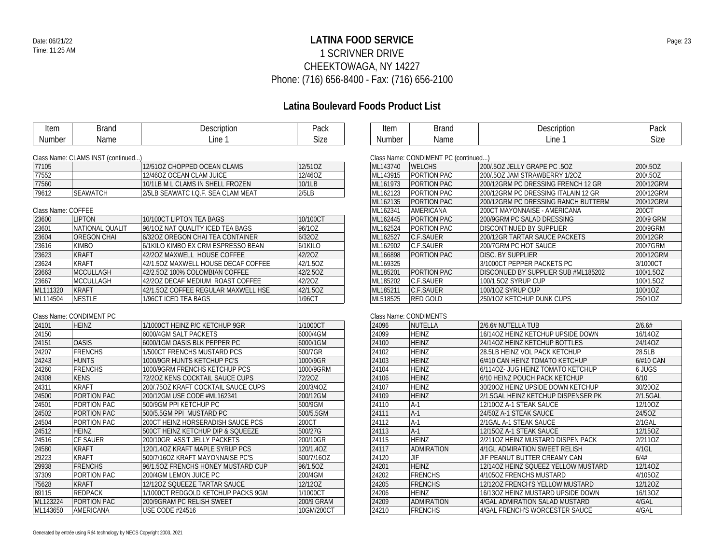## **LATINA FOOD SERVICE** Date: 06/21/22 Page: 23 1 SCRIVNER DRIVE CHEEKTOWAGA, NY 14227 Phone: (716) 656-8400 - Fax: (716) 656-2100

## **Latina Boulevard Foods Product List**

| Item   | 3rand | Description | Pack |
|--------|-------|-------------|------|
| Number | Name  | ∟ine⊹       | Size |

| $\sim$           |     | اہما<br>aun |
|------------------|-----|-------------|
| IΜI<br>٠μ<br>ושי | in≙ |             |

#### Class Name: CLAMS INST (continued...)

| 77105 |                 | 12/510Z CHOPPED OCEAN CLAMS       | 12/51 <sub>OZ</sub> |
|-------|-----------------|-----------------------------------|---------------------|
| 77552 |                 | 12/46OZ OCEAN CLAM JUICE          | 12/46OZ             |
| 77560 |                 | 10/1LB M L CLAMS IN SHELL FROZEN  | 10/1LB              |
| 79612 | <b>SEAWATCH</b> | 2/5LB SEAWATC LO.F. SEA CLAM MEAT | 2/5LB               |

### Class Name: COFFEE

| 23600    | LIPTON             | 10/100CT LIPTON TEA BAGS            | 10/100CT   |
|----------|--------------------|-------------------------------------|------------|
| 23601    | NATIONAL QUALIT    | 96/10Z NAT QUALITY ICED TEA BAGS    | 96/10Z     |
| 23604    | <b>OREGON CHAL</b> | 6/320Z OREGON CHAI TEA CONTAINER    | 6/320Z     |
| 23616    | <b>KIMBO</b>       | 6/1KILO KIMBO EX CRM ESPRESSO BEAN  | $6/1$ KILO |
| 23623    | <b>KRAFT</b>       | 42/202 MAXWELL HOUSE COFFEE         | 42/20Z     |
| 23624    | <b>KRAFT</b>       | 42/1.50Z MAXWELL HOUSE DECAF COFFEE | 42/1.50Z   |
| 23663    | <b>MCCULLAGH</b>   | 42/2.5OZ 100% COLOMBIAN COFFEE      | 42/2.50Z   |
| 23667    | <b>MCCULLAGH</b>   | 42/20Z DECAF MEDIUM ROAST COFFEE    | 42/20Z     |
| ML111320 | KRAFT              | 42/1.50Z COFFEE REGULAR MAXWELL HSE | 42/1.50Z   |
| ML114504 | <b>NESTLE</b>      | 1/96CT ICED TEA BAGS                | 1/96CT     |
|          |                    |                                     |            |

### Class Name: CONDIMENT PC

| 24101    | <b>HEINZ</b>    | 1/1000CT HEINZ P/C KETCHUP 9GR      | 1/1000CT   |
|----------|-----------------|-------------------------------------|------------|
| 24150    |                 | 6000/4GM SALT PACKETS               | 6000/4GM   |
| 24151    | <b>OASIS</b>    | 6000/1GM OASIS BLK PEPPER PC        | 6000/1GM   |
| 24207    | <b>FRENCHS</b>  | 1/500CT FRENCHS MUSTARD PCS         | 500/7GR    |
| 24243    | <b>HUNTS</b>    | 1000/9GR HUNTS KETCHUP PC'S         | 1000/9GR   |
| 24260    | <b>FRENCHS</b>  | 1000/9GRM FRENCHS KETCHUP PCS       | 1000/9GRM  |
| 24308    | <b>KENS</b>     | 72/20Z KENS COCKTAIL SAUCE CUPS     | 72/20Z     |
| 24311    | <b>KRAFT</b>    | 200/.75OZ KRAFT COCKTAIL SAUCE CUPS | 200/3/4OZ  |
| 24500    | PORTION PAC     | 200/12GM USE CODE #ML162341         | 200/12GM   |
| 24501    | PORTION PAC     | 500/9GM PPI KETCHUP PC              | 500/9GM    |
| 24502    | PORTION PAC     | 500/5.5GM PPL MUSTARD PC            | 500/5.5GM  |
| 24504    | PORTION PAC     | 200CT HEINZ HORSERADISH SAUCE PCS   | 200CT      |
| 24512    | <b>HEINZ</b>    | 500CT HEINZ KETCHUP DIP & SQUEEZE   | 500/27G    |
| 24516    | <b>CF SAUER</b> | 200/10GR ASS'T JELLY PACKETS        | 200/10GR   |
| 24580    | <b>KRAFT</b>    | 120/1.4OZ KRAFT MAPLE SYRUP PCS     | 120/1.40Z  |
| 29223    | <b>KRAFT</b>    | 500/7/16OZ KRAFT MAYONNAISE PC'S    | 500/7/16OZ |
| 29938    | <b>FRENCHS</b>  | 96/1.50Z FRENCHS HONEY MUSTARD CUP  | 96/1.5OZ   |
| 37309    | PORTION PAC     | 200/4GM LEMON JUICE PC              | 200/4GM    |
| 75628    | <b>KRAFT</b>    | 12/12OZ SOUEEZE TARTAR SAUCE        | 12/120Z    |
| 89115    | <b>REDPACK</b>  | 1/1000CT REDGOLD KETCHUP PACKS 9GM  | 1/1000CT   |
| ML123224 | PORTION PAC     | 200/9GRAM PC RELISH SWEET           | 200/9 GRAM |
| ML143650 | AMERICANA       | <b>USE CODE #24516</b>              | 10GM/200CT |
|          |                 |                                     |            |

### Class Name: CONDIMENT PC (continued...)

| ML143740 | <b>WELCHS</b>   | 200/.50Z JELLY GRAPE PC .50Z        | 200/.5OZ  |  |
|----------|-----------------|-------------------------------------|-----------|--|
| ML143915 | PORTION PAC     | 200/502 JAM STRAWBERRY 1/20Z        | 200/.5OZ  |  |
| ML161973 | PORTION PAC     | 200/12GRM PC DRESSING FRENCH 12 GR  | 200/12GRM |  |
| ML162123 | PORTION PAC     | 200/12GRM PC DRESSING ITALAIN 12 GR | 200/12GRM |  |
| ML162135 | PORTION PAC     | 200/12GRM PC DRESSING RANCH BUTTERM | 200/12GRM |  |
| ML162341 | AMERICANA       | 200CT MAYONNAISE - AMERICANA        | 200CT     |  |
| ML162445 | PORTION PAC     | 200/9GRM PC SALAD DRESSING          | 200/9 GRM |  |
| ML162524 | PORTION PAC     | DISCONTINUED BY SUPPLIER            | 200/9GRM  |  |
| ML162527 | C.F.SAUER       | 200/12GR TARTAR SAUCE PACKETS       | 200/12GR  |  |
| ML162902 | C.F.SAUER       | 200/7GRM PC HOT SAUCE               | 200/7GRM  |  |
| ML166898 | PORTION PAC     | DISC. BY SUPPLIER                   | 200/12GRM |  |
| ML169325 |                 | 3/1000CT PEPPER PACKETS PC          | 3/1000CT  |  |
| ML185201 | PORTION PAC     | DISCONUED BY SUPPLIER SUB #ML185202 | 100/1.5OZ |  |
| ML185202 | C.F.SAUER       | 100/1.5OZ SYRUP CUP                 | 100/1.5OZ |  |
| ML185211 | C.F.SAUER       | 100/10Z SYRUP CUP                   | 100/1OZ   |  |
| ML518525 | <b>RED GOLD</b> | 250/10Z KETCHUP DUNK CUPS           | 250/1OZ   |  |
|          |                 |                                     |           |  |

#### Class Name: CONDIMENTS

| 24096 | NUTELLA           | 2/6.6# NUTELLA TUB                  | 2/6.6#      |
|-------|-------------------|-------------------------------------|-------------|
| 24099 | <b>HEINZ</b>      | 16/140Z HEINZ KETCHUP UPSIDE DOWN   | 16/14OZ     |
| 24100 | <b>HEINZ</b>      | 24/14OZ HEINZ KETCHUP BOTTLES       | 24/14OZ     |
| 24102 | <b>HEINZ</b>      | 28.5LB HEINZ VOL PACK KETCHUP       | 28.5LB      |
| 24103 | <b>HEINZ</b>      | 6/#10 CAN HEINZ TOMATO KETCHUP      | $6/#10$ CAN |
| 24104 | <b>HEINZ</b>      | 6/1140Z- JUG HEINZ TOMATO KETCHUP   | 6 JUGS      |
| 24106 | <b>HEINZ</b>      | 6/10 HEINZ POUCH PACK KETCHUP       | 6/10        |
| 24107 | <b>HEINZ</b>      | 30/2007 HEINZ UPSIDE DOWN KETCHUP   | 30/20OZ     |
| 24109 | <b>HEINZ</b>      | 2/1.5GAL HEINZ KETCHUP DISPENSER PK | 2/1.5GAL    |
| 24110 | $A-1$             | 12/10OZ A-1 STEAK SAUCE             | 12/10OZ     |
| 24111 | $A-1$             | 24/50Z A-1 STEAK SAUCE              | 24/50Z      |
| 24112 | $A-1$             | 2/1GAL A-1 STEAK SAUCE              | $2/1$ GAL   |
| 24113 | $A-1$             | 12/15OZ A-1 STEAK SAUCE             | 12/15OZ     |
| 24115 | <b>HEINZ</b>      | 2/2110Z HEINZ MUSTARD DISPEN PACK   | 2/2110Z     |
| 24117 | <b>ADMIRATION</b> | 4/1GL ADMIRATION SWEET RELISH       | $4/1$ GL    |
| 24120 | JIF               | JIF PEANUT BUTTER CREAMY CAN        | 6/4#        |
| 24201 | <b>HEINZ</b>      | 12/14OZ HEINZ SOUEEZ YELLOW MUSTARD | 12/14OZ     |
| 24202 | <b>FRENCHS</b>    | 4/105OZ FRENCHS MUSTARD             | 4/105OZ     |
| 24205 | <b>FRENCHS</b>    | 12/12OZ FRENCH'S YELLOW MUSTARD     | 12/12OZ     |
| 24206 | <b>HEINZ</b>      | 16/13OZ HEINZ MUSTARD UPSIDE DOWN   | 16/13OZ     |
| 24209 | <b>ADMIRATION</b> | 4/GAL ADMIRATION SALAD MUSTARD      | 4/GAL       |
| 24210 | <b>FRENCHS</b>    | 4/GAL FRENCH'S WORCESTER SAUCE      | 4/GAL       |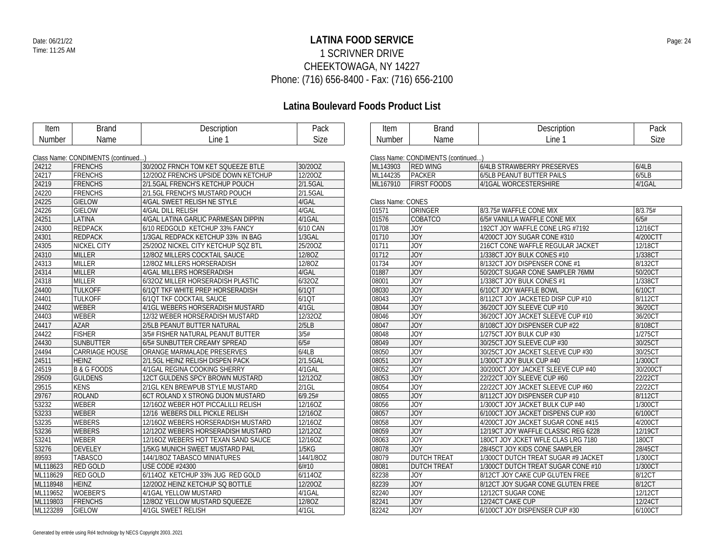## **LATINA FOOD SERVICE** Date: 06/21/22 Page: 24 1 SCRIVNER DRIVE CHEEKTOWAGA, NY 14227 Phone: (716) 656-8400 - Fax: (716) 656-2100

| Item          | <b>Brand</b>                       | Description                         | Pack      | Item              | <b>Brand</b>                       | Description                         | Pack     |
|---------------|------------------------------------|-------------------------------------|-----------|-------------------|------------------------------------|-------------------------------------|----------|
| <b>Number</b> | Name                               | Line 1                              | Size      | <b>Number</b>     | Name                               | Line 1                              | Size     |
|               |                                    |                                     |           |                   |                                    |                                     |          |
|               | Class Name: CONDIMENTS (continued) |                                     |           |                   | Class Name: CONDIMENTS (continued) |                                     |          |
| 24212         | <b>FRENCHS</b>                     | 30/200Z FRNCH TOM KET SQUEEZE BTLE  | 30/20OZ   | ML143903          | <b>RED WING</b>                    | 6/4LB STRAWBERRY PRESERVES          | 6/4LB    |
| 24217         | <b>FRENCHS</b>                     | 12/200Z FRENCHS UPSIDE DOWN KETCHUP | 12/20OZ   | ML144235          | PACKER                             | 6/5LB PEANUT BUTTER PAILS           | 6/5LB    |
| 24219         | <b>FRENCHS</b>                     | 2/1.5GAL FRENCH'S KETCHUP POUCH     | 2/1.5GAL  | ML167910          | <b>FIRST FOODS</b>                 | 4/1GAL WORCESTERSHIRE               | 4/1GAL   |
| 24220         | <b>FRENCHS</b>                     | 2/1.5GL FRENCH'S MUSTARD POUCH      | 2/1.5GAL  |                   |                                    |                                     |          |
| 24225         | <b>GIELOW</b>                      | 4/GAL SWEET RELISH NE STYLE         | 4/GAL     | Class Name: CONES |                                    |                                     |          |
| 24226         | <b>GIELOW</b>                      | 4/GAL DILL RELISH                   | 4/GAL     | 01571             | ORINGER                            | 8/3.75# WAFFLE CONE MIX             | 8/3.75#  |
| 24251         | LATINA                             | 4/GAL LATINA GARLIC PARMESAN DIPPIN | 4/1GAL    | 01576             | <b>COBATCO</b>                     | 6/5# VANILLA WAFFLE CONE MIX        | 6/5#     |
| 24300         | <b>REDPACK</b>                     | 6/10 REDGOLD KETCHUP 33% FANCY      | 6/10 CAN  | 01708             | <b>JOY</b>                         | 192CT JOY WAFFLE CONE LRG #7192     | 12/16CT  |
| 24301         | <b>REDPACK</b>                     | 1/3GAL REDPACK KETCHUP 33% IN BAG   | 1/3GAL    | 01710             | <b>JOY</b>                         | 4/200CT JOY SUGAR CONE #310         | 4/200CTT |
| 24305         | <b>NICKEL CITY</b>                 | 25/200Z NICKEL CITY KETCHUP SQZ BTL | 25/20OZ   | 01711             | <b>JOY</b>                         | 216CT CONE WAFFLE REGULAR JACKET    | 12/18CT  |
| 24310         | <b>MILLER</b>                      | 12/80Z MILLERS COCKTAIL SAUCE       | 12/8OZ    | 01712             | <b>JOY</b>                         | 1/338CT JOY BULK CONES #10          | 1/338CT  |
| 24313         | <b>MILLER</b>                      | 12/80Z MILLERS HORSERADISH          | 12/8OZ    | 01734             | <b>JOY</b>                         | 8/132CT JOY DISPENSER CONE #1       | 8/132CT  |
| 24314         | <b>MILLER</b>                      | 4/GAL MILLERS HORSERADISH           | 4/GAL     | 01887             | <b>JOY</b>                         | 50/20CT SUGAR CONE SAMPLER 76MM     | 50/20CT  |
| 24318         | <b>MILLER</b>                      | 6/320Z MILLER HORSERADISH PLASTIC   | 6/32OZ    | 08001             | <b>JOY</b>                         | 1/338CT JOY BULK CONES #1           | 1/338CT  |
| 24400         | <b>TULKOFF</b>                     | 6/1QT TKF WHITE PREP HORSERADISH    | 6/1QT     | 08030             | <b>JOY</b>                         | 6/10CT JOY WAFFLE BOWL              | 6/10CT   |
| 24401         | <b>TULKOFF</b>                     | 6/1QT TKF COCKTAIL SAUCE            | 6/1QT     | 08043             | <b>JOY</b>                         | 8/112CT JOY JACKETED DISP CUP #10   | 8/112CT  |
| 24402         | <b>WEBER</b>                       | 4/1GL WEBERS HORSERADISH MUSTARD    | $4/1$ GL  | 08044             | <b>JOY</b>                         | 36/20CT JOY SLEEVE CUP #10          | 36/20CT  |
| 24403         | WEBER                              | 12/32 WEBER HORSERADISH MUSTARD     | 12/320Z   | 08046             | <b>JOY</b>                         | 36/20CT JOY JACKET SLEEVE CUP #10   | 36/20CT  |
| 24417         | AZAR                               | 2/5LB PEANUT BUTTER NATURAL         | 2/5LB     | 08047             | <b>JOY</b>                         | 8/108CT JOY DISPENSER CUP #22       | 8/108CT  |
| 24422         | <b>FISHER</b>                      | 3/5# FISHER NATURAL PEANUT BUTTER   | 3/5#      | 08048             | <b>JOY</b>                         | 1/275CT JOY BULK CUP #30            | 1/275CT  |
| 24430         | <b>SUNBUTTER</b>                   | 6/5# SUNBUTTER CREAMY SPREAD        | 6/5#      | 08049             | <b>JOY</b>                         | 30/25CT JOY SLEEVE CUP #30          | 30/25CT  |
| 24494         | <b>CARRIAGE HOUSE</b>              | ORANGE MARMALADE PRESERVES          | 6/4LB     | 08050             | <b>JOY</b>                         | 30/25CT JOY JACKET SLEEVE CUP #30   | 30/25CT  |
| 24511         | <b>HEINZ</b>                       | 2/1.5GL HEINZ RELISH DISPEN PACK    | 2/1.5GAL  | 08051             | <b>JOY</b>                         | 1/300CT JOY BULK CUP #40            | 1/300CT  |
| 24519         | <b>B &amp; G FOODS</b>             | 4/1GAL REGINA COOKING SHERRY        | 4/1GAL    | 08052             | <b>JOY</b>                         | 30/200CT JOY JACKET SLEEVE CUP #40  | 30/200CT |
| 29509         | <b>GULDENS</b>                     | 12CT GULDENS SPCY BROWN MUSTARD     | 12/12OZ   | 08053             | <b>JOY</b>                         | 22/22CT JOY SLEEVE CUP #60          | 22/22CT  |
| 29515         | <b>KENS</b>                        | 2/1GL KEN BREWPUB STYLE MUSTARD     | $2/1$ GL  | 08054             | <b>JOY</b>                         | 22/22CT JOY JACKET SLEEVE CUP #60   | 22/22CT  |
| 29767         | ROLAND                             | 6CT ROLAND X STRONG DIJON MUSTARD   | 6/9.25#   | 08055             | <b>JOY</b>                         | 8/112CT JOY DISPENSER CUP #10       | 8/112CT  |
| 53232         | WEBER                              | 12/160Z WEBER HOT PICCALILLI RELISH | 12/16OZ   | 08056             | <b>JOY</b>                         | 1/300CT JOY JACKET BULK CUP #40     | 1/300CT  |
| 53233         | WEBER                              | 12/16 WEBERS DILL PICKLE RELISH     | 12/16OZ   | 08057             | <b>JOY</b>                         | 6/100CT JOY JACKET DISPENS CUP #30  | 6/100CT  |
| 53235         | <b>WEBERS</b>                      | 12/16OZ WEBERS HORSERADISH MUSTARD  | 12/16OZ   | 08058             | <b>JOY</b>                         | 4/200CT JOY JACKET SUGAR CONE #415  | 4/200CT  |
| 53236         | <b>WEBERS</b>                      | 12/12OZ WEBERS HORSERADISH MUSTARD  | 12/12OZ   | 08059             | <b>JOY</b>                         | 12/19CT JOY WAFFLE CLASSIC REG 6228 | 12/19CT  |
| 53241         | WEBER                              | 12/16OZ WEBERS HOT TEXAN SAND SAUCE | 12/16OZ   | 08063             | <b>JOY</b>                         | 180CT JOY JCKET WFLE CLAS LRG 7180  | 180CT    |
| 53276         | <b>DEVELEY</b>                     | 1/5KG MUNICH SWEET MUSTARD PAIL     | 1/5KG     | 08078             | <b>JOY</b>                         | 28/45CT JOY KIDS CONE SAMPLER       | 28/45CT  |
| 89593         | <b>TABASCO</b>                     | 144/1/8OZ TABASCO MINIATURES        | 144/1/8OZ | 08079             | <b>DUTCH TREAT</b>                 | 1/300CT DUTCH TREAT SUGAR #9 JACKET | 1/300CT  |
| ML118623      | <b>RED GOLD</b>                    | <b>USE CODE #24300</b>              | 6/#10     | 08081             | <b>DUTCH TREAT</b>                 | 1/300CT DUTCH TREAT SUGAR CONE #10  | 1/300CT  |
| ML118629      | <b>RED GOLD</b>                    | 6/114OZ KETCHUP 33% JUG RED GOLD    | 6/1140Z   | 82238             | <b>JOY</b>                         | 8/12CT JOY CAKE CUP GLUTEN FREE     | 8/12CT   |
| ML118948      | <b>HEINZ</b>                       | 12/200Z HEINZ KETCHUP SQ BOTTLE     | 12/200Z   | 82239             | <b>JOY</b>                         | 8/12CT JOY SUGAR CONE GLUTEN FREE   | 8/12CT   |
| ML119652      | <b>WOEBER'S</b>                    | 4/1GAL YELLOW MUSTARD               | 4/1GAL    | 82240             | <b>JOY</b>                         | 12/12CT SUGAR CONE                  | 12/12CT  |
| ML119803      | <b>FRENCHS</b>                     | 12/80Z YELLOW MUSTARD SQUEEZE       | 12/8OZ    | 82241             | <b>JOY</b>                         | 12/24CT CAKE CUP                    | 12/24CT  |
| ML123289      | <b>GIELOW</b>                      | 4/1GL SWEET RELISH                  | 4/1GL     | 82242             | <b>JOY</b>                         | 6/100CT JOY DISPENSER CUP #30       | 6/100CT  |
|               |                                    |                                     |           |                   |                                    |                                     |          |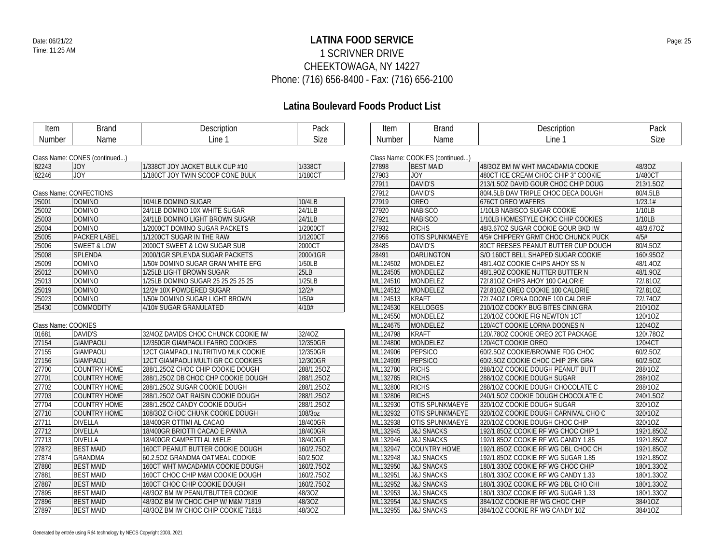## **LATINA FOOD SERVICE** Date: 06/21/22 Page: 25 1 SCRIVNER DRIVE CHEEKTOWAGA, NY 14227 Phone: (716) 656-8400 - Fax: (716) 656-2100

## **Latina Boulevard Foods Product List**

| Item                | <b>Brand</b>                  | Description                         | Pack        | Item     | <b>Brand</b>                    | Description                         | Pack       |
|---------------------|-------------------------------|-------------------------------------|-------------|----------|---------------------------------|-------------------------------------|------------|
| Number              | Name                          | Line 1                              | <b>Size</b> | Number   | Name                            | Line 1                              | Size       |
|                     |                               |                                     |             |          |                                 |                                     |            |
|                     | Class Name: CONES (continued) |                                     |             |          | Class Name: COOKIES (continued) |                                     |            |
| 82243               | <b>JOY</b>                    | 1/338CT JOY JACKET BULK CUP #10     | 1/338CT     | 27898    | <b>BEST MAID</b>                | 48/30Z BM IW WHT MACADAMIA COOKIE   | 48/30Z     |
| 82246               | JOY                           | 1/180CT JOY TWIN SCOOP CONE BULK    | 1/180CT     | 27903    | <b>JOY</b>                      | 480CT ICE CREAM CHOC CHIP 3" COOKIE | 1/480CT    |
|                     |                               |                                     |             | 27911    | DAVID'S                         | 213/1.50Z DAVID GOUR CHOC CHIP DOUG | 213/1.5OZ  |
|                     | Class Name: CONFECTIONS       |                                     |             | 27912    | <b>DAVID'S</b>                  | 80/4.5LB DAV TRIPLE CHOC DECA DOUGH | 80/4.5LB   |
| 25001               | <b>DOMINO</b>                 | 10/4LB DOMINO SUGAR                 | 10/4LB      | 27919    | <b>OREO</b>                     | <b>676CT OREO WAFERS</b>            | 1/23.1#    |
| 25002               | <b>DOMINO</b>                 | 24/1LB DOMINO 10X WHITE SUGAR       | 24/1LB      | 27920    | <b>NABISCO</b>                  | 1/10LB NABISCO SUGAR COOKIE         | 1/10LB     |
| 25003               | <b>DOMINO</b>                 | 24/1LB DOMINO LIGHT BROWN SUGAR     | 24/1LB      | 27921    | <b>NABISCO</b>                  | 1/10LB HOMESTYLE CHOC CHIP COOKIES  | 1/10LB     |
| 25004               | <b>DOMINO</b>                 | 1/2000CT DOMINO SUGAR PACKETS       | 1/2000CT    | 27932    | <b>RICHS</b>                    | 48/3.67OZ SUGAR COOKIE GOUR BKD IW  | 48/3.67OZ  |
| 25005               | <b>PACKER LABEL</b>           | 1/1200CT SUGAR IN THE RAW           | 1/1200CT    | 27956    | <b>OTIS SPUNKMAEYE</b>          | 4/5# CHIPPERY GRMT CHOC CHUNCK PUCK | 4/5#       |
| 25006               | <b>SWEET &amp; LOW</b>        | 2000CT SWEET & LOW SUGAR SUB        | 2000CT      | 28485    | <b>DAVID'S</b>                  | 80CT REESES PEANUT BUTTER CUP DOUGH | 80/4.5OZ   |
| 25008               | SPLENDA                       | 2000/1GR SPLENDA SUGAR PACKETS      | 2000/1GR    | 28491    | <b>DARLINGTON</b>               | S/O 160CT BELL SHAPED SUGAR COOKIE  | 160/.95OZ  |
| 25009               | <b>DOMINO</b>                 | 1/50# DOMINO SUGAR GRAN WHITE EFG   | 1/50LB      | ML124502 | MONDELEZ                        | 48/1.40Z COOKIE CHIPS AHOY SS N     | 48/1.40Z   |
| 25012               | <b>DOMINO</b>                 | 1/25LB LIGHT BROWN SUGAR            | 25LB        | ML124505 | MONDELEZ                        | 48/1.90Z COOKIE NUTTER BUTTER N     | 48/1.90Z   |
| 25013               | <b>DOMINO</b>                 | 1/25LB DOMINO SUGAR 25 25 25 25 25  | 1/25LB      | ML124510 | MONDELEZ                        | 72/8102 CHIPS AHOY 100 CALORIE      | 72/.81OZ   |
| 25019               | <b>DOMINO</b>                 | 12/2# 10X POWDERED SUGAR            | 12/2#       | ML124512 | MONDELEZ                        | 72/810Z OREO COOKIE 100 CALORIE     | 72/8110Z   |
| 25023               | <b>DOMINO</b>                 | 1/50# DOMINO SUGAR LIGHT BROWN      | 1/50#       | ML124513 | <b>KRAFT</b>                    | 72/.740Z LORNA DOONE 100 CALORIE    | 72/.740Z   |
| 25430               | <b>COMMODITY</b>              | 4/10# SUGAR GRANULATED              | 4/10#       | ML124530 | <b>KELLOGGS</b>                 | 210/10Z COOKY BUG BITES CINN.GRA    | 210/10Z    |
|                     |                               |                                     |             | ML124550 | MONDELEZ                        | 120/10Z COOKIE FIG NEWTON 1CT       | 120/10Z    |
| Class Name: COOKIES |                               |                                     |             | ML124675 | MONDELEZ                        | 120/4CT COOKIE LORNA DOONES N       | 120/4OZ    |
| 01681               | DAVID'S                       | 32/40Z DAVIDS CHOC CHUNCK COOKIE IW | 32/4OZ      | ML124798 | <b>KRAFT</b>                    | 120/.780Z COOKIE OREO 2CT PACKAGE   | 120/.78OZ  |
| 27154               | <b>GIAMPAOLI</b>              | 12/350GR GIAMPAOLI FARRO COOKIES    | 12/350GR    | ML124800 | MONDELEZ                        | 120/4CT COOKIE OREO                 | 120/4CT    |
| 27155               | <b>GIAMPAOLI</b>              | 12CT GIAMPAOLI NUTRITIVO MLK COOKIE | 12/350GR    | ML124906 | PEPSICO                         | 60/2.50Z COOKIE/BROWNIE FDG CHOC    | 60/2.50Z   |
| 27156               | <b>GIAMPAOLI</b>              | 12CT GIAMPAOLI MULTI GR CC COOKIES  | 12/300GR    | ML124909 | PEPSICO                         | 60/2.50Z COOKIE CHOC CHIP 2PK GRA   | 60/2.50Z   |
| 27700               | <b>COUNTRY HOME</b>           | 288/1.250Z CHOC CHIP COOKIE DOUGH   | 288/1.25OZ  | ML132780 | <b>RICHS</b>                    | 288/10Z COOKIE DOUGH PEANUT BUTT    | 288/10Z    |
| 27701               | <b>COUNTRY HOME</b>           | 288/1.25OZ DB CHOC CHP COOKIE DOUGH | 288/1.25OZ  | ML132785 | <b>RICHS</b>                    | 288/10Z COOKIE DOUGH SUGAR          | 288/10Z    |
| 27702               | <b>COUNTRY HOME</b>           | 288/1.25OZ SUGAR COOKIE DOUGH       | 288/1.25OZ  | ML132800 | <b>RICHS</b>                    | 288/10Z COOKIE DOUGH CHOCOLATE C    | 288/10Z    |
| 27703               | <b>COUNTRY HOME</b>           | 288/1.25OZ OAT RAISIN COOKIE DOUGH  | 288/1.25OZ  | ML132806 | <b>RICHS</b>                    | 240/1.50Z COOKIE DOUGH CHOCOLATE C  | 240/1.5OZ  |
| 27704               | <b>COUNTRY HOME</b>           | 288/1.25OZ CANDY COOKIE DOUGH       | 288/1.25OZ  | ML132930 | <b>OTIS SPUNKMAEYE</b>          | 320/10Z COOKIE DOUGH SUGAR          | 320/1OZ    |
| 27710               | <b>COUNTRY HOME</b>           | 108/30Z CHOC CHUNK COOKIE DOUGH     | 108/3oz     | ML132932 | <b>OTIS SPUNKMAEYE</b>          | 320/10Z COOKIE DOUGH CARNIVAL CHO C | 320/1OZ    |
| 27711               | <b>DIVELLA</b>                | 18/400GR OTTIMI AL CACAO            | 18/400GR    | ML132938 | OTIS SPUNKMAEYE                 | 320/10Z COOKIE DOUGH CHOC CHIP      | 320/1OZ    |
| 27712               | <b>DIVELLA</b>                | 18/400GR BRIOTTI CACAO E PANNA      | 18/400GR    | ML132945 | <b>J&amp;J SNACKS</b>           | 192/1.85OZ COOKIE RF WG CHOC CHIP 1 | 192/1.85OZ |
| 27713               | <b>DIVELLA</b>                | 18/400GR CAMPETTI AL MIELE          | 18/400GR    | ML132946 | <b>J&amp;J SNACKS</b>           | 192/1.85OZ COOKIE RF WG CANDY 1.85  | 192/1.85OZ |
| 27872               | <b>BEST MAID</b>              | 160CT PEANUT BUTTER COOKIE DOUGH    | 160/2.75OZ  | ML132947 | <b>COUNTRY HOME</b>             | 192/1.85OZ COOKIE RF WG DBL CHOC CH | 192/1.85OZ |
| 27874               | <b>GRANDMA</b>                | 60.2.50Z GRANDMA OATMEAL COOKIE     | 60/2.50Z    | ML132948 | <b>J&amp;J SNACKS</b>           | 192/1.85OZ COOKIE RF WG SUGAR 1.85  | 192/1.85OZ |
| 27880               | <b>BEST MAID</b>              | 160CT WHT MACADAMIA COOKIE DOUGH    | 160/2.75OZ  | ML132950 | <b>J&amp;J SNACKS</b>           | 180/1.33OZ COOKIE RF WG CHOC CHIP   | 180/1.33OZ |
| 27881               | <b>BEST MAID</b>              | 160CT CHOC CHIP M&M COOKIE DOUGH    | 160/2.75OZ  | ML132951 | <b>J&amp;J SNACKS</b>           | 180/1.33OZ COOKIE RF WG CANDY 1.33  | 180/1.33OZ |
| 27887               | <b>BEST MAID</b>              | 160CT CHOC CHIP COOKIE DOUGH        | 160/2.75OZ  | ML132952 | <b>J&amp;J SNACKS</b>           | 180/1.330Z COOKIE RF WG DBL CHO CHI | 180/1.33OZ |
| 27895               | <b>BEST MAID</b>              | 48/30Z BM IW PEANUTBUTTER COOKIE    | 48/3OZ      | ML132953 | <b>J&amp;J SNACKS</b>           | 180/1.330Z COOKIE RF WG SUGAR 1.33  | 180/1.33OZ |
| 27896               | <b>BEST MAID</b>              | 48/30Z BM IW CHOC CHIP W/ M&M 71819 | 48/3OZ      | ML132954 | <b>J&amp;J SNACKS</b>           | 384/10Z COOKIE RF WG CHOC CHIP      | 384/1OZ    |
| 27897               | <b>BEST MAID</b>              | 48/30Z BM IW CHOC CHIP COOKIE 71818 | 48/3OZ      | ML132955 | <b>J&amp;J SNACKS</b>           | 384/10Z COOKIE RF WG CANDY 10Z      | 384/1OZ    |
|                     |                               |                                     |             |          |                                 |                                     |            |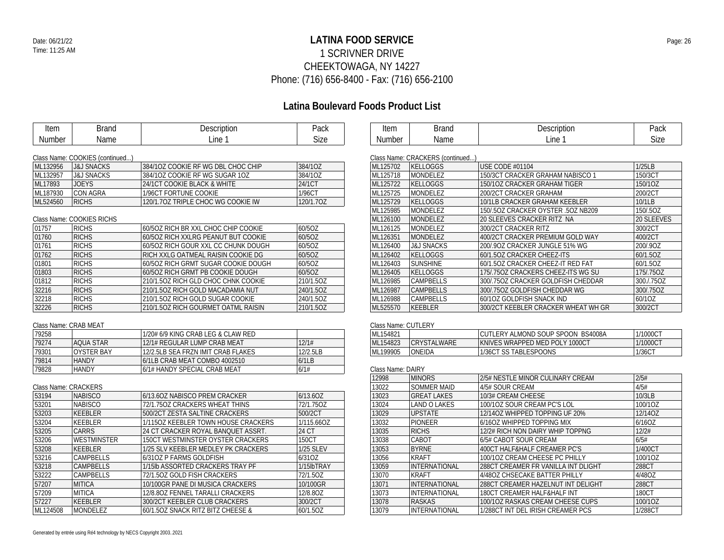## **LATINA FOOD SERVICE** Date: 06/21/22 Page: 26 1 SCRIVNER DRIVE CHEEKTOWAGA, NY 14227 Phone: (716) 656-8400 - Fax: (716) 656-2100

## **Latina Boulevard Foods Product List**

| <b>Item</b>    | <b>Brand</b>                              | Description                         | Pack      |
|----------------|-------------------------------------------|-------------------------------------|-----------|
| <b>Number</b>  | Name                                      | Line 1                              | Size      |
|                |                                           |                                     |           |
|                | Class Name: COOKIES (continued)           |                                     |           |
| ML132956       | <b>J&amp;J SNACKS</b>                     | 384/10Z COOKIE RF WG DBL CHOC CHIP  | 384/10Z   |
| ML132957       | <b>J&amp;J SNACKS</b>                     | 384/10Z COOKIE RF WG SUGAR 10Z      | 384/1OZ   |
| ML17893        | <b>JOEYS</b>                              | 24/1CT COOKIE BLACK & WHITE         | 24/1CT    |
| ML187930       | CON AGRA                                  | 1/96CT FORTUNE COOKIE               | 1/96CT    |
| ML524560       | <b>RICHS</b>                              | 120/1.70Z TRIPLE CHOC WG COOKIE IW  | 120/1.70Z |
| 01757          | Class Name: COOKIES RICHS<br><b>RICHS</b> | 60/50Z RICH BR XXL CHOC CHIP COOKIE | 60/50Z    |
|                |                                           |                                     |           |
| 01760          | <b>RICHS</b>                              | 60/50Z RICH XXLRG PEANUT BUT COOKIE | 60/50Z    |
|                | <b>RICHS</b>                              | 60/50Z RICH GOUR XXL CC CHUNK DOUGH | 60/50Z    |
| 01761<br>01762 | <b>RICHS</b>                              | RICH XXLG OATMEAL RAISIN COOKIE DG  | 60/50Z    |
| 01801          | <b>RICHS</b>                              | 60/50Z RICH GRMT SUGAR COOKIE DOUGH | 60/50Z    |
| 01803          | <b>RICHS</b>                              | 60/5OZ RICH GRMT PB COOKIE DOUGH    | 60/5OZ    |
| 01812          | <b>RICHS</b>                              | 210/1.5OZ RICH GLD CHOC CHNK COOKIE | 210/1.50Z |
| 32216          | <b>RICHS</b>                              | 210/1.5OZ RICH GOLD MACADAMIA NUT   | 240/1.5OZ |
| 32218          | <b>RICHS</b>                              | 210/1.50Z RICH GOLD SUGAR COOKIE    | 240/1.5OZ |

### Class Name: CRAB MEAT

| 79258 |                    | 1/20# 6/9 KING CRAB LEG & CLAW RED |          |
|-------|--------------------|------------------------------------|----------|
| 79274 | LAOUA STAR         | 12/1# REGULAR LUMP CRAB MEAT       | 12/1#    |
| 79301 | <b>LOYSTER BAY</b> | 12/2 5LB SEA FRZN IMIT CRAB ELAKES | 12/2.5LB |
| 79814 | <b>HANDY</b>       | 16/1LB CRAB MEAT COMBO 4002510     | 6/11 B   |
| 79828 | <b>HANDY</b>       | 16/1# HANDY SPECIAL CRAB MEAT      | 6/1#     |

### Class Name: CRACKERS

| 53194<br><b>NABISCO</b> |          |                    | 6/13.60Z NABISCO PREM CRACKER       | 6/13.6OZ         |
|-------------------------|----------|--------------------|-------------------------------------|------------------|
|                         | 53201    | <b>NABISCO</b>     | 72/1.750Z CRACKERS WHEAT THINS      | 72/1.750Z        |
|                         | 53203    | KEEBLER            | 500/2CT ZESTA SALTINE CRACKERS      | 500/2CT          |
|                         | 53204    | KEEBLER            | 1/1150Z KEEBLER TOWN HOUSE CRACKERS | 1/115.66OZ       |
|                         | 53205    | <b>CARRS</b>       | 24 CT CRACKER ROYAL BANQUET ASSRT.  | 24 CT            |
|                         | 53206    | <b>WESTMINSTER</b> | 150CT WESTMINSTER OYSTER CRACKERS   | 150CT            |
|                         | 53208    | KEEBLER            | 1/25 SLV KEEBLER MEDLEY PK CRACKERS | <b>1/25 SLEV</b> |
|                         | 53216    | <b>CAMPBELLS</b>   | 6/310Z P FARMS GOLDFISH             | 6/310Z           |
|                         | 53218    | <b>CAMPBELLS</b>   | 1/15lb ASSORTED CRACKERS TRAY PF    | 1/15lbTRAY       |
|                         | 53222    | CAMPBELLS          | 72/1.50Z GOLD FISH CRACKERS         | 72/1.50Z         |
|                         | 57207    | <b>MITICA</b>      | 10/100GR PANE DI MUSICA CRACKERS    | 10/100GR         |
|                         | 57209    | <b>MITICA</b>      | 12/8.80Z FENNEL TARALLI CRACKERS    | 12/8.80Z         |
|                         | 57227    | KEEBLER            | 300/2CT KEEBLER CLUB CRACKERS       | 300/2CT          |
|                         | ML124508 | <b>MONDELEZ</b>    | 60/1.50Z SNACK RITZ BITZ CHEESE &   | 60/1.5OZ         |

| Item                             | Brand | Description | Pack |  |  |  |
|----------------------------------|-------|-------------|------|--|--|--|
| <b>Number</b>                    | Name  | ∟ine 1      | Size |  |  |  |
| Class Name: CDACKEDC (santinued) |       |             |      |  |  |  |

|          | Class Name: CRACKERS (continued) |                                     |            |  |  |
|----------|----------------------------------|-------------------------------------|------------|--|--|
| ML125702 | <b>KELLOGGS</b>                  | <b>USE CODE #01104</b>              | 1/25LB     |  |  |
| ML125718 | <b>MONDELEZ</b>                  | 150/3CT CRACKER GRAHAM NABISCO 1    | 150/3CT    |  |  |
| ML125722 | <b>KELLOGGS</b>                  | 150/10Z CRACKER GRAHAM TIGER        | 150/1OZ    |  |  |
| ML125725 | MONDELEZ                         | 200/2CT CRACKER GRAHAM              | 200/2CT    |  |  |
| ML125729 | KELLOGGS                         | 10/1LB CRACKER GRAHAM KEEBLER       | 10/1LB     |  |  |
| ML125985 | <b>MONDELEZ</b>                  | 150/502 CRACKER OYSTER .50Z NB209   | 150/.5OZ   |  |  |
| ML126100 | <b>MONDELEZ</b>                  | 20 SLEEVES CRACKER RITZ NA          | 20 SLEEVES |  |  |
| ML126125 | <b>MONDELEZ</b>                  | 300/2CT CRACKER RITZ                | 300/2CT    |  |  |
| ML126351 | <b>MONDELEZ</b>                  | 400/2CT CRACKER PREMIUM GOLD WAY    | 400/2CT    |  |  |
| ML126400 | <b>J&amp;J SNACKS</b>            | 200/90Z CRACKER JUNGLE 51% WG       | 200/.90Z   |  |  |
| ML126402 | <b>KELLOGGS</b>                  | 60/1.50Z CRACKER CHEEZ-ITS          | 60/1.5OZ   |  |  |
| ML126403 | <b>SUNSHINE</b>                  | 60/1.50Z CRACKER CHEEZ-IT RED FAT   | 60/1.5OZ   |  |  |
| ML126405 | <b>KELLOGGS</b>                  | 175/.75OZ CRACKERS CHEEZ-ITS WG SU  | 175/.75OZ  |  |  |
| ML126985 | CAMPBELLS                        | 300/.75OZ CRACKER GOLDFISH CHEDDAR  | 300./.75OZ |  |  |
| ML126987 | <b>CAMPBELLS</b>                 | 300/750Z GOLDFISH CHEDDAR WG        | 300/.75OZ  |  |  |
| ML126988 | <b>CAMPBELLS</b>                 | 60/10Z GOLDFISH SNACK IND           | 60/10Z     |  |  |
| ML525570 | KEEBLER                          | 300/2CT KEEBLER CRACKER WHEAT WH GR | 300/2CT    |  |  |

### Class Name: CUTLERY

| IML154821 |                     | CUTLERY ALMOND SOUP SPOON BS4008A | 1/1000C |
|-----------|---------------------|-----------------------------------|---------|
| ML154823  | <b>ICRYSTALWARE</b> | KNIVES WRAPPED MED POLY 1000CT    | 1/1000C |
| ML199905  | ONEIDA              | 1/36CT SS TABLESPOONS             | 1/36CT  |

#### Class Name: DAIRY

| 12998 | <b>MINORS</b>        | 2/5# NESTLE MINOR CULINARY CREAM    | 2/5#    |
|-------|----------------------|-------------------------------------|---------|
| 13022 | SOMMER MAID          | 4/5# SOUR CREAM                     | 4/5#    |
| 13023 | <b>GREAT LAKES</b>   | 10/3# CREAM CHEESE                  | 10/3LB  |
| 13024 | <b>LAND O LAKES</b>  | 100/10Z SOUR CREAM PC'S LOL         | 100/1OZ |
| 13029 | <b>UPSTATE</b>       | 12/140Z WHIPPED TOPPING UF 20%      | 12/14OZ |
| 13032 | <b>PIONEER</b>       | 6/160Z WHIPPED TOPPING MIX          | 6/16OZ  |
| 13035 | <b>RICHS</b>         | 12/2# RICH NON DAIRY WHIP TOPPNG    | 12/2#   |
| 13038 | CABOT                | 6/5# CABOT SOUR CREAM               | 6/5#    |
| 13053 | <b>BYRNE</b>         | 400CT HALF&HALF CREAMER PC'S        | 1/400CT |
| 13056 | <b>KRAFT</b>         | 100/10Z CREAM CHEESE PC PHILLY      | 100/10Z |
| 13059 | <b>INTERNATIONAL</b> | 288CT CREAMER FR VANILLA INT DLIGHT | 288CT   |
| 13070 | <b>KRAFT</b>         | 4/480Z CHSECAKE BATTER PHILLY       | 4/480Z  |
| 13071 | <b>INTERNATIONAL</b> | 288CT CREAMER HAZELNUT INT DELIGHT  | 288CT   |
| 13073 | <b>INTERNATIONAL</b> | 180CT CREAMER HALF&HALF INT         | 180CT   |
| 13078 | <b>RASKAS</b>        | 100/10Z RASKAS CREAM CHEESE CUPS    | 100/1OZ |
| 13079 | <b>INTERNATIONAL</b> | 1/288CT INT DEL IRISH CREAMER PCS   | 1/288CT |
|       |                      |                                     |         |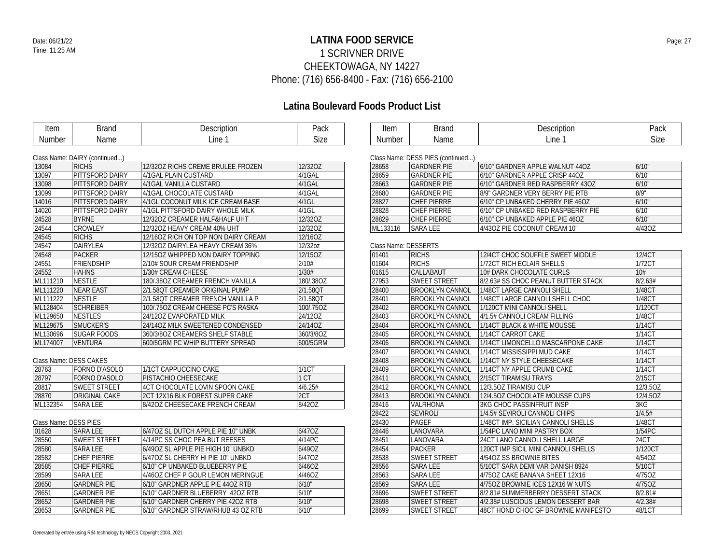## **LATINA FOOD SERVICE** Date: 06/21/22 Page: 27 1 SCRIVNER DRIVE CHEEKTOWAGA, NY 14227 Phone: (716) 656-8400 - Fax: (716) 656-2100

## **Latina Boulevard Foods Product List**

| Item                  | <b>Brand</b>                  | Description                         | Pack        |
|-----------------------|-------------------------------|-------------------------------------|-------------|
| Number                | Name                          | Line 1                              | <b>Size</b> |
|                       |                               |                                     |             |
|                       | Class Name: DAIRY (continued) |                                     |             |
| 13084                 | <b>RICHS</b>                  | 12/320Z RICHS CREME BRULEE FROZEN   | 12/32OZ     |
| 13097                 | PITTSFORD DAIRY               | 4/1GAL PLAIN CUSTARD                | 4/1GAL      |
| 13098                 | PITTSFORD DAIRY               | 4/1GAL VANILLA CUSTARD              | 4/1GAL      |
| 13099                 | PITTSFORD DAIRY               | 4/1GAL CHOCOLATE CUSTARD            | 4/1GAL      |
| 14016                 | PITTSFORD DAIRY               | 4/1GL COCONUT MILK ICE CREAM BASE   | $4/1$ GL    |
| 14020                 | PITTSFORD DAIRY               | 4/1GL PITTSFORD DAIRY WHOLE MILK    | $4/1$ GL    |
| 24528                 | <b>BYRNE</b>                  | 12/32OZ CREAMER HALF&HALF UHT       | 12/32OZ     |
| 24544                 | CROWLEY                       | 12/32OZ HEAVY CREAM 40% UHT         | 12/32OZ     |
| 24545                 | <b>RICHS</b>                  | 12/16OZ RICH ON TOP NON DAIRY CREAM | 12/16OZ     |
| 24547                 | DAIRYLEA                      | 12/32OZ DAIRYLEA HEAVY CREAM 36%    | 12/32oz     |
| 24548                 | <b>PACKER</b>                 | 12/150Z WHIPPED NON DAIRY TOPPING   | 12/15OZ     |
| 24551                 | <b>FRIENDSHIP</b>             | 2/10# SOUR CREAM FRIENDSHIP         | 2/10#       |
| 24552                 | <b>HAHNS</b>                  | 1/30# CREAM CHEESE                  | 1/30#       |
| ML111210              | <b>NESTLE</b>                 | 180/.38OZ CREAMER FRENCH VANILLA    | 180/.38OZ   |
| ML111220              | <b>NEAR EAST</b>              | 2/1.58QT CREAMER ORIGINAL PUMP      | 2/1.58QT    |
| ML111222              | <b>NESTLE</b>                 | 2/1.58QT CREAMER FRENCH VANILLA P   | 2/1.58QT    |
| ML128404              | <b>SCHREIBER</b>              | 100/.75OZ CREAM CHEESE PC'S RASKA   | 100/.75OZ   |
| ML129650              | <b>NESTLES</b>                | 24/12OZ EVAPORATED MILK             | 24/12OZ     |
| ML129675              | SMUCKER'S                     | 24/14OZ MILK SWEETENED CONDENSED    | 24/14OZ     |
| ML130696              | <b>SUGAR FOODS</b>            | 360/3/8OZ CREAMERS SHELF STABLE     | 360/3/8OZ   |
| ML174007              | <b>VENTURA</b>                | 600/5GRM PC WHIP BUTTERY SPREAD     | 600/5GRM    |
|                       |                               |                                     |             |
|                       | Class Name: DESS CAKES        |                                     |             |
| 28763                 | FORNO D'ASOLO                 | 1/1CT CAPPUCCINO CAKE               | 1/1CT       |
| 28797                 | FORNO D'ASOLO                 | PISTACHIO CHEESECAKE                | 1 CT        |
| 28817                 | <b>SWEET STREET</b>           | 4CT CHOCOLATE LOVIN SPOON CAKE      | 4/6.25#     |
| 28870                 | ORIGINAL CAKE                 | 2CT 12X16 BLK FOREST SUPER CAKE     | 2CT         |
| ML132354              | <b>SARA LEE</b>               | 8/42OZ CHEESECAKE FRENCH CREAM      | 8/42OZ      |
|                       |                               |                                     |             |
| Class Name: DESS PIES |                               |                                     |             |
| 01628                 | <b>SARA LEE</b>               | 6/47OZ SL DUTCH APPLE PIE 10" UNBK  | 6/47OZ      |
| 28550                 | <b>SWEET STREET</b>           | 4/14PC SS CHOC PEA BUT REESES       | 4/14PC      |
| 28580                 | <b>SARA LEE</b>               | 6/49OZ SL APPLE PIE HIGH 10" UNBKD  | 6/49OZ      |
| 28582                 | <b>CHEF PIERRE</b>            | 6/47OZ SL CHERRY HI PIE 10" UNBKD   | 6/47OZ      |
| 28585                 | <b>CHEF PIERRE</b>            | 6/10" CP UNBAKED BLUEBERRY PIE      | 6/46OZ      |
| 28599                 | <b>SARA LEE</b>               | 4/46OZ CHEF P GOUR LEMON MERINGUE   | 4/46OZ      |
| 28650                 | <b>GARDNER PIE</b>            | 6/10" GARDNER APPLE PIE 44OZ RTB    | 6/10"       |
| 28651                 | <b>GARDNER PIE</b>            | 6/10" GARDNER BLUEBERRY 42OZ RTB    | 6/10"       |
| 28652                 | <b>GARDNER PIE</b>            | 6/10" GARDNER CHERRY PIE 420Z RTB   | 6/10"       |
| 28653                 | <b>GARDNER PIE</b>            | 6/10" GARDNER STRAW/RHUB 43 OZ RTB  | 6/10"       |

| Item        | $1 - 1 - 1$ | $+ - - -$<br>הוטורי "<br>ັ | יוטיי<br>aur |
|-------------|-------------|----------------------------|--------------|
| Num<br>nber | me          | ine                        | ~∙<br>√i⊐r   |

| Class Name: DESS PIES (continued) |                    |                                    |        |  |  |
|-----------------------------------|--------------------|------------------------------------|--------|--|--|
| 28658                             | <b>GARDNER PIE</b> | 6/10" GARDNER APPLE WALNUT 4407    | 6/10"  |  |  |
| 28659                             | <b>GARDNER PIE</b> | 6/10" GARDNER APPLE CRISP 440Z     | 6/10"  |  |  |
| 28663                             | <b>GARDNER PIF</b> | 6/10" GARDNER RED RASPBERRY 430Z   | 6/10"  |  |  |
| 28680                             | <b>GARDNER PIF</b> | 8/9" GARDNER VERY BERRY PIE RTB    | 8/9"   |  |  |
| 28827                             | <b>CHEF PIFRRE</b> | 6/10" CP UNBAKED CHERRY PIE 46OZ   | 6/10"  |  |  |
| 28828                             | CHFF PIFRRF        | 6/10" CP UNBAKED RED RASPBERRY PIE | 6/10"  |  |  |
| 28829                             | <b>CHEF PIFRRE</b> | 6/10" CP UNBAKED APPLE PIE 460Z    | 6/10"  |  |  |
| ML133116                          | <b>SARAIFF</b>     | 4/430Z PIE COCONUT CREAM 10"       | 4/43OZ |  |  |

### Class Name: DESSERTS

| Oldss Hame. DESSERTS |                        |                                     |          |  |  |
|----------------------|------------------------|-------------------------------------|----------|--|--|
| 01401                | <b>RICHS</b>           | 12/4CT CHOC SOUFFLE SWEET MIDDLE    | 12/4CT   |  |  |
| 01604                | <b>RICHS</b>           | 1/72CT RICH ECLAIR SHELLS           | 1/72CT   |  |  |
| 01615                | CALLABAUT              | 10# DARK CHOCOLATE CURLS            | 10#      |  |  |
| 27953                | <b>SWEET STREET</b>    | 8/2.63# SS CHOC PEANUT BUTTER STACK | 8/2.63#  |  |  |
| 28400                | <b>BROOKLYN CANNOL</b> | 1/48CT LARGE CANNOLI SHELL          | 1/48CT   |  |  |
| 28401                | <b>BROOKLYN CANNOL</b> | 1/48CT LARGE CANNOLI SHELL CHOC     | 1/48CT   |  |  |
| 28402                | <b>BROOKLYN CANNOL</b> | 1/120CT MINI CANNOLI SHELL          | 1/120CT  |  |  |
| 28403                | <b>BROOKLYN CANNOL</b> | 4/1.5# CANNOLI CREAM FILLING        | 1/48CT   |  |  |
| 28404                | <b>BROOKLYN CANNOL</b> | 1/14CT BLACK & WHITE MOUSSE         | 1/14CT   |  |  |
| 28405                | <b>BROOKLYN CANNOL</b> | 1/14CT CARROT CAKE                  | 1/14CT   |  |  |
| 28406                | <b>BROOKLYN CANNOL</b> | 1/14CT LIMONCELLO MASCARPONE CAKE   | 1/14CT   |  |  |
| 28407                | <b>BROOKLYN CANNOL</b> | 1/14CT MISSISSIPPI MUD CAKE         | 1/14CT   |  |  |
| 28408                | <b>BROOKLYN CANNOL</b> | 1/14CT NY STYLE CHEESECAKE          | 1/14CT   |  |  |
| 28409                | BROOKLYN CANNOL        | 1/14CT NY APPLE CRUMB CAKE          | 1/14CT   |  |  |
| 28411                | <b>BROOKLYN CANNOL</b> | 2/15CT TIRAMISU TRAYS               | 2/15CT   |  |  |
| 28412                | <b>BROOKLYN CANNOL</b> | 12/3.50Z TIRAMISU CUP               | 12/3.5OZ |  |  |
| 28413                | <b>BROOKLYN CANNOL</b> | 12/4.50Z CHOCOLATE MOUSSE CUPS      | 12/4.5OZ |  |  |
| 28416                | <b>VALRHONA</b>        | <b>3KG CHOC PASSINFRUIT INSP</b>    | 3KG      |  |  |
| 28422                | <b>SEVIROLI</b>        | 1/4.5# SEVIROLI CANNOLI CHIPS       | 1/4.5#   |  |  |
| 28430                | PAGEF                  | 1/48CT IMP. SICILIAN CANNOLI SHELLS | 1/48CT   |  |  |
| 28446                | LANOVARA               | 1/54PC LANO MINI PASTRY BOX         | 1/54PC   |  |  |
| 28451                | LANOVARA               | 24CT LANO CANNOLI SHELL LARGE       | 24CT     |  |  |
| 28454                | <b>PACKER</b>          | 120CT IMP SICIL MINI CANNOLI SHELLS | 1/120CT  |  |  |
| 28538                | <b>SWEET STREET</b>    | 4/540Z SS BROWNIE BITES             | 4/540Z   |  |  |
| 28556                | <b>SARA LEE</b>        | 5/10CT SARA DEMI VAR DANISH 8924    | 5/10CT   |  |  |
| 28563                | <b>SARA LEE</b>        | 4/75OZ CAKE BANANA SHEET 12X16      | 4/750Z   |  |  |
| 28569                | <b>SARA LEE</b>        | 4/750Z BROWNIE ICES 12X16 W NUTS    | 4/750Z   |  |  |
| 28696                | <b>SWEET STREET</b>    | 8/2.81# SUMMERBERRY DESSERT STACK   | 8/2.81#  |  |  |
| 28698                | <b>SWEET STREET</b>    | 4/2.38# LUSCIOUS LEMON DESSERT BAR  | 4/2.38#  |  |  |
| 28699                | <b>SWEET STREET</b>    | 48CT HOND CHOC GF BROWNIE MANIFESTO | 48/1CT   |  |  |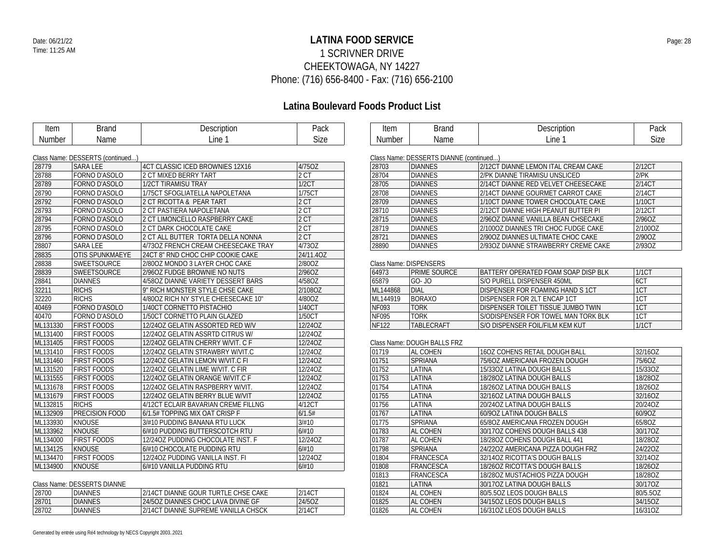## **LATINA FOOD SERVICE** Date: 06/21/22 Page: 28 1 SCRIVNER DRIVE CHEEKTOWAGA, NY 14227 Phone: (716) 656-8400 - Fax: (716) 656-2100

## **Latina Boulevard Foods Product List**

| <b>Item</b> | <b>Brand</b>                     | Description                         | Pack      | Item         | <b>Brand</b>                            |                      |
|-------------|----------------------------------|-------------------------------------|-----------|--------------|-----------------------------------------|----------------------|
| Number      | Name                             | Line 1                              | Size      | Number       | Name                                    |                      |
|             |                                  |                                     |           |              |                                         |                      |
|             | Class Name: DESSERTS (continued) |                                     |           |              | Class Name: DESSERTS DIANNE (continued) |                      |
| 28779       | <b>SARA LEE</b>                  | 4CT CLASSIC ICED BROWNIES 12X16     | 4/75OZ    | 28703        | <b>DIANNES</b>                          | 2/12CT DL            |
| 28788       | FORNO D'ASOLO                    | 2 CT MIXED BERRY TART               | 2 CT      | 28704        | <b>DIANNES</b>                          | 2/PK DIAN            |
| 28789       | FORNO D'ASOLO                    | 1/2CT TIRAMISU TRAY                 | 1/2CT     | 28705        | <b>DIANNES</b>                          | 2/14CT DL            |
| 28790       | FORNO D'ASOLO                    | 1/75CT SFOGLIATELLA NAPOLETANA      | 1/75CT    | 28708        | <b>DIANNES</b>                          | 2/14CT DI            |
| 28792       | <b>FORNO D'ASOLO</b>             | 2 CT RICOTTA & PEAR TART            | 2 CT      | 28709        | <b>DIANNES</b>                          | 1/10CT DL            |
| 28793       | FORNO D'ASOLO                    | 2 CT PASTIERA NAPOLETANA            | 2 CT      | 28710        | <b>DIANNES</b>                          | 2/12CT DI            |
| 28794       | FORNO D'ASOLO                    | 2 CT LIMONCELLO RASPBERRY CAKE      | 2 CT      | 28715        | <b>DIANNES</b>                          | 2/96OZ DI            |
| 28795       | FORNO D'ASOLO                    | 2 CT DARK CHOCOLATE CAKE            | 2CT       | 28719        | <b>DIANNES</b>                          | 2/100OZ D            |
| 28796       | <b>FORNO D'ASOLO</b>             | 2 CT ALL BUTTER TORTA DELLA NONNA   | 2CT       | 28721        | <b>DIANNES</b>                          | 2/90OZ DI            |
| 28807       | <b>SARA LEE</b>                  | 4/730Z FRENCH CREAM CHEESECAKE TRAY | 4/730Z    | 28890        | <b>DIANNES</b>                          | 2/930Z DI            |
| 28835       | <b>OTIS SPUNKMAEYE</b>           | 24CT 8" RND CHOC CHIP COOKIE CAKE   | 24/11.4OZ |              |                                         |                      |
| 28838       | <b>SWEETSOURCE</b>               | 2/80OZ MONDO 3 LAYER CHOC CAKE      | 2/80OZ    |              | Class Name: DISPENSERS                  |                      |
| 28839       | <b>SWEETSOURCE</b>               | 2/96OZ FUDGE BROWNIE NO NUTS        | 2/96OZ    | 64973        | <b>PRIME SOURCE</b>                     | <b>BATTERY</b>       |
| 28841       | <b>DIANNES</b>                   | 4/580Z DIANNE VARIETY DESSERT BARS  | 4/58OZ    | 65879        | GO- JO                                  | S/O PURE             |
| 32211       | <b>RICHS</b>                     | 9" RICH MONSTER STYLE CHSE CAKE     | 2/108OZ   | ML144868     | <b>DIAL</b>                             | <b>DISPENSE</b>      |
| 32220       | <b>RICHS</b>                     | 4/800Z RICH NY STYLE CHEESECAKE 10" | 4/80OZ    | ML144919     | <b>BORAXO</b>                           | <b>DISPENSE</b>      |
| 40469       | FORNO D'ASOLO                    | 1/40CT CORNETTO PISTACHIO           | 1/40CT    | <b>NF093</b> | <b>TORK</b>                             | <b>DISPENSE</b>      |
| 40470       | FORNO D'ASOLO                    | 1/50CT CORNETTO PLAIN GLAZED        | 1/50CT    | <b>NF095</b> | <b>TORK</b>                             | S/ODISPE             |
| ML131330    | <b>FIRST FOODS</b>               | 12/24OZ GELATIN ASSORTED RED W/V    | 12/24OZ   | <b>NF122</b> | TABLECRAFT                              | S/O DISPE            |
| ML131400    | <b>FIRST FOODS</b>               | 12/24OZ GELATIN ASSRTD CITRUS W/    | 12/24OZ   |              |                                         |                      |
| ML131405    | <b>FIRST FOODS</b>               | 12/24OZ GELATIN CHERRY W/VIT. C F   | 12/24OZ   |              | Class Name: DOUGH BALLS FRZ             |                      |
| ML131410    | <b>FIRST FOODS</b>               | 12/24OZ GELATIN STRAWBRY W/VIT.C    | 12/24OZ   | 01719        | <b>AL COHEN</b>                         | 160Z CO <sub>b</sub> |
| ML131460    | <b>FIRST FOODS</b>               | 12/24OZ GELATIN LEMON W/VIT.C FI    | 12/24OZ   | 01751        | <b>SPRIANA</b>                          | 75/60Z AN            |
| ML131520    | <b>FIRST FOODS</b>               | 12/24OZ GELATIN LIME W/VIT. C FIR   | 12/24OZ   | 01752        | LATINA                                  | 15/33OZ L            |
| ML131555    | <b>FIRST FOODS</b>               | 12/24OZ GELATIN ORANGE W/VIT.C F    | 12/24OZ   | 01753        | LATINA                                  | 18/28OZ L            |
| ML131678    | <b>FIRST FOODS</b>               | 12/24OZ GELATIN RASPBERRY W/VIT.    | 12/24OZ   | 01754        | LATINA                                  | 18/26OZ L            |
| ML131679    | <b>FIRST FOODS</b>               | 12/24OZ GELATIN BERRY BLUE W/VIT    | 12/24OZ   | 01755        | LATINA                                  | 32/16OZ L            |
| ML132815    | <b>RICHS</b>                     | 4/12CT ECLAIR BAVARIAN CREME FILLNG | 4/12CT    | 01756        | LATINA                                  | 20/24OZ L            |
| ML132909    | <b>PRECISION FOOD</b>            | 6/1.5# TOPPING MIX OAT CRISP F      | 6/1.5#    | 01767        | LATINA                                  | 60/90Z LA            |
| ML133930    | <b>KNOUSE</b>                    | 3/#10 PUDDING BANANA RTU LUCK       | 3/#10     | 01775        | <b>SPRIANA</b>                          | 65/80Z AM            |
| ML133962    | <b>KNOUSE</b>                    | 6/#10 PUDDING BUTTERSCOTCH RTU      | 6/#10     | 01783        | AL COHEN                                | 30/17OZ C            |
| ML134000    | <b>FIRST FOODS</b>               | 12/240Z PUDDING CHOCOLATE INST. F   | 12/24OZ   | 01787        | AL COHEN                                | 18/28OZ C            |
| ML134125    | <b>KNOUSE</b>                    | 6/#10 CHOCOLATE PUDDING RTU         | 6/#10     | 01798        | <b>SPRIANA</b>                          | 24/22OZ A            |
| ML134470    | <b>FIRST FOODS</b>               | 12/240Z PUDDING VANILLA INST. FI    | 12/24OZ   | 01804        | FRANCESCA                               | 32/14OZ R            |
| ML134900    | <b>KNOUSE</b>                    | 6/#10 VANILLA PUDDING RTU           | 6/#10     | 01808        | FRANCESCA                               | 18/26OZ R            |
|             |                                  |                                     |           | 01813        | FRANCESCA                               | 18/28OZ M            |

Class Name: DESSERTS DIANNE

| 28700 | <b>DIANNES</b> | 2/14CT DIANNE GOUR TURTLE CHSE CAKE | 2/14CT |
|-------|----------------|-------------------------------------|--------|
| 28701 | <b>DIANNES</b> | 24/50Z DIANNES CHOC LAVA DIVINE GF  | 24/507 |
| 28702 | DIANNES        | 2/14CT DIANNE SUPREME VANILLA CHSCK | 2/14CT |

| Item          | 3rand | Description | Pack |
|---------------|-------|-------------|------|
| <b>Number</b> | Name  | Line        | Size |

| 28703 | <b>DIANNES</b> | 2/12CT DIANNE LEMON ITAL CREAM CAKE | 2/12CT     |
|-------|----------------|-------------------------------------|------------|
| 28704 | <b>DIANNES</b> | 2/PK DIANNE TIRAMISU UNSLICED       | $2$ / $PK$ |
| 28705 | <b>DIANNES</b> | 2/14CT DIANNE RED VELVET CHEESECAKE | 2/14CT     |
| 28708 | <b>DIANNES</b> | 2/14CT DIANNE GOURMET CARROT CAKE   | 2/14CT     |
| 28709 | <b>DIANNES</b> | 1/10CT DIANNE TOWER CHOCOLATE CAKE  | 1/10CT     |
| 28710 | <b>DIANNES</b> | 2/12CT DIANNE HIGH PEANUT BUTTER PI | 2/12CT     |
| 28715 | <b>DIANNES</b> | 2/960Z DIANNE VANILLA BEAN CHSECAKE | 2/960Z     |
| 28719 | <b>DIANNES</b> | 2/1000Z DIANNES TRI CHOC FUDGE CAKE | 2/100OZ    |
| 28721 | <b>DIANNES</b> | 2/900Z DIANNES ULTIMATE CHOC CAKE   | 2/900Z     |
| 28890 | <b>DIANNES</b> | 2/930Z DIANNE STRAWBERRY CREME CAKE | 2/930Z     |

| 64973        | iprime source-                                  | 1/1CT                              |       |
|--------------|-------------------------------------------------|------------------------------------|-------|
| 65879        | S/O PURELL DISPENSER 450ML<br>$GO-JO$           |                                    | 6CT   |
| ML144868     | DISPENSER FOR FOAMING HAND S 1CT<br><b>DIAL</b> |                                    | 1CT   |
| MI 144919    | DISPENSER FOR 2LT ENCAP 1CT<br><b>BORAXO</b>    |                                    | 1CT   |
| NF093        | TORK                                            | DISPENSER TOILET TISSUE JUMBO TWIN |       |
| NF095        | S/ODISPENSER FOR TOWEL MAN TORK BLK<br>TORK     |                                    | 1CT   |
| <b>NF122</b> | <b>TABLECRAFT</b>                               | S/O DISPENSER FOIL/FILM KEM KUT    | 1/1CT |

| 01719 | AL COHEN<br>16OZ COHENS RETAIL DOUGH BALL |                                   | 32/16OZ  |
|-------|-------------------------------------------|-----------------------------------|----------|
| 01751 | <b>SPRIANA</b>                            | 75/60Z AMERICANA FROZEN DOUGH     | 75/6OZ   |
| 01752 | LATINA                                    | 15/330Z LATINA DOUGH BALLS        | 15/33OZ  |
| 01753 | LATINA                                    | 18/280Z LATINA DOUGH BALLS        | 18/280Z  |
| 01754 | LATINA                                    | 18/260Z LATINA DOUGH BALLS        | 18/26OZ  |
| 01755 | LATINA                                    | 32/160Z LATINA DOUGH BALLS        | 32/16OZ  |
| 01756 | LATINA                                    | 20/24OZ LATINA DOUGH BALLS        | 20/24OZ  |
| 01767 | LATINA                                    | 60/90Z LATINA DOUGH BALLS         | 60/90Z   |
| 01775 | <b>SPRIANA</b>                            | 65/8OZ AMERICANA FROZEN DOUGH     | 65/8OZ   |
| 01783 | AL COHEN                                  | 30/17OZ COHENS DOUGH BALLS 438    | 30/17OZ  |
| 01787 | AL COHEN                                  | 18/280Z COHENS DOUGH BALL 441     | 18/28OZ  |
| 01798 | <b>SPRIANA</b>                            | 24/220Z AMERICANA PIZZA DOUGH FRZ | 24/22OZ  |
| 01804 | <b>FRANCESCA</b>                          | 32/140Z RICOTTA'S DOUGH BALLS     | 32/14OZ  |
| 01808 | <b>FRANCESCA</b>                          | 18/260Z RICOTTA'S DOUGH BALLS     | 18/26OZ  |
| 01813 | FRANCESCA                                 | 18/280Z MUSTACHIOS PIZZA DOUGH    | 18/28OZ  |
| 01821 | LATINA                                    | 30/170Z LATINA DOUGH BALLS        | 30/17OZ  |
| 01824 | AL COHEN                                  | 80/5.5OZ LEOS DOUGH BALLS         | 80/5.5OZ |
| 01825 | AL COHEN                                  | 34/150Z LEOS DOUGH BALLS          | 34/15OZ  |
| 01826 | AL COHEN                                  | 16/31OZ LEOS DOUGH BALLS          | 16/31OZ  |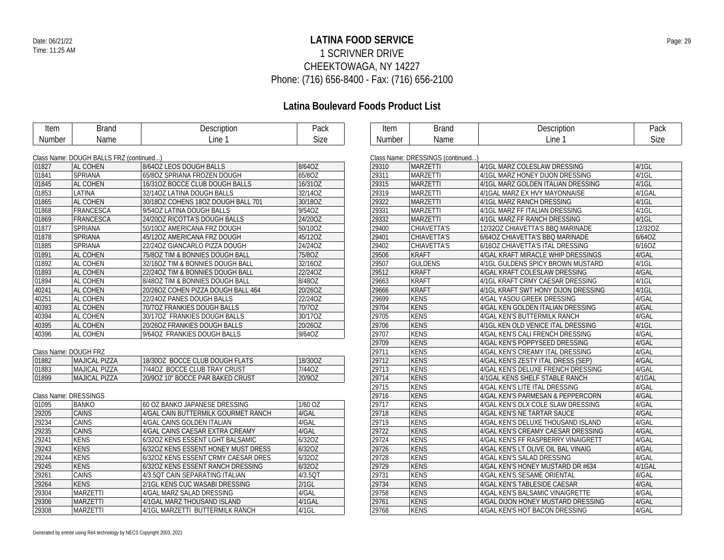## **LATINA FOOD SERVICE** Date: 06/21/22 Page: 29 1 SCRIVNER DRIVE CHEEKTOWAGA, NY 14227 Phone: (716) 656-8400 - Fax: (716) 656-2100

## **Latina Boulevard Foods Product List**

| <b>Item</b>   | <b>Brand</b>                            | Description                        | Pack        | Item      |
|---------------|-----------------------------------------|------------------------------------|-------------|-----------|
| <b>Number</b> | Name                                    | Line 1                             | <b>Size</b> | Numbe     |
|               |                                         |                                    |             |           |
|               | Class Name: DOUGH BALLS FRZ (continued) |                                    |             | Class Nam |
| 01827         | AL COHEN                                | 8/64OZ LEOS DOUGH BALLS            | 8/64OZ      | 29310     |
| 01841         | <b>SPRIANA</b>                          | 65/8OZ SPRIANA FROZEN DOUGH        | 65/80Z      | 29311     |
| 01845         | AL COHEN                                | 16/310Z BOCCE CLUB DOUGH BALLS     | 16/310Z     | 29315     |
| 01853         | LATINA                                  | 32/140Z LATINA DOUGH BALLS         | 32/14OZ     | 29319     |
| 01865         | AL COHEN                                | 30/180Z COHENS 180Z DOUGH BALL 701 | 30/18OZ     | 29322     |
| 01868         | FRANCESCA                               | 9/540Z LATINA DOUGH BALLS          | 9/54OZ      | 29331     |
| 01869         | FRANCESCA                               | 24/200Z RICOTTA'S DOUGH BALLS      | 24/200Z     | 29332     |
| 01077         | CDDIANA                                 | E0/1007 AMERICANA ED7 DOUCH        | $E0/107$    | 00100     |

| 01845 | AL COHEN       | 16/310Z BOCCE CLUB DOUGH BALLS     | 16/310Z |
|-------|----------------|------------------------------------|---------|
| 01853 | LATINA         | 32/14OZ LATINA DOUGH BALLS         | 32/14OZ |
| 01865 | AL COHEN       | 30/180Z COHENS 180Z DOUGH BALL 701 | 30/18OZ |
| 01868 | FRANCESCA      | 9/540Z LATINA DOUGH BALLS          | 9/540Z  |
| 01869 | FRANCESCA      | 24/200Z RICOTTA'S DOUGH BALLS      | 24/200Z |
| 01877 | SPRIANA        | 50/100Z AMERICANA FRZ DOUGH        | 50/10OZ |
| 01878 | <b>SPRIANA</b> | 45/120Z AMERICANA FRZ DOUGH        | 45/12OZ |
| 01885 | <b>SPRIANA</b> | 22/240Z GIANCARLO PIZZA DOUGH      | 24/24OZ |
| 01891 | AL COHEN       | 75/8OZ TIM & BONNIES DOUGH BALL    | 75/80Z  |
| 01892 | AL COHEN       | 32/160Z TIM & BONNIES DOUGH BALL   | 32/16OZ |
| 01893 | AL COHEN       | 22/240Z TIM & BONNIES DOUGH BALL   | 22/24OZ |
| 01894 | AL COHEN       | 8/480Z TIM & BONNIES DOUGH BALL    | 8/48OZ  |
| 40241 | AL COHEN       | 20/26OZ COHEN PIZZA DOUGH BALL 464 | 20/26OZ |
| 40251 | AL COHEN       | 22/240Z PANES DOUGH BALLS          | 22/24OZ |
| 40393 | AL COHEN       | 70/70Z FRANKIES DOUGH BALLS        | 70/70Z  |
| 40394 | AL COHEN       | 30/17OZ FRANKIES DOUGH BALLS       | 30/17OZ |
| 40395 | AL COHEN       | 20/26OZ FRANKIES DOUGH BALLS       | 20/26OZ |
| 40396 | AL COHEN       | 9/640Z FRANKIES DOUGH BALLS        | 9/64OZ  |

### Class Name: DOUGH FRZ

| 01882 | <b>MAJICAL PIZZA</b> | 18/300Z BOCCE CLUB DOUGH FLATS   | 18/30OZ |
|-------|----------------------|----------------------------------|---------|
| 01883 | MAJICAL PIZZA        | 7/440Z BOCCE CLUB TRAY CRUST     | 7/44OZ  |
| 01899 | IMAJICAL PIZZA       | 20/90Z 10" BOCCE PAR BAKED CRUST | 20/907  |

#### Class Name: DRESSINGS

| 01095 | <b>BANKO</b>    | 60 OZ BANKO JAPANESE DRESSING       | 1/60 OZ    |
|-------|-----------------|-------------------------------------|------------|
| 29205 | <b>CAINS</b>    | 4/GAL CAIN BUTTERMILK GOURMET RANCH | 4/GAL      |
| 29234 | <b>CAINS</b>    | 4/GAL CAINS GOLDEN ITALIAN          | 4/GAL      |
| 29235 | <b>CAINS</b>    | 4/GAL CAINS CAESAR EXTRA CREAMY     | 4/GAL      |
| 29241 | <b>KENS</b>     | 6/32OZ KENS ESSENT LGHT BALSAMIC    | 6/320Z     |
| 29243 | <b>KENS</b>     | 6/32OZ KENS ESSENT HONEY MUST DRESS | 6/32OZ     |
| 29244 | <b>KENS</b>     | 6/32OZ KENS ESSENT CRMY CAESAR DRES | 6/32OZ     |
| 29245 | <b>KENS</b>     | 6/32OZ KENS ESSENT RANCH DRESSING   | 6/320Z     |
| 29261 | <b>CAINS</b>    | 4/3.50T CAIN SEPARATING ITALIAN     | $4/3.5$ OT |
| 29264 | <b>KENS</b>     | 2/1GL KENS CUC WASABI DRESSING      | $2/1$ GL   |
| 29304 | <b>MARZETTI</b> | 4/GAL MARZ SALAD DRESSING           | 4/GAL      |
| 29306 | <b>MARZETTI</b> | 4/1GAL MARZ THOUSAND ISLAND         | 4/1GAL     |
| 29308 | <b>MARZETTI</b> | 4/1GL MARZETTI BUTTERMILK RANCH     | $4/1$ GL   |

| Item   | <b>Brand</b>                      | Description                         | Pack     |
|--------|-----------------------------------|-------------------------------------|----------|
| Number | Name                              | Line 1                              | Size     |
|        | Class Name: DRESSINGS (continued) |                                     |          |
| 29310  | <b>MARZETTI</b>                   | 4/1GL MARZ COLESLAW DRESSING        | 4/1GL    |
| 29311  | <b>MARZETTI</b>                   | 4/1GL MARZ HONEY DIJON DRESSING     | $4/1$ GL |
| 29315  | <b>MARZETTI</b>                   | 4/1GL MARZ GOLDEN ITALIAN DRESSING  | $4/1$ GL |
| 29319  | <b>MARZETTI</b>                   | 4/1GAL MARZ EX HVY MAYONNAISE       | 4/1GAL   |
| 29322  | <b>MARZETTI</b>                   | 4/1GL MARZ RANCH DRESSING           | $4/1$ GL |
| 29331  | MARZETTI                          | 4/1GL MARZ FF ITALIAN DRESSING      | $4/1$ GL |
| 29332  | MARZETTI                          | 4/1GL MARZ FF RANCH DRESSING        | $4/1$ GL |
| 29400  | <b>CHIAVETTA'S</b>                | 12/32OZ CHIAVETTA'S BBQ MARINADE    | 12/32OZ  |
| 29401  | <b>CHIAVETTA'S</b>                | 6/64OZ CHIAVETTA'S BBQ MARINADE     | 6/64OZ   |
| 29402  | CHIAVETTA'S                       | 6/16OZ CHIAVETTA'S ITAL DRESSING    | 6/16OZ   |
| 29506  | <b>KRAFT</b>                      | 4/GAL KRAFT MIRACLE WHIP DRESSINGS  | 4/GAL    |
| 29507  | <b>GULDENS</b>                    | 4/1GL GULDENS SPICY BROWN MUSTARD   | $4/1$ GL |
| 29512  | <b>KRAFT</b>                      | 4/GAL KRAFT COLESLAW DRESSING       | 4/GAL    |
| 29663  | <b>KRAFT</b>                      | 4/1GL KRAFT CRMY CAESAR DRESSING    | $4/1$ GL |
| 29666  | <b>KRAFT</b>                      | 4/1GL KRAFT SWT HONY DIJON DRESSING | $4/1$ GL |
| 29699  | <b>KENS</b>                       | 4/GAL YASOU GREEK DRESSING          | 4/GAL    |
| 29704  | <b>KENS</b>                       | 4/GAL KEN GOLDEN ITALIAN DRESSING   | 4/GAL    |
| 29705  | <b>KENS</b>                       | 4/GAL KEN'S BUTTERMILK RANCH        | 4/GAL    |
| 29706  | <b>KENS</b>                       | 4/1GL KEN OLD VENICE ITAL DRESSING  | $4/1$ GL |
| 29707  | <b>KENS</b>                       | 4/GAL KEN'S CALI FRENCH DRESSING    | 4/GAL    |
| 29709  | <b>KENS</b>                       | 4/GAL KEN'S POPPYSEED DRESSING      | 4/GAL    |
| 29711  | <b>KENS</b>                       | 4/GAL KEN'S CREAMY ITAL DRESSING    | 4/GAL    |
| 29712  | <b>KENS</b>                       | 4/GAL KEN'S ZESTY ITAL DRESS (SEP)  | 4/GAL    |
| 29713  | <b>KENS</b>                       | 4/GAL KEN'S DELUXE FRENCH DRESSING  | 4/GAL    |
| 29714  | <b>KENS</b>                       | 4/1GAL KENS SHELF STABLE RANCH      | 4/1GAL   |
| 29715  | <b>KENS</b>                       | 4/GAL KEN'S LITE ITAL DRESSING      | 4/GAL    |
| 29716  | <b>KENS</b>                       | 4/GAL KEN'S PARMESAN & PEPPERCORN   | 4/GAL    |
| 29717  | <b>KENS</b>                       | 4/GAL KEN'S DLX COLE SLAW DRESSING  | 4/GAL    |
| 29718  | <b>KENS</b>                       | 4/GAL KEN'S NE TARTAR SAUCE         | 4/GAL    |
| 29719  | <b>KENS</b>                       | 4/GAL KEN'S DELUXE THOUSAND ISLAND  | 4/GAL    |
| 29722  | <b>KENS</b>                       | 4/GAL KEN'S CREAMY CAESAR DRESSING  | 4/GAL    |
| 29724  | <b>KENS</b>                       | 4/GAL KEN'S FF RASPBERRY VINAIGRETT | 4/GAL    |
| 29726  | <b>KENS</b>                       | 4/GAL KEN'S LT OLIVE OIL BAL VINAIG | 4/GAL    |
| 29728  | <b>KENS</b>                       | 4/GAL KEN'S SALAD DRESSING          | 4/GAL    |
| 29729  | <b>KENS</b>                       | 4/GAL KEN'S HONEY MUSTARD DR #634   | 4/1GAL   |
| 29731  | <b>KENS</b>                       | 4/GAL KEN'S SESAME ORIENTAL         | 4/GAL    |
| 29734  | <b>KENS</b>                       | 4/GAL KEN'S TABLESIDE CAESAR        | 4/GAL    |
| 29758  | <b>KENS</b>                       | 4/GAL KEN'S BALSAMIC VINAIGRETTE    | 4/GAL    |
| 29761  | <b>KENS</b>                       | 4/GAL DIJON HONEY MUSTARD DRESSING  | 4/GAL    |
| 29768  | <b>KENS</b>                       | 4/GAL KEN'S HOT BACON DRESSING      | 4/GAL    |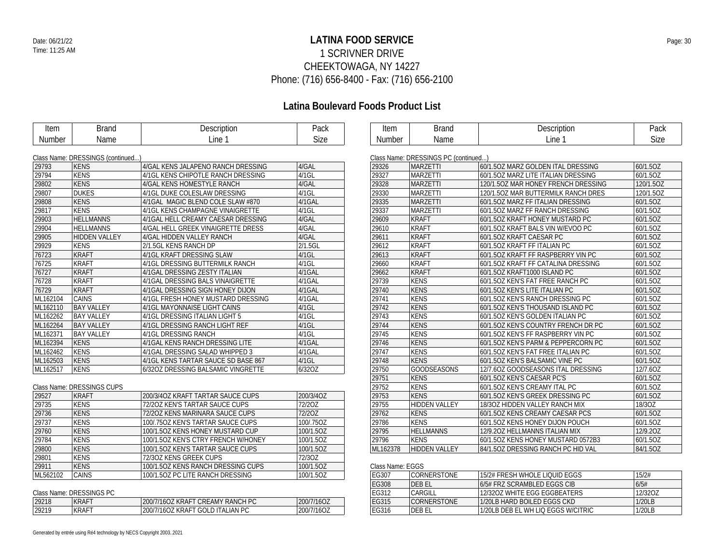## **LATINA FOOD SERVICE** Date: 06/21/22 Page: 30 1 SCRIVNER DRIVE CHEEKTOWAGA, NY 14227 Phone: (716) 656-8400 - Fax: (716) 656-2100

## **Latina Boulevard Foods Product List**

| Item     | <b>Brand</b>                     | Description                         | Pack      | Item   | <b>Brand</b>                         | Description                         | Pack      |
|----------|----------------------------------|-------------------------------------|-----------|--------|--------------------------------------|-------------------------------------|-----------|
| Number   | Name                             | Line 1                              | Size      | Number | Name                                 | Line 1                              | Size      |
|          |                                  |                                     |           |        |                                      |                                     |           |
|          | Class Name: DRESSINGS (continued |                                     |           |        | Class Name: DRESSINGS PC (continued) |                                     |           |
| 29793    | <b>KENS</b>                      | 4/GAL KENS JALAPENO RANCH DRESSING  | 4/GAL     | 29326  | <b>MARZETTI</b>                      | 60/1.5OZ MARZ GOLDEN ITAL DRESSING  | 60/1.5OZ  |
| 29794    | <b>KENS</b>                      | 4/1GL KENS CHIPOTLE RANCH DRESSING  | $4/1$ GL  | 29327  | <b>MARZETTI</b>                      | 60/1.50Z MARZ LITE ITALIAN DRESSING | 60/1.5OZ  |
| 29802    | KENS                             | 4/GAL KENS HOMESTYLE RANCH          | 4/GAL     | 29328  | <b>MARZETTI</b>                      | 120/1.5OZ MAR HONEY FRENCH DRESSING | 120/1.5OZ |
| 29807    | <b>DUKES</b>                     | 4/1GL DUKE COLESLAW DRESSING        | $4/1$ GL  | 29330  | <b>MARZETTI</b>                      | 120/1.5OZ MAR BUTTERMILK RANCH DRES | 120/1.5OZ |
| 29808    | <b>KENS</b>                      | 4/1GAL MAGIC BLEND COLE SLAW #870   | 4/1GAL    | 29335  | <b>MARZETTI</b>                      | 60/1.50Z MARZ FF ITALIAN DRESSING   | 60/1.5OZ  |
| 29817    | <b>KENS</b>                      | 4/1GL KENS CHAMPAGNE VINAIGRETTE    | $4/1$ GL  | 29337  | <b>MARZETTI</b>                      | 60/1.50Z MARZ FF RANCH DRESSING     | 60/1.5OZ  |
| 29903    | <b>HELLMANNS</b>                 | 4/1GAL HELL CREAMY CAESAR DRESSING  | 4/GAL     | 29609  | <b>KRAFT</b>                         | 60/1.50Z KRAFT HONEY MUSTARD PC     | 60/1.5OZ  |
| 29904    | <b>HELLMANNS</b>                 | 4/GAL HELL GREEK VINAIGRETTE DRESS  | 4/GAL     | 29610  | <b>KRAFT</b>                         | 60/1.50Z KRAFT BALS VIN W/EVOO PC   | 60/1.5OZ  |
| 29905    | <b>HIDDEN VALLEY</b>             | 4/GAL HIDDEN VALLEY RANCH           | 4/GAL     | 29611  | <b>KRAFT</b>                         | 60/1.50Z KRAFT CAESAR PC            | 60/1.5OZ  |
| 29929    | <b>KENS</b>                      | 2/1.5GL KENS RANCH DP               | 2/1.5GL   | 29612  | <b>KRAFT</b>                         | 60/1.50Z KRAFT FF ITALIAN PC        | 60/1.5OZ  |
| 76723    | <b>KRAFT</b>                     | 4/1GL KRAFT DRESSING SLAW           | $4/1$ GL  | 29613  | <b>KRAFT</b>                         | 60/1.50Z KRAFT FF RASPBERRY VIN PC  | 60/1.5OZ  |
| 76725    | <b>KRAFT</b>                     | 4/1GL DRESSING BUTTERMILK RANCH     | $4/1$ GL  | 29660  | <b>KRAFT</b>                         | 60/1.50Z KRAFT FF CATALINA DRESSING | 60/1.5OZ  |
| 76727    | <b>KRAFT</b>                     | 4/1GAL DRESSING ZESTY ITALIAN       | 4/1GAL    | 29662  | <b>KRAFT</b>                         | 60/1.5OZ KRAFT1000 ISLAND PC        | 60/1.5OZ  |
| 76728    | <b>KRAFT</b>                     | 4/1GAL DRESSING BALS VINAIGRETTE    | 4/1GAL    | 29739  | <b>KENS</b>                          | 60/1.50Z KEN'S FAT FREE RANCH PC    | 60/1.5OZ  |
| 76729    | <b>KRAFT</b>                     | 4/1GAL DRESSING SIGN HONEY DIJON    | 4/1GAL    | 29740  | <b>KENS</b>                          | 60/1.50Z KEN'S LITE ITALIAN PC      | 60/1.5OZ  |
| ML162104 | CAINS                            | 4/1GL FRESH HONEY MUSTARD DRESSING  | 4/1GAL    | 29741  | <b>KENS</b>                          | 60/1.50Z KEN'S RANCH DRESSING PC    | 60/1.5OZ  |
| ML162110 | <b>BAY VALLEY</b>                | 4/1GL MAYONNAISE LIGHT CAINS        | 4/1GL     | 29742  | <b>KENS</b>                          | 60/1.50Z KEN'S THOUSAND ISLAND PC   | 60/1.5OZ  |
| ML162262 | <b>BAY VALLEY</b>                | 4/1GL DRESSING ITALIAN LIGHT 5      | $4/1$ GL  | 29743  | <b>KENS</b>                          | 60/1.50Z KEN'S GOLDEN ITALIAN PC    | 60/1.5OZ  |
| ML162264 | <b>BAY VALLEY</b>                | 4/1GL DRESSING RANCH LIGHT REF      | 4/1GL     | 29744  | <b>KENS</b>                          | 60/1.50Z KEN'S COUNTRY FRENCH DR PC | 60/1.5OZ  |
| ML162371 | <b>BAY VALLEY</b>                | 4/1GL DRESSING RANCH                | $4/1$ GL  | 29745  | <b>KENS</b>                          | 60/1.50Z KEN'S FF RASPBERRY VIN PC  | 60/1.5OZ  |
| ML162394 | KENS                             | 4/1GAL KENS RANCH DRESSING LITE     | 4/1GAL    | 29746  | <b>KENS</b>                          | 60/1.50Z KEN'S PARM & PEPPERCORN PC | 60/1.5OZ  |
| ML162462 | <b>KENS</b>                      | 4/1GAL DRESSING SALAD WHIPPED 3     | 4/1GAL    | 29747  | <b>KENS</b>                          | 60/1.50Z KEN'S FAT FREE ITALIAN PC  | 60/1.5OZ  |
| ML162503 | <b>KENS</b>                      | 4/1GL KENS TARTAR SAUCE SD BASE 867 | $4/1$ GL  | 29748  | <b>KENS</b>                          | 60/1.50Z KEN'S BALSAMIC VINE PC     | 60/1.5OZ  |
| ML162517 | <b>KENS</b>                      | 6/32OZ DRESSING BALSAMIC VINGRETTE  | 6/32OZ    | 29750  | <b>GOODSEASONS</b>                   | 12/7.60Z GOODSEASONS ITAL DRESSING  | 12/7.60Z  |
|          |                                  |                                     |           | 29751  | <b>KENS</b>                          | 60/1.50Z KEN'S CAESAR PC'S          | 60/1.5OZ  |
|          | Class Name: DRESSINGS CUPS       |                                     |           | 29752  | <b>KENS</b>                          | 60/1.50Z KEN'S CREAMY ITAL PC       | 60/1.5OZ  |
| 29527    | <b>KRAFT</b>                     | 200/3/4OZ KRAFT TARTAR SAUCE CUPS   | 200/3/4OZ | 29753  | <b>KENS</b>                          | 60/1.50Z KEN'S GREEK DRESSING PC    | 60/1.5OZ  |
| 29735    | <b>KENS</b>                      | 72/20Z KEN'S TARTAR SAUCE CUPS      | 72/20Z    | 29755  | <b>HIDDEN VALLEY</b>                 | 18/30Z HIDDEN VALLEY RANCH MIX      | 18/30Z    |
| 29736    | <b>KENS</b>                      | 72/20Z KENS MARINARA SAUCE CUPS     | 72/20Z    | 29762  | <b>KENS</b>                          | 60/1.50Z KENS CREAMY CAESAR PCS     | 60/1.5OZ  |
| 29737    | <b>KENS</b>                      | 100/.75OZ KEN'S TARTAR SAUCE CUPS   | 100/.75OZ | 29786  | <b>KENS</b>                          | 60/1.50Z KENS HONEY DIJON POUCH     | 60/1.5OZ  |
| 29760    | <b>KENS</b>                      | 100/1.5OZ KENS HONEY MUSTARD CUP    | 100/1.5OZ | 29795  | <b>HELLMANNS</b>                     | 12/9.20Z HELLMANNS ITALIAN MIX      | 12/9.20Z  |

| 29326    | <b>MARZETTI</b>      | 60/1.50Z MARZ GOLDEN ITAL DRESSING  | 60/1.5OZ  |
|----------|----------------------|-------------------------------------|-----------|
| 29327    | <b>MARZETTI</b>      | 60/1.50Z MARZ LITE ITALIAN DRESSING | 60/1.5OZ  |
| 29328    | <b>MARZETTI</b>      | 120/1.5OZ MAR HONEY FRENCH DRESSING | 120/1.5OZ |
| 29330    | <b>MARZETTI</b>      | 120/1.5OZ MAR BUTTERMILK RANCH DRES | 120/1.5OZ |
| 29335    | <b>MARZETTI</b>      | 60/1.50Z MARZ FF ITALIAN DRESSING   | 60/1.5OZ  |
| 29337    | <b>MARZETTI</b>      | 60/1.50Z MARZ FF RANCH DRESSING     | 60/1.5OZ  |
| 29609    | <b>KRAFT</b>         | 60/1.50Z KRAFT HONEY MUSTARD PC     | 60/1.5OZ  |
| 29610    | <b>KRAFT</b>         | 60/1.50Z KRAFT BALS VIN W/EVOO PC   | 60/1.5OZ  |
| 29611    | <b>KRAFT</b>         | 60/1.50Z KRAFT CAESAR PC            | 60/1.5OZ  |
| 29612    | <b>KRAFT</b>         | 60/1.50Z KRAFT FF ITALIAN PC        | 60/1.5OZ  |
| 29613    | <b>KRAFT</b>         | 60/1.50Z KRAFT FF RASPBERRY VIN PC  | 60/1.5OZ  |
| 29660    | <b>KRAFT</b>         | 60/1.50Z KRAFT FF CATALINA DRESSING | 60/1.5OZ  |
| 29662    | <b>KRAFT</b>         | 60/1.5OZ KRAFT1000 ISLAND PC        | 60/1.5OZ  |
| 29739    | <b>KENS</b>          | 60/1.50Z KEN'S FAT FREE RANCH PC    | 60/1.5OZ  |
| 29740    | <b>KENS</b>          | 60/1.50Z KEN'S LITE ITALIAN PC      | 60/1.5OZ  |
| 29741    | <b>KENS</b>          | 60/1.50Z KEN'S RANCH DRESSING PC    | 60/1.5OZ  |
| 29742    | <b>KENS</b>          | 60/1.50Z KEN'S THOUSAND ISLAND PC   | 60/1.5OZ  |
| 29743    | <b>KENS</b>          | 60/1.50Z KEN'S GOLDEN ITALIAN PC    | 60/1.5OZ  |
| 29744    | <b>KENS</b>          | 60/1.50Z KEN'S COUNTRY FRENCH DR PC | 60/1.5OZ  |
| 29745    | <b>KENS</b>          | 60/1.50Z KEN'S FF RASPBERRY VIN PC  | 60/1.5OZ  |
| 29746    | <b>KENS</b>          | 60/1.50Z KEN'S PARM & PEPPERCORN PC | 60/1.5OZ  |
| 29747    | <b>KENS</b>          | 60/1.50Z KEN'S FAT FREE ITALIAN PC  | 60/1.5OZ  |
| 29748    | <b>KENS</b>          | 60/1.50Z KEN'S BALSAMIC VINE PC     | 60/1.5OZ  |
| 29750    | <b>GOODSEASONS</b>   | 12/7.60Z GOODSEASONS ITAL DRESSING  | 12/7.60Z  |
| 29751    | <b>KENS</b>          | 60/1.50Z KEN'S CAESAR PC'S          | 60/1.5OZ  |
| 29752    | <b>KENS</b>          | 60/1.50Z KEN'S CREAMY ITAL PC       | 60/1.5OZ  |
| 29753    | <b>KENS</b>          | 60/1.50Z KEN'S GREEK DRESSING PC    | 60/1.5OZ  |
| 29755    | <b>HIDDEN VALLEY</b> | 18/30Z HIDDEN VALLEY RANCH MIX      | 18/3OZ    |
| 29762    | <b>KENS</b>          | 60/1.50Z KENS CREAMY CAESAR PCS     | 60/1.5OZ  |
| 29786    | <b>KENS</b>          | 60/1.50Z KENS HONEY DIJON POUCH     | 60/1.5OZ  |
| 29795    | <b>HELLMANNS</b>     | 12/9.20Z HELLMANNS ITALIAN MIX      | 12/9.20Z  |
| 29796    | <b>KENS</b>          | 60/1.50Z KENS HONEY MUSTARD 0572B3  | 60/1.5OZ  |
| ML162378 | <b>HIDDEN VALLEY</b> | 84/1.50Z DRESSING RANCH PC HID VAL  | 84/1.5OZ  |
|          |                      |                                     |           |

| Class Name: EGGS |  |
|------------------|--|
|                  |  |

| EG307 | CORNERSTONE                           | 15/2# ERESH WHOLE LIOUID EGGS      | 15/2#     |  |  |
|-------|---------------------------------------|------------------------------------|-----------|--|--|
| EG308 | 6/5# FRZ SCRAMBLED EGGS CIB<br>DEB EL |                                    |           |  |  |
| FG312 | CARGILL                               | 12/3207 WHITE FGG EGGBEATERS       | 12/3207   |  |  |
| EG315 | <b>CORNERSTONE</b>                    | 1/20LB HARD BOILED EGGS CKD        | $1/20I$ B |  |  |
| EG316 | DEB FI                                | 1/20LB DEB EL WH LIO EGGS W/CITRIC | 1/20LB    |  |  |

### Class Name: DRESSINGS PC

| <b>URISS INCHITE. DIVESSINUS L.C.</b> |              |                                  |                  |  |  |
|---------------------------------------|--------------|----------------------------------|------------------|--|--|
| 29218                                 | <b>KRAFT</b> | 200/7/16OZ KRAFT CREAMY RANCH PC | 7/16OZ<br>200/7/ |  |  |
| 29219                                 | <b>KRAFT</b> | 200/7/16OZ KRAFT GOLD ITALIAN PC | 7/16OZ<br>200/7  |  |  |

CAINS 100/1.5OZ PC LITE RANCH DRESSING 100/1.5OZ

29784 KENS 100/1.5OZ KEN'S CTRY FRENCH W/HONEY 100/1.5OZ<br>29800 KENS 100/1.5OZ KEN'S TARTAR SAUCE CUPS 100/1.5OZ 29800 KENS 100/1.5OZ KEN'S TARTAR SAUCE CUPS 100/1.5OZ KENS 172/3OZ KENS GREEK CUPS 12/3OZ 29801 KENS 72/3OZ KENS GREEK CUPS 72/3OZ<br>29911 KENS 100/1.5OZ KENS RANCH DRESSING CUPS 100/1.5OZ

29911 KENS 100/1.5OZ KENS RANCH DRESSING CUPS<br>ML562102 CAINS 100/1.5OZ PC LITE RANCH DRESSING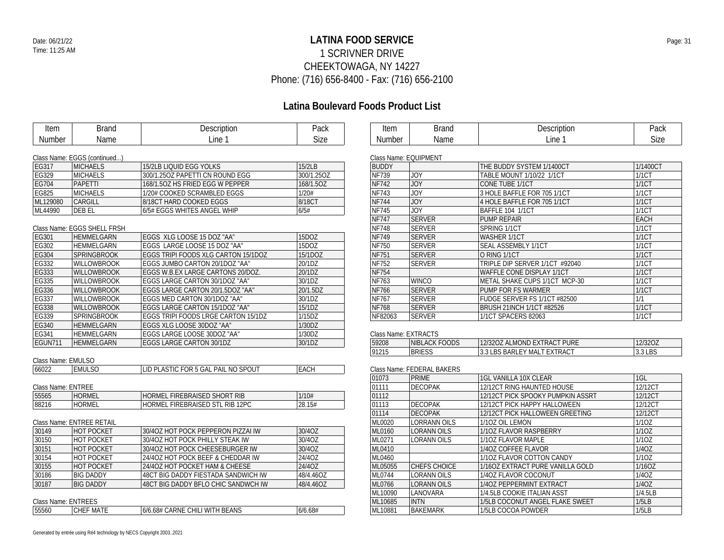## **LATINA FOOD SERVICE** Date: 06/21/22 Page: 31 1 SCRIVNER DRIVE CHEEKTOWAGA, NY 14227 Phone: (716) 656-8400 - Fax: (716) 656-2100

## **Latina Boulevard Foods Product List**

| Item                                                    | <b>Brand</b>                 | Description                         | Pack        | Item                  | <b>Brand</b>                   | Description                       | Pack           |
|---------------------------------------------------------|------------------------------|-------------------------------------|-------------|-----------------------|--------------------------------|-----------------------------------|----------------|
| Number                                                  | Name                         | Line 1                              | Size        | Number                | Name                           | Line 1                            | Size           |
|                                                         |                              |                                     |             |                       |                                |                                   |                |
|                                                         | Class Name: EGGS (continued) |                                     |             | Class Name: EQUIPMENT |                                |                                   |                |
| EG317                                                   | <b>MICHAELS</b>              | 15/2LB LIQUID EGG YOLKS             | 15/2LB      | <b>BUDDY</b>          |                                | THE BUDDY SYSTEM 1/1400CT         | 1/1400CT       |
| EG329                                                   | <b>MICHAELS</b>              | 300/1.25OZ PAPETTI CN ROUND EGG     | 300/1.25OZ  | <b>NF739</b>          | <b>JOY</b>                     | TABLE MOUNT 1/10/22 1/1CT         | <b>1/1CT</b>   |
| EG704                                                   | PAPETTI                      | 168/1.50Z HS FRIED EGG W PEPPER     | 168/1.5OZ   | NF742                 | <b>JOY</b>                     | CONE TUBE 1/1CT                   | 1/1CT          |
| EG825                                                   | <b>MICHAELS</b>              | 1/20# COOKED SCRAMBLED EGGS         | 1/20#       | <b>NF743</b>          | <b>JOY</b>                     | 3 HOLE BAFFLE FOR 705 1/1CT       | <b>1/1CT</b>   |
| ML129080                                                | CARGILL                      | 8/18CT HARD COOKED EGGS             | 8/18CT      | <b>NF744</b>          | <b>JOY</b>                     | 4 HOLE BAFFLE FOR 705 1/1CT       | <b>1/1CT</b>   |
| ML44990                                                 | <b>DEB EL</b>                | 6/5# EGGS WHITES ANGEL WHIP         | 6/5#        | NF745                 | <b>JOY</b>                     | BAFFLE 104 1/1CT                  | <b>1/1CT</b>   |
|                                                         |                              |                                     |             | <b>NF747</b>          | <b>SERVER</b>                  | <b>PUMP REPAIR</b>                | <b>EACH</b>    |
|                                                         | Class Name: EGGS SHELL FRSH  |                                     |             | <b>NF748</b>          | <b>SERVER</b>                  | SPRING 1/1CT                      | <b>1/1CT</b>   |
| EG301                                                   | <b>HEMMELGARN</b>            | EGGS XLG LOOSE 15 DOZ "AA"          | 15DOZ       | <b>NF749</b>          | <b>SERVER</b>                  | <b>WASHER 1/1CT</b>               | 1/1CT          |
| EG302                                                   | <b>HEMMELGARN</b>            | EGGS LARGE LOOSE 15 DOZ "AA"        | 15DOZ       | <b>NF750</b>          | <b>SERVER</b>                  | SEAL ASSEMBLY 1/1CT               | <b>1/1CT</b>   |
| EG304                                                   | <b>SPRINGBROOK</b>           | EGGS TRIPI FOODS XLG CARTON 15/1DOZ | 15/1DOZ     | <b>NF751</b>          | <b>SERVER</b>                  | O RING 1/1CT                      | 1/1CT          |
| EG332                                                   | <b>WILLOWBROOK</b>           | EGGS JUMBO CARTON 20/1DOZ "AA"      | 20/1DZ      | NF752                 | <b>SERVER</b>                  | TRIPLE DIP SERVER 1/1CT #92040    | 1/1CT          |
| EG333                                                   | <b>WILLOWBROOK</b>           | EGGS W.B.EX LARGE CARTONS 20/DOZ.   | 20/1DZ      | <b>NF754</b>          |                                | WAFFLE CONE DISPLAY 1/1CT         | 1/1CT          |
| EG335                                                   | <b>WILLOWBROOK</b>           | EGGS LARGE CARTON 30/1DOZ "AA"      | 30/1DZ      | <b>NF763</b>          | <b>WINCO</b>                   | METAL SHAKE CUPS 1/1CT MCP-30     | 1/1CT          |
| EG336                                                   | <b>WILLOWBROOK</b>           | EGGS LARGE CARTON 20/1.5DOZ "AA"    | 20/1.5DZ    | NF766                 | <b>SERVER</b>                  | <b>PUMP FOR FS WARMER</b>         | 1/1CT          |
| EG337                                                   | <b>WILLOWBROOK</b>           | EGGS MED CARTON 30/1DOZ "AA"        | 30/1DZ      | <b>NF767</b>          | <b>SERVER</b>                  | FUDGE SERVER FS 1/1CT #82500      | 1/1            |
| EG338                                                   | <b>WILLOWBROOK</b>           | EGGS LARGE CARTON 15/1DOZ "AA"      | 15/1DZ      | <b>NF768</b>          | <b>SERVER</b>                  | <b>BRUSH 21INCH 1/1CT #82526</b>  | 1/1CT          |
| EG339                                                   | <b>SPRINGBROOK</b>           | EGGS TRIPI FOODS LRGE CARTON 15/1DZ | 1/15DZ      | NF82063               | <b>SERVER</b>                  | 1/1CT SPACERS 82063               | 1/1CT          |
| EG340                                                   | <b>HEMMELGARN</b>            | EGGS XLG LOOSE 30DOZ "AA"           | 1/30DZ      |                       |                                |                                   |                |
| EG341                                                   | HEMMELGARN                   | EGGS LARGE LOOSE 30DOZ "AA"         | 1/30DZ      | Class Name: EXTRACTS  |                                |                                   |                |
| EGUN711                                                 | HEMMELGARN                   | EGGS LARGE CARTON 30/1DZ            | 30/1DZ      | 59208                 | NIBLACK FOODS                  | 12/32OZ ALMOND EXTRACT PURE       | 12/32OZ        |
|                                                         |                              |                                     |             | 91215                 | <b>BRIESS</b>                  | 3.3 LBS BARLEY MALT EXTRACT       | 3.3 LBS        |
| Class Name: EMULSO                                      |                              |                                     |             |                       |                                |                                   |                |
| 66022                                                   | <b>EMULSO</b>                | LID PLASTIC FOR 5 GAL PAIL NO SPOUT | <b>EACH</b> |                       | Class Name: FEDERAL BAKERS     |                                   |                |
|                                                         |                              |                                     |             | 01073                 | <b>PRIME</b>                   | 1GL VANILLA 10X CLEAR             | $1$ GL         |
| Class Name: ENTREE                                      |                              |                                     |             | 01111                 | <b>DECOPAK</b>                 | 12/12CT RING HAUNTED HOUSE        | 12/12CT        |
| 55565                                                   | <b>HORMEL</b>                | HORMEL FIREBRAISED SHORT RIB        | 1/10#       | 01112                 |                                | 12/12CT PICK SPOOKY PUMPKIN ASSRT | 12/12CT        |
| 88216                                                   | <b>HORMEL</b>                | HORMEL FIREBRAISED STL RIB 12PC     | 28.15#      | 01113                 | <b>DECOPAK</b>                 | 12/12CT PICK HAPPY HALLOWEEN      | 12/12CT        |
|                                                         |                              |                                     |             | 01114                 | <b>DECOPAK</b>                 | 12/12CT PICK HALLOWEEN GREETING   | 12/12CT        |
|                                                         | Class Name: ENTREE RETAIL    |                                     |             | ML0020                | <b>LORRANN OILS</b>            | 1/10Z OIL LEMON                   | 1/10Z          |
| 30149                                                   | <b>HOT POCKET</b>            | 30/4OZ HOT POCK PEPPERON PIZZAI IW  | 30/4OZ      | ML0160                | <b>LORANN OILS</b>             | 1/10Z FLAVOR RASPBERRY            | 1/10Z          |
| 30150                                                   | <b>HOT POCKET</b>            | 30/4OZ HOT POCK PHILLY STEAK IW     | 30/4OZ      | ML0271                | <b>LORANN OILS</b>             | 1/10Z FLAVOR MAPLE                | 1/10Z          |
| 30151                                                   | <b>HOT POCKET</b>            | 30/40Z HOT POCK CHEESEBURGER IW     | 30/4OZ      | ML0410                |                                | 1/4OZ COFFEE FLAVOR               | 1/40Z          |
| 30154                                                   | <b>HOT POCKET</b>            | 24/40Z HOT POCK BEEF & CHEDDAR IW   | 24/4OZ      | ML0460                |                                | 1/10Z FLAVOR COTTON CANDY         | 1/10Z          |
|                                                         | <b>HOT POCKET</b>            | 24/4OZ HOT POCKET HAM & CHEESE      | 24/4OZ      | ML05055               | CHEFS CHOICE                   | 1/160Z EXTRACT PURE VANILLA GOLD  | 1/16OZ         |
|                                                         |                              |                                     |             |                       | <b>LORANN OILS</b>             | 1/40Z FLAVOR COCONUT              | 1/40Z          |
|                                                         | <b>BIG DADDY</b>             | 48CT BIG DADDY FIESTADA SANDWICH IW | 48/4.46OZ   | ML0744                |                                |                                   |                |
|                                                         | <b>BIG DADDY</b>             | 48CT BIG DADDY BFLO CHIC SANDWCH IW | 48/4.46OZ   | ML0766                | <b>LORANN OILS</b>             | 1/40Z PEPPERMINT EXTRACT          | 1/40Z          |
|                                                         |                              |                                     |             | ML10090               | LANOVARA                       | 1/4.5LB COOKIE ITALIAN ASST       | 1/4.5LB        |
| 30155<br>30186<br>30187<br>Class Name: ENTREES<br>55560 | <b>CHEF MATE</b>             | 6/6.68# CARNE CHILI WITH BEANS      | 6/6.68#     | ML10685<br>ML10881    | <b>INTN</b><br><b>BAKEMARK</b> | 1/5LB COCONUT ANGEL FLAKE SWEET   | 1/5LB<br>1/5LB |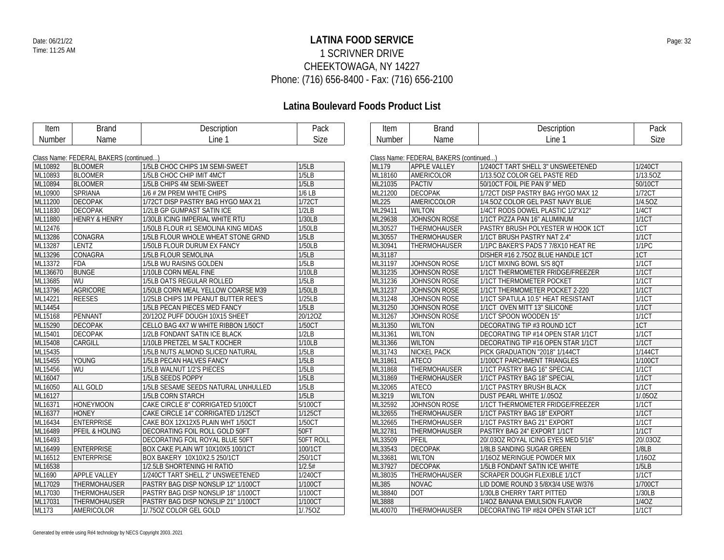## **LATINA FOOD SERVICE** Date: 06/21/22 Page: 32 1 SCRIVNER DRIVE CHEEKTOWAGA, NY 14227 Phone: (716) 656-8400 - Fax: (716) 656-2100

| Item     | <b>Brand</b>                           | Description                         | Pack      | Item    | <b>Brand</b>                           | Description                         | Pack         |
|----------|----------------------------------------|-------------------------------------|-----------|---------|----------------------------------------|-------------------------------------|--------------|
| Number   | Name                                   | Line 1                              | Size      | Number  | Name                                   | Line 1                              | Size         |
|          |                                        |                                     |           |         |                                        |                                     |              |
|          | Class Name: FEDERAL BAKERS (continued) |                                     |           |         | Class Name: FEDERAL BAKERS (continued) |                                     |              |
| ML10892  | <b>BLOOMER</b>                         | 1/5LB CHOC CHIPS 1M SEMI-SWEET      | 1/5LB     | ML179   | <b>APPLE VALLEY</b>                    | 1/240CT TART SHELL 3" UNSWEETENED   | 1/240CT      |
| ML10893  | <b>BLOOMER</b>                         | 1/5LB CHOC CHIP IMIT 4MCT           | 1/5LB     | ML18160 | <b>AMERICOLOR</b>                      | 1/13.50Z COLOR GEL PASTE RED        | 1/13.5OZ     |
| ML10894  | <b>BLOOMER</b>                         | 1/5LB CHIPS 4M SEMI-SWEET           | 1/5LB     | ML21035 | <b>PACTIV</b>                          | 50/10CT FOIL PIE PAN 9" MED         | 50/10CT      |
| ML10900  | SPRIANA                                | 1/6 # 2M PREM WHITE CHIPS           | $1/6$ LB  | ML21200 | <b>DECOPAK</b>                         | 1/72CT DISP PASTRY BAG HYGO MAX 12  | 1/72CT       |
| ML11200  | <b>DECOPAK</b>                         | 1/72CT DISP PASTRY BAG HYGO MAX 21  | 1/72CT    | ML225   | AMERICCOLOR                            | 1/4.50Z COLOR GEL PAST NAVY BLUE    | 1/4.5OZ      |
| ML11830  | <b>DECOPAK</b>                         | 1/2LB GP GUMPAST SATIN ICE          | 1/2LB     | ML29411 | <b>WILTON</b>                          | 1/4CT RODS DOWEL PLASTIC 1/2"X12"   | 1/4CT        |
| ML11880  | <b>HENRY &amp; HENRY</b>               | 1/30LB ICING IMPERIAL WHITE RTU     | 1/30LB    | ML29638 | JOHNSON ROSE                           | 1/1CT PIZZA PAN 16" ALUMINUM        | <b>1/1CT</b> |
| ML12476  |                                        | 1/50LB FLOUR #1 SEMOLINA KING MIDAS | 1/50LB    | ML30527 | THERMOHAUSER                           | PASTRY BRUSH POLYESTER W HOOK 1CT   | 1CT          |
| ML13286  | CONAGRA                                | 1/5LB FLOUR WHOLE WHEAT STONE GRND  | 1/5LB     | ML30557 | <b>THERMOHAUSER</b>                    | 1/1CT BRUSH PASTRY NAT 2.4"         | 1/1CT        |
| ML13287  | LENTZ                                  | 1/50LB FLOUR DURUM EX FANCY         | 1/50LB    | ML30941 | THERMOHAUSER                           | 1/1PC BAKER'S PADS 7 7/8X10 HEAT RE | 1/1PC        |
| ML13296  | CONAGRA                                | 1/5LB FLOUR SEMOLINA                | 1/5LB     | ML31187 |                                        | DISHER #16 2.750Z BLUE HANDLE 1CT   | 1CT          |
| ML13372  | <b>FDA</b>                             | 1/5LB WU RAISINS GOLDEN             | 1/5LB     | ML31197 | JOHNSON ROSE                           | 1/1CT MIXING BOWL S/S 8QT           | <b>1/1CT</b> |
| ML136670 | <b>BUNGE</b>                           | 1/10LB CORN MEAL FINE               | 1/10LB    | ML31235 | <b>JOHNSON ROSE</b>                    | 1/1CT THERMOMETER FRIDGE/FREEZER    | <b>1/1CT</b> |
| ML13685  | WU                                     | 1/5LB OATS REGULAR ROLLED           | 1/5LB     | ML31236 | JOHNSON ROSE                           | 1/1CT THERMOMETER POCKET            | 1/1CT        |
| ML13796  | <b>AGRICORE</b>                        | 1/50LB CORN MEAL YELLOW COARSE M39  | 1/50LB    | ML31237 | <b>JOHNSON ROSE</b>                    | 1/1CT THERMOMETER POCKET 2-220      | 1/1CT        |
| ML14221  | <b>REESES</b>                          | 1/25LB CHIPS 1M PEANUT BUTTER REE'S | 1/25LB    | ML31248 | JOHNSON ROSE                           | 1/1CT SPATULA 10.5" HEAT RESISTANT  | 1/1CT        |
| ML14454  |                                        | 1/5LB PECAN PIECES MED FANCY        | 1/5LB     | ML31250 | <b>JOHNSON ROSE</b>                    | 1/1CT OVEN MITT 13" SILICONE        | 1/1CT        |
| ML15168  | PENNANT                                | 20/12OZ PUFF DOUGH 10X15 SHEET      | 20/12OZ   | ML31267 | JOHNSON ROSE                           | 1/1CT SPOON WOODEN 15"              | <b>1/1CT</b> |
| ML15290  | <b>DECOPAK</b>                         | CELLO BAG 4X7 W WHITE RIBBON 1/50CT | 1/50CT    | ML31350 | <b>WILTON</b>                          | DECORATING TIP #3 ROUND 1CT         | 1CT          |
| ML15401  | <b>DECOPAK</b>                         | 1/2LB FONDANT SATIN ICE BLACK       | 1/2LB     | ML31361 | <b>WILTON</b>                          | DECORATING TIP #14 OPEN STAR 1/1CT  | <b>1/1CT</b> |
| ML15408  | CARGILL                                | 1/10LB PRETZEL M SALT KOCHER        | 1/10LB    | ML31366 | <b>WILTON</b>                          | DECORATING TIP #16 OPEN STAR 1/1CT  | 1/1CT        |
| ML15435  |                                        | 1/5LB NUTS ALMOND SLICED NATURAL    | 1/5LB     | ML31743 | <b>NICKEL PACK</b>                     | PICK GRADUATION "2018" 1/144CT      | 1/144CT      |
| ML15455  | <b>YOUNG</b>                           | 1/5LB PECAN HALVES FANCY            | 1/5LB     | ML31861 | <b>ATECO</b>                           | 1/100CT PARCHMENT TRIANGLES         | 1/100CT      |
| ML15456  | WU                                     | 1/5LB WALNUT 1/2'S PIECES           | 1/5LB     | ML31868 | THERMOHAUSER                           | 1/1CT PASTRY BAG 16" SPECIAL        | 1/1CT        |
| ML16047  |                                        | 1/5LB SEEDS POPPY                   | 1/5LB     | ML31869 | <b>THERMOHAUSER</b>                    | 1/1CT PASTRY BAG 18" SPECIAL        | 1/1CT        |
| ML16050  | ALL GOLD                               | 1/5LB SESAME SEEDS NATURAL UNHULLED | 1/5LB     | ML32065 | <b>ATECO</b>                           | 1/1CT PASTRY BRUSH BLACK            | 1/1CT        |
| ML16127  |                                        | 1/5LB CORN STARCH                   | 1/5LB     | ML3219  | <b>WILTON</b>                          | DUST PEARL WHITE 1/.05OZ            | 1/.05OZ      |
| ML16371  | <b>HONEYMOON</b>                       | CAKE CIRCLE 8" CORRIGATED 5/100CT   | 5/100CT   | ML32592 | JOHNSON ROSE                           | 1/1CT THERMOMETER FRIDGE/FREEZER    | 1/1CT        |
| ML16377  | <b>HONEY</b>                           | CAKE CIRCLE 14" CORRIGATED 1/125CT  | 1/125CT   | ML32655 | THERMOHAUSER                           | 1/1CT PASTRY BAG 18" EXPORT         | 1/1CT        |
| ML16434  | <b>ENTERPRISE</b>                      | CAKE BOX 12X12X5 PLAIN WHT 1/50CT   | 1/50CT    | ML32665 | THERMOHAUSER                           | 1/1CT PASTRY BAG 21" EXPORT         | 1/1CT        |
| ML16489  | PFEIL & HOLING                         | DECORATING FOIL ROLL GOLD 50FT      | 50FT      | ML32781 | THERMOHAUSER                           | PASTRY BAG 24" EXPORT 1/1CT         | 1/1CT        |
| ML16493  |                                        | DECORATING FOIL ROYAL BLUE 50FT     | 50FT ROLL | ML33509 | PFEIL                                  | 20/.03OZ ROYAL ICING EYES MED 5/16" | 20/.03OZ     |
| ML16499  | <b>ENTERPRISE</b>                      | BOX CAKE PLAIN WT 10X10X5 100/1CT   | 100/1CT   | ML33543 | <b>DECOPAK</b>                         | 1/8LB SANDING SUGAR GREEN           | 1/8LB        |
| ML16512  | <b>ENTERPRISE</b>                      | BOX BAKERY 10X10X2.5 250/1CT        | 250/1CT   | ML33681 | <b>WILTON</b>                          | 1/160Z MERINGUE POWDER MIX          | 1/16OZ       |
| ML16538  |                                        | 1/2.5LB SHORTENING HI RATIO         | 1/2.5#    | ML37927 | <b>DECOPAK</b>                         | 1/5LB FONDANT SATIN ICE WHITE       | 1/5LB        |
| ML1690   | APPLE VALLEY                           | 1/240CT TART SHELL 2" UNSWEETENED   | 1/240CT   | ML38035 | THERMOHAUSER                           | <b>SCRAPER DOUGH FLEXIBLE 1/1CT</b> | 1/1CT        |
| ML17029  | THERMOHAUSER                           | PASTRY BAG DISP NONSLIP 12" 1/100CT | 1/100CT   | ML385   | <b>NOVAC</b>                           | LID DOME ROUND 3 5/8X3/4 USE W/376  | 1/700CT      |
| ML17030  | THERMOHAUSER                           | PASTRY BAG DISP NONSLIP 18" 1/100CT | 1/100CT   | ML38840 | <b>DOT</b>                             | 1/30LB CHERRY TART PITTED           | 1/30LB       |
| ML17031  | THERMOHAUSER                           | PASTRY BAG DISP NONSLIP 21" 1/100CT | 1/100CT   | ML3888  |                                        | 1/4OZ BANANA EMULSION FLAVOR        | 1/4OZ        |
| ML173    | AMERICOLOR                             | 1/.750Z COLOR GEL GOLD              | 1/.75OZ   | ML40070 | <b>THERMOHAUSER</b>                    | DECORATING TIP #824 OPEN STAR 1CT   | <b>1/1CT</b> |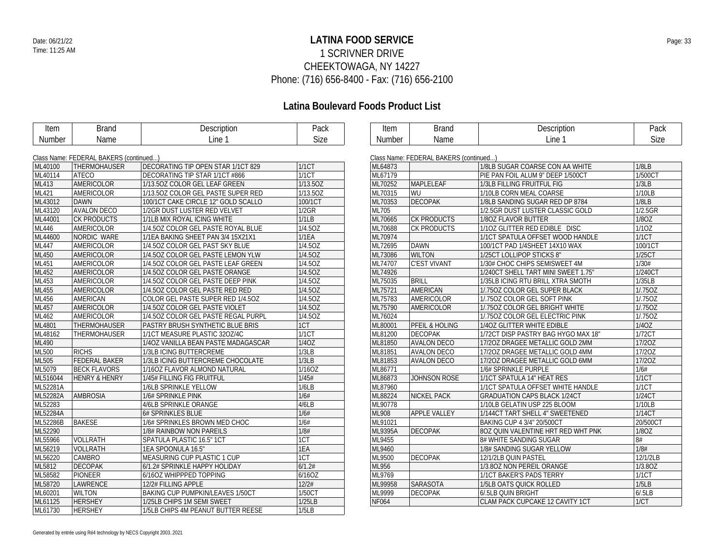## **LATINA FOOD SERVICE** Date: 06/21/22 Page: 33 1 SCRIVNER DRIVE CHEEKTOWAGA, NY 14227 Phone: (716) 656-8400 - Fax: (716) 656-2100

| Line 1<br>Size<br>Line 1<br>Size<br>Name<br>Number<br>Name<br>Number<br>Class Name: FEDERAL BAKERS (continued)<br>Class Name: FEDERAL BAKERS (continued)<br><b>THERMOHAUSER</b><br>DECORATING TIP OPEN STAR 1/1CT 829<br><b>1/1CT</b><br>1/8LB SUGAR COARSE CON AA WHITE<br>1/8LB<br>ML40100<br>ML64873<br>1/1CT<br>ML67179<br>ML40114<br><b>ATECO</b><br>1/500CT<br>DECORATING TIP STAR 1/1CT #866<br>PIE PAN FOIL ALUM 9" DEEP 1/500CT<br>AMERICOLOR<br>1/13.5OZ<br>ML70252<br>MAPLELEAF<br>1/3LB<br>ML413<br>1/13.50Z COLOR GEL LEAF GREEN<br>1/3LB FILLING FRUITFUL FIG<br>ML70315<br>WU<br>1/10LB<br>ML421<br>AMERICOLOR<br>1/13.5OZ<br>1/13.50Z COLOR GEL PASTE SUPER RED<br>1/10LB CORN MEAL COARSE<br>ML70353<br><b>DECOPAK</b><br>1/8LB<br>ML43012<br><b>DAWN</b><br>100/1CT CAKE CIRCLE 12" GOLD SCALLO<br>100/1CT<br>1/8LB SANDING SUGAR RED DP 8784<br>ML43120<br><b>AVALON DECO</b><br>1/2GR<br><b>ML705</b><br>1/2.5GR<br>1/2GR DUST LUSTER RED VELVET<br>1/2.5GR DUST LUSTER CLASSIC GOLD<br><b>CK PRODUCTS</b><br>1/1LB<br>ML70665<br>CK PRODUCTS<br>1/8OZ<br>ML44001<br>1/1LB MIX ROYAL ICING WHITE<br>1/80Z FLAVOR BUTTER<br>1/4.50Z<br>ML70688<br>1/10Z GLITTER RED EDIBLE DISC<br>1/10Z<br>AMERICOLOR<br>1/4.50Z COLOR GEL PASTE ROYAL BLUE<br><b>CK PRODUCTS</b><br><b>ML446</b><br>1/1CT<br>ML44600<br>NORDIC WARE<br>1/1EA<br>ML70974<br>1/1EA BAKING SHEET PAN 3/4 15X21X1<br>1/1CT SPATULA OFFSET WOOD HANDLE<br>1/4.5OZ<br>ML72695<br><b>DAWN</b><br>100/1CT<br>ML447<br>AMERICOLOR<br>1/4.50Z COLOR GEL PAST SKY BLUE<br>100/1CT PAD 1/4SHEET 14X10 WAX<br>1/4.50Z<br>ML73086<br><b>WILTON</b><br>1/25CT<br>ML450<br>AMERICOLOR<br>1/4.50Z COLOR GEL PASTE LEMON YLW<br>1/25CT LOLLIPOP STICKS 8"<br>1/4.50Z<br>ML74707<br><b>C'EST VIVANT</b><br>1/30#<br>ML451<br>AMERICOLOR<br>1/30# CHOC CHIPS SEMISWEET 4M<br>1/4.50Z COLOR GEL PASTE LEAF GREEN<br>1/4.50Z<br>ML74926<br>1/240CT<br><b>ML452</b><br>AMERICOLOR<br>1/4.50Z COLOR GEL PASTE ORANGE<br>1/240CT SHELL TART MINI SWEET 1.75"<br>1/4.5OZ<br><b>BRILL</b><br>1/35LB<br>ML453<br>AMERICOLOR<br>ML75035<br>1/4.50Z COLOR GEL PASTE DEEP PINK<br>1/35LB ICING RTU BRILL XTRA SMOTH<br>1/4.5OZ<br>AMERICAN<br>ML455<br>ML75721<br>1/.750Z<br>AMERICOLOR<br>1/4.50Z COLOR GEL PASTE RED RED<br>1/.750Z COLOR GEL SUPER BLACK<br>1/4.50Z<br>ML75783<br>AMERICOLOR<br>1/.750Z<br>ML456<br><b>AMERICAN</b><br>COLOR GEL PASTE SUPER RED 1/4.50Z<br>1/.750Z COLOR GEL SOFT PINK<br>1/4.5OZ<br>ML75790<br>11.750Z<br>ML457<br>AMERICOLOR<br>AMERICOLOR<br>1/4.50Z COLOR GEL PASTE VIOLET<br>1/.750Z COLOR GEL BRIGHT WHITE<br>1/4.5OZ<br>ML76024<br>ML462<br>AMERICOLOR<br>1/4.50Z COLOR GEL PASTE REGAL PURPL<br>11.750Z<br>1/.750Z COLOR GEL ELECTRIC PINK<br>ML4801<br>THERMOHAUSER<br>1CT<br>ML80001<br><b>PFEIL &amp; HOLING</b><br>1/4OZ GLITTER WHITE EDIBLE<br>1/4OZ<br>PASTRY BRUSH SYNTHETIC BLUE BRIS<br>1/1CT<br>1/72CT<br>ML48162<br><b>THERMOHAUSER</b><br>ML81200<br><b>DECOPAK</b><br>1/1CT MEASURE PLASTIC 320Z/4C<br>1/72CT DISP PASTRY BAG HYGO MAX 18"<br>1/4OZ<br>ML490<br>ML81850<br><b>AVALON DECO</b><br>17/20Z<br>1/4OZ VANILLA BEAN PASTE MADAGASCAR<br>17/20Z DRAGEE METALLIC GOLD 2MM<br><b>ML500</b><br><b>RICHS</b><br>1/3LB ICING BUTTERCREME<br>1/3LB<br>ML81851<br><b>AVALON DECO</b><br>17/20Z<br>17/20Z DRAGEE METALLIC GOLD 4MM<br>1/3LB<br><b>ML505</b><br><b>FEDERAL BAKER</b><br>ML81853<br>17/20Z<br>1/3LB ICING BUTTERCREME CHOCOLATE<br><b>AVALON DECO</b><br>17/20Z DRAGEE METALLIC GOLD 6MM<br>1/160Z<br>ML5079<br>ML86771<br>1/6#<br><b>BECK FLAVORS</b><br>1/16OZ FLAVOR ALMOND NATURAL<br>1/6# SPRINKLE PURPLE<br>1/45#<br>ML86873<br>1/1CT<br>ML516044<br>1/45# FILLING FIG FRUITFUL<br><b>JOHNSON ROSE</b><br>1/1CT SPATULA 14" HEAT RES<br><b>HENRY &amp; HENRY</b><br>ML52281A<br>1/6LB<br>ML87960<br>1/1CT SPATULA OFFSET WHITE HANDLE<br>1/1CT<br>1/6LB SPRINKLE YELLOW<br>ML52282A<br>1/6#<br>ML88224<br><b>NICKEL PACK</b><br><b>AMBROSIA</b><br>1/6# SPRINKLE PINK<br>1/24CT<br><b>GRADUATION CAPS BLACK 1/24CT</b><br>4/6LB<br>ML90778<br>ML52283<br>4/6LB SPRINKLE ORANGE<br>1/10LB<br>1/10LB GELATIN USP 225 BLOOM<br>ML52284A<br>1/6#<br><b>ML908</b><br>APPLE VALLEY<br>6# SPRINKLES BLUE<br>1/144CT TART SHELL 4" SWEETENED<br>1/14CT<br><b>BAKESE</b><br>1/6#<br>ML91021<br>ML52286B<br>1/6# SPRINKLES BROWN MED CHOC<br>20/500CT<br>BAKING CUP 4 3/4" 20/500CT<br>ML52290<br>1/8#<br>ML9395A<br><b>DECOPAK</b><br>80Z QUIN VALENTINE HRT RED WHT PNK<br>1/80Z<br>1/8# RAINBOW NON PAREILS<br>8#<br>ML55966<br>VOLLRATH<br>1CT<br>ML9455<br>SPATULA PLASTIC 16.5" 1CT<br>8# WHITE SANDING SUGAR<br>1/8#<br>1EA<br>ML56219<br><b>VOLLRATH</b><br>ML9460<br>1EA SPOONULA 16.5"<br>1/8# SANDING SUGAR YELLOW<br>1CT<br>ML9500<br>ML56220<br>CAMBRO<br>MEASURING CUP PLASTIC 1 CUP<br><b>DECOPAK</b><br>12/1/2LB<br>12/1/2LB QUIN PASTEL<br>ML5812<br><b>DECOPAK</b><br>6/1.2#<br>ML956<br>1/3.80Z<br>6/1.2# SPRINKLE HAPPY HOLIDAY<br>1/3.80Z NON PEREIL ORANGE<br>ML58582<br>6/16OZ<br>ML9769<br>1/1CT<br><b>PIONEER</b><br>1/1CT BAKER'S PADS TERRY<br>6/16OZ WHIPPPED TOPPING<br>12/2#<br>ML99958<br>SARASOTA<br>1/5LB<br>ML58720<br>LAWRENCE<br>12/2# FILLING APPLE<br>1/5LB OATS QUICK ROLLED<br>ML9999<br>ML60201<br><b>WILTON</b><br><b>BAKING CUP PUMPKIN/LEAVES 1/50CT</b><br>1/50CT<br><b>DECOPAK</b><br>6/5LB QUIN BRIGHT<br>6/0.5LB<br><b>HERSHEY</b><br>1/25LB<br>1/CT<br>ML61125<br><b>NF064</b><br>CLAM PACK CUPCAKE 12 CAVITY 1CT<br>1/25LB CHIPS 1M SEMI SWEET<br>1/5LB<br>ML61730<br><b>HERSHEY</b><br>1/5LB CHIPS 4M PEANUT BUTTER REESE | Item | <b>Brand</b> | Description | Pack | Item | <b>Brand</b> | Description | Pack |
|---------------------------------------------------------------------------------------------------------------------------------------------------------------------------------------------------------------------------------------------------------------------------------------------------------------------------------------------------------------------------------------------------------------------------------------------------------------------------------------------------------------------------------------------------------------------------------------------------------------------------------------------------------------------------------------------------------------------------------------------------------------------------------------------------------------------------------------------------------------------------------------------------------------------------------------------------------------------------------------------------------------------------------------------------------------------------------------------------------------------------------------------------------------------------------------------------------------------------------------------------------------------------------------------------------------------------------------------------------------------------------------------------------------------------------------------------------------------------------------------------------------------------------------------------------------------------------------------------------------------------------------------------------------------------------------------------------------------------------------------------------------------------------------------------------------------------------------------------------------------------------------------------------------------------------------------------------------------------------------------------------------------------------------------------------------------------------------------------------------------------------------------------------------------------------------------------------------------------------------------------------------------------------------------------------------------------------------------------------------------------------------------------------------------------------------------------------------------------------------------------------------------------------------------------------------------------------------------------------------------------------------------------------------------------------------------------------------------------------------------------------------------------------------------------------------------------------------------------------------------------------------------------------------------------------------------------------------------------------------------------------------------------------------------------------------------------------------------------------------------------------------------------------------------------------------------------------------------------------------------------------------------------------------------------------------------------------------------------------------------------------------------------------------------------------------------------------------------------------------------------------------------------------------------------------------------------------------------------------------------------------------------------------------------------------------------------------------------------------------------------------------------------------------------------------------------------------------------------------------------------------------------------------------------------------------------------------------------------------------------------------------------------------------------------------------------------------------------------------------------------------------------------------------------------------------------------------------------------------------------------------------------------------------------------------------------------------------------------------------------------------------------------------------------------------------------------------------------------------------------------------------------------------------------------------------------------------------------------------------------------------------------------------------------------------------------------------------------------------------------------------------------------------------------------------------------------------------------------------------------------------------------------------------------------------------------------------------------------------------------------------------------------------------------------------------------------------------------------------------------------------------------------------------------------------------------------------------------------------------------------------------------------------------------------------------------------------------------------------------------------------------------------------------------------------------------------------------------------------------------------------------------------------------------------------------------------------------------------------|------|--------------|-------------|------|------|--------------|-------------|------|
|                                                                                                                                                                                                                                                                                                                                                                                                                                                                                                                                                                                                                                                                                                                                                                                                                                                                                                                                                                                                                                                                                                                                                                                                                                                                                                                                                                                                                                                                                                                                                                                                                                                                                                                                                                                                                                                                                                                                                                                                                                                                                                                                                                                                                                                                                                                                                                                                                                                                                                                                                                                                                                                                                                                                                                                                                                                                                                                                                                                                                                                                                                                                                                                                                                                                                                                                                                                                                                                                                                                                                                                                                                                                                                                                                                                                                                                                                                                                                                                                                                                                                                                                                                                                                                                                                                                                                                                                                                                                                                                                                                                                                                                                                                                                                                                                                                                                                                                                                                                                                                                                                                                                                                                                                                                                                                                                                                                                                                                                                                                                                                                                         |      |              |             |      |      |              |             |      |
|                                                                                                                                                                                                                                                                                                                                                                                                                                                                                                                                                                                                                                                                                                                                                                                                                                                                                                                                                                                                                                                                                                                                                                                                                                                                                                                                                                                                                                                                                                                                                                                                                                                                                                                                                                                                                                                                                                                                                                                                                                                                                                                                                                                                                                                                                                                                                                                                                                                                                                                                                                                                                                                                                                                                                                                                                                                                                                                                                                                                                                                                                                                                                                                                                                                                                                                                                                                                                                                                                                                                                                                                                                                                                                                                                                                                                                                                                                                                                                                                                                                                                                                                                                                                                                                                                                                                                                                                                                                                                                                                                                                                                                                                                                                                                                                                                                                                                                                                                                                                                                                                                                                                                                                                                                                                                                                                                                                                                                                                                                                                                                                                         |      |              |             |      |      |              |             |      |
|                                                                                                                                                                                                                                                                                                                                                                                                                                                                                                                                                                                                                                                                                                                                                                                                                                                                                                                                                                                                                                                                                                                                                                                                                                                                                                                                                                                                                                                                                                                                                                                                                                                                                                                                                                                                                                                                                                                                                                                                                                                                                                                                                                                                                                                                                                                                                                                                                                                                                                                                                                                                                                                                                                                                                                                                                                                                                                                                                                                                                                                                                                                                                                                                                                                                                                                                                                                                                                                                                                                                                                                                                                                                                                                                                                                                                                                                                                                                                                                                                                                                                                                                                                                                                                                                                                                                                                                                                                                                                                                                                                                                                                                                                                                                                                                                                                                                                                                                                                                                                                                                                                                                                                                                                                                                                                                                                                                                                                                                                                                                                                                                         |      |              |             |      |      |              |             |      |
|                                                                                                                                                                                                                                                                                                                                                                                                                                                                                                                                                                                                                                                                                                                                                                                                                                                                                                                                                                                                                                                                                                                                                                                                                                                                                                                                                                                                                                                                                                                                                                                                                                                                                                                                                                                                                                                                                                                                                                                                                                                                                                                                                                                                                                                                                                                                                                                                                                                                                                                                                                                                                                                                                                                                                                                                                                                                                                                                                                                                                                                                                                                                                                                                                                                                                                                                                                                                                                                                                                                                                                                                                                                                                                                                                                                                                                                                                                                                                                                                                                                                                                                                                                                                                                                                                                                                                                                                                                                                                                                                                                                                                                                                                                                                                                                                                                                                                                                                                                                                                                                                                                                                                                                                                                                                                                                                                                                                                                                                                                                                                                                                         |      |              |             |      |      |              |             |      |
|                                                                                                                                                                                                                                                                                                                                                                                                                                                                                                                                                                                                                                                                                                                                                                                                                                                                                                                                                                                                                                                                                                                                                                                                                                                                                                                                                                                                                                                                                                                                                                                                                                                                                                                                                                                                                                                                                                                                                                                                                                                                                                                                                                                                                                                                                                                                                                                                                                                                                                                                                                                                                                                                                                                                                                                                                                                                                                                                                                                                                                                                                                                                                                                                                                                                                                                                                                                                                                                                                                                                                                                                                                                                                                                                                                                                                                                                                                                                                                                                                                                                                                                                                                                                                                                                                                                                                                                                                                                                                                                                                                                                                                                                                                                                                                                                                                                                                                                                                                                                                                                                                                                                                                                                                                                                                                                                                                                                                                                                                                                                                                                                         |      |              |             |      |      |              |             |      |
|                                                                                                                                                                                                                                                                                                                                                                                                                                                                                                                                                                                                                                                                                                                                                                                                                                                                                                                                                                                                                                                                                                                                                                                                                                                                                                                                                                                                                                                                                                                                                                                                                                                                                                                                                                                                                                                                                                                                                                                                                                                                                                                                                                                                                                                                                                                                                                                                                                                                                                                                                                                                                                                                                                                                                                                                                                                                                                                                                                                                                                                                                                                                                                                                                                                                                                                                                                                                                                                                                                                                                                                                                                                                                                                                                                                                                                                                                                                                                                                                                                                                                                                                                                                                                                                                                                                                                                                                                                                                                                                                                                                                                                                                                                                                                                                                                                                                                                                                                                                                                                                                                                                                                                                                                                                                                                                                                                                                                                                                                                                                                                                                         |      |              |             |      |      |              |             |      |
|                                                                                                                                                                                                                                                                                                                                                                                                                                                                                                                                                                                                                                                                                                                                                                                                                                                                                                                                                                                                                                                                                                                                                                                                                                                                                                                                                                                                                                                                                                                                                                                                                                                                                                                                                                                                                                                                                                                                                                                                                                                                                                                                                                                                                                                                                                                                                                                                                                                                                                                                                                                                                                                                                                                                                                                                                                                                                                                                                                                                                                                                                                                                                                                                                                                                                                                                                                                                                                                                                                                                                                                                                                                                                                                                                                                                                                                                                                                                                                                                                                                                                                                                                                                                                                                                                                                                                                                                                                                                                                                                                                                                                                                                                                                                                                                                                                                                                                                                                                                                                                                                                                                                                                                                                                                                                                                                                                                                                                                                                                                                                                                                         |      |              |             |      |      |              |             |      |
|                                                                                                                                                                                                                                                                                                                                                                                                                                                                                                                                                                                                                                                                                                                                                                                                                                                                                                                                                                                                                                                                                                                                                                                                                                                                                                                                                                                                                                                                                                                                                                                                                                                                                                                                                                                                                                                                                                                                                                                                                                                                                                                                                                                                                                                                                                                                                                                                                                                                                                                                                                                                                                                                                                                                                                                                                                                                                                                                                                                                                                                                                                                                                                                                                                                                                                                                                                                                                                                                                                                                                                                                                                                                                                                                                                                                                                                                                                                                                                                                                                                                                                                                                                                                                                                                                                                                                                                                                                                                                                                                                                                                                                                                                                                                                                                                                                                                                                                                                                                                                                                                                                                                                                                                                                                                                                                                                                                                                                                                                                                                                                                                         |      |              |             |      |      |              |             |      |
|                                                                                                                                                                                                                                                                                                                                                                                                                                                                                                                                                                                                                                                                                                                                                                                                                                                                                                                                                                                                                                                                                                                                                                                                                                                                                                                                                                                                                                                                                                                                                                                                                                                                                                                                                                                                                                                                                                                                                                                                                                                                                                                                                                                                                                                                                                                                                                                                                                                                                                                                                                                                                                                                                                                                                                                                                                                                                                                                                                                                                                                                                                                                                                                                                                                                                                                                                                                                                                                                                                                                                                                                                                                                                                                                                                                                                                                                                                                                                                                                                                                                                                                                                                                                                                                                                                                                                                                                                                                                                                                                                                                                                                                                                                                                                                                                                                                                                                                                                                                                                                                                                                                                                                                                                                                                                                                                                                                                                                                                                                                                                                                                         |      |              |             |      |      |              |             |      |
|                                                                                                                                                                                                                                                                                                                                                                                                                                                                                                                                                                                                                                                                                                                                                                                                                                                                                                                                                                                                                                                                                                                                                                                                                                                                                                                                                                                                                                                                                                                                                                                                                                                                                                                                                                                                                                                                                                                                                                                                                                                                                                                                                                                                                                                                                                                                                                                                                                                                                                                                                                                                                                                                                                                                                                                                                                                                                                                                                                                                                                                                                                                                                                                                                                                                                                                                                                                                                                                                                                                                                                                                                                                                                                                                                                                                                                                                                                                                                                                                                                                                                                                                                                                                                                                                                                                                                                                                                                                                                                                                                                                                                                                                                                                                                                                                                                                                                                                                                                                                                                                                                                                                                                                                                                                                                                                                                                                                                                                                                                                                                                                                         |      |              |             |      |      |              |             |      |
|                                                                                                                                                                                                                                                                                                                                                                                                                                                                                                                                                                                                                                                                                                                                                                                                                                                                                                                                                                                                                                                                                                                                                                                                                                                                                                                                                                                                                                                                                                                                                                                                                                                                                                                                                                                                                                                                                                                                                                                                                                                                                                                                                                                                                                                                                                                                                                                                                                                                                                                                                                                                                                                                                                                                                                                                                                                                                                                                                                                                                                                                                                                                                                                                                                                                                                                                                                                                                                                                                                                                                                                                                                                                                                                                                                                                                                                                                                                                                                                                                                                                                                                                                                                                                                                                                                                                                                                                                                                                                                                                                                                                                                                                                                                                                                                                                                                                                                                                                                                                                                                                                                                                                                                                                                                                                                                                                                                                                                                                                                                                                                                                         |      |              |             |      |      |              |             |      |
|                                                                                                                                                                                                                                                                                                                                                                                                                                                                                                                                                                                                                                                                                                                                                                                                                                                                                                                                                                                                                                                                                                                                                                                                                                                                                                                                                                                                                                                                                                                                                                                                                                                                                                                                                                                                                                                                                                                                                                                                                                                                                                                                                                                                                                                                                                                                                                                                                                                                                                                                                                                                                                                                                                                                                                                                                                                                                                                                                                                                                                                                                                                                                                                                                                                                                                                                                                                                                                                                                                                                                                                                                                                                                                                                                                                                                                                                                                                                                                                                                                                                                                                                                                                                                                                                                                                                                                                                                                                                                                                                                                                                                                                                                                                                                                                                                                                                                                                                                                                                                                                                                                                                                                                                                                                                                                                                                                                                                                                                                                                                                                                                         |      |              |             |      |      |              |             |      |
|                                                                                                                                                                                                                                                                                                                                                                                                                                                                                                                                                                                                                                                                                                                                                                                                                                                                                                                                                                                                                                                                                                                                                                                                                                                                                                                                                                                                                                                                                                                                                                                                                                                                                                                                                                                                                                                                                                                                                                                                                                                                                                                                                                                                                                                                                                                                                                                                                                                                                                                                                                                                                                                                                                                                                                                                                                                                                                                                                                                                                                                                                                                                                                                                                                                                                                                                                                                                                                                                                                                                                                                                                                                                                                                                                                                                                                                                                                                                                                                                                                                                                                                                                                                                                                                                                                                                                                                                                                                                                                                                                                                                                                                                                                                                                                                                                                                                                                                                                                                                                                                                                                                                                                                                                                                                                                                                                                                                                                                                                                                                                                                                         |      |              |             |      |      |              |             |      |
|                                                                                                                                                                                                                                                                                                                                                                                                                                                                                                                                                                                                                                                                                                                                                                                                                                                                                                                                                                                                                                                                                                                                                                                                                                                                                                                                                                                                                                                                                                                                                                                                                                                                                                                                                                                                                                                                                                                                                                                                                                                                                                                                                                                                                                                                                                                                                                                                                                                                                                                                                                                                                                                                                                                                                                                                                                                                                                                                                                                                                                                                                                                                                                                                                                                                                                                                                                                                                                                                                                                                                                                                                                                                                                                                                                                                                                                                                                                                                                                                                                                                                                                                                                                                                                                                                                                                                                                                                                                                                                                                                                                                                                                                                                                                                                                                                                                                                                                                                                                                                                                                                                                                                                                                                                                                                                                                                                                                                                                                                                                                                                                                         |      |              |             |      |      |              |             |      |
|                                                                                                                                                                                                                                                                                                                                                                                                                                                                                                                                                                                                                                                                                                                                                                                                                                                                                                                                                                                                                                                                                                                                                                                                                                                                                                                                                                                                                                                                                                                                                                                                                                                                                                                                                                                                                                                                                                                                                                                                                                                                                                                                                                                                                                                                                                                                                                                                                                                                                                                                                                                                                                                                                                                                                                                                                                                                                                                                                                                                                                                                                                                                                                                                                                                                                                                                                                                                                                                                                                                                                                                                                                                                                                                                                                                                                                                                                                                                                                                                                                                                                                                                                                                                                                                                                                                                                                                                                                                                                                                                                                                                                                                                                                                                                                                                                                                                                                                                                                                                                                                                                                                                                                                                                                                                                                                                                                                                                                                                                                                                                                                                         |      |              |             |      |      |              |             |      |
|                                                                                                                                                                                                                                                                                                                                                                                                                                                                                                                                                                                                                                                                                                                                                                                                                                                                                                                                                                                                                                                                                                                                                                                                                                                                                                                                                                                                                                                                                                                                                                                                                                                                                                                                                                                                                                                                                                                                                                                                                                                                                                                                                                                                                                                                                                                                                                                                                                                                                                                                                                                                                                                                                                                                                                                                                                                                                                                                                                                                                                                                                                                                                                                                                                                                                                                                                                                                                                                                                                                                                                                                                                                                                                                                                                                                                                                                                                                                                                                                                                                                                                                                                                                                                                                                                                                                                                                                                                                                                                                                                                                                                                                                                                                                                                                                                                                                                                                                                                                                                                                                                                                                                                                                                                                                                                                                                                                                                                                                                                                                                                                                         |      |              |             |      |      |              |             |      |
|                                                                                                                                                                                                                                                                                                                                                                                                                                                                                                                                                                                                                                                                                                                                                                                                                                                                                                                                                                                                                                                                                                                                                                                                                                                                                                                                                                                                                                                                                                                                                                                                                                                                                                                                                                                                                                                                                                                                                                                                                                                                                                                                                                                                                                                                                                                                                                                                                                                                                                                                                                                                                                                                                                                                                                                                                                                                                                                                                                                                                                                                                                                                                                                                                                                                                                                                                                                                                                                                                                                                                                                                                                                                                                                                                                                                                                                                                                                                                                                                                                                                                                                                                                                                                                                                                                                                                                                                                                                                                                                                                                                                                                                                                                                                                                                                                                                                                                                                                                                                                                                                                                                                                                                                                                                                                                                                                                                                                                                                                                                                                                                                         |      |              |             |      |      |              |             |      |
|                                                                                                                                                                                                                                                                                                                                                                                                                                                                                                                                                                                                                                                                                                                                                                                                                                                                                                                                                                                                                                                                                                                                                                                                                                                                                                                                                                                                                                                                                                                                                                                                                                                                                                                                                                                                                                                                                                                                                                                                                                                                                                                                                                                                                                                                                                                                                                                                                                                                                                                                                                                                                                                                                                                                                                                                                                                                                                                                                                                                                                                                                                                                                                                                                                                                                                                                                                                                                                                                                                                                                                                                                                                                                                                                                                                                                                                                                                                                                                                                                                                                                                                                                                                                                                                                                                                                                                                                                                                                                                                                                                                                                                                                                                                                                                                                                                                                                                                                                                                                                                                                                                                                                                                                                                                                                                                                                                                                                                                                                                                                                                                                         |      |              |             |      |      |              |             |      |
|                                                                                                                                                                                                                                                                                                                                                                                                                                                                                                                                                                                                                                                                                                                                                                                                                                                                                                                                                                                                                                                                                                                                                                                                                                                                                                                                                                                                                                                                                                                                                                                                                                                                                                                                                                                                                                                                                                                                                                                                                                                                                                                                                                                                                                                                                                                                                                                                                                                                                                                                                                                                                                                                                                                                                                                                                                                                                                                                                                                                                                                                                                                                                                                                                                                                                                                                                                                                                                                                                                                                                                                                                                                                                                                                                                                                                                                                                                                                                                                                                                                                                                                                                                                                                                                                                                                                                                                                                                                                                                                                                                                                                                                                                                                                                                                                                                                                                                                                                                                                                                                                                                                                                                                                                                                                                                                                                                                                                                                                                                                                                                                                         |      |              |             |      |      |              |             |      |
|                                                                                                                                                                                                                                                                                                                                                                                                                                                                                                                                                                                                                                                                                                                                                                                                                                                                                                                                                                                                                                                                                                                                                                                                                                                                                                                                                                                                                                                                                                                                                                                                                                                                                                                                                                                                                                                                                                                                                                                                                                                                                                                                                                                                                                                                                                                                                                                                                                                                                                                                                                                                                                                                                                                                                                                                                                                                                                                                                                                                                                                                                                                                                                                                                                                                                                                                                                                                                                                                                                                                                                                                                                                                                                                                                                                                                                                                                                                                                                                                                                                                                                                                                                                                                                                                                                                                                                                                                                                                                                                                                                                                                                                                                                                                                                                                                                                                                                                                                                                                                                                                                                                                                                                                                                                                                                                                                                                                                                                                                                                                                                                                         |      |              |             |      |      |              |             |      |
|                                                                                                                                                                                                                                                                                                                                                                                                                                                                                                                                                                                                                                                                                                                                                                                                                                                                                                                                                                                                                                                                                                                                                                                                                                                                                                                                                                                                                                                                                                                                                                                                                                                                                                                                                                                                                                                                                                                                                                                                                                                                                                                                                                                                                                                                                                                                                                                                                                                                                                                                                                                                                                                                                                                                                                                                                                                                                                                                                                                                                                                                                                                                                                                                                                                                                                                                                                                                                                                                                                                                                                                                                                                                                                                                                                                                                                                                                                                                                                                                                                                                                                                                                                                                                                                                                                                                                                                                                                                                                                                                                                                                                                                                                                                                                                                                                                                                                                                                                                                                                                                                                                                                                                                                                                                                                                                                                                                                                                                                                                                                                                                                         |      |              |             |      |      |              |             |      |
|                                                                                                                                                                                                                                                                                                                                                                                                                                                                                                                                                                                                                                                                                                                                                                                                                                                                                                                                                                                                                                                                                                                                                                                                                                                                                                                                                                                                                                                                                                                                                                                                                                                                                                                                                                                                                                                                                                                                                                                                                                                                                                                                                                                                                                                                                                                                                                                                                                                                                                                                                                                                                                                                                                                                                                                                                                                                                                                                                                                                                                                                                                                                                                                                                                                                                                                                                                                                                                                                                                                                                                                                                                                                                                                                                                                                                                                                                                                                                                                                                                                                                                                                                                                                                                                                                                                                                                                                                                                                                                                                                                                                                                                                                                                                                                                                                                                                                                                                                                                                                                                                                                                                                                                                                                                                                                                                                                                                                                                                                                                                                                                                         |      |              |             |      |      |              |             |      |
|                                                                                                                                                                                                                                                                                                                                                                                                                                                                                                                                                                                                                                                                                                                                                                                                                                                                                                                                                                                                                                                                                                                                                                                                                                                                                                                                                                                                                                                                                                                                                                                                                                                                                                                                                                                                                                                                                                                                                                                                                                                                                                                                                                                                                                                                                                                                                                                                                                                                                                                                                                                                                                                                                                                                                                                                                                                                                                                                                                                                                                                                                                                                                                                                                                                                                                                                                                                                                                                                                                                                                                                                                                                                                                                                                                                                                                                                                                                                                                                                                                                                                                                                                                                                                                                                                                                                                                                                                                                                                                                                                                                                                                                                                                                                                                                                                                                                                                                                                                                                                                                                                                                                                                                                                                                                                                                                                                                                                                                                                                                                                                                                         |      |              |             |      |      |              |             |      |
|                                                                                                                                                                                                                                                                                                                                                                                                                                                                                                                                                                                                                                                                                                                                                                                                                                                                                                                                                                                                                                                                                                                                                                                                                                                                                                                                                                                                                                                                                                                                                                                                                                                                                                                                                                                                                                                                                                                                                                                                                                                                                                                                                                                                                                                                                                                                                                                                                                                                                                                                                                                                                                                                                                                                                                                                                                                                                                                                                                                                                                                                                                                                                                                                                                                                                                                                                                                                                                                                                                                                                                                                                                                                                                                                                                                                                                                                                                                                                                                                                                                                                                                                                                                                                                                                                                                                                                                                                                                                                                                                                                                                                                                                                                                                                                                                                                                                                                                                                                                                                                                                                                                                                                                                                                                                                                                                                                                                                                                                                                                                                                                                         |      |              |             |      |      |              |             |      |
|                                                                                                                                                                                                                                                                                                                                                                                                                                                                                                                                                                                                                                                                                                                                                                                                                                                                                                                                                                                                                                                                                                                                                                                                                                                                                                                                                                                                                                                                                                                                                                                                                                                                                                                                                                                                                                                                                                                                                                                                                                                                                                                                                                                                                                                                                                                                                                                                                                                                                                                                                                                                                                                                                                                                                                                                                                                                                                                                                                                                                                                                                                                                                                                                                                                                                                                                                                                                                                                                                                                                                                                                                                                                                                                                                                                                                                                                                                                                                                                                                                                                                                                                                                                                                                                                                                                                                                                                                                                                                                                                                                                                                                                                                                                                                                                                                                                                                                                                                                                                                                                                                                                                                                                                                                                                                                                                                                                                                                                                                                                                                                                                         |      |              |             |      |      |              |             |      |
|                                                                                                                                                                                                                                                                                                                                                                                                                                                                                                                                                                                                                                                                                                                                                                                                                                                                                                                                                                                                                                                                                                                                                                                                                                                                                                                                                                                                                                                                                                                                                                                                                                                                                                                                                                                                                                                                                                                                                                                                                                                                                                                                                                                                                                                                                                                                                                                                                                                                                                                                                                                                                                                                                                                                                                                                                                                                                                                                                                                                                                                                                                                                                                                                                                                                                                                                                                                                                                                                                                                                                                                                                                                                                                                                                                                                                                                                                                                                                                                                                                                                                                                                                                                                                                                                                                                                                                                                                                                                                                                                                                                                                                                                                                                                                                                                                                                                                                                                                                                                                                                                                                                                                                                                                                                                                                                                                                                                                                                                                                                                                                                                         |      |              |             |      |      |              |             |      |
|                                                                                                                                                                                                                                                                                                                                                                                                                                                                                                                                                                                                                                                                                                                                                                                                                                                                                                                                                                                                                                                                                                                                                                                                                                                                                                                                                                                                                                                                                                                                                                                                                                                                                                                                                                                                                                                                                                                                                                                                                                                                                                                                                                                                                                                                                                                                                                                                                                                                                                                                                                                                                                                                                                                                                                                                                                                                                                                                                                                                                                                                                                                                                                                                                                                                                                                                                                                                                                                                                                                                                                                                                                                                                                                                                                                                                                                                                                                                                                                                                                                                                                                                                                                                                                                                                                                                                                                                                                                                                                                                                                                                                                                                                                                                                                                                                                                                                                                                                                                                                                                                                                                                                                                                                                                                                                                                                                                                                                                                                                                                                                                                         |      |              |             |      |      |              |             |      |
|                                                                                                                                                                                                                                                                                                                                                                                                                                                                                                                                                                                                                                                                                                                                                                                                                                                                                                                                                                                                                                                                                                                                                                                                                                                                                                                                                                                                                                                                                                                                                                                                                                                                                                                                                                                                                                                                                                                                                                                                                                                                                                                                                                                                                                                                                                                                                                                                                                                                                                                                                                                                                                                                                                                                                                                                                                                                                                                                                                                                                                                                                                                                                                                                                                                                                                                                                                                                                                                                                                                                                                                                                                                                                                                                                                                                                                                                                                                                                                                                                                                                                                                                                                                                                                                                                                                                                                                                                                                                                                                                                                                                                                                                                                                                                                                                                                                                                                                                                                                                                                                                                                                                                                                                                                                                                                                                                                                                                                                                                                                                                                                                         |      |              |             |      |      |              |             |      |
|                                                                                                                                                                                                                                                                                                                                                                                                                                                                                                                                                                                                                                                                                                                                                                                                                                                                                                                                                                                                                                                                                                                                                                                                                                                                                                                                                                                                                                                                                                                                                                                                                                                                                                                                                                                                                                                                                                                                                                                                                                                                                                                                                                                                                                                                                                                                                                                                                                                                                                                                                                                                                                                                                                                                                                                                                                                                                                                                                                                                                                                                                                                                                                                                                                                                                                                                                                                                                                                                                                                                                                                                                                                                                                                                                                                                                                                                                                                                                                                                                                                                                                                                                                                                                                                                                                                                                                                                                                                                                                                                                                                                                                                                                                                                                                                                                                                                                                                                                                                                                                                                                                                                                                                                                                                                                                                                                                                                                                                                                                                                                                                                         |      |              |             |      |      |              |             |      |
|                                                                                                                                                                                                                                                                                                                                                                                                                                                                                                                                                                                                                                                                                                                                                                                                                                                                                                                                                                                                                                                                                                                                                                                                                                                                                                                                                                                                                                                                                                                                                                                                                                                                                                                                                                                                                                                                                                                                                                                                                                                                                                                                                                                                                                                                                                                                                                                                                                                                                                                                                                                                                                                                                                                                                                                                                                                                                                                                                                                                                                                                                                                                                                                                                                                                                                                                                                                                                                                                                                                                                                                                                                                                                                                                                                                                                                                                                                                                                                                                                                                                                                                                                                                                                                                                                                                                                                                                                                                                                                                                                                                                                                                                                                                                                                                                                                                                                                                                                                                                                                                                                                                                                                                                                                                                                                                                                                                                                                                                                                                                                                                                         |      |              |             |      |      |              |             |      |
|                                                                                                                                                                                                                                                                                                                                                                                                                                                                                                                                                                                                                                                                                                                                                                                                                                                                                                                                                                                                                                                                                                                                                                                                                                                                                                                                                                                                                                                                                                                                                                                                                                                                                                                                                                                                                                                                                                                                                                                                                                                                                                                                                                                                                                                                                                                                                                                                                                                                                                                                                                                                                                                                                                                                                                                                                                                                                                                                                                                                                                                                                                                                                                                                                                                                                                                                                                                                                                                                                                                                                                                                                                                                                                                                                                                                                                                                                                                                                                                                                                                                                                                                                                                                                                                                                                                                                                                                                                                                                                                                                                                                                                                                                                                                                                                                                                                                                                                                                                                                                                                                                                                                                                                                                                                                                                                                                                                                                                                                                                                                                                                                         |      |              |             |      |      |              |             |      |
|                                                                                                                                                                                                                                                                                                                                                                                                                                                                                                                                                                                                                                                                                                                                                                                                                                                                                                                                                                                                                                                                                                                                                                                                                                                                                                                                                                                                                                                                                                                                                                                                                                                                                                                                                                                                                                                                                                                                                                                                                                                                                                                                                                                                                                                                                                                                                                                                                                                                                                                                                                                                                                                                                                                                                                                                                                                                                                                                                                                                                                                                                                                                                                                                                                                                                                                                                                                                                                                                                                                                                                                                                                                                                                                                                                                                                                                                                                                                                                                                                                                                                                                                                                                                                                                                                                                                                                                                                                                                                                                                                                                                                                                                                                                                                                                                                                                                                                                                                                                                                                                                                                                                                                                                                                                                                                                                                                                                                                                                                                                                                                                                         |      |              |             |      |      |              |             |      |
|                                                                                                                                                                                                                                                                                                                                                                                                                                                                                                                                                                                                                                                                                                                                                                                                                                                                                                                                                                                                                                                                                                                                                                                                                                                                                                                                                                                                                                                                                                                                                                                                                                                                                                                                                                                                                                                                                                                                                                                                                                                                                                                                                                                                                                                                                                                                                                                                                                                                                                                                                                                                                                                                                                                                                                                                                                                                                                                                                                                                                                                                                                                                                                                                                                                                                                                                                                                                                                                                                                                                                                                                                                                                                                                                                                                                                                                                                                                                                                                                                                                                                                                                                                                                                                                                                                                                                                                                                                                                                                                                                                                                                                                                                                                                                                                                                                                                                                                                                                                                                                                                                                                                                                                                                                                                                                                                                                                                                                                                                                                                                                                                         |      |              |             |      |      |              |             |      |
|                                                                                                                                                                                                                                                                                                                                                                                                                                                                                                                                                                                                                                                                                                                                                                                                                                                                                                                                                                                                                                                                                                                                                                                                                                                                                                                                                                                                                                                                                                                                                                                                                                                                                                                                                                                                                                                                                                                                                                                                                                                                                                                                                                                                                                                                                                                                                                                                                                                                                                                                                                                                                                                                                                                                                                                                                                                                                                                                                                                                                                                                                                                                                                                                                                                                                                                                                                                                                                                                                                                                                                                                                                                                                                                                                                                                                                                                                                                                                                                                                                                                                                                                                                                                                                                                                                                                                                                                                                                                                                                                                                                                                                                                                                                                                                                                                                                                                                                                                                                                                                                                                                                                                                                                                                                                                                                                                                                                                                                                                                                                                                                                         |      |              |             |      |      |              |             |      |
|                                                                                                                                                                                                                                                                                                                                                                                                                                                                                                                                                                                                                                                                                                                                                                                                                                                                                                                                                                                                                                                                                                                                                                                                                                                                                                                                                                                                                                                                                                                                                                                                                                                                                                                                                                                                                                                                                                                                                                                                                                                                                                                                                                                                                                                                                                                                                                                                                                                                                                                                                                                                                                                                                                                                                                                                                                                                                                                                                                                                                                                                                                                                                                                                                                                                                                                                                                                                                                                                                                                                                                                                                                                                                                                                                                                                                                                                                                                                                                                                                                                                                                                                                                                                                                                                                                                                                                                                                                                                                                                                                                                                                                                                                                                                                                                                                                                                                                                                                                                                                                                                                                                                                                                                                                                                                                                                                                                                                                                                                                                                                                                                         |      |              |             |      |      |              |             |      |
|                                                                                                                                                                                                                                                                                                                                                                                                                                                                                                                                                                                                                                                                                                                                                                                                                                                                                                                                                                                                                                                                                                                                                                                                                                                                                                                                                                                                                                                                                                                                                                                                                                                                                                                                                                                                                                                                                                                                                                                                                                                                                                                                                                                                                                                                                                                                                                                                                                                                                                                                                                                                                                                                                                                                                                                                                                                                                                                                                                                                                                                                                                                                                                                                                                                                                                                                                                                                                                                                                                                                                                                                                                                                                                                                                                                                                                                                                                                                                                                                                                                                                                                                                                                                                                                                                                                                                                                                                                                                                                                                                                                                                                                                                                                                                                                                                                                                                                                                                                                                                                                                                                                                                                                                                                                                                                                                                                                                                                                                                                                                                                                                         |      |              |             |      |      |              |             |      |
|                                                                                                                                                                                                                                                                                                                                                                                                                                                                                                                                                                                                                                                                                                                                                                                                                                                                                                                                                                                                                                                                                                                                                                                                                                                                                                                                                                                                                                                                                                                                                                                                                                                                                                                                                                                                                                                                                                                                                                                                                                                                                                                                                                                                                                                                                                                                                                                                                                                                                                                                                                                                                                                                                                                                                                                                                                                                                                                                                                                                                                                                                                                                                                                                                                                                                                                                                                                                                                                                                                                                                                                                                                                                                                                                                                                                                                                                                                                                                                                                                                                                                                                                                                                                                                                                                                                                                                                                                                                                                                                                                                                                                                                                                                                                                                                                                                                                                                                                                                                                                                                                                                                                                                                                                                                                                                                                                                                                                                                                                                                                                                                                         |      |              |             |      |      |              |             |      |
|                                                                                                                                                                                                                                                                                                                                                                                                                                                                                                                                                                                                                                                                                                                                                                                                                                                                                                                                                                                                                                                                                                                                                                                                                                                                                                                                                                                                                                                                                                                                                                                                                                                                                                                                                                                                                                                                                                                                                                                                                                                                                                                                                                                                                                                                                                                                                                                                                                                                                                                                                                                                                                                                                                                                                                                                                                                                                                                                                                                                                                                                                                                                                                                                                                                                                                                                                                                                                                                                                                                                                                                                                                                                                                                                                                                                                                                                                                                                                                                                                                                                                                                                                                                                                                                                                                                                                                                                                                                                                                                                                                                                                                                                                                                                                                                                                                                                                                                                                                                                                                                                                                                                                                                                                                                                                                                                                                                                                                                                                                                                                                                                         |      |              |             |      |      |              |             |      |
|                                                                                                                                                                                                                                                                                                                                                                                                                                                                                                                                                                                                                                                                                                                                                                                                                                                                                                                                                                                                                                                                                                                                                                                                                                                                                                                                                                                                                                                                                                                                                                                                                                                                                                                                                                                                                                                                                                                                                                                                                                                                                                                                                                                                                                                                                                                                                                                                                                                                                                                                                                                                                                                                                                                                                                                                                                                                                                                                                                                                                                                                                                                                                                                                                                                                                                                                                                                                                                                                                                                                                                                                                                                                                                                                                                                                                                                                                                                                                                                                                                                                                                                                                                                                                                                                                                                                                                                                                                                                                                                                                                                                                                                                                                                                                                                                                                                                                                                                                                                                                                                                                                                                                                                                                                                                                                                                                                                                                                                                                                                                                                                                         |      |              |             |      |      |              |             |      |
|                                                                                                                                                                                                                                                                                                                                                                                                                                                                                                                                                                                                                                                                                                                                                                                                                                                                                                                                                                                                                                                                                                                                                                                                                                                                                                                                                                                                                                                                                                                                                                                                                                                                                                                                                                                                                                                                                                                                                                                                                                                                                                                                                                                                                                                                                                                                                                                                                                                                                                                                                                                                                                                                                                                                                                                                                                                                                                                                                                                                                                                                                                                                                                                                                                                                                                                                                                                                                                                                                                                                                                                                                                                                                                                                                                                                                                                                                                                                                                                                                                                                                                                                                                                                                                                                                                                                                                                                                                                                                                                                                                                                                                                                                                                                                                                                                                                                                                                                                                                                                                                                                                                                                                                                                                                                                                                                                                                                                                                                                                                                                                                                         |      |              |             |      |      |              |             |      |
|                                                                                                                                                                                                                                                                                                                                                                                                                                                                                                                                                                                                                                                                                                                                                                                                                                                                                                                                                                                                                                                                                                                                                                                                                                                                                                                                                                                                                                                                                                                                                                                                                                                                                                                                                                                                                                                                                                                                                                                                                                                                                                                                                                                                                                                                                                                                                                                                                                                                                                                                                                                                                                                                                                                                                                                                                                                                                                                                                                                                                                                                                                                                                                                                                                                                                                                                                                                                                                                                                                                                                                                                                                                                                                                                                                                                                                                                                                                                                                                                                                                                                                                                                                                                                                                                                                                                                                                                                                                                                                                                                                                                                                                                                                                                                                                                                                                                                                                                                                                                                                                                                                                                                                                                                                                                                                                                                                                                                                                                                                                                                                                                         |      |              |             |      |      |              |             |      |
|                                                                                                                                                                                                                                                                                                                                                                                                                                                                                                                                                                                                                                                                                                                                                                                                                                                                                                                                                                                                                                                                                                                                                                                                                                                                                                                                                                                                                                                                                                                                                                                                                                                                                                                                                                                                                                                                                                                                                                                                                                                                                                                                                                                                                                                                                                                                                                                                                                                                                                                                                                                                                                                                                                                                                                                                                                                                                                                                                                                                                                                                                                                                                                                                                                                                                                                                                                                                                                                                                                                                                                                                                                                                                                                                                                                                                                                                                                                                                                                                                                                                                                                                                                                                                                                                                                                                                                                                                                                                                                                                                                                                                                                                                                                                                                                                                                                                                                                                                                                                                                                                                                                                                                                                                                                                                                                                                                                                                                                                                                                                                                                                         |      |              |             |      |      |              |             |      |
|                                                                                                                                                                                                                                                                                                                                                                                                                                                                                                                                                                                                                                                                                                                                                                                                                                                                                                                                                                                                                                                                                                                                                                                                                                                                                                                                                                                                                                                                                                                                                                                                                                                                                                                                                                                                                                                                                                                                                                                                                                                                                                                                                                                                                                                                                                                                                                                                                                                                                                                                                                                                                                                                                                                                                                                                                                                                                                                                                                                                                                                                                                                                                                                                                                                                                                                                                                                                                                                                                                                                                                                                                                                                                                                                                                                                                                                                                                                                                                                                                                                                                                                                                                                                                                                                                                                                                                                                                                                                                                                                                                                                                                                                                                                                                                                                                                                                                                                                                                                                                                                                                                                                                                                                                                                                                                                                                                                                                                                                                                                                                                                                         |      |              |             |      |      |              |             |      |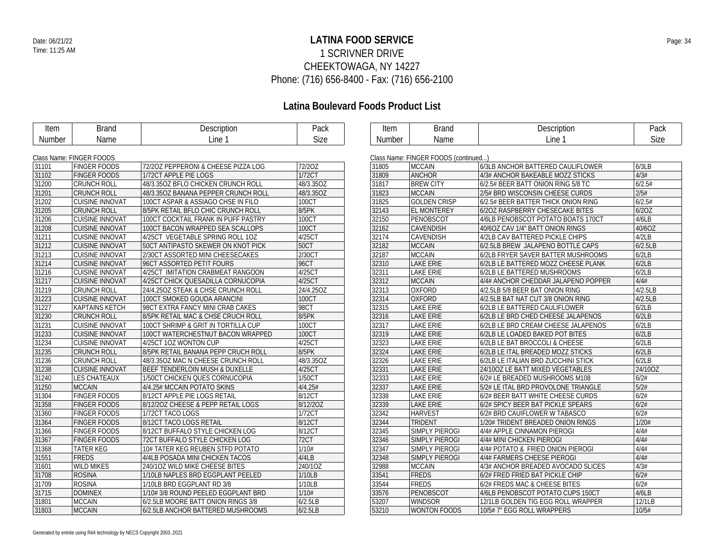## **LATINA FOOD SERVICE** Date: 06/21/22 Page: 34 1 SCRIVNER DRIVE CHEEKTOWAGA, NY 14227 Phone: (716) 656-8400 - Fax: (716) 656-2100

| Line 1<br>Line 1<br>Size<br><b>Size</b><br>Name<br>Name<br>Number<br>Number<br>Class Name: FINGER FOODS<br>Class Name: FINGER FOODS (continued)<br>31101<br><b>FINGER FOODS</b><br>72/20Z PEPPERONI & CHEESE PIZZA LOG<br>72/20Z<br>31805<br><b>MCCAIN</b><br>6/3LB ANCHOR BATTERED CAULIFLOWER<br>6/3LB<br>1/72CT<br><b>ANCHOR</b><br>4/3#<br>31102<br><b>FINGER FOODS</b><br>1/72CT APPLE PIE LOGS<br>31809<br>4/3# ANCHOR BAKEABLE MOZZ STICKS<br><b>BREW CITY</b><br>6/2.5#<br>31200<br><b>CRUNCH ROLL</b><br>48/3.35OZ BFLO CHICKEN CRUNCH ROLL<br>48/3.35OZ<br>31817<br>6/2.5# BEER BATT ONION RING 5/8 TC<br>31201<br><b>MCCAIN</b><br>2/5#<br><b>CRUNCH ROLL</b><br>48/3.35OZ BANANA PEPPER CRUNCH ROLL<br>48/3.35OZ<br>31823<br>2/5# BRD WISCONSIN CHEESE CURDS<br>31825<br><b>GOLDEN CRISP</b><br>6/2.5#<br>31202<br><b>CUISINE INNOVAT</b><br>100CT ASPAR & ASSIAGO CHSE IN FILO<br>100CT<br>6/2.5# BEER BATTER THICK ONION RING<br>31205<br>8/5PK<br>32143<br><b>EL MONTEREY</b><br>6/20Z<br><b>CRUNCH ROLL</b><br>8/5PK RETAIL BFLO CHIC CRUNCH ROLL<br>6/20Z RASPBERRY CHESECAKE BITES<br>31206<br><b>CUISINE INNOVAT</b><br>100CT<br>32150<br>PENOBSCOT<br>4/6LB PENOBSCOT POTATO BOATS 170CT<br>4/6LB<br>100CT COCKTAIL FRANK IN PUFF PASTRY<br>40/6OZ<br>100CT<br><b>CAVENDISH</b><br>31208<br><b>CUISINE INNOVAT</b><br>100CT BACON WRAPPED SEA SCALLOPS<br>32162<br>40/6OZ CAV 1/4" BATT ONION RINGS<br>31211<br>4/25CT<br>32174<br><b>CAVENDISH</b><br>4/2LB<br><b>CUISINE INNOVAT</b><br>4/25CT VEGETABLE SPRING ROLL 10Z<br>4/2LB CAV BATTERED PICKLE CHIPS<br>31212<br><b>50CT</b><br>32182<br><b>MCCAIN</b><br>6/2.5LB<br><b>CUISINE INNOVAT</b><br>50CT ANTIPASTO SKEWER ON KNOT PICK<br>6/2.5LB BREW JALAPENO BOTTLE CAPS<br>31213<br><b>CUISINE INNOVAT</b><br>2/30CT ASSORTED MINI CHEESECAKES<br>2/30CT<br>32187<br><b>MCCAIN</b><br>6/2LB<br>6/2LB FRYER SAVER BATTER MUSHROOMS<br><b>96CT</b><br><b>LAKE ERIE</b><br>6/2LB<br>31214<br><b>CUISINE INNOVAT</b><br>96CT ASSORTED PETIT FOURS<br>32310<br>6/2LB LE BATTERED MOZZ CHEESE PLANK<br>31216<br>4/25CT<br>32311<br><b>LAKE ERIE</b><br>6/2LB<br><b>CUISINE INNOVAT</b><br>4/25CT IMITATION CRABMEAT RANGOON<br>6/2LB LE BATTERED MUSHROOMS<br>31217<br>4/25CT<br><b>MCCAIN</b><br>4/4#<br><b>CUISINE INNOVAT</b><br>4/25CT CHICK QUESADILLA CORNUCOPIA<br>32312<br>4/4# ANCHOR CHEDDAR JALAPENO POPPER<br><b>OXFORD</b><br>4/2.5LB<br>31219<br>24/4.25OZ<br>32313<br><b>CRUNCH ROLL</b><br>24/4.250Z STEAK & CHSE CRUNCH ROLL<br>4/2.5LB 5/8 BEER BAT ONION RING<br>31223<br>32314<br><b>OXFORD</b><br>4/2.5LB<br><b>CUISINE INNOVAT</b><br>100CT SMOKED GOUDA ARANCINI<br>100CT<br>4/2.5LB BAT NAT CUT 3/8 ONION RING<br>98CT<br>31227<br>32315<br>LAKE ERIE<br>6/2LB<br><b>KAPTAINS KETCH</b><br>98CT EXTRA FANCY MINI CRAB CAKES<br>6/2LB LE BATTERED CAULIFLOWER<br>6/2LB<br>31230<br><b>CRUNCH ROLL</b><br>8/5PK RETAIL MAC & CHSE CRUCH ROLL<br>8/5PK<br>32316<br><b>LAKE ERIE</b><br>6/2LB LE BRD CHED CHEESE JALAPENOS<br>31231<br>100CT<br>32317<br><b>LAKE ERIE</b><br><b>CUISINE INNOVAT</b><br>100CT SHRIMP & GRIT IN TORTILLA CUP<br>6/2LB LE BRD CREAM CHEESE JALAPENOS<br>6/2LB<br>32319<br>31233<br><b>CUISINE INNOVAT</b><br>100CT<br><b>LAKE ERIE</b><br>6/2LB<br>100CT WATERCHESTNUT BACON WRAPPED<br>6/2LB LE LOADED BAKED POT BITES<br>6/2LB<br>31234<br>4/25CT<br>32323<br><b>LAKE ERIE</b><br><b>CUISINE INNOVAT</b><br>4/25CT 1OZ WONTON CUP<br>6/2LB LE BAT BROCCOLI & CHEESE<br>31235<br><b>CRUNCH ROLL</b><br>8/5PK RETAIL BANANA PEPP CRUCH ROLL<br>8/5PK<br>32324<br><b>LAKE ERIE</b><br>6/2LB<br>6/2LB LE ITAL BREADED MOZZ STICKS<br>31236<br>48/3.35OZ<br>32326<br>6/2LB<br><b>CRUNCH ROLL</b><br>48/3.350Z MAC N CHEESE CRUNCH ROLL<br><b>LAKE ERIE</b><br>6/2LB LE ITALIAN BRD ZUCCHINI STICK<br>4/25CT<br>32331<br><b>LAKE ERIE</b><br>24/10OZ<br>31238<br><b>CUISINE INNOVAT</b><br>BEEF TENDERLOIN MUSH & DUXELLE<br>24/10OZ LE BATT MIXED VEGETABLES<br>31240<br>1/50CT<br>32333<br><b>LAKE ERIE</b><br>6/2#<br><b>LES CHATEAUX</b><br>1/50CT CHICKEN QUES CORNUCOPIA<br>6/2# LE BREADED MUSHROOMS M108<br>5/2#<br>31250<br><b>MCCAIN</b><br>4/4.25# MCCAIN POTATO SKINS<br>4/4.25#<br>32337<br><b>LAKE ERIE</b><br>5/2# LE ITAL BRD PROVOLONE TRIANGLE<br><b>FINGER FOODS</b><br>8/12CT<br>32338<br><b>LAKE ERIE</b><br>6/2#<br>31304<br>8/12CT APPLE PIE LOGS RETAIL<br>6/2# BEER BATT WHITE CHEESE CURDS<br>6/2#<br>31358<br>8/12/20Z<br>32339<br><b>LAKE ERIE</b><br><b>FINGER FOODS</b><br>8/12/20Z CHEESE & PEPP RETAIL LOGS<br>6/2# SPICY BEER BAT PICKLE SPEARS<br>1/72CT<br>6/2#<br>31360<br><b>FINGER FOODS</b><br>1/72CT TACO LOGS<br>32342<br><b>HARVEST</b><br>6/2# BRD CAUIFLOWER W TABASCO<br>31364<br><b>FINGER FOODS</b><br>8/12CT TACO LOGS RETAIL<br>8/12CT<br>32344<br><b>TRIDENT</b><br>1/20#<br>1/20# TRIDENT BREADED ONION RINGS<br>4/4#<br>31366<br><b>FINGER FOODS</b><br>8/12CT BUFFALO STYLE CHICKEN LOG<br>8/12CT<br>32345<br><b>SIMPLY PIEROGI</b><br>4/4# APPLE CINNAMON PIEROGI<br>4/4#<br>31367<br>72CT BUFFALO STYLE CHICKEN LOG<br>72CT<br>32346<br><b>SIMPLY PIEROGI</b><br><b>FINGER FOODS</b><br>4/4# MINI CHICKEN PIEROGI<br>4/4#<br>31368<br><b>TATER KEG</b><br>10# TATER KEG REUBEN STFD POTATO<br>1/10#<br>32347<br><b>SIMPLY PIEROGI</b><br>4/4# POTATO & FRIED ONION PIEROGI<br>4/4LB<br>4/4#<br>31551<br>FREDS<br>4/4LB POSADA MINI CHICKEN TACOS<br>32348<br><b>SIMPLY PIEROGI</b><br>4/4# FARMERS CHEESE PIEROGI<br>31601<br><b>WILD MIKES</b><br>240/10Z WILD MIKE CHEESE BITES<br>240/10Z<br>32988<br><b>MCCAIN</b><br>4/3#<br>4/3# ANCHOR BREADED AVOCADO SLICES<br>FREDS<br>6/2#<br>31708<br><b>ROSINA</b><br>1/10LB NAPLES BRD EGGPLANT PEELED<br>33541<br>1/10LB<br>6/2# FRED FRIED BAT PICKLE CHIP<br>6/2#<br><b>ROSINA</b><br>1/10LB<br>33544<br>FREDS<br>31709<br>1/10LB BRD EGGPLANT RD 3/8<br>6/2# FREDS MAC & CHEESE BITES<br>31715<br><b>DOMINEX</b><br>1/10#3/8 ROUND PEELED EGGPLANT BRD<br>1/10#<br>PENOBSCOT<br>4/6LB<br>33576<br>4/6LB PENOBSCOT POTATO CUPS 150CT<br>31801<br><b>MCCAIN</b><br>6/2.5LB<br>53207<br><b>WINDSOR</b><br>12/1LB<br>6/2.5LB MOORE BATT ONION RINGS 3/8<br>12/1LB GOLDEN TIG EGG ROLL WRAPPER<br><b>MCCAIN</b><br>6/2.5LB<br>53210<br>10/5#<br>31803<br>10/5#7" EGG ROLL WRAPPERS | Item | <b>Brand</b> | Description                       | Pack | Item | <b>Brand</b>        | Description | Pack |
|-----------------------------------------------------------------------------------------------------------------------------------------------------------------------------------------------------------------------------------------------------------------------------------------------------------------------------------------------------------------------------------------------------------------------------------------------------------------------------------------------------------------------------------------------------------------------------------------------------------------------------------------------------------------------------------------------------------------------------------------------------------------------------------------------------------------------------------------------------------------------------------------------------------------------------------------------------------------------------------------------------------------------------------------------------------------------------------------------------------------------------------------------------------------------------------------------------------------------------------------------------------------------------------------------------------------------------------------------------------------------------------------------------------------------------------------------------------------------------------------------------------------------------------------------------------------------------------------------------------------------------------------------------------------------------------------------------------------------------------------------------------------------------------------------------------------------------------------------------------------------------------------------------------------------------------------------------------------------------------------------------------------------------------------------------------------------------------------------------------------------------------------------------------------------------------------------------------------------------------------------------------------------------------------------------------------------------------------------------------------------------------------------------------------------------------------------------------------------------------------------------------------------------------------------------------------------------------------------------------------------------------------------------------------------------------------------------------------------------------------------------------------------------------------------------------------------------------------------------------------------------------------------------------------------------------------------------------------------------------------------------------------------------------------------------------------------------------------------------------------------------------------------------------------------------------------------------------------------------------------------------------------------------------------------------------------------------------------------------------------------------------------------------------------------------------------------------------------------------------------------------------------------------------------------------------------------------------------------------------------------------------------------------------------------------------------------------------------------------------------------------------------------------------------------------------------------------------------------------------------------------------------------------------------------------------------------------------------------------------------------------------------------------------------------------------------------------------------------------------------------------------------------------------------------------------------------------------------------------------------------------------------------------------------------------------------------------------------------------------------------------------------------------------------------------------------------------------------------------------------------------------------------------------------------------------------------------------------------------------------------------------------------------------------------------------------------------------------------------------------------------------------------------------------------------------------------------------------------------------------------------------------------------------------------------------------------------------------------------------------------------------------------------------------------------------------------------------------------------------------------------------------------------------------------------------------------------------------------------------------------------------------------------------------------------------------------------------------------------------------------------------------------------------------------------------------------------------------------------------------------------------------------------------------------------------------------------------------------------------------------------------------------------------------------------------------------------------------------------------------------------------------------------------------------------------------------------------------------------------------------------------------------------------------------------------------------------------------------------------------------------------------------------------------------------------------------------------------------------------------------------------------------------------------------------------------------------------------------------------------------------------------------------------------------------------|------|--------------|-----------------------------------|------|------|---------------------|-------------|------|
|                                                                                                                                                                                                                                                                                                                                                                                                                                                                                                                                                                                                                                                                                                                                                                                                                                                                                                                                                                                                                                                                                                                                                                                                                                                                                                                                                                                                                                                                                                                                                                                                                                                                                                                                                                                                                                                                                                                                                                                                                                                                                                                                                                                                                                                                                                                                                                                                                                                                                                                                                                                                                                                                                                                                                                                                                                                                                                                                                                                                                                                                                                                                                                                                                                                                                                                                                                                                                                                                                                                                                                                                                                                                                                                                                                                                                                                                                                                                                                                                                                                                                                                                                                                                                                                                                                                                                                                                                                                                                                                                                                                                                                                                                                                                                                                                                                                                                                                                                                                                                                                                                                                                                                                                                                                                                                                                                                                                                                                                                                                                                                                                                                                                                                                                                                                                                                                                                                                                                                                                                                                                                                                                                                                                                                                                                                           |      |              |                                   |      |      |                     |             |      |
|                                                                                                                                                                                                                                                                                                                                                                                                                                                                                                                                                                                                                                                                                                                                                                                                                                                                                                                                                                                                                                                                                                                                                                                                                                                                                                                                                                                                                                                                                                                                                                                                                                                                                                                                                                                                                                                                                                                                                                                                                                                                                                                                                                                                                                                                                                                                                                                                                                                                                                                                                                                                                                                                                                                                                                                                                                                                                                                                                                                                                                                                                                                                                                                                                                                                                                                                                                                                                                                                                                                                                                                                                                                                                                                                                                                                                                                                                                                                                                                                                                                                                                                                                                                                                                                                                                                                                                                                                                                                                                                                                                                                                                                                                                                                                                                                                                                                                                                                                                                                                                                                                                                                                                                                                                                                                                                                                                                                                                                                                                                                                                                                                                                                                                                                                                                                                                                                                                                                                                                                                                                                                                                                                                                                                                                                                                           |      |              |                                   |      |      |                     |             |      |
|                                                                                                                                                                                                                                                                                                                                                                                                                                                                                                                                                                                                                                                                                                                                                                                                                                                                                                                                                                                                                                                                                                                                                                                                                                                                                                                                                                                                                                                                                                                                                                                                                                                                                                                                                                                                                                                                                                                                                                                                                                                                                                                                                                                                                                                                                                                                                                                                                                                                                                                                                                                                                                                                                                                                                                                                                                                                                                                                                                                                                                                                                                                                                                                                                                                                                                                                                                                                                                                                                                                                                                                                                                                                                                                                                                                                                                                                                                                                                                                                                                                                                                                                                                                                                                                                                                                                                                                                                                                                                                                                                                                                                                                                                                                                                                                                                                                                                                                                                                                                                                                                                                                                                                                                                                                                                                                                                                                                                                                                                                                                                                                                                                                                                                                                                                                                                                                                                                                                                                                                                                                                                                                                                                                                                                                                                                           |      |              |                                   |      |      |                     |             |      |
|                                                                                                                                                                                                                                                                                                                                                                                                                                                                                                                                                                                                                                                                                                                                                                                                                                                                                                                                                                                                                                                                                                                                                                                                                                                                                                                                                                                                                                                                                                                                                                                                                                                                                                                                                                                                                                                                                                                                                                                                                                                                                                                                                                                                                                                                                                                                                                                                                                                                                                                                                                                                                                                                                                                                                                                                                                                                                                                                                                                                                                                                                                                                                                                                                                                                                                                                                                                                                                                                                                                                                                                                                                                                                                                                                                                                                                                                                                                                                                                                                                                                                                                                                                                                                                                                                                                                                                                                                                                                                                                                                                                                                                                                                                                                                                                                                                                                                                                                                                                                                                                                                                                                                                                                                                                                                                                                                                                                                                                                                                                                                                                                                                                                                                                                                                                                                                                                                                                                                                                                                                                                                                                                                                                                                                                                                                           |      |              |                                   |      |      |                     |             |      |
|                                                                                                                                                                                                                                                                                                                                                                                                                                                                                                                                                                                                                                                                                                                                                                                                                                                                                                                                                                                                                                                                                                                                                                                                                                                                                                                                                                                                                                                                                                                                                                                                                                                                                                                                                                                                                                                                                                                                                                                                                                                                                                                                                                                                                                                                                                                                                                                                                                                                                                                                                                                                                                                                                                                                                                                                                                                                                                                                                                                                                                                                                                                                                                                                                                                                                                                                                                                                                                                                                                                                                                                                                                                                                                                                                                                                                                                                                                                                                                                                                                                                                                                                                                                                                                                                                                                                                                                                                                                                                                                                                                                                                                                                                                                                                                                                                                                                                                                                                                                                                                                                                                                                                                                                                                                                                                                                                                                                                                                                                                                                                                                                                                                                                                                                                                                                                                                                                                                                                                                                                                                                                                                                                                                                                                                                                                           |      |              |                                   |      |      |                     |             |      |
|                                                                                                                                                                                                                                                                                                                                                                                                                                                                                                                                                                                                                                                                                                                                                                                                                                                                                                                                                                                                                                                                                                                                                                                                                                                                                                                                                                                                                                                                                                                                                                                                                                                                                                                                                                                                                                                                                                                                                                                                                                                                                                                                                                                                                                                                                                                                                                                                                                                                                                                                                                                                                                                                                                                                                                                                                                                                                                                                                                                                                                                                                                                                                                                                                                                                                                                                                                                                                                                                                                                                                                                                                                                                                                                                                                                                                                                                                                                                                                                                                                                                                                                                                                                                                                                                                                                                                                                                                                                                                                                                                                                                                                                                                                                                                                                                                                                                                                                                                                                                                                                                                                                                                                                                                                                                                                                                                                                                                                                                                                                                                                                                                                                                                                                                                                                                                                                                                                                                                                                                                                                                                                                                                                                                                                                                                                           |      |              |                                   |      |      |                     |             |      |
|                                                                                                                                                                                                                                                                                                                                                                                                                                                                                                                                                                                                                                                                                                                                                                                                                                                                                                                                                                                                                                                                                                                                                                                                                                                                                                                                                                                                                                                                                                                                                                                                                                                                                                                                                                                                                                                                                                                                                                                                                                                                                                                                                                                                                                                                                                                                                                                                                                                                                                                                                                                                                                                                                                                                                                                                                                                                                                                                                                                                                                                                                                                                                                                                                                                                                                                                                                                                                                                                                                                                                                                                                                                                                                                                                                                                                                                                                                                                                                                                                                                                                                                                                                                                                                                                                                                                                                                                                                                                                                                                                                                                                                                                                                                                                                                                                                                                                                                                                                                                                                                                                                                                                                                                                                                                                                                                                                                                                                                                                                                                                                                                                                                                                                                                                                                                                                                                                                                                                                                                                                                                                                                                                                                                                                                                                                           |      |              |                                   |      |      |                     |             |      |
|                                                                                                                                                                                                                                                                                                                                                                                                                                                                                                                                                                                                                                                                                                                                                                                                                                                                                                                                                                                                                                                                                                                                                                                                                                                                                                                                                                                                                                                                                                                                                                                                                                                                                                                                                                                                                                                                                                                                                                                                                                                                                                                                                                                                                                                                                                                                                                                                                                                                                                                                                                                                                                                                                                                                                                                                                                                                                                                                                                                                                                                                                                                                                                                                                                                                                                                                                                                                                                                                                                                                                                                                                                                                                                                                                                                                                                                                                                                                                                                                                                                                                                                                                                                                                                                                                                                                                                                                                                                                                                                                                                                                                                                                                                                                                                                                                                                                                                                                                                                                                                                                                                                                                                                                                                                                                                                                                                                                                                                                                                                                                                                                                                                                                                                                                                                                                                                                                                                                                                                                                                                                                                                                                                                                                                                                                                           |      |              |                                   |      |      |                     |             |      |
|                                                                                                                                                                                                                                                                                                                                                                                                                                                                                                                                                                                                                                                                                                                                                                                                                                                                                                                                                                                                                                                                                                                                                                                                                                                                                                                                                                                                                                                                                                                                                                                                                                                                                                                                                                                                                                                                                                                                                                                                                                                                                                                                                                                                                                                                                                                                                                                                                                                                                                                                                                                                                                                                                                                                                                                                                                                                                                                                                                                                                                                                                                                                                                                                                                                                                                                                                                                                                                                                                                                                                                                                                                                                                                                                                                                                                                                                                                                                                                                                                                                                                                                                                                                                                                                                                                                                                                                                                                                                                                                                                                                                                                                                                                                                                                                                                                                                                                                                                                                                                                                                                                                                                                                                                                                                                                                                                                                                                                                                                                                                                                                                                                                                                                                                                                                                                                                                                                                                                                                                                                                                                                                                                                                                                                                                                                           |      |              |                                   |      |      |                     |             |      |
|                                                                                                                                                                                                                                                                                                                                                                                                                                                                                                                                                                                                                                                                                                                                                                                                                                                                                                                                                                                                                                                                                                                                                                                                                                                                                                                                                                                                                                                                                                                                                                                                                                                                                                                                                                                                                                                                                                                                                                                                                                                                                                                                                                                                                                                                                                                                                                                                                                                                                                                                                                                                                                                                                                                                                                                                                                                                                                                                                                                                                                                                                                                                                                                                                                                                                                                                                                                                                                                                                                                                                                                                                                                                                                                                                                                                                                                                                                                                                                                                                                                                                                                                                                                                                                                                                                                                                                                                                                                                                                                                                                                                                                                                                                                                                                                                                                                                                                                                                                                                                                                                                                                                                                                                                                                                                                                                                                                                                                                                                                                                                                                                                                                                                                                                                                                                                                                                                                                                                                                                                                                                                                                                                                                                                                                                                                           |      |              |                                   |      |      |                     |             |      |
|                                                                                                                                                                                                                                                                                                                                                                                                                                                                                                                                                                                                                                                                                                                                                                                                                                                                                                                                                                                                                                                                                                                                                                                                                                                                                                                                                                                                                                                                                                                                                                                                                                                                                                                                                                                                                                                                                                                                                                                                                                                                                                                                                                                                                                                                                                                                                                                                                                                                                                                                                                                                                                                                                                                                                                                                                                                                                                                                                                                                                                                                                                                                                                                                                                                                                                                                                                                                                                                                                                                                                                                                                                                                                                                                                                                                                                                                                                                                                                                                                                                                                                                                                                                                                                                                                                                                                                                                                                                                                                                                                                                                                                                                                                                                                                                                                                                                                                                                                                                                                                                                                                                                                                                                                                                                                                                                                                                                                                                                                                                                                                                                                                                                                                                                                                                                                                                                                                                                                                                                                                                                                                                                                                                                                                                                                                           |      |              |                                   |      |      |                     |             |      |
|                                                                                                                                                                                                                                                                                                                                                                                                                                                                                                                                                                                                                                                                                                                                                                                                                                                                                                                                                                                                                                                                                                                                                                                                                                                                                                                                                                                                                                                                                                                                                                                                                                                                                                                                                                                                                                                                                                                                                                                                                                                                                                                                                                                                                                                                                                                                                                                                                                                                                                                                                                                                                                                                                                                                                                                                                                                                                                                                                                                                                                                                                                                                                                                                                                                                                                                                                                                                                                                                                                                                                                                                                                                                                                                                                                                                                                                                                                                                                                                                                                                                                                                                                                                                                                                                                                                                                                                                                                                                                                                                                                                                                                                                                                                                                                                                                                                                                                                                                                                                                                                                                                                                                                                                                                                                                                                                                                                                                                                                                                                                                                                                                                                                                                                                                                                                                                                                                                                                                                                                                                                                                                                                                                                                                                                                                                           |      |              |                                   |      |      |                     |             |      |
|                                                                                                                                                                                                                                                                                                                                                                                                                                                                                                                                                                                                                                                                                                                                                                                                                                                                                                                                                                                                                                                                                                                                                                                                                                                                                                                                                                                                                                                                                                                                                                                                                                                                                                                                                                                                                                                                                                                                                                                                                                                                                                                                                                                                                                                                                                                                                                                                                                                                                                                                                                                                                                                                                                                                                                                                                                                                                                                                                                                                                                                                                                                                                                                                                                                                                                                                                                                                                                                                                                                                                                                                                                                                                                                                                                                                                                                                                                                                                                                                                                                                                                                                                                                                                                                                                                                                                                                                                                                                                                                                                                                                                                                                                                                                                                                                                                                                                                                                                                                                                                                                                                                                                                                                                                                                                                                                                                                                                                                                                                                                                                                                                                                                                                                                                                                                                                                                                                                                                                                                                                                                                                                                                                                                                                                                                                           |      |              |                                   |      |      |                     |             |      |
|                                                                                                                                                                                                                                                                                                                                                                                                                                                                                                                                                                                                                                                                                                                                                                                                                                                                                                                                                                                                                                                                                                                                                                                                                                                                                                                                                                                                                                                                                                                                                                                                                                                                                                                                                                                                                                                                                                                                                                                                                                                                                                                                                                                                                                                                                                                                                                                                                                                                                                                                                                                                                                                                                                                                                                                                                                                                                                                                                                                                                                                                                                                                                                                                                                                                                                                                                                                                                                                                                                                                                                                                                                                                                                                                                                                                                                                                                                                                                                                                                                                                                                                                                                                                                                                                                                                                                                                                                                                                                                                                                                                                                                                                                                                                                                                                                                                                                                                                                                                                                                                                                                                                                                                                                                                                                                                                                                                                                                                                                                                                                                                                                                                                                                                                                                                                                                                                                                                                                                                                                                                                                                                                                                                                                                                                                                           |      |              |                                   |      |      |                     |             |      |
|                                                                                                                                                                                                                                                                                                                                                                                                                                                                                                                                                                                                                                                                                                                                                                                                                                                                                                                                                                                                                                                                                                                                                                                                                                                                                                                                                                                                                                                                                                                                                                                                                                                                                                                                                                                                                                                                                                                                                                                                                                                                                                                                                                                                                                                                                                                                                                                                                                                                                                                                                                                                                                                                                                                                                                                                                                                                                                                                                                                                                                                                                                                                                                                                                                                                                                                                                                                                                                                                                                                                                                                                                                                                                                                                                                                                                                                                                                                                                                                                                                                                                                                                                                                                                                                                                                                                                                                                                                                                                                                                                                                                                                                                                                                                                                                                                                                                                                                                                                                                                                                                                                                                                                                                                                                                                                                                                                                                                                                                                                                                                                                                                                                                                                                                                                                                                                                                                                                                                                                                                                                                                                                                                                                                                                                                                                           |      |              |                                   |      |      |                     |             |      |
|                                                                                                                                                                                                                                                                                                                                                                                                                                                                                                                                                                                                                                                                                                                                                                                                                                                                                                                                                                                                                                                                                                                                                                                                                                                                                                                                                                                                                                                                                                                                                                                                                                                                                                                                                                                                                                                                                                                                                                                                                                                                                                                                                                                                                                                                                                                                                                                                                                                                                                                                                                                                                                                                                                                                                                                                                                                                                                                                                                                                                                                                                                                                                                                                                                                                                                                                                                                                                                                                                                                                                                                                                                                                                                                                                                                                                                                                                                                                                                                                                                                                                                                                                                                                                                                                                                                                                                                                                                                                                                                                                                                                                                                                                                                                                                                                                                                                                                                                                                                                                                                                                                                                                                                                                                                                                                                                                                                                                                                                                                                                                                                                                                                                                                                                                                                                                                                                                                                                                                                                                                                                                                                                                                                                                                                                                                           |      |              |                                   |      |      |                     |             |      |
|                                                                                                                                                                                                                                                                                                                                                                                                                                                                                                                                                                                                                                                                                                                                                                                                                                                                                                                                                                                                                                                                                                                                                                                                                                                                                                                                                                                                                                                                                                                                                                                                                                                                                                                                                                                                                                                                                                                                                                                                                                                                                                                                                                                                                                                                                                                                                                                                                                                                                                                                                                                                                                                                                                                                                                                                                                                                                                                                                                                                                                                                                                                                                                                                                                                                                                                                                                                                                                                                                                                                                                                                                                                                                                                                                                                                                                                                                                                                                                                                                                                                                                                                                                                                                                                                                                                                                                                                                                                                                                                                                                                                                                                                                                                                                                                                                                                                                                                                                                                                                                                                                                                                                                                                                                                                                                                                                                                                                                                                                                                                                                                                                                                                                                                                                                                                                                                                                                                                                                                                                                                                                                                                                                                                                                                                                                           |      |              |                                   |      |      |                     |             |      |
|                                                                                                                                                                                                                                                                                                                                                                                                                                                                                                                                                                                                                                                                                                                                                                                                                                                                                                                                                                                                                                                                                                                                                                                                                                                                                                                                                                                                                                                                                                                                                                                                                                                                                                                                                                                                                                                                                                                                                                                                                                                                                                                                                                                                                                                                                                                                                                                                                                                                                                                                                                                                                                                                                                                                                                                                                                                                                                                                                                                                                                                                                                                                                                                                                                                                                                                                                                                                                                                                                                                                                                                                                                                                                                                                                                                                                                                                                                                                                                                                                                                                                                                                                                                                                                                                                                                                                                                                                                                                                                                                                                                                                                                                                                                                                                                                                                                                                                                                                                                                                                                                                                                                                                                                                                                                                                                                                                                                                                                                                                                                                                                                                                                                                                                                                                                                                                                                                                                                                                                                                                                                                                                                                                                                                                                                                                           |      |              |                                   |      |      |                     |             |      |
|                                                                                                                                                                                                                                                                                                                                                                                                                                                                                                                                                                                                                                                                                                                                                                                                                                                                                                                                                                                                                                                                                                                                                                                                                                                                                                                                                                                                                                                                                                                                                                                                                                                                                                                                                                                                                                                                                                                                                                                                                                                                                                                                                                                                                                                                                                                                                                                                                                                                                                                                                                                                                                                                                                                                                                                                                                                                                                                                                                                                                                                                                                                                                                                                                                                                                                                                                                                                                                                                                                                                                                                                                                                                                                                                                                                                                                                                                                                                                                                                                                                                                                                                                                                                                                                                                                                                                                                                                                                                                                                                                                                                                                                                                                                                                                                                                                                                                                                                                                                                                                                                                                                                                                                                                                                                                                                                                                                                                                                                                                                                                                                                                                                                                                                                                                                                                                                                                                                                                                                                                                                                                                                                                                                                                                                                                                           |      |              |                                   |      |      |                     |             |      |
|                                                                                                                                                                                                                                                                                                                                                                                                                                                                                                                                                                                                                                                                                                                                                                                                                                                                                                                                                                                                                                                                                                                                                                                                                                                                                                                                                                                                                                                                                                                                                                                                                                                                                                                                                                                                                                                                                                                                                                                                                                                                                                                                                                                                                                                                                                                                                                                                                                                                                                                                                                                                                                                                                                                                                                                                                                                                                                                                                                                                                                                                                                                                                                                                                                                                                                                                                                                                                                                                                                                                                                                                                                                                                                                                                                                                                                                                                                                                                                                                                                                                                                                                                                                                                                                                                                                                                                                                                                                                                                                                                                                                                                                                                                                                                                                                                                                                                                                                                                                                                                                                                                                                                                                                                                                                                                                                                                                                                                                                                                                                                                                                                                                                                                                                                                                                                                                                                                                                                                                                                                                                                                                                                                                                                                                                                                           |      |              |                                   |      |      |                     |             |      |
|                                                                                                                                                                                                                                                                                                                                                                                                                                                                                                                                                                                                                                                                                                                                                                                                                                                                                                                                                                                                                                                                                                                                                                                                                                                                                                                                                                                                                                                                                                                                                                                                                                                                                                                                                                                                                                                                                                                                                                                                                                                                                                                                                                                                                                                                                                                                                                                                                                                                                                                                                                                                                                                                                                                                                                                                                                                                                                                                                                                                                                                                                                                                                                                                                                                                                                                                                                                                                                                                                                                                                                                                                                                                                                                                                                                                                                                                                                                                                                                                                                                                                                                                                                                                                                                                                                                                                                                                                                                                                                                                                                                                                                                                                                                                                                                                                                                                                                                                                                                                                                                                                                                                                                                                                                                                                                                                                                                                                                                                                                                                                                                                                                                                                                                                                                                                                                                                                                                                                                                                                                                                                                                                                                                                                                                                                                           |      |              |                                   |      |      |                     |             |      |
|                                                                                                                                                                                                                                                                                                                                                                                                                                                                                                                                                                                                                                                                                                                                                                                                                                                                                                                                                                                                                                                                                                                                                                                                                                                                                                                                                                                                                                                                                                                                                                                                                                                                                                                                                                                                                                                                                                                                                                                                                                                                                                                                                                                                                                                                                                                                                                                                                                                                                                                                                                                                                                                                                                                                                                                                                                                                                                                                                                                                                                                                                                                                                                                                                                                                                                                                                                                                                                                                                                                                                                                                                                                                                                                                                                                                                                                                                                                                                                                                                                                                                                                                                                                                                                                                                                                                                                                                                                                                                                                                                                                                                                                                                                                                                                                                                                                                                                                                                                                                                                                                                                                                                                                                                                                                                                                                                                                                                                                                                                                                                                                                                                                                                                                                                                                                                                                                                                                                                                                                                                                                                                                                                                                                                                                                                                           |      |              |                                   |      |      |                     |             |      |
|                                                                                                                                                                                                                                                                                                                                                                                                                                                                                                                                                                                                                                                                                                                                                                                                                                                                                                                                                                                                                                                                                                                                                                                                                                                                                                                                                                                                                                                                                                                                                                                                                                                                                                                                                                                                                                                                                                                                                                                                                                                                                                                                                                                                                                                                                                                                                                                                                                                                                                                                                                                                                                                                                                                                                                                                                                                                                                                                                                                                                                                                                                                                                                                                                                                                                                                                                                                                                                                                                                                                                                                                                                                                                                                                                                                                                                                                                                                                                                                                                                                                                                                                                                                                                                                                                                                                                                                                                                                                                                                                                                                                                                                                                                                                                                                                                                                                                                                                                                                                                                                                                                                                                                                                                                                                                                                                                                                                                                                                                                                                                                                                                                                                                                                                                                                                                                                                                                                                                                                                                                                                                                                                                                                                                                                                                                           |      |              |                                   |      |      |                     |             |      |
|                                                                                                                                                                                                                                                                                                                                                                                                                                                                                                                                                                                                                                                                                                                                                                                                                                                                                                                                                                                                                                                                                                                                                                                                                                                                                                                                                                                                                                                                                                                                                                                                                                                                                                                                                                                                                                                                                                                                                                                                                                                                                                                                                                                                                                                                                                                                                                                                                                                                                                                                                                                                                                                                                                                                                                                                                                                                                                                                                                                                                                                                                                                                                                                                                                                                                                                                                                                                                                                                                                                                                                                                                                                                                                                                                                                                                                                                                                                                                                                                                                                                                                                                                                                                                                                                                                                                                                                                                                                                                                                                                                                                                                                                                                                                                                                                                                                                                                                                                                                                                                                                                                                                                                                                                                                                                                                                                                                                                                                                                                                                                                                                                                                                                                                                                                                                                                                                                                                                                                                                                                                                                                                                                                                                                                                                                                           |      |              |                                   |      |      |                     |             |      |
|                                                                                                                                                                                                                                                                                                                                                                                                                                                                                                                                                                                                                                                                                                                                                                                                                                                                                                                                                                                                                                                                                                                                                                                                                                                                                                                                                                                                                                                                                                                                                                                                                                                                                                                                                                                                                                                                                                                                                                                                                                                                                                                                                                                                                                                                                                                                                                                                                                                                                                                                                                                                                                                                                                                                                                                                                                                                                                                                                                                                                                                                                                                                                                                                                                                                                                                                                                                                                                                                                                                                                                                                                                                                                                                                                                                                                                                                                                                                                                                                                                                                                                                                                                                                                                                                                                                                                                                                                                                                                                                                                                                                                                                                                                                                                                                                                                                                                                                                                                                                                                                                                                                                                                                                                                                                                                                                                                                                                                                                                                                                                                                                                                                                                                                                                                                                                                                                                                                                                                                                                                                                                                                                                                                                                                                                                                           |      |              |                                   |      |      |                     |             |      |
|                                                                                                                                                                                                                                                                                                                                                                                                                                                                                                                                                                                                                                                                                                                                                                                                                                                                                                                                                                                                                                                                                                                                                                                                                                                                                                                                                                                                                                                                                                                                                                                                                                                                                                                                                                                                                                                                                                                                                                                                                                                                                                                                                                                                                                                                                                                                                                                                                                                                                                                                                                                                                                                                                                                                                                                                                                                                                                                                                                                                                                                                                                                                                                                                                                                                                                                                                                                                                                                                                                                                                                                                                                                                                                                                                                                                                                                                                                                                                                                                                                                                                                                                                                                                                                                                                                                                                                                                                                                                                                                                                                                                                                                                                                                                                                                                                                                                                                                                                                                                                                                                                                                                                                                                                                                                                                                                                                                                                                                                                                                                                                                                                                                                                                                                                                                                                                                                                                                                                                                                                                                                                                                                                                                                                                                                                                           |      |              |                                   |      |      |                     |             |      |
|                                                                                                                                                                                                                                                                                                                                                                                                                                                                                                                                                                                                                                                                                                                                                                                                                                                                                                                                                                                                                                                                                                                                                                                                                                                                                                                                                                                                                                                                                                                                                                                                                                                                                                                                                                                                                                                                                                                                                                                                                                                                                                                                                                                                                                                                                                                                                                                                                                                                                                                                                                                                                                                                                                                                                                                                                                                                                                                                                                                                                                                                                                                                                                                                                                                                                                                                                                                                                                                                                                                                                                                                                                                                                                                                                                                                                                                                                                                                                                                                                                                                                                                                                                                                                                                                                                                                                                                                                                                                                                                                                                                                                                                                                                                                                                                                                                                                                                                                                                                                                                                                                                                                                                                                                                                                                                                                                                                                                                                                                                                                                                                                                                                                                                                                                                                                                                                                                                                                                                                                                                                                                                                                                                                                                                                                                                           |      |              |                                   |      |      |                     |             |      |
|                                                                                                                                                                                                                                                                                                                                                                                                                                                                                                                                                                                                                                                                                                                                                                                                                                                                                                                                                                                                                                                                                                                                                                                                                                                                                                                                                                                                                                                                                                                                                                                                                                                                                                                                                                                                                                                                                                                                                                                                                                                                                                                                                                                                                                                                                                                                                                                                                                                                                                                                                                                                                                                                                                                                                                                                                                                                                                                                                                                                                                                                                                                                                                                                                                                                                                                                                                                                                                                                                                                                                                                                                                                                                                                                                                                                                                                                                                                                                                                                                                                                                                                                                                                                                                                                                                                                                                                                                                                                                                                                                                                                                                                                                                                                                                                                                                                                                                                                                                                                                                                                                                                                                                                                                                                                                                                                                                                                                                                                                                                                                                                                                                                                                                                                                                                                                                                                                                                                                                                                                                                                                                                                                                                                                                                                                                           |      |              |                                   |      |      |                     |             |      |
|                                                                                                                                                                                                                                                                                                                                                                                                                                                                                                                                                                                                                                                                                                                                                                                                                                                                                                                                                                                                                                                                                                                                                                                                                                                                                                                                                                                                                                                                                                                                                                                                                                                                                                                                                                                                                                                                                                                                                                                                                                                                                                                                                                                                                                                                                                                                                                                                                                                                                                                                                                                                                                                                                                                                                                                                                                                                                                                                                                                                                                                                                                                                                                                                                                                                                                                                                                                                                                                                                                                                                                                                                                                                                                                                                                                                                                                                                                                                                                                                                                                                                                                                                                                                                                                                                                                                                                                                                                                                                                                                                                                                                                                                                                                                                                                                                                                                                                                                                                                                                                                                                                                                                                                                                                                                                                                                                                                                                                                                                                                                                                                                                                                                                                                                                                                                                                                                                                                                                                                                                                                                                                                                                                                                                                                                                                           |      |              |                                   |      |      |                     |             |      |
|                                                                                                                                                                                                                                                                                                                                                                                                                                                                                                                                                                                                                                                                                                                                                                                                                                                                                                                                                                                                                                                                                                                                                                                                                                                                                                                                                                                                                                                                                                                                                                                                                                                                                                                                                                                                                                                                                                                                                                                                                                                                                                                                                                                                                                                                                                                                                                                                                                                                                                                                                                                                                                                                                                                                                                                                                                                                                                                                                                                                                                                                                                                                                                                                                                                                                                                                                                                                                                                                                                                                                                                                                                                                                                                                                                                                                                                                                                                                                                                                                                                                                                                                                                                                                                                                                                                                                                                                                                                                                                                                                                                                                                                                                                                                                                                                                                                                                                                                                                                                                                                                                                                                                                                                                                                                                                                                                                                                                                                                                                                                                                                                                                                                                                                                                                                                                                                                                                                                                                                                                                                                                                                                                                                                                                                                                                           |      |              |                                   |      |      |                     |             |      |
|                                                                                                                                                                                                                                                                                                                                                                                                                                                                                                                                                                                                                                                                                                                                                                                                                                                                                                                                                                                                                                                                                                                                                                                                                                                                                                                                                                                                                                                                                                                                                                                                                                                                                                                                                                                                                                                                                                                                                                                                                                                                                                                                                                                                                                                                                                                                                                                                                                                                                                                                                                                                                                                                                                                                                                                                                                                                                                                                                                                                                                                                                                                                                                                                                                                                                                                                                                                                                                                                                                                                                                                                                                                                                                                                                                                                                                                                                                                                                                                                                                                                                                                                                                                                                                                                                                                                                                                                                                                                                                                                                                                                                                                                                                                                                                                                                                                                                                                                                                                                                                                                                                                                                                                                                                                                                                                                                                                                                                                                                                                                                                                                                                                                                                                                                                                                                                                                                                                                                                                                                                                                                                                                                                                                                                                                                                           |      |              |                                   |      |      |                     |             |      |
|                                                                                                                                                                                                                                                                                                                                                                                                                                                                                                                                                                                                                                                                                                                                                                                                                                                                                                                                                                                                                                                                                                                                                                                                                                                                                                                                                                                                                                                                                                                                                                                                                                                                                                                                                                                                                                                                                                                                                                                                                                                                                                                                                                                                                                                                                                                                                                                                                                                                                                                                                                                                                                                                                                                                                                                                                                                                                                                                                                                                                                                                                                                                                                                                                                                                                                                                                                                                                                                                                                                                                                                                                                                                                                                                                                                                                                                                                                                                                                                                                                                                                                                                                                                                                                                                                                                                                                                                                                                                                                                                                                                                                                                                                                                                                                                                                                                                                                                                                                                                                                                                                                                                                                                                                                                                                                                                                                                                                                                                                                                                                                                                                                                                                                                                                                                                                                                                                                                                                                                                                                                                                                                                                                                                                                                                                                           |      |              |                                   |      |      |                     |             |      |
|                                                                                                                                                                                                                                                                                                                                                                                                                                                                                                                                                                                                                                                                                                                                                                                                                                                                                                                                                                                                                                                                                                                                                                                                                                                                                                                                                                                                                                                                                                                                                                                                                                                                                                                                                                                                                                                                                                                                                                                                                                                                                                                                                                                                                                                                                                                                                                                                                                                                                                                                                                                                                                                                                                                                                                                                                                                                                                                                                                                                                                                                                                                                                                                                                                                                                                                                                                                                                                                                                                                                                                                                                                                                                                                                                                                                                                                                                                                                                                                                                                                                                                                                                                                                                                                                                                                                                                                                                                                                                                                                                                                                                                                                                                                                                                                                                                                                                                                                                                                                                                                                                                                                                                                                                                                                                                                                                                                                                                                                                                                                                                                                                                                                                                                                                                                                                                                                                                                                                                                                                                                                                                                                                                                                                                                                                                           |      |              |                                   |      |      |                     |             |      |
|                                                                                                                                                                                                                                                                                                                                                                                                                                                                                                                                                                                                                                                                                                                                                                                                                                                                                                                                                                                                                                                                                                                                                                                                                                                                                                                                                                                                                                                                                                                                                                                                                                                                                                                                                                                                                                                                                                                                                                                                                                                                                                                                                                                                                                                                                                                                                                                                                                                                                                                                                                                                                                                                                                                                                                                                                                                                                                                                                                                                                                                                                                                                                                                                                                                                                                                                                                                                                                                                                                                                                                                                                                                                                                                                                                                                                                                                                                                                                                                                                                                                                                                                                                                                                                                                                                                                                                                                                                                                                                                                                                                                                                                                                                                                                                                                                                                                                                                                                                                                                                                                                                                                                                                                                                                                                                                                                                                                                                                                                                                                                                                                                                                                                                                                                                                                                                                                                                                                                                                                                                                                                                                                                                                                                                                                                                           |      |              |                                   |      |      |                     |             |      |
|                                                                                                                                                                                                                                                                                                                                                                                                                                                                                                                                                                                                                                                                                                                                                                                                                                                                                                                                                                                                                                                                                                                                                                                                                                                                                                                                                                                                                                                                                                                                                                                                                                                                                                                                                                                                                                                                                                                                                                                                                                                                                                                                                                                                                                                                                                                                                                                                                                                                                                                                                                                                                                                                                                                                                                                                                                                                                                                                                                                                                                                                                                                                                                                                                                                                                                                                                                                                                                                                                                                                                                                                                                                                                                                                                                                                                                                                                                                                                                                                                                                                                                                                                                                                                                                                                                                                                                                                                                                                                                                                                                                                                                                                                                                                                                                                                                                                                                                                                                                                                                                                                                                                                                                                                                                                                                                                                                                                                                                                                                                                                                                                                                                                                                                                                                                                                                                                                                                                                                                                                                                                                                                                                                                                                                                                                                           |      |              |                                   |      |      |                     |             |      |
|                                                                                                                                                                                                                                                                                                                                                                                                                                                                                                                                                                                                                                                                                                                                                                                                                                                                                                                                                                                                                                                                                                                                                                                                                                                                                                                                                                                                                                                                                                                                                                                                                                                                                                                                                                                                                                                                                                                                                                                                                                                                                                                                                                                                                                                                                                                                                                                                                                                                                                                                                                                                                                                                                                                                                                                                                                                                                                                                                                                                                                                                                                                                                                                                                                                                                                                                                                                                                                                                                                                                                                                                                                                                                                                                                                                                                                                                                                                                                                                                                                                                                                                                                                                                                                                                                                                                                                                                                                                                                                                                                                                                                                                                                                                                                                                                                                                                                                                                                                                                                                                                                                                                                                                                                                                                                                                                                                                                                                                                                                                                                                                                                                                                                                                                                                                                                                                                                                                                                                                                                                                                                                                                                                                                                                                                                                           |      |              |                                   |      |      |                     |             |      |
|                                                                                                                                                                                                                                                                                                                                                                                                                                                                                                                                                                                                                                                                                                                                                                                                                                                                                                                                                                                                                                                                                                                                                                                                                                                                                                                                                                                                                                                                                                                                                                                                                                                                                                                                                                                                                                                                                                                                                                                                                                                                                                                                                                                                                                                                                                                                                                                                                                                                                                                                                                                                                                                                                                                                                                                                                                                                                                                                                                                                                                                                                                                                                                                                                                                                                                                                                                                                                                                                                                                                                                                                                                                                                                                                                                                                                                                                                                                                                                                                                                                                                                                                                                                                                                                                                                                                                                                                                                                                                                                                                                                                                                                                                                                                                                                                                                                                                                                                                                                                                                                                                                                                                                                                                                                                                                                                                                                                                                                                                                                                                                                                                                                                                                                                                                                                                                                                                                                                                                                                                                                                                                                                                                                                                                                                                                           |      |              |                                   |      |      |                     |             |      |
|                                                                                                                                                                                                                                                                                                                                                                                                                                                                                                                                                                                                                                                                                                                                                                                                                                                                                                                                                                                                                                                                                                                                                                                                                                                                                                                                                                                                                                                                                                                                                                                                                                                                                                                                                                                                                                                                                                                                                                                                                                                                                                                                                                                                                                                                                                                                                                                                                                                                                                                                                                                                                                                                                                                                                                                                                                                                                                                                                                                                                                                                                                                                                                                                                                                                                                                                                                                                                                                                                                                                                                                                                                                                                                                                                                                                                                                                                                                                                                                                                                                                                                                                                                                                                                                                                                                                                                                                                                                                                                                                                                                                                                                                                                                                                                                                                                                                                                                                                                                                                                                                                                                                                                                                                                                                                                                                                                                                                                                                                                                                                                                                                                                                                                                                                                                                                                                                                                                                                                                                                                                                                                                                                                                                                                                                                                           |      |              |                                   |      |      |                     |             |      |
|                                                                                                                                                                                                                                                                                                                                                                                                                                                                                                                                                                                                                                                                                                                                                                                                                                                                                                                                                                                                                                                                                                                                                                                                                                                                                                                                                                                                                                                                                                                                                                                                                                                                                                                                                                                                                                                                                                                                                                                                                                                                                                                                                                                                                                                                                                                                                                                                                                                                                                                                                                                                                                                                                                                                                                                                                                                                                                                                                                                                                                                                                                                                                                                                                                                                                                                                                                                                                                                                                                                                                                                                                                                                                                                                                                                                                                                                                                                                                                                                                                                                                                                                                                                                                                                                                                                                                                                                                                                                                                                                                                                                                                                                                                                                                                                                                                                                                                                                                                                                                                                                                                                                                                                                                                                                                                                                                                                                                                                                                                                                                                                                                                                                                                                                                                                                                                                                                                                                                                                                                                                                                                                                                                                                                                                                                                           |      |              |                                   |      |      |                     |             |      |
|                                                                                                                                                                                                                                                                                                                                                                                                                                                                                                                                                                                                                                                                                                                                                                                                                                                                                                                                                                                                                                                                                                                                                                                                                                                                                                                                                                                                                                                                                                                                                                                                                                                                                                                                                                                                                                                                                                                                                                                                                                                                                                                                                                                                                                                                                                                                                                                                                                                                                                                                                                                                                                                                                                                                                                                                                                                                                                                                                                                                                                                                                                                                                                                                                                                                                                                                                                                                                                                                                                                                                                                                                                                                                                                                                                                                                                                                                                                                                                                                                                                                                                                                                                                                                                                                                                                                                                                                                                                                                                                                                                                                                                                                                                                                                                                                                                                                                                                                                                                                                                                                                                                                                                                                                                                                                                                                                                                                                                                                                                                                                                                                                                                                                                                                                                                                                                                                                                                                                                                                                                                                                                                                                                                                                                                                                                           |      |              |                                   |      |      |                     |             |      |
|                                                                                                                                                                                                                                                                                                                                                                                                                                                                                                                                                                                                                                                                                                                                                                                                                                                                                                                                                                                                                                                                                                                                                                                                                                                                                                                                                                                                                                                                                                                                                                                                                                                                                                                                                                                                                                                                                                                                                                                                                                                                                                                                                                                                                                                                                                                                                                                                                                                                                                                                                                                                                                                                                                                                                                                                                                                                                                                                                                                                                                                                                                                                                                                                                                                                                                                                                                                                                                                                                                                                                                                                                                                                                                                                                                                                                                                                                                                                                                                                                                                                                                                                                                                                                                                                                                                                                                                                                                                                                                                                                                                                                                                                                                                                                                                                                                                                                                                                                                                                                                                                                                                                                                                                                                                                                                                                                                                                                                                                                                                                                                                                                                                                                                                                                                                                                                                                                                                                                                                                                                                                                                                                                                                                                                                                                                           |      |              |                                   |      |      |                     |             |      |
|                                                                                                                                                                                                                                                                                                                                                                                                                                                                                                                                                                                                                                                                                                                                                                                                                                                                                                                                                                                                                                                                                                                                                                                                                                                                                                                                                                                                                                                                                                                                                                                                                                                                                                                                                                                                                                                                                                                                                                                                                                                                                                                                                                                                                                                                                                                                                                                                                                                                                                                                                                                                                                                                                                                                                                                                                                                                                                                                                                                                                                                                                                                                                                                                                                                                                                                                                                                                                                                                                                                                                                                                                                                                                                                                                                                                                                                                                                                                                                                                                                                                                                                                                                                                                                                                                                                                                                                                                                                                                                                                                                                                                                                                                                                                                                                                                                                                                                                                                                                                                                                                                                                                                                                                                                                                                                                                                                                                                                                                                                                                                                                                                                                                                                                                                                                                                                                                                                                                                                                                                                                                                                                                                                                                                                                                                                           |      |              |                                   |      |      |                     |             |      |
|                                                                                                                                                                                                                                                                                                                                                                                                                                                                                                                                                                                                                                                                                                                                                                                                                                                                                                                                                                                                                                                                                                                                                                                                                                                                                                                                                                                                                                                                                                                                                                                                                                                                                                                                                                                                                                                                                                                                                                                                                                                                                                                                                                                                                                                                                                                                                                                                                                                                                                                                                                                                                                                                                                                                                                                                                                                                                                                                                                                                                                                                                                                                                                                                                                                                                                                                                                                                                                                                                                                                                                                                                                                                                                                                                                                                                                                                                                                                                                                                                                                                                                                                                                                                                                                                                                                                                                                                                                                                                                                                                                                                                                                                                                                                                                                                                                                                                                                                                                                                                                                                                                                                                                                                                                                                                                                                                                                                                                                                                                                                                                                                                                                                                                                                                                                                                                                                                                                                                                                                                                                                                                                                                                                                                                                                                                           |      |              | 6/2.5LB ANCHOR BATTERED MUSHROOMS |      |      | <b>WONTON FOODS</b> |             |      |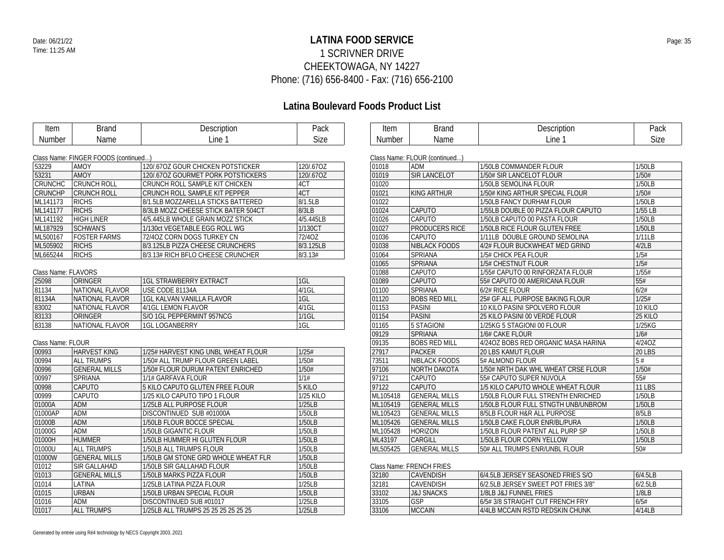## **LATINA FOOD SERVICE** Date: 06/21/22 Page: 35 1 SCRIVNER DRIVE CHEEKTOWAGA, NY 14227 Phone: (716) 656-8400 - Fax: (716) 656-2100

### **Latina Boulevard Foods Product List**

| Item                | <b>Brand</b>                         | Description                         | Pack        | Item            |                           |
|---------------------|--------------------------------------|-------------------------------------|-------------|-----------------|---------------------------|
| Number              | Name                                 | Line 1                              | Size        | Number          |                           |
|                     |                                      |                                     |             |                 |                           |
|                     | Class Name: FINGER FOODS (continued) |                                     |             | Class Name: FLC |                           |
| 53229               | <b>AMOY</b>                          | 120/.67OZ GOUR CHICKEN POTSTICKER   | 120/.67OZ   | 01018           | <b>AL</b>                 |
| 53231               | <b>AMOY</b>                          | 120/.67OZ GOURMET PORK POTSTICKERS  | 120/.67OZ   | 01019           | SI                        |
| CRUNCHC             | <b>CRUNCH ROLL</b>                   | CRUNCH ROLL SAMPLE KIT CHICKEN      | 4CT         | 01020           |                           |
| CRUNCHP             | <b>CRUNCH ROLL</b>                   | CRUNCH ROLL SAMPLE KIT PEPPER       | 4CT         | 01021           | KI                        |
| ML141173            | <b>RICHS</b>                         | 8/1.5LB MOZZARELLA STICKS BATTERED  | 8/1.5LB     | 01022           |                           |
| ML141177            | <b>RICHS</b>                         | 8/3LB MOZZ CHEESE STICK BATER 504CT | 8/3LB       | 01024           | C                         |
| ML141192            | <b>HIGH LINER</b>                    | 4/5.445LB WHOLE GRAIN MOZZ STICK    | 4/5.445LB   | 01026           | C                         |
| ML187929            | <b>SCHWAN'S</b>                      | 1/130ct VEGETABLE EGG ROLL WG       | 1/130CT     | 01027           | PF                        |
| ML500167            | <b>FOSTER FARMS</b>                  | 72/4OZ CORN DOGS TURKEY CN          | 72/40Z      | 01036           | C/                        |
| ML505902            | <b>RICHS</b>                         | 8/3.125LB PIZZA CHEESE CRUNCHERS    | 8/3.125LB   | 01038           | <b>NI</b>                 |
| ML665244            | <b>RICHS</b>                         | 8/3.13# RICH BFLO CHEESE CRUNCHER   | 8/3.13#     | 01064           | $\overline{\mathsf{S}}$ F |
|                     |                                      |                                     |             | 01065           | $\overline{\mathsf{S}}$ F |
| Class Name: FLAVORS |                                      |                                     |             | 01088           | $\overline{C}$            |
| 25098               | ORINGER                              | <b>1GL STRAWBERRY EXTRACT</b>       | 1GL         | 01089           | C                         |
| 81134               | NATIONAL FLAVOR                      | USE CODE 81134A                     | $4/1$ GL    | 01100           | $\overline{\mathsf{S}}$ F |
| 81134A              | NATIONAL FLAVOR                      | <b>1GL KALVAN VANILLA FLAVOR</b>    | $1$ GL      | 01120           | B <sub>C</sub>            |
| 83002               | NATIONAL FLAVOR                      | 4/1GL LEMON FLAVOR                  | $4/1$ GL    | 01153           | P                         |
| 83133               | ORINGER                              | S/O 1GL PEPPERMINT 957NCG           | $1/1$ GL    | 01154           | PI                        |
| 83138               | NATIONAL FLAVOR                      | <b>1GL LOGANBERRY</b>               | $1$ GL      | 01165           | $\overline{5}$            |
|                     |                                      |                                     |             | 09129           | $\overline{\mathsf{S}}$ F |
| Class Name: FLOUR   |                                      |                                     |             | 09135           | B <sub>C</sub>            |
| 00993               | <b>HARVEST KING</b>                  | 1/25# HARVEST KING UNBL WHEAT FLOUR | 1/25#       | 27917           | PI                        |
| 00994               | <b>ALL TRUMPS</b>                    | 1/50# ALL TRUMP FLOUR GREEN LABEL   | 1/50#       | 73511           | <b>NI</b>                 |
| 00996               | <b>GENERAL MILLS</b>                 | 1/50# FLOUR DURUM PATENT ENRICHED   | 1/50#       | 97106           | N <sub>0</sub>            |
| 00997               | SPRIANA                              | 1/1# GARFAVA FLOUR                  | 1/1#        | 97121           | C                         |
| 00998               | CAPUTO                               | 5 KILO CAPUTO GLUTEN FREE FLOUR     | 5 KILO      | 97122           | C/                        |
| 00999               | CAPUTO                               | 1/25 KILO CAPUTO TIPO 1 FLOUR       | $1/25$ KILO | ML105418        | GI                        |
| 01000A              | ADM                                  | 1/25LB ALL PURPOSE FLOUR            | 1/25LB      | ML105419        | GI                        |
| 01000AP             | ADM                                  | DISCONTINUED SUB #01000A            | 1/50LB      | ML105423        | GI                        |
| 01000B              | <b>ADM</b>                           | 1/50LB FLOUR BOCCE SPECIAL          | 1/50LB      | ML105426        | GI                        |
| 01000G              | ADM                                  | 1/50LB GIGANTIC FLOUR               | 1/50LB      | ML105428        | H <sup>o</sup>            |
| 01000H              | <b>HUMMER</b>                        | 1/50LB HUMMER HI GLUTEN FLOUR       | 1/50LB      | ML43197         | C                         |
| 01000U              | <b>ALL TRUMPS</b>                    | 1/50LB ALL TRUMPS FLOUR             | 1/50LB      | ML505425        | GI                        |
| 01000W              | <b>GENERAL MILLS</b>                 | 1/50LB GM STONE GRD WHOLE WHEAT FLR | 1/50LB      |                 |                           |
| 01012               | SIR GALLAHAD                         | 1/50LB SIR GALLAHAD FLOUR           | 1/50LB      | Class Name: FRE |                           |
| 01013               | <b>GENERAL MILLS</b>                 | 1/50LB MARKS PIZZA FLOUR            | 1/50LB      | 32180           | C/                        |
|                     |                                      |                                     |             |                 |                           |

| Item   | Brand | Description | ⊇ack |
|--------|-------|-------------|------|
| Number | Name  | _ine        | Size |

|          | Class Name: FLOUR (continued) |                                     |               |
|----------|-------------------------------|-------------------------------------|---------------|
| 01018    | <b>ADM</b>                    | 1/50LB COMMANDER FLOUR              | 1/50LB        |
| 01019    | <b>SIR LANCELOT</b>           | 1/50# SIR LANCELOT FLOUR            | 1/50#         |
| 01020    |                               | 1/50LB SEMOLINA FLOUR               | 1/50LB        |
| 01021    | KING ARTHUR                   | 1/50# KING ARTHUR SPECIAL FLOUR     | 1/50#         |
| 01022    |                               | 1/50LB FANCY DURHAM FLOUR           | 1/50LB        |
| 01024    | <b>CAPUTO</b>                 | 1/55LB DOUBLE 00 PIZZA FLOUR CAPUTO | $1/55$ LB     |
| 01026    | CAPUTO                        | 1/50LB CAPUTO 00 PASTA FLOUR        | 1/50LB        |
| 01027    | <b>PRODUCERS RICE</b>         | 1/50LB RICE FLOUR GLUTEN FREE       | 1/50LB        |
| 01036    | CAPUTO                        | 1/11LB DOUBLE GROUND SEMOLINA       | 1/11LB        |
| 01038    | <b>NIBLACK FOODS</b>          | 4/2# FLOUR BUCKWHEAT MED GRIND      | 4/2LB         |
| 01064    | <b>SPRIANA</b>                | 1/5# CHICK PEA FLOUR                | 1/5#          |
| 01065    | <b>SPRIANA</b>                | 1/5# CHESTNUT FLOUR                 | 1/5#          |
| 01088    | CAPUTO                        | 1/55# CAPUTO 00 RINFORZATA FLOUR    | 1/55#         |
| 01089    | CAPUTO                        | 55# CAPUTO 00 AMERICANA FLOUR       | 55#           |
| 01100    | <b>SPRIANA</b>                | 6/2# RICE FLOUR                     | 6/2#          |
| 01120    | <b>BOBS RED MILL</b>          | 25# GF ALL PURPOSE BAKING FLOUR     | 1/25#         |
| 01153    | <b>PASINI</b>                 | 10 KILO PASINI SPOLVERO FLOUR       | 10 KILO       |
| 01154    | <b>PASINI</b>                 | 25 KILO PASINI 00 VERDE FLOUR       | 25 KILO       |
| 01165    | <b>5 STAGIONI</b>             | 1/25KG 5 STAGIONI 00 FLOUR          | 1/25KG        |
| 09129    | <b>SPRIANA</b>                | 1/6# CAKE FLOUR                     | 1/6#          |
| 09135    | <b>BOBS RED MILL</b>          | 4/24OZ BOBS RED ORGANIC MASA HARINA | 4/24OZ        |
| 27917    | <b>PACKER</b>                 | 20 LBS KAMUT FLOUR                  | <b>20 LBS</b> |
| 73511    | <b>NIBLACK FOODS</b>          | 5# ALMOND FLOUR                     | 5#            |
| 97106    | <b>NORTH DAKOTA</b>           | 1/50# NRTH DAK WHL WHEAT CRSE FLOUR | 1/50#         |
| 97121    | CAPUTO                        | 55# CAPUTO SUPER NUVOLA             | 55#           |
| 97122    | <b>CAPUTO</b>                 | 1/5 KILO CAPUTO WHOLE WHEAT FLOUR   | <b>11 LBS</b> |
| ML105418 | <b>GENERAL MILLS</b>          | 1/50LB FLOUR FULL STRENTH ENRICHED  | 1/50LB        |
| ML105419 | <b>GENERAL MILLS</b>          | 1/50LB FLOUR FULL STNGTH UNB/UNBROM | 1/50LB        |
| ML105423 | <b>GENERAL MILLS</b>          | 8/5LB FLOUR H&R ALL PURPOSE         | 8/5LB         |
| ML105426 | <b>GENERAL MILLS</b>          | 1/50LB CAKE FLOUR ENR/BL/PURA       | 1/50LB        |
| ML105428 | <b>HORIZON</b>                | 1/50LB FLOUR PATENT ALL PURP SP     | 1/50LB        |
| ML43197  | CARGILL                       | 1/50LB FLOUR CORN YELLOW            | 1/50LB        |
| ML505425 | <b>GENERAL MILLS</b>          | 50# ALL TRUMPS ENR/UNBL FLOUR       | 50#           |

### **ENCH FRIES**

| 32180 | <b>CAVENDISH</b>      | 6/4.5LB JERSEY SEASONED FRIES S/O   | 6/4.5LB |
|-------|-----------------------|-------------------------------------|---------|
| 32181 | CAVENDISH             | 6/2.5LB JERSEY SWEET POT FRIES 3/8" | 6/2.5LB |
| 33102 | <b>J&amp;J SNACKS</b> | 1/8 B J& FUNNEL FRIES               | 1/8LB   |
| 33105 | GSP                   | 6/5#3/8 STRAIGHT CUT FRENCH FRY     | 6/5#    |
| 33106 | <b>MCCAIN</b>         | 4/4LB MCCAIN RSTD REDSKIN CHUNK     | 4/14LB  |

01015 URBAN 1/50LB URBAN SPECIAL FLOUR 1/50LB<br>1/50LB 1/50LB UNIT DISCONTINUED SUB #01017 1/125LB 01016 ADM DISCONTINUED SUB #01017 1/25LB<br>01017 ALL TRUMPS 1/25LB ALL TRUMPS 25 25 25 25 25 25 25 25

1/25LB ALL TRUMPS 25 25 25 25 25 25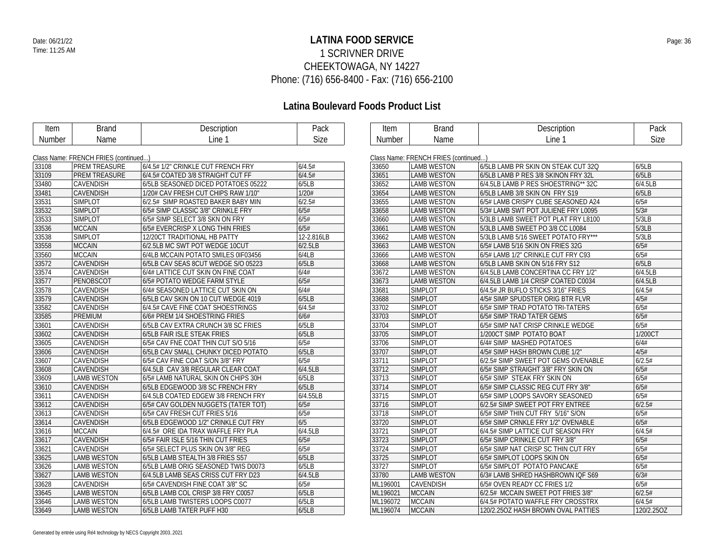## **LATINA FOOD SERVICE** Date: 06/21/22 Page: 36 1 SCRIVNER DRIVE CHEEKTOWAGA, NY 14227 Phone: (716) 656-8400 - Fax: (716) 656-2100

| Item   | <b>Brand</b>                         | Description                         | Pack        | Item     | <b>Brand</b>                         | Description                         | Pack       |
|--------|--------------------------------------|-------------------------------------|-------------|----------|--------------------------------------|-------------------------------------|------------|
| Number | Name                                 | Line 1                              | <b>Size</b> | Number   | Name                                 | Line 1                              | Size       |
|        |                                      |                                     |             |          |                                      |                                     |            |
|        | Class Name: FRENCH FRIES (continued) |                                     |             |          | Class Name: FRENCH FRIES (continued) |                                     |            |
| 33108  | <b>PREM TREASURE</b>                 | 6/4.5# 1/2" CRINKLE CUT FRENCH FRY  | 6/4.5#      | 33650    | <b>LAMB WESTON</b>                   | 6/5LB LAMB PR SKIN ON STEAK CUT 32Q | 6/5LB      |
| 33109  | <b>PREM TREASURE</b>                 | 6/4.5# COATED 3/8 STRAIGHT CUT FF   | 6/4.5#      | 33651    | <b>LAMB WESTON</b>                   | 6/5LB LAMB P RES 3/8 SKINON FRY 32L | 6/5LB      |
| 33480  | <b>CAVENDISH</b>                     | 6/5LB SEASONED DICED POTATOES 05222 | 6/5LB       | 33652    | <b>LAMB WESTON</b>                   | 6/4.5LB LAMB P RES SHOESTRING** 32C | 6/4.5LB    |
| 33481  | <b>CAVENDISH</b>                     | 1/20# CAV FRESH CUT CHIPS RAW 1/10" | 1/20#       | 33654    | <b>LAMB WESTON</b>                   | 6/5LB LAMB 3/8 SKIN ON FRY S19      | 6/5LB      |
| 33531  | <b>SIMPLOT</b>                       | 6/2.5# SIMP ROASTED BAKER BABY MIN  | 6/2.5#      | 33655    | <b>LAMB WESTON</b>                   | 6/5# LAMB CRISPY CUBE SEASONED A24  | 6/5#       |
| 33532  | <b>SIMPLOT</b>                       | 6/5# SIMP CLASSIC 3/8" CRINKLE FRY  | 6/5#        | 33658    | <b>LAMB WESTON</b>                   | 5/3# LAMB SWT POT JULIENE FRY L0095 | 5/3#       |
| 33533  | <b>SIMPLOT</b>                       | 6/5# SIMP SELECT 3/8 SKN ON FRY     | 6/5#        | 33660    | <b>LAMB WESTON</b>                   | 5/3LB LAMB SWEET POT PLAT FRY L8100 | 5/3LB      |
| 33536  | <b>MCCAIN</b>                        | 6/5# EVERCRISP X LONG THIN FRIES    | 6/5#        | 33661    | <b>LAMB WESTON</b>                   | 5/3LB LAMB SWEET PO 3/8 CC L0084    | 5/3LB      |
| 33538  | <b>SIMPLOT</b>                       | 12/20CT TRADITIONAL HB PATTY        | 12-2.816LB  | 33662    | <b>LAMB WESTON</b>                   | 5/3LB LAMB 5/16 SWEET POTATO FRY*** | 5/3LB      |
| 33558  | <b>MCCAIN</b>                        | 6/2.5LB MC SWT POT WEDGE 10CUT      | 6/2.5LB     | 33663    | <b>LAMB WESTON</b>                   | 6/5# LAMB 5/16 SKIN ON FRIES 32G    | 6/5#       |
| 33560  | <b>MCCAIN</b>                        | 6/4LB MCCAIN POTATO SMILES 0IF03456 | 6/4LB       | 33666    | <b>LAMB WESTON</b>                   | 6/5# LAMB 1/2" CRINKLE CUT FRY C93  | 6/5#       |
| 33572  | <b>CAVENDISH</b>                     | 6/5LB CAV SEAS 8CUT WEDGE S/O 05223 | 6/5LB       | 33668    | <b>LAMB WESTON</b>                   | 6/5LB LAMB SKIN ON 5/16 FRY S12     | 6/5LB      |
| 33574  | <b>CAVENDISH</b>                     | 6/4# LATTICE CUT SKIN ON FINE COAT  | 6/4#        | 33672    | <b>LAMB WESTON</b>                   | 6/4.5LB LAMB CONCERTINA CC FRY 1/2" | 6/4.5LB    |
| 33577  | PENOBSCOT                            | 6/5# POTATO WEDGE FARM STYLE        | 6/5#        | 33673    | <b>LAMB WESTON</b>                   | 6/4.5LB LAMB 1/4 CRISP COATED C0034 | 6/4.5LB    |
| 33578  | <b>CAVENDISH</b>                     | 6/4# SEASONED LATTICE CUT SKIN ON   | 6/4#        | 33681    | <b>SIMPLOT</b>                       | 6/4.5# JR BUFLO STICKS 3/16" FRIES  | 6/4.5#     |
| 33579  | <b>CAVENDISH</b>                     | 6/5LB CAV SKIN ON 10 CUT WEDGE 4019 | 6/5LB       | 33688    | <b>SIMPLOT</b>                       | 4/5# SIMP SPUDSTER ORIG BTR FLVR    | 4/5#       |
| 33582  | <b>CAVENDISH</b>                     | 6/4.5# CAVE FINE COAT SHOESTRINGS   | 6/4.5#      | 33702    | <b>SIMPLOT</b>                       | 6/5# SIMP TRAD POTATO TRI-TATERS    | 6/5#       |
| 33585  | <b>PREMIUM</b>                       | 6/6# PREM 1/4 SHOESTRING FRIES      | 6/6#        | 33703    | <b>SIMPLOT</b>                       | 6/5# SIMP TRAD TATER GEMS           | 6/5#       |
| 33601  | <b>CAVENDISH</b>                     | 6/5LB CAV EXTRA CRUNCH 3/8 SC FRIES | 6/5LB       | 33704    | <b>SIMPLOT</b>                       | 6/5# SIMP NAT CRISP CRINKLE WEDGE   | 6/5#       |
| 33602  | <b>CAVENDISH</b>                     | 6/5LB FAIR ISLE STEAK FRIES         | 6/5LB       | 33705    | <b>SIMPLOT</b>                       | 1/200CT SIMP POTATO BOAT            | 1/200CT    |
| 33605  | <b>CAVENDISH</b>                     | 6/5# CAV FNE COAT THIN CUT S/O 5/16 | 6/5#        | 33706    | <b>SIMPLOT</b>                       | 6/4# SIMP MASHED POTATOES           | 6/4#       |
| 33606  | <b>CAVENDISH</b>                     | 6/5LB CAV SMALL CHUNKY DICED POTATO | 6/5LB       | 33707    | <b>SIMPLOT</b>                       | 4/5# SIMP HASH BROWN CUBE 1/2"      | 4/5#       |
| 33607  | <b>CAVENDISH</b>                     | 6/5# CAV FINE COAT S/ON 3/8" FRY    | 6/5#        | 33711    | <b>SIMPLOT</b>                       | 6/2.5# SIMP SWEET POT GEMS OVENABLE | 6/2.5#     |
| 33608  | <b>CAVENDISH</b>                     | 6/4.5LB CAV 3/8 REGULAR CLEAR COAT  | 6/4.5LB     | 33712    | <b>SIMPLOT</b>                       | 6/5# SIMP STRAIGHT 3/8" FRY SKIN ON | 6/5#       |
| 33609  | <b>LAMB WESTON</b>                   | 6/5# LAMB NATURAL SKIN ON CHIPS 30H | 6/5LB       | 33713    | <b>SIMPLOT</b>                       | 6/5# SIMP STEAK FRY SKIN ON         | 6/5#       |
| 33610  | <b>CAVENDISH</b>                     | 6/5LB EDGEWOOD 3/8 SC FRENCH FRY    | 6/5LB       | 33714    | <b>SIMPLOT</b>                       | 6/5# SIMP CLASSIC REG CUT FRY 3/8"  | 6/5#       |
| 33611  | <b>CAVENDISH</b>                     | 6/4.5LB COATED EDGEW 3/8 FRENCH FRY | 6/4.55LB    | 33715    | <b>SIMPLOT</b>                       | 6/5# SIMP LOOPS SAVORY SEASONED     | 6/5#       |
| 33612  | <b>CAVENDISH</b>                     | 6/5# CAV GOLDEN NUGGETS (TATER TOT) | 6/5#        | 33716    | <b>SIMPLOT</b>                       | 6/2.5# SIMP SWEET POT FRY ENTREE    | 6/2.5#     |
| 33613  | <b>CAVENDISH</b>                     | 6/5# CAV FRESH CUT FRIES 5/16       | 6/5#        | 33718    | <b>SIMPLOT</b>                       | 6/5# SIMP THIN CUT FRY 5/16" S/ON   | 6/5#       |
| 33614  | CAVENDISH                            | 6/5LB EDGEWOOD 1/2" CRINKLE CUT FRY | 6/5         | 33720    | <b>SIMPLOT</b>                       | 6/5# SIMP CRNKLE FRY 1/2" OVENABLE  | 6/5#       |
| 33616  | <b>MCCAIN</b>                        | 6/4.5# ORE IDA TRAX WAFFLE FRY PLA  | 6/4.5LB     | 33721    | <b>SIMPLOT</b>                       | 6/4.5# SIMP LATTICE CUT SEASON FRY  | 6/4.5#     |
| 33617  | <b>CAVENDISH</b>                     | 6/5# FAIR ISLE 5/16 THIN CUT FRIES  | 6/5#        | 33723    | <b>SIMPLOT</b>                       | 6/5# SIMP CRINKLE CUT FRY 3/8"      | 6/5#       |
| 33621  | <b>CAVENDISH</b>                     | 6/5# SELECT PLUS SKIN ON 3/8" REG   | 6/5#        | 33724    | <b>SIMPLOT</b>                       | 6/5# SIMP NAT CRISP SC THIN CUT FRY | 6/5#       |
| 33625  | <b>LAMB WESTON</b>                   | 6/5LB LAMB STEALTH 3/8 FRIES S57    | 6/5LB       | 33725    | <b>SIMPLOT</b>                       | 6/5# SIMPLOT LOOPS SKIN ON          | 6/5#       |
| 33626  | <b>LAMB WESTON</b>                   | 6/5LB LAMB ORIG SEASONED TWIS D0073 | 6/5LB       | 33727    | <b>SIMPLOT</b>                       | 6/5# SIMPLOT POTATO PANCAKE         | 6/5#       |
| 33627  | <b>LAMB WESTON</b>                   | 6/4.5LB LAMB SEAS CRISS CUT FRY D23 | 6/4.5LB     | 33780    | <b>LAMB WESTON</b>                   | 6/3# LAMB SHRED HASHBROWN IQF S69   | 6/3#       |
| 33628  | <b>CAVENDISH</b>                     | 6/5# CAVENDISH FINE COAT 3/8" SC    | 6/5#        | ML196001 | <b>CAVENDISH</b>                     | 6/5# OVEN READY CC FRIES 1/2        | 6/5#       |
| 33645  | <b>LAMB WESTON</b>                   | 6/5LB LAMB COL CRISP 3/8 FRY C0057  | 6/5LB       | ML196021 | <b>MCCAIN</b>                        | 6/2.5# MCCAIN SWEET POT FRIES 3/8"  | 6/2.5#     |
| 33646  | <b>LAMB WESTON</b>                   | 6/5LB LAMB TWISTERS LOOPS C0077     | 6/5LB       | ML196072 | <b>MCCAIN</b>                        | 6/4.5# POTATO WAFFLE FRY CROSSTRX   | 6/4.5#     |
| 33649  | <b>LAMB WESTON</b>                   | 6/5LB LAMB TATER PUFF H30           | 6/5LB       | ML196074 | <b>MCCAIN</b>                        | 120/2.25OZ HASH BROWN OVAL PATTIES  | 120/2.25OZ |
|        |                                      |                                     |             |          |                                      |                                     |            |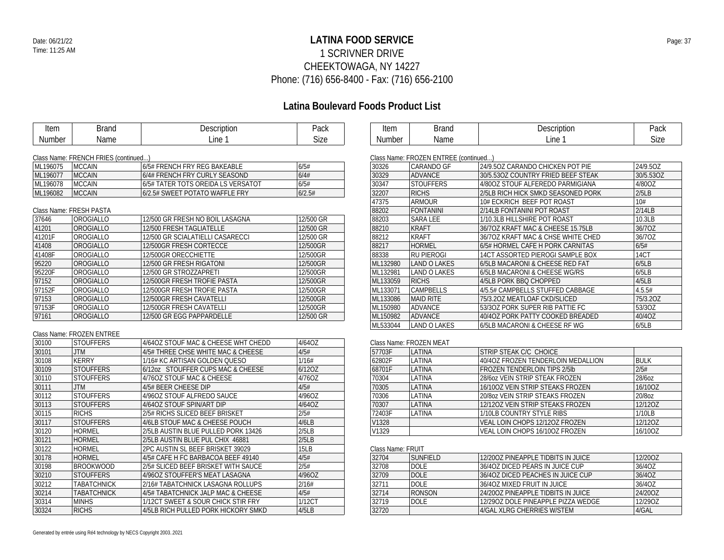### **LATINA FOOD SERVICE** Date: 06/21/22 Page: 37 1 SCRIVNER DRIVE CHEEKTOWAGA, NY 14227 Phone: (716) 656-8400 - Fax: (716) 656-2100

### **Latina Boulevard Foods Product List**

| Item   | lrond<br>anu' | Description | Pack |
|--------|---------------|-------------|------|
| Number | Name          | ∟ine ⊺      | Size |

| t∆m<br>ווטווו                              | . | .   | المصد<br>auk |
|--------------------------------------------|---|-----|--------------|
| - - -<br>$\sim$ $\sim$ $\sim$<br>Nı<br>٦Η. |   | ine | 7۵           |

#### Class Name: FRENCH FRIES (continued...)

| ML196075 | IMCCAIN        | 6/5# FRENCH FRY REG BAKEABLE       | 6/5#   |
|----------|----------------|------------------------------------|--------|
| ML196077 | <b>IMCCAIN</b> | 6/4# FRENCH FRY CURLY SEASOND      | 6/4#   |
| ML196078 | IMCCAIN        | 6/5# TATER TOTS OREIDA LS VERSATOT | 6/5#   |
| ML196082 | <b>MCCAIN</b>  | 6/2.5# SWEET POTATO WAFFLE FRY     | 6/2.5# |

### Class Name: FRESH PASTA

| 37646  | OROGIALLO        | 12/500 GR FRESH NO BOIL LASAGNA  | 12/500 GR |
|--------|------------------|----------------------------------|-----------|
| 41201  | OROGIALLO        | 12/500 FRESH TAGLIATELLE         | 12/500 GR |
| 41201F | OROGIALLO        | 12/500 GR SCIALATIELLI CASARECCI | 12/500 GR |
| 41408  | OROGIALLO        | 12/500GR FRESH CORTECCE          | 12/500GR  |
| 41408F | <b>OROGIALLO</b> | 12/500GR ORECCHIETTE             | 12/500GR  |
| 95220  | OROGIALLO        | 12/500 GR FRESH RIGATONI         | 12/500GR  |
| 95220F | OROGIALLO        | 12/500 GR STROZZAPRETI           | 12/500GR  |
| 97152  | OROGIALLO        | 12/500GR FRESH TROFIE PASTA      | 12/500GR  |
| 97152F | <b>OROGIALLO</b> | 12/500GR FRESH TROFIE PASTA      | 12/500GR  |
| 97153  | <b>OROGIALLO</b> | 12/500GR FRESH CAVATELLI         | 12/500GR  |
| 97153F | OROGIALLO        | 12/500GR FRESH CAVATELLI         | 12/500GR  |
| 97161  | OROGIALLO        | 12/500 GR EGG PAPPARDELLE        | 12/500 GR |

### Class Name: FROZEN ENTREE

| 30100 | <b>STOUFFERS</b>   | 4/64OZ STOUF MAC & CHEESE WHT CHEDD | 4/640Z           |
|-------|--------------------|-------------------------------------|------------------|
| 30101 | JTM.               | 4/5# THREE CHSE WHITE MAC & CHEESE  | 4/5#             |
| 30108 | <b>KERRY</b>       | 1/16# KC ARTISAN GOLDEN OUESO       | 1/16#            |
| 30109 | <b>STOUFFERS</b>   | 6/12oz STOUFFER CUPS MAC & CHEESE   | 6/120Z           |
| 30110 | <b>STOUFFERS</b>   | 4/760Z STOUF MAC & CHEESE           | 4/760Z           |
| 30111 | JTM.               | 4/5# BEER CHEESE DIP                | 4/5#             |
| 30112 | <b>STOUFFERS</b>   | 4/960Z STOUF ALFREDO SAUCE          | 4/96OZ           |
| 30113 | <b>STOUFFERS</b>   | 4/640Z STOUF SPIN/ART DIP           | 4/640Z           |
| 30115 | <b>RICHS</b>       | 2/5# RICHS SLICED BEEF BRISKET      | 2/5#             |
| 30117 | <b>STOUFFERS</b>   | 4/6LB STOUF MAC & CHEESE POUCH      | 4/6LB            |
| 30120 | <b>HORMEL</b>      | 2/5LB AUSTIN BLUE PULLED PORK 13426 | 2/5LB            |
| 30121 | <b>HORMEL</b>      | 2/5LB AUSTIN BLUE PUL CHIX 46881    | 2/5LB            |
| 30122 | <b>HORMEL</b>      | 2PC AUSTIN SL BEEF BRISKET 39029    | 15 <sub>LB</sub> |
| 30178 | <b>HORMEL</b>      | 4/5# CAFE H FC BARBACOA BEEF 49140  | 4/5#             |
| 30198 | <b>BROOKWOOD</b>   | 2/5# SLICED BEEF BRISKET WITH SAUCE | 2/5#             |
| 30210 | <b>STOUFFERS</b>   | 4/96OZ STOUFFER'S MEAT LASAGNA      | 4/960Z           |
| 30212 | <b>TABATCHNICK</b> | 2/16# TABATCHNICK LASAGNA ROLLUPS   | 2/16#            |
| 30214 | <b>TABATCHNICK</b> | 4/5# TABATCHNICK JALP MAC & CHEESE  | 4/5#             |
| 30314 | <b>MINHS</b>       | 1/12CT SWEET & SOUR CHICK STIR FRY  | 1/12CT           |
| 30324 | <b>RICHS</b>       | 4/5LB RICH PULLED PORK HICKORY SMKD | 4/5LB            |
|       |                    |                                     |                  |

| Class Name: FROZEN ENTREE (continued) |                     |                                    |           |  |
|---------------------------------------|---------------------|------------------------------------|-----------|--|
| 30326                                 | CARANDO GF          | 24/9.50Z CARANDO CHICKEN POT PIE   | 24/9.5OZ  |  |
| 30329                                 | <b>ADVANCE</b>      | 30/5.530Z COUNTRY FRIED BEEF STEAK | 30/5.53OZ |  |
| 30347                                 | <b>STOUFFERS</b>    | 4/800Z STOUF ALFEREDO PARMIGIANA   | 4/80OZ    |  |
| 32207                                 | <b>RICHS</b>        | 2/5LB RICH HICK SMKD SEASONED PORK | 2/5LB     |  |
| 47375                                 | <b>ARMOUR</b>       | 10# ECKRICH BEEF POT ROAST         | 10#       |  |
| 88202                                 | <b>FONTANINI</b>    | 2/14LB FONTANINI POT ROAST         | 2/14LB    |  |
| 88203                                 | <b>SARA LEE</b>     | 1/10.3LB HILLSHIRE POT ROAST       | 10.3LB    |  |
| 88210                                 | <b>KRAFT</b>        | 36/7OZ KRAFT MAC & CHEESE 15.75LB  | 36/7OZ    |  |
| 88212                                 | <b>KRAFT</b>        | 36/70Z KRAFT MAC & CHSE WHITE CHED | 36/7OZ    |  |
| 88217                                 | <b>HORMEL</b>       | 6/5# HORMEL CAFE H PORK CARNITAS   | 6/5#      |  |
| 88338                                 | <b>RU PIEROGI</b>   | 14CT ASSORTED PIEROGI SAMPLE BOX   | 14CT      |  |
| ML132980                              | LAND O LAKES        | 6/5LB MACARONI & CHEESE RED FAT    | 6/5LB     |  |
| ML132981                              | <b>LAND O LAKES</b> | 6/5LB MACARONI & CHEESE WG/RS      | 6/5LB     |  |
| ML133059                              | <b>RICHS</b>        | 4/5LB PORK BBO CHOPPED             | 4/5LB     |  |
| ML133071                              | CAMPBELLS           | 4/5.5# CAMPBELLS STUFFED CABBAGE   | 4.5.5#    |  |
| ML133086                              | <b>MAID RITE</b>    | 75/3.2OZ MEATLOAF CKD/SLICED       | 75/3.20Z  |  |
| ML150980                              | <b>ADVANCE</b>      | 53/30Z PORK SUPER RIB PATTIE FC    | 53/3OZ    |  |
| ML150982                              | <b>ADVANCE</b>      | 40/40Z PORK PATTY COOKED BREADED   | 40/40Z    |  |
| ML533044                              | <b>LAND O LAKES</b> | 6/5LB MACARONI & CHEESE RF WG      | 6/5LB     |  |

#### Class Name: FROZEN MEAT

| 57703F            | LATINA | STRIP STEAK C/C CHOICE              |             |  |
|-------------------|--------|-------------------------------------|-------------|--|
| 62802F            | LATINA | 40/40Z FROZEN TENDERLOIN MEDALLION  | <b>BULK</b> |  |
| 68701F            | LATINA | <b>FROZEN TENDERLOIN TIPS 2/5lb</b> | 2/5#        |  |
| 70304             | LATINA | 28/607 VEIN STRIP STEAK FROZEN      | 28/607      |  |
| 70305             | LATINA | 16/100Z VEIN STRIP STEAKS FROZEN    | 16/10OZ     |  |
| 70306             | LATINA | 20/807 VEIN STRIP STEAKS FROZEN     | 20/8oz      |  |
| 70307             | LATINA | 12/120Z VEIN STRIP STEAKS FROZEN    | 12/120Z     |  |
| 72403F            | LATINA | 1/10LB COUNTRY STYLE RIBS           | 1/10LB      |  |
| V1328             |        | VEAL LOIN CHOPS 12/120Z FROZEN      | 12/120Z     |  |
| V <sub>1329</sub> |        | VEAL LOIN CHOPS 16/100Z FROZEN      | 16/10OZ     |  |

### Class Name: FRUIT

| 32704 | SUNFIELD | 12/2007 PINEAPPLE TIDBITS IN JUICE | 12/200Z |
|-------|----------|------------------------------------|---------|
| 32708 | DOLF     | 36/40Z DICED PEARS IN JUICE CUP    | 36/407  |
| 32709 | DOLF     | 36/40Z DICED PEACHES IN JUICE CUP  | 36/4OZ  |
| 32711 | DOLF     | 36/40Z MIXED FRUIT IN JUICE        | 36/407  |
| 32714 | RONSON   | 24/2007 PINEAPPLE TIDBITS IN JUICE | 24/200Z |
| 32719 | DOLE     | 12/2907 DOLE PINEAPPLE PIZZA WEDGE | 12/290Z |
| 32720 |          | 4/GAL XLRG CHERRIES W/STEM         | 4/GAL   |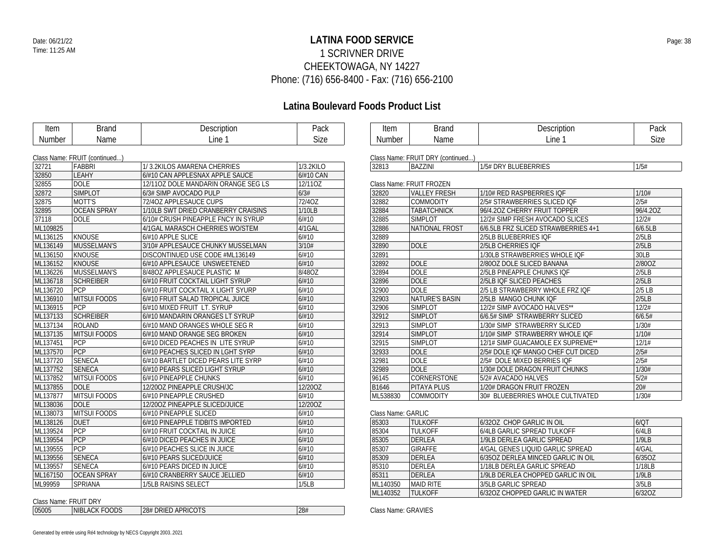### **LATINA FOOD SERVICE** Date: 06/21/22 Page: 38 1 SCRIVNER DRIVE CHEEKTOWAGA, NY 14227 Phone: (716) 656-8400 - Fax: (716) 656-2100

# **Latina Boulevard Foods Product List**

| Item          | <b>Brand</b>                  | Description                         | Pack      | Item               | <b>Brand</b>                      | Description                         | Pack        |
|---------------|-------------------------------|-------------------------------------|-----------|--------------------|-----------------------------------|-------------------------------------|-------------|
| <b>Number</b> | Name                          | Line 1                              | Size      | <b>Number</b>      | Name                              | Line 1                              | <b>Size</b> |
|               |                               |                                     |           |                    |                                   |                                     |             |
|               | Class Name: FRUIT (continued) |                                     |           |                    | Class Name: FRUIT DRY (continued) |                                     |             |
| 32721         | FABBRI                        | 1/3.2KILOS AMARENA CHERRIES         | 1/3.2KILO | 32813              | <b>BAZZINI</b>                    | 1/5# DRY BLUEBERRIES                | 1/5#        |
| 32850         | LEAHY                         | 6/#10 CAN APPLESNAX APPLE SAUCE     | 6/#10 CAN |                    |                                   |                                     |             |
| 32855         | <b>DOLE</b>                   | 12/110Z DOLE MANDARIN ORANGE SEG LS | 12/110Z   |                    | Class Name: FRUIT FROZEN          |                                     |             |
| 32872         | <b>SIMPLOT</b>                | 6/3# SIMP AVOCADO PULP              | 6/3#      | 32820              | <b>VALLEY FRESH</b>               | 1/10# RED RASPBERRIES IQF           | 1/10#       |
| 32875         | MOTT'S                        | 72/40Z APPLESAUCE CUPS              | 72/4OZ    | 32882              | <b>COMMODITY</b>                  | 2/5# STRAWBERRIES SLICED IQF        | 2/5#        |
| 32895         | <b>OCEAN SPRAY</b>            | 1/10LB SWT DRIED CRANBERRY CRAISINS | 1/10LB    | 32884              | <b>TABATCHNICK</b>                | 96/4.20Z CHERRY FRUIT TOPPER        | 96/4.20Z    |
| 37118         | DOLE                          | 6/10# CRUSH PINEAPPLE FNCY IN SYRUP | 6/#10     | 32885              | <b>SIMPLOT</b>                    | 12/2# SIMP FRESH AVOCADO SLICES     | 12/2#       |
| ML109825      |                               | 4/1GAL MARASCH CHERRIES WO/STEM     | 4/1GAL    | 32886              | NATIONAL FROST                    | 6/6.5LB FRZ SLICED STRAWBERRIES 4+1 | 6/6.5LB     |
| ML136125      | KNOUSE                        | 6/#10 APPLE SLICE                   | 6/#10     | 32889              |                                   | 2/5LB BLUEBERRIES IQF               | 2/5LB       |
| ML136149      | MUSSELMAN'S                   | 3/10# APPLESAUCE CHUNKY MUSSELMAN   | 3/10#     | 32890              | <b>DOLE</b>                       | 2/5LB CHERRIES IQF                  | 2/5LB       |
| ML136150      | <b>KNOUSE</b>                 | DISCONTINUED USE CODE #ML136149     | 6/#10     | 32891              |                                   | 1/30LB STRAWBERRIES WHOLE IQF       | 30LB        |
| ML136152      | KNOUSE                        | 6/#10 APPLESAUCE UNSWEETENED        | 6/#10     | 32892              | <b>DOLE</b>                       | 2/80OZ DOLE SLICED BANANA           | 2/80OZ      |
| ML136226      | MUSSELMAN'S                   | 8/48OZ APPLESAUCE PLASTIC M         | 8/48OZ    | 32894              | <b>DOLE</b>                       | 2/5LB PINEAPPLE CHUNKS IQF          | 2/5LB       |
| ML136718      | <b>SCHREIBER</b>              | 6/#10 FRUIT COCKTAIL LIGHT SYRUP    | 6/#10     | 32896              | <b>DOLE</b>                       | 2/5LB IQF SLICED PEACHES            | 2/5LB       |
| ML136720      | <b>PCP</b>                    | 6/#10 FRUIT COCKTAIL X LIGHT SYURP  | 6/#10     | 32900              | <b>DOLE</b>                       | 2/5 LB STRAWBERRY WHOLE FRZ IQF     | $2/5$ LB    |
| ML136910      | <b>MITSUI FOODS</b>           | 6/#10 FRUIT SALAD TROPICAL JUICE    | 6/#10     | 32903              | <b>NATURE'S BASIN</b>             | 2/5LB MANGO CHUNK IQF               | 2/5LB       |
| ML136915      | PCP                           | 6/#10 MIXED FRUIT LT. SYRUP         | 6/#10     | 32906              | <b>SIMPLOT</b>                    | 12/2# SIMP AVOCADO HALVES**         | 12/2#       |
| ML137133      | <b>SCHREIBER</b>              | 6/#10 MANDARIN ORANGES LT SYRUP     | 6/#10     | 32912              | <b>SIMPLOT</b>                    | 6/6.5# SIMP STRAWBERRY SLICED       | 6/6.5#      |
| ML137134      | ROLAND                        | 6/#10 MAND ORANGES WHOLE SEG R      | 6/#10     | 32913              | <b>SIMPLOT</b>                    | 1/30# SIMP STRAWBERRY SLICED        | 1/30#       |
| ML137135      | <b>MITSUI FOODS</b>           | 6/#10 MAND ORANGE SEG BROKEN        | 6/#10     | 32914              | <b>SIMPLOT</b>                    | 1/10# SIMP STRAWBERRY WHOLE IQF     | 1/10#       |
| ML137451      | <b>PCP</b>                    | 6/#10 DICED PEACHES IN LITE SYRUP   | 6/#10     | 32915              | <b>SIMPLOT</b>                    | 12/1# SIMP GUACAMOLE EX SUPREME**   | 12/1#       |
| ML137570      | PCP                           | 6/#10 PEACHES SLICED IN LGHT SYRP   | 6/#10     | 32933              | <b>DOLE</b>                       | 2/5# DOLE IQF MANGO CHEF CUT DICED  | 2/5#        |
| ML137720      | <b>SENECA</b>                 | 6/#10 BARTLET DICED PEARS LITE SYRP | 6/#10     | 32981              | <b>DOLE</b>                       | 2/5# DOLE MIXED BERRIES IQF         | 2/5#        |
| ML137752      | <b>SENECA</b>                 | 6/#10 PEARS SLICED LIGHT SYRUP      | 6/#10     | 32989              | <b>DOLE</b>                       | 1/30# DOLE DRAGON FRUIT CHUNKS      | 1/30#       |
| ML137852      | <b>MITSUI FOODS</b>           | 6/#10 PINEAPPLE CHUNKS              | 6/#10     | 96145              | CORNERSTONE                       | 5/2# AVACADO HALVES                 | 5/2#        |
| ML137855      | <b>DOLE</b>                   | 12/200Z PINEAPPLE CRUSH/JC          | 12/20OZ   | B1646              | PITAYA PLUS                       | 1/20# DRAGON FRUIT FROZEN           | 20#         |
| ML137877      | <b>MITSUI FOODS</b>           | 6/#10 PINEAPPLE CRUSHED             | 6/#10     | ML538830           | <b>COMMODITY</b>                  | 30# BLUEBERRIES WHOLE CULTIVATED    | 1/30#       |
| ML138036      | <b>DOLE</b>                   | 12/200Z PINEAPPLE SLICED/JUICE      | 12/20OZ   |                    |                                   |                                     |             |
| ML138073      | <b>MITSUI FOODS</b>           | 6/#10 PINEAPPLE SLICED              | 6/#10     | Class Name: GARLIC |                                   |                                     |             |
| ML138126      | <b>DUET</b>                   | 6/#10 PINEAPPLE TIDBITS IMPORTED    | 6/#10     | 85303              | <b>TULKOFF</b>                    | 6/320Z CHOP GARLIC IN OIL           | 6/QT        |
| ML139524      | PCP                           | 6/#10 FRUIT COCKTAIL IN JUICE       | 6/#10     | 85304              | <b>TULKOFF</b>                    | 6/4LB GARLIC SPREAD TULKOFF         | 6/4LB       |
| ML139554      | PCP                           | 6/#10 DICED PEACHES IN JUICE        | 6/#10     | 85305              | <b>DERLEA</b>                     | 1/9LB DERLEA GARLIC SPREAD          | 1/9LB       |
| ML139555      | PCP                           | 6/#10 PEACHES SLICE IN JUICE        | 6/#10     | 85307              | <b>GIRAFFE</b>                    | 4/GAL GENES LIQUID GARLIC SPREAD    | 4/GAL       |
| ML139556      | <b>SENECA</b>                 | 6/#10 PEARS SLICED/JUICE            | 6/#10     | 85309              | <b>DERLEA</b>                     | 6/350Z DERLEA MINCED GARLIC IN OIL  | 6/35OZ      |
| ML139557      | <b>SENECA</b>                 | 6/#10 PEARS DICED IN JUICE          | 6/#10     | 85310              | DERLEA                            | 1/18LB DERLEA GARLIC SPREAD         | 1/18LB      |
| ML167150      | <b>OCEAN SPRAY</b>            | 6/#10 CRANBERRY SAUCE JELLIED       | 6/#10     | 85311              | DERLEA                            | 1/9LB DERLEA CHOPPED GARLIC IN OIL  | 1/9LB       |
| ML99959       | SPRIANA                       | 1/5LB RAISINS SELECT                | 1/5LB     | ML140350           | <b>MAID RITE</b>                  | 3/5LB GARLIC SPREAD                 | 3/5LB       |
|               |                               |                                     |           | MI 140352          | <b>TULKOFF</b>                    | 6/3207 CHOPPED GARLIC IN WATER      | 6/3207      |

Class Name: FRUIT DRY

| $O(1000 - 1101110) + 11001100111$ |                                 |                              |     |  |  |  |
|-----------------------------------|---------------------------------|------------------------------|-----|--|--|--|
| 05005                             | <b>CK FOODS</b><br>ACK<br>NIB∟. | APRICOTS<br>-28#<br>DRIED AP | 28# |  |  |  |

| 32820    | <b>VALLEY FRESH</b>   | 1/10# RED RASPBERRIES IOF           | 1/10#    |
|----------|-----------------------|-------------------------------------|----------|
| 32882    | <b>COMMODITY</b>      | 2/5# STRAWBERRIES SLICED IOF        | 2/5#     |
| 32884    | <b>TABATCHNICK</b>    | 96/4.20Z CHERRY FRUIT TOPPER        | 96/4.20Z |
| 32885    | <b>SIMPLOT</b>        | 12/2# SIMP FRESH AVOCADO SLICES     | 12/2#    |
| 32886    | NATIONAL FROST        | 6/6.5LB FRZ SLICED STRAWBERRIES 4+1 | 6/6.5LB  |
| 32889    |                       | 2/5LB BLUEBERRIES IOF               | 2/5LB    |
| 32890    | <b>DOLE</b>           | 2/5LB CHERRIES IOF                  | 2/5LB    |
| 32891    |                       | 1/30LB STRAWBERRIES WHOLE IOF       | 30LB     |
| 32892    | <b>DOLE</b>           | 2/800Z DOLE SLICED BANANA           | 2/80OZ   |
| 32894    | <b>DOLE</b>           | 2/5LB PINEAPPLE CHUNKS IOF          | 2/5LB    |
| 32896    | <b>DOLE</b>           | 2/5LB IOF SLICED PEACHES            | 2/5LB    |
| 32900    | <b>DOLE</b>           | 2/5 LB STRAWBERRY WHOLE FRZ IOF     | $2/5$ LB |
| 32903    | <b>NATURE'S BASIN</b> | 2/5LB MANGO CHUNK IOF               | 2/5LB    |
| 32906    | <b>SIMPLOT</b>        | 12/2# SIMP AVOCADO HALVES**         | 12/2#    |
| 32912    | <b>SIMPLOT</b>        | 6/6.5# SIMP STRAWBERRY SLICED       | 6/6.5#   |
| 32913    | <b>SIMPLOT</b>        | 1/30# SIMP STRAWBERRY SLICED        | 1/30#    |
| 32914    | <b>SIMPLOT</b>        | 1/10# SIMP STRAWBERRY WHOLE IOF     | 1/10#    |
| 32915    | <b>SIMPLOT</b>        | 12/1# SIMP GUACAMOLE EX SUPREME**   | 12/1#    |
| 32933    | <b>DOLE</b>           | 2/5# DOLE IOF MANGO CHEF CUT DICED  | 2/5#     |
| 32981    | <b>DOLE</b>           | 2/5# DOLE MIXED BERRIES IOF         | 2/5#     |
| 32989    | <b>DOLE</b>           | 1/30# DOLE DRAGON FRUIT CHUNKS      | 1/30#    |
| 96145    | CORNERSTONE           | 5/2# AVACADO HALVES                 | 5/2#     |
| B1646    | PITAYA PLUS           | 1/20# DRAGON FRUIT FROZEN           | 20#      |
| ML538830 | <b>COMMODITY</b>      | 30# BLUEBERRIES WHOLE CULTIVATED    | 1/30#    |

|          | GIASS INAHIE, CIANLIG |                                    |        |  |  |  |
|----------|-----------------------|------------------------------------|--------|--|--|--|
| 85303    | <b>TULKOFF</b>        | 6/320Z CHOP GARLIC IN OIL          | 6/OT   |  |  |  |
| 85304    | TUI KOFF              | 6/4LB GARLIC SPREAD TULKOFF        | 6/4LB  |  |  |  |
| 85305    | DERI FA               | 1/9LB DERLEA GARLIC SPREAD         | 1/9LB  |  |  |  |
| 85307    | <b>GIRAFFE</b>        | 4/GAL GENES LIQUID GARLIC SPREAD   | 4/GAL  |  |  |  |
| 85309    | DERLEA                | 6/35OZ DERLEA MINCED GARLIC IN OIL | 6/350Z |  |  |  |
| 85310    | DERLEA                | 1/18LB DERLEA GARLIC SPREAD        | 1/18LB |  |  |  |
| 85311    | DERI FA               | 1/9LB DERLEA CHOPPED GARLIC IN OIL | 1/9LB  |  |  |  |
| ML140350 | <b>MAID RITE</b>      | 3/5LB GARLIC SPREAD                | 3/5LB  |  |  |  |
| ML140352 | <b>TULKOFF</b>        | 6/320Z CHOPPED GARLIC IN WATER     | 6/32OZ |  |  |  |
|          |                       |                                    |        |  |  |  |

Class Name: GRAVIES

Description Pack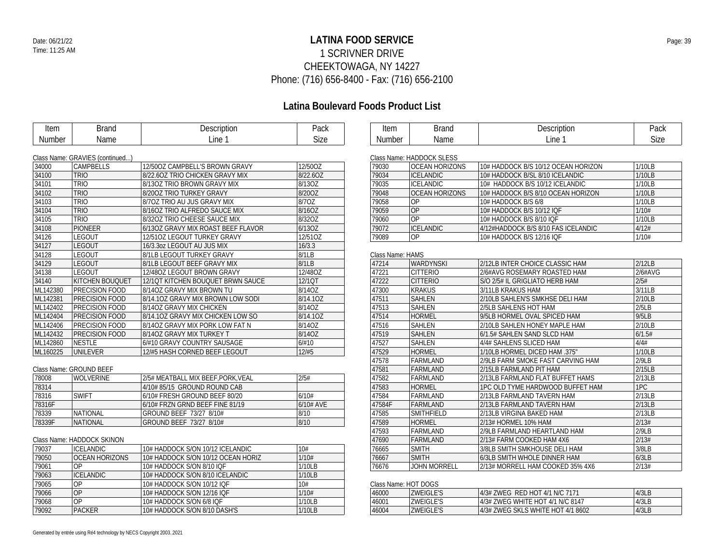### **LATINA FOOD SERVICE** Date: 06/21/22 Page: 39 1 SCRIVNER DRIVE CHEEKTOWAGA, NY 14227 Phone: (716) 656-8400 - Fax: (716) 656-2100

| Description<br>Pack<br>Item<br><b>Brand</b><br>Description<br>Pack<br>Item<br><b>Brand</b><br>Line 1<br>Size<br>Line 1<br><b>Size</b><br>Number<br>Name<br><b>Number</b><br>Name<br>Class Name: GRAVIES (continued)<br>Class Name: HADDOCK SLESS<br>12/50OZ CAMPBELL'S BROWN GRAVY<br><b>CAMPBELLS</b><br>12/50OZ<br><b>OCEAN HORIZONS</b><br>10# HADDOCK B/S 10/12 OCEAN HORIZON<br>1/10LB<br>34000<br>79030<br>1/10LB<br>34100<br><b>TRIO</b><br>8/22.60Z TRIO CHICKEN GRAVY MIX<br>8/22.60Z<br>79034<br><b>ICELANDIC</b><br>10# HADDOCK B/SL 8/10 ICELANDIC<br><b>TRIO</b><br>8/13OZ<br><b>ICELANDIC</b><br>1/10LB<br>34101<br>79035<br>8/130Z TRIO BROWN GRAVY MIX<br>10# HADDOCK B/S 10/12 ICELANDIC<br>34102<br><b>TRIO</b><br>8/20OZ<br><b>OCEAN HORIZONS</b><br>1/10LB<br>8/200Z TRIO TURKEY GRAVY<br>79048<br>10# HADDOCK B/S 8/10 OCEAN HORIZON<br>34103<br>8/7OZ TRIO AU JUS GRAVY MIX<br>8/70Z<br>79058<br><b>OP</b><br>10# HADDOCK B/S 6/8<br>1/10LB<br><b>TRIO</b><br>OP<br>34104<br><b>TRIO</b><br>8/16OZ TRIO ALFREDO SAUCE MIX<br>8/16OZ<br>79059<br>1/10#<br>10# HADDOCK B/S 10/12 IQF<br><b>OP</b><br>34105<br><b>TRIO</b><br>8/32OZ<br>1/10LB<br>8/32OZ TRIO CHEESE SAUCE MIX<br>79060<br>10# HADDOCK B/S 8/10 IQF<br><b>ICELANDIC</b><br>34108<br><b>PIONEER</b><br>6/13OZ<br>4/12#<br>6/13OZ GRAVY MIX ROAST BEEF FLAVOR<br>79072<br>4/12#HADDOCK B/S 8/10 FAS ICELANDIC<br><b>LEGOUT</b><br>79089<br><b>OP</b><br>1/10#<br>34126<br>12/510Z LEGOUT TURKEY GRAVY<br>12/51OZ<br>10# HADDOCK B/S 12/16 IQF<br><b>LEGOUT</b><br>34127<br>16/3.3oz LEGOUT AU JUS MIX<br>16/3.3<br><b>LEGOUT</b><br>8/1LB<br>34128<br>8/1LB LEGOUT TURKEY GRAVY<br>Class Name: HAMS<br>34129<br><b>LEGOUT</b><br>8/1LB<br>WARDYNSKI<br>8/1LB LEGOUT BEEF GRAVY MIX<br>47214<br>2/12LB INTER CHOICE CLASSIC HAM<br>2/12LB<br><b>LEGOUT</b><br><b>CITTERIO</b><br>2/6#AVG<br>34138<br>12/480Z LEGOUT BROWN GRAVY<br>12/48OZ<br>47221<br>2/6#AVG ROSEMARY ROASTED HAM<br><b>KITCHEN BOUQUET</b><br><b>CITTERIO</b><br>2/5#<br>34140<br>12/10T KITCHEN BOUQUET BRWN SAUCE<br>12/1QT<br>47222<br>S/O 2/5# IL GRIGLIATO HERB HAM<br>3/11LB<br>ML142380<br><b>PRECISION FOOD</b><br>8/14OZ GRAVY MIX BROWN TU<br>8/14OZ<br>47300<br><b>KRAKUS</b><br>3/11LB KRAKUS HAM<br>2/10LB<br>ML142381<br><b>PRECISION FOOD</b><br>8/14.10Z GRAVY MIX BROWN LOW SODI<br>8/14.10Z<br>47511<br><b>SAHLEN</b><br>2/10LB SAHLEN'S SMKHSE DELI HAM<br>2/5LB<br>ML142402<br><b>PRECISION FOOD</b><br>8/14OZ GRAVY MIX CHICKEN<br>8/14OZ<br>47513<br>SAHLEN<br>2/5LB SAHLENS HOT HAM<br>9/5LB<br>ML142404<br><b>PRECISION FOOD</b><br>8/14.10Z GRAVY MIX CHICKEN LOW SO<br>8/14.10Z<br>47514<br><b>HORMEL</b><br>9/5LB HORMEL OVAL SPICED HAM<br>ML142406<br><b>PRECISION FOOD</b><br>8/14OZ<br><b>SAHLEN</b><br>2/10LB SAHLEN HONEY MAPLE HAM<br>2/10LB<br>8/14OZ GRAVY MIX PORK LOW FAT N<br>47516<br>6/1.5#<br>ML142432<br><b>PRECISION FOOD</b><br>8/14OZ GRAVY MIX TURKEY T<br>8/14OZ<br>47519<br><b>SAHLEN</b><br>6/1.5# SAHLEN SAND SLCD HAM<br>6/#10<br><b>SAHLEN</b><br>4/4#<br>ML142860<br><b>NESTLE</b><br>6/#10 GRAVY COUNTRY SAUSAGE<br>47527<br>4/4# SAHLENS SLICED HAM<br>ML160225<br>UNILEVER<br>12/#5<br><b>HORMEL</b><br>1/10LB<br>12/#5 HASH CORNED BEEF LEGOUT<br>47529<br>1/10LB HORMEL DICED HAM .375"<br>2/9LB<br>47578<br>FARMLAND<br>2/9LB FARM SMOKE FAST CARVING HAM<br>47581<br>FARMLAND<br>2/15LB<br>Class Name: GROUND BEEF<br>2/15LB FARMLAND PIT HAM<br>2/5#<br>FARMLAND<br>2/13LB<br>78008<br><b>WOLVERINE</b><br>2/5# MEATBALL MIX BEEF, PORK, VEAL<br>47582<br>2/13LB FARMLAND FLAT BUFFET HAMS<br>1PC<br>78314<br>HORMEL<br>4/10# 85/15 GROUND ROUND CAB<br>47583<br>1PC OLD TYME HARDWOOD BUFFET HAM<br>SWIFT<br>FARMLAND<br>2/13LB<br>78316<br>6/10# FRESH GROUND BEEF 80/20<br>6/10#<br>47584<br>2/13LB FARMLAND TAVERN HAM<br>2/13LB<br>78316F<br>6/10# AVE<br>47584F<br>FARMLAND<br>6/10# FRZN GRND BEEF FINE 81/19<br>2/13LB FARMLAND TAVERN HAM<br>78339<br><b>NATIONAL</b><br>8/10<br>47585<br>SMITHFIELD<br>2/13LB<br>GROUND BEEF 73/27 8/10#<br>2/13LB VIRGINA BAKED HAM<br>78339F<br>8/10<br><b>HORMEL</b><br>2/13#<br><b>NATIONAL</b><br>GROUND BEEF 73/27 8/10#<br>47589<br>2/13# HORMEL 10% HAM<br>FARMLAND<br>2/9LB<br>47593<br>2/9LB FARMLAND HEARTLAND HAM<br>2/13#<br>47690<br>FARMLAND<br>Class Name: HADDOCK SKINON<br>2/13# FARM COOKED HAM 4X6<br>3/8LB<br>10# HADDOCK S/ON 10/12 ICELANDIC<br>10#<br>76665<br><b>SMITH</b><br>79037<br><b>ICELANDIC</b><br>3/8LB SMITH SMKHOUSE DELI HAM<br>1/10#<br><b>SMITH</b><br>79050<br><b>OCEAN HORIZONS</b><br>6/3LB<br>10# HADDOCK S/ON 10/12 OCEAN HORIZ<br>76667<br>6/3LB SMITH WHOLE DINNER HAM<br>79061<br>0P<br>10# HADDOCK S/ON 8/10 IQF<br>1/10LB<br><b>JOHN MORRELL</b><br>2/13#<br>76676<br>2/13# MORRELL HAM COOKED 35% 4X6<br><b>ICELANDIC</b><br>10# HADDOCK S/ON 8/10 ICELANDIC<br>1/10LB<br>79063<br>79065<br><b>OP</b><br>10#<br>10# HADDOCK S/ON 10/12 IQF<br>Class Name: HOT DOGS<br>OP<br>1/10#<br><b>ZWEIGLE'S</b><br>4/3LB<br>79066<br>10# HADDOCK S/ON 12/16 IQF<br>46000<br>4/3# ZWEG RED HOT 4/1 N/C 7171<br>OP<br>1/10LB<br><b>ZWEIGLE'S</b><br>4/3LB<br>79068<br>10# HADDOCK S/ON 6/8 IQF<br>46001<br>4/3# ZWEG WHITE HOT 4/1 N/C 8147<br>79092<br><b>PACKER</b><br><b>ZWEIGLE'S</b><br>10# HADDOCK S/ON 8/10 DASH'S<br>1/10LB<br>46004<br>4/3# ZWEG SKLS WHITE HOT 4/1 8602<br>4/3LB |  |  |  |  |
|---------------------------------------------------------------------------------------------------------------------------------------------------------------------------------------------------------------------------------------------------------------------------------------------------------------------------------------------------------------------------------------------------------------------------------------------------------------------------------------------------------------------------------------------------------------------------------------------------------------------------------------------------------------------------------------------------------------------------------------------------------------------------------------------------------------------------------------------------------------------------------------------------------------------------------------------------------------------------------------------------------------------------------------------------------------------------------------------------------------------------------------------------------------------------------------------------------------------------------------------------------------------------------------------------------------------------------------------------------------------------------------------------------------------------------------------------------------------------------------------------------------------------------------------------------------------------------------------------------------------------------------------------------------------------------------------------------------------------------------------------------------------------------------------------------------------------------------------------------------------------------------------------------------------------------------------------------------------------------------------------------------------------------------------------------------------------------------------------------------------------------------------------------------------------------------------------------------------------------------------------------------------------------------------------------------------------------------------------------------------------------------------------------------------------------------------------------------------------------------------------------------------------------------------------------------------------------------------------------------------------------------------------------------------------------------------------------------------------------------------------------------------------------------------------------------------------------------------------------------------------------------------------------------------------------------------------------------------------------------------------------------------------------------------------------------------------------------------------------------------------------------------------------------------------------------------------------------------------------------------------------------------------------------------------------------------------------------------------------------------------------------------------------------------------------------------------------------------------------------------------------------------------------------------------------------------------------------------------------------------------------------------------------------------------------------------------------------------------------------------------------------------------------------------------------------------------------------------------------------------------------------------------------------------------------------------------------------------------------------------------------------------------------------------------------------------------------------------------------------------------------------------------------------------------------------------------------------------------------------------------------------------------------------------------------------------------------------------------------------------------------------------------------------------------------------------------------------------------------------------------------------------------------------------------------------------------------------------------------------------------------------------------------------------------------------------------------------------------------------------------------------------------------------------------------------------------------------------------------------------------------------------------------------------------------------------------------------------------------------------------------------------------------------------------------------------------------------------------------------------------------------------------------------------------------------------------------------------------------------------------------------------------------------------------------------------------------------------------------------------------------------------|--|--|--|--|
|                                                                                                                                                                                                                                                                                                                                                                                                                                                                                                                                                                                                                                                                                                                                                                                                                                                                                                                                                                                                                                                                                                                                                                                                                                                                                                                                                                                                                                                                                                                                                                                                                                                                                                                                                                                                                                                                                                                                                                                                                                                                                                                                                                                                                                                                                                                                                                                                                                                                                                                                                                                                                                                                                                                                                                                                                                                                                                                                                                                                                                                                                                                                                                                                                                                                                                                                                                                                                                                                                                                                                                                                                                                                                                                                                                                                                                                                                                                                                                                                                                                                                                                                                                                                                                                                                                                                                                                                                                                                                                                                                                                                                                                                                                                                                                                                                                                                                                                                                                                                                                                                                                                                                                                                                                                                                                                                                                                             |  |  |  |  |
|                                                                                                                                                                                                                                                                                                                                                                                                                                                                                                                                                                                                                                                                                                                                                                                                                                                                                                                                                                                                                                                                                                                                                                                                                                                                                                                                                                                                                                                                                                                                                                                                                                                                                                                                                                                                                                                                                                                                                                                                                                                                                                                                                                                                                                                                                                                                                                                                                                                                                                                                                                                                                                                                                                                                                                                                                                                                                                                                                                                                                                                                                                                                                                                                                                                                                                                                                                                                                                                                                                                                                                                                                                                                                                                                                                                                                                                                                                                                                                                                                                                                                                                                                                                                                                                                                                                                                                                                                                                                                                                                                                                                                                                                                                                                                                                                                                                                                                                                                                                                                                                                                                                                                                                                                                                                                                                                                                                             |  |  |  |  |
|                                                                                                                                                                                                                                                                                                                                                                                                                                                                                                                                                                                                                                                                                                                                                                                                                                                                                                                                                                                                                                                                                                                                                                                                                                                                                                                                                                                                                                                                                                                                                                                                                                                                                                                                                                                                                                                                                                                                                                                                                                                                                                                                                                                                                                                                                                                                                                                                                                                                                                                                                                                                                                                                                                                                                                                                                                                                                                                                                                                                                                                                                                                                                                                                                                                                                                                                                                                                                                                                                                                                                                                                                                                                                                                                                                                                                                                                                                                                                                                                                                                                                                                                                                                                                                                                                                                                                                                                                                                                                                                                                                                                                                                                                                                                                                                                                                                                                                                                                                                                                                                                                                                                                                                                                                                                                                                                                                                             |  |  |  |  |
|                                                                                                                                                                                                                                                                                                                                                                                                                                                                                                                                                                                                                                                                                                                                                                                                                                                                                                                                                                                                                                                                                                                                                                                                                                                                                                                                                                                                                                                                                                                                                                                                                                                                                                                                                                                                                                                                                                                                                                                                                                                                                                                                                                                                                                                                                                                                                                                                                                                                                                                                                                                                                                                                                                                                                                                                                                                                                                                                                                                                                                                                                                                                                                                                                                                                                                                                                                                                                                                                                                                                                                                                                                                                                                                                                                                                                                                                                                                                                                                                                                                                                                                                                                                                                                                                                                                                                                                                                                                                                                                                                                                                                                                                                                                                                                                                                                                                                                                                                                                                                                                                                                                                                                                                                                                                                                                                                                                             |  |  |  |  |
|                                                                                                                                                                                                                                                                                                                                                                                                                                                                                                                                                                                                                                                                                                                                                                                                                                                                                                                                                                                                                                                                                                                                                                                                                                                                                                                                                                                                                                                                                                                                                                                                                                                                                                                                                                                                                                                                                                                                                                                                                                                                                                                                                                                                                                                                                                                                                                                                                                                                                                                                                                                                                                                                                                                                                                                                                                                                                                                                                                                                                                                                                                                                                                                                                                                                                                                                                                                                                                                                                                                                                                                                                                                                                                                                                                                                                                                                                                                                                                                                                                                                                                                                                                                                                                                                                                                                                                                                                                                                                                                                                                                                                                                                                                                                                                                                                                                                                                                                                                                                                                                                                                                                                                                                                                                                                                                                                                                             |  |  |  |  |
|                                                                                                                                                                                                                                                                                                                                                                                                                                                                                                                                                                                                                                                                                                                                                                                                                                                                                                                                                                                                                                                                                                                                                                                                                                                                                                                                                                                                                                                                                                                                                                                                                                                                                                                                                                                                                                                                                                                                                                                                                                                                                                                                                                                                                                                                                                                                                                                                                                                                                                                                                                                                                                                                                                                                                                                                                                                                                                                                                                                                                                                                                                                                                                                                                                                                                                                                                                                                                                                                                                                                                                                                                                                                                                                                                                                                                                                                                                                                                                                                                                                                                                                                                                                                                                                                                                                                                                                                                                                                                                                                                                                                                                                                                                                                                                                                                                                                                                                                                                                                                                                                                                                                                                                                                                                                                                                                                                                             |  |  |  |  |
|                                                                                                                                                                                                                                                                                                                                                                                                                                                                                                                                                                                                                                                                                                                                                                                                                                                                                                                                                                                                                                                                                                                                                                                                                                                                                                                                                                                                                                                                                                                                                                                                                                                                                                                                                                                                                                                                                                                                                                                                                                                                                                                                                                                                                                                                                                                                                                                                                                                                                                                                                                                                                                                                                                                                                                                                                                                                                                                                                                                                                                                                                                                                                                                                                                                                                                                                                                                                                                                                                                                                                                                                                                                                                                                                                                                                                                                                                                                                                                                                                                                                                                                                                                                                                                                                                                                                                                                                                                                                                                                                                                                                                                                                                                                                                                                                                                                                                                                                                                                                                                                                                                                                                                                                                                                                                                                                                                                             |  |  |  |  |
|                                                                                                                                                                                                                                                                                                                                                                                                                                                                                                                                                                                                                                                                                                                                                                                                                                                                                                                                                                                                                                                                                                                                                                                                                                                                                                                                                                                                                                                                                                                                                                                                                                                                                                                                                                                                                                                                                                                                                                                                                                                                                                                                                                                                                                                                                                                                                                                                                                                                                                                                                                                                                                                                                                                                                                                                                                                                                                                                                                                                                                                                                                                                                                                                                                                                                                                                                                                                                                                                                                                                                                                                                                                                                                                                                                                                                                                                                                                                                                                                                                                                                                                                                                                                                                                                                                                                                                                                                                                                                                                                                                                                                                                                                                                                                                                                                                                                                                                                                                                                                                                                                                                                                                                                                                                                                                                                                                                             |  |  |  |  |
|                                                                                                                                                                                                                                                                                                                                                                                                                                                                                                                                                                                                                                                                                                                                                                                                                                                                                                                                                                                                                                                                                                                                                                                                                                                                                                                                                                                                                                                                                                                                                                                                                                                                                                                                                                                                                                                                                                                                                                                                                                                                                                                                                                                                                                                                                                                                                                                                                                                                                                                                                                                                                                                                                                                                                                                                                                                                                                                                                                                                                                                                                                                                                                                                                                                                                                                                                                                                                                                                                                                                                                                                                                                                                                                                                                                                                                                                                                                                                                                                                                                                                                                                                                                                                                                                                                                                                                                                                                                                                                                                                                                                                                                                                                                                                                                                                                                                                                                                                                                                                                                                                                                                                                                                                                                                                                                                                                                             |  |  |  |  |
|                                                                                                                                                                                                                                                                                                                                                                                                                                                                                                                                                                                                                                                                                                                                                                                                                                                                                                                                                                                                                                                                                                                                                                                                                                                                                                                                                                                                                                                                                                                                                                                                                                                                                                                                                                                                                                                                                                                                                                                                                                                                                                                                                                                                                                                                                                                                                                                                                                                                                                                                                                                                                                                                                                                                                                                                                                                                                                                                                                                                                                                                                                                                                                                                                                                                                                                                                                                                                                                                                                                                                                                                                                                                                                                                                                                                                                                                                                                                                                                                                                                                                                                                                                                                                                                                                                                                                                                                                                                                                                                                                                                                                                                                                                                                                                                                                                                                                                                                                                                                                                                                                                                                                                                                                                                                                                                                                                                             |  |  |  |  |
|                                                                                                                                                                                                                                                                                                                                                                                                                                                                                                                                                                                                                                                                                                                                                                                                                                                                                                                                                                                                                                                                                                                                                                                                                                                                                                                                                                                                                                                                                                                                                                                                                                                                                                                                                                                                                                                                                                                                                                                                                                                                                                                                                                                                                                                                                                                                                                                                                                                                                                                                                                                                                                                                                                                                                                                                                                                                                                                                                                                                                                                                                                                                                                                                                                                                                                                                                                                                                                                                                                                                                                                                                                                                                                                                                                                                                                                                                                                                                                                                                                                                                                                                                                                                                                                                                                                                                                                                                                                                                                                                                                                                                                                                                                                                                                                                                                                                                                                                                                                                                                                                                                                                                                                                                                                                                                                                                                                             |  |  |  |  |
|                                                                                                                                                                                                                                                                                                                                                                                                                                                                                                                                                                                                                                                                                                                                                                                                                                                                                                                                                                                                                                                                                                                                                                                                                                                                                                                                                                                                                                                                                                                                                                                                                                                                                                                                                                                                                                                                                                                                                                                                                                                                                                                                                                                                                                                                                                                                                                                                                                                                                                                                                                                                                                                                                                                                                                                                                                                                                                                                                                                                                                                                                                                                                                                                                                                                                                                                                                                                                                                                                                                                                                                                                                                                                                                                                                                                                                                                                                                                                                                                                                                                                                                                                                                                                                                                                                                                                                                                                                                                                                                                                                                                                                                                                                                                                                                                                                                                                                                                                                                                                                                                                                                                                                                                                                                                                                                                                                                             |  |  |  |  |
|                                                                                                                                                                                                                                                                                                                                                                                                                                                                                                                                                                                                                                                                                                                                                                                                                                                                                                                                                                                                                                                                                                                                                                                                                                                                                                                                                                                                                                                                                                                                                                                                                                                                                                                                                                                                                                                                                                                                                                                                                                                                                                                                                                                                                                                                                                                                                                                                                                                                                                                                                                                                                                                                                                                                                                                                                                                                                                                                                                                                                                                                                                                                                                                                                                                                                                                                                                                                                                                                                                                                                                                                                                                                                                                                                                                                                                                                                                                                                                                                                                                                                                                                                                                                                                                                                                                                                                                                                                                                                                                                                                                                                                                                                                                                                                                                                                                                                                                                                                                                                                                                                                                                                                                                                                                                                                                                                                                             |  |  |  |  |
|                                                                                                                                                                                                                                                                                                                                                                                                                                                                                                                                                                                                                                                                                                                                                                                                                                                                                                                                                                                                                                                                                                                                                                                                                                                                                                                                                                                                                                                                                                                                                                                                                                                                                                                                                                                                                                                                                                                                                                                                                                                                                                                                                                                                                                                                                                                                                                                                                                                                                                                                                                                                                                                                                                                                                                                                                                                                                                                                                                                                                                                                                                                                                                                                                                                                                                                                                                                                                                                                                                                                                                                                                                                                                                                                                                                                                                                                                                                                                                                                                                                                                                                                                                                                                                                                                                                                                                                                                                                                                                                                                                                                                                                                                                                                                                                                                                                                                                                                                                                                                                                                                                                                                                                                                                                                                                                                                                                             |  |  |  |  |
|                                                                                                                                                                                                                                                                                                                                                                                                                                                                                                                                                                                                                                                                                                                                                                                                                                                                                                                                                                                                                                                                                                                                                                                                                                                                                                                                                                                                                                                                                                                                                                                                                                                                                                                                                                                                                                                                                                                                                                                                                                                                                                                                                                                                                                                                                                                                                                                                                                                                                                                                                                                                                                                                                                                                                                                                                                                                                                                                                                                                                                                                                                                                                                                                                                                                                                                                                                                                                                                                                                                                                                                                                                                                                                                                                                                                                                                                                                                                                                                                                                                                                                                                                                                                                                                                                                                                                                                                                                                                                                                                                                                                                                                                                                                                                                                                                                                                                                                                                                                                                                                                                                                                                                                                                                                                                                                                                                                             |  |  |  |  |
|                                                                                                                                                                                                                                                                                                                                                                                                                                                                                                                                                                                                                                                                                                                                                                                                                                                                                                                                                                                                                                                                                                                                                                                                                                                                                                                                                                                                                                                                                                                                                                                                                                                                                                                                                                                                                                                                                                                                                                                                                                                                                                                                                                                                                                                                                                                                                                                                                                                                                                                                                                                                                                                                                                                                                                                                                                                                                                                                                                                                                                                                                                                                                                                                                                                                                                                                                                                                                                                                                                                                                                                                                                                                                                                                                                                                                                                                                                                                                                                                                                                                                                                                                                                                                                                                                                                                                                                                                                                                                                                                                                                                                                                                                                                                                                                                                                                                                                                                                                                                                                                                                                                                                                                                                                                                                                                                                                                             |  |  |  |  |
|                                                                                                                                                                                                                                                                                                                                                                                                                                                                                                                                                                                                                                                                                                                                                                                                                                                                                                                                                                                                                                                                                                                                                                                                                                                                                                                                                                                                                                                                                                                                                                                                                                                                                                                                                                                                                                                                                                                                                                                                                                                                                                                                                                                                                                                                                                                                                                                                                                                                                                                                                                                                                                                                                                                                                                                                                                                                                                                                                                                                                                                                                                                                                                                                                                                                                                                                                                                                                                                                                                                                                                                                                                                                                                                                                                                                                                                                                                                                                                                                                                                                                                                                                                                                                                                                                                                                                                                                                                                                                                                                                                                                                                                                                                                                                                                                                                                                                                                                                                                                                                                                                                                                                                                                                                                                                                                                                                                             |  |  |  |  |
|                                                                                                                                                                                                                                                                                                                                                                                                                                                                                                                                                                                                                                                                                                                                                                                                                                                                                                                                                                                                                                                                                                                                                                                                                                                                                                                                                                                                                                                                                                                                                                                                                                                                                                                                                                                                                                                                                                                                                                                                                                                                                                                                                                                                                                                                                                                                                                                                                                                                                                                                                                                                                                                                                                                                                                                                                                                                                                                                                                                                                                                                                                                                                                                                                                                                                                                                                                                                                                                                                                                                                                                                                                                                                                                                                                                                                                                                                                                                                                                                                                                                                                                                                                                                                                                                                                                                                                                                                                                                                                                                                                                                                                                                                                                                                                                                                                                                                                                                                                                                                                                                                                                                                                                                                                                                                                                                                                                             |  |  |  |  |
|                                                                                                                                                                                                                                                                                                                                                                                                                                                                                                                                                                                                                                                                                                                                                                                                                                                                                                                                                                                                                                                                                                                                                                                                                                                                                                                                                                                                                                                                                                                                                                                                                                                                                                                                                                                                                                                                                                                                                                                                                                                                                                                                                                                                                                                                                                                                                                                                                                                                                                                                                                                                                                                                                                                                                                                                                                                                                                                                                                                                                                                                                                                                                                                                                                                                                                                                                                                                                                                                                                                                                                                                                                                                                                                                                                                                                                                                                                                                                                                                                                                                                                                                                                                                                                                                                                                                                                                                                                                                                                                                                                                                                                                                                                                                                                                                                                                                                                                                                                                                                                                                                                                                                                                                                                                                                                                                                                                             |  |  |  |  |
|                                                                                                                                                                                                                                                                                                                                                                                                                                                                                                                                                                                                                                                                                                                                                                                                                                                                                                                                                                                                                                                                                                                                                                                                                                                                                                                                                                                                                                                                                                                                                                                                                                                                                                                                                                                                                                                                                                                                                                                                                                                                                                                                                                                                                                                                                                                                                                                                                                                                                                                                                                                                                                                                                                                                                                                                                                                                                                                                                                                                                                                                                                                                                                                                                                                                                                                                                                                                                                                                                                                                                                                                                                                                                                                                                                                                                                                                                                                                                                                                                                                                                                                                                                                                                                                                                                                                                                                                                                                                                                                                                                                                                                                                                                                                                                                                                                                                                                                                                                                                                                                                                                                                                                                                                                                                                                                                                                                             |  |  |  |  |
|                                                                                                                                                                                                                                                                                                                                                                                                                                                                                                                                                                                                                                                                                                                                                                                                                                                                                                                                                                                                                                                                                                                                                                                                                                                                                                                                                                                                                                                                                                                                                                                                                                                                                                                                                                                                                                                                                                                                                                                                                                                                                                                                                                                                                                                                                                                                                                                                                                                                                                                                                                                                                                                                                                                                                                                                                                                                                                                                                                                                                                                                                                                                                                                                                                                                                                                                                                                                                                                                                                                                                                                                                                                                                                                                                                                                                                                                                                                                                                                                                                                                                                                                                                                                                                                                                                                                                                                                                                                                                                                                                                                                                                                                                                                                                                                                                                                                                                                                                                                                                                                                                                                                                                                                                                                                                                                                                                                             |  |  |  |  |
|                                                                                                                                                                                                                                                                                                                                                                                                                                                                                                                                                                                                                                                                                                                                                                                                                                                                                                                                                                                                                                                                                                                                                                                                                                                                                                                                                                                                                                                                                                                                                                                                                                                                                                                                                                                                                                                                                                                                                                                                                                                                                                                                                                                                                                                                                                                                                                                                                                                                                                                                                                                                                                                                                                                                                                                                                                                                                                                                                                                                                                                                                                                                                                                                                                                                                                                                                                                                                                                                                                                                                                                                                                                                                                                                                                                                                                                                                                                                                                                                                                                                                                                                                                                                                                                                                                                                                                                                                                                                                                                                                                                                                                                                                                                                                                                                                                                                                                                                                                                                                                                                                                                                                                                                                                                                                                                                                                                             |  |  |  |  |
|                                                                                                                                                                                                                                                                                                                                                                                                                                                                                                                                                                                                                                                                                                                                                                                                                                                                                                                                                                                                                                                                                                                                                                                                                                                                                                                                                                                                                                                                                                                                                                                                                                                                                                                                                                                                                                                                                                                                                                                                                                                                                                                                                                                                                                                                                                                                                                                                                                                                                                                                                                                                                                                                                                                                                                                                                                                                                                                                                                                                                                                                                                                                                                                                                                                                                                                                                                                                                                                                                                                                                                                                                                                                                                                                                                                                                                                                                                                                                                                                                                                                                                                                                                                                                                                                                                                                                                                                                                                                                                                                                                                                                                                                                                                                                                                                                                                                                                                                                                                                                                                                                                                                                                                                                                                                                                                                                                                             |  |  |  |  |
|                                                                                                                                                                                                                                                                                                                                                                                                                                                                                                                                                                                                                                                                                                                                                                                                                                                                                                                                                                                                                                                                                                                                                                                                                                                                                                                                                                                                                                                                                                                                                                                                                                                                                                                                                                                                                                                                                                                                                                                                                                                                                                                                                                                                                                                                                                                                                                                                                                                                                                                                                                                                                                                                                                                                                                                                                                                                                                                                                                                                                                                                                                                                                                                                                                                                                                                                                                                                                                                                                                                                                                                                                                                                                                                                                                                                                                                                                                                                                                                                                                                                                                                                                                                                                                                                                                                                                                                                                                                                                                                                                                                                                                                                                                                                                                                                                                                                                                                                                                                                                                                                                                                                                                                                                                                                                                                                                                                             |  |  |  |  |
|                                                                                                                                                                                                                                                                                                                                                                                                                                                                                                                                                                                                                                                                                                                                                                                                                                                                                                                                                                                                                                                                                                                                                                                                                                                                                                                                                                                                                                                                                                                                                                                                                                                                                                                                                                                                                                                                                                                                                                                                                                                                                                                                                                                                                                                                                                                                                                                                                                                                                                                                                                                                                                                                                                                                                                                                                                                                                                                                                                                                                                                                                                                                                                                                                                                                                                                                                                                                                                                                                                                                                                                                                                                                                                                                                                                                                                                                                                                                                                                                                                                                                                                                                                                                                                                                                                                                                                                                                                                                                                                                                                                                                                                                                                                                                                                                                                                                                                                                                                                                                                                                                                                                                                                                                                                                                                                                                                                             |  |  |  |  |
|                                                                                                                                                                                                                                                                                                                                                                                                                                                                                                                                                                                                                                                                                                                                                                                                                                                                                                                                                                                                                                                                                                                                                                                                                                                                                                                                                                                                                                                                                                                                                                                                                                                                                                                                                                                                                                                                                                                                                                                                                                                                                                                                                                                                                                                                                                                                                                                                                                                                                                                                                                                                                                                                                                                                                                                                                                                                                                                                                                                                                                                                                                                                                                                                                                                                                                                                                                                                                                                                                                                                                                                                                                                                                                                                                                                                                                                                                                                                                                                                                                                                                                                                                                                                                                                                                                                                                                                                                                                                                                                                                                                                                                                                                                                                                                                                                                                                                                                                                                                                                                                                                                                                                                                                                                                                                                                                                                                             |  |  |  |  |
|                                                                                                                                                                                                                                                                                                                                                                                                                                                                                                                                                                                                                                                                                                                                                                                                                                                                                                                                                                                                                                                                                                                                                                                                                                                                                                                                                                                                                                                                                                                                                                                                                                                                                                                                                                                                                                                                                                                                                                                                                                                                                                                                                                                                                                                                                                                                                                                                                                                                                                                                                                                                                                                                                                                                                                                                                                                                                                                                                                                                                                                                                                                                                                                                                                                                                                                                                                                                                                                                                                                                                                                                                                                                                                                                                                                                                                                                                                                                                                                                                                                                                                                                                                                                                                                                                                                                                                                                                                                                                                                                                                                                                                                                                                                                                                                                                                                                                                                                                                                                                                                                                                                                                                                                                                                                                                                                                                                             |  |  |  |  |
|                                                                                                                                                                                                                                                                                                                                                                                                                                                                                                                                                                                                                                                                                                                                                                                                                                                                                                                                                                                                                                                                                                                                                                                                                                                                                                                                                                                                                                                                                                                                                                                                                                                                                                                                                                                                                                                                                                                                                                                                                                                                                                                                                                                                                                                                                                                                                                                                                                                                                                                                                                                                                                                                                                                                                                                                                                                                                                                                                                                                                                                                                                                                                                                                                                                                                                                                                                                                                                                                                                                                                                                                                                                                                                                                                                                                                                                                                                                                                                                                                                                                                                                                                                                                                                                                                                                                                                                                                                                                                                                                                                                                                                                                                                                                                                                                                                                                                                                                                                                                                                                                                                                                                                                                                                                                                                                                                                                             |  |  |  |  |
|                                                                                                                                                                                                                                                                                                                                                                                                                                                                                                                                                                                                                                                                                                                                                                                                                                                                                                                                                                                                                                                                                                                                                                                                                                                                                                                                                                                                                                                                                                                                                                                                                                                                                                                                                                                                                                                                                                                                                                                                                                                                                                                                                                                                                                                                                                                                                                                                                                                                                                                                                                                                                                                                                                                                                                                                                                                                                                                                                                                                                                                                                                                                                                                                                                                                                                                                                                                                                                                                                                                                                                                                                                                                                                                                                                                                                                                                                                                                                                                                                                                                                                                                                                                                                                                                                                                                                                                                                                                                                                                                                                                                                                                                                                                                                                                                                                                                                                                                                                                                                                                                                                                                                                                                                                                                                                                                                                                             |  |  |  |  |
|                                                                                                                                                                                                                                                                                                                                                                                                                                                                                                                                                                                                                                                                                                                                                                                                                                                                                                                                                                                                                                                                                                                                                                                                                                                                                                                                                                                                                                                                                                                                                                                                                                                                                                                                                                                                                                                                                                                                                                                                                                                                                                                                                                                                                                                                                                                                                                                                                                                                                                                                                                                                                                                                                                                                                                                                                                                                                                                                                                                                                                                                                                                                                                                                                                                                                                                                                                                                                                                                                                                                                                                                                                                                                                                                                                                                                                                                                                                                                                                                                                                                                                                                                                                                                                                                                                                                                                                                                                                                                                                                                                                                                                                                                                                                                                                                                                                                                                                                                                                                                                                                                                                                                                                                                                                                                                                                                                                             |  |  |  |  |
|                                                                                                                                                                                                                                                                                                                                                                                                                                                                                                                                                                                                                                                                                                                                                                                                                                                                                                                                                                                                                                                                                                                                                                                                                                                                                                                                                                                                                                                                                                                                                                                                                                                                                                                                                                                                                                                                                                                                                                                                                                                                                                                                                                                                                                                                                                                                                                                                                                                                                                                                                                                                                                                                                                                                                                                                                                                                                                                                                                                                                                                                                                                                                                                                                                                                                                                                                                                                                                                                                                                                                                                                                                                                                                                                                                                                                                                                                                                                                                                                                                                                                                                                                                                                                                                                                                                                                                                                                                                                                                                                                                                                                                                                                                                                                                                                                                                                                                                                                                                                                                                                                                                                                                                                                                                                                                                                                                                             |  |  |  |  |
|                                                                                                                                                                                                                                                                                                                                                                                                                                                                                                                                                                                                                                                                                                                                                                                                                                                                                                                                                                                                                                                                                                                                                                                                                                                                                                                                                                                                                                                                                                                                                                                                                                                                                                                                                                                                                                                                                                                                                                                                                                                                                                                                                                                                                                                                                                                                                                                                                                                                                                                                                                                                                                                                                                                                                                                                                                                                                                                                                                                                                                                                                                                                                                                                                                                                                                                                                                                                                                                                                                                                                                                                                                                                                                                                                                                                                                                                                                                                                                                                                                                                                                                                                                                                                                                                                                                                                                                                                                                                                                                                                                                                                                                                                                                                                                                                                                                                                                                                                                                                                                                                                                                                                                                                                                                                                                                                                                                             |  |  |  |  |
|                                                                                                                                                                                                                                                                                                                                                                                                                                                                                                                                                                                                                                                                                                                                                                                                                                                                                                                                                                                                                                                                                                                                                                                                                                                                                                                                                                                                                                                                                                                                                                                                                                                                                                                                                                                                                                                                                                                                                                                                                                                                                                                                                                                                                                                                                                                                                                                                                                                                                                                                                                                                                                                                                                                                                                                                                                                                                                                                                                                                                                                                                                                                                                                                                                                                                                                                                                                                                                                                                                                                                                                                                                                                                                                                                                                                                                                                                                                                                                                                                                                                                                                                                                                                                                                                                                                                                                                                                                                                                                                                                                                                                                                                                                                                                                                                                                                                                                                                                                                                                                                                                                                                                                                                                                                                                                                                                                                             |  |  |  |  |
|                                                                                                                                                                                                                                                                                                                                                                                                                                                                                                                                                                                                                                                                                                                                                                                                                                                                                                                                                                                                                                                                                                                                                                                                                                                                                                                                                                                                                                                                                                                                                                                                                                                                                                                                                                                                                                                                                                                                                                                                                                                                                                                                                                                                                                                                                                                                                                                                                                                                                                                                                                                                                                                                                                                                                                                                                                                                                                                                                                                                                                                                                                                                                                                                                                                                                                                                                                                                                                                                                                                                                                                                                                                                                                                                                                                                                                                                                                                                                                                                                                                                                                                                                                                                                                                                                                                                                                                                                                                                                                                                                                                                                                                                                                                                                                                                                                                                                                                                                                                                                                                                                                                                                                                                                                                                                                                                                                                             |  |  |  |  |
|                                                                                                                                                                                                                                                                                                                                                                                                                                                                                                                                                                                                                                                                                                                                                                                                                                                                                                                                                                                                                                                                                                                                                                                                                                                                                                                                                                                                                                                                                                                                                                                                                                                                                                                                                                                                                                                                                                                                                                                                                                                                                                                                                                                                                                                                                                                                                                                                                                                                                                                                                                                                                                                                                                                                                                                                                                                                                                                                                                                                                                                                                                                                                                                                                                                                                                                                                                                                                                                                                                                                                                                                                                                                                                                                                                                                                                                                                                                                                                                                                                                                                                                                                                                                                                                                                                                                                                                                                                                                                                                                                                                                                                                                                                                                                                                                                                                                                                                                                                                                                                                                                                                                                                                                                                                                                                                                                                                             |  |  |  |  |
|                                                                                                                                                                                                                                                                                                                                                                                                                                                                                                                                                                                                                                                                                                                                                                                                                                                                                                                                                                                                                                                                                                                                                                                                                                                                                                                                                                                                                                                                                                                                                                                                                                                                                                                                                                                                                                                                                                                                                                                                                                                                                                                                                                                                                                                                                                                                                                                                                                                                                                                                                                                                                                                                                                                                                                                                                                                                                                                                                                                                                                                                                                                                                                                                                                                                                                                                                                                                                                                                                                                                                                                                                                                                                                                                                                                                                                                                                                                                                                                                                                                                                                                                                                                                                                                                                                                                                                                                                                                                                                                                                                                                                                                                                                                                                                                                                                                                                                                                                                                                                                                                                                                                                                                                                                                                                                                                                                                             |  |  |  |  |
|                                                                                                                                                                                                                                                                                                                                                                                                                                                                                                                                                                                                                                                                                                                                                                                                                                                                                                                                                                                                                                                                                                                                                                                                                                                                                                                                                                                                                                                                                                                                                                                                                                                                                                                                                                                                                                                                                                                                                                                                                                                                                                                                                                                                                                                                                                                                                                                                                                                                                                                                                                                                                                                                                                                                                                                                                                                                                                                                                                                                                                                                                                                                                                                                                                                                                                                                                                                                                                                                                                                                                                                                                                                                                                                                                                                                                                                                                                                                                                                                                                                                                                                                                                                                                                                                                                                                                                                                                                                                                                                                                                                                                                                                                                                                                                                                                                                                                                                                                                                                                                                                                                                                                                                                                                                                                                                                                                                             |  |  |  |  |
|                                                                                                                                                                                                                                                                                                                                                                                                                                                                                                                                                                                                                                                                                                                                                                                                                                                                                                                                                                                                                                                                                                                                                                                                                                                                                                                                                                                                                                                                                                                                                                                                                                                                                                                                                                                                                                                                                                                                                                                                                                                                                                                                                                                                                                                                                                                                                                                                                                                                                                                                                                                                                                                                                                                                                                                                                                                                                                                                                                                                                                                                                                                                                                                                                                                                                                                                                                                                                                                                                                                                                                                                                                                                                                                                                                                                                                                                                                                                                                                                                                                                                                                                                                                                                                                                                                                                                                                                                                                                                                                                                                                                                                                                                                                                                                                                                                                                                                                                                                                                                                                                                                                                                                                                                                                                                                                                                                                             |  |  |  |  |
|                                                                                                                                                                                                                                                                                                                                                                                                                                                                                                                                                                                                                                                                                                                                                                                                                                                                                                                                                                                                                                                                                                                                                                                                                                                                                                                                                                                                                                                                                                                                                                                                                                                                                                                                                                                                                                                                                                                                                                                                                                                                                                                                                                                                                                                                                                                                                                                                                                                                                                                                                                                                                                                                                                                                                                                                                                                                                                                                                                                                                                                                                                                                                                                                                                                                                                                                                                                                                                                                                                                                                                                                                                                                                                                                                                                                                                                                                                                                                                                                                                                                                                                                                                                                                                                                                                                                                                                                                                                                                                                                                                                                                                                                                                                                                                                                                                                                                                                                                                                                                                                                                                                                                                                                                                                                                                                                                                                             |  |  |  |  |
|                                                                                                                                                                                                                                                                                                                                                                                                                                                                                                                                                                                                                                                                                                                                                                                                                                                                                                                                                                                                                                                                                                                                                                                                                                                                                                                                                                                                                                                                                                                                                                                                                                                                                                                                                                                                                                                                                                                                                                                                                                                                                                                                                                                                                                                                                                                                                                                                                                                                                                                                                                                                                                                                                                                                                                                                                                                                                                                                                                                                                                                                                                                                                                                                                                                                                                                                                                                                                                                                                                                                                                                                                                                                                                                                                                                                                                                                                                                                                                                                                                                                                                                                                                                                                                                                                                                                                                                                                                                                                                                                                                                                                                                                                                                                                                                                                                                                                                                                                                                                                                                                                                                                                                                                                                                                                                                                                                                             |  |  |  |  |
|                                                                                                                                                                                                                                                                                                                                                                                                                                                                                                                                                                                                                                                                                                                                                                                                                                                                                                                                                                                                                                                                                                                                                                                                                                                                                                                                                                                                                                                                                                                                                                                                                                                                                                                                                                                                                                                                                                                                                                                                                                                                                                                                                                                                                                                                                                                                                                                                                                                                                                                                                                                                                                                                                                                                                                                                                                                                                                                                                                                                                                                                                                                                                                                                                                                                                                                                                                                                                                                                                                                                                                                                                                                                                                                                                                                                                                                                                                                                                                                                                                                                                                                                                                                                                                                                                                                                                                                                                                                                                                                                                                                                                                                                                                                                                                                                                                                                                                                                                                                                                                                                                                                                                                                                                                                                                                                                                                                             |  |  |  |  |
|                                                                                                                                                                                                                                                                                                                                                                                                                                                                                                                                                                                                                                                                                                                                                                                                                                                                                                                                                                                                                                                                                                                                                                                                                                                                                                                                                                                                                                                                                                                                                                                                                                                                                                                                                                                                                                                                                                                                                                                                                                                                                                                                                                                                                                                                                                                                                                                                                                                                                                                                                                                                                                                                                                                                                                                                                                                                                                                                                                                                                                                                                                                                                                                                                                                                                                                                                                                                                                                                                                                                                                                                                                                                                                                                                                                                                                                                                                                                                                                                                                                                                                                                                                                                                                                                                                                                                                                                                                                                                                                                                                                                                                                                                                                                                                                                                                                                                                                                                                                                                                                                                                                                                                                                                                                                                                                                                                                             |  |  |  |  |
|                                                                                                                                                                                                                                                                                                                                                                                                                                                                                                                                                                                                                                                                                                                                                                                                                                                                                                                                                                                                                                                                                                                                                                                                                                                                                                                                                                                                                                                                                                                                                                                                                                                                                                                                                                                                                                                                                                                                                                                                                                                                                                                                                                                                                                                                                                                                                                                                                                                                                                                                                                                                                                                                                                                                                                                                                                                                                                                                                                                                                                                                                                                                                                                                                                                                                                                                                                                                                                                                                                                                                                                                                                                                                                                                                                                                                                                                                                                                                                                                                                                                                                                                                                                                                                                                                                                                                                                                                                                                                                                                                                                                                                                                                                                                                                                                                                                                                                                                                                                                                                                                                                                                                                                                                                                                                                                                                                                             |  |  |  |  |
|                                                                                                                                                                                                                                                                                                                                                                                                                                                                                                                                                                                                                                                                                                                                                                                                                                                                                                                                                                                                                                                                                                                                                                                                                                                                                                                                                                                                                                                                                                                                                                                                                                                                                                                                                                                                                                                                                                                                                                                                                                                                                                                                                                                                                                                                                                                                                                                                                                                                                                                                                                                                                                                                                                                                                                                                                                                                                                                                                                                                                                                                                                                                                                                                                                                                                                                                                                                                                                                                                                                                                                                                                                                                                                                                                                                                                                                                                                                                                                                                                                                                                                                                                                                                                                                                                                                                                                                                                                                                                                                                                                                                                                                                                                                                                                                                                                                                                                                                                                                                                                                                                                                                                                                                                                                                                                                                                                                             |  |  |  |  |
|                                                                                                                                                                                                                                                                                                                                                                                                                                                                                                                                                                                                                                                                                                                                                                                                                                                                                                                                                                                                                                                                                                                                                                                                                                                                                                                                                                                                                                                                                                                                                                                                                                                                                                                                                                                                                                                                                                                                                                                                                                                                                                                                                                                                                                                                                                                                                                                                                                                                                                                                                                                                                                                                                                                                                                                                                                                                                                                                                                                                                                                                                                                                                                                                                                                                                                                                                                                                                                                                                                                                                                                                                                                                                                                                                                                                                                                                                                                                                                                                                                                                                                                                                                                                                                                                                                                                                                                                                                                                                                                                                                                                                                                                                                                                                                                                                                                                                                                                                                                                                                                                                                                                                                                                                                                                                                                                                                                             |  |  |  |  |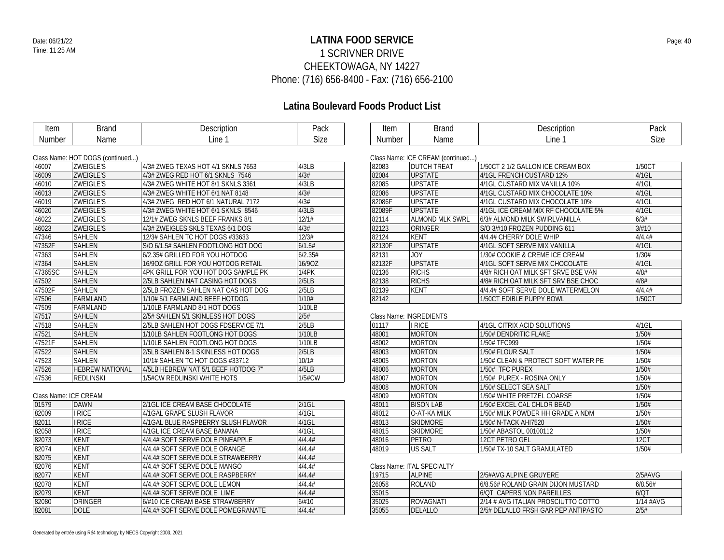### **LATINA FOOD SERVICE** Date: 06/21/22 Page: 40 1 SCRIVNER DRIVE CHEEKTOWAGA, NY 14227 Phone: (716) 656-8400 - Fax: (716) 656-2100

### **Latina Boulevard Foods Product List**

| Item                  | <b>Brand</b>                     | Description                         | Pack     | Item   | <b>Brand</b>                      | Description                         | Pack      |
|-----------------------|----------------------------------|-------------------------------------|----------|--------|-----------------------------------|-------------------------------------|-----------|
| Number                | Name                             | Line 1                              | Size     | Number | Name                              | Line 1                              | Size      |
|                       |                                  |                                     |          |        |                                   |                                     |           |
|                       | Class Name: HOT DOGS (continued) |                                     |          |        | Class Name: ICE CREAM (continued) |                                     |           |
| 46007                 | <b>ZWEIGLE'S</b>                 | 4/3# ZWEG TEXAS HOT 4/1 SKNLS 7653  | 4/3LB    | 82083  | <b>DUTCH TREAT</b>                | 1/50CT 2 1/2 GALLON ICE CREAM BOX   | 1/50CT    |
| 46009                 | ZWEIGLE'S                        | 4/3# ZWEG RED HOT 6/1 SKNLS 7546    | 4/3#     | 82084  | <b>UPSTATE</b>                    | 4/1GL FRENCH CUSTARD 12%            | $4/1$ GL  |
| 46010                 | <b>ZWEIGLE'S</b>                 | 4/3# ZWEG WHITE HOT 8/1 SKNLS 3361  | 4/3LB    | 82085  | <b>UPSTATE</b>                    | 4/1GL CUSTARD MIX VANILLA 10%       | $4/1$ GL  |
| 46013                 | <b>ZWEIGLE'S</b>                 | 4/3# ZWEG WHITE HOT 6/1 NAT 8148    | 4/3#     | 82086  | <b>UPSTATE</b>                    | 4/1GL CUSTARD MIX CHOCOLATE 10%     | $4/1$ GL  |
| 46019                 | ZWEIGLE'S                        | 4/3# ZWEG RED HOT 6/1 NATURAL 7172  | 4/3#     | 82086F | <b>UPSTATE</b>                    | 4/1GL CUSTARD MIX CHOCOLATE 10%     | $4/1$ GL  |
| 46020                 | ZWEIGLE'S                        | 4/3# ZWEG WHITE HOT 6/1 SKNLS 8546  | 4/3LB    | 82089F | <b>UPSTATE</b>                    | 4/1GL ICE CREAM MIX RF CHOCOLATE 5% | $4/1$ GL  |
| 46022                 | <b>ZWEIGLE'S</b>                 | 12/1# ZWEG SKNLS BEEF FRANKS 8/1    | 12/1#    | 82114  | <b>ALMOND MLK SWRL</b>            | 6/3# ALMOND MILK SWIRLVANILLA       | 6/3#      |
| 46023                 | ZWEIGLE'S                        | 4/3# ZWEIGLES SKLS TEXAS 6/1 DOG    | 4/3#     | 82123  | ORINGER                           | S/O 3/#10 FROZEN PUDDING 611        | 3/#10     |
| 47346                 | SAHLEN                           | 12/3# SAHLEN TC HOT DOGS #33633     | 12/3#    | 82124  | <b>KENT</b>                       | 4/4.4# CHERRY DOLE WHIP             | 4/4.4#    |
| 47352F                | SAHLEN                           | S/O 6/1.5# SAHLEN FOOTLONG HOT DOG  | 6/1.5#   | 82130F | <b>UPSTATE</b>                    | 4/1GL SOFT SERVE MIX VANILLA        | $4/1$ GL  |
| 47363                 | SAHLEN                           | 6/2.35# GRILLED FOR YOU HOTDOG      | 6/2.35#  | 82131  | <b>JOY</b>                        | 1/30# COOKIE & CREME ICE CREAM      | 1/30#     |
| 47364                 | <b>SAHLEN</b>                    | 16/90Z GRILL FOR YOU HOTDOG RETAIL  | 16/90Z   | 82132F | <b>UPSTATE</b>                    | 4/1GL SOFT SERVE MIX CHOCOLATE      | $4/1$ GL  |
| 47365SC               | SAHLEN                           | 4PK GRILL FOR YOU HOT DOG SAMPLE PK | 1/4PK    | 82136  | <b>RICHS</b>                      | 4/8# RICH OAT MILK SFT SRVE BSE VAN | 4/8#      |
| 47502                 | SAHLEN                           | 2/5LB SAHLEN NAT CASING HOT DOGS    | 2/5LB    | 82138  | <b>RICHS</b>                      | 4/8# RICH OAT MILK SFT SRV BSE CHOC | 4/8#      |
| 47502F                | SAHLEN                           | 2/5LB FROZEN SAHLEN NAT CAS HOT DOG | 2/5LB    | 82139  | KENT                              | 4/4.4# SOFT SERVE DOLE WATERMELON   | 4/4.4#    |
| 47506                 | <b>FARMLAND</b>                  | 1/10# 5/1 FARMLAND BEEF HOTDOG      | 1/10#    | 82142  |                                   | 1/50CT EDIBLE PUPPY BOWL            | 1/50CT    |
| 47509                 | FARMLAND                         | 1/10LB FARMLAND 8/1 HOT DOGS        | 1/10LB   |        |                                   |                                     |           |
| 47517                 | SAHLEN                           | 2/5# SAHLEN 5/1 SKINLESS HOT DOGS   | 2/5#     |        | <b>Class Name: INGREDIENTS</b>    |                                     |           |
| 47518                 | SAHLEN                           | 2/5LB SAHLEN HOT DOGS FDSERVICE 7/1 | 2/5LB    | 01117  | I RICE                            | 4/1GL CITRIX ACID SOLUTIONS         | $4/1$ GL  |
| 47521                 | <b>SAHLEN</b>                    | 1/10LB SAHLEN FOOTLONG HOT DOGS     | 1/10LB   | 48001  | <b>MORTON</b>                     | 1/50# DENDRITIC FLAKE               | 1/50#     |
| 47521F                | SAHLEN                           | 1/10LB SAHLEN FOOTLONG HOT DOGS     | 1/10LB   | 48002  | <b>MORTON</b>                     | 1/50# TFC999                        | 1/50#     |
| 47522                 | SAHLEN                           | 2/5LB SAHLEN 8-1 SKINLESS HOT DOGS  | 2/5LB    | 48003  | <b>MORTON</b>                     | 1/50# FLOUR SALT                    | 1/50#     |
| 47523                 | SAHLEN                           | 10/1# SAHLEN TC HOT DOGS #33712     | 10/1#    | 48005  | <b>MORTON</b>                     | 1/50# CLEAN & PROTECT SOFT WATER PE | 1/50#     |
| 47526                 | <b>HEBREW NATIONAL</b>           | 4/5LB HEBREW NAT 5/1 BEEF HOTDOG 7" | 4/5LB    | 48006  | <b>MORTON</b>                     | 1/50# TFC PUREX                     | 1/50#     |
| 47536                 | <b>REDLINSKI</b>                 | 1/5#CW REDLINSKI WHITE HOTS         | 1/5#CW   | 48007  | <b>MORTON</b>                     | 1/50# PUREX - ROSINA ONLY           | 1/50#     |
|                       |                                  |                                     |          | 48008  | <b>MORTON</b>                     | 1/50# SELECT SEA SALT               | 1/50#     |
| Class Name: ICE CREAM |                                  |                                     |          | 48009  | <b>MORTON</b>                     | 1/50# WHITE PRETZEL COARSE          | 1/50#     |
| 01579                 | <b>DAWN</b>                      | 2/1GL ICE CREAM BASE CHOCOLATE      | $2/1$ GL | 48011  | <b>BISON LAB</b>                  | 1/50# EXCEL CAL CHLOR BEAD          | 1/50#     |
| 82009                 | <b>I RICE</b>                    | 4/1GAL GRAPE SLUSH FLAVOR           | 4/1GL    | 48012  | O-AT-KA MILK                      | 1/50# MILK POWDER HH GRADE A NDM    | 1/50#     |
| 82011                 | I RICE                           | 4/1GAL BLUE RASPBERRY SLUSH FLAVOR  | 4/1GL    | 48013  | <b>SKIDMORE</b>                   | 1/50# N-TACK AHI7520                | 1/50#     |
| 82058                 | <b>IRICE</b>                     | 4/1GL ICE CREAM BASE BANANA         | $4/1$ GL | 48015  | <b>SKIDMORE</b>                   | 1/50# ABASTOL 00100112              | 1/50#     |
| 82073                 | <b>KENT</b>                      | 4/4.4# SOFT SERVE DOLE PINEAPPLE    | 4/4.4#   | 48016  | PETRO                             | 12CT PETRO GEL                      | 12CT      |
| 82074                 | <b>KENT</b>                      | 4/4.4# SOFT SERVE DOLE ORANGE       | 4/4.4#   | 48019  | US SALT                           | 1/50# TX-10 SALT GRANULATED         | 1/50#     |
| 82075                 | <b>KENT</b>                      | 4/4.4# SOFT SERVE DOLE STRAWBERRY   | 4/4.4#   |        |                                   |                                     |           |
| 82076                 | <b>KENT</b>                      | 4/4.4# SOFT SERVE DOLE MANGO        | 4/4.4#   |        | Class Name: ITAL SPECIALTY        |                                     |           |
| 82077                 | <b>KENT</b>                      | 4/4.4# SOFT SERVE DOLE RASPBERRY    | 4/4.4#   | 19715  | <b>ALPINE</b>                     | 2/5#AVG ALPINE GRUYERE              | 2/5#AVG   |
| 82078                 | <b>KENT</b>                      | 4/4.4# SOFT SERVE DOLE LEMON        | 4/4.4#   | 26058  | <b>ROLAND</b>                     | 6/8.56# ROLAND GRAIN DIJON MUSTARD  | 6/8.56#   |
| 82079                 | <b>KENT</b>                      | 4/4.4# SOFT SERVE DOLE LIME         | 4/4.4#   | 35015  |                                   | 6/QT CAPERS NON PAREILLES           | 6/OT      |
| 82080                 | ORINGER                          | 6/#10 ICE CREAM BASE STRAWBERRY     | 6/#10    | 35025  | ROVAGNATI                         | 2/14 # AVG ITALIAN PROSCIUTTO COTTO | 1/14 #AVG |
| 82081                 | <b>DOLE</b>                      | 4/4.4# SOFT SERVE DOLE POMEGRANATE  | 4/4.4#   | 35055  | <b>DELALLO</b>                    | 2/5# DELALLO FRSH GAR PEP ANTIPASTO | 2/5#      |
|                       |                                  |                                     |          |        |                                   |                                     |           |

|        | GRASS INAMIC: ICE CREAIN (COMMITMED) |                                     |          |
|--------|--------------------------------------|-------------------------------------|----------|
| 82083  | <b>DUTCH TREAT</b>                   | 1/50CT 2 1/2 GALLON ICE CREAM BOX   | 1/50CT   |
| 82084  | <b>UPSTATE</b>                       | 4/1GL FRENCH CUSTARD 12%            | $4/1$ GL |
| 82085  | <b>UPSTATE</b>                       | 4/1GL CUSTARD MIX VANILLA 10%       | $4/1$ GL |
| 82086  | <b>UPSTATE</b>                       | 4/1GL CUSTARD MIX CHOCOLATE 10%     | $4/1$ GL |
| 82086F | <b>UPSTATE</b>                       | 4/1GL CUSTARD MIX CHOCOLATE 10%     | $4/1$ GL |
| 82089F | <b>UPSTATE</b>                       | 4/1GL ICE CREAM MIX RF CHOCOLATE 5% | $4/1$ GL |
| 82114  | ALMOND MLK SWRL                      | 6/3# ALMOND MILK SWIRLVANILLA       | 6/3#     |
| 82123  | ORINGER                              | S/O 3/#10 FROZEN PUDDING 611        | 3/#10    |
| 82124  | KENT                                 | 4/4.4# CHERRY DOLE WHIP             | 4/4.4#   |
| 82130F | <b>UPSTATE</b>                       | 4/1GL SOFT SERVE MIX VANILLA        | $4/1$ GL |
| 82131  | <b>JOY</b>                           | 1/30# COOKIE & CREME ICE CREAM      | 1/30#    |
| 82132F | <b>UPSTATE</b>                       | 4/1GL SOFT SERVE MIX CHOCOLATE      | $4/1$ GL |
| 82136  | <b>RICHS</b>                         | 4/8# RICH OAT MILK SFT SRVE BSE VAN | 4/8#     |
| 82138  | <b>RICHS</b>                         | 4/8# RICH OAT MILK SFT SRV BSE CHOC | 4/8#     |
| 82139  | KENT                                 | 4/4.4# SOFT SERVE DOLE WATERMELON   | 4/4.4#   |
| 82142  |                                      | 1/50CT EDIBLE PUPPY BOWL            | 1/50CT   |

| 01117 | <b>I RICE</b>    | 4/1GL CITRIX ACID SOLUTIONS         | $4/1$ GL |
|-------|------------------|-------------------------------------|----------|
| 48001 | <b>MORTON</b>    | 1/50# DENDRITIC FLAKE               | 1/50#    |
| 48002 | <b>MORTON</b>    | 1/50# TFC999                        | 1/50#    |
| 48003 | <b>MORTON</b>    | 1/50# FLOUR SALT                    | 1/50#    |
| 48005 | <b>MORTON</b>    | 1/50# CLEAN & PROTECT SOFT WATER PE | 1/50#    |
| 48006 | <b>MORTON</b>    | 1/50# TFC PUREX                     | 1/50#    |
| 48007 | <b>MORTON</b>    | 1/50# PUREX - ROSINA ONLY           | 1/50#    |
| 48008 | <b>MORTON</b>    | 1/50# SELECT SEA SALT               | 1/50#    |
| 48009 | <b>MORTON</b>    | 1/50# WHITE PRETZEL COARSE          | 1/50#    |
| 48011 | <b>BISON LAB</b> | 1/50# EXCEL CAL CHLOR BEAD          | 1/50#    |
| 48012 | O-AT-KA MILK     | 1/50# MILK POWDER HH GRADE A NDM    | 1/50#    |
| 48013 | <b>SKIDMORE</b>  | 1/50# N-TACK AHI7520                | 1/50#    |
| 48015 | <b>SKIDMORE</b>  | 1/50# ABASTOL 00100112              | 1/50#    |
| 48016 | PETRO            | 12CT PETRO GEL                      | 12CT     |
| 48019 | <b>US SALT</b>   | 1/50# TX-10 SALT GRANULATED         | 1/50#    |

### LTY

| 19715 | AI PINF   | '2/5#AVG ALPINE GRUYERE'            | $2/5$ #AVG  |
|-------|-----------|-------------------------------------|-------------|
| 26058 | ROI AND   | 6/8.56# ROLAND GRAIN DLION MUSTARD  | 6/8.56#     |
| 35015 |           | 6/OT CAPERS NON PAREILLES           | 6/0T        |
| 35025 | ROVAGNATI | 2/14 # AVG ITALIAN PROSCIUTTO COTTO | $1/14$ #AVG |
| 35055 | DELALLO   | 2/5# DELALLO FRSH GAR PEP ANTIPASTO | 2/5#        |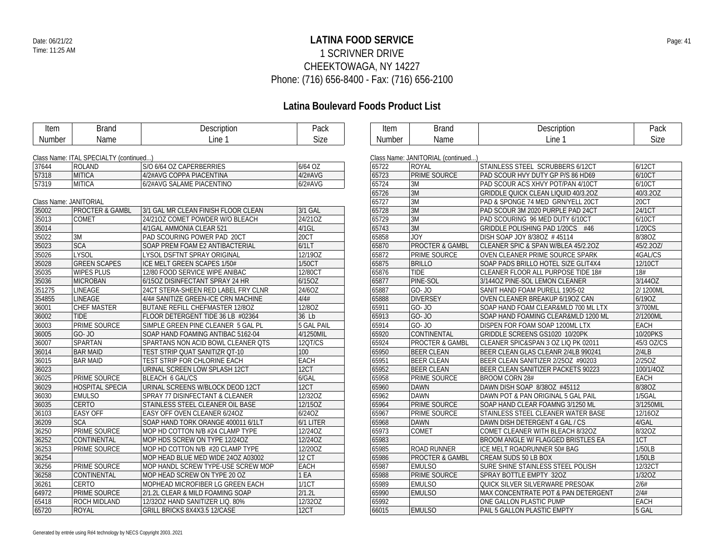### **LATINA FOOD SERVICE** Date: 06/21/22 Page: 41 1 SCRIVNER DRIVE CHEEKTOWAGA, NY 14227 Phone: (716) 656-8400 - Fax: (716) 656-2100

| Line 1<br><b>Size</b><br>Line 1<br>Name<br>Number<br>Number<br>Name<br>Class Name: ITAL SPECIALTY (continued)<br>Class Name: JANITORIAL (continued)<br>6/64 OZ<br>37644<br><b>ROLAND</b><br>S/O 6/64 OZ CAPERBERRIES<br>STAINLESS STEEL SCRUBBERS 6/12CT<br>65722<br><b>ROYAL</b><br><b>MITICA</b><br><b>PRIME SOURCE</b><br>57318<br>4/2#AVG COPPA PIACENTINA<br>4/2#AVG<br>65723<br>PAD SCOUR HVY DUTY GP P/S 86 HD69<br>57319<br>MITICA<br>6/2#AVG<br>65724<br>3M<br>6/2#AVG SALAME PIACENTINO<br>PAD SCOUR ACS XHVY POT/PAN 4/10CT<br>3M<br>65726<br>GRIDDLE QUICK CLEAN LIQUID 40/3.20Z<br>3M<br>Class Name: JANITORIAL<br>65727<br>PAD & SPONGE 74 MED GRN/YELL 20CT<br>3M<br>35002<br><b>PROCTER &amp; GAMBL</b><br>3/1 GAL<br>65728<br>3/1 GAL MR CLEAN FINISH FLOOR CLEAN<br>PAD SCOUR 3M 2020 PURPLE PAD 24CT<br>3M<br>35013<br><b>COMET</b><br>24/210Z COMET POWDER W/O BLEACH<br>24/21OZ<br>65729<br>PAD SCOURING 96 MED DUTY 6/10CT<br>3M<br>35014<br>$4/1$ GL<br>65743<br>4/1GAL AMMONIA CLEAR 521<br>GRIDDLE POLISHING PAD 1/20CS #46<br>20CT<br><b>JOY</b><br>35022<br>3M<br>PAD SCOURING POWER PAD 20CT<br>65858<br>DISH SOAP JOY 8/380Z #45114<br><b>SCA</b><br><b>PROCTER &amp; GAMBL</b><br>35023<br>6/1LT<br>SOAP PREM FOAM E2 ANTIBACTERIAL<br>65870<br>CLEANER SPIC & SPAN W/BLEA 45/2.20Z<br><b>LYSOL</b><br>12/19OZ<br><b>PRIME SOURCE</b><br>35026<br>LYSOL DSFTNT SPRAY ORIGINAL<br>65872<br>OVEN CLEANER PRIME SOURCE SPARK<br><b>GREEN SCAPES</b><br>1/50CT<br>35028<br>ICE MELT GREEN SCAPES 1/50#<br>65875<br><b>BRILLO</b><br>SOAP PADS BRILLO HOTEL SIZE GLIT4X4<br><b>TIDE</b><br>35035<br><b>WIPES PLUS</b><br>12/80CT<br>12/80 FOOD SERVICE WIPE ANIBAC<br>65876<br>CLEANER FLOOR ALL PURPOSE TIDE 18#<br>35036<br>6/15OZ<br>PINE-SOL<br><b>MICROBAN</b><br>65877<br>6/15OZ DISINFECTANT SPRAY 24 HR<br>3/1440Z PINE-SOL LEMON CLEANER<br>$GO-JO$<br>351275<br><b>LINEAGE</b><br>24/6OZ<br>65887<br>24CT STERA-SHEEN RED LABEL FRY CLNR<br>SANIT HAND FOAM PURELL 1905-02<br>354855<br>4/4#<br>LINEAGE<br><b>DIVERSEY</b><br>4/4# SANITIZE GREEN-ICE CRN MACHINE<br>65888<br>OVEN CLEANER BREAKUP 6/190Z CAN<br>36001<br><b>CHEF MASTER</b><br>12/8OZ<br>GO- JO<br>BUTANE REFILL CHEFMASTER 12/80Z<br>65911<br>SOAP HAND FOAM CLEAR&MLD 700 ML LTX<br>$GO - JO$<br>36002<br>TIDE<br>36 Lb<br>FLOOR DETERGENT TIDE 36 LB #02364<br>65913<br>SOAP HAND FOAMING CLEAR&MLD 1200 ML<br>PRIME SOURCE<br>36003<br>5 GAL PAIL<br>65914<br>GO- JO<br>SIMPLE GREEN PINE CLEANER 5 GAL PL<br><b>DISPEN FOR FOAM SOAP 1200ML LTX</b><br>CONTINENTAL<br>36005<br>GO- JO<br>4/1250MIL<br>SOAP HAND FOAMING ANTIBAC 5162-04<br>65920<br>GRIDDLE SCREENS GS1020 10/20PK<br>36007<br>SPARTAN<br>12QT/CS<br><b>PROCTER &amp; GAMBL</b><br>SPARTANS NON ACID BOWL CLEANER QTS<br>65924<br>CLEANER SPIC&SPAN 3 OZ LIQ PK 02011<br>36014<br><b>BAR MAID</b><br>TEST STRIP QUAT SANITIZR QT-10<br>100<br>65950<br><b>BEER CLEAN</b><br>BEER CLEAN GLAS CLEANR 2/4LB 990241<br><b>EACH</b><br>36015<br><b>BAR MAID</b><br>65951<br><b>BEER CLEAN</b><br>TEST STRIP FOR CHLORINE EACH<br>BEER CLEAN SANITIZER 2/25OZ #90203<br>12CT<br>36023<br><b>BEER CLEAN</b><br>URINAL SCREEN LOW SPLASH 12CT<br>65952<br>BEER CLEAN SANITIZER PACKETS 90223<br>36025<br>PRIME SOURCE<br>6/GAL<br><b>PRIME SOURCE</b><br>BLEACH 6 GAL/CS<br>65958<br><b>BROOM CORN 28#</b><br>36029<br><b>HOSPITAL SPECIA</b><br>URINAL SCREENS W/BLOCK DEOD 12CT<br>12CT<br><b>DAWN</b><br>DAWN DISH SOAP 8/38OZ #45112<br>65960<br>12/32OZ<br><b>DAWN</b><br>36030<br><b>EMULSO</b><br>65962<br>SPRAY 77 DISINFECTANT & CLEANER<br>DAWN POT & PAN ORIGINAL 5 GAL PAIL<br>36035<br><b>CERTO</b><br>12/15OZ<br><b>PRIME SOURCE</b><br>STAINLESS STEEL CLEANER OIL BASE<br>65964<br>SOAP HAND CLEAR FOAMNG 3/1250 ML<br>36103<br><b>EASY OFF</b><br>EASY OFF OVEN CLEANER 6/24OZ<br>6/24OZ<br><b>PRIME SOURCE</b><br>STAINLESS STEEL CLEANER WATER BASE<br>65967<br>36209<br><b>SCA</b><br>6/1 LITER<br><b>DAWN</b><br>SOAP HAND TORK ORANGE 400011 6/1LT<br>65968<br>DAWN DISH DETERGENT 4 GAL / CS<br><b>PRIME SOURCE</b><br>36250<br>12/24OZ<br>65973<br><b>COMET</b><br>MOP HD COTTON N/B #24 CLAMP TYPE<br>COMET CLEANER WITH BLEACH 8/32OZ<br>36252<br>12/24OZ<br><b>CONTINENTAL</b><br>MOP HDS SCREW ON TYPE 12/24OZ<br>65983<br>BROOM ANGLE W/ FLAGGED BRISTLES EA<br>36253<br>PRIME SOURCE<br>12/20OZ<br>65985<br><b>ROAD RUNNER</b><br>MOP HD COTTON N/B #20 CLAMP TYPE<br>ICE MELT ROADRUNNER 50# BAG<br>36254<br>12 <sub>C</sub><br>65986<br><b>PROCTER &amp; GAMBL</b><br>MOP HEAD BLUE MED WIDE 24OZ A03002<br>CREAM SUDS 50 LB BOX<br>36256<br>EACH<br>PRIME SOURCE<br>MOP HANDL SCREW TYPE-USE SCREW MOP<br>65987<br><b>EMULSO</b><br>SURE SHINE STAINLESS STEEL POLISH<br>1 EA<br><b>PRIME SOURCE</b><br>36258<br><b>CONTINENTAL</b><br>MOP HEAD SCREW ON TYPE 20 OZ<br>65988<br>SPRAY BOTTLE EMPTY 32OZ<br>1/1CT<br><b>CERTO</b><br><b>EMULSO</b><br>QUICK SILVER SILVERWARE PRESOAK<br>36261<br>MOPHEAD MICROFIBER LG GREEN EACH<br>65989<br>2/1.21<br>64972<br>PRIME SOURCE<br>65990<br><b>EMULSO</b><br>2/1.2L CLEAR & MILD FOAMING SOAP<br>MAX CONCENTRATE POT & PAN DETERGENT<br>65418<br>ROCH MIDLAND<br>12/32OZ<br>65992<br>12/320Z HAND SANITIZER LIQ. 80%<br>ONE GALLON PLASTIC PUMP | Item  | <b>Brand</b> | Description                  | Pack | Item  | <b>Brand</b>  | Description                 | Pack        |
|-------------------------------------------------------------------------------------------------------------------------------------------------------------------------------------------------------------------------------------------------------------------------------------------------------------------------------------------------------------------------------------------------------------------------------------------------------------------------------------------------------------------------------------------------------------------------------------------------------------------------------------------------------------------------------------------------------------------------------------------------------------------------------------------------------------------------------------------------------------------------------------------------------------------------------------------------------------------------------------------------------------------------------------------------------------------------------------------------------------------------------------------------------------------------------------------------------------------------------------------------------------------------------------------------------------------------------------------------------------------------------------------------------------------------------------------------------------------------------------------------------------------------------------------------------------------------------------------------------------------------------------------------------------------------------------------------------------------------------------------------------------------------------------------------------------------------------------------------------------------------------------------------------------------------------------------------------------------------------------------------------------------------------------------------------------------------------------------------------------------------------------------------------------------------------------------------------------------------------------------------------------------------------------------------------------------------------------------------------------------------------------------------------------------------------------------------------------------------------------------------------------------------------------------------------------------------------------------------------------------------------------------------------------------------------------------------------------------------------------------------------------------------------------------------------------------------------------------------------------------------------------------------------------------------------------------------------------------------------------------------------------------------------------------------------------------------------------------------------------------------------------------------------------------------------------------------------------------------------------------------------------------------------------------------------------------------------------------------------------------------------------------------------------------------------------------------------------------------------------------------------------------------------------------------------------------------------------------------------------------------------------------------------------------------------------------------------------------------------------------------------------------------------------------------------------------------------------------------------------------------------------------------------------------------------------------------------------------------------------------------------------------------------------------------------------------------------------------------------------------------------------------------------------------------------------------------------------------------------------------------------------------------------------------------------------------------------------------------------------------------------------------------------------------------------------------------------------------------------------------------------------------------------------------------------------------------------------------------------------------------------------------------------------------------------------------------------------------------------------------------------------------------------------------------------------------------------------------------------------------------------------------------------------------------------------------------------------------------------------------------------------------------------------------------------------------------------------------------------------------------------------------------------------------------------------------------------------------------------------------------------------------------------------------------|-------|--------------|------------------------------|------|-------|---------------|-----------------------------|-------------|
|                                                                                                                                                                                                                                                                                                                                                                                                                                                                                                                                                                                                                                                                                                                                                                                                                                                                                                                                                                                                                                                                                                                                                                                                                                                                                                                                                                                                                                                                                                                                                                                                                                                                                                                                                                                                                                                                                                                                                                                                                                                                                                                                                                                                                                                                                                                                                                                                                                                                                                                                                                                                                                                                                                                                                                                                                                                                                                                                                                                                                                                                                                                                                                                                                                                                                                                                                                                                                                                                                                                                                                                                                                                                                                                                                                                                                                                                                                                                                                                                                                                                                                                                                                                                                                                                                                                                                                                                                                                                                                                                                                                                                                                                                                                                                                                                                                                                                                                                                                                                                                                                                                                                                                                                                                                                                                 |       |              |                              |      |       |               |                             | <b>Size</b> |
|                                                                                                                                                                                                                                                                                                                                                                                                                                                                                                                                                                                                                                                                                                                                                                                                                                                                                                                                                                                                                                                                                                                                                                                                                                                                                                                                                                                                                                                                                                                                                                                                                                                                                                                                                                                                                                                                                                                                                                                                                                                                                                                                                                                                                                                                                                                                                                                                                                                                                                                                                                                                                                                                                                                                                                                                                                                                                                                                                                                                                                                                                                                                                                                                                                                                                                                                                                                                                                                                                                                                                                                                                                                                                                                                                                                                                                                                                                                                                                                                                                                                                                                                                                                                                                                                                                                                                                                                                                                                                                                                                                                                                                                                                                                                                                                                                                                                                                                                                                                                                                                                                                                                                                                                                                                                                                 |       |              |                              |      |       |               |                             |             |
|                                                                                                                                                                                                                                                                                                                                                                                                                                                                                                                                                                                                                                                                                                                                                                                                                                                                                                                                                                                                                                                                                                                                                                                                                                                                                                                                                                                                                                                                                                                                                                                                                                                                                                                                                                                                                                                                                                                                                                                                                                                                                                                                                                                                                                                                                                                                                                                                                                                                                                                                                                                                                                                                                                                                                                                                                                                                                                                                                                                                                                                                                                                                                                                                                                                                                                                                                                                                                                                                                                                                                                                                                                                                                                                                                                                                                                                                                                                                                                                                                                                                                                                                                                                                                                                                                                                                                                                                                                                                                                                                                                                                                                                                                                                                                                                                                                                                                                                                                                                                                                                                                                                                                                                                                                                                                                 |       |              |                              |      |       |               |                             |             |
|                                                                                                                                                                                                                                                                                                                                                                                                                                                                                                                                                                                                                                                                                                                                                                                                                                                                                                                                                                                                                                                                                                                                                                                                                                                                                                                                                                                                                                                                                                                                                                                                                                                                                                                                                                                                                                                                                                                                                                                                                                                                                                                                                                                                                                                                                                                                                                                                                                                                                                                                                                                                                                                                                                                                                                                                                                                                                                                                                                                                                                                                                                                                                                                                                                                                                                                                                                                                                                                                                                                                                                                                                                                                                                                                                                                                                                                                                                                                                                                                                                                                                                                                                                                                                                                                                                                                                                                                                                                                                                                                                                                                                                                                                                                                                                                                                                                                                                                                                                                                                                                                                                                                                                                                                                                                                                 |       |              |                              |      |       |               |                             | 6/12CT      |
|                                                                                                                                                                                                                                                                                                                                                                                                                                                                                                                                                                                                                                                                                                                                                                                                                                                                                                                                                                                                                                                                                                                                                                                                                                                                                                                                                                                                                                                                                                                                                                                                                                                                                                                                                                                                                                                                                                                                                                                                                                                                                                                                                                                                                                                                                                                                                                                                                                                                                                                                                                                                                                                                                                                                                                                                                                                                                                                                                                                                                                                                                                                                                                                                                                                                                                                                                                                                                                                                                                                                                                                                                                                                                                                                                                                                                                                                                                                                                                                                                                                                                                                                                                                                                                                                                                                                                                                                                                                                                                                                                                                                                                                                                                                                                                                                                                                                                                                                                                                                                                                                                                                                                                                                                                                                                                 |       |              |                              |      |       |               |                             | 6/10CT      |
|                                                                                                                                                                                                                                                                                                                                                                                                                                                                                                                                                                                                                                                                                                                                                                                                                                                                                                                                                                                                                                                                                                                                                                                                                                                                                                                                                                                                                                                                                                                                                                                                                                                                                                                                                                                                                                                                                                                                                                                                                                                                                                                                                                                                                                                                                                                                                                                                                                                                                                                                                                                                                                                                                                                                                                                                                                                                                                                                                                                                                                                                                                                                                                                                                                                                                                                                                                                                                                                                                                                                                                                                                                                                                                                                                                                                                                                                                                                                                                                                                                                                                                                                                                                                                                                                                                                                                                                                                                                                                                                                                                                                                                                                                                                                                                                                                                                                                                                                                                                                                                                                                                                                                                                                                                                                                                 |       |              |                              |      |       |               |                             | 6/10CT      |
|                                                                                                                                                                                                                                                                                                                                                                                                                                                                                                                                                                                                                                                                                                                                                                                                                                                                                                                                                                                                                                                                                                                                                                                                                                                                                                                                                                                                                                                                                                                                                                                                                                                                                                                                                                                                                                                                                                                                                                                                                                                                                                                                                                                                                                                                                                                                                                                                                                                                                                                                                                                                                                                                                                                                                                                                                                                                                                                                                                                                                                                                                                                                                                                                                                                                                                                                                                                                                                                                                                                                                                                                                                                                                                                                                                                                                                                                                                                                                                                                                                                                                                                                                                                                                                                                                                                                                                                                                                                                                                                                                                                                                                                                                                                                                                                                                                                                                                                                                                                                                                                                                                                                                                                                                                                                                                 |       |              |                              |      |       |               |                             | 40/3.20Z    |
|                                                                                                                                                                                                                                                                                                                                                                                                                                                                                                                                                                                                                                                                                                                                                                                                                                                                                                                                                                                                                                                                                                                                                                                                                                                                                                                                                                                                                                                                                                                                                                                                                                                                                                                                                                                                                                                                                                                                                                                                                                                                                                                                                                                                                                                                                                                                                                                                                                                                                                                                                                                                                                                                                                                                                                                                                                                                                                                                                                                                                                                                                                                                                                                                                                                                                                                                                                                                                                                                                                                                                                                                                                                                                                                                                                                                                                                                                                                                                                                                                                                                                                                                                                                                                                                                                                                                                                                                                                                                                                                                                                                                                                                                                                                                                                                                                                                                                                                                                                                                                                                                                                                                                                                                                                                                                                 |       |              |                              |      |       |               |                             | 20CT        |
|                                                                                                                                                                                                                                                                                                                                                                                                                                                                                                                                                                                                                                                                                                                                                                                                                                                                                                                                                                                                                                                                                                                                                                                                                                                                                                                                                                                                                                                                                                                                                                                                                                                                                                                                                                                                                                                                                                                                                                                                                                                                                                                                                                                                                                                                                                                                                                                                                                                                                                                                                                                                                                                                                                                                                                                                                                                                                                                                                                                                                                                                                                                                                                                                                                                                                                                                                                                                                                                                                                                                                                                                                                                                                                                                                                                                                                                                                                                                                                                                                                                                                                                                                                                                                                                                                                                                                                                                                                                                                                                                                                                                                                                                                                                                                                                                                                                                                                                                                                                                                                                                                                                                                                                                                                                                                                 |       |              |                              |      |       |               |                             | 24/1CT      |
|                                                                                                                                                                                                                                                                                                                                                                                                                                                                                                                                                                                                                                                                                                                                                                                                                                                                                                                                                                                                                                                                                                                                                                                                                                                                                                                                                                                                                                                                                                                                                                                                                                                                                                                                                                                                                                                                                                                                                                                                                                                                                                                                                                                                                                                                                                                                                                                                                                                                                                                                                                                                                                                                                                                                                                                                                                                                                                                                                                                                                                                                                                                                                                                                                                                                                                                                                                                                                                                                                                                                                                                                                                                                                                                                                                                                                                                                                                                                                                                                                                                                                                                                                                                                                                                                                                                                                                                                                                                                                                                                                                                                                                                                                                                                                                                                                                                                                                                                                                                                                                                                                                                                                                                                                                                                                                 |       |              |                              |      |       |               |                             | 6/10CT      |
|                                                                                                                                                                                                                                                                                                                                                                                                                                                                                                                                                                                                                                                                                                                                                                                                                                                                                                                                                                                                                                                                                                                                                                                                                                                                                                                                                                                                                                                                                                                                                                                                                                                                                                                                                                                                                                                                                                                                                                                                                                                                                                                                                                                                                                                                                                                                                                                                                                                                                                                                                                                                                                                                                                                                                                                                                                                                                                                                                                                                                                                                                                                                                                                                                                                                                                                                                                                                                                                                                                                                                                                                                                                                                                                                                                                                                                                                                                                                                                                                                                                                                                                                                                                                                                                                                                                                                                                                                                                                                                                                                                                                                                                                                                                                                                                                                                                                                                                                                                                                                                                                                                                                                                                                                                                                                                 |       |              |                              |      |       |               |                             | 1/20CS      |
|                                                                                                                                                                                                                                                                                                                                                                                                                                                                                                                                                                                                                                                                                                                                                                                                                                                                                                                                                                                                                                                                                                                                                                                                                                                                                                                                                                                                                                                                                                                                                                                                                                                                                                                                                                                                                                                                                                                                                                                                                                                                                                                                                                                                                                                                                                                                                                                                                                                                                                                                                                                                                                                                                                                                                                                                                                                                                                                                                                                                                                                                                                                                                                                                                                                                                                                                                                                                                                                                                                                                                                                                                                                                                                                                                                                                                                                                                                                                                                                                                                                                                                                                                                                                                                                                                                                                                                                                                                                                                                                                                                                                                                                                                                                                                                                                                                                                                                                                                                                                                                                                                                                                                                                                                                                                                                 |       |              |                              |      |       |               |                             | 8/38OZ      |
|                                                                                                                                                                                                                                                                                                                                                                                                                                                                                                                                                                                                                                                                                                                                                                                                                                                                                                                                                                                                                                                                                                                                                                                                                                                                                                                                                                                                                                                                                                                                                                                                                                                                                                                                                                                                                                                                                                                                                                                                                                                                                                                                                                                                                                                                                                                                                                                                                                                                                                                                                                                                                                                                                                                                                                                                                                                                                                                                                                                                                                                                                                                                                                                                                                                                                                                                                                                                                                                                                                                                                                                                                                                                                                                                                                                                                                                                                                                                                                                                                                                                                                                                                                                                                                                                                                                                                                                                                                                                                                                                                                                                                                                                                                                                                                                                                                                                                                                                                                                                                                                                                                                                                                                                                                                                                                 |       |              |                              |      |       |               |                             | 45/2.20Z/   |
|                                                                                                                                                                                                                                                                                                                                                                                                                                                                                                                                                                                                                                                                                                                                                                                                                                                                                                                                                                                                                                                                                                                                                                                                                                                                                                                                                                                                                                                                                                                                                                                                                                                                                                                                                                                                                                                                                                                                                                                                                                                                                                                                                                                                                                                                                                                                                                                                                                                                                                                                                                                                                                                                                                                                                                                                                                                                                                                                                                                                                                                                                                                                                                                                                                                                                                                                                                                                                                                                                                                                                                                                                                                                                                                                                                                                                                                                                                                                                                                                                                                                                                                                                                                                                                                                                                                                                                                                                                                                                                                                                                                                                                                                                                                                                                                                                                                                                                                                                                                                                                                                                                                                                                                                                                                                                                 |       |              |                              |      |       |               |                             | 4GAL/CS     |
|                                                                                                                                                                                                                                                                                                                                                                                                                                                                                                                                                                                                                                                                                                                                                                                                                                                                                                                                                                                                                                                                                                                                                                                                                                                                                                                                                                                                                                                                                                                                                                                                                                                                                                                                                                                                                                                                                                                                                                                                                                                                                                                                                                                                                                                                                                                                                                                                                                                                                                                                                                                                                                                                                                                                                                                                                                                                                                                                                                                                                                                                                                                                                                                                                                                                                                                                                                                                                                                                                                                                                                                                                                                                                                                                                                                                                                                                                                                                                                                                                                                                                                                                                                                                                                                                                                                                                                                                                                                                                                                                                                                                                                                                                                                                                                                                                                                                                                                                                                                                                                                                                                                                                                                                                                                                                                 |       |              |                              |      |       |               |                             | 12/10CT     |
|                                                                                                                                                                                                                                                                                                                                                                                                                                                                                                                                                                                                                                                                                                                                                                                                                                                                                                                                                                                                                                                                                                                                                                                                                                                                                                                                                                                                                                                                                                                                                                                                                                                                                                                                                                                                                                                                                                                                                                                                                                                                                                                                                                                                                                                                                                                                                                                                                                                                                                                                                                                                                                                                                                                                                                                                                                                                                                                                                                                                                                                                                                                                                                                                                                                                                                                                                                                                                                                                                                                                                                                                                                                                                                                                                                                                                                                                                                                                                                                                                                                                                                                                                                                                                                                                                                                                                                                                                                                                                                                                                                                                                                                                                                                                                                                                                                                                                                                                                                                                                                                                                                                                                                                                                                                                                                 |       |              |                              |      |       |               |                             | 18#         |
|                                                                                                                                                                                                                                                                                                                                                                                                                                                                                                                                                                                                                                                                                                                                                                                                                                                                                                                                                                                                                                                                                                                                                                                                                                                                                                                                                                                                                                                                                                                                                                                                                                                                                                                                                                                                                                                                                                                                                                                                                                                                                                                                                                                                                                                                                                                                                                                                                                                                                                                                                                                                                                                                                                                                                                                                                                                                                                                                                                                                                                                                                                                                                                                                                                                                                                                                                                                                                                                                                                                                                                                                                                                                                                                                                                                                                                                                                                                                                                                                                                                                                                                                                                                                                                                                                                                                                                                                                                                                                                                                                                                                                                                                                                                                                                                                                                                                                                                                                                                                                                                                                                                                                                                                                                                                                                 |       |              |                              |      |       |               |                             | 3/144OZ     |
|                                                                                                                                                                                                                                                                                                                                                                                                                                                                                                                                                                                                                                                                                                                                                                                                                                                                                                                                                                                                                                                                                                                                                                                                                                                                                                                                                                                                                                                                                                                                                                                                                                                                                                                                                                                                                                                                                                                                                                                                                                                                                                                                                                                                                                                                                                                                                                                                                                                                                                                                                                                                                                                                                                                                                                                                                                                                                                                                                                                                                                                                                                                                                                                                                                                                                                                                                                                                                                                                                                                                                                                                                                                                                                                                                                                                                                                                                                                                                                                                                                                                                                                                                                                                                                                                                                                                                                                                                                                                                                                                                                                                                                                                                                                                                                                                                                                                                                                                                                                                                                                                                                                                                                                                                                                                                                 |       |              |                              |      |       |               |                             | 2/1200ML    |
|                                                                                                                                                                                                                                                                                                                                                                                                                                                                                                                                                                                                                                                                                                                                                                                                                                                                                                                                                                                                                                                                                                                                                                                                                                                                                                                                                                                                                                                                                                                                                                                                                                                                                                                                                                                                                                                                                                                                                                                                                                                                                                                                                                                                                                                                                                                                                                                                                                                                                                                                                                                                                                                                                                                                                                                                                                                                                                                                                                                                                                                                                                                                                                                                                                                                                                                                                                                                                                                                                                                                                                                                                                                                                                                                                                                                                                                                                                                                                                                                                                                                                                                                                                                                                                                                                                                                                                                                                                                                                                                                                                                                                                                                                                                                                                                                                                                                                                                                                                                                                                                                                                                                                                                                                                                                                                 |       |              |                              |      |       |               |                             | 6/190Z      |
|                                                                                                                                                                                                                                                                                                                                                                                                                                                                                                                                                                                                                                                                                                                                                                                                                                                                                                                                                                                                                                                                                                                                                                                                                                                                                                                                                                                                                                                                                                                                                                                                                                                                                                                                                                                                                                                                                                                                                                                                                                                                                                                                                                                                                                                                                                                                                                                                                                                                                                                                                                                                                                                                                                                                                                                                                                                                                                                                                                                                                                                                                                                                                                                                                                                                                                                                                                                                                                                                                                                                                                                                                                                                                                                                                                                                                                                                                                                                                                                                                                                                                                                                                                                                                                                                                                                                                                                                                                                                                                                                                                                                                                                                                                                                                                                                                                                                                                                                                                                                                                                                                                                                                                                                                                                                                                 |       |              |                              |      |       |               |                             | 3/700ML     |
|                                                                                                                                                                                                                                                                                                                                                                                                                                                                                                                                                                                                                                                                                                                                                                                                                                                                                                                                                                                                                                                                                                                                                                                                                                                                                                                                                                                                                                                                                                                                                                                                                                                                                                                                                                                                                                                                                                                                                                                                                                                                                                                                                                                                                                                                                                                                                                                                                                                                                                                                                                                                                                                                                                                                                                                                                                                                                                                                                                                                                                                                                                                                                                                                                                                                                                                                                                                                                                                                                                                                                                                                                                                                                                                                                                                                                                                                                                                                                                                                                                                                                                                                                                                                                                                                                                                                                                                                                                                                                                                                                                                                                                                                                                                                                                                                                                                                                                                                                                                                                                                                                                                                                                                                                                                                                                 |       |              |                              |      |       |               |                             | 2/1200ML    |
|                                                                                                                                                                                                                                                                                                                                                                                                                                                                                                                                                                                                                                                                                                                                                                                                                                                                                                                                                                                                                                                                                                                                                                                                                                                                                                                                                                                                                                                                                                                                                                                                                                                                                                                                                                                                                                                                                                                                                                                                                                                                                                                                                                                                                                                                                                                                                                                                                                                                                                                                                                                                                                                                                                                                                                                                                                                                                                                                                                                                                                                                                                                                                                                                                                                                                                                                                                                                                                                                                                                                                                                                                                                                                                                                                                                                                                                                                                                                                                                                                                                                                                                                                                                                                                                                                                                                                                                                                                                                                                                                                                                                                                                                                                                                                                                                                                                                                                                                                                                                                                                                                                                                                                                                                                                                                                 |       |              |                              |      |       |               |                             | EACH        |
|                                                                                                                                                                                                                                                                                                                                                                                                                                                                                                                                                                                                                                                                                                                                                                                                                                                                                                                                                                                                                                                                                                                                                                                                                                                                                                                                                                                                                                                                                                                                                                                                                                                                                                                                                                                                                                                                                                                                                                                                                                                                                                                                                                                                                                                                                                                                                                                                                                                                                                                                                                                                                                                                                                                                                                                                                                                                                                                                                                                                                                                                                                                                                                                                                                                                                                                                                                                                                                                                                                                                                                                                                                                                                                                                                                                                                                                                                                                                                                                                                                                                                                                                                                                                                                                                                                                                                                                                                                                                                                                                                                                                                                                                                                                                                                                                                                                                                                                                                                                                                                                                                                                                                                                                                                                                                                 |       |              |                              |      |       |               |                             | 10/20PKS    |
|                                                                                                                                                                                                                                                                                                                                                                                                                                                                                                                                                                                                                                                                                                                                                                                                                                                                                                                                                                                                                                                                                                                                                                                                                                                                                                                                                                                                                                                                                                                                                                                                                                                                                                                                                                                                                                                                                                                                                                                                                                                                                                                                                                                                                                                                                                                                                                                                                                                                                                                                                                                                                                                                                                                                                                                                                                                                                                                                                                                                                                                                                                                                                                                                                                                                                                                                                                                                                                                                                                                                                                                                                                                                                                                                                                                                                                                                                                                                                                                                                                                                                                                                                                                                                                                                                                                                                                                                                                                                                                                                                                                                                                                                                                                                                                                                                                                                                                                                                                                                                                                                                                                                                                                                                                                                                                 |       |              |                              |      |       |               |                             | 45/3 OZ/CS  |
|                                                                                                                                                                                                                                                                                                                                                                                                                                                                                                                                                                                                                                                                                                                                                                                                                                                                                                                                                                                                                                                                                                                                                                                                                                                                                                                                                                                                                                                                                                                                                                                                                                                                                                                                                                                                                                                                                                                                                                                                                                                                                                                                                                                                                                                                                                                                                                                                                                                                                                                                                                                                                                                                                                                                                                                                                                                                                                                                                                                                                                                                                                                                                                                                                                                                                                                                                                                                                                                                                                                                                                                                                                                                                                                                                                                                                                                                                                                                                                                                                                                                                                                                                                                                                                                                                                                                                                                                                                                                                                                                                                                                                                                                                                                                                                                                                                                                                                                                                                                                                                                                                                                                                                                                                                                                                                 |       |              |                              |      |       |               |                             | 2/4LB       |
|                                                                                                                                                                                                                                                                                                                                                                                                                                                                                                                                                                                                                                                                                                                                                                                                                                                                                                                                                                                                                                                                                                                                                                                                                                                                                                                                                                                                                                                                                                                                                                                                                                                                                                                                                                                                                                                                                                                                                                                                                                                                                                                                                                                                                                                                                                                                                                                                                                                                                                                                                                                                                                                                                                                                                                                                                                                                                                                                                                                                                                                                                                                                                                                                                                                                                                                                                                                                                                                                                                                                                                                                                                                                                                                                                                                                                                                                                                                                                                                                                                                                                                                                                                                                                                                                                                                                                                                                                                                                                                                                                                                                                                                                                                                                                                                                                                                                                                                                                                                                                                                                                                                                                                                                                                                                                                 |       |              |                              |      |       |               |                             | 2/25OZ      |
|                                                                                                                                                                                                                                                                                                                                                                                                                                                                                                                                                                                                                                                                                                                                                                                                                                                                                                                                                                                                                                                                                                                                                                                                                                                                                                                                                                                                                                                                                                                                                                                                                                                                                                                                                                                                                                                                                                                                                                                                                                                                                                                                                                                                                                                                                                                                                                                                                                                                                                                                                                                                                                                                                                                                                                                                                                                                                                                                                                                                                                                                                                                                                                                                                                                                                                                                                                                                                                                                                                                                                                                                                                                                                                                                                                                                                                                                                                                                                                                                                                                                                                                                                                                                                                                                                                                                                                                                                                                                                                                                                                                                                                                                                                                                                                                                                                                                                                                                                                                                                                                                                                                                                                                                                                                                                                 |       |              |                              |      |       |               |                             | 100/1/4OZ   |
|                                                                                                                                                                                                                                                                                                                                                                                                                                                                                                                                                                                                                                                                                                                                                                                                                                                                                                                                                                                                                                                                                                                                                                                                                                                                                                                                                                                                                                                                                                                                                                                                                                                                                                                                                                                                                                                                                                                                                                                                                                                                                                                                                                                                                                                                                                                                                                                                                                                                                                                                                                                                                                                                                                                                                                                                                                                                                                                                                                                                                                                                                                                                                                                                                                                                                                                                                                                                                                                                                                                                                                                                                                                                                                                                                                                                                                                                                                                                                                                                                                                                                                                                                                                                                                                                                                                                                                                                                                                                                                                                                                                                                                                                                                                                                                                                                                                                                                                                                                                                                                                                                                                                                                                                                                                                                                 |       |              |                              |      |       |               |                             | EACH        |
|                                                                                                                                                                                                                                                                                                                                                                                                                                                                                                                                                                                                                                                                                                                                                                                                                                                                                                                                                                                                                                                                                                                                                                                                                                                                                                                                                                                                                                                                                                                                                                                                                                                                                                                                                                                                                                                                                                                                                                                                                                                                                                                                                                                                                                                                                                                                                                                                                                                                                                                                                                                                                                                                                                                                                                                                                                                                                                                                                                                                                                                                                                                                                                                                                                                                                                                                                                                                                                                                                                                                                                                                                                                                                                                                                                                                                                                                                                                                                                                                                                                                                                                                                                                                                                                                                                                                                                                                                                                                                                                                                                                                                                                                                                                                                                                                                                                                                                                                                                                                                                                                                                                                                                                                                                                                                                 |       |              |                              |      |       |               |                             | 8/38OZ      |
|                                                                                                                                                                                                                                                                                                                                                                                                                                                                                                                                                                                                                                                                                                                                                                                                                                                                                                                                                                                                                                                                                                                                                                                                                                                                                                                                                                                                                                                                                                                                                                                                                                                                                                                                                                                                                                                                                                                                                                                                                                                                                                                                                                                                                                                                                                                                                                                                                                                                                                                                                                                                                                                                                                                                                                                                                                                                                                                                                                                                                                                                                                                                                                                                                                                                                                                                                                                                                                                                                                                                                                                                                                                                                                                                                                                                                                                                                                                                                                                                                                                                                                                                                                                                                                                                                                                                                                                                                                                                                                                                                                                                                                                                                                                                                                                                                                                                                                                                                                                                                                                                                                                                                                                                                                                                                                 |       |              |                              |      |       |               |                             | $1/5$ GAL   |
|                                                                                                                                                                                                                                                                                                                                                                                                                                                                                                                                                                                                                                                                                                                                                                                                                                                                                                                                                                                                                                                                                                                                                                                                                                                                                                                                                                                                                                                                                                                                                                                                                                                                                                                                                                                                                                                                                                                                                                                                                                                                                                                                                                                                                                                                                                                                                                                                                                                                                                                                                                                                                                                                                                                                                                                                                                                                                                                                                                                                                                                                                                                                                                                                                                                                                                                                                                                                                                                                                                                                                                                                                                                                                                                                                                                                                                                                                                                                                                                                                                                                                                                                                                                                                                                                                                                                                                                                                                                                                                                                                                                                                                                                                                                                                                                                                                                                                                                                                                                                                                                                                                                                                                                                                                                                                                 |       |              |                              |      |       |               |                             | 3/1250MIL   |
|                                                                                                                                                                                                                                                                                                                                                                                                                                                                                                                                                                                                                                                                                                                                                                                                                                                                                                                                                                                                                                                                                                                                                                                                                                                                                                                                                                                                                                                                                                                                                                                                                                                                                                                                                                                                                                                                                                                                                                                                                                                                                                                                                                                                                                                                                                                                                                                                                                                                                                                                                                                                                                                                                                                                                                                                                                                                                                                                                                                                                                                                                                                                                                                                                                                                                                                                                                                                                                                                                                                                                                                                                                                                                                                                                                                                                                                                                                                                                                                                                                                                                                                                                                                                                                                                                                                                                                                                                                                                                                                                                                                                                                                                                                                                                                                                                                                                                                                                                                                                                                                                                                                                                                                                                                                                                                 |       |              |                              |      |       |               |                             | 12/16OZ     |
|                                                                                                                                                                                                                                                                                                                                                                                                                                                                                                                                                                                                                                                                                                                                                                                                                                                                                                                                                                                                                                                                                                                                                                                                                                                                                                                                                                                                                                                                                                                                                                                                                                                                                                                                                                                                                                                                                                                                                                                                                                                                                                                                                                                                                                                                                                                                                                                                                                                                                                                                                                                                                                                                                                                                                                                                                                                                                                                                                                                                                                                                                                                                                                                                                                                                                                                                                                                                                                                                                                                                                                                                                                                                                                                                                                                                                                                                                                                                                                                                                                                                                                                                                                                                                                                                                                                                                                                                                                                                                                                                                                                                                                                                                                                                                                                                                                                                                                                                                                                                                                                                                                                                                                                                                                                                                                 |       |              |                              |      |       |               |                             | 4/GAL       |
|                                                                                                                                                                                                                                                                                                                                                                                                                                                                                                                                                                                                                                                                                                                                                                                                                                                                                                                                                                                                                                                                                                                                                                                                                                                                                                                                                                                                                                                                                                                                                                                                                                                                                                                                                                                                                                                                                                                                                                                                                                                                                                                                                                                                                                                                                                                                                                                                                                                                                                                                                                                                                                                                                                                                                                                                                                                                                                                                                                                                                                                                                                                                                                                                                                                                                                                                                                                                                                                                                                                                                                                                                                                                                                                                                                                                                                                                                                                                                                                                                                                                                                                                                                                                                                                                                                                                                                                                                                                                                                                                                                                                                                                                                                                                                                                                                                                                                                                                                                                                                                                                                                                                                                                                                                                                                                 |       |              |                              |      |       |               |                             | 8/32OZ      |
|                                                                                                                                                                                                                                                                                                                                                                                                                                                                                                                                                                                                                                                                                                                                                                                                                                                                                                                                                                                                                                                                                                                                                                                                                                                                                                                                                                                                                                                                                                                                                                                                                                                                                                                                                                                                                                                                                                                                                                                                                                                                                                                                                                                                                                                                                                                                                                                                                                                                                                                                                                                                                                                                                                                                                                                                                                                                                                                                                                                                                                                                                                                                                                                                                                                                                                                                                                                                                                                                                                                                                                                                                                                                                                                                                                                                                                                                                                                                                                                                                                                                                                                                                                                                                                                                                                                                                                                                                                                                                                                                                                                                                                                                                                                                                                                                                                                                                                                                                                                                                                                                                                                                                                                                                                                                                                 |       |              |                              |      |       |               |                             | 1CT         |
|                                                                                                                                                                                                                                                                                                                                                                                                                                                                                                                                                                                                                                                                                                                                                                                                                                                                                                                                                                                                                                                                                                                                                                                                                                                                                                                                                                                                                                                                                                                                                                                                                                                                                                                                                                                                                                                                                                                                                                                                                                                                                                                                                                                                                                                                                                                                                                                                                                                                                                                                                                                                                                                                                                                                                                                                                                                                                                                                                                                                                                                                                                                                                                                                                                                                                                                                                                                                                                                                                                                                                                                                                                                                                                                                                                                                                                                                                                                                                                                                                                                                                                                                                                                                                                                                                                                                                                                                                                                                                                                                                                                                                                                                                                                                                                                                                                                                                                                                                                                                                                                                                                                                                                                                                                                                                                 |       |              |                              |      |       |               |                             | 1/50LB      |
|                                                                                                                                                                                                                                                                                                                                                                                                                                                                                                                                                                                                                                                                                                                                                                                                                                                                                                                                                                                                                                                                                                                                                                                                                                                                                                                                                                                                                                                                                                                                                                                                                                                                                                                                                                                                                                                                                                                                                                                                                                                                                                                                                                                                                                                                                                                                                                                                                                                                                                                                                                                                                                                                                                                                                                                                                                                                                                                                                                                                                                                                                                                                                                                                                                                                                                                                                                                                                                                                                                                                                                                                                                                                                                                                                                                                                                                                                                                                                                                                                                                                                                                                                                                                                                                                                                                                                                                                                                                                                                                                                                                                                                                                                                                                                                                                                                                                                                                                                                                                                                                                                                                                                                                                                                                                                                 |       |              |                              |      |       |               |                             | 1/50LB      |
|                                                                                                                                                                                                                                                                                                                                                                                                                                                                                                                                                                                                                                                                                                                                                                                                                                                                                                                                                                                                                                                                                                                                                                                                                                                                                                                                                                                                                                                                                                                                                                                                                                                                                                                                                                                                                                                                                                                                                                                                                                                                                                                                                                                                                                                                                                                                                                                                                                                                                                                                                                                                                                                                                                                                                                                                                                                                                                                                                                                                                                                                                                                                                                                                                                                                                                                                                                                                                                                                                                                                                                                                                                                                                                                                                                                                                                                                                                                                                                                                                                                                                                                                                                                                                                                                                                                                                                                                                                                                                                                                                                                                                                                                                                                                                                                                                                                                                                                                                                                                                                                                                                                                                                                                                                                                                                 |       |              |                              |      |       |               |                             | 12/32CT     |
|                                                                                                                                                                                                                                                                                                                                                                                                                                                                                                                                                                                                                                                                                                                                                                                                                                                                                                                                                                                                                                                                                                                                                                                                                                                                                                                                                                                                                                                                                                                                                                                                                                                                                                                                                                                                                                                                                                                                                                                                                                                                                                                                                                                                                                                                                                                                                                                                                                                                                                                                                                                                                                                                                                                                                                                                                                                                                                                                                                                                                                                                                                                                                                                                                                                                                                                                                                                                                                                                                                                                                                                                                                                                                                                                                                                                                                                                                                                                                                                                                                                                                                                                                                                                                                                                                                                                                                                                                                                                                                                                                                                                                                                                                                                                                                                                                                                                                                                                                                                                                                                                                                                                                                                                                                                                                                 |       |              |                              |      |       |               |                             | 1/32OZ      |
|                                                                                                                                                                                                                                                                                                                                                                                                                                                                                                                                                                                                                                                                                                                                                                                                                                                                                                                                                                                                                                                                                                                                                                                                                                                                                                                                                                                                                                                                                                                                                                                                                                                                                                                                                                                                                                                                                                                                                                                                                                                                                                                                                                                                                                                                                                                                                                                                                                                                                                                                                                                                                                                                                                                                                                                                                                                                                                                                                                                                                                                                                                                                                                                                                                                                                                                                                                                                                                                                                                                                                                                                                                                                                                                                                                                                                                                                                                                                                                                                                                                                                                                                                                                                                                                                                                                                                                                                                                                                                                                                                                                                                                                                                                                                                                                                                                                                                                                                                                                                                                                                                                                                                                                                                                                                                                 |       |              |                              |      |       |               |                             | 2/6#        |
|                                                                                                                                                                                                                                                                                                                                                                                                                                                                                                                                                                                                                                                                                                                                                                                                                                                                                                                                                                                                                                                                                                                                                                                                                                                                                                                                                                                                                                                                                                                                                                                                                                                                                                                                                                                                                                                                                                                                                                                                                                                                                                                                                                                                                                                                                                                                                                                                                                                                                                                                                                                                                                                                                                                                                                                                                                                                                                                                                                                                                                                                                                                                                                                                                                                                                                                                                                                                                                                                                                                                                                                                                                                                                                                                                                                                                                                                                                                                                                                                                                                                                                                                                                                                                                                                                                                                                                                                                                                                                                                                                                                                                                                                                                                                                                                                                                                                                                                                                                                                                                                                                                                                                                                                                                                                                                 |       |              |                              |      |       |               |                             | 2/4#        |
|                                                                                                                                                                                                                                                                                                                                                                                                                                                                                                                                                                                                                                                                                                                                                                                                                                                                                                                                                                                                                                                                                                                                                                                                                                                                                                                                                                                                                                                                                                                                                                                                                                                                                                                                                                                                                                                                                                                                                                                                                                                                                                                                                                                                                                                                                                                                                                                                                                                                                                                                                                                                                                                                                                                                                                                                                                                                                                                                                                                                                                                                                                                                                                                                                                                                                                                                                                                                                                                                                                                                                                                                                                                                                                                                                                                                                                                                                                                                                                                                                                                                                                                                                                                                                                                                                                                                                                                                                                                                                                                                                                                                                                                                                                                                                                                                                                                                                                                                                                                                                                                                                                                                                                                                                                                                                                 |       |              |                              |      |       |               |                             | EACH        |
|                                                                                                                                                                                                                                                                                                                                                                                                                                                                                                                                                                                                                                                                                                                                                                                                                                                                                                                                                                                                                                                                                                                                                                                                                                                                                                                                                                                                                                                                                                                                                                                                                                                                                                                                                                                                                                                                                                                                                                                                                                                                                                                                                                                                                                                                                                                                                                                                                                                                                                                                                                                                                                                                                                                                                                                                                                                                                                                                                                                                                                                                                                                                                                                                                                                                                                                                                                                                                                                                                                                                                                                                                                                                                                                                                                                                                                                                                                                                                                                                                                                                                                                                                                                                                                                                                                                                                                                                                                                                                                                                                                                                                                                                                                                                                                                                                                                                                                                                                                                                                                                                                                                                                                                                                                                                                                 | 65720 | <b>ROYAL</b> | GRILL BRICKS 8X4X3.5 12/CASE | 12CT | 66015 | <b>EMULSO</b> | PAIL 5 GALLON PLASTIC EMPTY | 5 GAL       |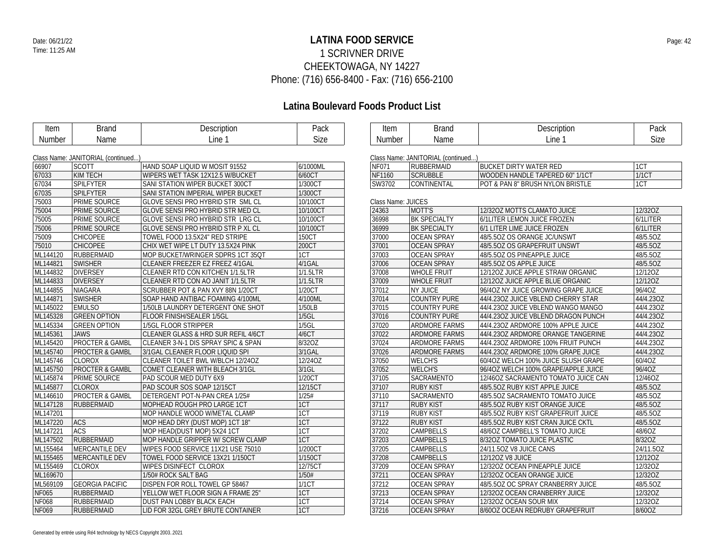### **LATINA FOOD SERVICE** Date: 06/21/22 Page: 42 1 SCRIVNER DRIVE CHEEKTOWAGA, NY 14227 Phone: (716) 656-8400 - Fax: (716) 656-2100

### **Latina Boulevard Foods Product List**

| Item          | <b>Brand</b>                       | Description                               | Pack        | Item               | <b>Brand</b>                       | Description                         | Pack         |
|---------------|------------------------------------|-------------------------------------------|-------------|--------------------|------------------------------------|-------------------------------------|--------------|
| <b>Number</b> | Name                               | Line 1                                    | <b>Size</b> | <b>Number</b>      | Name                               | Line 1                              | Size         |
|               |                                    |                                           |             |                    |                                    |                                     |              |
|               | Class Name: JANITORIAL (continued) |                                           |             |                    | Class Name: JANITORIAL (continued) |                                     |              |
| 66907         | <b>SCOTT</b>                       | HAND SOAP LIQUID W MOSIT 91552            | 6/1000ML    | NF071              | <b>RUBBERMAID</b>                  | <b>BUCKET DIRTY WATER RED</b>       | 1CT          |
| 67033         | <b>KIM TECH</b>                    | WIPERS WET TASK 12X12.5 W/BUCKET          | 6/60CT      | NF1160             | <b>SCRUBBLE</b>                    | WOODEN HANDLE TAPERED 60" 1/1CT     | <b>1/1CT</b> |
| 67034         | <b>SPILFYTER</b>                   | SANI STATION WIPER BUCKET 300CT           | 1/300CT     | SW3702             | <b>CONTINENTAL</b>                 | POT & PAN 8" BRUSH NYLON BRISTLE    | 1CT          |
| 67035         | SPILFYTER                          | SANI STATION IMPERIAL WIPER BUCKET        | 1/300CT     |                    |                                    |                                     |              |
| 75003         | <b>PRIME SOURCE</b>                | GLOVE SENSI PRO HYBRID STR SML CL         | 10/100CT    | Class Name: JUICES |                                    |                                     |              |
| 75004         | <b>PRIME SOURCE</b>                | <b>GLOVE SENSI PRO HYBRID STR MED CL</b>  | 10/100CT    | 24363              | MOTT'S                             | 12/32OZ MOTTS CLAMATO JUICE         | 12/32OZ      |
| 75005         | PRIME SOURCE                       | GLOVE SENSI PRO HYBRID STR LRG CL         | 10/100CT    | 36998              | <b>BK SPECIALTY</b>                | 6/1LITER LEMON JUICE FROZEN         | 6/1LITER     |
| 75006         | <b>PRIME SOURCE</b>                | <b>GLOVE SENSI PRO HYBRID STR P XL CL</b> | 10/100CT    | 36999              | <b>BK SPECIALTY</b>                | 6/1 LITER LIME JUICE FROZEN         | 6/1LITER     |
| 75009         | <b>CHICOPEE</b>                    | TOWEL FOOD 13.5X24" RED STRIPE            | 150CT       | 37000              | <b>OCEAN SPRAY</b>                 | 48/5.50Z OS ORANGE JC/UNSWT         | 48/5.50Z     |
| 75010         | <b>CHICOPEE</b>                    | CHIX WET WIPE LT DUTY 13.5X24 PINK        | 200CT       | 37001              | <b>OCEAN SPRAY</b>                 | 48/5.50Z OS GRAPEFRUIT UNSWT        | 48/5.5OZ     |
| ML144120      | RUBBERMAID                         | MOP BUCKET/WRINGER SDPRS 1CT 35QT         | 1CT         | 37003              | <b>OCEAN SPRAY</b>                 | 48/5.50Z OS PINEAPPLE JUICE         | 48/5.5OZ     |
| ML144821      | <b>SWISHER</b>                     | CLEANER FREEZER EZ FREEZ 4/1GAL           | 4/1GAL      | 37006              | <b>OCEAN SPRAY</b>                 | 48/5.50Z OS APPLE JUICE             | 48/5.5OZ     |
| ML144832      | <b>DIVERSEY</b>                    | CLEANER RTD CON KITCHEN 1/1.5LTR          | 1/1.5LTR    | 37008              | <b>WHOLE FRUIT</b>                 | 12/120Z JUICE APPLE STRAW ORGANIC   | 12/12OZ      |
| ML144833      | <b>DIVERSEY</b>                    | CLEANER RTD CON AO JANIT 1/1.5LTR         | 1/1.5LTR    | 37009              | <b>WHOLE FRUIT</b>                 | 12/120Z JUICE APPLE BLUE ORGANIC    | 12/120Z      |
| ML144855      | <b>NIAGARA</b>                     | SCRUBBER POT & PAN XVY 88N 1/20CT         | 1/20CT      | 37012              | <b>NY JUICE</b>                    | 96/4OZ NY JUICE GROWING GRAPE JUICE | 96/4OZ       |
| ML144871      | <b>SWISHER</b>                     | SOAP HAND ANTIBAC FOAMING 4/100ML         | 4/100ML     | 37014              | COUNTRY PURE                       | 44/4.230Z JUICE VBLEND CHERRY STAR  | 44/4.23OZ    |
| ML145022      | <b>EMULSO</b>                      | 1/50LB LAUNDRY DETERGENT ONE SHOT         | 1/50LB      | 37015              | <b>COUNTRY PURE</b>                | 44/4.23OZ JUICE VBLEND WANGO MANGO  | 44/4.23OZ    |
| ML145328      | <b>GREEN OPTION</b>                | FLOOR FINISH/SEALER 1/5GL                 | 1/5GL       | 37016              | <b>COUNTRY PURE</b>                | 44/4.23OZ JUICE VBLEND DRAGON PUNCH | 44/4.23OZ    |
| ML145334      | <b>GREEN OPTION</b>                | 1/5GL FLOOR STRIPPER                      | 1/5GL       | 37020              | <b>ARDMORE FARMS</b>               | 44/4.23OZ ARDMORE 100% APPLE JUICE  | 44/4.23OZ    |
| ML145361      | <b>JAWS</b>                        | CLEANER GLASS & HRD SUR REFIL 4/6CT       | 4/6CT       | 37022              | ARDMORE FARMS                      | 44/4.230Z ARDMORE ORANGE TANGERINE  | 44/4.23OZ    |
| ML145420      | <b>PROCTER &amp; GAMBL</b>         | CLEANER 3-N-1 DIS SPRAY SPIC & SPAN       | 8/32OZ      | 37024              | <b>ARDMORE FARMS</b>               | 44/4.230Z ARDMORE 100% FRUIT PUNCH  | 44/4.23OZ    |
| ML145740      | <b>PROCTER &amp; GAMBL</b>         | 3/1GAL CLEANER FLOOR LIQUID SPI           | 3/1GAL      | 37026              | <b>ARDMORE FARMS</b>               | 44/4.23OZ ARDMORE 100% GRAPE JUICE  | 44/4.23OZ    |
| ML145746      | <b>CLOROX</b>                      | CLEANER TOILET BWL W/BLCH 12/24OZ         | 12/24OZ     | 37050              | <b>WELCH'S</b>                     | 60/4OZ WELCH 100% JUICE SLUSH GRAPE | 60/40Z       |
| ML145750      | <b>PROCTER &amp; GAMBL</b>         | COMET CLEANER WITH BLEACH 3/1GL           | $3/1$ GL    | 37052              | <b>WELCH'S</b>                     | 96/4OZ WELCH 100% GRAPE/APPLE JUICE | 96/4OZ       |
| ML145874      | PRIME SOURCE                       | PAD SCOUR MED DUTY 6X9                    | 1/20CT      | 37105              | SACRAMENTO                         | 12/46OZ SACRAMENTO TOMATO JUICE CAN | 12/46OZ      |
| ML145877      | <b>CLOROX</b>                      | PAD SCOUR SOS SOAP 12/15CT                | 12/15CT     | 37107              | <b>RUBY KIST</b>                   | 48/5.50Z RUBY KIST APPLE JUICE      | 48/5.50Z     |
| ML146610      | <b>PROCTER &amp; GAMBL</b>         | DETERGENT POT-N-PAN CREA 1/25#            | 1/25#       | 37110              | SACRAMENTO                         | 48/5.50Z SACRAMENTO TOMATO JUICE    | 48/5.5OZ     |
| ML147128      | <b>RUBBERMAID</b>                  | MOPHEAD ROUGH PRO LARGE 1CT               | 1CT         | 37117              | <b>RUBY KIST</b>                   | 48/5.50Z RUBY KIST ORANGE JUICE     | 48/5.5OZ     |
| ML147201      |                                    | MOP HANDLE WOOD W/METAL CLAMP             | 1CT         | 37119              | <b>RUBY KIST</b>                   | 48/5.50Z RUBY KIST GRAPEFRUIT JUICE | 48/5.5OZ     |
| ML147220      | ACS                                | MOP HEAD DRY (DUST MOP) 1CT 18"           | 1CT         | 37122              | <b>RUBY KIST</b>                   | 48/5.50Z RUBY KIST CRAN JUICE CKTL  | 48/5.5OZ     |
| ML147221      | <b>ACS</b>                         | MOP HEAD(DUST MOP) 5X24 1CT               | 1CT         | 37202              | <b>CAMPBELLS</b>                   | 48/6OZ CAMPBELL'S TOMATO JUICE      | 48/6OZ       |
| ML147502      | <b>RUBBERMAID</b>                  | MOP HANDLE GRIPPER W/ SCREW CLAMP         | 1CT         | 37203              | <b>CAMPBELLS</b>                   | 8/320Z TOMATO JUICE PLASTIC         | 8/32OZ       |
| ML155464      | MERCANTILE DEV                     | WIPES FOOD SERVICE 11X21 USE 75010        | 1/200CT     | 37205              | <b>CAMPBELLS</b>                   | 24/11.5OZ V8 JUICE CANS             | 24/11.5OZ    |
| ML155465      | MERCANTILE DEV                     | TOWEL FOOD SERVICE 13X21 1/150CT          | 1/150CT     | 37208              | <b>CAMPBELLS</b>                   | 12/120Z V8 JUICE                    | 12/12OZ      |
| ML155469      | <b>CLOROX</b>                      | WIPES DISINFECT CLOROX                    | 12/75CT     | 37209              | <b>OCEAN SPRAY</b>                 | 12/32OZ OCEAN PINEAPPLE JUICE       | 12/32OZ      |
| ML169670      |                                    | 1/50# ROCK SALT BAG                       | 1/50#       | 37211              | <b>OCEAN SPRAY</b>                 | 12/32OZ OCEAN ORANGE JUICE          | 12/32OZ      |
| ML569109      | <b>GEORGIA PACIFIC</b>             | DISPEN FOR ROLL TOWEL GP 58467            | 1/1CT       | 37212              | <b>OCEAN SPRAY</b>                 | 48/5.50Z OC SPRAY CRANBERRY JUICE   | 48/5.5OZ     |
| NF065         | <b>RUBBERMAID</b>                  | YELLOW WET FLOOR SIGN A FRAME 25"         | 1CT         | 37213              | <b>OCEAN SPRAY</b>                 | 12/32OZ OCEAN CRANBERRY JUICE       | 12/32OZ      |
| NF068         | RUBBERMAID                         | DUST PAN LOBBY BLACK EACH                 | 1CT         | 37214              | <b>OCEAN SPRAY</b>                 | 12/320Z OCEAN SOUR MIX              | 12/32OZ      |
| NF069         | <b>RUBBERMAID</b>                  | LID FOR 32GL GREY BRUTE CONTAINER         | 1CT         | 37216              | <b>OCEAN SPRAY</b>                 | 8/60OZ OCEAN REDRUBY GRAPEFRUIT     | 8/60OZ       |

Generated by entrée using Ré4 technology by NECS Copyright 2003..2021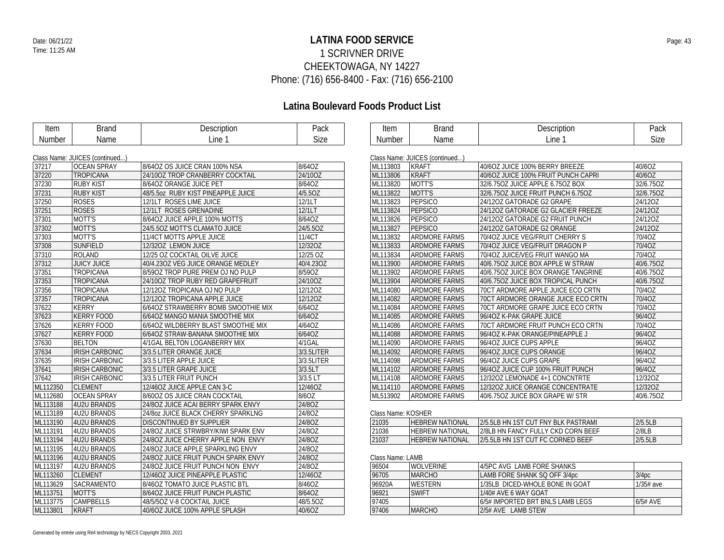### **LATINA FOOD SERVICE** Date: 06/21/22 Page: 43 1 SCRIVNER DRIVE CHEEKTOWAGA, NY 14227 Phone: (716) 656-8400 - Fax: (716) 656-2100

| Item     | <b>Brand</b>                   | Description                         | Pack       | Item               | <b>Brand</b>                   | Description                         | Pack        |
|----------|--------------------------------|-------------------------------------|------------|--------------------|--------------------------------|-------------------------------------|-------------|
| Number   | Name                           | Line 1                              | Size       | Number             | Name                           | Line 1                              | Size        |
|          |                                |                                     |            |                    |                                |                                     |             |
|          | Class Name: JUICES (continued) |                                     |            |                    | Class Name: JUICES (continued) |                                     |             |
| 37217    | <b>OCEAN SPRAY</b>             | 8/64OZ OS JUICE CRAN 100% NSA       | 8/64OZ     | ML113803           | <b>KRAFT</b>                   | 40/6OZ JUICE 100% BERRY BREEZE      | 40/6OZ      |
| 37220    | <b>TROPICANA</b>               | 24/100Z TROP CRANBERRY COCKTAIL     | 24/10OZ    | ML113806           | <b>KRAFT</b>                   | 40/6OZ JUICE 100% FRUIT PUNCH CAPRI | 40/6OZ      |
| 37230    | <b>RUBY KIST</b>               | 8/64OZ ORANGE JUICE PET             | 8/64OZ     | ML113820           | MOTT'S                         | 32/6.750Z JUICE APPLE 6.750Z BOX    | 32/6.75OZ   |
| 37231    | <b>RUBY KIST</b>               | 48/5.5oz RUBY KIST PINEAPPLE JUICE  | 4/5.5OZ    | ML113822           | MOTT'S                         | 32/6.750Z JUICE FRUIT PUNCH 6.750Z  | 32/6.75OZ   |
| 37250    | <b>ROSES</b>                   | 12/1LT ROSES LIME JUICE             | 12/1LT     | ML113823           | PEPSICO                        | 24/12OZ GATORADE G2 GRAPE           | 24/12OZ     |
| 37251    | <b>ROSES</b>                   | 12/1LT ROSES GRENADINE              | 12/1LT     | ML113824           | <b>PEPSICO</b>                 | 24/12OZ GATORADE G2 GLACIER FREEZE  | 24/12OZ     |
| 37301    | MOTT'S                         | 8/64OZ JUICE APPLE 100% MOTTS       | 8/64OZ     | ML113826           | PEPSICO                        | 24/12OZ GATORADE G2 FRUIT PUNCH     | 24/12OZ     |
| 37302    | MOTT'S                         | 24/5.50Z MOTT'S CLAMATO JUICE       | 24/5.5OZ   | ML113827           | <b>PEPSICO</b>                 | 24/12OZ GATORADE G2 ORANGE          | 24/12OZ     |
| 37303    | MOTT'S                         | 11/4CT MOTTS APPLE JUICE            | 11/4CT     | ML113832           | <b>ARDMORE FARMS</b>           | 70/4OZ JUICE VEG/FRUIT CHERRY S     | 70/4OZ      |
| 37308    | SUNFIELD                       | 12/32OZ LEMON JUICE                 | 12/32OZ    | ML113833           | <b>ARDMORE FARMS</b>           | 70/4OZ JUICE VEG/FRUIT DRAGON P     | 70/4OZ      |
| 37310    | ROLAND                         | 12/25 OZ COCKTAIL OILVE JUICE       | 12/25 OZ   | ML113834           | <b>ARDMORE FARMS</b>           | 70/4OZ JUICE/VEG FRUIT WANGO MA     | 70/40Z      |
| 37312    | <b>JUICY JUICE</b>             | 40/4.23OZ VEG JUICE ORANGE MEDLEY   | 40/4.23OZ  | ML113900           | <b>ARDMORE FARMS</b>           | 40/6.750Z JUICE BOX APPLE W STRAW   | 40/6.75OZ   |
| 37351    | <b>TROPICANA</b>               | 8/590Z TROP PURE PREM OJ NO PULP    | 8/59OZ     | ML113902           | <b>ARDMORE FARMS</b>           | 40/6.75OZ JUICE BOX ORANGE TANGRINE | 40/6.75OZ   |
| 37353    | <b>TROPICANA</b>               | 24/100Z TROP RUBY RED GRAPEFRUIT    | 24/10OZ    | ML113904           | <b>ARDMORE FARMS</b>           | 40/6.750Z JUICE BOX TROPICAL PUNCH  | 40/6.75OZ   |
| 37356    | <b>TROPICANA</b>               | 12/120Z TROPICANA OJ NO PULP        | 12/12OZ    | ML114080           | <b>ARDMORE FARMS</b>           | 70CT ARDMORE APPLE JUICE ECO CRTN   | 70/4OZ      |
| 37357    | <b>TROPICANA</b>               | 12/120Z TROPICANA APPLE JUICE       | 12/12OZ    | ML114082           | <b>ARDMORE FARMS</b>           | 70CT ARDMORE ORANGE JUICE ECO CRTN  | 70/4OZ      |
| 37622    | <b>KERRY</b>                   | 6/64OZ STRAWBERRY BOMB SMOOTHIE MIX | 6/64OZ     | ML114084           | <b>ARDMORE FARMS</b>           | 70CT ARDMORE GRAPE JUICE ECO CRTN   | 70/4OZ      |
| 37623    | <b>KERRY FOOD</b>              | 6/64OZ MANGO MANIA SMOOTHIE MIX     | 6/64OZ     | ML114085           | <b>ARDMORE FARMS</b>           | 96/4OZ K-PAK GRAPE JUICE            | 96/4OZ      |
| 37626    | <b>KERRY FOOD</b>              | 6/64OZ WILDBERRY BLAST SMOOTHIE MIX | 4/64OZ     | ML114086           | <b>ARDMORE FARMS</b>           | 70CT ARDMORE FRUIT PUNCH ECO CRTN   | 70/4OZ      |
| 37627    | <b>KERRY FOOD</b>              | 6/64OZ STRAW-BANANA SMOOTHIE MIX    | 6/64OZ     | ML114088           | <b>ARDMORE FARMS</b>           | 96/4OZ K-PAK ORANGE/PINEAPPLE J     | 96/4OZ      |
| 37630    | <b>BELTON</b>                  | 4/1GAL BELTON LOGANBERRY MIX        | 4/1GAL     | ML114090           | <b>ARDMORE FARMS</b>           | 96/4OZ JUICE CUPS APPLE             | 96/4OZ      |
| 37634    | <b>IRISH CARBONIC</b>          | 3/3.5 LITER ORANGE JUICE            | 3/3.5LITER | ML114092           | <b>ARDMORE FARMS</b>           | 96/40Z JUICE CUPS ORANGE            | 96/4OZ      |
| 37635    | <b>IRISH CARBONIC</b>          | 3/3.5 LITER APPLE JUICE             | 3/3.5LITER | ML114098           | <b>ARDMORE FARMS</b>           | 96/4OZ JUICE CUPS GRAPE             | 96/4OZ      |
| 37641    | <b>IRISH CARBONIC</b>          | 3/3.5 LITER GRAPE JUICE             | 3/3.5LT    | ML114102           | <b>ARDMORE FARMS</b>           | 96/4OZ JUICE CUP 100% FRUIT PUNCH   | 96/4OZ      |
| 37642    | <b>IRISH CARBONIC</b>          | 3/3.5 LITER FRUIT PUNCH             | 3/3.5 LT   | ML114108           | <b>ARDMORE FARMS</b>           | 12/32OZ LEMONADE 4+1 CONCNTRTE      | 12/32OZ     |
| ML112350 | <b>CLEMENT</b>                 | 12/460Z JUICE APPLE CAN 3-C         | 12/46OZ    | ML114110           | <b>ARDMORE FARMS</b>           | 12/320Z JUICE ORANGE CONCENTRATE    | 12/32OZ     |
| ML112680 | <b>OCEAN SPRAY</b>             | 8/60OZ OS JUICE CRAN COCKTAIL       | 8/6OZ      | ML513902           | <b>ARDMORE FARMS</b>           | 40/6.75OZ JUICE BOX GRAPE W/ STR    | 40/6.75OZ   |
| ML113188 | 4U2U BRANDS                    | 24/80Z JUICE ACAI BERRY SPARK ENVY  | 24/8OZ     |                    |                                |                                     |             |
| ML113189 | 4U2U BRANDS                    | 24/80Z JUICE BLACK CHERRY SPARKLNG  | 24/8OZ     | Class Name: KOSHER |                                |                                     |             |
| ML113190 | 4U2U BRANDS                    | DISCONTINUED BY SUPPLIER            | 24/8OZ     | 21035              | <b>HEBREW NATIONAL</b>         | 2/5.5LB HN 1ST CUT FNY BLK PASTRAMI | 2/5.5LB     |
| ML113191 | 4U2U BRANDS                    | 24/8OZ JUICE STRWBRY/KIWI SPARK ENV | 24/8OZ     | 21036              | <b>HEBREW NATIONAL</b>         | 2/8LB HN FANCY FULLY CKD CORN BEEF  | 2/8LB       |
| ML113194 | 4U2U BRANDS                    | 24/8OZ JUICE CHERRY APPLE NON ENVY  | 24/8OZ     | 21037              | <b>HEBREW NATIONAL</b>         | 2/5.5LB HN 1ST CUT FC CORNED BEEF   | 2/5.5LB     |
| ML113195 | 4U2U BRANDS                    | 24/80Z JUICE APPLE SPARKLING ENVY   | 24/8OZ     |                    |                                |                                     |             |
| ML113196 | 4U2U BRANDS                    | 24/80Z JUICE FRUIT PUNCH SPARK ENVY | 24/8OZ     | Class Name: LAMB   |                                |                                     |             |
| ML113197 | 4U2U BRANDS                    | 24/80Z JUICE FRUIT PUNCH NON ENVY   | 24/8OZ     | 96504              | <b>WOLVERINE</b>               | 4/5PC AVG LAMB FORE SHANKS          |             |
| ML113260 | <b>CLEMENT</b>                 | 12/460Z JUICE PINEAPPLE PLASTIC     | 12/46OZ    | 96705              | <b>MARCHO</b>                  | LAMB FORE SHANK SQ OFF 3/4pc        | 3/4pc       |
| ML113629 | <b>SACRAMENTO</b>              | 8/46OZ TOMATO JUICE PLASTIC BTL     | 8/46OZ     | 96920A             | <b>WESTERN</b>                 | 1/35LB DICED-WHOLE BONE IN GOAT     | $1/35#$ ave |
| ML113751 | MOTT'S                         | 8/64OZ JUICE FRUIT PUNCH PLASTIC    | 8/64OZ     | 96921              | <b>SWIFT</b>                   | 1/40# AVE 6 WAY GOAT                |             |
| ML113775 | <b>CAMPBELLS</b>               | 48/5/50Z V-8 COCKTAIL JUICE         | 48/5.5OZ   | 97405              |                                | 6/5# IMPORTED BRT BNLS LAMB LEGS    | 6/5# AVE    |
| ML113801 | <b>KRAFT</b>                   | 40/6OZ JUICE 100% APPLE SPLASH      | 40/6OZ     | 97406              | <b>MARCHO</b>                  | 2/5# AVE LAMB STEW                  |             |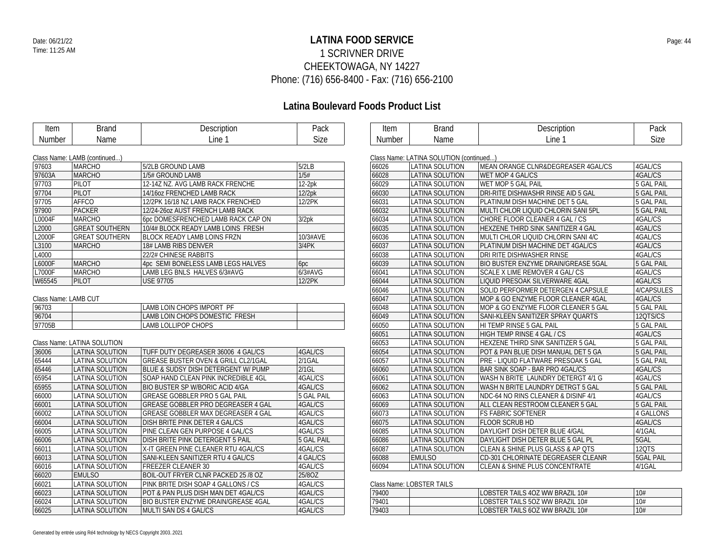### **LATINA FOOD SERVICE** Date: 06/21/22 Page: 44 1 SCRIVNER DRIVE CHEEKTOWAGA, NY 14227 Phone: (716) 656-8400 - Fax: (716) 656-2100

# **Latina Boulevard Foods Product List**

| Item   | Brand | Description | Pack |  |
|--------|-------|-------------|------|--|
| Number | Name  | .ine        | Size |  |

| Item         | $1 - 0 - 0$ | Description<br>הזטורי | $D_{221}$<br>'duN |
|--------------|-------------|-----------------------|-------------------|
| ıber<br>'NUı | ۔ ممر ا     | Line                  | חדי<br>بےוں       |

|  | Class Name: LAMB (continued) |  |
|--|------------------------------|--|
|  |                              |  |

| 97603  | <b>MARCHO</b>         | 5/2LB GROUND LAMB                  | 5/2LB    |
|--------|-----------------------|------------------------------------|----------|
| 97603A | <b>MARCHO</b>         | 1/5# GROUND LAMB                   | 1/5#     |
| 97703  | PILOT                 | 12-14Z NZ. AVG LAMB RACK FRENCHE   | $12-2pk$ |
| 97704  | PILOT                 | 14/16oz FRENCHED LAMB RACK         | 12/2pk   |
| 97705  | AFFCO                 | 12/2PK 16/18 NZ LAMB RACK FRENCHED | 12/2PK   |
| 97900  | <b>PACKER</b>         | 12/24-2607 AUST FRENCH LAMB RACK   |          |
| L0004F | <b>MARCHO</b>         | 6pc DOMESFRENCHED LAMB RACK CAP ON | 3/2pk    |
| L2000  | <b>GREAT SOUTHERN</b> | 10/4# BLOCK READY LAMB LOINS FRESH |          |
| L2000F | <b>GREAT SOUTHERN</b> | <b>BLOCK READY LAMB LOINS FRZN</b> | 10/3#AVE |
| L3100  | <b>MARCHO</b>         | 18# LAMB RIBS DENVER               | 3/4PK    |
| L4000  |                       | 22/2# CHINESE RABBITS              |          |
| L6000F | <b>MARCHO</b>         | 4pc SEMI BONELESS LAMB LEGS HALVES | 6pc      |
| L7000F | <b>MARCHO</b>         | LAMB LEG BNLS HALVES 6/3#AVG       | 6/3#AVG  |
| W65545 | <b>PILOT</b>          | <b>USE 97705</b>                   | 12/2PK   |
|        |                       |                                    |          |

### Class Name: LAMB CUT

| 196703 | LAMB LOIN CHOPS IMPORT PF      |  |
|--------|--------------------------------|--|
| 96704  | LAMB LOIN CHOPS DOMESTIC FRESH |  |
| 97705B | LAMB LOLLIPOP CHOPS            |  |

### Class Name: LATINA SOLUTION

| 36006 | <b>LATINA SOLUTION</b> | TUFF DUTY DEGREASER 36006 4 GAL/CS     | 4GAL/CS    |
|-------|------------------------|----------------------------------------|------------|
| 65444 | <b>LATINA SOLUTION</b> | GREASE BUSTER OVEN & GRILL CL2/1GAL    | $2/1$ GAL  |
| 65446 | LATINA SOLUTION        | BLUE & SUDSY DISH DETERGENT W/ PUMP    | $2/1$ GL   |
| 65954 | LATINA SOLUTION        | SOAP HAND CLEAN PINK INCREDIBLE 4GL    | 4GAL/CS    |
| 65955 | <b>LATINA SOLUTION</b> | <b>BIO BUSTER SP W/BORIC ACID 4/GA</b> | 4GAL/CS    |
| 66000 | <b>LATINA SOLUTION</b> | GREASE GOBBLER PRO 5 GAL PAIL          | 5 GAL PAIL |
| 66001 | <b>LATINA SOLUTION</b> | GREASE GOBBLER PRO DEGREASER 4 GAL     | 4GAL/CS    |
| 66002 | LATINA SOLUTION        | GREASE GOBBLER MAX DEGREASER 4 GAL     | 4GAL/CS    |
| 66004 | <b>LATINA SOLUTION</b> | DISH BRITE PINK DETER 4 GAL/CS         | 4GAL/CS    |
| 66005 | LATINA SOLUTION        | PINE CLEAN GEN PURPOSE 4 GAL/CS        | 4GAL/CS    |
| 66006 | <b>LATINA SOLUTION</b> | DISH BRITE PINK DETERGENT 5 PAIL       | 5 GAL PAIL |
| 66011 | LATINA SOLUTION        | X-IT GREEN PINE CLEANER RTU 4GAL/CS    | 4GAL/CS    |
| 66013 | <b>LATINA SOLUTION</b> | SANI-KLEEN SANITIZER RTU 4 GAL/CS      | 4 GALICS   |
| 66016 | LATINA SOLUTION        | <b>FREEZER CLEANER 30</b>              | 4GAL/CS    |
| 66020 | <b>EMULSO</b>          | BOIL-OUT FRYER CLNR PACKED 25 /8 OZ    | 25/80Z     |
| 66021 | LATINA SOLUTION        | PINK BRITE DISH SOAP 4 GALLONS / CS    | 4GAL/CS    |
| 66023 | LATINA SOLUTION        | POT & PAN PLUS DISH MAN DET 4GAL/CS    | 4GAL/CS    |
| 66024 | LATINA SOLUTION        | BIO BUSTER ENZYME DRAIN/GREASE 4GAL    | 4GAL/CS    |
| 66025 | <b>LATINA SOLUTION</b> | MULTI SAN DS 4 GAL/CS                  | 4GAL/CS    |
|       |                        |                                        |            |

|       | Class Name: LATINA SOLUTION (continued) |                                           |                   |
|-------|-----------------------------------------|-------------------------------------------|-------------------|
| 66026 | <b>LATINA SOLUTION</b>                  | MEAN ORANGE CLNR&DEGREASER 4GAL/CS        | 4GAL/CS           |
| 66028 | <b>LATINA SOLUTION</b>                  | WET MOP 4 GAL/CS                          | 4GAL/CS           |
| 66029 | <b>LATINA SOLUTION</b>                  | WET MOP 5 GAL PAIL                        | <b>5 GAL PAIL</b> |
| 66030 | <b>LATINA SOLUTION</b>                  | DRI-RITE DISHWASHR RINSE AID 5 GAL        | <b>5 GAL PAIL</b> |
| 66031 | <b>LATINA SOLUTION</b>                  | PLATINUM DISH MACHINE DET 5 GAL           | <b>5 GAL PAIL</b> |
| 66032 | <b>LATINA SOLUTION</b>                  | MULTI CHLOR LIQUID CHLORIN SANI 5PL       | <b>5 GAL PAIL</b> |
| 66034 | <b>LATINA SOLUTION</b>                  | CHORE FLOOR CLEANER 4 GAL / CS            | 4GAL/CS           |
| 66035 | <b>LATINA SOLUTION</b>                  | HEXZENE THIRD SINK SANITIZER 4 GAL        | 4GAL/CS           |
| 66036 | <b>LATINA SOLUTION</b>                  | MULTI CHLOR LIQUID CHLORIN SANI 4/C       | 4GAL/CS           |
| 66037 | <b>LATINA SOLUTION</b>                  | PLATINUM DISH MACHINE DET 4GAL/CS         | 4GAL/CS           |
| 66038 | <b>LATINA SOLUTION</b>                  | DRI RITE DISHWASHER RINSE                 | 4GAL/CS           |
| 66039 | LATINA SOLUTION                         | BIO BUSTER ENZYME DRAIN/GREASE 5GAL       | <b>5 GAL PAIL</b> |
| 66041 | <b>LATINA SOLUTION</b>                  | SCALE X LIME REMOVER 4 GAL/CS             | 4GAL/CS           |
| 66044 | <b>LATINA SOLUTION</b>                  | LIQUID PRESOAK SILVERWARE 4GAL            | 4GAL/CS           |
| 66046 | <b>LATINA SOLUTION</b>                  | SOLID PERFORMER DETERGEN 4 CAPSULE        | 4/CAPSULES        |
| 66047 | <b>LATINA SOLUTION</b>                  | MOP & GO ENZYME FLOOR CLEANER 4GAL        | 4GAL/CS           |
| 66048 | <b>LATINA SOLUTION</b>                  | MOP & GO ENZYME FLOOR CLEANER 5 GAL       | <b>5 GAL PAIL</b> |
| 66049 | LATINA SOLUTION                         | SANI-KLEEN SANITIZER SPRAY QUARTS         | 12QTS/CS          |
| 66050 | <b>LATINA SOLUTION</b>                  | HI TEMP RINSE 5 GAL PAIL                  | <b>5 GAL PAIL</b> |
| 66051 | <b>LATINA SOLUTION</b>                  | HIGH TEMP RINSE 4 GAL / CS                | 4GAL/CS           |
| 66053 | <b>LATINA SOLUTION</b>                  | HEXZENE THIRD SINK SANITIZER 5 GAL        | <b>5 GAL PAIL</b> |
| 66054 | LATINA SOLUTION                         | POT & PAN BLUE DISH MANUAL DET 5 GA       | 5 GAL PAIL        |
| 66057 | <b>LATINA SOLUTION</b>                  | PRE - LIQUID FLATWARE PRESOAK 5 GAL       | 5 GAL PAIL        |
| 66060 | <b>LATINA SOLUTION</b>                  | BAR SINK SOAP - BAR PRO 4GAL/CS           | 4GAL/CS           |
| 66061 | <b>LATINA SOLUTION</b>                  | WASH N BRITE LAUNDRY DETERGT 4/1 G        | 4GAL/CS           |
| 66062 | <b>LATINA SOLUTION</b>                  | WASH N BRITE LAUNDRY DETRGT 5 GAL         | 5 GAL PAIL        |
| 66063 | <b>LATINA SOLUTION</b>                  | NDC-64 NO RINS CLEANER & DISINF 4/1       | 4GAL/CS           |
| 66069 | <b>LATINA SOLUTION</b>                  | ALL CLEAN RESTROOM CLEANER 5 GAL          | <b>5 GAL PAIL</b> |
| 66073 | <b>LATINA SOLUTION</b>                  | <b>FS FABRIC SOFTENER</b>                 | <b>4 GALLONS</b>  |
| 66075 | <b>LATINA SOLUTION</b>                  | <b>FLOOR SCRUB HD</b>                     | 4GAL/CS           |
| 66085 | LATINA SOLUTION                         | DAYLIGHT DISH DETER BLUE 4/GAL            | 4/1GAL            |
| 66086 | <b>LATINA SOLUTION</b>                  | DAYLIGHT DISH DETER BLUE 5 GAL PL         | 5GAL              |
| 66087 | <b>LATINA SOLUTION</b>                  | CLEAN & SHINE PLUS GLASS & AP QTS         | <b>12QTS</b>      |
| 66088 | <b>EMULSO</b>                           | <b>CD-301 CHLORINATE DEGREASER CLEANR</b> | <b>5GAL PAIL</b>  |
| 66094 | <b>LATINA SOLUTION</b>                  | <b>CLEAN &amp; SHINE PLUS CONCENTRATE</b> | 4/1GAL            |

### Class Name: LOBSTER TAILS

| 79400 | LOBSTER TAILS 4OZ WW BRAZIL 10#    | 10# |
|-------|------------------------------------|-----|
| 79401 | OBSTER TAILS 50Z WW BRAZIL.<br>10# | 10# |
| 79403 | OBSTER TAILS 6OZ WW BRAZIL<br>10#  | 10# |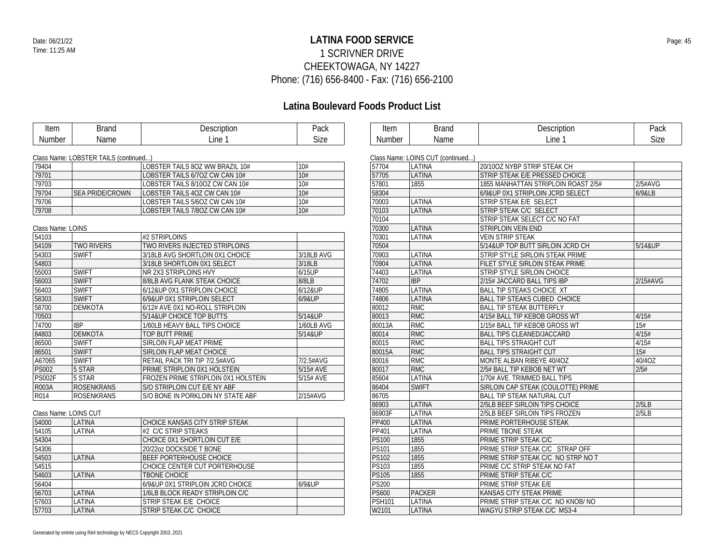### **LATINA FOOD SERVICE** Date: 06/21/22 Page: 45 1 SCRIVNER DRIVE CHEEKTOWAGA, NY 14227 Phone: (716) 656-8400 - Fax: (716) 656-2100

| <b>Item</b>           | <b>Brand</b>                          | Description                         | Pack        | Item          | <b>Brand</b>                      | Description                         | Pack        |
|-----------------------|---------------------------------------|-------------------------------------|-------------|---------------|-----------------------------------|-------------------------------------|-------------|
| Number                | Name                                  | Line 1                              | <b>Size</b> | <b>Number</b> | Name                              | Line 1                              | <b>Size</b> |
|                       |                                       |                                     |             |               |                                   |                                     |             |
|                       | Class Name: LOBSTER TAILS (continued) |                                     |             |               | Class Name: LOINS CUT (continued) |                                     |             |
| 79404                 |                                       | LOBSTER TAILS 80Z WW BRAZIL 10#     | 10#         | 57704         | LATINA                            | 20/10OZ NYBP STRIP STEAK CH         |             |
| 79701                 |                                       | LOBSTER TAILS 6/7OZ CW CAN 10#      | 10#         | 57705         | LATINA                            | STRIP STEAK E/E PRESSED CHOICE      |             |
| 79703                 |                                       | LOBSTER TAILS 8/10OZ CW CAN 10#     | 10#         | 57801         | 1855                              | 1855 MANHATTAN STRIPLOIN ROAST 2/5# | 2/5#AVG     |
| 79704                 | <b>SEA PRIDE/CROWN</b>                | LOBSTER TAILS 4OZ CW CAN 10#        | 10#         | 58304         |                                   | 6/9&UP 0X1 STRIPLOIN JCRD SELECT    | 6/9&LB      |
| 79706                 |                                       | LOBSTER TAILS 5/6OZ CW CAN 10#      | 10#         | 70003         | LATINA                            | STRIP STEAK E/E SELECT              |             |
| 79708                 |                                       | LOBSTER TAILS 7/8OZ CW CAN 10#      | 10#         | 70103         | LATINA                            | STRIP STEAK C/C SELECT              |             |
|                       |                                       |                                     |             | 70104         |                                   | STRIP STEAK SELECT C/C NO FAT       |             |
| Class Name: LOINS     |                                       |                                     |             | 70300         | LATINA                            | STRIPLOIN VEIN END                  |             |
| 54103                 |                                       | #2 STRIPLOINS                       |             | 70301         | LATINA                            | <b>VEIN STRIP STEAK</b>             |             |
| 54109                 | <b>TWO RIVERS</b>                     | TWO RIVERS INJECTED STRIPLOINS      |             | 70504         |                                   | 5/14&UP TOP BUTT SIRLOIN JCRD CH    | 5/14&UP     |
| 54303                 | <b>SWIFT</b>                          | 3/18LB AVG SHORTLOIN 0X1 CHOICE     | 3/18LB AVG  | 70903         | LATINA                            | STRIP STYLE SIRLOIN STEAK PRIME     |             |
| 54803                 |                                       | 3/18LB SHORTLOIN 0X1 SELECT         | 3/18LB      | 70904         | LATINA                            | FILET STYLE SIRLOIN STEAK PRIME     |             |
| 55003                 | <b>SWIFT</b>                          | NR 2X3 STRIPLOINS HVY               | 6/15UP      | 74403         | LATINA                            | STRIP STYLE SIRLOIN CHOICE          |             |
| 56003                 | <b>SWIFT</b>                          | 8/8LB AVG FLANK STEAK CHOICE        | 8/8LB       | 74702         | <b>IBP</b>                        | 2/15# JACCARD BALL TIPS IBP         | 2/15#AVG    |
| 56403                 | <b>SWIFT</b>                          | 6/12&UP 0X1 STRIPLOIN CHOICE        | 6/12&UP     | 74805         | LATINA                            | <b>BALL TIP STEAKS CHOICE XT</b>    |             |
| 58303                 | <b>SWIFT</b>                          | 6/9&UP 0X1 STRIPLOIN SELECT         | 6/9&UP      | 74806         | LATINA                            | <b>BALL TIP STEAKS CUBED CHOICE</b> |             |
| 58700                 | <b>DEMKOTA</b>                        | 6/12# AVE 0X1 NO-ROLL STRIPLOIN     |             | 80012         | <b>RMC</b>                        | <b>BALL TIP STEAK BUTTERFLY</b>     |             |
| 70503                 |                                       | 5/14&UP CHOICE TOP BUTTS            | 5/14&UP     | 80013         | <b>RMC</b>                        | 4/15# BALL TIP KEBOB GROSS WT       | 4/15#       |
| 74700                 | <b>IBP</b>                            | 1/60LB HEAVY BALL TIPS CHOICE       | 1/60LB AVG  | 80013A        | <b>RMC</b>                        | 1/15# BALL TIP KEBOB GROSS WT       | 15#         |
| 84803                 | <b>DEMKOTA</b>                        | TOP BUTT PRIME                      | 5/14&UP     | 80014         | RMC                               | BALL TIPS CLEANED/JACCARD           | 4/15#       |
| 86500                 | <b>SWIFT</b>                          | SIRLOIN FLAP MEAT PRIME             |             | 80015         | <b>RMC</b>                        | <b>BALL TIPS STRAIGHT CUT</b>       | 4/15#       |
| 86501                 | <b>SWIFT</b>                          | SIRLOIN FLAP MEAT CHOICE            |             | 80015A        | <b>RMC</b>                        | <b>BALL TIPS STRAIGHT CUT</b>       | 15#         |
| A67065                | <b>SWIFT</b>                          | RETAIL PACK TRI TIP 7/2.5#AVG       | 7/2.5#AVG   | 80016         | <b>RMC</b>                        | MONTE ALBAN RIBEYE 40/4OZ           | 40/4OZ      |
| <b>PS002</b>          | 5 STAR                                | PRIME STRIPLOIN 0X1 HOLSTEIN        | 5/15# AVE   | 80017         | RMC                               | 2/5# BALL TIP KEBOB NET WT          | 2/5#        |
| <b>PS002F</b>         | 5 STAR                                | FROZEN PRIME STRIPLOIN 0X1 HOLSTEIN | 5/15# AVE   | 85604         | LATINA                            | 1/70# AVE. TRIMMED BALL TIPS        |             |
| <b>R003A</b>          | <b>ROSENKRANS</b>                     | S/O STRIPLOIN CUT E/E NY ABF        |             | 86404         | <b>SWIFT</b>                      | SIRLOIN CAP STEAK (COULOTTE) PRIME  |             |
| R014                  | <b>ROSENKRANS</b>                     | S/O BONE IN PORKLOIN NY STATE ABF   | 2/15#AVG    | 86705         |                                   | BALL TIP STEAK NATURAL CUT          |             |
|                       |                                       |                                     |             | 86903         | LATINA                            | 2/5LB BEEF SIRLOIN TIPS CHOICE      | 2/5LB       |
| Class Name: LOINS CUT |                                       |                                     |             | 86903F        | LATINA                            | 2/5LB BEEF SIRLOIN TIPS FROZEN      | 2/5LB       |
| 54000                 | LATINA                                | CHOICE KANSAS CITY STRIP STEAK      |             | PP400         | LATINA                            | PRIME PORTERHOUSE STEAK             |             |
| 54105                 | LATINA                                | #2 C/C STRIP STEAKS                 |             | PP401         | LATINA                            | PRIME TBONE STEAK                   |             |
| 54304                 |                                       | CHOICE 0X1 SHORTLOIN CUT E/E        |             | <b>PS100</b>  | 1855                              | PRIME STRIP STEAK C/C               |             |
| 54306                 |                                       | 20/22oz DOCKSIDE T BONE             |             | <b>PS101</b>  | 1855                              | PRIME STRIP STEAK C/C STRAP OFF     |             |
| 54503                 | LATINA                                | BEEF PORTERHOUSE CHOICE             |             | <b>PS102</b>  | 1855                              | PRIME STRIP STEAK C/C NO STRP NO T  |             |
| 54515                 |                                       | CHOICE CENTER CUT PORTERHOUSE       |             | PS103         | 1855                              | PRIME C/C STRIP STEAK NO FAT        |             |
| 54603                 | LATINA                                | <b>TBONE CHOICE</b>                 |             | <b>PS105</b>  | 1855                              | PRIME STRIP STEAK C/C               |             |
| 56404                 |                                       | 6/9&UP 0X1 STRIPLOIN JCRD CHOICE    | 6/9&UP      | <b>PS200</b>  |                                   | PRIME STRIP STEAK E/E               |             |
| 56703                 | LATINA                                | 1/6LB BLOCK READY STRIPLOIN C/C     |             | <b>PS600</b>  | <b>PACKER</b>                     | KANSAS CITY STEAK PRIME             |             |
| 57603                 | LATINA                                | STRIP STEAK E/E CHOICE              |             | <b>PSH101</b> | LATINA                            | PRIME STRIP STEAK C/C NO KNOB/ NO   |             |
| 57703                 | LATINA                                | STRIP STEAK C/C CHOICE              |             | W2101         | LATINA                            | WAGYU STRIP STEAK C/C MS3-4         |             |
|                       |                                       |                                     |             |               |                                   |                                     |             |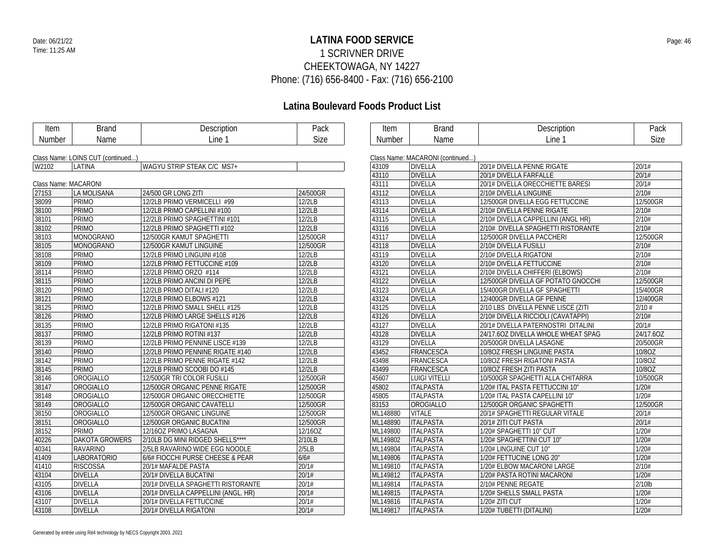### **LATINA FOOD SERVICE** Date: 06/21/22 Page: 46 1 SCRIVNER DRIVE CHEEKTOWAGA, NY 14227 Phone: (716) 656-8400 - Fax: (716) 656-2100

| Item                 | <b>Brand</b>                      | Description                         | Pack     | Item     | <b>Brand</b>                     | Description                        | Pack      |  |  |  |
|----------------------|-----------------------------------|-------------------------------------|----------|----------|----------------------------------|------------------------------------|-----------|--|--|--|
| Number               | Name                              | Line 1                              | Size     | Number   | Name                             | Line 1                             | Size      |  |  |  |
|                      |                                   |                                     |          |          |                                  |                                    |           |  |  |  |
|                      | Class Name: LOINS CUT (continued) |                                     |          |          | Class Name: MACARONI (continued) |                                    |           |  |  |  |
| W2102                | LATINA                            | WAGYU STRIP STEAK C/C MS7+          |          | 43109    | <b>DIVELLA</b>                   | 20/1# DIVELLA PENNE RIGATE         | 20/1#     |  |  |  |
|                      |                                   |                                     |          | 43110    | <b>DIVELLA</b>                   | 20/1# DIVELLA FARFALLE             | 20/1#     |  |  |  |
| Class Name: MACARONI |                                   |                                     |          | 43111    | <b>DIVELLA</b>                   | 20/1# DIVELLA ORECCHIETTE BARESI   | 20/1#     |  |  |  |
| 27153                | LA MOLISANA                       | 24/500 GR LONG ZITI                 | 24/500GR | 43112    | <b>DIVELLA</b>                   | 2/10# DIVELLA LINGUINE             | 2/10#     |  |  |  |
| 38099                | PRIMO                             | 12/2LB PRIMO VERMICELLI #99         | 12/2LB   | 43113    | <b>DIVELLA</b>                   | 12/500GR DIVELLA EGG FETTUCCINE    | 12/500GR  |  |  |  |
| 38100                | PRIMO                             | 12/2LB PRIMO CAPELLINI #100         | 12/2LB   | 43114    | <b>DIVELLA</b>                   | 2/10# DIVELLA PENNE RIGATE         | 2/10#     |  |  |  |
| 38101                | PRIMO                             | 12/2LB PRIMO SPAGHETTINI #101       | 12/2LB   | 43115    | <b>DIVELLA</b>                   | 2/10# DIVELLA CAPPELLINI (ANGL HR) | 2/10#     |  |  |  |
| 38102                | PRIMO                             | 12/2LB PRIMO SPAGHETTI #102         | 12/2LB   | 43116    | <b>DIVELLA</b>                   | 2/10# DIVELLA SPAGHETTI RISTORANTE | 2/10#     |  |  |  |
| 38103                | MONOGRANO                         | 12/500GR KAMUT SPAGHETTI            | 12/500GR | 43117    | <b>DIVELLA</b>                   | 12/500GR DIVELLA PACCHERI          | 12/500GR  |  |  |  |
| 38105                | MONOGRANO                         | 12/500GR KAMUT LINGUINE             | 12/500GR | 43118    | <b>DIVELLA</b>                   | 2/10# DIVELLA FUSILLI              | 2/10#     |  |  |  |
| 38108                | PRIMO                             | 12/2LB PRIMO LINGUINI #108          | 12/2LB   | 43119    | <b>DIVELLA</b>                   | 2/10# DIVELLA RIGATONI             | 2/10#     |  |  |  |
| 38109                | PRIMO                             | 12/2LB PRIMO FETTUCCINE #109        | 12/2LB   | 43120    | <b>DIVELLA</b>                   | 2/10# DIVELLA FETTUCCINE           | 2/10#     |  |  |  |
| 38114                | PRIMO                             | 12/2LB PRIMO ORZO #114              | 12/2LB   | 43121    | <b>DIVELLA</b>                   | 2/10# DIVELLA CHIFFERI (ELBOWS)    | 2/10#     |  |  |  |
| 38115                | PRIMO                             | 12/2LB PRIMO ANCINI DI PEPE         | 12/2LB   | 43122    | <b>DIVELLA</b>                   | 12/500GR DIVELLA GF POTATO GNOCCHI | 12/500GR  |  |  |  |
| 38120                | PRIMO                             | 12/2LB PRIMO DITALI #120            | 12/2LB   | 43123    | <b>DIVELLA</b>                   | 15/400GR DIVELLA GF SPAGHETTI      | 15/400GR  |  |  |  |
| 38121                | PRIMO                             | 12/2LB PRIMO ELBOWS #121            | 12/2LB   | 43124    | <b>DIVELLA</b>                   | 12/400GR DIVELLA GF PENNE          | 12/400GR  |  |  |  |
| 38125                | PRIMO                             | 12/2LB PRIMO SMALL SHELL #125       | 12/2LB   | 43125    | <b>DIVELLA</b>                   | 2/10 LBS DIVELLA PENNE LISCE (ZITI | $2/10$ #  |  |  |  |
| 38126                | <b>PRIMO</b>                      | 12/2LB PRIMO LARGE SHELLS #126      | 12/2LB   | 43126    | <b>DIVELLA</b>                   | 2/10# DIVELLA RICCIOLI (CAVATAPPI) | 2/10#     |  |  |  |
| 38135                | PRIMO                             | 12/2LB PRIMO RIGATONI #135          | 12/2LB   | 43127    | <b>DIVELLA</b>                   | 20/1# DIVELLA PATERNOSTRI DITALINI | 20/1#     |  |  |  |
| 38137                | <b>PRIMO</b>                      | 12/2LB PRIMO ROTINI #137            | 12/2LB   | 43128    | <b>DIVELLA</b>                   | 24/17.6OZ DIVELLA WHOLE WHEAT SPAG | 24/17.6OZ |  |  |  |
| 38139                | PRIMO                             | 12/2LB PRIMO PENNINE LISCE #139     | 12/2LB   | 43129    | <b>DIVELLA</b>                   | 20/500GR DIVELLA LASAGNE           | 20/500GR  |  |  |  |
| 38140                | PRIMO                             | 12/2LB PRIMO PENNINE RIGATE #140    | 12/2LB   | 43452    | FRANCESCA                        | 10/80Z FRESH LINGUINE PASTA        | 10/8OZ    |  |  |  |
| 38142                | PRIMO                             | 12/2LB PRIMO PENNE RIGATE #142      | 12/2LB   | 43498    | FRANCESCA                        | 10/80Z FRESH RIGATONI PASTA        | 10/8OZ    |  |  |  |
| 38145                | <b>PRIMO</b>                      | 12/2LB PRIMO SCOOBI DO #145         | 12/2LB   | 43499    | FRANCESCA                        | 10/80Z FRESH ZITI PASTA            | 10/8OZ    |  |  |  |
| 38146                | <b>OROGIALLO</b>                  | 12/500GR TRI COLOR FUSILLI          | 12/500GR | 45607    | <b>LUIGI VITELLI</b>             | 10/500GR SPAGHETTI ALLA CHITARRA   | 10/500GR  |  |  |  |
| 38147                | OROGIALLO                         | 12/500GR ORGANIC PENNE RIGATE       | 12/500GR | 45802    | <b>ITALPASTA</b>                 | 1/20# ITAL PASTA FETTUCCINI 10"    | 1/20#     |  |  |  |
| 38148                | OROGIALLO                         | 12/500GR ORGANIC ORECCHIETTE        | 12/500GR | 45805    | <b>ITALPASTA</b>                 | 1/20# ITAL PASTA CAPELLINI 10"     | 1/20#     |  |  |  |
| 38149                | OROGIALLO                         | 12/500GR ORGANIC CAVATELLI          | 12/500GR | 83153    | OROGIALLO                        | 12/500GR ORGANIC SPAGHETTI         | 12/500GR  |  |  |  |
| 38150                | OROGIALLO                         | 12/500GR ORGANIC LINGUINE           | 12/500GR | ML148880 | <b>VITALE</b>                    | 20/1# SPAGHETTI REGULAR VITALE     | 20/1#     |  |  |  |
| 38151                | OROGIALLO                         | 12/500GR ORGANIC BUCATINI           | 12/500GR | ML148890 | <b>ITALPASTA</b>                 | 20/1# ZITI CUT PASTA               | 20/1#     |  |  |  |
| 38152                | PRIMO                             | 12/16OZ PRIMO LASAGNA               | 12/16OZ  | ML149800 | <b>ITALPASTA</b>                 | 1/20# SPAGHETTI 10" CUT            | 1/20#     |  |  |  |
| 40226                | <b>DAKOTA GROWERS</b>             | 2/10LB DG MINI RIDGED SHELLS****    | 2/10LB   | ML149802 | <b>ITALPASTA</b>                 | 1/20# SPAGHETTINI CUT 10"          | 1/20#     |  |  |  |
| 40341                | <b>RAVARINO</b>                   | 2/5LB RAVARINO WIDE EGG NOODLE      | 2/5LB    | ML149804 | <b>ITALPASTA</b>                 | 1/20# LINGUINE CUT 10"             | 1/20#     |  |  |  |
| 41409                | <b>LABORATORIO</b>                | 6/6# FIOCCHI PURSE CHEESE & PEAR    | 6/6#     | ML149806 | <b>ITALPASTA</b>                 | 1/20# FETTUCINE LONG 20"           | 1/20#     |  |  |  |
| 41410                | <b>RISCOSSA</b>                   | 20/1# MAFALDE PASTA                 | 20/1#    | ML149810 | <b>ITALPASTA</b>                 | 1/20# ELBOW MACARONI LARGE         | 2/10#     |  |  |  |
| 43104                | <b>DIVELLA</b>                    | 20/1# DIVELLA BUCATINI              | 20/1#    | ML149812 | <b>ITALPASTA</b>                 | 1/20# PASTA ROTINI MACARONI        | 1/20#     |  |  |  |
| 43105                | <b>DIVELLA</b>                    | 20/1# DIVELLA SPAGHETTI RISTORANTE  | 20/1#    | ML149814 | <b>ITALPASTA</b>                 | 2/10# PENNE REGATE                 | 2/10lb    |  |  |  |
| 43106                | <b>DIVELLA</b>                    | 20/1# DIVELLA CAPPELLINI (ANGL. HR) | 20/1#    | ML149815 | <b>ITALPASTA</b>                 | 1/20# SHELLS SMALL PASTA           | 1/20#     |  |  |  |
| 43107                | <b>DIVELLA</b>                    | 20/1# DIVELLA FETTUCCINE            | 20/1#    | ML149816 | <b>ITALPASTA</b>                 | 1/20# ZITI CUT                     | 1/20#     |  |  |  |
| 43108                | <b>DIVELLA</b>                    | 20/1# DIVELLA RIGATONI              | 20/1#    | ML149817 | <b>ITALPASTA</b>                 | 1/20# TUBETTI (DITALINI)           | 1/20#     |  |  |  |
|                      |                                   |                                     |          |          |                                  |                                    |           |  |  |  |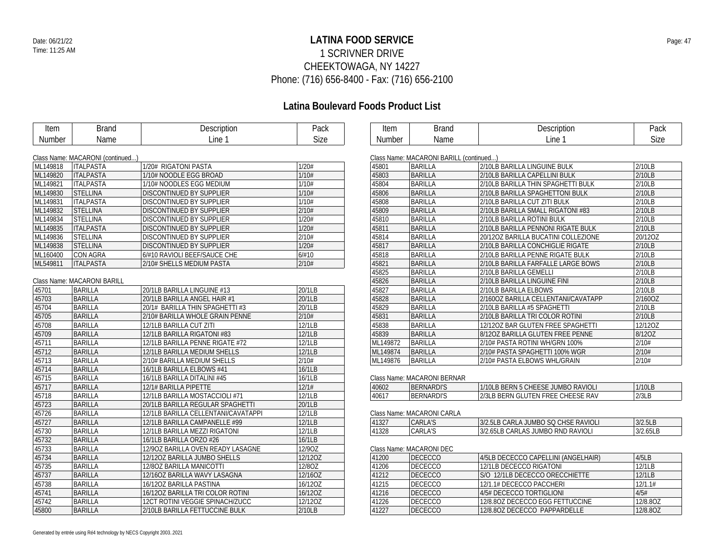### **LATINA FOOD SERVICE** Date: 06/21/22 Page: 47 1 SCRIVNER DRIVE CHEEKTOWAGA, NY 14227 Phone: (716) 656-8400 - Fax: (716) 656-2100

| <b>Item</b> | <b>Brand</b>                     | Description                         | Pack    | Item          | <b>Brand</b>                            | Description                         | Pack     |
|-------------|----------------------------------|-------------------------------------|---------|---------------|-----------------------------------------|-------------------------------------|----------|
| Number      | Name                             | Line 1                              | Size    | <b>Number</b> | Name                                    | Line 1                              | Size     |
|             |                                  |                                     |         |               |                                         |                                     |          |
|             | Class Name: MACARONI (continued) |                                     |         |               | Class Name: MACARONI BARILL (continued) |                                     |          |
| ML149818    | <b>ITALPASTA</b>                 | 1/20# RIGATONI PASTA                | 1/20#   | 45801         | BARILLA                                 | 2/10LB BARILLA LINGUINE BULK        | 2/10LB   |
| ML149820    | <b>ITALPASTA</b>                 | 1/10# NOODLE EGG BROAD              | 1/10#   | 45803         | <b>BARILLA</b>                          | 2/10LB BARILLA CAPELLINI BULK       | 2/10LB   |
| ML149821    | <b>ITALPASTA</b>                 | 1/10# NOODLES EGG MEDIUM            | 1/10#   | 45804         | <b>BARILLA</b>                          | 2/10LB BARILLA THIN SPAGHETTI BULK  | 2/10LB   |
| ML149830    | <b>STELLINA</b>                  | DISCONTINUED BY SUPPLIER            | 1/10#   | 45806         | <b>BARILLA</b>                          | 2/10LB BARILLA SPAGHETTONI BULK     | 2/10LB   |
| ML149831    | <b>ITALPASTA</b>                 | <b>DISCONTINUED BY SUPPLIER</b>     | 1/10#   | 45808         | <b>BARILLA</b>                          | 2/10LB BARILLA CUT ZITI BULK        | 2/10LB   |
| ML149832    | <b>STELLINA</b>                  | <b>DISCONTINUED BY SUPPLIER</b>     | 2/10#   | 45809         | <b>BARILLA</b>                          | 2/10LB BARILLA SMALL RIGATONI #83   | 2/10LB   |
| ML149834    | <b>STELLINA</b>                  | DISCONTINUED BY SUPPLIER            | 1/20#   | 45810         | <b>BARILLA</b>                          | 2/10LB BARILLA ROTINI BULK          | 2/10LB   |
| ML149835    | <b>ITALPASTA</b>                 | <b>DISCONTINUED BY SUPPLIER</b>     | 1/20#   | 45811         | <b>BARILLA</b>                          | 2/10LB BARILLA PENNONI RIGATE BULK  | 2/10LB   |
| ML149836    | <b>STELLINA</b>                  | <b>DISCONTINUED BY SUPPLIER</b>     | 2/10#   | 45814         | <b>BARILLA</b>                          | 20/12OZ BARILLA BUCATINI COLLEZIONE | 20/12OZ  |
| ML149838    | <b>STELLINA</b>                  | <b>DISCONTINUED BY SUPPLIER</b>     | 1/20#   | 45817         | <b>BARILLA</b>                          | 2/10LB BARILLA CONCHIGLIE RIGATE    | 2/10LB   |
| ML160400    | <b>CON AGRA</b>                  | 6/#10 RAVIOLI BEEF/SAUCE CHE        | 6/#10   | 45818         | <b>BARILLA</b>                          | 2/10LB BARILLA PENNE RIGATE BULK    | 2/10LB   |
| ML549811    | <b>ITALPASTA</b>                 | 2/10# SHELLS MEDIUM PASTA           | 2/10#   | 45821         | <b>BARILLA</b>                          | 2/10LB BARILLA FARFALLE LARGE BOWS  | 2/10LB   |
|             |                                  |                                     |         | 45825         | <b>BARILLA</b>                          | 2/10LB BARILLA GEMELLI              | 2/10LB   |
|             | Class Name: MACARONI BARILL      |                                     |         | 45826         | <b>BARILLA</b>                          | 2/10LB BARILLA LINGUINE FINI        | 2/10LB   |
| 45701       | <b>BARILLA</b>                   | 20/1LB BARILLA LINGUINE #13         | 20/1LB  | 45827         | <b>BARILLA</b>                          | 2/10LB BARILLA ELBOWS               | 2/10LB   |
| 45703       | <b>BARILLA</b>                   | 20/1LB BARILLA ANGEL HAIR #1        | 20/1LB  | 45828         | <b>BARILLA</b>                          | 2/1600Z BARILLA CELLENTANI/CAVATAPP | 2/160OZ  |
| 45704       | <b>BARILLA</b>                   | 20/1# BARILLA THIN SPAGHETTI #3     | 20/1LB  | 45829         | <b>BARILLA</b>                          | 2/10LB BARILLA #5 SPAGHETTI         | 2/10LB   |
| 45705       | <b>BARILLA</b>                   | 2/10# BARILLA WHOLE GRAIN PENNE     | 2/10#   | 45831         | <b>BARILLA</b>                          | 2/10LB BARILLA TRI COLOR ROTINI     | 2/10LB   |
| 45708       | <b>BARILLA</b>                   | 12/1LB BARILLA CUT ZITI             | 12/1LB  | 45838         | <b>BARILLA</b>                          | 12/12OZ BAR GLUTEN FREE SPAGHETTI   | 12/12OZ  |
| 45709       | <b>BARILLA</b>                   | 12/1LB BARILLA RIGATONI #83         | 12/1LB  | 45839         | <b>BARILLA</b>                          | 8/120Z BARILLA GLUTEN FREE PENNE    | 8/12OZ   |
| 45711       | <b>BARILLA</b>                   | 12/1LB BARILLA PENNE RIGATE #72     | 12/1LB  | ML149872      | <b>BARILLA</b>                          | 2/10# PASTA ROTINI WH/GRN 100%      | 2/10#    |
| 45712       | <b>BARILLA</b>                   | 12/1LB BARILLA MEDIUM SHELLS        | 12/1LB  | ML149874      | <b>BARILLA</b>                          | 2/10# PASTA SPAGHETTI 100% WGR      | 2/10#    |
| 45713       | <b>BARILLA</b>                   | 2/10# BARILLA MEDIUM SHELLS         | 2/10#   | ML149876      | <b>BARILLA</b>                          | 2/10# PASTA ELBOWS WHL/GRAIN        | 2/10#    |
| 45714       | <b>BARILLA</b>                   | 16/1LB BARILLA ELBOWS #41           | 16/1LB  |               |                                         |                                     |          |
| 45715       | <b>BARILLA</b>                   | 16/1LB BARILLA DITALINI #45         | 16/1LB  |               | Class Name: MACARONI BERNAR             |                                     |          |
| 45717       | <b>BARILLA</b>                   | 12/1# BARILLA PIPETTE               | 12/1#   | 40602         | <b>BERNARDI'S</b>                       | 1/10LB BERN 5 CHEESE JUMBO RAVIOLI  | 1/10LB   |
| 45718       | <b>BARILLA</b>                   | 12/1LB BARILLA MOSTACCIOLI #71      | 12/1LB  | 40617         | <b>BERNARDI'S</b>                       | 2/3LB BERN GLUTEN FREE CHEESE RAV   | 2/3LB    |
| 45723       | <b>BARILLA</b>                   | 20/1LB BARILLA REGULAR SPAGHETTI    | 20/1LB  |               |                                         |                                     |          |
| 45726       | <b>BARILLA</b>                   | 12/1LB BARILLA CELLENTANI/CAVATAPPI | 12/1LB  |               | Class Name: MACARONI CARLA              |                                     |          |
| 45727       | <b>BARILLA</b>                   | 12/1LB BARILLA CAMPANELLE #99       | 12/1LB  | 41327         | <b>CARLA'S</b>                          | 3/2.5LB CARLA JUMBO SQ CHSE RAVIOLI | 3/2.5LB  |
| 45730       | <b>BARILLA</b>                   | 12/1LB BARILLA MEZZI RIGATONI       | 12/1LB  | 41328         | <b>CARLA'S</b>                          | 3/2.65LB CARLAS JUMBO RND RAVIOLI   | 3/2.65LB |
| 45732       | <b>BARILLA</b>                   | 16/1LB BARILLA ORZO #26             | 16/1LB  |               |                                         |                                     |          |
| 45733       | <b>BARILLA</b>                   | 12/90Z BARILLA OVEN READY LASAGNE   | 12/90Z  |               | Class Name: MACARONI DEC                |                                     |          |
| 45734       | <b>BARILLA</b>                   | 12/120Z BARILLA JUMBO SHELLS        | 12/120Z | 41200         | <b>DECECCO</b>                          | 4/5LB DECECCO CAPELLINI (ANGELHAIR) | 4/5LB    |
| 45735       | <b>BARILLA</b>                   | 12/80Z BARILLA MANICOTTI            | 12/8OZ  | 41206         | <b>DECECCO</b>                          | 12/1LB DECECCO RIGATONI             | 12/1LB   |
| 45737       | <b>BARILLA</b>                   | 12/16OZ BARILLA WAVY LASAGNA        | 12/16OZ | 41212         | <b>DECECCO</b>                          | S/O 12/1LB DECECCO ORECCHIETTE      | 12/1LB   |
| 45738       | <b>BARILLA</b>                   | 16/12OZ BARILLA PASTINA             | 16/12OZ | 41215         | <b>DECECCO</b>                          | 12/1.1# DECECCO PACCHERI            | 12/1.1#  |
| 45741       | <b>BARILLA</b>                   | 16/120Z BARILLA TRI COLOR ROTINI    | 16/12OZ | 41216         | <b>DECECCO</b>                          | 4/5# DECECCO TORTIGLIONI            | 4/5#     |
| 45742       | <b>BARILLA</b>                   | 12CT ROTINI VEGGIE SPINACH/ZUCC     | 12/12OZ | 41226         | <b>DECECCO</b>                          | 12/8.80Z DECECCO EGG FETTUCCINE     | 12/8.80Z |
| 45800       | <b>BARILLA</b>                   | 2/10LB BARILLA FETTUCCINE BULK      | 2/10LB  | 41227         | <b>DECECCO</b>                          | 12/8.80Z DECECCO PAPPARDELLE        | 12/8.80Z |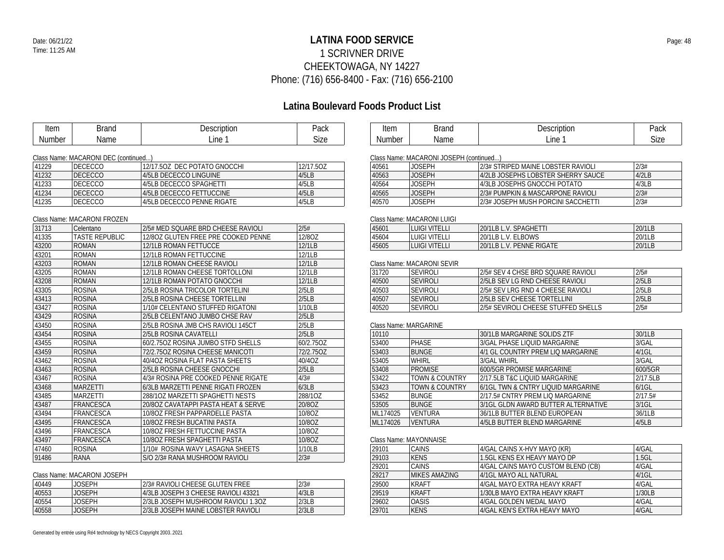### **LATINA FOOD SERVICE** Date: 06/21/22 Page: 48 1 SCRIVNER DRIVE CHEEKTOWAGA, NY 14227 Phone: (716) 656-8400 - Fax: (716) 656-2100

# **Latina Boulevard Foods Product List**

| Item   | <b>Brand</b>                         | Description                         | Pack                 | Item          | <b>Brand</b>                           | Description                         | Pack     |
|--------|--------------------------------------|-------------------------------------|----------------------|---------------|----------------------------------------|-------------------------------------|----------|
| Number | Name                                 | Line 1                              | <b>Size</b>          | <b>Number</b> | Name                                   | Line 1                              | Size     |
|        |                                      |                                     |                      |               |                                        |                                     |          |
|        | Class Name: MACARONI DEC (continued) |                                     |                      |               | Class Name: MACARONI JOSEPH (continued |                                     |          |
| 41229  | <b>DECECCO</b>                       | 12/17.50Z DEC POTATO GNOCCHI        | 12/17.5OZ            | 40561         | <b>JOSEPH</b>                          | 2/3# STRIPED MAINE LOBSTER RAVIOLI  | 2/3#     |
| 41232  | <b>DECECCO</b>                       | 4/5LB DECECCO LINGUINE              | 4/5LB                | 40563         | <b>JOSEPH</b>                          | 4/2LB JOSEPHS LOBSTER SHERRY SAUCE  | 4/2LB    |
| 41233  | <b>DECECCO</b>                       | 4/5LB DECECCO SPAGHETTI             | 4/5LB                | 40564         | <b>JOSEPH</b>                          | 4/3LB JOSEPHS GNOCCHI POTATO        | 4/3LB    |
| 41234  | <b>DECECCO</b>                       | 4/5LB DECECCO FETTUCCINE            | 4/5LB                | 40565         | <b>JOSEPH</b>                          | 2/3# PUMPKIN & MASCARPONE RAVIOLI   | 2/3#     |
| 41235  | <b>DECECCO</b>                       | 4/5LB DECECCO PENNE RIGATE          | 4/5LB                | 40570         | <b>JOSEPH</b>                          | 2/3# JOSEPH MUSH PORCINI SACCHETTI  | 2/3#     |
|        |                                      |                                     |                      |               |                                        |                                     |          |
|        | Class Name: MACARONI FROZEN          |                                     |                      |               | Class Name: MACARONI LUIGI             |                                     |          |
| 31713  | Celentano                            | 2/5# MED SQUARE BRD CHEESE RAVIOLI  | 2/5#                 | 45601         | <b>LUIGI VITELLI</b>                   | 20/1LB L.V. SPAGHETTI               | 20/1LB   |
| 41335  | <b>TASTE REPUBLIC</b>                | 12/80Z GLUTEN FREE PRE COOKED PENNE | 12/8OZ               | 45604         | LUIGI VITELLI                          | 20/1LB L.V. ELBOWS                  | 20/1LB   |
| 43200  | <b>ROMAN</b>                         | 12/1LB ROMAN FETTUCCE               | 12/1LB               | 45605         | <b>LUIGI VITELLI</b>                   | 20/1LB L.V. PENNE RIGATE            | 20/1LB   |
| 43201  | <b>ROMAN</b>                         | <b>12/1LB ROMAN FETTUCCINE</b>      | 12/1LB               |               |                                        |                                     |          |
| 43203  | <b>ROMAN</b>                         | 12/1LB ROMAN CHEESE RAVIOLI         | 12/1LB               |               | Class Name: MACARONI SEVIR             |                                     |          |
| 43205  | <b>ROMAN</b>                         | 12/1LB ROMAN CHEESE TORTOLLONI      | 12/1LB               | 31720         | <b>SEVIROLI</b>                        | 2/5# SEV 4 CHSE BRD SQUARE RAVIOLI  | 2/5#     |
| 43208  | <b>ROMAN</b>                         | 12/1LB ROMAN POTATO GNOCCHI         | 12/1LB               | 40500         | <b>SEVIROLI</b>                        | 2/5LB SEV LG RND CHEESE RAVIOLI     | 2/5LB    |
| 43305  | <b>ROSINA</b>                        | 2/5LB ROSINA TRICOLOR TORTELINI     | 2/5LB                | 40503         | SEVIROLI                               | 2/5# SEV LRG RND 4 CHEESE RAVIOLI   | 2/5LB    |
| 43413  | <b>ROSINA</b>                        | 2/5LB ROSINA CHEESE TORTELLINI      | 2/5LB                | 40507         | SEVIROLI                               | 2/5LB SEV CHEESE TORTELLINI         | 2/5LB    |
| 43427  | <b>ROSINA</b>                        | 1/10# CELENTANO STUFFED RIGATONI    | 1/10LB               | 40520         | SEVIROLI                               | 2/5# SEVIROLI CHEESE STUFFED SHELLS | 2/5#     |
| 43429  | <b>ROSINA</b>                        | 2/5LB CELENTANO JUMBO CHSE RAV      | 2/5LB                |               |                                        |                                     |          |
| 43450  | <b>ROSINA</b>                        | 2/5LB ROSINA JMB CHS RAVIOLI 145CT  | 2/5LB                |               | Class Name: MARGARINE                  |                                     |          |
| 43454  | <b>ROSINA</b>                        | 2/5LB ROSINA CAVATELLI              | 2/5LB                | 10110         |                                        | 30/1LB MARGARINE SOLIDS ZTF         | 30/1LB   |
| 43455  | <b>ROSINA</b>                        | 60/2.750Z ROSINA JUMBO STFD SHELLS  | 60/2.75OZ            | 53400         | PHASE                                  | 3/GAL PHASE LIQUID MARGARINE        | 3/GAL    |
| 43459  | <b>ROSINA</b>                        | 72/2.750Z ROSINA CHEESE MANICOTI    | 72/2.75OZ            | 53403         | <b>BUNGE</b>                           | 4/1 GL COUNTRY PREM LIQ MARGARINE   | $4/1$ GL |
| 43462  | <b>ROSINA</b>                        | 40/4OZ ROSINA FLAT PASTA SHEETS     | 40/4OZ               | 53405         | <b>WHIRL</b>                           | 3/GAL WHIRL                         | 3/GAL    |
| 43463  | <b>ROSINA</b>                        | 2/5LB ROSINA CHEESE GNOCCHI         | 2/5LB                | 53408         | <b>PROMISE</b>                         | 600/5GR PROMISE MARGARINE           | 600/5GR  |
| 43467  | <b>ROSINA</b>                        | 4/3# ROSINA PRE COOKED PENNE RIGATE | 4/3#                 | 53422         | <b>TOWN &amp; COUNTRY</b>              | 2/17.5LB T&C LIQUID MARGARINE       | 2/17.5LB |
| 43468  | <b>MARZETTI</b>                      | 6/3LB MARZETTI PENNE RIGATI FROZEN  | 6/3LB                | 53423         | <b>TOWN &amp; COUNTRY</b>              | 6/1GL TWN & CNTRY LIQUID MARGARINE  | $6/1$ GL |
| 43485  | <b>MARZETTI</b>                      | 288/10Z MARZETTI SPAGHETTI NESTS    | 288/1OZ              | 53452         | <b>BUNGE</b>                           | 2/17.5# CNTRY PREM LIQ MARGARINE    | 2/17.5#  |
| 43487  | <b>FRANCESCA</b>                     | 20/8OZ CAVATAPPI PASTA HEAT & SERVE | 20/8OZ               | 53505         | <b>BUNGE</b>                           | 3/1GL GLDN AWARD BUTTER ALTERNATIVE | $3/1$ GL |
| 43494  | <b>FRANCESCA</b>                     | 10/8OZ FRESH PAPPARDELLE PASTA      | 10/8OZ               | ML174025      | <b>VENTURA</b>                         | 36/1LB BUTTER BLEND EUROPEAN        | 36/1LB   |
| 43495  | <b>FRANCESCA</b>                     | 10/8OZ FRESH BUCATINI PASTA         | 10/8OZ               | ML174026      | <b>VENTURA</b>                         | 4/5LB BUTTER BLEND MARGARINE        | 4/5LB    |
| 43496  | <b>FRANCESCA</b>                     | 10/8OZ FRESH FETTUCCINE PASTA       | 10/8OZ               |               |                                        |                                     |          |
| 43497  | <b>FRANCESCA</b>                     | 10/8OZ FRESH SPAGHETTI PASTA        | 10/8OZ               |               | Class Name: MAYONNAISE                 |                                     |          |
| 47460  | <b>ROSINA</b>                        | 1/10# ROSINA WAVY LASAGNA SHEETS    | $\overline{1/10}$ LB | 29101         | <b>CAINS</b>                           | 4/GAL CAINS X-HVY MAYO (KR)         | 4/GAL    |
| 91486  | <b>RANA</b>                          | S/O 2/3# RANA MUSHROOM RAVIOLI      | 2/3#                 | 29103         | <b>KENS</b>                            | 1.5GL KENS EX HEAVY MAYO DP         | 1.5GL    |
|        |                                      |                                     |                      | 29201         | CAINS                                  | 4/GAL CAINS MAYO CUSTOM BLEND (CB)  | 4/GAL    |
|        | Class Name: MACARONI JOSEPH          |                                     |                      | 29217         | <b>MIKES AMAZING</b>                   | 4/1GL MAYO ALL NATURAL              | $4/1$ GL |

29500 KRAFT 4/GAL MAYO EXTRA HEAVY KRAFT 4/GAL 29519 KRAFT 1/30LB MAYO EXTRA HEAVY KRAFT 1/30LB<br>29602 OASIS 4/GAL GOLDEN MEDAL MAYO 4/GAL OASIS 4/GAL GOLDEN MEDAL MAYO 4/GAL

4/GAL KEN'S EXTRA HEAVY MAYO

|       | CRSS IVALUE. MACARUNI JUSEEN |                                     |       |  |  |  |  |
|-------|------------------------------|-------------------------------------|-------|--|--|--|--|
| 40449 | <b>JOSEPH</b>                | 2/3# RAVIOLI CHEESE GLUTEN FREE     | 2/3#  |  |  |  |  |
| 40553 | <b>JOSEPH</b>                | 4/3LB JOSEPH 3 CHEESE RAVIOLI 43321 | 4/3LB |  |  |  |  |
| 40554 | <b>JOSEPH</b>                | 2/3LB JOSEPH MUSHROOM RAVIOLI 1.3OZ | 2/3LB |  |  |  |  |
| 40558 | <b>JOSEPH</b>                | 2/3LB JOSEPH MAINE LOBSTER RAVIOLI  | 2/3LB |  |  |  |  |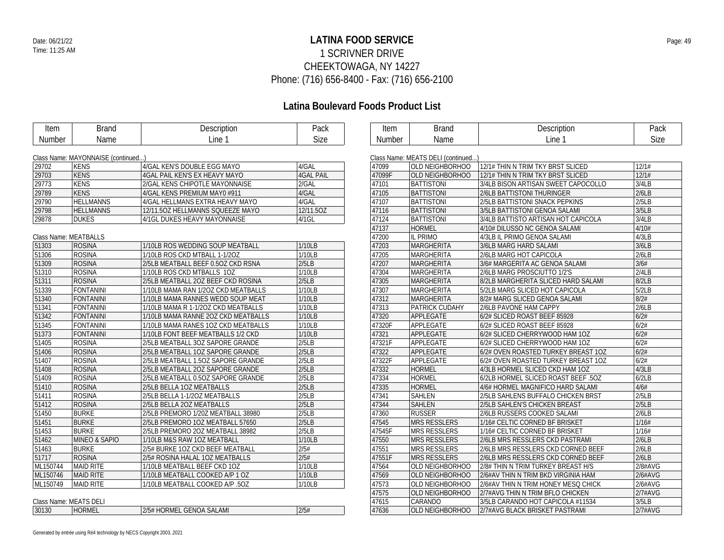### **LATINA FOOD SERVICE** Date: 06/21/22 Page: 49 1 SCRIVNER DRIVE CHEEKTOWAGA, NY 14227 Phone: (716) 656-8400 - Fax: (716) 656-2100

| <b>Item</b>                  | <b>Brand</b>                       | Description                         | Pack             | Item   | <b>Brand</b>                       | Description                         | Pack    |
|------------------------------|------------------------------------|-------------------------------------|------------------|--------|------------------------------------|-------------------------------------|---------|
| Number                       | Name                               | Line 1                              | <b>Size</b>      | Number | Name                               | Line 1                              | Size    |
|                              |                                    |                                     |                  |        |                                    |                                     |         |
|                              | Class Name: MAYONNAISE (continued) |                                     |                  |        | Class Name: MEATS DELI (continued) |                                     |         |
| 29702                        | <b>KENS</b>                        | 4/GAL KEN'S DOUBLE EGG MAYO         | 4/GAL            | 47099  | OLD NEIGHBORHOO                    | 12/1# THIN N TRIM TKY BRST SLICED   | 12/1#   |
| 29703                        | <b>KENS</b>                        | 4GAL PAIL KEN'S EX HEAVY MAYO       | <b>4GAL PAIL</b> | 47099F | OLD NEIGHBORHOO                    | 12/1# THIN N TRIM TKY BRST SLICED   | 12/1#   |
| 29773                        | KENS                               | 2/GAL KENS CHIPOTLE MAYONNAISE      | 2/GAL            | 47101  | <b>BATTISTONI</b>                  | 3/4LB BISON ARTISAN SWEET CAPOCOLLO | 3/4LB   |
| 29789                        | <b>KENS</b>                        | 4/GAL KENS PREMIUM MAY0 #911        | 4/GAL            | 47105  | <b>BATTISTONI</b>                  | 2/6LB BATTISTONI THURINGER          | 2/6LB   |
| 29790                        | <b>HELLMANNS</b>                   | 4/GAL HELLMANS EXTRA HEAVY MAYO     | 4/GAL            | 47107  | <b>BATTISTONI</b>                  | 2/5LB BATTISTONI SNACK PEPKINS      | 2/5LB   |
| 29798                        | <b>HELLMANNS</b>                   | 12/11.50Z HELLMANNS SQUEEZE MAYO    | 12/11.50Z        | 47116  | <b>BATTISTONI</b>                  | 3/5LB BATTISTONI GENOA SALAMI       | 3/5LB   |
| 29878                        | <b>DUKES</b>                       | 4/1GL DUKES HEAVY MAYONNAISE        | $4/1$ GL         | 47124  | <b>BATTISTONI</b>                  | 3/4LB BATTISTO ARTISAN HOT CAPICOLA | 3/4LB   |
|                              |                                    |                                     |                  | 47137  | <b>HORMEL</b>                      | 4/10# DILUSSO NC GENOA SALAMI       | 4/10#   |
| <b>Class Name: MEATBALLS</b> |                                    |                                     |                  | 47200  | <b>IL PRIMO</b>                    | 4/3LB IL PRIMO GENOA SALAMI         | 4/3LB   |
| 51303                        | <b>ROSINA</b>                      | 1/10LB ROS WEDDING SOUP MEATBALL    | 1/10LB           | 47203  | <b>MARGHERITA</b>                  | 3/6LB MARG HARD SALAMI              | 3/6LB   |
| 51306                        | <b>ROSINA</b>                      | 1/10LB ROS CKD MTBALL 1-1/2OZ       | 1/10LB           | 47205  | <b>MARGHERITA</b>                  | 2/6LB MARG HOT CAPICOLA             | 2/6LB   |
| 51309                        | <b>ROSINA</b>                      | 2/5LB MEATBALL BEEF 0.5OZ CKD RSNA  | 2/5LB            | 47207  | <b>MARGHERITA</b>                  | 3/6# MARGERITA AC GENOA SALAMI      | 3/6#    |
| 51310                        | <b>ROSINA</b>                      | 1/10LB ROS CKD MTBALLS 10Z          | 1/10LB           | 47304  | <b>MARGHERITA</b>                  | 2/6LB MARG PROSCIUTTO 1/2'S         | 2/4LB   |
| 51311                        | <b>ROSINA</b>                      | 2/5LB MEATBALL 20Z BEEF CKD ROSINA  | 2/5LB            | 47305  | <b>MARGHERITA</b>                  | 8/2LB MARGHERITA SLICED HARD SALAMI | 8/2LB   |
| 51339                        | <b>FONTANINI</b>                   | 1/10LB MAMA RAN 1/2OZ CKD MEATBALLS | 1/10LB           | 47307  | <b>MARGHERITA</b>                  | 5/2LB MARG SLICED HOT CAPICOLA      | 5/2LB   |
| 51340                        | <b>FONTANINI</b>                   | 1/10LB MAMA RANNES WEDD SOUP MEAT   | 1/10LB           | 47312  | <b>MARGHERITA</b>                  | 8/2# MARG SLICED GENOA SALAMI       | 8/2#    |
| 51341                        | <b>FONTANINI</b>                   | 1/10LB MAMA R 1-1/2OZ CKD MEATBALLS | 1/10LB           | 47313  | <b>PATRICK CUDAHY</b>              | 2/6LB PAVONE HAM CAPPY              | 2/6LB   |
| 51342                        | <b>FONTANINI</b>                   | 1/10LB MAMA RANNE 2OZ CKD MEATBALLS | 1/10LB           | 47320  | APPLEGATE                          | 6/2# SLICED ROAST BEEF 85928        | 6/2#    |
| 51345                        | <b>FONTANINI</b>                   | 1/10LB MAMA RANES 1OZ CKD MEATBALLS | 1/10LB           | 47320F | APPLEGATE                          | 6/2# SLICED ROAST BEEF 85928        | 6/2#    |
| 51373                        | <b>FONTANINI</b>                   | 1/10LB FONT BEEF MEATBALLS 1/2 CKD  | 1/10LB           | 47321  | APPLEGATE                          | 6/2# SLICED CHERRYWOOD HAM 1OZ      | 6/2#    |
| 51405                        | <b>ROSINA</b>                      | 2/5LB MEATBALL 3OZ SAPORE GRANDE    | 2/5LB            | 47321F | APPLEGATE                          | 6/2# SLICED CHERRYWOOD HAM 1OZ      | 6/2#    |
| 51406                        | <b>ROSINA</b>                      | 2/5LB MEATBALL 10Z SAPORE GRANDE    | 2/5LB            | 47322  | APPLEGATE                          | 6/2# OVEN ROASTED TURKEY BREAST 1OZ | 6/2#    |
| 51407                        | <b>ROSINA</b>                      | 2/5LB MEATBALL 1.5OZ SAPORE GRANDE  | 2/5LB            | 47322F | APPLEGATE                          | 6/2# OVEN ROASTED TURKEY BREAST 10Z | 6/2#    |
| 51408                        | <b>ROSINA</b>                      | 2/5LB MEATBALL 20Z SAPORE GRANDE    | 2/5LB            | 47332  | HORMEL                             | 4/3LB HORMEL SLICED CKD HAM 1OZ     | 4/3LB   |
| 51409                        | <b>ROSINA</b>                      | 2/5LB MEATBALL 0.5OZ SAPORE GRANDE  | 2/5LB            | 47334  | <b>HORMEL</b>                      | 6/2LB HORMEL SLICED ROAST BEEF .50Z | 6/2LB   |
| 51410                        | <b>ROSINA</b>                      | 2/5LB BELLA 10Z MEATBALLS           | 2/5LB            | 47335  | <b>HORMEL</b>                      | 4/6# HORMEL MAGNIFICO HARD SALAMI   | 4/6#    |
| 51411                        | <b>ROSINA</b>                      | 2/5LB BELLA 1-1/2OZ MEATBALLS       | 2/5LB            | 47341  | SAHLEN                             | 2/5LB SAHLENS BUFFALO CHICKEN BRST  | 2/5LB   |
| 51412                        | <b>ROSINA</b>                      | 2/5LB BELLA 2OZ MEATBALLS           | 2/5LB            | 47344  | <b>SAHLEN</b>                      | 2/5LB SAHLEN'S CHICKEN BREAST       | 2/5LB   |
| 51450                        | <b>BURKE</b>                       | 2/5LB PREMORO 1/20Z MEATBALL 38980  | 2/5LB            | 47360  | <b>RUSSER</b>                      | 2/6LB RUSSERS COOKED SALAMI         | 2/6LB   |
| 51451                        | <b>BURKE</b>                       | 2/5LB PREMORO 1OZ MEATBALL 57650    | 2/5LB            | 47545  | <b>MRS RESSLERS</b>                | 1/16# CELTIC CORNED BF BRISKET      | 1/16#   |
| 51453                        | <b>BURKE</b>                       | 2/5LB PREMORO 2OZ MEATBALL 38982    | 2/5LB            | 47545F | <b>MRS RESSLERS</b>                | 1/16# CELTIC CORNED BF BRISKET      | 1/16#   |
| 51462                        | <b>MINEO &amp; SAPIO</b>           | 1/10LB M&S RAW 1OZ MEATBALL         | 1/10LB           | 47550  | <b>MRS RESSLERS</b>                | 2/6LB MRS RESSLERS CKD PASTRAMI     | 2/6LB   |
| 51463                        | <b>BURKE</b>                       | 2/5# BURKE 1OZ CKD BEEF MEATBALL    | 2/5#             | 47551  | <b>MRS RESSLERS</b>                | 2/6LB MRS RESSLERS CKD CORNED BEEF  | 2/6LB   |
| 51717                        | <b>ROSINA</b>                      | 2/5# ROSINA HALAL 10Z MEATBALLS     | 2/5#             | 47551F | <b>MRS RESSLERS</b>                | 2/6LB MRS RESSLERS CKD CORNED BEEF  | 2/6LB   |
| ML150744                     | <b>MAID RITE</b>                   | 1/10LB MEATBALL BEEF CKD 1OZ        | 1/10LB           | 47564  | OLD NEIGHBORHOO                    | 2/8# THIN N TRIM TURKEY BREAST H/S  | 2/8#AVG |
| ML150746                     | <b>MAID RITE</b>                   | 1/10LB MEATBALL COOKED A/P 1 OZ     | 1/10LB           | 47569  | OLD NEIGHBORHOO                    | 2/6#AV THIN N TRIM BKD VIRGINIA HAM | 2/6#AVG |
| ML150749                     | <b>MAID RITE</b>                   | 1/10LB MEATBALL COOKED A/P .5OZ     | 1/10LB           | 47573  | OLD NEIGHBORHOO                    | 2/6#AV THIN N TRIM HONEY MESQ CHICK | 2/6#AVG |
|                              |                                    |                                     |                  | 47575  | OLD NEIGHBORHOO                    | 2/7#AVG THIN N TRIM BFLO CHICKEN    | 2/7#AVG |
| Class Name: MEATS DELI       |                                    |                                     |                  | 47615  | CARANDO                            | 3/5LB CARANDO HOT CAPICOLA #11534   | 3/5LB   |
| 30130                        | <b>HORMEL</b>                      | 2/5# HORMEL GENOA SALAMI            | 2/5#             | 47636  | OLD NEIGHBORHOO                    | 2/7#AVG BLACK BRISKET PASTRAMI      | 2/7#AVG |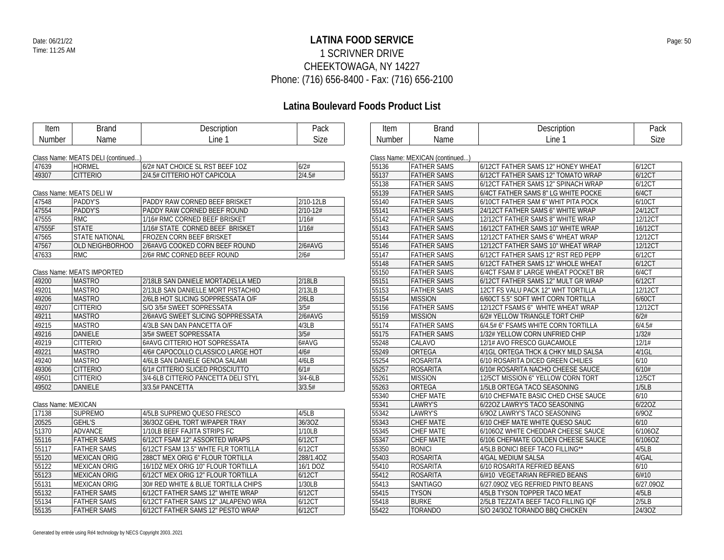### **LATINA FOOD SERVICE** Date: 06/21/22 Page: 50 1 SCRIVNER DRIVE CHEEKTOWAGA, NY 14227 Phone: (716) 656-8400 - Fax: (716) 656-2100

| <b>Item</b>         | <b>Brand</b>                       | Description                          | Pack         | Item   | <b>Brand</b>                    | Description                         | Pack      |
|---------------------|------------------------------------|--------------------------------------|--------------|--------|---------------------------------|-------------------------------------|-----------|
| Number              | Name                               | Line 1                               | Size         | Number | Name                            | Line 1                              | Size      |
|                     |                                    |                                      |              |        |                                 |                                     |           |
|                     | Class Name: MEATS DELI (continued) |                                      |              |        | Class Name: MEXICAN (continued) |                                     |           |
| 47639               | <b>HORMEL</b>                      | 6/2# NAT CHOICE SL RST BEEF 10Z      | 6/2#         | 55136  | <b>FATHER SAMS</b>              | 6/12CT FATHER SAMS 12" HONEY WHEAT  | 6/12CT    |
| 49307               | <b>CITTERIO</b>                    | 2/4.5# CITTERIO HOT CAPICOLA         | 2/4.5#       | 55137  | <b>FATHER SAMS</b>              | 6/12CT FATHER SAMS 12" TOMATO WRAP  | 6/12CT    |
|                     |                                    |                                      |              | 55138  | <b>FATHER SAMS</b>              | 6/12CT FATHER SAMS 12" SPINACH WRAP | 6/12CT    |
|                     | Class Name: MEATS DELI W           |                                      |              | 55139  | <b>FATHER SAMS</b>              | 6/4CT FATHER SAMS 8" LG WHITE POCKE | 6/4CT     |
| 47548               | PADDY'S                            | <b>PADDY RAW CORNED BEEF BRISKET</b> | 2/10-12LB    | 55140  | <b>FATHER SAMS</b>              | 6/10CT FATHER SAM 6" WHIT PITA POCK | 6/10CT    |
| 47554               | PADDY'S                            | PADDY RAW CORNED BEEF ROUND          | $2/10 - 12#$ | 55141  | <b>FATHER SAMS</b>              | 24/12CT FATHER SAMS 6" WHITE WRAP   | 24/12CT   |
| 47555               | <b>RMC</b>                         | 1/16# RMC CORNED BEEF BRISKET        | 1/16#        | 55142  | <b>FATHER SAMS</b>              | 12/12CT FATHER SAMS 8" WHITE WRAP   | 12/12CT   |
| 47555F              | <b>STATE</b>                       | 1/16# STATE CORNED BEEF BRISKET      | 1/16#        | 55143  | <b>FATHER SAMS</b>              | 16/12CT FATHER SAMS 10" WHITE WRAP  | 16/12CT   |
| 47565               | <b>STATE NATIONAL</b>              | FROZEN CORN BEEF BRISKET             |              | 55144  | <b>FATHER SAMS</b>              | 12/12CT FATHER SAMS 6" WHEAT WRAP   | 12/12CT   |
| 47567               | <b>OLD NEIGHBORHOO</b>             | 2/6#AVG COOKED CORN BEEF ROUND       | 2/6#AVG      | 55146  | <b>FATHER SAMS</b>              | 12/12CT FATHER SAMS 10" WHEAT WRAP  | 12/12CT   |
| 47633               | <b>RMC</b>                         | 2/6# RMC CORNED BEEF ROUND           | 2/6#         | 55147  | <b>FATHER SAMS</b>              | 6/12CT FATHER SAMS 12" RST RED PEPP | 6/12CT    |
|                     |                                    |                                      |              | 55148  | <b>FATHER SAMS</b>              | 6/12CT FATHER SAMS 12" WHOLE WHEAT  | 6/12CT    |
|                     | Class Name: MEATS IMPORTED         |                                      |              | 55150  | <b>FATHER SAMS</b>              | 6/4CT FSAM 8" LARGE WHEAT POCKET BR | 6/4CT     |
| 49200               | <b>MASTRO</b>                      | 2/18LB SAN DANIELE MORTADELLA MED    | 2/18LB       | 55151  | <b>FATHER SAMS</b>              | 6/12CT FATHER SAMS 12" MULT GR WRAP | 6/12CT    |
| 49201               | <b>MASTRO</b>                      | 2/13LB SAN DANIELLE MORT PISTACHIO   | 2/13LB       | 55153  | <b>FATHER SAMS</b>              | 12CT FS VALU PACK 12" WHT TORTILLA  | 12/12CT   |
| 49206               | <b>MASTRO</b>                      | 2/6LB HOT SLICING SOPPRESSATA O/F    | 2/6LB        | 55154  | <b>MISSION</b>                  | 6/60CT 5.5" SOFT WHT CORN TORTILLA  | 6/60CT    |
| 49207               | <b>CITTERIO</b>                    | S/O 3/5# SWEET SOPRESSATA            | 3/5#         | 55156  | <b>FATHER SAMS</b>              | 12/12CT FSAMS 6" WHITE WHEAT WRAP   | 12/12CT   |
| 49211               | <b>MASTRO</b>                      | 2/6#AVG SWEET SLICING SOPPRESSATA    | 2/6#AVG      | 55159  | <b>MISSION</b>                  | 6/2# YELLOW TRIANGLE TORT CHIP      | 6/2#      |
| 49215               | <b>MASTRO</b>                      | 4/3LB SAN DAN PANCETTA O/F           | 4/3LB        | 55174  | <b>FATHER SAMS</b>              | 6/4.5# 6" FSAMS WHITE CORN TORTILLA | 6/4.5#    |
| 49216               | DANIELE                            | 3/5# SWEET SOPRESSATA                | 3/5#         | 55175  | <b>FATHER SAMS</b>              | 1/32# YELLOW CORN UNFRIED CHIP      | 1/32#     |
| 49219               | <b>CITTERIO</b>                    | 6#AVG CITTERIO HOT SOPRESSATA        | 6#AVG        | 55248  | CALAVO                          | 12/1# AVO FRESCO GUACAMOLE          | 12/1#     |
| 49221               | <b>MASTRO</b>                      | 4/6# CAPOCOLLO CLASSICO LARGE HOT    | 4/6#         | 55249  | ORTEGA                          | 4/1GL ORTEGA THCK & CHKY MILD SALSA | $4/1$ GL  |
| 49240               | <b>MASTRO</b>                      | 4/6LB SAN DANIELE GENOA SALAMI       | 4/6LB        | 55254  | <b>ROSARITA</b>                 | 6/10 ROSARITA DICED GREEN CHILIES   | 6/10      |
| 49306               | <b>CITTERIO</b>                    | 6/1# CITTERIO SLICED PROSCIUTTO      | 6/1#         | 55257  | <b>ROSARITA</b>                 | 6/10# ROSARITA NACHO CHEESE SAUCE   | 6/10#     |
| 49501               | <b>CITTERIO</b>                    | 3/4-6LB CITTERIO PANCETTA DELI STYL  | $3/4 - 6LB$  | 55261  | <b>MISSION</b>                  | 12/5CT MISSION 6" YELLOW CORN TORT  | 12/5CT    |
| 49502               | <b>DANIELE</b>                     | 3/3.5# PANCETTA                      | 3/3.5#       | 55263  | ORTEGA                          | 1/5LB ORTEGA TACO SEASONING         | 1/5LB     |
|                     |                                    |                                      |              | 55340  | CHEF MATE                       | 6/10 CHEFMATE BASIC CHED CHSE SAUCE | 6/10      |
| Class Name: MEXICAN |                                    |                                      |              | 55341  | LAWRY'S                         | 6/220Z LAWRY'S TACO SEASONING       | 6/22OZ    |
| 17138               | <b>SUPREMO</b>                     | 4/5LB SUPREMO QUESO FRESCO           | 4/5LB        | 55342  | LAWRY'S                         | 6/90Z LAWRY'S TACO SEASONING        | 6/9OZ     |
| 20525               | <b>GEHL'S</b>                      | 36/3OZ GEHL TORT W/PAPER TRAY        | 36/3OZ       | 55343  | <b>CHEF MATE</b>                | 6/10 CHEF MATE WHITE QUESO SAUC     | 6/10      |
| 51370               | <b>ADVANCE</b>                     | 1/10LB BEEF FAJITA STRIPS FC         | 1/10LB       | 55345  | CHEF MATE                       | 6/106OZ WHITE CHEDDAR CHEESE SAUCE  | 6/106OZ   |
| 55116               | <b>FATHER SAMS</b>                 | 6/12CT FSAM 12" ASSORTED WRAPS       | 6/12CT       | 55347  | CHEF MATE                       | 6/106 CHEFMATE GOLDEN CHEESE SAUCE  | 6/106OZ   |
| 55117               | <b>FATHER SAMS</b>                 | 6/12CT FSAM 13.5" WHTE FLR TORTILLA  | 6/12CT       | 55350  | <b>BONICI</b>                   | 4/5LB BONICI BEEF TACO FILLING**    | 4/5LB     |
| 55120               | <b>MEXICAN ORIG</b>                | 288CT MEX ORIG 6" FLOUR TORTILLA     | 288/1.40Z    | 55403  | <b>ROSARITA</b>                 | 4/GAL MEDIUM SALSA                  | 4/GAL     |
| 55122               | <b>MEXICAN ORIG</b>                | 16/1DZ MEX ORIG 10" FLOUR TORTILLA   | 16/1 DOZ     | 55410  | <b>ROSARITA</b>                 | 6/10 ROSARITA REFRIED BEANS         | 6/10      |
| 55123               | <b>MEXICAN ORIG</b>                | 6/12CT MEX ORIG 12" FLOUR TORTILLA   | 6/12CT       | 55412  | <b>ROSARITA</b>                 | 6/#10 VEGETARIAN REFRIED BEANS      | 6/#10     |
| 55131               | <b>MEXICAN ORIG</b>                | 30# RED WHITE & BLUE TORTILLA CHIPS  | 1/30LB       | 55413  | <b>SANTIAGO</b>                 | 6/27.09OZ VEG REFRIED PINTO BEANS   | 6/27.09OZ |
| 55132               | <b>FATHER SAMS</b>                 | 6/12CT FATHER SAMS 12" WHITE WRAP    | 6/12CT       | 55415  | <b>TYSON</b>                    | 4/5LB TYSON TOPPER TACO MEAT        | 4/5LB     |
| 55134               | <b>FATHER SAMS</b>                 | 6/12CT FATHER SAMS 12" JALAPENO WRA  | 6/12CT       | 55418  | <b>BURKE</b>                    | 2/5LB TEZZATA BEEF TACO FILLING IQF | 2/5LB     |
| 55135               | <b>FATHER SAMS</b>                 | 6/12CT FATHER SAMS 12" PESTO WRAP    | 6/12CT       | 55422  | <b>TORANDO</b>                  | S/O 24/3OZ TORANDO BBQ CHICKEN      | 24/3OZ    |
|                     |                                    |                                      |              |        |                                 |                                     |           |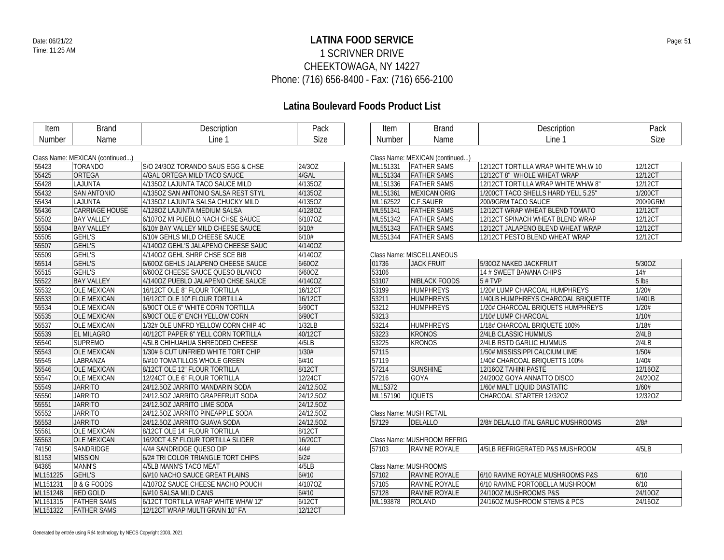### **LATINA FOOD SERVICE** Date: 06/21/22 Page: 51 1 SCRIVNER DRIVE CHEEKTOWAGA, NY 14227 Phone: (716) 656-8400 - Fax: (716) 656-2100

| Item     | <b>Brand</b>                    | Description                         | Pack      | Item     | <b>Brand</b>                    | Description                         | Pack     |
|----------|---------------------------------|-------------------------------------|-----------|----------|---------------------------------|-------------------------------------|----------|
| Number   | Name                            | Line 1                              | Size      | Number   | Name                            | Line 1                              | Size     |
|          |                                 |                                     |           |          |                                 |                                     |          |
|          | Class Name: MEXICAN (continued) |                                     |           |          | Class Name: MEXICAN (continued) |                                     |          |
| 55423    | <b>TORANDO</b>                  | S/O 24/3OZ TORANDO SAUS EGG & CHSE  | 24/3OZ    | ML151331 | <b>FATHER SAMS</b>              | 12/12CT TORTILLA WRAP WHITE WH.W 10 | 12/12CT  |
| 55425    | <b>ORTEGA</b>                   | 4/GAL ORTEGA MILD TACO SAUCE        | 4/GAL     | ML151334 | <b>FATHER SAMS</b>              | 12/12CT 8" WHOLE WHEAT WRAP         | 12/12CT  |
| 55428    | LAJUNTA                         | 4/1350Z LAJUNTA TACO SAUCE MILD     | 4/135OZ   | ML151336 | <b>FATHER SAMS</b>              | 12/12CT TORTILLA WRAP WHITE WH/W 8" | 12/12CT  |
| 55432    | <b>SAN ANTONIO</b>              | 4/1350Z SAN ANTONIO SALSA REST STYL | 4/135OZ   | ML151361 | <b>MEXICAN ORIG</b>             | 1/200CT TACO SHELLS HARD YELL 5.25" | 1/200CT  |
| 55434    | LAJUNTA                         | 4/1350Z LAJUNTA SALSA CHUCKY MILD   | 4/135OZ   | ML162522 | C.F.SAUER                       | 200/9GRM TACO SAUCE                 | 200/9GRM |
| 55436    | <b>CARRIAGE HOUSE</b>           | 4/1280Z LAJUNTA MEDIUM SALSA        | 4/1280Z   | ML551341 | <b>FATHER SAMS</b>              | 12/12CT WRAP WHEAT BLEND TOMATO     | 12/12CT  |
| 55502    | <b>BAY VALLEY</b>               | 6/107OZ MI PUEBLO NACH CHSE SAUCE   | 6/1070Z   | ML551342 | <b>FATHER SAMS</b>              | 12/12CT SPINACH WHEAT BLEND WRAP    | 12/12CT  |
| 55504    | <b>BAY VALLEY</b>               | 6/10# BAY VALLEY MILD CHEESE SAUCE  | 6/10#     | ML551343 | <b>FATHER SAMS</b>              | 12/12CT JALAPENO BLEND WHEAT WRAP   | 12/12CT  |
| 55505    | <b>GEHL'S</b>                   | 6/10# GEHLS MILD CHEESE SAUCE       | 6/10#     | ML551344 | <b>FATHER SAMS</b>              | 12/12CT PESTO BLEND WHEAT WRAP      | 12/12CT  |
| 55507    | <b>GEHL'S</b>                   | 4/140OZ GEHL'S JALAPENO CHEESE SAUC | 4/1400Z   |          |                                 |                                     |          |
| 55509    | <b>GEHL'S</b>                   | 4/1400Z GEHL SHRP CHSE SCE BIB      | 4/140OZ   |          | Class Name: MISCELLANEOUS       |                                     |          |
| 55514    | <b>GEHL'S</b>                   | 6/600Z GEHLS JALAPENO CHEESE SAUCE  | 6/60OZ    | 01736    | <b>JACK FRUIT</b>               | 5/30OZ NAKED JACKFRUIT              | 5/30OZ   |
| 55515    | <b>GEHL'S</b>                   | 6/600Z CHEESE SAUCE QUESO BLANCO    | 6/60OZ    | 53106    |                                 | 14 # SWEET BANANA CHIPS             | 14#      |
| 55522    | <b>BAY VALLEY</b>               | 4/1400Z PUEBLO JALAPENO CHSE SAUCE  | 4/140OZ   | 53107    | NIBLACK FOODS                   | 5#TVP                               | 5 lbs    |
| 55532    | <b>OLE MEXICAN</b>              | 16/12CT OLE 8" FLOUR TORTILLA       | 16/12CT   | 53199    | <b>HUMPHREYS</b>                | 1/20# LUMP CHARCOAL HUMPHREYS       | 1/20#    |
| 55533    | <b>OLE MEXICAN</b>              | 16/12CT OLE 10" FLOUR TORTILLA      | 16/12CT   | 53211    | <b>HUMPHREYS</b>                | 1/40LB HUMPHREYS CHARCOAL BRIQUETTE | 1/40LB   |
| 55534    | <b>OLE MEXICAN</b>              | 6/90CT OLE 6" WHITE CORN TORTILLA   | 6/90CT    | 53212    | <b>HUMPHREYS</b>                | 1/20# CHARCOAL BRIQUETS HUMPHREYS   | 1/20#    |
| 55535    | <b>OLE MEXICAN</b>              | 6/90CT OLE 6" ENCH YELLOW CORN      | 6/90CT    | 53213    |                                 | 1/10# LUMP CHARCOAL                 | 1/10#    |
| 55537    | <b>OLE MEXICAN</b>              | 1/32# OLE UNFRD YELLOW CORN CHIP 4C | 1/32LB    | 53214    | <b>HUMPHREYS</b>                | 1/18# CHARCOAL BRIQUETE 100%        | 1/18#    |
| 55539    | <b>EL MILAGRO</b>               | 40/12CT PAPER 6" YELL CORN TORTILLA | 40/12CT   | 53223    | <b>KRONOS</b>                   | 2/4LB CLASSIC HUMMUS                | 2/4LB    |
| 55540    | <b>SUPREMO</b>                  | 4/5LB CHIHUAHUA SHREDDED CHEESE     | 4/5LB     | 53225    | <b>KRONOS</b>                   | 2/4LB RSTD GARLIC HUMMUS            | 2/4LB    |
| 55543    | <b>OLE MEXICAN</b>              | 1/30# 6 CUT UNFRIED WHITE TORT CHIP | 1/30#     | 57115    |                                 | 1/50# MISSISSIPPI CALCIUM LIME      | 1/50#    |
| 55545    | LABRANZA                        | 6/#10 TOMATILLOS WHOLE GREEN        | 6/#10     | 57119    |                                 | 1/40# CHARCOAL BRIQUETTS 100%       | 1/40#    |
| 55546    | <b>OLE MEXICAN</b>              | 8/12CT OLE 12" FLOUR TORTILLA       | 8/12CT    | 57214    | <b>SUNSHINE</b>                 | 12/16OZ TAHINI PASTE                | 12/16OZ  |
| 55547    | <b>OLE MEXICAN</b>              | 12/24CT OLE 6" FLOUR TORTILLA       | 12/24CT   | 57216    | GOYA                            | 24/200Z GOYA ANNATTO DISCO          | 24/200Z  |
| 55549    | <b>JARRITO</b>                  | 24/12.5OZ JARRITO MANDARIN SODA     | 24/12.5OZ | ML15372  |                                 | 1/60# MALT LIQUID DIASTATIC         | 1/60#    |
| 55550    | <b>JARRITO</b>                  | 24/12.50Z JARRITO GRAPEFRUIT SODA   | 24/12.50Z | ML157190 | <b>IQUETS</b>                   | CHARCOAL STARTER 12/32OZ            | 12/32OZ  |
| 55551    | <b>JARRITO</b>                  | 24/12.5OZ JARRITO LIME SODA         | 24/12.50Z |          |                                 |                                     |          |
| 55552    | <b>JARRITO</b>                  | 24/12.50Z JARRITO PINEAPPLE SODA    | 24/12.5OZ |          | Class Name: MUSH RETAIL         |                                     |          |
| 55553    | <b>JARRITO</b>                  | 24/12.50Z JARRITO GUAVA SODA        | 24/12.50Z | 57129    | DELALLO                         | 2/8# DELALLO ITAL GARLIC MUSHROOMS  | 2/8#     |
| 55561    | <b>OLE MEXICAN</b>              | 8/12CT OLE 14" FLOUR TORTILLA       | 8/12CT    |          |                                 |                                     |          |
| 55563    | <b>OLE MEXICAN</b>              | 16/20CT 4.5" FLOUR TORTILLA SLIDER  | 16/20CT   |          | Class Name: MUSHROOM REFRIG     |                                     |          |
| 74150    | SANDRIDGE                       | 4/4# SANDRIDGE QUESO DIP            | 4/4#      | 57103    | RAVINE ROYALE                   | 4/5LB REFRIGERATED P&S MUSHROOM     | 4/5LB    |
| 81153    | <b>MISSION</b>                  | 6/2# TRI COLOR TRIANGLE TORT CHIPS  | 6/2#      |          |                                 |                                     |          |
| 84365    | <b>MANN'S</b>                   | 4/5LB MANN'S TACO MEAT              | 4/5LB     |          | Class Name: MUSHROOMS           |                                     |          |
| ML151225 | <b>GEHL'S</b>                   | 6/#10 NACHO SAUCE GREAT PLAINS      | 6/#10     | 57102    | RAVINE ROYALE                   | 6/10 RAVINE ROYALE MUSHROOMS P&S    | 6/10     |
| ML151231 | <b>B &amp; G FOODS</b>          | 4/107OZ SAUCE CHEESE NACHO POUCH    | 4/107OZ   | 57105    | RAVINE ROYALE                   | 6/10 RAVINE PORTOBELLA MUSHROOM     | 6/10     |
| ML151248 | <b>RED GOLD</b>                 | 6/#10 SALSA MILD CANS               | 6/#10     | 57128    | RAVINE ROYALE                   | 24/10OZ MUSHROOMS P&S               | 24/10OZ  |
| ML151315 | <b>FATHER SAMS</b>              | 6/12CT TORTILLA WRAP WHITE WH/W 12" | 6/12CT    | ML193878 | <b>ROLAND</b>                   | 24/16OZ MUSHROOM STEMS & PCS        | 24/16OZ  |
| ML151322 | <b>FATHER SAMS</b>              | 12/12CT WRAP MULTI GRAIN 10" FA     | 12/12CT   |          |                                 |                                     |          |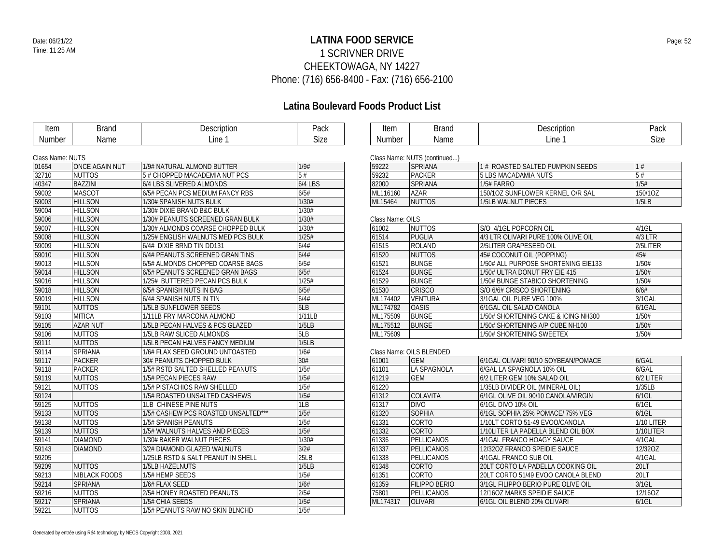### **LATINA FOOD SERVICE** Date: 06/21/22 Page: 52 1 SCRIVNER DRIVE CHEEKTOWAGA, NY 14227 Phone: (716) 656-8400 - Fax: (716) 656-2100

| <b>Item</b>      | <b>Brand</b>          | Description                         | Pack    | Item             | <b>Brand</b>                 | Description                         | Pack         |
|------------------|-----------------------|-------------------------------------|---------|------------------|------------------------------|-------------------------------------|--------------|
| <b>Number</b>    | Name                  | Line 1                              | Size    | <b>Number</b>    | Name                         | Line 1                              | Size         |
|                  |                       |                                     |         |                  |                              |                                     |              |
| Class Name: NUTS |                       |                                     |         |                  | Class Name: NUTS (continued) |                                     |              |
| 01654            | <b>ONCE AGAIN NUT</b> | 1/9# NATURAL ALMOND BUTTER          | 1/9#    | 59222            | <b>SPRIANA</b>               | 1 # ROASTED SALTED PUMPKIN SEEDS    | 1#           |
| 32710            | <b>NUTTOS</b>         | 5 # CHOPPED MACADEMIA NUT PCS       | 5#      | 59232            | PACKER                       | 5 LBS MACADAMIA NUTS                | 5#           |
| 40347            | <b>BAZZINI</b>        | 6/4 LBS SLIVERED ALMONDS            | 6/4 LBS | 82000            | <b>SPRIANA</b>               | 1/5# FARRO                          | 1/5#         |
| 59002            | <b>MASCOT</b>         | 6/5# PECAN PCS MEDIUM FANCY RBS     | 6/5#    | ML116160         | <b>AZAR</b>                  | 150/10Z SUNFLOWER KERNEL O/R SAL    | 150/10Z      |
| 59003            | <b>HILLSON</b>        | 1/30# SPANISH NUTS BULK             | 1/30#   | ML15464          | <b>NUTTOS</b>                | 1/5LB WALNUT PIECES                 | 1/5LB        |
| 59004            | <b>HILLSON</b>        | 1/30# DIXIE BRAND B&C BULK          | 1/30#   |                  |                              |                                     |              |
| 59006            | <b>HILLSON</b>        | 1/30# PEANUTS SCREENED GRAN BULK    | 1/30#   | Class Name: OILS |                              |                                     |              |
| 59007            | <b>HILLSON</b>        | 1/30# ALMONDS COARSE CHOPPED BULK   | 1/30#   | 61002            | <b>NUTTOS</b>                | S/O 4/1GL POPCORN OIL               | $4/1$ GL     |
| 59008            | <b>HILLSON</b>        | 1/25# ENGLISH WALNUTS MED PCS BULK  | 1/25#   | 61514            | <b>PUGLIA</b>                | 4/3 LTR OLIVARI PURE 100% OLIVE OIL | $4/3$ LTR    |
| 59009            | <b>HILLSON</b>        | 6/4# DIXIE BRND TIN DD131           | 6/4#    | 61515            | <b>ROLAND</b>                | 2/5LITER GRAPESEED OIL              | 2/5LITER     |
| 59010            | <b>HILLSON</b>        | 6/4# PEANUTS SCREENED GRAN TINS     | 6/4#    | 61520            | <b>NUTTOS</b>                | 45# COCONUT OIL (POPPING)           | 45#          |
| 59013            | <b>HILLSON</b>        | 6/5# ALMONDS CHOPPED COARSE BAGS    | 6/5#    | 61521            | <b>BUNGE</b>                 | 1/50# ALL PURPOSE SHORTENING EIE133 | 1/50#        |
| 59014            | <b>HILLSON</b>        | 6/5# PEANUTS SCREENED GRAN BAGS     | 6/5#    | 61524            | <b>BUNGE</b>                 | 1/50# ULTRA DONUT FRY EIE 415       | 1/50#        |
| 59016            | <b>HILLSON</b>        | 1/25# BUTTERED PECAN PCS BULK       | 1/25#   | 61529            | <b>BUNGE</b>                 | 1/50# BUNGE STABICO SHORTENING      | 1/50#        |
| 59018            | <b>HILLSON</b>        | 6/5# SPANISH NUTS IN BAG            | 6/5#    | 61530            | <b>CRISCO</b>                | S/O 6/6# CRISCO SHORTENING          | 6/6#         |
| 59019            | <b>HILLSON</b>        | 6/4# SPANISH NUTS IN TIN            | 6/4#    | ML174402         | <b>VENTURA</b>               | 3/1GAL OIL PURE VEG 100%            | 3/1GAL       |
| 59101            | <b>NUTTOS</b>         | 1/5LB SUNFLOWER SEEDS               | 5LB     | ML174782         | <b>OASIS</b>                 | 6/1GAL OIL SALAD CANOLA             | 6/1GAL       |
| 59103            | <b>MITICA</b>         | 1/11LB FRY MARCONA ALMOND           | 1/11LB  | ML175509         | <b>BUNGE</b>                 | 1/50# SHORTENING CAKE & ICING NH300 | 1/50#        |
| 59105            | <b>AZAR NUT</b>       | 1/5LB PECAN HALVES & PCS GLAZED     | 1/5LB   | ML175512         | <b>BUNGE</b>                 | 1/50# SHORTENING A/P CUBE NH100     | 1/50#        |
| 59106            | <b>NUTTOS</b>         | 1/5LB RAW SLICED ALMONDS            | 5LB     | ML175609         |                              | 1/50# SHORTENING SWEETEX            | 1/50#        |
| 59111            | <b>NUTTOS</b>         | 1/5LB PECAN HALVES FANCY MEDIUM     | 1/5LB   |                  |                              |                                     |              |
| 59114            | SPRIANA               | 1/6# FLAX SEED GROUND UNTOASTED     | 1/6#    |                  | Class Name: OILS BLENDED     |                                     |              |
| 59117            | <b>PACKER</b>         | 30# PEANUTS CHOPPED BULK            | 30#     | 61001            | <b>GEM</b>                   | 6/1GAL OLIVARI 90/10 SOYBEAN/POMACE | 6/GAL        |
| 59118            | <b>PACKER</b>         | 1/5# RSTD SALTED SHELLED PEANUTS    | 1/5#    | 61101            | LA SPAGNOLA                  | 6/GAL LA SPAGNOLA 10% OIL           | 6/GAL        |
| 59119            | <b>NUTTOS</b>         | 1/5# PECAN PIECES RAW               | 1/5#    | 61219            | <b>GEM</b>                   | 6/2 LITER GEM 10% SALAD OIL         | 6/2 LITER    |
| 59121            | <b>NUTTOS</b>         | 1/5# PISTACHIOS RAW SHELLED         | 1/5#    | 61220            |                              | 1/35LB DIVIDER OIL (MINERAL OIL)    | 1/35LB       |
| 59124            |                       | 1/5# ROASTED UNSALTED CASHEWS       | 1/5#    | 61312            | <b>COLAVITA</b>              | 6/1GL OLIVE OIL 90/10 CANOLA/VIRGIN | $6/1$ GL     |
| 59125            | <b>NUTTOS</b>         | <b>1LB CHINESE PINE NUTS</b>        | 1LB     | 61317            | <b>DIVO</b>                  | 6/1GL DIVO 10% OIL                  | $6/1$ GL     |
| 59133            | <b>NUTTOS</b>         | 1/5# CASHEW PCS ROASTED UNSALTED*** | 1/5#    | 61320            | <b>SOPHIA</b>                | 6/1GL SOPHIA 25% POMACE/ 75% VEG    | $6/1$ GL     |
| 59138            | <b>NUTTOS</b>         | 1/5# SPANISH PEANUTS                | 1/5#    | 61331            | CORTO                        | 1/10LT CORTO 51-49 EVOO/CANOLA      | 1/10 LITER   |
| 59139            | <b>NUTTOS</b>         | 1/5# WALNUTS HALVES AND PIECES      | 1/5#    | 61332            | <b>CORTO</b>                 | 1/10LITER LA PADELLA BLEND OIL BOX  | $1/10$ LITER |
| 59141            | <b>DIAMOND</b>        | 1/30# BAKER WALNUT PIECES           | 1/30#   | 61336            | PELLICANOS                   | 4/1GAL FRANCO HOAGY SAUCE           | 4/1GAL       |
| 59143            | <b>DIAMOND</b>        | 3/2# DIAMOND GLAZED WALNUTS         | 3/2#    | 61337            | PELLICANOS                   | 12/320Z FRANCO SPEIDIE SAUCE        | 12/32OZ      |
| 59205            |                       | 1/25LB RSTD & SALT PEANUT IN SHELL  | 25LB    | 61338            | PELLICANOS                   | 4/1GAL FRANCO SUB OIL               | 4/1GAL       |
| 59209            | <b>NUTTOS</b>         | 1/5LB HAZELNUTS                     | 1/5LB   | 61348            | CORTO                        | 20LT CORTO LA PADELLA COOKING OIL   | 20LT         |
| 59213            | <b>NIBLACK FOODS</b>  | 1/5# HEMP SEEDS                     | 1/5#    | 61351            | CORTO                        | 20LT CORTO 51/49 EVOO CANOLA BLEND  | 20LT         |
| 59214            | SPRIANA               | 1/6# FLAX SEED                      | 1/6#    | 61359            | <b>FILIPPO BERIO</b>         | 3/1GL FILIPPO BERIO PURE OLIVE OIL  | $3/1$ GL     |
| 59216            | <b>NUTTOS</b>         | 2/5# HONEY ROASTED PEANUTS          | 2/5#    | 75801            | PELLICANOS                   | 12/16OZ MARKS SPEIDIE SAUCE         | 12/16OZ      |
| 59217            | SPRIANA               | 1/5# CHIA SEEDS                     | 1/5#    | ML174317         | <b>OLIVARI</b>               | 6/1GL OIL BLEND 20% OLIVARI         | 6/1GL        |
| 59221            | <b>NUTTOS</b>         | 1/5# PEANUTS RAW NO SKIN BLNCHD     | 1/5#    |                  |                              |                                     |              |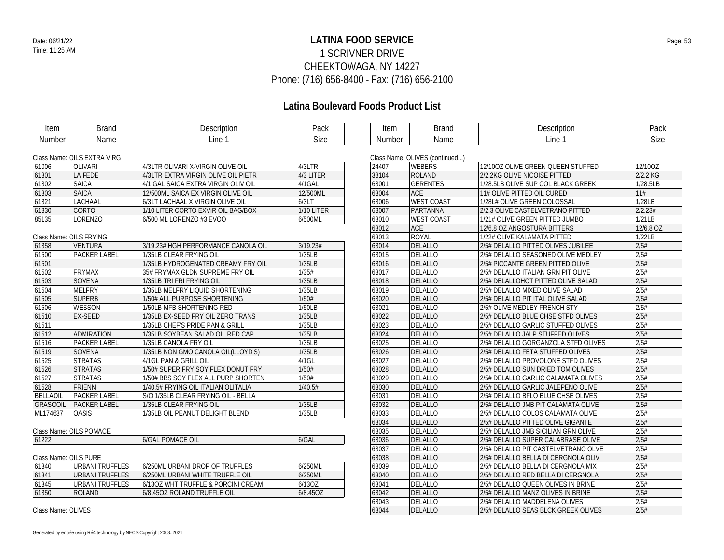### **LATINA FOOD SERVICE** Date: 06/21/22 Page: 53 1 SCRIVNER DRIVE CHEEKTOWAGA, NY 14227 Phone: (716) 656-8400 - Fax: (716) 656-2100

| <b>Item</b>           | <b>Brand</b>                | Description                         | Pack       | Item   | <b>Brand</b>                   | Description                         | Pack        |
|-----------------------|-----------------------------|-------------------------------------|------------|--------|--------------------------------|-------------------------------------|-------------|
| Number                | Name                        | Line 1                              | Size       | Number | Name                           | Line 1                              | <b>Size</b> |
|                       |                             |                                     |            |        |                                |                                     |             |
|                       | Class Name: OILS EXTRA VIRG |                                     |            |        | Class Name: OLIVES (continued) |                                     |             |
| 61006                 | <b>OLIVARI</b>              | 4/3LTR OLIVARI X-VIRGIN OLIVE OIL   | 4/3LTR     | 24407  | <b>WEBERS</b>                  | 12/100Z OLIVE GREEN QUEEN STUFFED   | 12/10OZ     |
| 61301                 | <b>LA FEDE</b>              | 4/3LTR EXTRA VIRGIN OLIVE OIL PIETR | 4/3 LITER  | 38104  | <b>ROLAND</b>                  | 2/2.2KG OLIVE NICOISE PITTED        | 2/2.2 KG    |
| 61302                 | <b>SAICA</b>                | 4/1 GAL SAICA EXTRA VIRGIN OLIV OIL | 4/1GAL     | 63001  | <b>GERENTES</b>                | 1/28.5LB OLIVE SUP COL BLACK GREEK  | 1/28.5LB    |
| 61303                 | <b>SAICA</b>                | 12/500ML SAICA EX VIRGIN OLIVE OIL  | 12/500ML   | 63004  | <b>ACE</b>                     | 11# OLIVE PITTED OIL CURED          | 11#         |
| 61321                 | <b>LACHAAL</b>              | 6/3LT LACHAAL X VIRGIN OLIVE OIL    | 6/3LT      | 63006  | <b>WEST COAST</b>              | 1/28L# OLIVE GREEN COLOSSAL         | 1/28LB      |
| 61330                 | <b>CORTO</b>                | 1/10 LITER CORTO EXVIR OIL BAG/BOX  | 1/10 LITER | 63007  | PARTANNA                       | 2/2.3 OLIVE CASTELVETRANO PITTED    | 2/2.23#     |
| 85135                 | <b>LORENZO</b>              | 6/500 ML LORENZO #3 EVOO            | 6/500ML    | 63010  | <b>WEST COAST</b>              | 1/21# OLIVE GREEN PITTED JUMBO      | 1/21LB      |
|                       |                             |                                     |            | 63012  | <b>ACE</b>                     | 12/6.8 OZ ANGOSTURA BITTERS         | 12/6.8 OZ   |
|                       | Class Name: OILS FRYING     |                                     |            | 63013  | <b>ROYAL</b>                   | 1/22# OLIVE KALAMATA PITTED         | 1/22LB      |
| 61358                 | <b>VENTURA</b>              | 3/19.23# HGH PERFORMANCE CANOLA OIL | 3/19.23#   | 63014  | <b>DELALLO</b>                 | 2/5# DELALLO PITTED OLIVES JUBILEE  | 2/5#        |
| 61500                 | PACKER LABEL                | 1/35LB CLEAR FRYING OIL             | 1/35LB     | 63015  | <b>DELALLO</b>                 | 2/5# DELALLO SEASONED OLIVE MEDLEY  | 2/5#        |
| 61501                 |                             | 1/35LB HYDROGENATED CREAMY FRY OIL  | 1/35LB     | 63016  | <b>DELALLO</b>                 | 2/5# PICCANTE GREEN PITTED OLIVE    | 2/5#        |
| 61502                 | <b>FRYMAX</b>               | 35# FRYMAX GLDN SUPREME FRY OIL     | 1/35#      | 63017  | <b>DELALLO</b>                 | 2/5# DELALLO ITALIAN GRN PIT OLIVE  | 2/5#        |
| 61503                 | SOVENA                      | 1/35LB TRI FRI FRYING OIL           | 1/35LB     | 63018  | <b>DELALLO</b>                 | 2/5# DELALLOHOT PITTED OLIVE SALAD  | 2/5#        |
| 61504                 | <b>MELFRY</b>               | 1/35LB MELFRY LIQUID SHORTENING     | 1/35LB     | 63019  | <b>DELALLO</b>                 | 2/5# DELALLO MIXED OLIVE SALAD      | 2/5#        |
| 61505                 | <b>SUPERB</b>               | 1/50# ALL PURPOSE SHORTENING        | 1/50#      | 63020  | <b>DELALLO</b>                 | 2/5# DELALLO PIT ITAL OLIVE SALAD   | 2/5#        |
| 61506                 | <b>WESSON</b>               | 1/50LB MFB SHORTENING RED           | 1/50LB     | 63021  | <b>DELALLO</b>                 | 2/5# OLIVE MEDLEY FRENCH STY        | 2/5#        |
| 61510                 | <b>EX-SEED</b>              | 1/35LB EX-SEED FRY OIL ZERO TRANS   | 1/35LB     | 63022  | DELALLO                        | 2/5# DELALLO BLUE CHSE STFD OLIVES  | 2/5#        |
| 61511                 |                             | 1/35LB CHEF'S PRIDE PAN & GRILL     | 1/35LB     | 63023  | DELALLO                        | 2/5# DELALLO GARLIC STUFFED OLIVES  | 2/5#        |
| 61512                 | <b>ADMIRATION</b>           | 1/35LB SOYBEAN SALAD OIL RED CAP    | 1/35LB     | 63024  | <b>DELALLO</b>                 | 2/5# DELALLO JALP STUFFED OLIVES    | 2/5#        |
| 61516                 | <b>PACKER LABEL</b>         | 1/35LB CANOLA FRY OIL               | 1/35LB     | 63025  | DELALLO                        | 2/5# DELALLO GORGANZOLA STFD OLIVES | 2/5#        |
| 61519                 | <b>SOVENA</b>               | 1/35LB NON GMO CANOLA OIL(LLOYD'S)  | 1/35LB     | 63026  | <b>DELALLO</b>                 | 2/5# DELALLO FETA STUFFED OLIVES    | 2/5#        |
| 61525                 | <b>STRATAS</b>              | 4/1GL PAN & GRILL OIL               | $4/1$ GL   | 63027  | <b>DELALLO</b>                 | 2/5# DELALLO PROVOLONE STFD OLIVES  | 2/5#        |
| 61526                 | <b>STRATAS</b>              | 1/50# SUPER FRY SOY FLEX DONUT FRY  | 1/50#      | 63028  | DELALLO                        | 2/5# DELALLO SUN DRIED TOM OLIVES   | 2/5#        |
| 61527                 | <b>STRATAS</b>              | 1/50# BBS SOY FLEX ALL PURP SHORTEN | 1/50#      | 63029  | DELALLO                        | 2/5# DELALLO GARLIC CALAMATA OLIVES | 2/5#        |
| 61528                 | <b>FRIENN</b>               | 1/40.5# FRYING OIL ITALIAN OLITALIA | 1/40.5#    | 63030  | <b>DELALLO</b>                 | 2/5# DELALLO GARLIC JALEPENO OLIVE  | 2/5#        |
| BELLAOIL              | <b>PACKER LABEL</b>         | S/O 1/35LB CLEAR FRYING OIL - BELLA |            | 63031  | <b>DELALLO</b>                 | 2/5# DELALLO BFLO BLUE CHSE OLIVES  | 2/5#        |
| GRASOOIL              | <b>PACKER LABEL</b>         | 1/35LB CLEAR FRYING OIL             | 1/35LB     | 63032  | <b>DELALLO</b>                 | 2/5# DELALLO JMB PIT CALAMATA OLIVE | 2/5#        |
| ML174637              | <b>OASIS</b>                | 1/35LB OIL PEANUT DELIGHT BLEND     | 1/35LB     | 63033  | <b>DELALLO</b>                 | 2/5# DELALLO COLOS CALAMATA OLIVE   | 2/5#        |
|                       |                             |                                     |            | 63034  | <b>DELALLO</b>                 | 2/5# DELALLO PITTED OLIVE GIGANTE   | 2/5#        |
|                       | Class Name: OILS POMACE     |                                     |            | 63035  | DELALLO                        | 2/5# DELALLO JMB SICILIAN GRN OLIVE | 2/5#        |
| 61222                 |                             | <b>6/GAL POMACE OIL</b>             | 6/GAL      | 63036  | <b>DELALLO</b>                 | 2/5# DELALLO SUPER CALABRASE OLIVE  | 2/5#        |
|                       |                             |                                     |            | 63037  | DELALLO                        | 2/5# DELALLO PIT CASTELVETRANO OLVE | 2/5#        |
| Class Name: OILS PURE |                             |                                     |            | 63038  | DELALLO                        | 2/5# DELALLO BELLA DI CERGNOLA OLIV | 2/5#        |
| 61340                 | <b>URBANI TRUFFLES</b>      | 6/250ML URBANI DROP OF TRUFFLES     | 6/250ML    | 63039  | DELALLO                        | 2/5# DELALLO BELLA DI CERGNOLA MIX  | 2/5#        |
| 61341                 | <b>URBANI TRUFFLES</b>      | 6/250ML URBANI WHITE TRUFFLE OIL    | 6/250ML    | 63040  | <b>DELALLO</b>                 | 2/5# DELALLO RED BELLA DI CERGNOLA  | 2/5#        |
| 61345                 | <b>URBANI TRUFFLES</b>      | 6/130Z WHT TRUFFLE & PORCINI CREAM  | 6/13OZ     | 63041  | <b>DELALLO</b>                 | 2/5# DELALLO QUEEN OLIVES IN BRINE  | 2/5#        |
| 61350                 | <b>ROLAND</b>               | 6/8.45OZ ROLAND TRUFFLE OIL         | 6/8.45OZ   | 63042  | DELALLO                        | 2/5# DELALLO MANZ OLIVES IN BRINE   | 2/5#        |
|                       |                             |                                     |            | 63043  | <b>DELALLO</b>                 | 2/5# DELALLO MADDELENA OLIVES       | 2/5#        |
| Class Name: OLIVES    |                             |                                     |            | 63044  | DELALLO                        | 2/5# DELALLO SEAS BLCK GREEK OLIVES | 2/5#        |
|                       |                             |                                     |            |        |                                |                                     |             |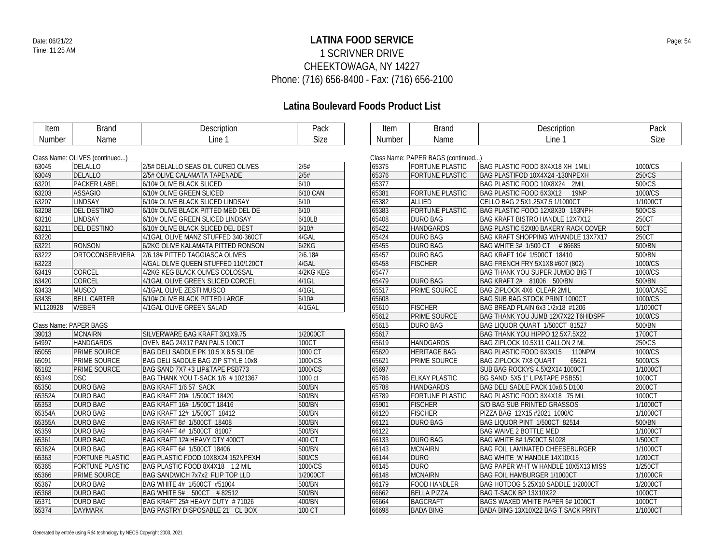### **LATINA FOOD SERVICE** Date: 06/21/22 Page: 54 1 SCRIVNER DRIVE CHEEKTOWAGA, NY 14227 Phone: (716) 656-8400 - Fax: (716) 656-2100

### **Latina Boulevard Foods Product List**

| Item     | <b>Brand</b>                   | Description                         | Pack        | Item   | <b>Brand</b>                       | Description                                     | Pack        |
|----------|--------------------------------|-------------------------------------|-------------|--------|------------------------------------|-------------------------------------------------|-------------|
| Number   | Name                           | Line 1                              | <b>Size</b> | Number | Name                               | Line 1                                          | Size        |
|          |                                |                                     |             |        |                                    |                                                 |             |
|          | Class Name: OLIVES (continued) |                                     |             |        | Class Name: PAPER BAGS (continued) |                                                 |             |
| 63045    | <b>DELALLO</b>                 | 2/5# DELALLO SEAS OIL CURED OLIVES  | 2/5#        | 65375  | <b>FORTUNE PLASTIC</b>             | BAG PLASTIC FOOD 8X4X18 XH 1MILI                | 1000/CS     |
| 63049    | <b>DELALLO</b>                 | 2/5# OLIVE CALAMATA TAPENADE        | 2/5#        | 65376  | <b>FORTUNE PLASTIC</b>             | BAG PLASTIFOD 10X4X24 -130NPEXH                 | 250/CS      |
| 63201    | <b>PACKER LABEL</b>            | 6/10# OLIVE BLACK SLICED            | 6/10        | 65377  |                                    | BAG PLASTIC FOOD 10X8X24 2MIL                   | 500/CS      |
| 63203    | <b>ASSAGIO</b>                 | 6/10# OLIVE GREEN SLICED            | 6/10 CAN    | 65381  | <b>FORTUNE PLASTIC</b>             | <b>BAG PLASTIC FOOD 6X3X12</b><br><b>19NP</b>   | 1000/CS     |
| 63207    | <b>LINDSAY</b>                 | 6/10# OLIVE BLACK SLICED LINDSAY    | 6/10        | 65382  | ALLIED                             | CELLO BAG 2.5X1.25X7.5 1/1000CT                 | 1/1000CT    |
| 63208    | <b>DEL DESTINO</b>             | 6/10# OLIVE BLACK PITTED MED DEL DE | 6/10        | 65383  | <b>FORTUNE PLASTIC</b>             | BAG PLASTIC FOOD 12X8X30 153NPH                 | 500/CS      |
| 63210    | <b>LINDSAY</b>                 | 6/10# OLIVE GREEN SLICED LINDSAY    | 6/10LB      | 65408  | <b>DURO BAG</b>                    | BAG KRAFT BISTRO HANDLE 12X7X12                 | 250CT       |
| 63211    | <b>DEL DESTINO</b>             | 6/10# OLIVE BLACK SLICED DEL DEST   | 6/10#       | 65422  | <b>HANDGARDS</b>                   | <b>BAG PLASTIC 52X80 BAKERY RACK COVER</b>      | <b>50CT</b> |
| 63220    |                                | 4/1GAL OLIVE MANZ STUFFED 340-360CT | 4/GAL       | 65424  | <b>DURO BAG</b>                    | BAG KRAFT SHOPPING W/HANDLE 13X7X17             | 250CT       |
| 63221    | <b>RONSON</b>                  | 6/2KG OLIVE KALAMATA PITTED RONSON  | 6/2KG       | 65455  | <b>DURO BAG</b>                    | BAG WHITE 3# 1/500 CT #86685                    | 500/BN      |
| 63222    | ORTOCONSERVIERA                | 2/6.18# PITTED TAGGIASCA OLIVES     | 2/6.18#     | 65457  | <b>DURO BAG</b>                    | BAG KRAFT 10# 1/500CT 18410                     | 500/BN      |
| 63223    |                                | 4/GAL OLIVE QUEEN STUFFED 110/120CT | 4/GAL       | 65458  | <b>FISCHER</b>                     | BAG FRENCH FRY 5X1X8 #607 (802)                 | 1000/CS     |
| 63419    | CORCEL                         | 4/2KG KEG BLACK OLIVES COLOSSAL     | 4/2KG KEG   | 65477  |                                    | <b>BAG THANK YOU SUPER JUMBO BIG T</b>          | 1000/CS     |
| 63420    | <b>CORCEL</b>                  | 4/1GAL OLIVE GREEN SLICED CORCEL    | $4/1$ GL    | 65479  | <b>DURO BAG</b>                    | BAG KRAFT 2# 81006 500/BN                       | 500/BN      |
| 63433    | <b>MUSCO</b>                   | 4/1GAL OLIVE ZESTI MUSCO            | $4/1$ GL    | 65517  | PRIME SOURCE                       | BAG ZIPLOCK 4X6 CLEAR 2MIL                      | 1000/CASE   |
| 63435    | <b>BELL CARTER</b>             | 6/10# OLIVE BLACK PITTED LARGE      | 6/10#       | 65608  |                                    | <b>BAG SUB BAG STOCK PRINT 1000CT</b>           | 1000/CS     |
| ML120928 | <b>WEBER</b>                   | 4/1GAL OLIVE GREEN SALAD            | 4/1GAL      | 65610  | <b>FISCHER</b>                     | BAG BREAD PLAIN 6x3 1/2x18 #1206                | 1/1000CT    |
|          |                                |                                     |             | 65612  | <b>PRIME SOURCE</b>                | BAG THANK YOU JUMB 12X7X22 T6HIDSPF             | 1000/CS     |
|          | Class Name: PAPER BAGS         |                                     |             | 65615  | <b>DURO BAG</b>                    | BAG LIQUOR QUART 1/500CT 81527                  | 500/BN      |
| 39013    | <b>MCNAIRN</b>                 | SILVERWARE BAG KRAFT 3X1X9.75       | 1/2000CT    | 65617  |                                    | BAG THANK YOU HIPPO 12.5X7.5X22                 | 1700CT      |
| 64997    | <b>HANDGARDS</b>               | OVEN BAG 24X17 PAN PALS 100CT       | 100CT       | 65619  | <b>HANDGARDS</b>                   | BAG ZIPLOCK 10.5X11 GALLON 2 ML                 | 250/CS      |
| 65055    | PRIME SOURCE                   | BAG DELI SADDLE PK 10.5 X 8.5 SLIDE | 1000 CT     | 65620  | <b>HERITAGE BAG</b>                | <b>BAG PLASTIC FOOD 6X3X15</b><br><b>110NPM</b> | 1000/CS     |
| 65091    | PRIME SOURCE                   | BAG DELI SADDLE BAG ZIP STYLE 10x8  | 1000/CS     | 65621  | PRIME SOURCE                       | <b>BAG ZIPLOCK 7X8 QUART</b><br>65621           | 5000/CS     |
| 65182    | PRIME SOURCE                   | BAG SAND 7X7 +3 LIP&TAPE PSB773     | 1000/CS     | 65697  |                                    | SUB BAG ROCKYS 4.5X2X14 1000CT                  | 1/1000CT    |
| 65349    | <b>DSC</b>                     | BAG THANK YOU T-SACK 1/6 # 1021367  | 1000 ct     | 65786  | <b>ELKAY PLASTIC</b>               | BG SAND 5X5 1" LIP&TAPE PSB551                  | 1000CT      |
| 65350    | <b>DURO BAG</b>                | BAG KRAFT 1/6 57 SACK               | 500/BN      | 65788  | <b>HANDGARDS</b>                   | BAG DELI SADLE PACK 10x8.5 D100                 | 2000CT      |
| 65352A   | DURO BAG                       | BAG KRAFT 20# 1/500CT 18420         | 500/BN      | 65789  | <b>FORTUNE PLASTIC</b>             | BAG PLASTIC FOOD 8X4X18 .75 MIL                 | 1000CT      |
| 65353    | <b>DURO BAG</b>                | BAG KRAFT 16# 1/500CT 18416         | 500/BN      | 65901  | <b>FISCHER</b>                     | S/O BAG SUB PRINTED GRASSOS                     | 1/1000CT    |
| 65354A   | <b>DURO BAG</b>                | BAG KRAFT 12# 1/500CT 18412         | 500/BN      | 66120  | <b>FISCHER</b>                     | PIZZA BAG 12X15 #2021 1000/C                    | 1/1000CT    |
| 65355A   | <b>DURO BAG</b>                | BAG KRAFT 8# 1/500CT 18408          | 500/BN      | 66121  | <b>DURO BAG</b>                    | BAG LIQUOR PINT 1/500CT 82514                   | 500/BN      |
| 65359    | DURO BAG                       | BAG KRAFT 4# 1/500CT 81007          | 500/BN      | 66122  |                                    | BAG WAIVE 2 BOTTLE MED                          | 1/1000CT    |
| 65361    | <b>DURO BAG</b>                | BAG KRAFT 12# HEAVY DTY 400CT       | 400 CT      | 66133  | <b>DURO BAG</b>                    | <b>BAG WHITE 8# 1/500CT 51028</b>               | 1/500CT     |
| 65362A   | <b>DURO BAG</b>                | BAG KRAFT 6# 1/500CT 18406          | 500/BN      | 66143  | <b>MCNAIRN</b>                     | <b>BAG FOIL LAMINATED CHEESEBURGER</b>          | 1/1000CT    |
| 65363    | <b>FORTUNE PLASTIC</b>         | BAG PLASTIC FOOD 10X8X24 152NPEXH   | 500/CS      | 66144  | <b>DURO</b>                        | BAG WHITE W HANDLE 14X10X15                     | 1/200CT     |
| 65365    | <b>FORTUNE PLASTIC</b>         | BAG PLASTIC FOOD 8X4X18 1.2 MIL     | 1000/CS     | 66145  | <b>DURO</b>                        | BAG PAPER WHT W HANDLE 10X5X13 MISS             | 1/250CT     |
| 65366    | PRIME SOURCE                   | BAG SANDWICH 7x7x2 FLIP TOP LLD     | 1/2000CT    | 66148  | <b>MCNAIRN</b>                     | <b>BAG FOIL HAMBURGER 1/1000CT</b>              | 1/1000CR    |
| 65367    | <b>DURO BAG</b>                | BAG WHITE 4# 1/500CT #51004         | 500/BN      | 66179  | <b>FOOD HANDLER</b>                | BAG HOTDOG 5.25X10 SADDLE 1/2000CT              | 1/2000CT    |
| 65368    | <b>DURO BAG</b>                | BAG WHITE 5# 500CT #82512           | 500/BN      | 66662  | <b>BELLA PIZZA</b>                 | BAG T-SACK BP 13X10X22                          | 1000CT      |
| 65371    | <b>DURO BAG</b>                | BAG KRAFT 25# HEAVY DUTY #71026     | 400/BN      | 66664  | <b>BAGCRAFT</b>                    | BAGS WAXED WHITE PAPER 6# 1000CT                | 1000CT      |
| 65374    | <b>DAYMARK</b>                 | BAG PASTRY DISPOSABLE 21" CL BOX    | 100 CT      | 66698  | <b>BADA BING</b>                   | BADA BING 13X10X22 BAG T SACK PRINT             | 1/1000CT    |

| 65375 | <b>FORTUNE PLASTIC</b> | BAG PLASTIC FOOD 8X4X18 XH 1MILI           | 1000/CS     |
|-------|------------------------|--------------------------------------------|-------------|
| 65376 | <b>FORTUNE PLASTIC</b> | BAG PLASTIFOD 10X4X24 -130NPEXH            | 250/CS      |
| 65377 |                        | BAG PLASTIC FOOD 10X8X24 2MIL              | 500/CS      |
| 65381 | <b>FORTUNE PLASTIC</b> | BAG PLASTIC FOOD 6X3X12<br>19NP            | 1000/CS     |
| 65382 | <b>ALLIED</b>          | CELLO BAG 2.5X1.25X7.5 1/1000CT            | 1/1000CT    |
| 65383 | <b>FORTUNE PLASTIC</b> | BAG PLASTIC FOOD 12X8X30 153NPH            | 500/CS      |
| 65408 | <b>DURO BAG</b>        | <b>BAG KRAFT BISTRO HANDLE 12X7X12</b>     | 250CT       |
| 65422 | <b>HANDGARDS</b>       | <b>BAG PLASTIC 52X80 BAKERY RACK COVER</b> | <b>50CT</b> |
| 65424 | <b>DURO BAG</b>        | <b>BAG KRAFT SHOPPING W/HANDLE 13X7X17</b> | 250CT       |
| 65455 | <b>DURO BAG</b>        | BAG WHITE 3# 1/500 CT #86685               | 500/BN      |
| 65457 | <b>DURO BAG</b>        | BAG KRAFT 10# 1/500CT 18410                | 500/BN      |
| 65458 | <b>FISCHER</b>         | BAG FRENCH FRY 5X1X8 #607 (802)            | 1000/CS     |
| 65477 |                        | BAG THANK YOU SUPER JUMBO BIG T            | 1000/CS     |
| 65479 | <b>DURO BAG</b>        | BAG KRAFT 2# 81006 500/BN                  | 500/BN      |
| 65517 | PRIME SOURCE           | BAG ZIPLOCK 4X6 CLEAR 2MIL                 | 1000/CASE   |
| 65608 |                        | BAG SUB BAG STOCK PRINT 1000CT             | 1000/CS     |
| 65610 | <b>FISCHER</b>         | BAG BREAD PLAIN 6x3 1/2x18 #1206           | 1/1000CT    |
| 65612 | PRIME SOURCE           | BAG THANK YOU JUMB 12X7X22 T6HIDSPF        | 1000/CS     |
| 65615 | <b>DURO BAG</b>        | BAG LIQUOR QUART 1/500CT 81527             | 500/BN      |
| 65617 |                        | BAG THANK YOU HIPPO 12.5X7.5X22            | 1700CT      |
| 65619 | <b>HANDGARDS</b>       | BAG ZIPLOCK 10.5X11 GALLON 2 ML            | 250/CS      |
| 65620 | <b>HERITAGE BAG</b>    | BAG PLASTIC FOOD 6X3X15<br>110NPM          | 1000/CS     |
| 65621 | PRIME SOURCE           | <b>BAG ZIPLOCK 7X8 QUART</b><br>65621      | 5000/CS     |
| 65697 |                        | SUB BAG ROCKYS 4.5X2X14 1000CT             | 1/1000CT    |
| 65786 | <b>ELKAY PLASTIC</b>   | BG SAND 5X5 1" LIP&TAPE PSB551             | 1000CT      |
| 65788 | <b>HANDGARDS</b>       | BAG DELI SADLE PACK 10x8.5 D100            | 2000CT      |
| 65789 | <b>FORTUNE PLASTIC</b> | BAG PLASTIC FOOD 8X4X18 .75 MIL            | 1000CT      |
| 65901 | <b>FISCHER</b>         | S/O BAG SUB PRINTED GRASSOS                | 1/1000CT    |
| 66120 | <b>FISCHER</b>         | PIZZA BAG 12X15 #2021 1000/C               | 1/1000CT    |
| 66121 | <b>DURO BAG</b>        | BAG LIQUOR PINT 1/500CT 82514              | 500/BN      |
| 66122 |                        | BAG WAIVE 2 BOTTLE MED                     | 1/1000CT    |
| 66133 | <b>DURO BAG</b>        | BAG WHITE 8# 1/500CT 51028                 | 1/500CT     |
| 66143 | <b>MCNAIRN</b>         | <b>BAG FOIL LAMINATED CHEESEBURGER</b>     | 1/1000CT    |
| 66144 | <b>DURO</b>            | BAG WHITE W HANDLE 14X10X15                | 1/200CT     |
| 66145 | <b>DURO</b>            | BAG PAPER WHT W HANDLE 10X5X13 MISS        | 1/250CT     |
| 66148 | <b>MCNAIRN</b>         | <b>BAG FOIL HAMBURGER 1/1000CT</b>         | 1/1000CR    |
| 66179 | <b>FOOD HANDLER</b>    | BAG HOTDOG 5.25X10 SADDLE 1/2000CT         | 1/2000CT    |
| 66662 | <b>BELLA PIZZA</b>     | BAG T-SACK BP 13X10X22                     | 1000CT      |
| 66664 | <b>BAGCRAFT</b>        | BAGS WAXED WHITE PAPER 6# 1000CT           | 1000CT      |
| 66698 | <b>BADA BING</b>       | BADA BING 13X10X22 BAG T SACK PRINT        | 1/1000CT    |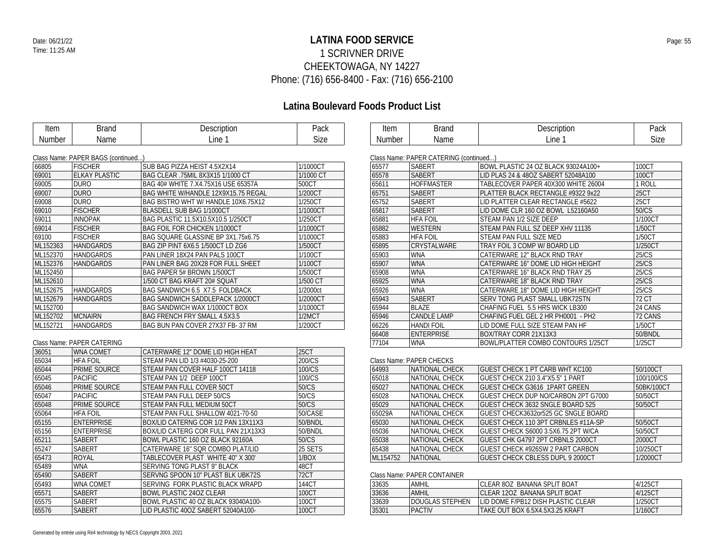### **LATINA FOOD SERVICE** Date: 06/21/22 Page: 55 1 SCRIVNER DRIVE CHEEKTOWAGA, NY 14227 Phone: (716) 656-8400 - Fax: (716) 656-2100

### **Latina Boulevard Foods Product List**

| Item   | Brand | Description | Pack |
|--------|-------|-------------|------|
| Number | Name  | .ine        | Size |

| Item   | )rand<br>Bianu | escription<br>Jeso | Pack            |
|--------|----------------|--------------------|-----------------|
| Number | Name           | Line               | ~.<br>70<br>عەد |

### Class Name: PAPER BAGS (continued...)

|          | Class Natile. The EIN DAOS (CONTINUO ) |                                         |           |
|----------|----------------------------------------|-----------------------------------------|-----------|
| 66805    | <b>FISCHER</b>                         | SUB BAG PIZZA HEIST 4.5X2X14            | 1/1000CT  |
| 69001    | <b>ELKAY PLASTIC</b>                   | BAG CLEAR .75MIL 8X3X15 1/1000 CT       | 1/1000 CT |
| 69005    | <b>DURO</b>                            | BAG 40# WHITE 7.X4.75X16 USE 65357A     | 500CT     |
| 69007    | <b>DURO</b>                            | BAG WHITE W/HANDLE 12X9X15.75 REGAL     | 1/200CT   |
| 69008    | <b>DURO</b>                            | BAG BISTRO WHT W/ HANDLE 10X6.75X12     | 1/250CT   |
| 69010    | <b>FISCHER</b>                         | <b>BLASDELL SUB BAG 1/1000CT</b>        | 1/1000CT  |
| 69011    | <b>INNOPAK</b>                         | BAG PLASTIC 11.5X10.5X10.5 1/250CT      | 1/250CT   |
| 69014    | <b>FISCHER</b>                         | <b>BAG FOIL FOR CHICKEN 1/1000CT</b>    | 1/1000CT  |
| 69100    | <b>FISCHER</b>                         | BAG SQUARE GLASSINE BP 3X1.75x6.75      | 1/1000CT  |
| ML152363 | <b>HANDGARDS</b>                       | BAG ZIP PINT 6X6.5 1/500CT LD ZG6       | 1/500CT   |
| ML152370 | <b>HANDGARDS</b>                       | PAN LINER 18X24 PAN PALS 100CT          | 1/100CT   |
| ML152376 | <b>HANDGARDS</b>                       | PAN LINER BAG 20X28 FOR FULL SHEET      | 1/100CT   |
| ML152450 |                                        | BAG PAPER 5# BROWN 1/500CT              | 1/500CT   |
| ML152610 |                                        | 1/500 CT BAG KRAFT 20# SQUAT            | 1/500 CT  |
| ML152675 | <b>HANDGARDS</b>                       | BAG SANDWICH 6.5 X7.5 FOLDBACK          | 1/2000ct  |
| ML152679 | <b>HANDGARDS</b>                       | <b>BAG SANDWICH SADDLEPACK 1/2000CT</b> | 1/2000CT  |
| ML152700 |                                        | BAG SANDWICH WAX 1/1000CT BOX           | 1/1000CT  |
| ML152702 | <b>MCNAIRN</b>                         | <b>BAG FRENCH FRY SMALL 4.5X3.5</b>     | 1/2MCT    |
| ML152721 | <b>HANDGARDS</b>                       | BAG BUN PAN COVER 27X37 FB-37 RM        | 1/200CT   |

### Class Name: PAPER CATERING

| <b>WNA COMET</b>  | CATERWARE 12" DOME LID HIGH HEAT    | 25CT    |
|-------------------|-------------------------------------|---------|
| <b>HFA FOIL</b>   | STEAM PAN LID 1/3 #4030-25-200      | 200/CS  |
| PRIME SOURCE      | STEAM PAN COVER HALF 100CT 14118    | 100/CS  |
| <b>PACIFIC</b>    | STEAM PAN 1/2 DEEP 100CT            | 100/CS  |
| PRIME SOURCE      | STEAM PAN FULL COVER 50CT           | 50/CS   |
| <b>PACIFIC</b>    | STEAM PAN FULL DEEP 50/CS           | 50/CS   |
| PRIME SOURCE      | STEAM PAN FULL MEDIUM 50CT          | 50/CS   |
| <b>HFA FOIL</b>   | STEAM PAN FULL SHALLOW 4021-70-50   | 50/CASE |
| <b>ENTERPRISE</b> | BOX/LID CATERNG COR 1/2 PAN 13X11X3 | 50/BNDL |
| <b>ENTERPRISE</b> | BOX/LID CATERG COR FULL PAN 21X13X3 | 50/BNDL |
| <b>SABERT</b>     | BOWL PLASTIC 160 OZ BLACK 92160A    | 50/CS   |
| SABERT            | CATERWARE 16" SOR COMBO PLAT/LID    | 25 SETS |
| ROYAL             | TABLECOVER PLAST WHITE 40" X 300'   | 1/BOX   |
| <b>WNA</b>        | SERVING TONG PLAST 9" BLACK         | 48CT    |
| <b>SABERT</b>     | SERVNG SPOON 10" PLAST BLK UBK72S   | 72CT    |
| <b>WNA COMET</b>  | SERVING FORK PLASTIC BLACK WRAPD    | 144CT   |
| <b>SABERT</b>     | <b>BOWL PLASTIC 240Z CLEAR</b>      | 100CT   |
| <b>SABERT</b>     | BOWL PLASTIC 40 OZ BLACK 93040A100- | 100CT   |
| <b>SABERT</b>     | LID PLASTIC 40OZ SABERT 52040A100-  | 100CT   |
|                   |                                     |         |

| Class Nation. The EIN CATERING (Colliting Ca) |                    |                                     |         |  |  |
|-----------------------------------------------|--------------------|-------------------------------------|---------|--|--|
| 65577                                         | <b>SABERT</b>      | BOWL PLASTIC 24 OZ BLACK 93024A100+ | 100CT   |  |  |
| 65578                                         | <b>SABERT</b>      | LID PLAS 24 & 48OZ SABERT 52048A100 | 100CT   |  |  |
| 65611                                         | <b>HOFFMASTER</b>  | TABLECOVER PAPER 40X300 WHITE 26004 | 1 ROLL  |  |  |
| 65751                                         | <b>SABERT</b>      | PLATTER BLACK RECTANGLE #9322 9x22  | 25CT    |  |  |
| 65752                                         | <b>SABERT</b>      | LID PLATTER CLEAR RECTANGLE #5622   | 25CT    |  |  |
| 65817                                         | <b>SABERT</b>      | LID DOME CLR 160 OZ BOWL L52160A50  | 50/CS   |  |  |
| 65881                                         | <b>HFA FOIL</b>    | STEAM PAN 1/2 SIZE DEEP             | 1/100CT |  |  |
| 65882                                         | <b>WESTERN</b>     | STEAM PAN FULL SZ DEEP XHV 11135    | 1/50CT  |  |  |
| 65883                                         | <b>HFA FOIL</b>    | STEAM PAN FULL SIZE MED             | 1/50CT  |  |  |
| 65895                                         | <b>CRYSTALWARE</b> | TRAY FOIL 3 COMP W/ BOARD LID       | 1/250CT |  |  |
| 65903                                         | <b>WNA</b>         | CATERWARE 12" BLACK RND TRAY        | 25/CS   |  |  |
| 65907                                         | <b>WNA</b>         | CATERWARE 16" DOME LID HIGH HEIGHT  | 25/CS   |  |  |
| 65908                                         | <b>WNA</b>         | CATERWARE 16" BLACK RND TRAY 25     | 25/CS   |  |  |
| 65925                                         | <b>WNA</b>         | CATERWARE 18" BLACK RND TRAY        | 25/CS   |  |  |
| 65926                                         | <b>WNA</b>         | CATERWARE 18" DOME LID HIGH HEIGHT  | 25/CS   |  |  |
| 65943                                         | <b>SABERT</b>      | SERV TONG PLAST SMALL UBK72STN      | 72 CT   |  |  |
| 65944                                         | <b>BLAZE</b>       | CHAFING FUEL 5.5 HRS WICK LB300     | 24 CANS |  |  |
| 65946                                         | <b>CANDLE LAMP</b> | CHAFING FUEL GEL 2 HR PH0001 - PH2  | 72 CANS |  |  |
| 66226                                         | <b>HANDI FOIL</b>  | LID DOME FULL SIZE STEAM PAN HF     | 1/50CT  |  |  |
| 66408                                         | <b>ENTERPRISE</b>  | BOX/TRAY CORR 21X13X3               | 50/BNDL |  |  |
| 77104                                         | <b>WNA</b>         | BOWL/PLATTER COMBO CONTOURS 1/25CT  | 1/25CT  |  |  |

### Class Name: PAPER CHECKS

| 64993    | NATIONAL CHECK        | <b>GUEST CHECK 1 PT CARB WHT KC100</b>  | 50/100CT   |
|----------|-----------------------|-----------------------------------------|------------|
| 65018    | NATIONAL CHECK        | GUEST CHECK 210 3.4"X5.5" 1 PART        | 100/100/CS |
| 65027    | NATIONAL CHECK        | <b>GUEST CHECK G3616 1PART GREEN</b>    | 50BK/100CT |
| 65028    | <b>NATIONAL CHECK</b> | GUEST CHECK DUP NO/CARBON 2PT G7000     | 50/50CT    |
| 65029    | <b>NATIONAL CHECK</b> | <b>GUEST CHECK 3632 SNGLE BOARD 525</b> | 50/50CT    |
| 65029A   | NATIONAL CHECK        | GUEST CHECK3632or525 GC SNGLE BOARD     |            |
| 65030    | NATIONAL CHECK        | GUEST CHECK 110 3PT CRBNLES #11A-SP     | 50/50CT    |
| 65036    | NATIONAL CHECK        | GUEST CHECK S6000 3.5X6.75 2PT W/CA     | 50/50CT    |
| 65038    | <b>NATIONAL CHECK</b> | GUEST CHK G4797 2PT CRBNLS 2000CT       | 2000CT     |
| 65438    | NATIONAL CHECK        | <b>GUEST CHECK #926SW 2 PART CARBON</b> | 10/250CT   |
| ML154752 | <b>NATIONAL</b>       | <b>GUEST CHECK CBLESS DUPL 9 2000CT</b> | 1/2000CT   |

### Class Name: PAPER CONTAINER

| 33635 | AMHIL           | CLEAR 80Z BANANA SPLIT BOAT        | 4/125CT |  |  |  |  |
|-------|-----------------|------------------------------------|---------|--|--|--|--|
| 33636 | AMHIL           | CLEAR 120Z BANANA SPLIT BOAT       | 4/125CT |  |  |  |  |
| 33639 | DOUGLAS STEPHEN | LID DOME F/PB12 DISH PLASTIC CLEAR | 1/250CT |  |  |  |  |
| 35301 | <b>PACTIV</b>   | TAKE OUT BOX 6.5X4.5X3.25 KRAFT    | 1/160CT |  |  |  |  |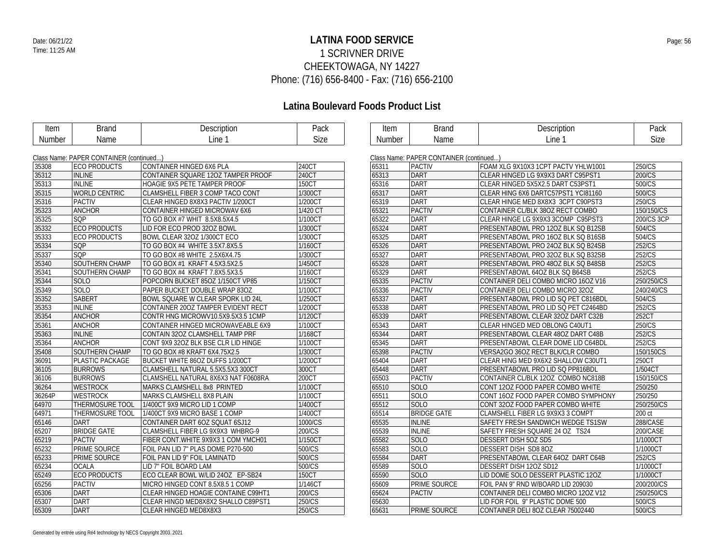### **LATINA FOOD SERVICE** Date: 06/21/22 Page: 56 1 SCRIVNER DRIVE CHEEKTOWAGA, NY 14227 Phone: (716) 656-8400 - Fax: (716) 656-2100

| Item          | <b>Brand</b>                            | Description                         | Pack         | <b>Item</b>   | <b>Brand</b>                            | Description                         | Pack        |
|---------------|-----------------------------------------|-------------------------------------|--------------|---------------|-----------------------------------------|-------------------------------------|-------------|
| <b>Number</b> | Name                                    | Line 1                              | <b>Size</b>  | <b>Number</b> | Name                                    | Line 1                              | <b>Size</b> |
|               |                                         |                                     |              |               |                                         |                                     |             |
|               | Class Name: PAPER CONTAINER (continued) |                                     |              |               | Class Name: PAPER CONTAINER (continued) |                                     |             |
| 35308         | <b>ECO PRODUCTS</b>                     | CONTAINER HINGED 6X6 PLA            | 240CT        | 65311         | <b>PACTIV</b>                           | FOAM XLG 9X10X3 1CPT PACTV YHLW1001 | 250/CS      |
| 35312         | <b>INLINE</b>                           | CONTAINER SQUARE 120Z TAMPER PROOF  | 240CT        | 65313         | DART                                    | CLEAR HINGED LG 9X9X3 DART C95PST1  | 200/CS      |
| 35313         | <b>INLINE</b>                           | HOAGIE 9X5 PETE TAMPER PROOF        | 150CT        | 65316         | <b>DART</b>                             | CLEAR HINGED 5X5X2.5 DART C53PST1   | 500/CS      |
| 35315         | WORLD CENTRIC                           | CLAMSHELL FIBER 3 COMP TACO CONT    | 1/300CT      | 65317         | DART                                    | CLEAR HING 6X6 DARTC57PST1 YCI81160 | 500/CS      |
| 35316         | <b>PACTIV</b>                           | CLEAR HINGED 8X8X3 PACTIV 1/200CT   | 1/200CT      | 65319         | <b>DART</b>                             | CLEAR HINGE MED 8X8X3 3CPT C90PST3  | 250/CS      |
| 35323         | <b>ANCHOR</b>                           | CONTAINER HINGED MICROWAV 6X6       | 1/420 CT     | 65321         | <b>PACTIV</b>                           | CONTAINER CL/BLK 380Z RECT COMBO    | 150/150/CS  |
| 35325         | SQP                                     | TO GO BOX #7 WHIT 8.5X8.5X4.5       | 1/100CT      | 65322         | DART                                    | CLEAR HINGE LG 9X9X3 3COMP C95PST3  | 200/CS 3CP  |
| 35332         | <b>ECO PRODUCTS</b>                     | LID FOR ECO PROD 320Z BOWL          | 1/300CT      | 65324         | DART                                    | PRESENTABOWL PRO 120Z BLK SQ B12SB  | 504/CS      |
| 35333         | <b>ECO PRODUCTS</b>                     | BOWL CLEAR 32OZ 1/300CT ECO         | 1/300CT      | 65325         | <b>DART</b>                             | PRESENTABOWL PRO 160Z BLK SQ B16SB  | 504/CS      |
| 35334         | SQP                                     | TO GO BOX #4 WHITE 3.5X7.8X5.5      | 1/160CT      | 65326         | DART                                    | PRESENTABOWL PRO 240Z BLK SQ B24SB  | 252/CS      |
| 35337         | SQP                                     | TO GO BOX #8 WHITE 2.5X6X4.75       | 1/300CT      | 65327         | <b>DART</b>                             | PRESENTABOWL PRO 320Z BLK SQ B32SB  | 252/CS      |
| 35340         | SOUTHERN CHAMP                          | TO GO BOX #1 KRAFT 4.5X3.5X2.5      | 1/450CT      | 65328         | <b>DART</b>                             | PRESENTABOWL PRO 480Z BLK SQ B48SB  | 252/CS      |
| 35341         | SOUTHERN CHAMP                          | TO GO BOX #4 KRAFT 7.8X5.5X3.5      | 1/160CT      | 65329         | <b>DART</b>                             | PRESENTABOWL 64OZ BLK SQ B64SB      | 252/CS      |
| 35344         | <b>SOLO</b>                             | POPCORN BUCKET 85OZ 1/150CT VP85    | 1/150CT      | 65335         | <b>PACTIV</b>                           | CONTAINER DELI COMBO MICRO 16OZ V16 | 250/250/CS  |
| 35349         | SOLO                                    | PAPER BUCKET DOUBLE WRAP 830Z       | 1/100CT      | 65336         | <b>PACTIV</b>                           | CONTAINER DELI COMBO MICRO 320Z     | 240/240/CS  |
| 35352         | <b>SABERT</b>                           | BOWL SQUARE W CLEAR SPORK LID 24L   | 1/250CT      | 65337         | DART                                    | PRESENTABOWL PRO LID SQ PET C816BDL | 504/CS      |
| 35353         | <b>INLINE</b>                           | CONTAINER 200Z TAMPER EVIDENT RECT  | 1/200CT      | 65338         | <b>DART</b>                             | PRESENTABOWL PRO LID SQ PET C2464BD | 252/CS      |
| 35354         | <b>ANCHOR</b>                           | CONTR HNG MICROWV10.5X9.5X3.5 1CMP  | 1/120CT      | 65339         | DART                                    | PRESENTABOWL CLEAR 32OZ DART C32B   | 252CT       |
| 35361         | <b>ANCHOR</b>                           | CONTAINER HINGED MICROWAVEABLE 6X9  | 1/100CT      | 65343         | <b>DART</b>                             | CLEAR HINGED MED OBLONG C40UT1      | 250/CS      |
| 35363         | <b>INLINE</b>                           | CONTAIN 32OZ CLAMSHELL TAMP PRF     | 1/168CT      | 65344         | <b>DART</b>                             | PRESENTABOWL CLEAR 480Z DART C48B   | 252/CS      |
| 35364         | <b>ANCHOR</b>                           | CONT 9X9 32OZ BLK BSE CLR LID HINGE | 1/100CT      | 65345         | <b>DART</b>                             | PRESENTABOWL CLEAR DOME LID C64BDL  | 252/CS      |
| 35408         | SOUTHERN CHAMP                          | TO GO BOX #8 KRAFT 6X4.75X2.5       | 1/300CT      | 65398         | <b>PACTIV</b>                           | VERSA2GO 36OZ RECT BLK/CLR COMBO    | 150/150CS   |
| 36091         | PLASTIC PACKAGE                         | BUCKET WHITE 86OZ DUFFS 1/200CT     | 1/200CT      | 65404         | <b>DART</b>                             | CLEAR HING MED 9X6X2 SHALLOW C30UT1 | 250CT       |
| 36105         | <b>BURROWS</b>                          | CLAMSHELL NATURAL 5.5X5.5X3 300CT   | 300CT        | 65448         | <b>DART</b>                             | PRESENTABOWL PRO LID SQ PP816BDL    | 1/504CT     |
| 36106         | <b>BURROWS</b>                          | CLAMSHELL NATURAL 8X6X3 NAT F0608RA | 200CT        | 65503         | <b>PACTIV</b>                           | CONTAINER CL/BLK 12OZ COMBO NC818B  | 150/150/CS  |
| 36264         | <b>WESTROCK</b>                         | MARKS CLAMSHELL 8x8 PRINTED         | 1/100CT      | 65510         | <b>SOLO</b>                             | CONT 120Z FOOD PAPER COMBO WHITE    | 250/250     |
| 36264P        | <b>WESTROCK</b>                         | MARKS CLAMSHELL 8X8 PLAIN           | 1/100CT      | 65511         | <b>SOLO</b>                             | CONT 16OZ FOOD PAPER COMBO SYMPHONY | 250/250     |
| 64970         | THERMOSURE TOOL                         | 1/400CT 9X9 MICRO LID 1 COMP        | 1/400CT      | 65512         | SOLO                                    | CONT 320Z FOOD PAPER COMBO WHITE    | 250/250/CS  |
| 64971         | THERMOSURE TOOL                         | 1/400CT 9X9 MICRO BASE 1 COMP       | 1/400CT      | 65514         | <b>BRIDGE GATE</b>                      | CLAMSHELL FIBER LG 9X9X3 3 COMPT    | 200 ct      |
| 65146         | <b>DART</b>                             | CONTAINER DART 6OZ SQUAT 6SJ12      | 1000/CS      | 65535         | <b>INLINE</b>                           | SAFETY FRESH SANDWICH WEDGE TS1SW   | 288/CASE    |
| 65207         | <b>BRIDGE GATE</b>                      | CLAMSHELL FIBER LG 9X9X3 WHBRG-9    | 200/CS       | 65539         | <b>INLINE</b>                           | SAFETY FRESH SQUARE 24 OZ TS24      | 200/CASE    |
| 65219         | <b>PACTIV</b>                           | FIBER CONT.WHITE 9X9X3 1 COM YMCH01 | 1/150CT      | 65582         | <b>SOLO</b>                             | DESSERT DISH 50Z SD5                | 1/1000CT    |
| 65232         | PRIME SOURCE                            | FOIL PAN LID 7" PLAS DOME P270-500  | 500/CS       | 65583         | <b>SOLO</b>                             | DESSERT DISH SD8 80Z                | 1/1000CT    |
| 65233         | PRIME SOURCE                            | FOIL PAN LID 9" FOIL LAMINATD       | 500/CS       | 65584         | <b>DART</b>                             | PRESENTABOWL CLEAR 64OZ DART C64B   | 252/CS      |
| 65234         | <b>OCALA</b>                            | LID 7" FOIL BOARD LAM               | 500/CS       | 65589         | <b>SOLO</b>                             | DESSERT DISH 120Z SD12              | 1/1000CT    |
| 65249         | <b>ECO PRODUCTS</b>                     | ECO CLEAR BOWL W/LID 24OZ EP-SB24   | <b>150CT</b> | 65590         | <b>SOLO</b>                             | LID DOME SOLO DESSERT PLASTIC 120Z  | 1/1000CT    |
| 65256         | <b>PACTIV</b>                           | MICRO HINGED CONT 8.5X8.5 1 COMP    | 1/146CT      | 65609         | PRIME SOURCE                            | FOIL PAN 9" RND W/BOARD LID 209030  | 200/200/CS  |
| 65306         | <b>DART</b>                             | CLEAR HINGED HOAGIE CONTAINE C99HT1 | 200/CS       | 65624         | <b>PACTIV</b>                           | CONTAINER DELI COMBO MICRO 120Z V12 | 250/250/CS  |
| 65307         | <b>DART</b>                             | CLEAR HINGD MED8X8X2 SHALLO C89PST1 | 250/CS       | 65630         |                                         | LID FOR FOIL 9" PLASTIC DOME 500    | 500/CS      |
| 65309         | <b>DART</b>                             | CLEAR HINGED MED8X8X3               | 250/CS       | 65631         | <b>PRIME SOURCE</b>                     | CONTAINER DELI 80Z CLEAR 75002440   | 500/CS      |
|               |                                         |                                     |              |               |                                         |                                     |             |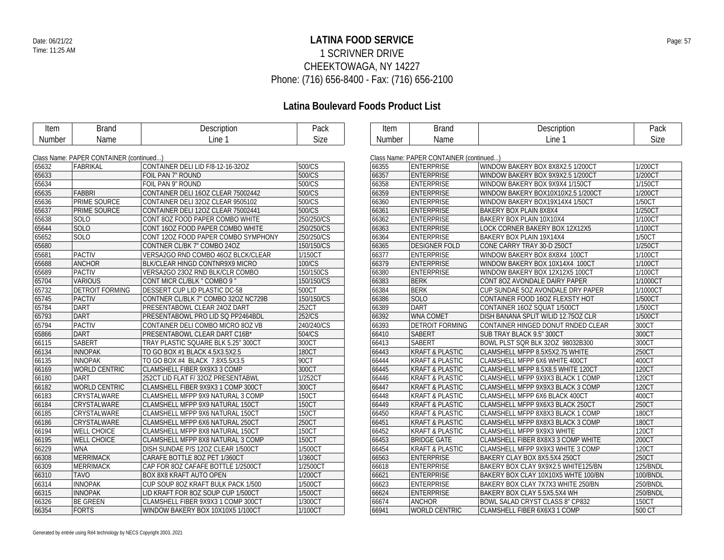### **LATINA FOOD SERVICE** Date: 06/21/22 Page: 57 1 SCRIVNER DRIVE CHEEKTOWAGA, NY 14227 Phone: (716) 656-8400 - Fax: (716) 656-2100

| Item   | <b>Brand</b>                            | Description                         | Pack         | Item   | <b>Brand</b>                            | Description                            | Pack         |
|--------|-----------------------------------------|-------------------------------------|--------------|--------|-----------------------------------------|----------------------------------------|--------------|
| Number | Name                                    | Line 1                              | <b>Size</b>  | Number | Name                                    | Line 1                                 | Size         |
|        |                                         |                                     |              |        |                                         |                                        |              |
|        | Class Name: PAPER CONTAINER (continued) |                                     |              |        | Class Name: PAPER CONTAINER (continued) |                                        |              |
| 65632  | FABRIKAL                                | CONTAINER DELI LID F/8-12-16-32OZ   | 500/CS       | 66355  | <b>ENTERPRISE</b>                       | WINDOW BAKERY BOX 8X8X2.5 1/200CT      | 1/200CT      |
| 65633  |                                         | FOIL PAN 7" ROUND                   | 500/CS       | 66357  | <b>ENTERPRISE</b>                       | WINDOW BAKERY BOX 9X9X2.5 1/200CT      | 1/200CT      |
| 65634  |                                         | FOIL PAN 9" ROUND                   | 500/CS       | 66358  | <b>ENTERPRISE</b>                       | WINDOW BAKERY BOX 9X9X4 1/150CT        | 1/150CT      |
| 65635  | <b>FABBRI</b>                           | CONTAINER DELI 16OZ CLEAR 75002442  | 500/CS       | 66359  | <b>ENTERPRISE</b>                       | WINDOW BAKERY BOX10X10X2.5 1/200CT     | 1/200CT      |
| 65636  | <b>PRIME SOURCE</b>                     | CONTAINER DELI 32OZ CLEAR 9505102   | 500/CS       | 66360  | <b>ENTERPRISE</b>                       | WINDOW BAKERY BOX19X14X4 1/50CT        | 1/50CT       |
| 65637  | PRIME SOURCE                            | CONTAINER DELI 120Z CLEAR 75002441  | 500/CS       | 66361  | <b>ENTERPRISE</b>                       | BAKERY BOX PLAIN 8X8X4                 | 1/250CT      |
| 65638  | <b>SOLO</b>                             | CONT 80Z FOOD PAPER COMBO WHITE     | 250/250/CS   | 66362  | <b>ENTERPRISE</b>                       | BAKERY BOX PLAIN 10X10X4               | 1/100CT      |
| 65644  | SOLO                                    | CONT 160Z FOOD PAPER COMBO WHITE    | 250/250/CS   | 66363  | <b>ENTERPRISE</b>                       | LOCK CORNER BAKERY BOX 12X12X5         | 1/100CT      |
| 65652  | SOLO                                    | CONT 120Z FOOD PAPER COMBO SYMPHONY | 250/250/CS   | 66364  | <b>ENTERPRISE</b>                       | BAKERY BOX PLAIN 19X14X4               | 1/50CT       |
| 65680  |                                         | CONTNER CL/BK 7" COMBO 24OZ         | 150/150/CS   | 66365  | <b>DESIGNER FOLD</b>                    | CONE CARRY TRAY 30-D 250CT             | 1/250CT      |
| 65681  | <b>PACTIV</b>                           | VERSA2GO RND COMBO 46OZ BLCK/CLEAR  | 1/150CT      | 66377  | <b>ENTERPRISE</b>                       | WINDOW BAKERY BOX 8X8X4 100CT          | 1/100CT      |
| 65688  | <b>ANCHOR</b>                           | BLK/CLEAR HINGD CONTNR9X9 MICRO     | 100/CS       | 66379  | <b>ENTERPRISE</b>                       | WINDOW BAKERY BOX 10X14X4 100CT        | 1/100CT      |
| 65689  | <b>PACTIV</b>                           | VERSA2GO 230Z RND BLK/CLR COMBO     | 150/150CS    | 66380  | <b>ENTERPRISE</b>                       | WINDOW BAKERY BOX 12X12X5 100CT        | 1/100CT      |
| 65704  | <b>VARIOUS</b>                          | CONT MICR CL/BLK " COMBO 9 '        | 150/150/CS   | 66383  | <b>BERK</b>                             | CONT 80Z AVONDALE DAIRY PAPER          | 1/1000CT     |
| 65732  | <b>DETROIT FORMING</b>                  | DESSERT CUP LID PLASTIC DC-58       | 500CT        | 66384  | <b>BERK</b>                             | CUP SUNDAE 50Z AVONDALE DRY PAPER      | 1/1000CT     |
| 65745  | <b>PACTIV</b>                           | CONTNER CL/BLK 7" COMBO 320Z NC729B | 150/150/CS   | 66386  | SOLO                                    | CONTAINER FOOD 160Z FLEXSTY HOT        | 1/500CT      |
| 65784  | <b>DART</b>                             | PRESENTABOWL CLEAR 24OZ DART        | 252CT        | 66389  | <b>DART</b>                             | CONTAINER 16OZ SQUAT 1/500CT           | 1/500CT      |
| 65793  | DART                                    | PRESENTABOWL PRO LID SQ PP2464BDL   | 252/CS       | 66392  | <b>WNA COMET</b>                        | DISH BANANA SPLIT W/LID 12.750Z CLR    | 1/500CT      |
| 65794  | <b>PACTIV</b>                           | CONTAINER DELI COMBO MICRO 80Z VB   | 240/240/CS   | 66393  | <b>DETROIT FORMING</b>                  | CONTAINER HINGED DONUT RNDED CLEAR     | 300CT        |
| 65866  | DART                                    | PRESENTABOWL CLEAR DART C16B*       | 504/CS       | 66410  | <b>SABERT</b>                           | SUB TRAY BLACK 9.5" 300CT              | 300CT        |
| 66115  | <b>SABERT</b>                           | TRAY PLASTIC SQUARE BLK 5.25" 300CT | 300CT        | 66413  | <b>SABERT</b>                           | BOWL PLST SQR BLK 32OZ 98032B300       | 300CT        |
| 66134  | <b>INNOPAK</b>                          | TO GO BOX #1 BLACK 4.5X3.5X2.5      | <b>180CT</b> | 66443  | <b>KRAFT &amp; PLASTIC</b>              | CLAMSHELL MFPP 8.5X5X2.75 WHITE        | 250CT        |
| 66135  | <b>INNOPAK</b>                          | TO GO BOX #4 BLACK 7.8X5.5X3.5      | 90CT         | 66444  | <b>KRAFT &amp; PLASTIC</b>              | CLAMSHELL MFPP 6X6 WHITE 400CT         | 400CT        |
| 66169  | <b>WORLD CENTRIC</b>                    | CLAMSHELL FIBER 9X9X3 3 COMP        | 300CT        | 66445  | <b>KRAFT &amp; PLASTIC</b>              | CLAMSHELL MFPP 8.5X8.5 WHITE 120CT     | 120CT        |
| 66180  | <b>DART</b>                             | 252CT LID FLAT F/32OZ PRESENTABWL   | 1/252CT      | 66446  | <b>KRAFT &amp; PLASTIC</b>              | CLAMSHELL MFPP 9X9X3 BLACK 1 COMP      | 120CT        |
| 66182  | <b>WORLD CENTRIC</b>                    | CLAMSHELL FIBER 9X9X3 1 COMP 300CT  | 300CT        | 66447  | <b>KRAFT &amp; PLASTIC</b>              | CLAMSHELL MFPP 9X9X3 BLACK 3 COMP      | 120CT        |
| 66183  | CRYSTALWARE                             | CLAMSHELL MFPP 9X9 NATURAL 3 COMP   | <b>150CT</b> | 66448  | <b>KRAFT &amp; PLASTIC</b>              | CLAMSHELL MFPP 6X6 BLACK 400CT         | 400CT        |
| 66184  | CRYSTALWARE                             | CLAMSHELL MFPP 9X9 NATURAL 150CT    | <b>150CT</b> | 66449  | <b>KRAFT &amp; PLASTIC</b>              | CLAMSHELL MFPP 9X6X3 BLACK 250CT       | 250CT        |
| 66185  | CRYSTALWARE                             | CLAMSHELL MFPP 9X6 NATURAL 150CT    | 150CT        | 66450  | <b>KRAFT &amp; PLASTIC</b>              | CLAMSHELL MFPP 8X8X3 BLACK 1 COMP      | <b>180CT</b> |
| 66186  | CRYSTALWARE                             | CLAMSHELL MFPP 6X6 NATURAL 250CT    | 250CT        | 66451  | <b>KRAFT &amp; PLASTIC</b>              | CLAMSHELL MFPP 8X8X3 BLACK 3 COMP      | <b>180CT</b> |
| 66194  | <b>WELL CHOICE</b>                      | CLAMSHELL MFPP 8X8 NATURAL 150CT    | <b>150CT</b> | 66452  | <b>KRAFT &amp; PLASTIC</b>              | CLAMSHELL MFPP 9X9X3 WHITE             | 120CT        |
| 66195  | <b>WELL CHOICE</b>                      | CLAMSHELL MFPP 8X8 NATURAL 3 COMP   | <b>150CT</b> | 66453  | <b>BRIDGE GATE</b>                      | CLAMSHELL FIBER 8X8X3 3 COMP WHITE     | 200CT        |
| 66229  | <b>WNA</b>                              | DISH SUNDAE P/S 12OZ CLEAR 1/500CT  | 1/500CT      | 66454  | <b>KRAFT &amp; PLASTIC</b>              | CLAMSHELL MFPP 9X9X3 WHITE 3 COMP      | 120CT        |
| 66308  | <b>MERRIMACK</b>                        | CARAFE BOTTLE 80Z PET 1/360CT       | 1/360CT      | 66563  | <b>ENTERPRISE</b>                       | BAKERY CLAY BOX 8X5.5X4 250CT          | 250CT        |
| 66309  | <b>MERRIMACK</b>                        | CAP FOR 80Z CAFAFE BOTTLE 1/2500CT  | 1/2500CT     | 66618  | <b>ENTERPRISE</b>                       | BAKERY BOX CLAY 9X9X2.5 WHITE125/BN    | 125/BNDL     |
| 66310  | <b>TAVO</b>                             | BOX 8X8 KRAFT AUTO OPEN             | 1/200CT      | 66621  | <b>ENTERPRISE</b>                       | BAKERY BOX CLAY 10X10X5 WHTE 100/BN    | 100/BNDL     |
| 66314  | <b>INNOPAK</b>                          | CUP SOUP 80Z KRAFT BULK PACK 1/500  | 1/500CT      | 66623  | <b>ENTERPRISE</b>                       | BAKERY BOX CLAY 7X7X3 WHITE 250/BN     | 250/BNDL     |
| 66315  | <b>INNOPAK</b>                          | LID KRAFT FOR 80Z SOUP CUP 1/500CT  | 1/500CT      | 66624  | <b>ENTERPRISE</b>                       | BAKERY BOX CLAY 5.5X5.5X4 WH           | 250/BNDL     |
| 66326  | <b>BE GREEN</b>                         | CLAMSHELL FIBER 9X9X3 1 COMP 300CT  | 1/300CT      | 66674  | <b>ANCHOR</b>                           | <b>BOWL SALAD CRYST CLASS 8" CP832</b> | 150CT        |
| 66354  | <b>FORTS</b>                            | WINDOW BAKERY BOX 10X10X5 1/100CT   | 1/100CT      | 66941  | <b>WORLD CENTRIC</b>                    | CLAMSHELL FIBER 6X6X3 1 COMP           | 500 CT       |
|        |                                         |                                     |              |        |                                         |                                        |              |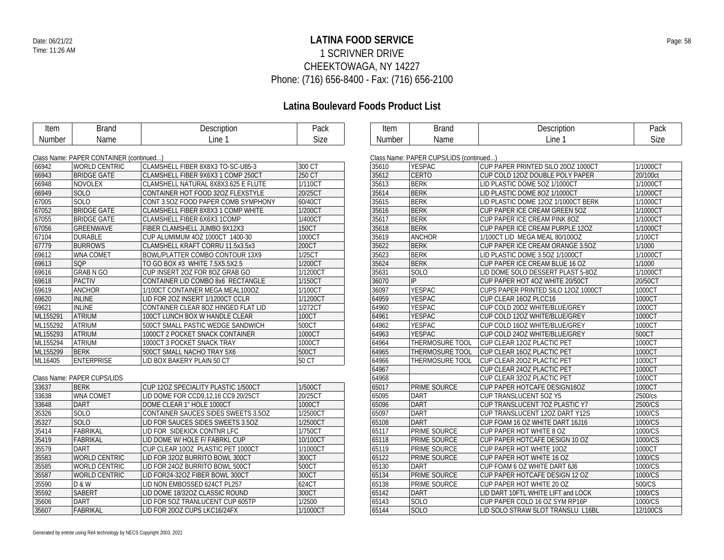### **LATINA FOOD SERVICE** Date: 06/21/22 Page: 58 1 SCRIVNER DRIVE CHEEKTOWAGA, NY 14227 Phone: (716) 656-8400 - Fax: (716) 656-2100

# **Latina Boulevard Foods Product List**

Class Name: DADED CUDS/LIDS (continued...)

| Item   | Brand | Description | Pack |
|--------|-------|-------------|------|
| Number | Name  | Line        | Size |

| Item   | Brand | Description | יack |
|--------|-------|-------------|------|
| Number | Name  | ∟ine ∶      | Size |

### Class Name: PAPER CONTAINER (continued...)

| 66942    | <b>WORLD CENTRIC</b> | CLAMSHELL FIBER 8X8X3 TO-SC-U85-3   | 300 CT   |
|----------|----------------------|-------------------------------------|----------|
| 66943    | <b>BRIDGE GATE</b>   | CLAMSHELL FIBER 9X6X3 1 COMP 250CT  | 250 CT   |
| 66948    | <b>NOVOLEX</b>       | CLAMSHELL NATURAL 8X8X3.625 E FLUTE | 1/110CT  |
| 66949    | SOLO                 | CONTAINER HOT FOOD 32OZ FLEXSTYLE   | 20/25CT  |
| 67005    | <b>SOLO</b>          | CONT 3.50Z FOOD PAPER COMB SYMPHONY | 60/40CT  |
| 67052    | <b>BRIDGE GATE</b>   | CLAMSHELL FIBER 8X8X3 1 COMP WHITE  | 1/200CT  |
| 67055    | <b>BRIDGE GATE</b>   | CLAMSHELL FIBER 6X6X3 1COMP         | 1/400CT  |
| 67056    | <b>GREENWAVE</b>     | FIBER CLAMSHELL JUMBO 9X12X3        | 150CT    |
| 67104    | <b>DURABLE</b>       | CUP ALUMIMUM 4OZ 1000CT 1400-30     | 1000CT   |
| 67779    | <b>BURROWS</b>       | CLAMSHELL KRAFT CORRU 11.5x3.5x3    | 200CT    |
| 69612    | <b>WNA COMET</b>     | BOWL/PLATTER COMBO CONTOUR 13X9     | 1/25CT   |
| 69613    | <b>SQP</b>           | TO GO BOX #3 WHITE 7.5X5.5X2.5      | 1/200CT  |
| 69616    | <b>GRAB N GO</b>     | CUP INSERT 20Z FOR 80Z GRAB GO      | 1/1200CT |
| 69618    | <b>PACTIV</b>        | CONTAINER LID COMBO 8x6 RECTANGLE   | 1/150CT  |
| 69619    | <b>ANCHOR</b>        | 1/100CT CONTAINER MEGA MEAL100OZ    | 1/100CT  |
| 69620    | <b>INLINE</b>        | LID FOR 20Z INSERT 1/1200CT CCLR    | 1/1200CT |
| 69621    | <b>INLINE</b>        | CONTAINER CLEAR 80Z HINGED FLAT LID | 1/272CT  |
| ML155291 | <b>ATRIUM</b>        | 100CT LUNCH BOX W HANDLE CLEAR      | 100CT    |
| ML155292 | <b>ATRIUM</b>        | 500CT SMALL PASTIC WEDGE SANDWICH   | 500CT    |
| ML155293 | <b>ATRIUM</b>        | 1000CT 2 POCKET SNACK CONTAINER     | 1000CT   |
| ML155294 | <b>ATRIUM</b>        | 1000CT 3 POCKET SNACK TRAY          | 1000CT   |
| ML155299 | <b>BERK</b>          | 500CT SMALL NACHO TRAY 5X6          | 500CT    |
| ML16405  | <b>ENTERPRISE</b>    | LID BOX BAKERY PLAIN 50 CT          | 50 CT    |
|          |                      |                                     |          |

### Class Name: PAPER CUPS/LIDS

| 33637 | <b>BERK</b>          | <b>CUP 120Z SPECIALITY PLASTIC 1/500CT</b> | 1/500CT  |
|-------|----------------------|--------------------------------------------|----------|
| 33638 | <b>WNA COMET</b>     | LID DOME FOR CCD9.12.16 CC9 20/25CT        | 20/25CT  |
| 33648 | DART                 | DOME CLEAR 1" HOLE 1000CT                  | 1000CT   |
| 35326 | <b>SOLO</b>          | CONTAINER SAUCES SIDES SWEETS 3.50Z        | 1/2500CT |
| 35327 | <b>SOLO</b>          | LID FOR SAUCES SIDES SWEETS 3.50Z          | 1/2500CT |
| 35414 | <b>FABRIKAL</b>      | LID FOR SIDEKICK CONTNR LFC                | 1/750CT  |
| 35419 | FABRIKAL             | LID DOME W/ HOLE F/ FABRKL CUP             | 10/100CT |
| 35579 | DART                 | CUP CLEAR 100Z PLASTIC PET 1000CT          | 1/1000CT |
| 35583 | <b>WORLD CENTRIC</b> | LID FOR 320Z BURRITO BOWL 300CT            | 300CT    |
| 35585 | <b>WORLD CENTRIC</b> | LID FOR 240Z BURRITO BOWL 500CT            | 500CT    |
| 35587 | <b>WORLD CENTRIC</b> | LID FOR24-32OZ FIBER BOWL 300CT            | 300CT    |
| 35590 | D & W                | LID NON EMBOSSED 624CT PL257               | 624CT    |
| 35592 | <b>SABERT</b>        | LID DOME 18/320Z CLASSIC ROUND             | 300CT    |
| 35606 | DART                 | LID FOR 50Z TRANLUCENT CUP 605TP           | 1/2500   |
| 35607 | <b>FABRIKAL</b>      | LID FOR 200Z CUPS LKC16/24FX               | 1/1000CT |

| CUP PAPER PRINTED SILO 200Z 1000CT  | 1/1000CT                                                                                                                                                                                             |
|-------------------------------------|------------------------------------------------------------------------------------------------------------------------------------------------------------------------------------------------------|
| CUP COLD 120Z DOUBLE POLY PAPER     | 20/100ct                                                                                                                                                                                             |
| LID PLASTIC DOME 50Z 1/1000CT       | 1/1000CT                                                                                                                                                                                             |
| LID PLASTIC DOME 80Z 1/1000CT       | 1/1000CT                                                                                                                                                                                             |
| LID PLASTIC DOME 120Z 1/1000CT BERK | 1/1000CT                                                                                                                                                                                             |
| CUP PAPER ICE CREAM GREEN 50Z       | 1/1000CT                                                                                                                                                                                             |
| CUP PAPER ICE CREAM PINK 80Z        | 1/1000CT                                                                                                                                                                                             |
| CUP PAPER ICE CREAM PURPLE 120Z     | 1/1000CT                                                                                                                                                                                             |
| 1/100CT LID MEGA MEAL 80/100OZ      | 1/100CT                                                                                                                                                                                              |
| CUP PAPER ICE CREAM ORANGE 3.50Z    | 1/1000                                                                                                                                                                                               |
| LID PLASTIC DOME 3.50Z 1/1000CT     | 1/1000CT                                                                                                                                                                                             |
| CUP PAPER ICE CREAM BLUE 16 OZ      | 1/1000                                                                                                                                                                                               |
| LID DOME SOLO DESSERT PLAST 5-80Z   | 1/1000CT                                                                                                                                                                                             |
| CUP PAPER HOT 4OZ WHITE 20/50CT     | 20/50CT                                                                                                                                                                                              |
| CUPS PAPER PRINTED SILO 120Z 1000CT | 1000CT                                                                                                                                                                                               |
| CUP CLEAR 160Z PLCC16               | 1000CT                                                                                                                                                                                               |
| CUP COLD 200Z WHITE/BLUE/GREY       | 1000CT                                                                                                                                                                                               |
| CUP COLD 120Z WHITE/BLUE/GREY       | 1000CT                                                                                                                                                                                               |
| CUP COLD 16OZ WHITE/BLUE/GREY       | 1000CT                                                                                                                                                                                               |
| CUP COLD 24OZ WHITE/BLUE/GREY       | 500CT                                                                                                                                                                                                |
| CUP CLEAR 120Z PLACTIC PET          | 1000CT                                                                                                                                                                                               |
| CUP CLEAR 160Z PLACTIC PET          | 1000CT                                                                                                                                                                                               |
| CUP CLEAR 200Z PLACTIC PET          | 1000CT                                                                                                                                                                                               |
| CUP CLEAR 240Z PLACTIC PET          | 1000CT                                                                                                                                                                                               |
|                                     | 1000CT                                                                                                                                                                                               |
| CUP PAPER HOTCAFE DESIGN16OZ        | 1000CT                                                                                                                                                                                               |
| CUP TRANSLUCENT 50Z Y5              | 2500/cs                                                                                                                                                                                              |
| CUP TRANSLUCENT 70Z PLASTIC Y7      | 2500/CS                                                                                                                                                                                              |
| CUP TRANSLUCENT 120Z DART Y12S      | 1000/CS                                                                                                                                                                                              |
| CUP FOAM 16 OZ WHITE DART 16J16     | 1000/CS                                                                                                                                                                                              |
| <b>CUP PAPER HOT WHITE 8 OZ</b>     | 1000/CS                                                                                                                                                                                              |
|                                     | 1000/CS                                                                                                                                                                                              |
|                                     | 1000CT                                                                                                                                                                                               |
| CUP PAPER HOT WHITE 16 OZ           | 1000/CS                                                                                                                                                                                              |
| CUP FOAM 6 OZ WHITE DART 6J6        | 1000/CS                                                                                                                                                                                              |
| CUP PAPER HOTCAFE DESIGN 12 OZ      | 1000/CS                                                                                                                                                                                              |
| CUP PAPER HOT WHITE 20 OZ           | 500/CS                                                                                                                                                                                               |
| LID DART 10FTL WHITE LIFT and LOCK  | 1000/CS                                                                                                                                                                                              |
| CUP PAPER COLD 16 OZ SYM RP16P      | 1000/CS                                                                                                                                                                                              |
| LID SOLO STRAW SLOT TRANSLU L16BL   | 12/100CS                                                                                                                                                                                             |
|                                     | GRAS MANIE: PAPER GOPS/LIDS (CONNIGUAL).<br>THERMOSURE TOOL<br>THERMOSURE TOOL<br><b>THERMOSURE TOOL</b><br>CUP CLEAR 320Z PLACTIC PET<br>CUP PAPER HOTCAFE DESIGN 10 OZ<br>CUP PAPER HOT WHITE 10OZ |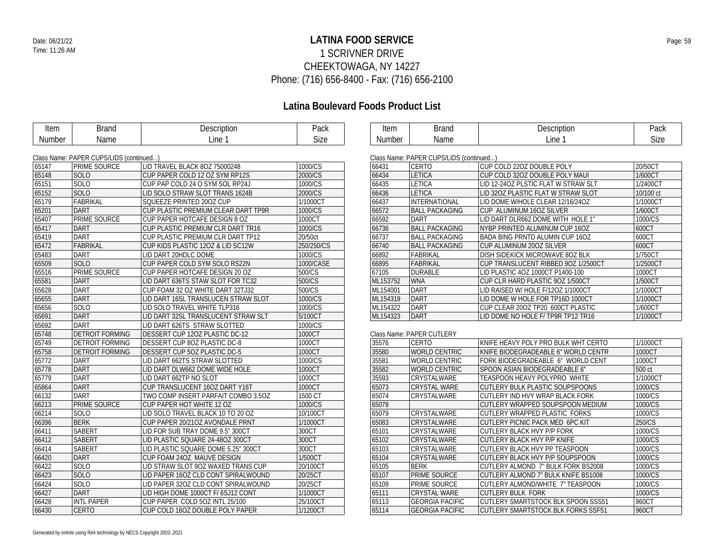### **LATINA FOOD SERVICE** Date: 06/21/22 Page: 59 1 SCRIVNER DRIVE CHEEKTOWAGA, NY 14227 Phone: (716) 656-8400 - Fax: (716) 656-2100

| Item   | <b>Brand</b>                            | Description                         | Pack       | Item     | <b>Brand</b>                            | Description                               | Pack      |
|--------|-----------------------------------------|-------------------------------------|------------|----------|-----------------------------------------|-------------------------------------------|-----------|
| Number | Name                                    | Line 1                              | Size       | Number   | Name                                    | Line 1                                    | Size      |
|        |                                         |                                     |            |          |                                         |                                           |           |
|        | Class Name: PAPER CUPS/LIDS (continued) |                                     |            |          | Class Name: PAPER CUPS/LIDS (continued) |                                           |           |
| 65147  | PRIME SOURCE                            | LID TRAVEL BLACK 8OZ 75000248       | 1000/CS    | 66431    | <b>CERTO</b>                            | CUP COLD 220Z DOUBLE POLY                 | 20/50CT   |
| 65148  | <b>SOLO</b>                             | CUP PAPER COLD 12 OZ SYM RP12S      | 2000/CS    | 66434    | <b>LETICA</b>                           | CUP COLD 32OZ DOUBLE POLY MAUI            | 1/600CT   |
| 65151  | SOLO                                    | CUP PAP COLD 24 O SYM SOL RP24J     | 1000/CS    | 66435    | LETICA                                  | LID 12-240Z PLSTIC FLAT W STRAW SLT       | 1/2400CT  |
| 65152  | <b>SOLO</b>                             | LID SOLO STRAW SLOT TRANS 1624B     | 2000/CS    | 66436    | <b>LETICA</b>                           | LID 320Z PLASTIC FLAT W STRAW SLOT        | 10/100 ct |
| 65179  | FABRIKAL                                | SQUEEZE PRINTED 200Z CUP            | 1/1000CT   | 66437    | INTERNATIONAL                           | LID DOME W/HOLE CLEAR 12/16/24OZ          | 1/1000CT  |
| 65201  | <b>DART</b>                             | CUP PLASTIC PREMIUM CLEAR DART TP9R | 1000/CS    | 66572    | <b>BALL PACKAGING</b>                   | CUP ALUMINUM 16OZ SILVER                  | 1/600CT   |
| 65407  | PRIME SOURCE                            | CUP PAPER HOTCAFE DESIGN 8 OZ       | 1000CT     | 66592    | DART                                    | LID DART DLR662 DOME WITH HOLE 1"         | 1000/CS   |
| 65417  | <b>DART</b>                             | CUP PLASTIC PREMIUM CLR DART TR16   | 1000/CS    | 66736    | <b>BALL PACKAGING</b>                   | NYBP PRINTED ALUMINUM CUP 16OZ            | 600CT     |
| 65419  | <b>DART</b>                             | CUP PLASTIC PREMIUM CLR DART TP12   | 20/50ct    | 66737    | <b>BALL PACKAGING</b>                   | <b>BADA BING PRNTD ALUMIN CUP 160Z</b>    | 600CT     |
| 65472  | <b>FABRIKAL</b>                         | CUP KIDS PLASTIC 120Z & LID SC12W   | 250/250/CS | 66740    | <b>BALL PACKAGING</b>                   | CUP ALUMINUM 200Z SILVER                  | 600CT     |
| 65483  | <b>DART</b>                             | LID DART 20HDLC DOME                | 1000/CS    | 66892    | FABRIKAL                                | <b>DISH SIDEKICK MICROWAVE 80Z BLK</b>    | 1/750CT   |
| 65509  | <b>SOLO</b>                             | CUP PAPER COLD SYM SOLO RS22N       | 1000/CASE  | 66895    | <b>FABRIKAL</b>                         | CUP TRANSLUCENT RIBBED 90Z 1/2500CT       | 1/2500CT  |
| 65516  | PRIME SOURCE                            | CUP PAPER HOTCAFE DESIGN 20 OZ      | 500/CS     | 67105    | <b>DURABLE</b>                          | LID PLASTIC 4OZ 1000CT P1400-100          | 1000CT    |
| 65581  | <b>DART</b>                             | LID DART 636TS STAW SLOT FOR TC32   | 500/CS     | ML153752 | <b>WNA</b>                              | CUP CLR HARD PLASTIC 90Z 1/500CT          | 1/500CT   |
| 65628  | <b>DART</b>                             | CUP FOAM 32 OZ WHITE DART 32TJ32    | 500/CS     | ML154001 | DART                                    | LID RAISED W/ HOLE F/12OZ 1/1000CT        | 1/1000CT  |
| 65655  | <b>DART</b>                             | LID DART 16SL TRANSLUCEN STRAW SLOT | 1000/CS    | ML154319 | DART                                    | LID DOME W HOLE FOR TP16D 1000CT          | 1/1000CT  |
| 65656  | SOLO                                    | LID SOLO TRAVEL WHITE TLP316        | 1000/CS    | ML154322 | DART                                    | CUP CLEAR 200Z TP20 600CT PLASTIC         | 1/600CT   |
| 65691  | <b>DART</b>                             | LID DART 32SL TRANSLUCENT STRAW SLT | 5/100CT    | ML154323 | DART                                    | LID DOME NO HOLE F/ TP9R TP12 TR16        | 1/1000CT  |
| 65692  | <b>DART</b>                             | LID DART 626TS STRAW SLOTTED        | 1000/CS    |          |                                         |                                           |           |
| 65748  | DETROIT FORMING                         | DESSERT CUP 120Z PLASTIC DC-12      | 1000CT     |          | Class Name: PAPER CUTLERY               |                                           |           |
| 65749  | <b>DETROIT FORMING</b>                  | <b>DESSERT CUP 80Z PLASTIC DC-8</b> | 1000CT     | 35576    | <b>CERTO</b>                            | KNIFE HEAVY POLY PRO BULK WHT CERTO       | 1/1000CT  |
| 65758  | <b>DETROIT FORMING</b>                  | DESSERT CUP 50Z PLASTIC DC-5        | 1000CT     | 35580    | <b>WORLD CENTRIC</b>                    | KNIFE BIODEGRADEABLE 6" WORLD CENTR       | 1000CT    |
| 65772  | <b>DART</b>                             | LID DART 662TS STRAW SLOTTED        | 1000/CS    | 35581    | <b>WORLD CENTRIC</b>                    | FORK BIODEGRADEABLE 6" WORLD CENT         | 1000CT    |
| 65778  | <b>DART</b>                             | LID DART DLW662 DOME WIDE HOLE      | 1000CT     | 35582    | <b>WORLD CENTRIC</b>                    | SPOON ASIAN BIODEGRADEABLE 6"             | 500 ct    |
| 65779  | <b>DART</b>                             | LID DART 662TP NO SLOT              | 1000CT     | 35593    | CRYSTALWARE                             | TEASPOON HEAVY POLYPRO WHITE              | 1/1000CT  |
| 65864  | DART                                    | CUP TRANSLUCENT 160Z DART Y16T      | 1000CT     | 65073    | <b>CRYSTAL WARE</b>                     | <b>CUTLERY BULK PLASTIC SOUPSPOONS</b>    | 1000/CS   |
| 66132  | <b>DART</b>                             | TWO COMP INSERT PARFAIT COMBO 3.5OZ | 1500 CT    | 65074    | CRYSTALWARE                             | CUTLERY IND HVY WRAP BLACK FORK           | 1000/CS   |
| 66213  | PRIME SOURCE                            | CUP PAPER HOT WHITE 12 OZ           | 1000/CS    | 65078    |                                         | CUTLERY WRAPPED SOUPSPOON MEDIUM          | 1000/CS   |
| 66214  | <b>SOLO</b>                             | LID SOLO TRAVEL BLACK 10 TO 20 OZ   | 10/100CT   | 65079    | CRYSTALWARE                             | CUTLERY WRAPPED PLASTIC FORKS             | 1000/CS   |
| 66396  | <b>BERK</b>                             | CUP PAPER 20/210Z AVONDALE PRNT     | 1/1000CT   | 65083    | CRYSTALWARE                             | CUTLERY PICNIC PACK MED 6PC KIT           | 250/CS    |
| 66411  | <b>SABERT</b>                           | LID FOR SUB TRAY DOME 9.5" 300CT    | 300CT      | 65101    | CRYSTALWARE                             | <b>CUTLERY BLACK HVY P/P FORK</b>         | 1000/CS   |
| 66412  | <b>SABERT</b>                           | LID PLASTIC SQUARE 24-480Z 300CT    | 300CT      | 65102    | CRYSTALWARE                             | <b>CUTLERY BLACK HVY P/P KNIFE</b>        | 1000/CS   |
| 66414  | <b>SABERT</b>                           | LID PLASTIC SQUARE DOME 5.25" 300CT | 300CT      | 65103    | CRYSTALWARE                             | <b>CUTLERY BLACK HVY PP TEASPOON</b>      | 1000/CS   |
| 66420  | DART                                    | CUP FOAM 24OZ MAUVE DESIGN          | 1/500CT    | 65104    | CRYSTALWARE                             | CUTLERY BLACK HVY P/P SOUPSPOON           | 1000/CS   |
| 66422  | SOLO                                    | LID STRAW SLOT 90Z WAXED TRANS CUP  | 20/100CT   | 65105    | <b>BERK</b>                             | CUTLERY ALMOND 7" BULK FORK BS2008        | 1000/CS   |
| 66423  | <b>SOLO</b>                             | LID PAPER 160Z CLD CONT SPIRALWOUND | 20/25CT    | 65107    | <b>PRIME SOURCE</b>                     | CUTLERY ALMOND 7" BULK KNIFE BS1008       | 1000/CS   |
| 66424  | SOLO                                    | LID PAPER 320Z CLD CONT SPIRALWOUND | 20/25CT    | 65109    | PRIME SOURCE                            | CUTLERY ALMOND/WHITE 7" TEASPOON          | 1000/CS   |
| 66427  | <b>DART</b>                             | LID HIGH DOME 1000CT F/ 6SJ12 CONT  | 1/1000CT   | 65111    | <b>CRYSTAL WARE</b>                     | <b>CUTLERY BULK FORK</b>                  | 1000/CS   |
| 66428  | <b>INTL PAPER</b>                       | CUP PAPER COLD 50Z INTL 25/100      | 25/100CT   | 65113    | <b>GEORGIA PACIFIC</b>                  | CUTLERY SMARTSTOCK BLK SPOON SSS51        | 960CT     |
| 66430  | <b>CERTO</b>                            | CUP COLD 160Z DOUBLE POLY PAPER     | 1/1200CT   | 65114    | <b>GEORGIA PACIFIC</b>                  | <b>CUTLERY SMARTSTOCK BLK FORKS SSF51</b> | 960CT     |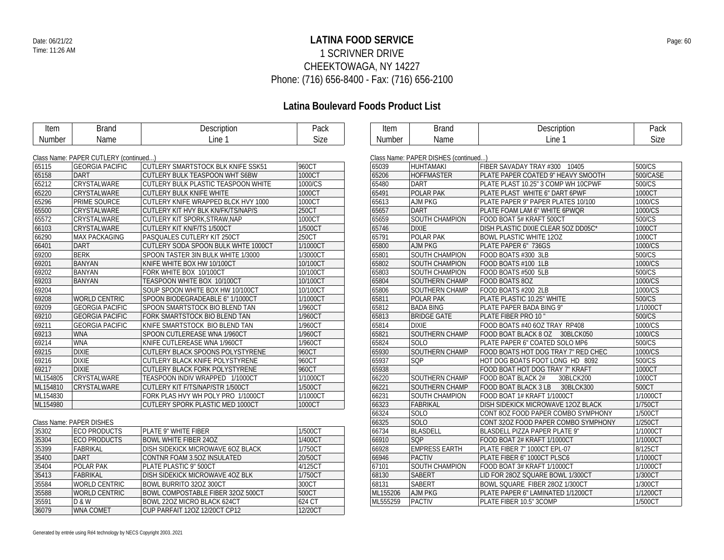### **LATINA FOOD SERVICE** Date: 06/21/22 Page: 60 1 SCRIVNER DRIVE CHEEKTOWAGA, NY 14227 Phone: (716) 656-8400 - Fax: (716) 656-2100

| Item     | <b>Brand</b>                          | Description                               | Pack        | Item     | <b>Brand</b>                         | Description                         | Pack     |
|----------|---------------------------------------|-------------------------------------------|-------------|----------|--------------------------------------|-------------------------------------|----------|
| Number   | Name                                  | Line 1                                    | <b>Size</b> | Number   | Name                                 | Line 1                              | Size     |
|          |                                       |                                           |             |          |                                      |                                     |          |
|          | Class Name: PAPER CUTLERY (continued) |                                           |             |          | Class Name: PAPER DISHES (continued) |                                     |          |
| 65115    | <b>GEORGIA PACIFIC</b>                | <b>CUTLERY SMARTSTOCK BLK KNIFE SSK51</b> | 960CT       | 65039    | <b>HUHTAMAKI</b>                     | FIBER SAVADAY TRAY #300 10405       | 500/CS   |
| 65158    | DART                                  | <b>CUTLERY BULK TEASPOON WHT S6BW</b>     | 1000CT      | 65206    | HOFFMASTER                           | PLATE PAPER COATED 9" HEAVY SMOOTH  | 500/CASE |
| 65212    | CRYSTALWARE                           | CUTLERY BULK PLASTIC TEASPOON WHITE       | 1000/CS     | 65480    | <b>DART</b>                          | PLATE PLAST 10.25" 3 COMP WH 10CPWF | 500/CS   |
| 65220    | CRYSTALWARE                           | <b>CUTLERY BULK KNIFE WHITE</b>           | 1000CT      | 65491    | <b>POLAR PAK</b>                     | PLATE PLAST WHITE 6" DART 6PWF      | 1000CT   |
| 65296    | PRIME SOURCE                          | CUTLERY KNIFE WRAPPED BLCK HVY 1000       | 1000CT      | 65613    | AJM PKG                              | PLATE PAPER 9" PAPER PLATES 10/100  | 1000/CS  |
| 65500    | CRYSTALWARE                           | CUTLERY KIT HVY BLK KN/FK/TS/NAP/S        | 250CT       | 65657    | <b>DART</b>                          | PLATE FOAM LAM 6" WHITE 6PWQR       | 1000/CS  |
| 65572    | <b>CRYSTALWARE</b>                    | CUTLERY KIT SPORK, STRAW, NAP             | 1000CT      | 65659    | SOUTH CHAMPION                       | FOOD BOAT 5# KRAFT 500CT            | 500/CS   |
| 66103    | CRYSTALWARE                           | CUTLERY KIT KN/F/TS 1/500CT               | 1/500CT     | 65746    | <b>DIXIE</b>                         | DISH PLASTIC DIXIE CLEAR 50Z DD05C* | 1000CT   |
| 66290    | <b>MAX PACKAGING</b>                  | PASQUALES CUTLERY KIT 250CT               | 250CT       | 65791    | <b>POLAR PAK</b>                     | <b>BOWL PLASTIC WHITE 120Z</b>      | 1000CT   |
| 66401    | <b>DART</b>                           | CUTLERY SODA SPOON BULK WHTE 1000CT       | 1/1000CT    | 65800    | <b>AJM PKG</b>                       | PLATE PAPER 6" 736GS                | 1000/CS  |
| 69200    | <b>BERK</b>                           | SPOON TASTER 3IN BULK WHITE 1/3000        | 1/3000CT    | 65801    | SOUTH CHAMPION                       | FOOD BOATS #300 3LB                 | 500/CS   |
| 69201    | <b>BANYAN</b>                         | KNIFE WHITE BOX HW 10/100CT               | 10/100CT    | 65802    | <b>SOUTH CHAMPION</b>                | FOOD BOATS #100 1LB                 | 1000/CS  |
| 69202    | <b>BANYAN</b>                         | FORK WHITE BOX 10/100CT                   | 10/100CT    | 65803    | <b>SOUTH CHAMPION</b>                | FOOD BOATS #500 5LB                 | 500/CS   |
| 69203    | <b>BANYAN</b>                         | TEASPOON WHITE BOX 10/100CT               | 10/100CT    | 65804    | SOUTHERN CHAMP                       | FOOD BOATS 80Z                      | 1000/CS  |
| 69204    |                                       | SOUP SPOON WHITE BOX HW 10/100CT          | 10/100CT    | 65806    | SOUTHERN CHAMP                       | FOOD BOATS #200 2LB                 | 1000/CS  |
| 69208    | WORLD CENTRIC                         | SPOON BIODEGRADEABLE 6" 1/1000CT          | 1/1000CT    | 65811    | <b>POLAR PAK</b>                     | PLATE PLASTIC 10.25" WHITE          | 500/CS   |
| 69209    | <b>GEORGIA PACIFIC</b>                | SPOON SMARTSTOCK BIO BLEND TAN            | 1/960CT     | 65812    | <b>BADA BING</b>                     | PLATE PAPER BADA BING 9"            | 1/1000CT |
| 69210    | <b>GEORGIA PACIFIC</b>                | FORK SMARTSTOCK BIO BLEND TAN             | 1/960CT     | 65813    | <b>BRIDGE GATE</b>                   | PLATE FIBER PRO 10"                 | 500/CS   |
| 69211    | <b>GEORGIA PACIFIC</b>                | KNIFE SMARTSTOCK BIO BLEND TAN            | 1/960CT     | 65814    | <b>DIXIE</b>                         | FOOD BOATS #40 6OZ TRAY RP408       | 1000/CS  |
| 69213    | <b>WNA</b>                            | SPOON CUTLEREASE WNA 1/960CT              | 1/960CT     | 65821    | SOUTHERN CHAMP                       | FOOD BOAT BLACK 8 OZ 30BLCK050      | 1000/CS  |
| 69214    | <b>WNA</b>                            | KNIFE CUTLEREASE WNA 1/960CT              | 1/960CT     | 65824    | <b>SOLO</b>                          | PLATE PAPER 6" COATED SOLO MP6      | 500/CS   |
| 69215    | <b>DIXIE</b>                          | CUTLERY BLACK SPOONS POLYSTYRENE          | 960CT       | 65930    | <b>SOUTHERN CHAMP</b>                | FOOD BOATS HOT DOG TRAY 7" RED CHEC | 1000/CS  |
| 69216    | <b>DIXIE</b>                          | CUTLERY BLACK KNIFE POLYSTYRENE           | 960CT       | 65937    | SQP                                  | HOT DOG BOATS FOOT LONG HD 8092     | 500/CS   |
| 69217    | <b>DIXIE</b>                          | CUTLERY BLACK FORK POLYSTYRENE            | 960CT       | 65938    |                                      | FOOD BOAT HOT DOG TRAY 7" KRAFT     | 1000CT   |
| ML154805 | CRYSTALWARE                           | TEASPOON INDIV WRAPPED 1/1000CT           | 1/1000CT    | 66220    | SOUTHERN CHAMP                       | FOOD BOAT BLACK 2#<br>30BLCK200     | 1000CT   |
| ML154810 | CRYSTALWARE                           | CUTLERY KIT F/TS/NAP/STR 1/500CT          | 1/500CT     | 66221    | SOUTHERN CHAMP                       | FOOD BOAT BLACK 3 LB<br>30BLCK300   | 500CT    |
| ML154830 |                                       | FORK PLAS HVY WH POLY PRO 1/1000CT        | 1/1000CT    | 66231    | SOUTH CHAMPION                       | FOOD BOAT 1# KRAFT 1/1000CT         | 1/1000CT |
| ML154980 |                                       | CUTLERY SPORK PLASTIC MED 1000CT          | 1000CT      | 66323    | <b>FABRIKAL</b>                      | DISH SIDEKICK MICROWAVE 120Z BLACK  | 1/750CT  |
|          |                                       |                                           |             | 66324    | SOLO                                 | CONT 80Z FOOD PAPER COMBO SYMPHONY  | 1/500CT  |
|          | Class Name: PAPER DISHES              |                                           |             | 66325    | <b>SOLO</b>                          | CONT 320Z FOOD PAPER COMBO SYMPHONY | 1/250CT  |
| 35302    | <b>ECO PRODUCTS</b>                   | PLATE 9" WHITE FIBER                      | 1/500CT     | 66734    | <b>BLASDELL</b>                      | BLASDELL PIZZA PAPER PLATE 9"       | 1/1000CT |
| 35304    | <b>ECO PRODUCTS</b>                   | <b>BOWL WHITE FIBER 240Z</b>              | 1/400CT     | 66910    | SQP                                  | FOOD BOAT 2# KRAFT 1/1000CT         | 1/1000CT |
| 35399    | <b>FABRIKAL</b>                       | DISH SIDEKICK MICROWAVE 60Z BLACK         | 1/750CT     | 66928    | <b>EMPRESS EARTH</b>                 | PLATE FIBER 7" 1000CT EPL-07        | 8/125CT  |
| 35400    | DART                                  | CONTNR FOAM 3.5OZ INSULATED               | 20/50CT     | 66946    | <b>PACTIV</b>                        | PLATE FIBER 6" 1000CT PLSC6         | 1/1000CT |
| 35404    | <b>POLAR PAK</b>                      | PLATE PLASTIC 9" 500CT                    | 4/125CT     | 67101    | <b>SOUTH CHAMPION</b>                | FOOD BOAT 3# KRAFT 1/1000CT         | 1/1000CT |
| 35413    | <b>FABRIKAL</b>                       | DISH SIDEKICK MICROWAVE 4OZ BLK           | 1/750CT     | 68130    | <b>SABERT</b>                        | LID FOR 28OZ SQUARE BOWL 1/300CT    | 1/300CT  |
| 35584    | <b>WORLD CENTRIC</b>                  | <b>BOWL BURRITO 32OZ 300CT</b>            | 300CT       | 68131    | <b>SABERT</b>                        | BOWL SQUARE FIBER 280Z 1/300CT      | 1/300CT  |
| 35588    | <b>WORLD CENTRIC</b>                  | BOWL COMPOSTABLE FIBER 32OZ 500CT         | 500CT       | ML155206 | <b>AJM PKG</b>                       | PLATE PAPER 6" LAMINATED 1/1200CT   | 1/1200CT |
| 35591    | D&W                                   | BOWL 220Z MICRO BLACK 624CT               | 624 CT      | ML555259 | <b>PACTIV</b>                        | PLATE FIBER 10.5" 3COMP             | 1/500CT  |
| 36079    | <b>WNA COMET</b>                      | CUP PARFAIT 120Z 12/20CT CP12             | 12/20CT     |          |                                      |                                     |          |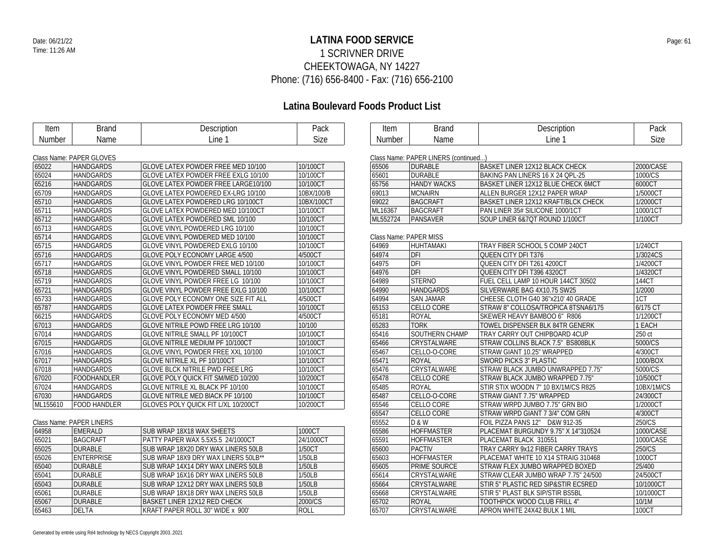### **LATINA FOOD SERVICE** Date: 06/21/22 Page: 61 1 SCRIVNER DRIVE CHEEKTOWAGA, NY 14227 Phone: (716) 656-8400 - Fax: (716) 656-2100

| Item     | <b>Brand</b>             | Description                               | Pack        | Item     | <b>Brand</b>                         | Description                                | Pack       |
|----------|--------------------------|-------------------------------------------|-------------|----------|--------------------------------------|--------------------------------------------|------------|
| Number   | Name                     | Line 1                                    | <b>Size</b> | Number   | Name                                 | Line 1                                     | Size       |
|          |                          |                                           |             |          |                                      |                                            |            |
|          | Class Name: PAPER GLOVES |                                           |             |          | Class Name: PAPER LINERS (continued) |                                            |            |
| 65022    | HANDGARDS                | <b>GLOVE LATEX POWDER FREE MED 10/100</b> | 10/100CT    | 65506    | <b>DURABLE</b>                       | <b>BASKET LINER 12X12 BLACK CHECK</b>      | 2000/CASE  |
| 65024    | HANDGARDS                | GLOVE LATEX POWDER FREE EXLG 10/100       | 10/100CT    | 65601    | <b>DURABLE</b>                       | BAKING PAN LINERS 16 X 24 QPL-25           | 1000/CS    |
| 65216    | HANDGARDS                | GLOVE LATEX POWDER FREE LARGE10/100       | 10/100CT    | 65756    | <b>HANDY WACKS</b>                   | BASKET LINER 12X12 BLUE CHECK 6MCT         | 6000CT     |
| 65709    | <b>HANDGARDS</b>         | GLOVE LATEX POWDERED EX-LRG 10/100        | 10BX/100/B  | 69013    | <b>MCNAIRN</b>                       | ALLEN BURGER 12X12 PAPER WRAP              | 1/5000CT   |
| 65710    | <b>HANDGARDS</b>         | GLOVE LATEX POWDERED LRG 10/100CT         | 10BX/100CT  | 69022    | <b>BAGCRAFT</b>                      | <b>BASKET LINER 12X12 KRAFT/BLCK CHECK</b> | 1/2000CT   |
| 65711    | <b>HANDGARDS</b>         | GLOVE LATEX POWDERED MED 10/100CT         | 10/100CT    | ML16367  | <b>BAGCRAFT</b>                      | PAN LINER 35# SILICONE 1000/1CT            | 1000/1CT   |
| 65712    | <b>HANDGARDS</b>         | GLOVE LATEX POWDERED SML 10/100           | 10/100CT    | ML552724 | <b>PANSAVER</b>                      | SOUP LINER 6&7QT ROUND 1/100CT             | 1/100CT    |
| 65713    | <b>HANDGARDS</b>         | GLOVE VINYL POWDERED LRG 10/100           | 10/100CT    |          |                                      |                                            |            |
| 65714    | <b>HANDGARDS</b>         | GLOVE VINYL POWDERED MED 10/100           | 10/100CT    |          | Class Name: PAPER MISS               |                                            |            |
| 65715    | <b>HANDGARDS</b>         | GLOVE VINYL POWDERED EXLG 10/100          | 10/100CT    | 64969    | HUHTAMAKI                            | TRAY FIBER SCHOOL 5 COMP 240CT             | 1/240CT    |
| 65716    | <b>HANDGARDS</b>         | GLOVE POLY ECONOMY LARGE 4/500            | 4/500CT     | 64974    | DFI                                  | <b>QUEEN CITY DFI T376</b>                 | 1/3024CS   |
| 65717    | <b>HANDGARDS</b>         | GLOVE VINYL POWDER FREE MED 10/100        | 10/100CT    | 64975    | DFI                                  | QUEEN CITY DFI T261 4200CT                 | 1/4200CT   |
| 65718    | <b>HANDGARDS</b>         | GLOVE VINYL POWDERED SMALL 10/100         | 10/100CT    | 64976    | DFI                                  | <b>QUEEN CITY DFI T396 4320CT</b>          | 1/4320CT   |
| 65719    | <b>HANDGARDS</b>         | GLOVE VINYL POWDER FREE LG 10/100         | 10/100CT    | 64989    | <b>STERNO</b>                        | FUEL CELL LAMP 10 HOUR 144CT 30502         | 144CT      |
| 65721    | <b>HANDGARDS</b>         | GLOVE VINYL POWDER FREE EXLG 10/100       | 10/100CT    | 64990    | <b>HANDGARDS</b>                     | SILVERWARE BAG 4X10.75 SW25                | 1/2000     |
| 65733    | <b>HANDGARDS</b>         | GLOVE POLY ECONOMY ONE SIZE FIT ALL       | 4/500CT     | 64994    | <b>SAN JAMAR</b>                     | CHEESE CLOTH G40 36"x210' 40 GRADE         | 1CT        |
| 65787    | <b>HANDGARDS</b>         | <b>GLOVE LATEX POWDER FREE SMALL</b>      | 10/100CT    | 65153    | CELLO CORE                           | STRAW 8" COLLOSA/TROPICA 8TSNA6/175        | 6/175 CT   |
| 66215    | <b>HANDGARDS</b>         | GLOVE POLY ECONOMY MED 4/500              | 4/500CT     | 65181    | <b>ROYAL</b>                         | SKEWER HEAVY BAMBOO 6" R806                | 1/1200CT   |
| 67013    | <b>HANDGARDS</b>         | GLOVE NITRILE POWD FREE LRG 10/100        | 10/100      | 65283    | <b>TORK</b>                          | TOWEL DISPENSER BLK 84TR GENERK            | 1 EACH     |
| 67014    | <b>HANDGARDS</b>         | GLOVE NITRILE SMALL PF 10/100CT           | 10/100CT    | 65416    | <b>SOUTHERN CHAMP</b>                | TRAY CARRY OUT CHIPBOARD 4CUP              | 250 ct     |
| 67015    | <b>HANDGARDS</b>         | GLOVE NITRILE MEDIUM PF 10/100CT          | 10/100CT    | 65466    | <b>CRYSTALWARE</b>                   | STRAW COLLINS BLACK 7.5" BS808BLK          | 5000/CS    |
| 67016    | <b>HANDGARDS</b>         | GLOVE VINYL POWDER FREE XXL 10/100        | 10/100CT    | 65467    | CELLO-O-CORE                         | STRAW GIANT 10.25" WRAPPED                 | 4/300CT    |
| 67017    | HANDGARDS                | GLOVE NITRILE XL PF 10/100CT              | 10/100CT    | 65471    | <b>ROYAL</b>                         | <b>SWORD PICKS 3" PLASTIC</b>              | 1000/BOX   |
| 67018    | <b>HANDGARDS</b>         | GLOVE BLCK NITRILE PWD FREE LRG           | 10/100CT    | 65476    | <b>CRYSTALWARE</b>                   | STRAW BLACK JUMBO UNWRAPPED 7.75"          | 5000/CS    |
| 67020    | FOODHANDLER              | GLOVE POLY QUICK FIT SM/MED 10/200        | 10/200CT    | 65478    | CELLO CORE                           | STRAW BLACK JUMBO WRAPPED 7.75"            | 10/500CT   |
| 67024    | <b>HANDGARDS</b>         | GLOVE NITRILE XL BLACK PF 10/100          | 10/100CT    | 65485    | <b>ROYAL</b>                         | STIR STIX WOODN 7" 10 BX/1M/CS R825        | 10BX/1M/CS |
| 67030    | <b>HANDGARDS</b>         | GLOVE NITRILE MED BIACK PF 10/100         | 10/100CT    | 65487    | CELLO-O-CORE                         | <b>STRAW GIANT 7.75" WRAPPED</b>           | 24/300CT   |
| ML155610 | <b>FOOD HANDLER</b>      | GLOVES POLY QUICK FIT L/XL 10/200CT       | 10/200CT    | 65546    | <b>CELLO CORE</b>                    | STRAW WRPD JUMBO 7.75" GRN BIO             | 1/2000CT   |
|          |                          |                                           |             | 65547    | <b>CELLO CORE</b>                    | STRAW WRPD GIANT 7 3/4" COM GRN            | 4/300CT    |
|          | Class Name: PAPER LINERS |                                           |             | 65552    | <b>D &amp; W</b>                     | FOIL PIZZA PANS 12" D&W 912-35             | 250/CS     |
| 64958    | <b>EMERALD</b>           | SUB WRAP 18X18 WAX SHEETS                 | 1000CT      | 65586    | <b>HOFFMASTER</b>                    | PLACEMAT BURGUNDY 9.75" X 14"310524        | 1000/CASE  |
| 65021    | <b>BAGCRAFT</b>          | PATTY PAPER WAX 5.5X5.5 24/1000CT         | 24/1000CT   | 65591    | <b>HOFFMASTER</b>                    | PLACEMAT BLACK 310551                      | 1000/CASE  |
| 65025    | <b>DURABLE</b>           | SUB WRAP 18X20 DRY WAX LINERS 50LB        | 1/50CT      | 65600    | <b>PACTIV</b>                        | TRAY CARRY 9x12 FIBER CARRY TRAYS          | 250/CS     |
| 65026    | <b>ENTERPRISE</b>        | SUB WRAP 18X9 DRY WAX LINERS 50LB**       | 1/50LB      | 65603    | HOFFMASTER                           | PLACEMAT WHITE 10 X14 STRAIG 310468        | 1000CT     |
| 65040    | <b>DURABLE</b>           | SUB WRAP 14X14 DRY WAX LINERS 50LB        | 1/50LB      | 65605    | <b>PRIME SOURCE</b>                  | STRAW FLEX JUMBO WRAPPED BOXED             | 25/400     |
| 65041    | <b>DURABLE</b>           | SUB WRAP 16X16 DRY WAX LINERS 50LB        | 1/50LB      | 65614    | CRYSTALWARE                          | STRAW CLEAR JUMBO WRAP 7.75" 24/500        | 24/500CT   |
| 65043    | <b>DURABLE</b>           | SUB WRAP 12X12 DRY WAX LINERS 50LB        | 1/50LB      | 65664    | CRYSTALWARE                          | STIR 5" PLASTIC RED SIP&STIR EC5RED        | 10/1000CT  |
| 65061    | <b>DURABLE</b>           | SUB WRAP 18X18 DRY WAX LINERS 50LB        | 1/50LB      | 65668    | CRYSTALWARE                          | STIR 5" PLAST BLK SIP/STIR BS5BL           | 10/1000CT  |
| 65067    | <b>DURABLE</b>           | BASKET LINER 12X12 RED CHECK              | 2000/CS     | 65702    | <b>ROYAL</b>                         | TOOTHPICK WOOD CLUB FRILL 4"               | 10/1M      |
| 65463    | <b>DELTA</b>             | KRAFT PAPER ROLL 30" WIDE x 900"          | ROLL        | 65707    | CRYSTALWARE                          | APRON WHITE 24X42 BULK 1 MIL               | 100CT      |
|          |                          |                                           |             |          |                                      |                                            |            |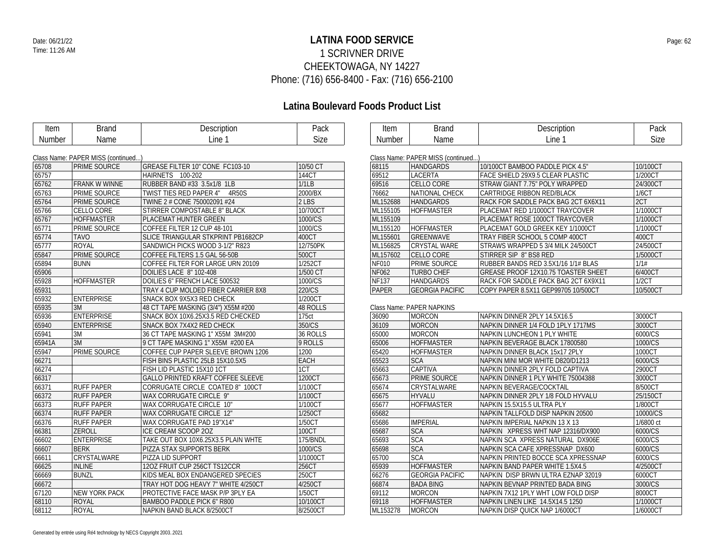### **LATINA FOOD SERVICE** Date: 06/21/22 Page: 62 1 SCRIVNER DRIVE CHEEKTOWAGA, NY 14227 Phone: (716) 656-8400 - Fax: (716) 656-2100

| Item   | <b>Brand</b>                       | Description                              | Pack        | Item         | <b>Brand</b>                       | Description                         | Pack      |
|--------|------------------------------------|------------------------------------------|-------------|--------------|------------------------------------|-------------------------------------|-----------|
| Number | Name                               | Line 1                                   | Size        | Number       | Name                               | Line 1                              | Size      |
|        |                                    |                                          |             |              |                                    |                                     |           |
|        | Class Name: PAPER MISS (continued) |                                          |             |              | Class Name: PAPER MISS (continued) |                                     |           |
| 65708  | <b>PRIME SOURCE</b>                | GREASE FILTER 10" CONE FC103-10          | 10/50 CT    | 68115        | <b>HANDGARDS</b>                   | 10/100CT BAMBOO PADDLE PICK 4.5"    | 10/100CT  |
| 65757  |                                    | HAIRNETS 100-202                         | 144CT       | 69512        | <b>LACERTA</b>                     | FACE SHIELD 29X9.5 CLEAR PLASTIC    | 1/200CT   |
| 65762  | <b>FRANK W WINNE</b>               | RUBBER BAND #33 3.5x1/8 1LB              | 1/1LB       | 69516        | CELLO CORE                         | STRAW GIANT 7.75" POLY WRAPPED      | 24/300CT  |
| 65763  | PRIME SOURCE                       | TWIST TIES RED PAPER 4" 4R50S            | 2000/BX     | 76662        | NATIONAL CHECK                     | CARTRIDGE RIBBON RED/BLACK          | 1/6CT     |
| 65764  | <b>PRIME SOURCE</b>                | TWINE 2 # CONE 750002091 #24             | $2$ LBS     | ML152688     | <b>HANDGARDS</b>                   | RACK FOR SADDLE PACK BAG 2CT 6X6X11 | 2CT       |
| 65766  | <b>CELLO CORE</b>                  | <b>STIRRER COMPOSTABLE 8" BLACK</b>      | 10/700CT    | ML155105     | HOFFMASTER                         | PLACEMAT RED 1/1000CT TRAYCOVER     | 1/1000CT  |
| 65767  | <b>HOFFMASTER</b>                  | PLACEMAT HUNTER GREEN                    | 1000/CS     | ML155109     |                                    | PLACEMAT ROSE 1000CT TRAYCOVER      | 1/1000CT  |
| 65771  | <b>PRIME SOURCE</b>                | COFFEE FILTER 12 CUP 48-101              | 1000/CS     | ML155120     | <b>HOFFMASTER</b>                  | PLACEMAT GOLD GREEK KEY 1/1000CT    | 1/1000CT  |
| 65774  | <b>TAVO</b>                        | SLICE TRIANGULAR STKPRINT PB1682CP       | 400CT       | ML155601     | GREENWAVE                          | TRAY FIBER SCHOOL 5 COMP 400CT      | 400CT     |
| 65777  | <b>ROYAL</b>                       | SANDWICH PICKS WOOD 3-1/2" R823          | 12/750PK    | ML156825     | <b>CRYSTAL WARE</b>                | STRAWS WRAPPED 5 3/4 MILK 24/500CT  | 24/500CT  |
| 65847  | <b>PRIME SOURCE</b>                | COFFEE FILTERS 1.5 GAL 56-50B            | 500CT       | ML157602     | CELLO CORE                         | STIRRER SIP 8" BS8 RED              | 1/5000CT  |
| 65894  | <b>BUNN</b>                        | COFFEE FILTER FOR LARGE URN 20109        | 1/252CT     | <b>NF010</b> | PRIME SOURCE                       | RUBBER BANDS RED 3.5X1/16 1/1# BLAS | 1/1#      |
| 65906  |                                    | DOILIES LACE 8" 102-408                  | 1/500 CT    | <b>NF062</b> | <b>TURBO CHEF</b>                  | GREASE PROOF 12X10.75 TOASTER SHEET | 6/400CT   |
| 65928  | <b>HOFFMASTER</b>                  | DOILIES 6" FRENCH LACE 500532            | 1000/CS     | <b>NF137</b> | <b>HANDGARDS</b>                   | RACK FOR SADDLE PACK BAG 2CT 6X9X11 | 1/2CT     |
| 65931  |                                    | TRAY 4 CUP MOLDED FIBER CARRIER 8X8      | 220/CS      | PAPER        | <b>GEORGIA PACIFIC</b>             | COPY PAPER 8.5X11 GEP99705 10/500CT | 10/500CT  |
| 65932  | <b>ENTERPRISE</b>                  | SNACK BOX 9X5X3 RED CHECK                | 1/200CT     |              |                                    |                                     |           |
| 65935  | 3M                                 | 48 CT TAPE MASKING (3/4") X55M #200      | 48 ROLLS    |              | Class Name: PAPER NAPKINS          |                                     |           |
| 65936  | <b>ENTERPRISE</b>                  | SNACK BOX 10X6.25X3.5 RED CHECKED        | 175ct       | 36090        | MORCON                             | NAPKIN DINNER 2PLY 14.5X16.5        | 3000CT    |
| 65940  | <b>ENTERPRISE</b>                  | SNACK BOX 7X4X2 RED CHECK                | 350/CS      | 36109        | <b>MORCON</b>                      | NAPKIN DINNER 1/4 FOLD 1PLY 1717MS  | 3000CT    |
| 65941  | 3M                                 | 36 CT TAPE MASKING 1" X55M 3M#200        | 36 ROLLS    | 65000        | <b>MORCON</b>                      | NAPKIN LUNCHEON 1 PLY WHITE         | 6000/CS   |
| 65941A | 3M                                 | 9 CT TAPE MASKING 1" X55M #200 EA        | 9 ROLLS     | 65006        | <b>HOFFMASTER</b>                  | NAPKIN BEVERAGE BLACK 17800580      | 1000/CS   |
| 65947  | PRIME SOURCE                       | COFFEE CUP PAPER SLEEVE BROWN 1206       | 1200        | 65420        | <b>HOFFMASTER</b>                  | NAPKIN DINNER BLACK 15x17 2PLY      | 1000CT    |
| 66271  |                                    | FISH BINS PLASTIC 25LB 15X10.5X5         | <b>EACH</b> | 65523        | <b>SCA</b>                         | NAPKIN MINI MOR WHITE D820/D1213    | 6000/CS   |
| 66274  |                                    | FISH LID PLASTIC 15X10 1CT               | 1CT         | 65663        | <b>CAPTIVA</b>                     | NAPKIN DINNER 2PLY FOLD CAPTIVA     | 2900CT    |
| 66317  |                                    | <b>GALLO PRINTED KRAFT COFFEE SLEEVE</b> | 1200CT      | 65673        | PRIME SOURCE                       | NAPKIN DINNER 1 PLY WHITE 75004388  | 3000CT    |
| 66371  | <b>RUFF PAPER</b>                  | CORRUGATE CIRCLE COATED 8" 100CT         | 1/100CT     | 65674        | CRYSTALWARE                        | NAPKIN BEVERAGE/COCKTAIL            | 8/500CT   |
| 66372  | <b>RUFF PAPER</b>                  | WAX CORRUGATE CIRCLE 9"                  | 1/100CT     | 65675        | <b>HYVALU</b>                      | NAPKIN DINNER 2PLY 1/8 FOLD HYVALU  | 25/150CT  |
| 66373  | <b>RUFF PAPER</b>                  | WAX CORRUGATE CIRCLE 10"                 | 1/100CT     | 65677        | <b>HOFFMASTER</b>                  | NAPKIN 15.5X15.5 ULTRA PLY          | 1/800CT   |
| 66374  | <b>RUFF PAPER</b>                  | WAX CORRUGATE CIRCLE 12"                 | 1/250CT     | 65682        |                                    | NAPKIN TALLFOLD DISP NAPKIN 20500   | 10000/CS  |
| 66376  | <b>RUFF PAPER</b>                  | WAX CORRUGATE PAD 19"X14"                | 1/50CT      | 65686        | <b>IMPERIAL</b>                    | NAPKIN IMPERIAL NAPKIN 13 X 13      | 1/6800 ct |
| 66381  | ZEROLL                             | ICE CREAM SCOOP 20Z                      | 100CT       | 65687        | <b>SCA</b>                         | NAPKIN XPRESS WHT NAP 12316/DX900   | 6000/CS   |
| 66602  | <b>ENTERPRISE</b>                  | TAKE OUT BOX 10X6.25X3.5 PLAIN WHTE      | 175/BNDL    | 65693        | <b>SCA</b>                         | NAPKIN SCA XPRESS NATURAL DX906E    | 6000/CS   |
| 66607  | <b>BERK</b>                        | PIZZA STAX SUPPORTS BERK                 | 1000/CS     | 65698        | <b>SCA</b>                         | NAPKIN SCA CAFE XPRESSNAP DX600     | 6000/CS   |
| 66611  | CRYSTALWARE                        | PIZZA LID SUPPORT                        | 1/1000CT    | 65700        | <b>SCA</b>                         | NAPKIN PRINTED BOCCE SCA XPRESSNAP  | 6000/CS   |
| 66625  | <b>INLINE</b>                      | 120Z FRUIT CUP 256CT TS12CCR             | 256CT       | 65939        | <b>HOFFMASTER</b>                  | NAPKIN BAND PAPER WHITE 1.5X4.5     | 4/2500CT  |
| 66669  | <b>BUNZL</b>                       | KIDS MEAL BOX ENDANGERED SPECIES         | 250CT       | 66276        | <b>GEORGIA PACIFIC</b>             | NAPKIN DISP BRWN ULTRA EZNAP 32019  | 6000CT    |
| 66672  |                                    | TRAY HOT DOG HEAVY 7" WHITE 4/250CT      | 4/250CT     | 66874        | <b>BADA BING</b>                   | NAPKIN BEVNAP PRINTED BADA BING     | 3000/CS   |
| 67120  | <b>NEW YORK PACK</b>               | PROTECTIVE FACE MASK P/P 3PLY EA         | 1/50CT      | 69112        | <b>MORCON</b>                      | NAPKIN 7X12 1PLY WHT LOW FOLD DISP  | 8000CT    |
| 68110  | <b>ROYAL</b>                       | BAMBOO PADDLE PICK 6" R800               | 10/100CT    | 69118        | <b>HOFFMASTER</b>                  | NAPKIN LINEN LIKE 14.5X14.5 1250    | 1/1000CT  |
| 68112  | <b>ROYAL</b>                       | NAPKIN BAND BLACK 8/2500CT               | 8/2500CT    | ML153278     | <b>MORCON</b>                      | NAPKIN DISP QUICK NAP 1/6000CT      | 1/6000CT  |
|        |                                    |                                          |             |              |                                    |                                     |           |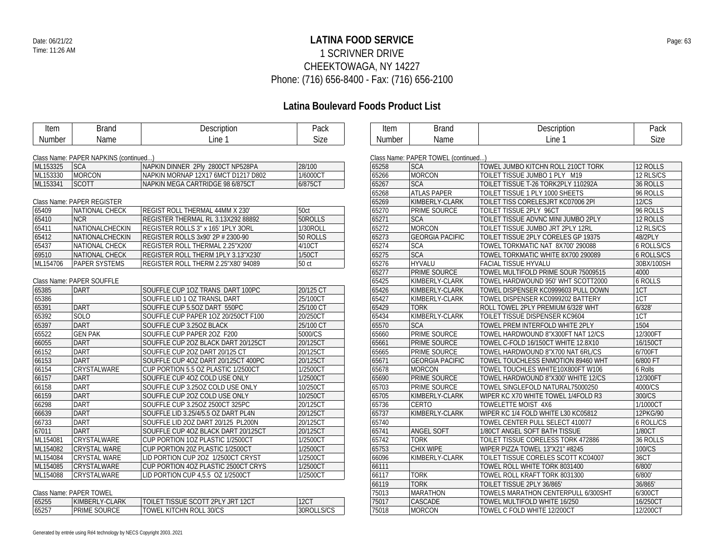### **LATINA FOOD SERVICE** Date: 06/21/22 Page: 63 1 SCRIVNER DRIVE CHEEKTOWAGA, NY 14227 Phone: (716) 656-8400 - Fax: (716) 656-2100

# **Latina Boulevard Foods Product List**

 $\overline{\phantom{0}}$ 

| Item     | <b>Brand</b>                          | Description                         | Pack      |       |
|----------|---------------------------------------|-------------------------------------|-----------|-------|
| Number   | Name                                  | Line 1                              | Size      | N     |
|          |                                       |                                     |           |       |
|          | Class Name: PAPER NAPKINS (continued) |                                     |           | Clas: |
| ML153325 | <b>SCA</b>                            | NAPKIN DINNER 2Ply 2800CT NP528PA   | 28/100    | 652   |
| ML153330 | <b>MORCON</b>                         | NAPKIN MORNAP 12X17 6MCT D1217 D802 | 1/6000CT  | 652   |
| ML153341 | <b>SCOTT</b>                          | NAPKIN MEGA CARTRIDGE 98 6/875CT    | 6/875CT   | 652   |
|          |                                       |                                     |           | 652   |
|          | Class Name: PAPER REGISTER            |                                     |           | 652   |
| 65409    | NATIONAL CHECK                        | REGIST ROLL THERMAL 44MM X 230'     | 50ct      | 652   |
| 65410    | <b>NCR</b>                            | REGISTER THERMAL RL 3.13X292 88892  | 50ROLLS   | 652   |
| 65411    | NATIONALCHECKIN                       | REGISTER ROLLS 3" x 165' 1PLY 3ORL  | 1/30ROLL  | 652   |
| 65412    | NATIONALCHECKIN                       | REGISTER ROLLS 3x90' 2P # 2300-90   | 50 ROLLS  | 652   |
| 65437    | NATIONAL CHECK                        | REGISTER ROLL THERMAL 2.25"X200'    | 4/10CT    | 652   |
| 69510    | <b>NATIONAL CHECK</b>                 | REGISTER ROLL THERM 1PLY 3.13"X230" | 1/50CT    | 652   |
| ML154706 | <b>PAPER SYSTEMS</b>                  | REGISTER ROLL THERM 2.25"X80' 94089 | 50 ct     | 652   |
|          |                                       |                                     |           | 652   |
|          | Class Name: PAPER SOUFFLE             |                                     |           | 654   |
| 65385    | <b>DART</b>                           | SOUFFLE CUP 10Z TRANS DART 100PC    | 20/125 CT | 654   |
| 65386    |                                       | SOUFFLE LID 1 OZ TRANSL DART        | 25/100CT  | 654   |
| 65391    | <b>DART</b>                           | SOUFFLE CUP 5.5OZ DART 550PC        | 25/100 CT | 654   |
| 65392    | SOLO                                  | SOUFFLE CUP PAPER 10Z 20/250CT F100 | 20/250CT  | 654   |
| 65397    | <b>DART</b>                           | SOUFFLE CUP 3.25OZ BLACK            | 25/100 CT | 655   |
| 65522    | <b>GEN PAK</b>                        | SOUFFLE CUP PAPER 20Z F200          | 5000/CS   | 656   |
| 66055    | <b>DART</b>                           | SOUFFLE CUP 20Z BLACK DART 20/125CT | 20/125CT  | 656   |
| 66152    | <b>DART</b>                           | SOUFFLE CUP 20Z DART 20/125 CT      | 20/125CT  | 656   |
| 66153    | <b>DART</b>                           | SOUFFLE CUP 4OZ DART 20/125CT 400PC | 20/125CT  | 656   |
| 66154    | CRYSTALWARE                           | CUP PORTION 5.5 OZ PLASTIC 1/2500CT | 1/2500CT  | 656   |
| 66157    | <b>DART</b>                           | SOUFFLE CUP 4OZ COLD USE ONLY       | 1/2500CT  | 656   |
| 66158    | <b>DART</b>                           | SOUFFLE CUP 3.250Z COLD USE ONLY    | 10/250CT  | 657   |
| 66159    | <b>DART</b>                           | SOUFFLE CUP 20Z COLD USE ONLY       | 10/250CT  | 657   |
| 66298    | <b>DART</b>                           | SOUFFLE CUP 3.25OZ 2500CT 325PC     | 20/125CT  | 657   |
| 66639    | <b>DART</b>                           | SOUFFLE LID 3.25/4/5.5 OZ DART PL4N | 20/125CT  | 657   |
| 66733    | DART                                  | SOUFFLE LID 2OZ DART 20/125 PL200N  | 20/125CT  | 657   |
| 67011    | <b>DART</b>                           | SOUFFLE CUP 4OZ BLACK DART 20/125CT | 20/125CT  | 657   |
| ML154081 | CRYSTALWARE                           | CUP PORTION 10Z PLASTIC 1/2500CT    | 1/2500CT  | 657   |
| ML154082 | <b>CRYSTAL WARE</b>                   | CUP PORTION 20Z PLASTIC 1/2500CT    | 1/2500CT  | 657   |
| ML154084 | <b>CRYSTAL WARE</b>                   | LID PORTION CUP 20Z 1/2500CT CRYST  | 1/2500CT  | 660   |
| ML154085 | CRYSTALWARE                           | CUP PORTION 4OZ PLASTIC 2500CT CRYS | 1/2500CT  | 661   |
| ML154088 | CRYSTALWARE                           | LID PORTION CUP 4,5.5 OZ 1/2500CT   | 1/2500CT  | 661   |

Class Name: PAPER TOWEL

|       | $O(1033)$ Numbert 1 M Lives $O(101)$ |                                          |            |  |  |  |
|-------|--------------------------------------|------------------------------------------|------------|--|--|--|
| 65255 | KIMBERLY-CLARK                       | <b>TOILET TISSUE SCOTT 2PLY JRT 12CT</b> | 12CT       |  |  |  |
| 65257 | <b>PRIME SOURCE</b>                  | TOWEL KITCHN ROLL 30/CS                  | 30ROLLS/CS |  |  |  |

| Generated by entrée using Ré4 technology by NECS Copyright 20032021 |
|---------------------------------------------------------------------|
|---------------------------------------------------------------------|

| Item   | Brand | Description | Pack |
|--------|-------|-------------|------|
| Number | Name  | Line        | Size |

 $\in$  Name: PADER TOWEL (continued...)

|       | GRASS INDITIE. PAPER TOWEL (COMMITTED) |                                     |                   |
|-------|----------------------------------------|-------------------------------------|-------------------|
| 65258 | <b>SCA</b>                             | TOWEL JUMBO KITCHN ROLL 210CT TORK  | 12 ROLLS          |
| 65266 | <b>MORCON</b>                          | TOILET TISSUE JUMBO 1 PLY M19       | 12 RLS/CS         |
| 65267 | <b>SCA</b>                             | TOILET TISSUE T-26 TORK2PLY 110292A | 36 ROLLS          |
| 65268 | <b>ATLAS PAPER</b>                     | TOILET TISSUE 1 PLY 1000 SHEETS     | 96 ROLLS          |
| 65269 | KIMBERLY-CLARK                         | TOILET TISS CORELESJRT KC07006 2PI  | <b>12/CS</b>      |
| 65270 | PRIME SOURCE                           | TOILET TISSUE 2PLY 96CT             | 96 ROLLS          |
| 65271 | <b>SCA</b>                             | TOILET TISSUE ADVNC MINI JUMBO 2PLY | 12 ROLLS          |
| 65272 | <b>MORCON</b>                          | TOILET TISSUE JUMBO JRT 2PLY 12RL   | 12 RLS/CS         |
| 65273 | <b>GEORGIA PACIFIC</b>                 | TOILET TISSUE 2PLY CORELES GP 19375 | 48/2PLY           |
| 65274 | <b>SCA</b>                             | TOWEL TORKMATIC NAT 8X700' 290088   | <b>6 ROLLS/CS</b> |
| 65275 | <b>SCA</b>                             | TOWEL TORKMATIC WHITE 8X700 290089  | <b>6 ROLLS/CS</b> |
| 65276 | <b>HYVALU</b>                          | <b>FACIAL TISSUE HYVALU</b>         | 30BX/100SH        |
| 65277 | PRIME SOURCE                           | TOWEL MULTIFOLD PRIME SOUR 75009515 | 4000              |
| 65425 | KIMBERLY-CLARK                         | TOWEL HARDWOUND 950' WHT SCOTT2000  | <b>6 ROLLS</b>    |
| 65426 | KIMBERLY-CLARK                         | TOWEL DISPENSER KC0999603 PULL DOWN | 1CT               |
| 65427 | KIMBERLY-CLARK                         | TOWEL DISPENSER KC0999202 BATTERY   | 1CT               |
| 65429 | <b>TORK</b>                            | ROLL TOWEL 2PLY PREMIUM 6/328' WHT  | 6/328'            |
| 65434 | KIMBERLY-CLARK                         | TOILET TISSUE DISPENSER KC9604      | 1CT               |
| 65570 | <b>SCA</b>                             | TOWEL PREM INTERFOLD WHITE 2PLY     | 1504              |
| 65660 | PRIME SOURCE                           | TOWEL HARDWOUND 8"X300FT NAT 12/CS  | 12/300FT          |
| 65661 | PRIME SOURCE                           | TOWEL C-FOLD 16/150CT WHITE 12.8X10 | 16/150CT          |
| 65665 | PRIME SOURCE                           | TOWEL HARDWOUND 8"X700 NAT 6RL/CS   | 6/700FT           |
| 65671 | <b>GEORGIA PACIFIC</b>                 | TOWEL TOUCHLESS ENMOTION 89460 WHT  | 6/800 FT          |
| 65678 | <b>MORCON</b>                          | TOWEL TOUCHLES WHITE10X800FT W106   | 6 Rolls           |
| 65690 | PRIME SOURCE                           | TOWEL HARDWOUND 8"X300' WHITE 12/CS | 12/300FT          |
| 65703 | PRIME SOURCE                           | TOWEL SINGLEFOLD NATURAL75000250    | 4000/CS           |
| 65705 | KIMBERLY-CLARK                         | WIPER KC X70 WHITE TOWEL 1/4FOLD R3 | 300/CS            |
| 65736 | CERTO                                  | TOWELETTE MOIST 4X6                 | 1/1000CT          |
| 65737 | KIMBERLY-CLARK                         | WIPER KC 1/4 FOLD WHITE L30 KC05812 | 12PKG/90          |
| 65740 |                                        | TOWEL CENTER PULL SELECT 410077     | <b>6 ROLL/CS</b>  |
| 65741 | ANGEL SOFT                             | 1/80CT ANGEL SOFT BATH TISSUE       | 1/80CT            |
| 65742 | <b>TORK</b>                            | TOILET TISSUE CORELESS TORK 472886  | 36 ROLLS          |
| 65753 | CHIX WIPE                              | WIPER PIZZA TOWEL 13"X21" #8245     | 100/CS            |
| 66096 | KIMBERLY-CLARK                         | TOILET TISSUE CORELES SCOTT KC04007 | 36CT              |
| 66111 |                                        | TOWEL ROLL WHITE TORK 8031400       | 6/800'            |
| 66117 | <b>TORK</b>                            | TOWEL ROLL KRAFT TORK 8031300       | 6/800'            |
| 66119 | <b>TORK</b>                            | TOILET TISSUE 2PLY 36/865'          | 36/865'           |
| 75013 | <b>MARATHON</b>                        | TOWELS MARATHON CENTERPULL 6/300SHT | 6/300CT           |
| 75017 | CASCADE                                | TOWEL MULTIFOLD WHITE 16/250        | 16/250CT          |
| 75018 | <b>MORCON</b>                          | TOWEL C FOLD WHITE 12/200CT         | 12/200CT          |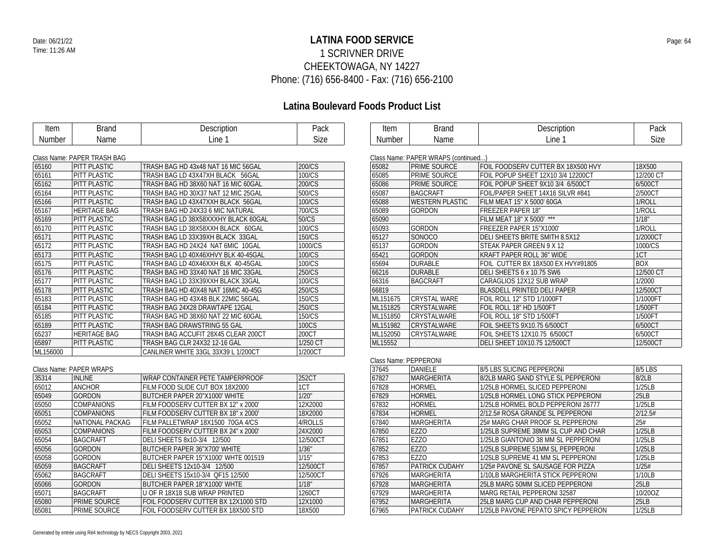### **LATINA FOOD SERVICE** Date: 06/21/22 Page: 64 1 SCRIVNER DRIVE CHEEKTOWAGA, NY 14227 Phone: (716) 656-8400 - Fax: (716) 656-2100

### **Latina Boulevard Foods Product List**

| Item     | <b>Brand</b>                | Description                         | Pack                           |
|----------|-----------------------------|-------------------------------------|--------------------------------|
| Number   | Name                        | Line 1                              | <b>Size</b>                    |
|          |                             |                                     |                                |
|          | Class Name: PAPER TRASH BAG |                                     |                                |
| 65160    | PITT PLASTIC                | TRASH BAG HD 43x48 NAT 16 MIC 56GAL | 200/CS                         |
| 65161    | PITT PLASTIC                | TRASH BAG LD 43X47XH BLACK 56GAL    | 100/CS                         |
| 65162    | PITT PLASTIC                | TRASH BAG HD 38X60 NAT 16 MIC 60GAL | 200/CS                         |
| 65164    | PITT PLASTIC                | TRASH BAG HD 30X37 NAT 12 MIC 25GAL | 500/CS                         |
| 65166    | PITT PLASTIC                | TRASH BAG LD 43X47XXH BLACK 56GAL   | 100/CS                         |
| 65167    | <b>HERITAGE BAG</b>         | TRASH BAG HD 24X33 6 MIC NATURAL    | 700/CS                         |
| 65169    | PITT PLASTIC                | TRASH BAG LD 38X58XXXHY BLACK 60GAL | 50/CS                          |
| 65170    | PITT PLASTIC                | TRASH BAG LD 38X58XXH BLACK 60GAL   | $\overline{100}$ /CS           |
| 65171    | PITT PLASTIC                | TRASH BAG LD 33X39XH BLACK 33GAL    | 150/CS                         |
| 65172    | PITT PLASTIC                | TRASH BAG HD 24X24 NAT 6MIC 10GAL   | 1000/CS                        |
| 65173    | PITT PLASTIC                | TRASH BAG LD 40X46XHVY BLK 40-45GAL | $\overline{100}/\overline{CS}$ |
| 65175    | PITT PLASTIC                | TRASH BAG LD 40X46XXH BLK 40-45GAL  | 100/CS                         |
| 65176    | PITT PLASTIC                | TRASH BAG HD 33X40 NAT 16 MIC 33GAL | 250/CS                         |
| 65177    | PITT PLASTIC                | TRASH BAG LD 33X39XXH BLACK 33GAL   | 100/CS                         |
| 65178    | PITT PLASTIC                | TRASH BAG HD 40X48 NAT 16MIC 40-45G | 250/CS                         |
| 65183    | PITT PLASTIC                | TRASH BAG HD 43X48 BLK 22MIC 56GAL  | 150/CS                         |
| 65184    | PITT PLASTIC                | TRASH BAG 24X28 DRAWTAPE 12GAL      | 250/CS                         |
| 65185    | PITT PLASTIC                | TRASH BAG HD 38X60 NAT 22 MIC 60GAL | 150/CS                         |
| 65189    | PITT PLASTIC                | TRASH BAG DRAWSTRING 55 GAL         | 100CS                          |
| 65237    | <b>HERITAGE BAG</b>         | TRASH BAG ACCUFIT 28X45 CLEAR 200CT | 200CT                          |
| 65897    | PITT PLASTIC                | TRASH BAG CLR 24X32 12-16 GAL       | 1/250 CT                       |
| ML156000 |                             | CANLINER WHITE 33GL 33X39 L 1/200CT | 1/200CT                        |
|          |                             |                                     |                                |
|          | Class Name: PAPER WRAPS     |                                     |                                |
| 35314    | <b>INLINE</b>               | WRAP CONTAINER PETE TAMPERPROOF     | 252CT                          |
| 65012    | <b>ANCHOR</b>               | FILM FOOD SLIDE CUT BOX 18X2000     | 1CT                            |
| 65049    | <b>GORDON</b>               | BUTCHER PAPER 20"X1000' WHITE       | 1/20"                          |
| 65050    | <b>COMPANIONS</b>           | FILM FOODSERV CUTTER BX 12" x 2000' | 12X2000                        |
| 65051    | <b>COMPANIONS</b>           | FILM FOODSERV CUTTER BX 18" x 2000' | 18X2000                        |
| 65052    | NATIONAL PACKAG             | FILM PALLETWRAP 18X1500 70GA 4/CS   | 4/ROLLS                        |
| 65053    | <b>COMPANIONS</b>           | FILM FOODSERV CUTTER BX 24" x 2000' | 24X2000                        |
| 65054    | <b>BAGCRAFT</b>             | DELI SHEETS 8x10-3/4 12/500         | 12/500CT                       |
| 65056    | <b>GORDON</b>               | BUTCHER PAPER 36"X700' WHITE        | 1/36"                          |
| 65058    | <b>GORDON</b>               | BUTCHER PAPER 15"X1000' WHTE 001519 | 1/15"                          |
| 65059    | <b>BAGCRAFT</b>             | DELI SHEETS 12x10-3/4 12/500        | 12/500CT                       |
| 65062    | <b>BAGCRAFT</b>             | DELI SHEETS 15x10-3/4 OF15 12/500   | 12/500CT                       |
| 65066    | <b>GORDON</b>               | BUTCHER PAPER 18"X1000' WHTE        | 1/18"                          |
| 65071    | <b>BAGCRAFT</b>             | U OF R 18X18 SUB WRAP PRINTED       | 1260CT                         |
| 65080    | PRIME SOURCE                | FOIL FOODSERV CUTTER BX 12X1000 STD | 12X1000                        |
| 65081    | PRIME SOURCE                | FOIL FOODSERV CUTTER BX 18X500 STD  | 18X500                         |

| <b>Number</b> | <b>Size</b>                         |                                    |            |
|---------------|-------------------------------------|------------------------------------|------------|
|               |                                     |                                    |            |
|               | Class Name: PAPER WRAPS (continued) |                                    |            |
| 65082         | <b>PRIME SOURCE</b>                 | FOIL FOODSERV CUTTER BX 18X500 HVY | 18X500     |
| 65085         | PRIME SOURCE                        | FOIL POPUP SHEET 12X10 3/4 12200CT | 12/200 CT  |
| 65086         | <b>PRIME SOURCE</b>                 | FOIL POPUP SHEET 9X10 3/4 6/500CT  | 6/500CT    |
| 65087         | <b>BAGCRAFT</b>                     | FOIL/PAPER SHEET 14X16 SILVR #841  | 2/500CT    |
| 65088         | <b>WESTERN PLASTIC</b>              | FILM MEAT 15" X 5000' 60GA         | 1/ROLL     |
| 65089         | <b>GORDON</b>                       | <b>FREEZER PAPER 18"</b>           | 1/ROLL     |
| 65090         |                                     | FILM MEAT 18" X 5000' ***          | 1/18"      |
| 65093         | <b>GORDON</b>                       | FREEZER PAPER 15"X1000'            | 1/ROLL     |
| 65127         | SONOCO                              | DELI SHEETS BRITE SMITH 8.5X12     | 1/2000CT   |
| 65137         | <b>GORDON</b>                       | STEAK PAPER GREEN 9 X 12           | 1000/CS    |
| 65421         | <b>GORDON</b>                       | <b>KRAFT PAPER ROLL 36" WIDE</b>   | 1CT        |
| 65694         | <b>DURABLE</b>                      | FOIL CUTTER BX 18X500 EX HVY#91805 | <b>BOX</b> |
| 66216         | <b>DURABLE</b>                      | DELI SHEETS 6 x 10.75 SW6          | 12/500 CT  |

DELI SHEETS 6 x 10.75 SW6 BAGCRAFT CARAGLIOS 12X12 SUB WRAP 1/2000 BLASDELL PRINTED DELI PAPER 12/500CT ML151675 CRYSTAL WARE FOIL ROLL 12" STD 1/1000FT 1/1000FT 1/1000FT<br>ML151825 CRYSTALWARE FOIL ROLL 18" HD 1/500FT 1/500FT 1/500FT

Item Brand Description Pack<br>
Number Name Line 1 Size

| ML151825 | ICRYSTAI WARF  | FOIL ROLL 18" HD 1/500FT     | 1/500FT  |
|----------|----------------|------------------------------|----------|
| ML151850 | ICRYSTAI WARF  | FOIL ROLL 18" STD 1/500FT    | 1/500FT  |
| ML151982 | ICRYSTAI WARF  | FOIL SHEETS 9X10 75 6/500CT  | 6/500CT  |
| ML152050 | I CRYSTAI WARF | FOIL SHEETS 12X10.75 6/500CT | 6/500CT  |
| ML15552  |                | DELI SHEET 10X10.75 12/500CT | 12/500CT |
|          |                |                              |          |

|       | Class Name: PEPPERONI |                                     |         |  |  |  |
|-------|-----------------------|-------------------------------------|---------|--|--|--|
| 37645 | DANIELE               | 8/5 LBS SLICING PEPPERONI           | 8/5 LBS |  |  |  |
| 67827 | MARGHERITA            | 8/2LB MARG SAND STYLE SL PEPPERONI  | 8/2LB   |  |  |  |
| 67828 | HORMEL                | 1/25LB HORMEL SLICED PEPPERONI      | 1/25LB  |  |  |  |
| 67829 | <b>HORMEL</b>         | 1/25LB HORMEL LONG STICK PEPPERONI  | 25LB    |  |  |  |
| 67832 | <b>HORMEL</b>         | 1/25LB HORMEL BOLD PEPPERONI 26777  | 1/25LB  |  |  |  |
| 67834 | HORMEL                | 2/12.5# ROSA GRANDE SL PEPPERONI    | 2/12.5# |  |  |  |
| 67840 | MARGHERITA            | 25# MARG CHAR PROOF SL PEPPERONI    | 25#     |  |  |  |
| 67850 | E770                  | 1/25LB SUPREME 38MM SL CUP AND CHAR | 1/25LB  |  |  |  |
| 67851 | <b>EZZO</b>           | 1/25LB GIANTONIO 38 MM SL PEPPERONI | 1/25LB  |  |  |  |
| 67852 | <b>EZZO</b>           | 1/25LB SUPREME 51MM SL PEPPERONI    | 1/25LB  |  |  |  |
| 67853 | <b>EZZO</b>           | 1/25LB SUPREME 41 MM SL PEPPERONI   | 1/25LB  |  |  |  |
| 67857 | PATRICK CUDAHY        | 1/25# PAVONE SL SAUSAGE FOR PIZZA   | 1/25#   |  |  |  |
| 67926 | MARGHERITA            | 1/10LB MARGHERITA STICK PEPPERONI   | 1/10LB  |  |  |  |
| 67928 | MARGHERITA            | 25LB MARG 50MM SLICED PEPPERONI     | 25LB    |  |  |  |
| 67929 | MARGHERITA            | MARG RETAIL PEPPERONI 32587         | 10/200Z |  |  |  |
| 67952 | <b>MARGHERITA</b>     | 25LB MARG CUP AND CHAR PEPPERONI    | 25LB    |  |  |  |
| 67965 | PATRICK CUDAHY        | 1/25LB PAVONE PEPATO SPICY PEPPERON | 1/25LB  |  |  |  |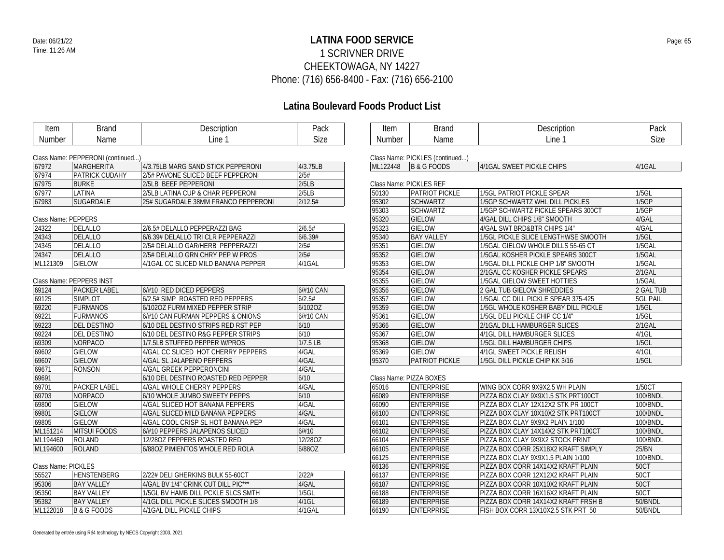### **LATINA FOOD SERVICE** Date: 06/21/22 Page: 65 1 SCRIVNER DRIVE CHEEKTOWAGA, NY 14227 Phone: (716) 656-8400 - Fax: (716) 656-2100

| Description<br>Pack<br><b>Brand</b><br>Description<br>Pack<br>Item<br><b>Brand</b><br>Item<br><b>Size</b><br>Line 1<br>Line 1<br><b>Size</b><br>Name<br>Name<br><b>Number</b><br><b>Number</b><br>Class Name: PEPPERONI (continued)<br>Class Name: PICKLES (continued)<br>4/3.75LB<br>4/1GAL<br>67972<br><b>MARGHERITA</b><br>4/3.75LB MARG SAND STICK PEPPERONI<br>ML122448<br>B&GFOODS<br>4/1GAL SWEET PICKLE CHIPS<br>67974<br><b>PATRICK CUDAHY</b><br>2/5#<br>2/5# PAVONE SLICED BEEF PEPPERONI<br>2/5LB<br>67975<br><b>BURKE</b><br>2/5LB BEEF PEPPERONI<br>Class Name: PICKLES REF<br>67977<br>LATINA<br>2/5LB LATINA CUP & CHAR PEPPERONI<br>2/5LB<br>50130<br>PATRIOT PICKLE<br>1/5GL PATRIOT PICKLE SPEAR<br>$1/5$ GL<br>1/5GP<br>67983<br>SUGARDALE<br>2/12.5#<br>95302<br><b>SCHWARTZ</b><br>25# SUGARDALE 38MM FRANCO PEPPERONI<br>1/5GP SCHWARTZ WHL DILL PICKLES<br><b>SCHWARTZ</b><br>1/5GP<br>95303<br>1/5GP SCHWARTZ PICKLE SPEARS 300CT<br>95320<br><b>GIELOW</b><br>Class Name: PEPPERS<br>4/GAL DILL CHIPS 1/8" SMOOTH<br>4/GAL<br>2/6.5#<br><b>GIELOW</b><br>4/GAL<br>24322<br><b>DELALLO</b><br>2/6.5# DELALLO PEPPERAZZI BAG<br>95323<br>4/GAL SWT BRD&BTR CHIPS 1/4"<br>24343<br><b>DELALLO</b><br>6/6.39# DELALLO TRI CLR PEPPERAZZI<br>6/6.39#<br>95340<br><b>BAY VALLEY</b><br>1/5GL PICKLE SLICE LENGTHWSE SMOOTH<br>$1/5$ GL<br>24345<br><b>DELALLO</b><br>2/5#<br><b>GIELOW</b><br>1/5GAL<br>2/5# DELALLO GAR/HERB PEPPERAZZI<br>95351<br>1/5GAL GIELOW WHOLE DILLS 55-65 CT<br>2/5#<br><b>GIELOW</b><br>24347<br><b>DELALLO</b><br>2/5# DELALLO GRN CHRY PEP W PROS<br>95352<br>1/5GAL KOSHER PICKLE SPEARS 300CT<br>1/5GAL<br>ML121309<br><b>GIELOW</b><br>4/1GAL<br>95353<br><b>GIELOW</b><br>1/5GAL<br>4/1GAL CC SLICED MILD BANANA PEPPER<br>1/5GAL DILL PICKLE CHIP 1/8" SMOOTH<br><b>GIELOW</b><br>$2/1$ GAL<br>95354<br>2/1GAL CC KOSHER PICKLE SPEARS<br>95355<br><b>GIELOW</b><br>1/5GAL<br>Class Name: PEPPERS INST<br>1/5GAL GIELOW SWEET HOTTIES<br>6/#10 RED DICED PEPPERS<br><b>GIELOW</b><br>69124<br><b>PACKER LABEL</b><br>6/#10 CAN<br>95356<br>2 GAL TUB GIELOW SHREDDIES<br>2 GAL TUB<br>6/2.5#<br>69125<br><b>SIMPLOT</b><br>6/2.5# SIMP ROASTED RED PEPPERS<br>95357<br><b>GIELOW</b><br>1/5GAL CC DILL PICKLE SPEAR 375-425<br><b>5GL PAIL</b><br><b>GIELOW</b><br>69220<br><b>FURMANOS</b><br>6/102OZ<br>95359<br>1/5GL WHOLE KOSHER BABY DILL PICKLE<br>$1/5$ GL<br>6/1020Z FURM MIXED PEPPER STRIP<br>69221<br><b>FURMANOS</b><br>6/#10 CAN<br>95361<br><b>GIELOW</b><br>1/5GL<br>6/#10 CAN FURMAN PEPPERS & ONIONS<br>1/5GL DELI PICKLE CHIP CC 1/4"<br>69223<br><b>DEL DESTINO</b><br>6/10<br>95366<br><b>GIELOW</b><br>$2/1$ GAL<br>6/10 DEL DESTINO STRIPS RED RST PEP<br>2/1GAL DILL HAMBURGER SLICES<br>69224<br>6/10<br><b>GIELOW</b><br>4/1GL<br><b>DEL DESTINO</b><br>6/10 DEL DESTINO R&G PEPPER STRIPS<br>95367<br>4/1GL DILL HAMBURGER SLICES<br>$1/7.5$ LB<br>69309<br>NORPACO<br>1/7.5LB STUFFED PEPPER W/PROS<br>95368<br><b>GIELOW</b><br>1/5GL DILL HAMBURGER CHIPS<br>$1/5$ GL<br>69602<br><b>GIELOW</b><br>4/GAL<br><b>GIELOW</b><br>4/GAL CC SLICED HOT CHERRY PEPPERS<br>95369<br>4/1GL SWEET PICKLE RELISH<br>$4/1$ GL<br>4/GAL<br>95370<br><b>PATRIOT PICKLE</b><br>$1/5$ GL<br>69607<br><b>GIELOW</b><br>4/GAL SL JALAPENO PEPPERS<br>1/5GL DILL PICKLE CHIP KK 3/16<br>69671<br><b>RONSON</b><br>4/GAL<br>4/GAL GREEK PEPPERONCINI<br>6/10<br>69691<br>6/10 DEL DESTINO ROASTED RED PEPPER<br>Class Name: PIZZA BOXES<br>4/GAL<br>69701<br>PACKER LABEL<br>65016<br><b>ENTERPRISE</b><br>WING BOX CORR 9X9X2.5 WH PLAIN<br>1/50CT<br>4/GAL WHOLE CHERRY PEPPERS<br>69703<br>NORPACO<br>6/10<br><b>ENTERPRISE</b><br>100/BNDL<br>6/10 WHOLE JUMBO SWEETY PEPPS<br>66089<br>PIZZA BOX CLAY 9X9X1.5 STK PRT100CT<br><b>GIELOW</b><br>4/GAL<br><b>ENTERPRISE</b><br>69800<br>4/GAL SLICED HOT BANANA PEPPERS<br>66090<br>PIZZA BOX CLAY 12X12X2 STK PR 100CT<br>100/BNDL<br>69801<br><b>GIELOW</b><br>4/GAL<br><b>ENTERPRISE</b><br>100/BNDL<br>4/GAL SLICED MILD BANANA PEPPERS<br>66100<br>PIZZA BOX CLAY 10X10X2 STK PRT100CT<br><b>GIELOW</b><br>4/GAL<br>69805<br><b>ENTERPRISE</b><br>100/BNDL<br>4/GAL COOL CRISP SL HOT BANANA PEP<br>66101<br>PIZZA BOX CLAY 9X9X2 PLAIN 1/100<br>ML151214<br><b>MITSUI FOODS</b><br>6/#10<br>66102<br><b>ENTERPRISE</b><br>100/BNDL<br>6/#10 PEPPERS JALAPENOS SLICED<br>PIZZA BOX CLAY 14X14X2 STK PRT100CT<br>12/28OZ<br><b>ENTERPRISE</b><br>ML194460<br><b>ROLAND</b><br>12/280Z PEPPERS ROASTED RED<br>66104<br>PIZZA BOX CLAY 9X9X2 STOCK PRINT<br>100/BNDL<br><b>ENTERPRISE</b><br>ROLAND<br>PIZZA BOX CORR 25X18X2 KRAFT SIMPLY<br>25/BN<br>ML194600<br>6/88OZ PIMIENTOS WHOLE RED ROLA<br>6/88OZ<br>66105<br>66125<br><b>ENTERPRISE</b><br>100/BNDL<br>PIZZA BOX CLAY 9X9X1.5 PLAIN 1/100<br><b>ENTERPRISE</b><br>66136<br>50CT<br>Class Name: PICKLES<br>PIZZA BOX CORR 14X14X2 KRAFT PLAIN<br>55527<br><b>HENSTENBERG</b><br>2/22# DELI GHERKINS BULK 55-60CT<br>2/22#<br><b>ENTERPRISE</b><br><b>50CT</b><br>66137<br>PIZZA BOX CORR 12X12X2 KRAFT PLAIN<br><b>ENTERPRISE</b><br>95306<br><b>BAY VALLEY</b><br>4/GAL BV 1/4" CRINK CUT DILL PIC***<br>4/GAL<br>66187<br>PIZZA BOX CORR 10X10X2 KRAFT PLAIN<br>50CT<br>$1/5$ GI<br>95350<br><b>BAY VALLEY</b><br>1/5GL BV HAMB DILL PCKLE SLCS SMTH<br><b>ENTERPRISE</b><br>PIZZA BOX CORR 16X16X2 KRAFT PLAIN<br>50CT<br>66188<br>95382<br><b>BAY VALLEY</b><br>4/1GL<br><b>ENTERPRISE</b><br>PIZZA BOX CORR 14X14X2 KRAFT FRSH B<br>50/BNDL<br>4/1GL DILL PICKLE SLICES SMOOTH 1/8<br>66189<br>ML122018<br><b>B &amp; G FOODS</b><br><b>ENTERPRISE</b><br>50/BNDL<br>4/1GAL DILL PICKLE CHIPS<br>4/1GAL<br>66190<br>FISH BOX CORR 13X10X2.5 STK PRT 50 |  |  |  |  |
|----------------------------------------------------------------------------------------------------------------------------------------------------------------------------------------------------------------------------------------------------------------------------------------------------------------------------------------------------------------------------------------------------------------------------------------------------------------------------------------------------------------------------------------------------------------------------------------------------------------------------------------------------------------------------------------------------------------------------------------------------------------------------------------------------------------------------------------------------------------------------------------------------------------------------------------------------------------------------------------------------------------------------------------------------------------------------------------------------------------------------------------------------------------------------------------------------------------------------------------------------------------------------------------------------------------------------------------------------------------------------------------------------------------------------------------------------------------------------------------------------------------------------------------------------------------------------------------------------------------------------------------------------------------------------------------------------------------------------------------------------------------------------------------------------------------------------------------------------------------------------------------------------------------------------------------------------------------------------------------------------------------------------------------------------------------------------------------------------------------------------------------------------------------------------------------------------------------------------------------------------------------------------------------------------------------------------------------------------------------------------------------------------------------------------------------------------------------------------------------------------------------------------------------------------------------------------------------------------------------------------------------------------------------------------------------------------------------------------------------------------------------------------------------------------------------------------------------------------------------------------------------------------------------------------------------------------------------------------------------------------------------------------------------------------------------------------------------------------------------------------------------------------------------------------------------------------------------------------------------------------------------------------------------------------------------------------------------------------------------------------------------------------------------------------------------------------------------------------------------------------------------------------------------------------------------------------------------------------------------------------------------------------------------------------------------------------------------------------------------------------------------------------------------------------------------------------------------------------------------------------------------------------------------------------------------------------------------------------------------------------------------------------------------------------------------------------------------------------------------------------------------------------------------------------------------------------------------------------------------------------------------------------------------------------------------------------------------------------------------------------------------------------------------------------------------------------------------------------------------------------------------------------------------------------------------------------------------------------------------------------------------------------------------------------------------------------------------------------------------------------------------------------------------------------------------------------------------------------------------------------------------------------------------------------------------------------------------------------------------------------------------------------------------------------------------------------------------------------------------------------------------------------------------------------------------------------------------------------------------------------------------------------------------------------------------------------------------------------------------------------------------------------------------------------------------------------------------------------------------------------------------------------------------------------------------------------------------------------------------------------------------------------------------------------------------------------------------------------------------------|--|--|--|--|
|                                                                                                                                                                                                                                                                                                                                                                                                                                                                                                                                                                                                                                                                                                                                                                                                                                                                                                                                                                                                                                                                                                                                                                                                                                                                                                                                                                                                                                                                                                                                                                                                                                                                                                                                                                                                                                                                                                                                                                                                                                                                                                                                                                                                                                                                                                                                                                                                                                                                                                                                                                                                                                                                                                                                                                                                                                                                                                                                                                                                                                                                                                                                                                                                                                                                                                                                                                                                                                                                                                                                                                                                                                                                                                                                                                                                                                                                                                                                                                                                                                                                                                                                                                                                                                                                                                                                                                                                                                                                                                                                                                                                                                                                                                                                                                                                                                                                                                                                                                                                                                                                                                                                                                                                                                                                                                                                                                                                                                                                                                                                                                                                                                                                                                                                              |  |  |  |  |
|                                                                                                                                                                                                                                                                                                                                                                                                                                                                                                                                                                                                                                                                                                                                                                                                                                                                                                                                                                                                                                                                                                                                                                                                                                                                                                                                                                                                                                                                                                                                                                                                                                                                                                                                                                                                                                                                                                                                                                                                                                                                                                                                                                                                                                                                                                                                                                                                                                                                                                                                                                                                                                                                                                                                                                                                                                                                                                                                                                                                                                                                                                                                                                                                                                                                                                                                                                                                                                                                                                                                                                                                                                                                                                                                                                                                                                                                                                                                                                                                                                                                                                                                                                                                                                                                                                                                                                                                                                                                                                                                                                                                                                                                                                                                                                                                                                                                                                                                                                                                                                                                                                                                                                                                                                                                                                                                                                                                                                                                                                                                                                                                                                                                                                                                              |  |  |  |  |
|                                                                                                                                                                                                                                                                                                                                                                                                                                                                                                                                                                                                                                                                                                                                                                                                                                                                                                                                                                                                                                                                                                                                                                                                                                                                                                                                                                                                                                                                                                                                                                                                                                                                                                                                                                                                                                                                                                                                                                                                                                                                                                                                                                                                                                                                                                                                                                                                                                                                                                                                                                                                                                                                                                                                                                                                                                                                                                                                                                                                                                                                                                                                                                                                                                                                                                                                                                                                                                                                                                                                                                                                                                                                                                                                                                                                                                                                                                                                                                                                                                                                                                                                                                                                                                                                                                                                                                                                                                                                                                                                                                                                                                                                                                                                                                                                                                                                                                                                                                                                                                                                                                                                                                                                                                                                                                                                                                                                                                                                                                                                                                                                                                                                                                                                              |  |  |  |  |
|                                                                                                                                                                                                                                                                                                                                                                                                                                                                                                                                                                                                                                                                                                                                                                                                                                                                                                                                                                                                                                                                                                                                                                                                                                                                                                                                                                                                                                                                                                                                                                                                                                                                                                                                                                                                                                                                                                                                                                                                                                                                                                                                                                                                                                                                                                                                                                                                                                                                                                                                                                                                                                                                                                                                                                                                                                                                                                                                                                                                                                                                                                                                                                                                                                                                                                                                                                                                                                                                                                                                                                                                                                                                                                                                                                                                                                                                                                                                                                                                                                                                                                                                                                                                                                                                                                                                                                                                                                                                                                                                                                                                                                                                                                                                                                                                                                                                                                                                                                                                                                                                                                                                                                                                                                                                                                                                                                                                                                                                                                                                                                                                                                                                                                                                              |  |  |  |  |
|                                                                                                                                                                                                                                                                                                                                                                                                                                                                                                                                                                                                                                                                                                                                                                                                                                                                                                                                                                                                                                                                                                                                                                                                                                                                                                                                                                                                                                                                                                                                                                                                                                                                                                                                                                                                                                                                                                                                                                                                                                                                                                                                                                                                                                                                                                                                                                                                                                                                                                                                                                                                                                                                                                                                                                                                                                                                                                                                                                                                                                                                                                                                                                                                                                                                                                                                                                                                                                                                                                                                                                                                                                                                                                                                                                                                                                                                                                                                                                                                                                                                                                                                                                                                                                                                                                                                                                                                                                                                                                                                                                                                                                                                                                                                                                                                                                                                                                                                                                                                                                                                                                                                                                                                                                                                                                                                                                                                                                                                                                                                                                                                                                                                                                                                              |  |  |  |  |
|                                                                                                                                                                                                                                                                                                                                                                                                                                                                                                                                                                                                                                                                                                                                                                                                                                                                                                                                                                                                                                                                                                                                                                                                                                                                                                                                                                                                                                                                                                                                                                                                                                                                                                                                                                                                                                                                                                                                                                                                                                                                                                                                                                                                                                                                                                                                                                                                                                                                                                                                                                                                                                                                                                                                                                                                                                                                                                                                                                                                                                                                                                                                                                                                                                                                                                                                                                                                                                                                                                                                                                                                                                                                                                                                                                                                                                                                                                                                                                                                                                                                                                                                                                                                                                                                                                                                                                                                                                                                                                                                                                                                                                                                                                                                                                                                                                                                                                                                                                                                                                                                                                                                                                                                                                                                                                                                                                                                                                                                                                                                                                                                                                                                                                                                              |  |  |  |  |
|                                                                                                                                                                                                                                                                                                                                                                                                                                                                                                                                                                                                                                                                                                                                                                                                                                                                                                                                                                                                                                                                                                                                                                                                                                                                                                                                                                                                                                                                                                                                                                                                                                                                                                                                                                                                                                                                                                                                                                                                                                                                                                                                                                                                                                                                                                                                                                                                                                                                                                                                                                                                                                                                                                                                                                                                                                                                                                                                                                                                                                                                                                                                                                                                                                                                                                                                                                                                                                                                                                                                                                                                                                                                                                                                                                                                                                                                                                                                                                                                                                                                                                                                                                                                                                                                                                                                                                                                                                                                                                                                                                                                                                                                                                                                                                                                                                                                                                                                                                                                                                                                                                                                                                                                                                                                                                                                                                                                                                                                                                                                                                                                                                                                                                                                              |  |  |  |  |
|                                                                                                                                                                                                                                                                                                                                                                                                                                                                                                                                                                                                                                                                                                                                                                                                                                                                                                                                                                                                                                                                                                                                                                                                                                                                                                                                                                                                                                                                                                                                                                                                                                                                                                                                                                                                                                                                                                                                                                                                                                                                                                                                                                                                                                                                                                                                                                                                                                                                                                                                                                                                                                                                                                                                                                                                                                                                                                                                                                                                                                                                                                                                                                                                                                                                                                                                                                                                                                                                                                                                                                                                                                                                                                                                                                                                                                                                                                                                                                                                                                                                                                                                                                                                                                                                                                                                                                                                                                                                                                                                                                                                                                                                                                                                                                                                                                                                                                                                                                                                                                                                                                                                                                                                                                                                                                                                                                                                                                                                                                                                                                                                                                                                                                                                              |  |  |  |  |
|                                                                                                                                                                                                                                                                                                                                                                                                                                                                                                                                                                                                                                                                                                                                                                                                                                                                                                                                                                                                                                                                                                                                                                                                                                                                                                                                                                                                                                                                                                                                                                                                                                                                                                                                                                                                                                                                                                                                                                                                                                                                                                                                                                                                                                                                                                                                                                                                                                                                                                                                                                                                                                                                                                                                                                                                                                                                                                                                                                                                                                                                                                                                                                                                                                                                                                                                                                                                                                                                                                                                                                                                                                                                                                                                                                                                                                                                                                                                                                                                                                                                                                                                                                                                                                                                                                                                                                                                                                                                                                                                                                                                                                                                                                                                                                                                                                                                                                                                                                                                                                                                                                                                                                                                                                                                                                                                                                                                                                                                                                                                                                                                                                                                                                                                              |  |  |  |  |
|                                                                                                                                                                                                                                                                                                                                                                                                                                                                                                                                                                                                                                                                                                                                                                                                                                                                                                                                                                                                                                                                                                                                                                                                                                                                                                                                                                                                                                                                                                                                                                                                                                                                                                                                                                                                                                                                                                                                                                                                                                                                                                                                                                                                                                                                                                                                                                                                                                                                                                                                                                                                                                                                                                                                                                                                                                                                                                                                                                                                                                                                                                                                                                                                                                                                                                                                                                                                                                                                                                                                                                                                                                                                                                                                                                                                                                                                                                                                                                                                                                                                                                                                                                                                                                                                                                                                                                                                                                                                                                                                                                                                                                                                                                                                                                                                                                                                                                                                                                                                                                                                                                                                                                                                                                                                                                                                                                                                                                                                                                                                                                                                                                                                                                                                              |  |  |  |  |
|                                                                                                                                                                                                                                                                                                                                                                                                                                                                                                                                                                                                                                                                                                                                                                                                                                                                                                                                                                                                                                                                                                                                                                                                                                                                                                                                                                                                                                                                                                                                                                                                                                                                                                                                                                                                                                                                                                                                                                                                                                                                                                                                                                                                                                                                                                                                                                                                                                                                                                                                                                                                                                                                                                                                                                                                                                                                                                                                                                                                                                                                                                                                                                                                                                                                                                                                                                                                                                                                                                                                                                                                                                                                                                                                                                                                                                                                                                                                                                                                                                                                                                                                                                                                                                                                                                                                                                                                                                                                                                                                                                                                                                                                                                                                                                                                                                                                                                                                                                                                                                                                                                                                                                                                                                                                                                                                                                                                                                                                                                                                                                                                                                                                                                                                              |  |  |  |  |
|                                                                                                                                                                                                                                                                                                                                                                                                                                                                                                                                                                                                                                                                                                                                                                                                                                                                                                                                                                                                                                                                                                                                                                                                                                                                                                                                                                                                                                                                                                                                                                                                                                                                                                                                                                                                                                                                                                                                                                                                                                                                                                                                                                                                                                                                                                                                                                                                                                                                                                                                                                                                                                                                                                                                                                                                                                                                                                                                                                                                                                                                                                                                                                                                                                                                                                                                                                                                                                                                                                                                                                                                                                                                                                                                                                                                                                                                                                                                                                                                                                                                                                                                                                                                                                                                                                                                                                                                                                                                                                                                                                                                                                                                                                                                                                                                                                                                                                                                                                                                                                                                                                                                                                                                                                                                                                                                                                                                                                                                                                                                                                                                                                                                                                                                              |  |  |  |  |
|                                                                                                                                                                                                                                                                                                                                                                                                                                                                                                                                                                                                                                                                                                                                                                                                                                                                                                                                                                                                                                                                                                                                                                                                                                                                                                                                                                                                                                                                                                                                                                                                                                                                                                                                                                                                                                                                                                                                                                                                                                                                                                                                                                                                                                                                                                                                                                                                                                                                                                                                                                                                                                                                                                                                                                                                                                                                                                                                                                                                                                                                                                                                                                                                                                                                                                                                                                                                                                                                                                                                                                                                                                                                                                                                                                                                                                                                                                                                                                                                                                                                                                                                                                                                                                                                                                                                                                                                                                                                                                                                                                                                                                                                                                                                                                                                                                                                                                                                                                                                                                                                                                                                                                                                                                                                                                                                                                                                                                                                                                                                                                                                                                                                                                                                              |  |  |  |  |
|                                                                                                                                                                                                                                                                                                                                                                                                                                                                                                                                                                                                                                                                                                                                                                                                                                                                                                                                                                                                                                                                                                                                                                                                                                                                                                                                                                                                                                                                                                                                                                                                                                                                                                                                                                                                                                                                                                                                                                                                                                                                                                                                                                                                                                                                                                                                                                                                                                                                                                                                                                                                                                                                                                                                                                                                                                                                                                                                                                                                                                                                                                                                                                                                                                                                                                                                                                                                                                                                                                                                                                                                                                                                                                                                                                                                                                                                                                                                                                                                                                                                                                                                                                                                                                                                                                                                                                                                                                                                                                                                                                                                                                                                                                                                                                                                                                                                                                                                                                                                                                                                                                                                                                                                                                                                                                                                                                                                                                                                                                                                                                                                                                                                                                                                              |  |  |  |  |
|                                                                                                                                                                                                                                                                                                                                                                                                                                                                                                                                                                                                                                                                                                                                                                                                                                                                                                                                                                                                                                                                                                                                                                                                                                                                                                                                                                                                                                                                                                                                                                                                                                                                                                                                                                                                                                                                                                                                                                                                                                                                                                                                                                                                                                                                                                                                                                                                                                                                                                                                                                                                                                                                                                                                                                                                                                                                                                                                                                                                                                                                                                                                                                                                                                                                                                                                                                                                                                                                                                                                                                                                                                                                                                                                                                                                                                                                                                                                                                                                                                                                                                                                                                                                                                                                                                                                                                                                                                                                                                                                                                                                                                                                                                                                                                                                                                                                                                                                                                                                                                                                                                                                                                                                                                                                                                                                                                                                                                                                                                                                                                                                                                                                                                                                              |  |  |  |  |
|                                                                                                                                                                                                                                                                                                                                                                                                                                                                                                                                                                                                                                                                                                                                                                                                                                                                                                                                                                                                                                                                                                                                                                                                                                                                                                                                                                                                                                                                                                                                                                                                                                                                                                                                                                                                                                                                                                                                                                                                                                                                                                                                                                                                                                                                                                                                                                                                                                                                                                                                                                                                                                                                                                                                                                                                                                                                                                                                                                                                                                                                                                                                                                                                                                                                                                                                                                                                                                                                                                                                                                                                                                                                                                                                                                                                                                                                                                                                                                                                                                                                                                                                                                                                                                                                                                                                                                                                                                                                                                                                                                                                                                                                                                                                                                                                                                                                                                                                                                                                                                                                                                                                                                                                                                                                                                                                                                                                                                                                                                                                                                                                                                                                                                                                              |  |  |  |  |
|                                                                                                                                                                                                                                                                                                                                                                                                                                                                                                                                                                                                                                                                                                                                                                                                                                                                                                                                                                                                                                                                                                                                                                                                                                                                                                                                                                                                                                                                                                                                                                                                                                                                                                                                                                                                                                                                                                                                                                                                                                                                                                                                                                                                                                                                                                                                                                                                                                                                                                                                                                                                                                                                                                                                                                                                                                                                                                                                                                                                                                                                                                                                                                                                                                                                                                                                                                                                                                                                                                                                                                                                                                                                                                                                                                                                                                                                                                                                                                                                                                                                                                                                                                                                                                                                                                                                                                                                                                                                                                                                                                                                                                                                                                                                                                                                                                                                                                                                                                                                                                                                                                                                                                                                                                                                                                                                                                                                                                                                                                                                                                                                                                                                                                                                              |  |  |  |  |
|                                                                                                                                                                                                                                                                                                                                                                                                                                                                                                                                                                                                                                                                                                                                                                                                                                                                                                                                                                                                                                                                                                                                                                                                                                                                                                                                                                                                                                                                                                                                                                                                                                                                                                                                                                                                                                                                                                                                                                                                                                                                                                                                                                                                                                                                                                                                                                                                                                                                                                                                                                                                                                                                                                                                                                                                                                                                                                                                                                                                                                                                                                                                                                                                                                                                                                                                                                                                                                                                                                                                                                                                                                                                                                                                                                                                                                                                                                                                                                                                                                                                                                                                                                                                                                                                                                                                                                                                                                                                                                                                                                                                                                                                                                                                                                                                                                                                                                                                                                                                                                                                                                                                                                                                                                                                                                                                                                                                                                                                                                                                                                                                                                                                                                                                              |  |  |  |  |
|                                                                                                                                                                                                                                                                                                                                                                                                                                                                                                                                                                                                                                                                                                                                                                                                                                                                                                                                                                                                                                                                                                                                                                                                                                                                                                                                                                                                                                                                                                                                                                                                                                                                                                                                                                                                                                                                                                                                                                                                                                                                                                                                                                                                                                                                                                                                                                                                                                                                                                                                                                                                                                                                                                                                                                                                                                                                                                                                                                                                                                                                                                                                                                                                                                                                                                                                                                                                                                                                                                                                                                                                                                                                                                                                                                                                                                                                                                                                                                                                                                                                                                                                                                                                                                                                                                                                                                                                                                                                                                                                                                                                                                                                                                                                                                                                                                                                                                                                                                                                                                                                                                                                                                                                                                                                                                                                                                                                                                                                                                                                                                                                                                                                                                                                              |  |  |  |  |
|                                                                                                                                                                                                                                                                                                                                                                                                                                                                                                                                                                                                                                                                                                                                                                                                                                                                                                                                                                                                                                                                                                                                                                                                                                                                                                                                                                                                                                                                                                                                                                                                                                                                                                                                                                                                                                                                                                                                                                                                                                                                                                                                                                                                                                                                                                                                                                                                                                                                                                                                                                                                                                                                                                                                                                                                                                                                                                                                                                                                                                                                                                                                                                                                                                                                                                                                                                                                                                                                                                                                                                                                                                                                                                                                                                                                                                                                                                                                                                                                                                                                                                                                                                                                                                                                                                                                                                                                                                                                                                                                                                                                                                                                                                                                                                                                                                                                                                                                                                                                                                                                                                                                                                                                                                                                                                                                                                                                                                                                                                                                                                                                                                                                                                                                              |  |  |  |  |
|                                                                                                                                                                                                                                                                                                                                                                                                                                                                                                                                                                                                                                                                                                                                                                                                                                                                                                                                                                                                                                                                                                                                                                                                                                                                                                                                                                                                                                                                                                                                                                                                                                                                                                                                                                                                                                                                                                                                                                                                                                                                                                                                                                                                                                                                                                                                                                                                                                                                                                                                                                                                                                                                                                                                                                                                                                                                                                                                                                                                                                                                                                                                                                                                                                                                                                                                                                                                                                                                                                                                                                                                                                                                                                                                                                                                                                                                                                                                                                                                                                                                                                                                                                                                                                                                                                                                                                                                                                                                                                                                                                                                                                                                                                                                                                                                                                                                                                                                                                                                                                                                                                                                                                                                                                                                                                                                                                                                                                                                                                                                                                                                                                                                                                                                              |  |  |  |  |
|                                                                                                                                                                                                                                                                                                                                                                                                                                                                                                                                                                                                                                                                                                                                                                                                                                                                                                                                                                                                                                                                                                                                                                                                                                                                                                                                                                                                                                                                                                                                                                                                                                                                                                                                                                                                                                                                                                                                                                                                                                                                                                                                                                                                                                                                                                                                                                                                                                                                                                                                                                                                                                                                                                                                                                                                                                                                                                                                                                                                                                                                                                                                                                                                                                                                                                                                                                                                                                                                                                                                                                                                                                                                                                                                                                                                                                                                                                                                                                                                                                                                                                                                                                                                                                                                                                                                                                                                                                                                                                                                                                                                                                                                                                                                                                                                                                                                                                                                                                                                                                                                                                                                                                                                                                                                                                                                                                                                                                                                                                                                                                                                                                                                                                                                              |  |  |  |  |
|                                                                                                                                                                                                                                                                                                                                                                                                                                                                                                                                                                                                                                                                                                                                                                                                                                                                                                                                                                                                                                                                                                                                                                                                                                                                                                                                                                                                                                                                                                                                                                                                                                                                                                                                                                                                                                                                                                                                                                                                                                                                                                                                                                                                                                                                                                                                                                                                                                                                                                                                                                                                                                                                                                                                                                                                                                                                                                                                                                                                                                                                                                                                                                                                                                                                                                                                                                                                                                                                                                                                                                                                                                                                                                                                                                                                                                                                                                                                                                                                                                                                                                                                                                                                                                                                                                                                                                                                                                                                                                                                                                                                                                                                                                                                                                                                                                                                                                                                                                                                                                                                                                                                                                                                                                                                                                                                                                                                                                                                                                                                                                                                                                                                                                                                              |  |  |  |  |
|                                                                                                                                                                                                                                                                                                                                                                                                                                                                                                                                                                                                                                                                                                                                                                                                                                                                                                                                                                                                                                                                                                                                                                                                                                                                                                                                                                                                                                                                                                                                                                                                                                                                                                                                                                                                                                                                                                                                                                                                                                                                                                                                                                                                                                                                                                                                                                                                                                                                                                                                                                                                                                                                                                                                                                                                                                                                                                                                                                                                                                                                                                                                                                                                                                                                                                                                                                                                                                                                                                                                                                                                                                                                                                                                                                                                                                                                                                                                                                                                                                                                                                                                                                                                                                                                                                                                                                                                                                                                                                                                                                                                                                                                                                                                                                                                                                                                                                                                                                                                                                                                                                                                                                                                                                                                                                                                                                                                                                                                                                                                                                                                                                                                                                                                              |  |  |  |  |
|                                                                                                                                                                                                                                                                                                                                                                                                                                                                                                                                                                                                                                                                                                                                                                                                                                                                                                                                                                                                                                                                                                                                                                                                                                                                                                                                                                                                                                                                                                                                                                                                                                                                                                                                                                                                                                                                                                                                                                                                                                                                                                                                                                                                                                                                                                                                                                                                                                                                                                                                                                                                                                                                                                                                                                                                                                                                                                                                                                                                                                                                                                                                                                                                                                                                                                                                                                                                                                                                                                                                                                                                                                                                                                                                                                                                                                                                                                                                                                                                                                                                                                                                                                                                                                                                                                                                                                                                                                                                                                                                                                                                                                                                                                                                                                                                                                                                                                                                                                                                                                                                                                                                                                                                                                                                                                                                                                                                                                                                                                                                                                                                                                                                                                                                              |  |  |  |  |
|                                                                                                                                                                                                                                                                                                                                                                                                                                                                                                                                                                                                                                                                                                                                                                                                                                                                                                                                                                                                                                                                                                                                                                                                                                                                                                                                                                                                                                                                                                                                                                                                                                                                                                                                                                                                                                                                                                                                                                                                                                                                                                                                                                                                                                                                                                                                                                                                                                                                                                                                                                                                                                                                                                                                                                                                                                                                                                                                                                                                                                                                                                                                                                                                                                                                                                                                                                                                                                                                                                                                                                                                                                                                                                                                                                                                                                                                                                                                                                                                                                                                                                                                                                                                                                                                                                                                                                                                                                                                                                                                                                                                                                                                                                                                                                                                                                                                                                                                                                                                                                                                                                                                                                                                                                                                                                                                                                                                                                                                                                                                                                                                                                                                                                                                              |  |  |  |  |
|                                                                                                                                                                                                                                                                                                                                                                                                                                                                                                                                                                                                                                                                                                                                                                                                                                                                                                                                                                                                                                                                                                                                                                                                                                                                                                                                                                                                                                                                                                                                                                                                                                                                                                                                                                                                                                                                                                                                                                                                                                                                                                                                                                                                                                                                                                                                                                                                                                                                                                                                                                                                                                                                                                                                                                                                                                                                                                                                                                                                                                                                                                                                                                                                                                                                                                                                                                                                                                                                                                                                                                                                                                                                                                                                                                                                                                                                                                                                                                                                                                                                                                                                                                                                                                                                                                                                                                                                                                                                                                                                                                                                                                                                                                                                                                                                                                                                                                                                                                                                                                                                                                                                                                                                                                                                                                                                                                                                                                                                                                                                                                                                                                                                                                                                              |  |  |  |  |
|                                                                                                                                                                                                                                                                                                                                                                                                                                                                                                                                                                                                                                                                                                                                                                                                                                                                                                                                                                                                                                                                                                                                                                                                                                                                                                                                                                                                                                                                                                                                                                                                                                                                                                                                                                                                                                                                                                                                                                                                                                                                                                                                                                                                                                                                                                                                                                                                                                                                                                                                                                                                                                                                                                                                                                                                                                                                                                                                                                                                                                                                                                                                                                                                                                                                                                                                                                                                                                                                                                                                                                                                                                                                                                                                                                                                                                                                                                                                                                                                                                                                                                                                                                                                                                                                                                                                                                                                                                                                                                                                                                                                                                                                                                                                                                                                                                                                                                                                                                                                                                                                                                                                                                                                                                                                                                                                                                                                                                                                                                                                                                                                                                                                                                                                              |  |  |  |  |
|                                                                                                                                                                                                                                                                                                                                                                                                                                                                                                                                                                                                                                                                                                                                                                                                                                                                                                                                                                                                                                                                                                                                                                                                                                                                                                                                                                                                                                                                                                                                                                                                                                                                                                                                                                                                                                                                                                                                                                                                                                                                                                                                                                                                                                                                                                                                                                                                                                                                                                                                                                                                                                                                                                                                                                                                                                                                                                                                                                                                                                                                                                                                                                                                                                                                                                                                                                                                                                                                                                                                                                                                                                                                                                                                                                                                                                                                                                                                                                                                                                                                                                                                                                                                                                                                                                                                                                                                                                                                                                                                                                                                                                                                                                                                                                                                                                                                                                                                                                                                                                                                                                                                                                                                                                                                                                                                                                                                                                                                                                                                                                                                                                                                                                                                              |  |  |  |  |
|                                                                                                                                                                                                                                                                                                                                                                                                                                                                                                                                                                                                                                                                                                                                                                                                                                                                                                                                                                                                                                                                                                                                                                                                                                                                                                                                                                                                                                                                                                                                                                                                                                                                                                                                                                                                                                                                                                                                                                                                                                                                                                                                                                                                                                                                                                                                                                                                                                                                                                                                                                                                                                                                                                                                                                                                                                                                                                                                                                                                                                                                                                                                                                                                                                                                                                                                                                                                                                                                                                                                                                                                                                                                                                                                                                                                                                                                                                                                                                                                                                                                                                                                                                                                                                                                                                                                                                                                                                                                                                                                                                                                                                                                                                                                                                                                                                                                                                                                                                                                                                                                                                                                                                                                                                                                                                                                                                                                                                                                                                                                                                                                                                                                                                                                              |  |  |  |  |
|                                                                                                                                                                                                                                                                                                                                                                                                                                                                                                                                                                                                                                                                                                                                                                                                                                                                                                                                                                                                                                                                                                                                                                                                                                                                                                                                                                                                                                                                                                                                                                                                                                                                                                                                                                                                                                                                                                                                                                                                                                                                                                                                                                                                                                                                                                                                                                                                                                                                                                                                                                                                                                                                                                                                                                                                                                                                                                                                                                                                                                                                                                                                                                                                                                                                                                                                                                                                                                                                                                                                                                                                                                                                                                                                                                                                                                                                                                                                                                                                                                                                                                                                                                                                                                                                                                                                                                                                                                                                                                                                                                                                                                                                                                                                                                                                                                                                                                                                                                                                                                                                                                                                                                                                                                                                                                                                                                                                                                                                                                                                                                                                                                                                                                                                              |  |  |  |  |
|                                                                                                                                                                                                                                                                                                                                                                                                                                                                                                                                                                                                                                                                                                                                                                                                                                                                                                                                                                                                                                                                                                                                                                                                                                                                                                                                                                                                                                                                                                                                                                                                                                                                                                                                                                                                                                                                                                                                                                                                                                                                                                                                                                                                                                                                                                                                                                                                                                                                                                                                                                                                                                                                                                                                                                                                                                                                                                                                                                                                                                                                                                                                                                                                                                                                                                                                                                                                                                                                                                                                                                                                                                                                                                                                                                                                                                                                                                                                                                                                                                                                                                                                                                                                                                                                                                                                                                                                                                                                                                                                                                                                                                                                                                                                                                                                                                                                                                                                                                                                                                                                                                                                                                                                                                                                                                                                                                                                                                                                                                                                                                                                                                                                                                                                              |  |  |  |  |
|                                                                                                                                                                                                                                                                                                                                                                                                                                                                                                                                                                                                                                                                                                                                                                                                                                                                                                                                                                                                                                                                                                                                                                                                                                                                                                                                                                                                                                                                                                                                                                                                                                                                                                                                                                                                                                                                                                                                                                                                                                                                                                                                                                                                                                                                                                                                                                                                                                                                                                                                                                                                                                                                                                                                                                                                                                                                                                                                                                                                                                                                                                                                                                                                                                                                                                                                                                                                                                                                                                                                                                                                                                                                                                                                                                                                                                                                                                                                                                                                                                                                                                                                                                                                                                                                                                                                                                                                                                                                                                                                                                                                                                                                                                                                                                                                                                                                                                                                                                                                                                                                                                                                                                                                                                                                                                                                                                                                                                                                                                                                                                                                                                                                                                                                              |  |  |  |  |
|                                                                                                                                                                                                                                                                                                                                                                                                                                                                                                                                                                                                                                                                                                                                                                                                                                                                                                                                                                                                                                                                                                                                                                                                                                                                                                                                                                                                                                                                                                                                                                                                                                                                                                                                                                                                                                                                                                                                                                                                                                                                                                                                                                                                                                                                                                                                                                                                                                                                                                                                                                                                                                                                                                                                                                                                                                                                                                                                                                                                                                                                                                                                                                                                                                                                                                                                                                                                                                                                                                                                                                                                                                                                                                                                                                                                                                                                                                                                                                                                                                                                                                                                                                                                                                                                                                                                                                                                                                                                                                                                                                                                                                                                                                                                                                                                                                                                                                                                                                                                                                                                                                                                                                                                                                                                                                                                                                                                                                                                                                                                                                                                                                                                                                                                              |  |  |  |  |
|                                                                                                                                                                                                                                                                                                                                                                                                                                                                                                                                                                                                                                                                                                                                                                                                                                                                                                                                                                                                                                                                                                                                                                                                                                                                                                                                                                                                                                                                                                                                                                                                                                                                                                                                                                                                                                                                                                                                                                                                                                                                                                                                                                                                                                                                                                                                                                                                                                                                                                                                                                                                                                                                                                                                                                                                                                                                                                                                                                                                                                                                                                                                                                                                                                                                                                                                                                                                                                                                                                                                                                                                                                                                                                                                                                                                                                                                                                                                                                                                                                                                                                                                                                                                                                                                                                                                                                                                                                                                                                                                                                                                                                                                                                                                                                                                                                                                                                                                                                                                                                                                                                                                                                                                                                                                                                                                                                                                                                                                                                                                                                                                                                                                                                                                              |  |  |  |  |
|                                                                                                                                                                                                                                                                                                                                                                                                                                                                                                                                                                                                                                                                                                                                                                                                                                                                                                                                                                                                                                                                                                                                                                                                                                                                                                                                                                                                                                                                                                                                                                                                                                                                                                                                                                                                                                                                                                                                                                                                                                                                                                                                                                                                                                                                                                                                                                                                                                                                                                                                                                                                                                                                                                                                                                                                                                                                                                                                                                                                                                                                                                                                                                                                                                                                                                                                                                                                                                                                                                                                                                                                                                                                                                                                                                                                                                                                                                                                                                                                                                                                                                                                                                                                                                                                                                                                                                                                                                                                                                                                                                                                                                                                                                                                                                                                                                                                                                                                                                                                                                                                                                                                                                                                                                                                                                                                                                                                                                                                                                                                                                                                                                                                                                                                              |  |  |  |  |
|                                                                                                                                                                                                                                                                                                                                                                                                                                                                                                                                                                                                                                                                                                                                                                                                                                                                                                                                                                                                                                                                                                                                                                                                                                                                                                                                                                                                                                                                                                                                                                                                                                                                                                                                                                                                                                                                                                                                                                                                                                                                                                                                                                                                                                                                                                                                                                                                                                                                                                                                                                                                                                                                                                                                                                                                                                                                                                                                                                                                                                                                                                                                                                                                                                                                                                                                                                                                                                                                                                                                                                                                                                                                                                                                                                                                                                                                                                                                                                                                                                                                                                                                                                                                                                                                                                                                                                                                                                                                                                                                                                                                                                                                                                                                                                                                                                                                                                                                                                                                                                                                                                                                                                                                                                                                                                                                                                                                                                                                                                                                                                                                                                                                                                                                              |  |  |  |  |
|                                                                                                                                                                                                                                                                                                                                                                                                                                                                                                                                                                                                                                                                                                                                                                                                                                                                                                                                                                                                                                                                                                                                                                                                                                                                                                                                                                                                                                                                                                                                                                                                                                                                                                                                                                                                                                                                                                                                                                                                                                                                                                                                                                                                                                                                                                                                                                                                                                                                                                                                                                                                                                                                                                                                                                                                                                                                                                                                                                                                                                                                                                                                                                                                                                                                                                                                                                                                                                                                                                                                                                                                                                                                                                                                                                                                                                                                                                                                                                                                                                                                                                                                                                                                                                                                                                                                                                                                                                                                                                                                                                                                                                                                                                                                                                                                                                                                                                                                                                                                                                                                                                                                                                                                                                                                                                                                                                                                                                                                                                                                                                                                                                                                                                                                              |  |  |  |  |
|                                                                                                                                                                                                                                                                                                                                                                                                                                                                                                                                                                                                                                                                                                                                                                                                                                                                                                                                                                                                                                                                                                                                                                                                                                                                                                                                                                                                                                                                                                                                                                                                                                                                                                                                                                                                                                                                                                                                                                                                                                                                                                                                                                                                                                                                                                                                                                                                                                                                                                                                                                                                                                                                                                                                                                                                                                                                                                                                                                                                                                                                                                                                                                                                                                                                                                                                                                                                                                                                                                                                                                                                                                                                                                                                                                                                                                                                                                                                                                                                                                                                                                                                                                                                                                                                                                                                                                                                                                                                                                                                                                                                                                                                                                                                                                                                                                                                                                                                                                                                                                                                                                                                                                                                                                                                                                                                                                                                                                                                                                                                                                                                                                                                                                                                              |  |  |  |  |
|                                                                                                                                                                                                                                                                                                                                                                                                                                                                                                                                                                                                                                                                                                                                                                                                                                                                                                                                                                                                                                                                                                                                                                                                                                                                                                                                                                                                                                                                                                                                                                                                                                                                                                                                                                                                                                                                                                                                                                                                                                                                                                                                                                                                                                                                                                                                                                                                                                                                                                                                                                                                                                                                                                                                                                                                                                                                                                                                                                                                                                                                                                                                                                                                                                                                                                                                                                                                                                                                                                                                                                                                                                                                                                                                                                                                                                                                                                                                                                                                                                                                                                                                                                                                                                                                                                                                                                                                                                                                                                                                                                                                                                                                                                                                                                                                                                                                                                                                                                                                                                                                                                                                                                                                                                                                                                                                                                                                                                                                                                                                                                                                                                                                                                                                              |  |  |  |  |
|                                                                                                                                                                                                                                                                                                                                                                                                                                                                                                                                                                                                                                                                                                                                                                                                                                                                                                                                                                                                                                                                                                                                                                                                                                                                                                                                                                                                                                                                                                                                                                                                                                                                                                                                                                                                                                                                                                                                                                                                                                                                                                                                                                                                                                                                                                                                                                                                                                                                                                                                                                                                                                                                                                                                                                                                                                                                                                                                                                                                                                                                                                                                                                                                                                                                                                                                                                                                                                                                                                                                                                                                                                                                                                                                                                                                                                                                                                                                                                                                                                                                                                                                                                                                                                                                                                                                                                                                                                                                                                                                                                                                                                                                                                                                                                                                                                                                                                                                                                                                                                                                                                                                                                                                                                                                                                                                                                                                                                                                                                                                                                                                                                                                                                                                              |  |  |  |  |
|                                                                                                                                                                                                                                                                                                                                                                                                                                                                                                                                                                                                                                                                                                                                                                                                                                                                                                                                                                                                                                                                                                                                                                                                                                                                                                                                                                                                                                                                                                                                                                                                                                                                                                                                                                                                                                                                                                                                                                                                                                                                                                                                                                                                                                                                                                                                                                                                                                                                                                                                                                                                                                                                                                                                                                                                                                                                                                                                                                                                                                                                                                                                                                                                                                                                                                                                                                                                                                                                                                                                                                                                                                                                                                                                                                                                                                                                                                                                                                                                                                                                                                                                                                                                                                                                                                                                                                                                                                                                                                                                                                                                                                                                                                                                                                                                                                                                                                                                                                                                                                                                                                                                                                                                                                                                                                                                                                                                                                                                                                                                                                                                                                                                                                                                              |  |  |  |  |
|                                                                                                                                                                                                                                                                                                                                                                                                                                                                                                                                                                                                                                                                                                                                                                                                                                                                                                                                                                                                                                                                                                                                                                                                                                                                                                                                                                                                                                                                                                                                                                                                                                                                                                                                                                                                                                                                                                                                                                                                                                                                                                                                                                                                                                                                                                                                                                                                                                                                                                                                                                                                                                                                                                                                                                                                                                                                                                                                                                                                                                                                                                                                                                                                                                                                                                                                                                                                                                                                                                                                                                                                                                                                                                                                                                                                                                                                                                                                                                                                                                                                                                                                                                                                                                                                                                                                                                                                                                                                                                                                                                                                                                                                                                                                                                                                                                                                                                                                                                                                                                                                                                                                                                                                                                                                                                                                                                                                                                                                                                                                                                                                                                                                                                                                              |  |  |  |  |
|                                                                                                                                                                                                                                                                                                                                                                                                                                                                                                                                                                                                                                                                                                                                                                                                                                                                                                                                                                                                                                                                                                                                                                                                                                                                                                                                                                                                                                                                                                                                                                                                                                                                                                                                                                                                                                                                                                                                                                                                                                                                                                                                                                                                                                                                                                                                                                                                                                                                                                                                                                                                                                                                                                                                                                                                                                                                                                                                                                                                                                                                                                                                                                                                                                                                                                                                                                                                                                                                                                                                                                                                                                                                                                                                                                                                                                                                                                                                                                                                                                                                                                                                                                                                                                                                                                                                                                                                                                                                                                                                                                                                                                                                                                                                                                                                                                                                                                                                                                                                                                                                                                                                                                                                                                                                                                                                                                                                                                                                                                                                                                                                                                                                                                                                              |  |  |  |  |
|                                                                                                                                                                                                                                                                                                                                                                                                                                                                                                                                                                                                                                                                                                                                                                                                                                                                                                                                                                                                                                                                                                                                                                                                                                                                                                                                                                                                                                                                                                                                                                                                                                                                                                                                                                                                                                                                                                                                                                                                                                                                                                                                                                                                                                                                                                                                                                                                                                                                                                                                                                                                                                                                                                                                                                                                                                                                                                                                                                                                                                                                                                                                                                                                                                                                                                                                                                                                                                                                                                                                                                                                                                                                                                                                                                                                                                                                                                                                                                                                                                                                                                                                                                                                                                                                                                                                                                                                                                                                                                                                                                                                                                                                                                                                                                                                                                                                                                                                                                                                                                                                                                                                                                                                                                                                                                                                                                                                                                                                                                                                                                                                                                                                                                                                              |  |  |  |  |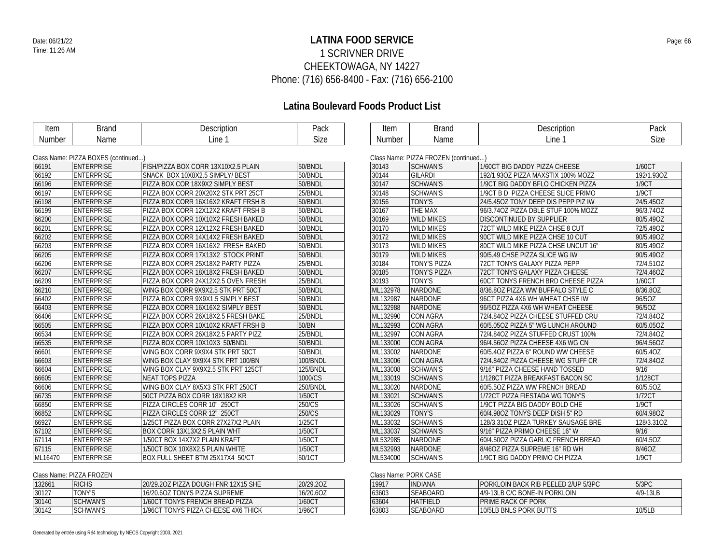### **LATINA FOOD SERVICE** Date: 06/21/22 Page: 66 1 SCRIVNER DRIVE CHEEKTOWAGA, NY 14227 Phone: (716) 656-8400 - Fax: (716) 656-2100

# **Latina Boulevard Foods Product List**

| Item    | <b>Brand</b>                       | Description                         | Pack     | Item     | <b>Brand</b>                         | Description                         | Pack       |
|---------|------------------------------------|-------------------------------------|----------|----------|--------------------------------------|-------------------------------------|------------|
| Number  | Name                               | Line 1                              | Size     | Number   | Name                                 | Line 1                              | Size       |
|         |                                    |                                     |          |          |                                      |                                     |            |
|         | Class Name: PIZZA BOXES (continued |                                     |          |          | Class Name: PIZZA FROZEN (continued) |                                     |            |
| 66191   | <b>ENTERPRISE</b>                  | FISH/PIZZA BOX CORR 13X10X2.5 PLAIN | 50/BNDL  | 30143    | <b>SCHWAN'S</b>                      | 1/60CT BIG DADDY PIZZA CHEESE       | 1/60CT     |
| 66192   | <b>ENTERPRISE</b>                  | SNACK BOX 10X8X2.5 SIMPLY/ BEST     | 50/BNDL  | 30144    | <b>GILARDI</b>                       | 192/1.93OZ PIZZA MAXSTIX 100% MOZZ  | 192/1.93OZ |
| 66196   | <b>ENTERPRISE</b>                  | PIZZA BOX COR 18X9X2 SIMPLY BEST    | 50/BNDL  | 30147    | <b>SCHWAN'S</b>                      | 1/9CT BIG DADDY BFLO CHICKEN PIZZA  | 1/9CT      |
| 66197   | <b>ENTERPRISE</b>                  | PIZZA BOX CORR 20X20X2 STK PRT 25CT | 25/BNDL  | 30148    | <b>SCHWAN'S</b>                      | 1/9CT B D PIZZA CHEESE SLICE PRIMO  | 1/9CT      |
| 66198   | <b>ENTERPRISE</b>                  | PIZZA BOX CORR 16X16X2 KRAFT FRSH B | 50/BNDL  | 30156    | TONY'S                               | 24/5.45OZ TONY DEEP DIS PEPP PIZ IW | 24/5.45OZ  |
| 66199   | <b>ENTERPRISE</b>                  | PIZZA BOX CORR 12X12X2 KRAFT FRSH B | 50/BNDL  | 30167    | THE MAX                              | 96/3.74OZ PIZZA DBLE STUF 100% MOZZ | 96/3.74OZ  |
| 66200   | <b>ENTERPRISE</b>                  | PIZZA BOX CORR 10X10X2 FRESH BAKED  | 50/BNDL  | 30169    | <b>WILD MIKES</b>                    | DISCONTINUED BY SUPPLIER            | 80/5.49OZ  |
| 66201   | <b>ENTERPRISE</b>                  | PIZZA BOX CORR 12X12X2 FRESH BAKED  | 50/BNDL  | 30170    | <b>WILD MIKES</b>                    | 72CT WILD MIKE PIZZA CHSE 8 CUT     | 72/5.49OZ  |
| 66202   | <b>ENTERPRISE</b>                  | PIZZA BOX CORR 14X14X2 FRESH BAKED  | 50/BNDL  | 30172    | <b>WILD MIKES</b>                    | 90CT WILD MIKE PIZZA CHSE 10 CUT    | 90/5.49OZ  |
| 66203   | <b>ENTERPRISE</b>                  | PIZZA BOX CORR 16X16X2 FRESH BAKED  | 50/BNDL  | 30173    | <b>WILD MIKES</b>                    | 80CT WILD MIKE PIZZA CHSE UNCUT 16" | 80/5.49OZ  |
| 66205   | <b>ENTERPRISE</b>                  | PIZZA BOX CORR 17X13X2 STOCK PRINT  | 50/BNDL  | 30179    | <b>WILD MIKES</b>                    | 90/5.49 CHSE PIZZA SLICE WG IW      | 90/5.49OZ  |
| 66206   | <b>ENTERPRISE</b>                  | PIZZA BOX CORR 25X18X2 PARTY PIZZA  | 25/BNDL  | 30184    | TONY'S PIZZA                         | 72CT TONYS GALAXY PIZZA PEPP        | 72/4.51OZ  |
| 66207   | <b>ENTERPRISE</b>                  | PIZZA BOX CORR 18X18X2 FRESH BAKED  | 50/BNDL  | 30185    | <b>TONY'S PIZZA</b>                  | 72CT TONYS GALAXY PIZZA CHEESE      | 72/4.46OZ  |
| 66209   | <b>ENTERPRISE</b>                  | PIZZA BOX CORR 24X12X2.5 OVEN FRESH | 25/BNDL  | 30193    | <b>TONY'S</b>                        | 60CT TONYS FRENCH BRD CHEESE PIZZA  | 1/60CT     |
| 66210   | <b>ENTERPRISE</b>                  | WING BOX CORR 9X9X2.5 STK PRT 50CT  | 50/BNDL  | ML132978 | <b>NARDONE</b>                       | 8/36.80Z PIZZA WW BUFFALO STYLE C   | 8/36.8OZ   |
| 66402   | <b>ENTERPRISE</b>                  | PIZZA BOX CORR 9X9X1.5 SIMPLY BEST  | 50/BNDL  | ML132987 | <b>NARDONE</b>                       | 96CT PIZZA 4X6 WH WHEAT CHSE IW     | 96/50Z     |
| 66403   | <b>ENTERPRISE</b>                  | PIZZA BOX CORR 16X16X2 SIMPLY BEST  | 50/BNDL  | ML132988 | <b>NARDONE</b>                       | 96/5OZ PIZZA 4X6 WH WHEAT CHEESE    | 96/5OZ     |
| 66406   | <b>ENTERPRISE</b>                  | PIZZA BOX CORR 26X18X2.5 FRESH BAKE | 25/BNDL  | ML132990 | <b>CON AGRA</b>                      | 72/4.84OZ PIZZA CHEESE STUFFED CRU  | 72/4.84OZ  |
| 66505   | <b>ENTERPRISE</b>                  | PIZZA BOX CORR 10X10X2 KRAFT FRSH B | 50/BN    | ML132993 | <b>CON AGRA</b>                      | 60/5.05OZ PIZZA 5" WG LUNCH AROUND  | 60/5.05OZ  |
| 66534   | <b>ENTERPRISE</b>                  | PIZZA BOX CORR 26X18X2.5 PARTY PIZZ | 25/BNDL  | ML132997 | CON AGRA                             | 72/4.84OZ PIZZA STUFFED CRUST 100%  | 72/4.84OZ  |
| 66535   | <b>ENTERPRISE</b>                  | PIZZA BOX CORR 10X10X3 50/BNDL      | 50/BNDL  | ML133000 | <b>CON AGRA</b>                      | 96/4.56OZ PIZZA CHEESE 4X6 WG CN    | 96/4.56OZ  |
| 66601   | <b>ENTERPRISE</b>                  | WING BOX CORR 9X9X4 STK PRT 50CT    | 50/BNDL  | ML133002 | <b>NARDONE</b>                       | 60/5.40Z PIZZA 6" ROUND WW CHEESE   | 60/5.4OZ   |
| 66603   | <b>ENTERPRISE</b>                  | WING BOX CLAY 9X9X4 STK PRT 100/BN  | 100/BNDL | ML133006 | <b>CON AGRA</b>                      | 72/4.840Z PIZZA CHEESE WG STUFF CR  | 72/4.84OZ  |
| 66604   | <b>ENTERPRISE</b>                  | WING BOX CLAY 9X9X2.5 STK PRT 125CT | 125/BNDL | ML133008 | <b>SCHWAN'S</b>                      | 9/16" PIZZA CHEESE HAND TOSSED      | 9/16"      |
| 66605   | <b>ENTERPRISE</b>                  | <b>NEAT TOPS PIZZA</b>              | 1000/CS  | ML133019 | <b>SCHWAN'S</b>                      | 1/128CT PIZZA BREAKFAST BACON SC    | 1/128CT    |
| 66606   | <b>ENTERPRISE</b>                  | WING BOX CLAY 8X5X3 STK PRT 250CT   | 250/BNDL | ML133020 | <b>NARDONE</b>                       | 60/5.50Z PIZZA WW FRENCH BREAD      | 60/5.5OZ   |
| 66735   | <b>ENTERPRISE</b>                  | 50CT PIZZA BOX CORR 18X18X2 KR      | 1/50CT   | ML133021 | <b>SCHWAN'S</b>                      | 1/72CT PIZZA FIESTADA WG TONY'S     | 1/72CT     |
| 66850   | <b>ENTERPRISE</b>                  | PIZZA CIRCLES CORR 10" 250CT        | 250/CS   | ML133026 | <b>SCHWAN'S</b>                      | 1/9CT PIZZA BIG DADDY BOLD CHE      | 1/9CT      |
| 66852   | <b>ENTERPRISE</b>                  | PIZZA CIRCLES CORR 12" 250CT        | 250/CS   | ML133029 | <b>TONY'S</b>                        | 60/4.980Z TONYS DEEP DISH 5" RD     | 60/4.98OZ  |
| 66927   | <b>ENTERPRISE</b>                  | 1/25CT PIZZA BOX CORR 27X27X2 PLAIN | 1/25CT   | ML133032 | <b>SCHWAN'S</b>                      | 128/3.31OZ PIZZA TURKEY SAUSAGE BRE | 128/3.31OZ |
| 67102   | <b>ENTERPRISE</b>                  | BOX CORR 13X13X2.5 PLAIN WHT        | 1/50CT   | ML133037 | <b>SCHWAN'S</b>                      | 9/16" PIZZA PRIMO CHEESE 16" W      | 9/16"      |
| 67114   | <b>ENTERPRISE</b>                  | 1/50CT BOX 14X7X2 PLAIN KRAFT       | 1/50CT   | ML532985 | <b>NARDONE</b>                       | 60/4.50OZ PIZZA GARLIC FRENCH BREAD | 60/4.5OZ   |
| 67115   | <b>ENTERPRISE</b>                  | 1/50CT BOX 10X8X2.5 PLAIN WHITE     | 1/50CT   | ML532993 | <b>NARDONE</b>                       | 8/460Z PIZZA SUPREME 16" RD WH      | 8/46OZ     |
| ML16470 | <b>ENTERPRISE</b>                  |                                     | 50/1CT   | ML534000 | <b>SCHWAN'S</b>                      | 1/9CT BIG DADDY PRIMO CH PIZZA      | 1/9CT      |
|         |                                    | BOX FULL SHEET BTM 25X17X4 50/CT    |          |          |                                      |                                     |            |

Class Name: PIZZA FROZEN 132661 RICHS 20/29.2OZ PIZZA DOUGH FNR 12X15 SHE 20/29.2OZ<br>
16/20.6OZ TONYS 16/20.6OZ TONYS PIZZA SUPREME 16/20.6OZ<br>
1760CT 1760CT TONYS FRENCH BREAD PIZZA 1760CT TONY'S 16/20.6OZ TONYS PIZZA SUPREME 16/20.6OZ<br>SCHWAN'S 1/60CT TONYS FRENCH BREAD PIZZA 1/60CT 30140 SCHWAN'S 1/60CT TONYS FRENCH BREAD PIZZA<br>30142 SCHWAN'S 1/96CT TONYS PIZZA CHEESE 4X6 THICK 1/96CT 1/96CT TONYS PIZZA CHEESE 4X6 THICK

| Class Name: PORK CASE |                 |                                      |          |  |
|-----------------------|-----------------|--------------------------------------|----------|--|
| 19917                 | <b>INDIANA</b>  | PORKLOIN BACK RIB PEELED 2/LIP 5/3PC | 5/3PC    |  |
| 63603                 | <b>SEAROARD</b> | 4/9-13LB C/C BONE-IN PORKLOIN        | 4/9-13LB |  |
| 63604                 | HATFIFI D       | I PRIME RACK OF PORK                 |          |  |
| 63803                 | <b>SEAROARD</b> | 10/5LB BNLS PORK BUTTS               | 10/5LB   |  |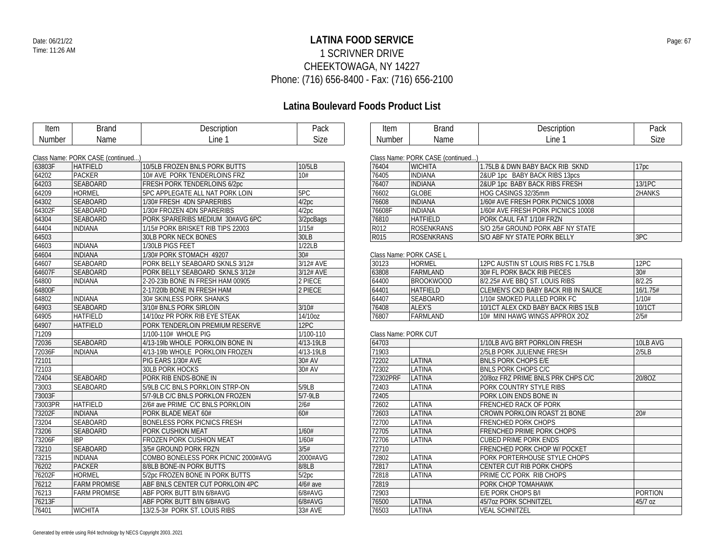### **LATINA FOOD SERVICE** Date: 06/21/22 Page: 67 1 SCRIVNER DRIVE CHEEKTOWAGA, NY 14227 Phone: (716) 656-8400 - Fax: (716) 656-2100

| Item    | <b>Brand</b>                      | Description                         | Pack       | Item                 | <b>Brand</b>                      | Description                         | Pack             |
|---------|-----------------------------------|-------------------------------------|------------|----------------------|-----------------------------------|-------------------------------------|------------------|
| Number  | Name                              | Line 1                              | Size       | Number               | Name                              | Line 1                              | Size             |
|         | Class Name: PORK CASE (continued) |                                     |            |                      | Class Name: PORK CASE (continued) |                                     |                  |
| 63803F  | <b>HATFIELD</b>                   | 10/5LB FROZEN BNLS PORK BUTTS       | 10/5LB     | 76404                | <b>WICHITA</b>                    | 1.75LB & DWN BABY BACK RIB SKND     | 17 <sub>pc</sub> |
| 64202   | <b>PACKER</b>                     | 10# AVE PORK TENDERLOINS FRZ        | 10#        | 76405                | <b>INDIANA</b>                    | 2&UP 1pc BABY BACK RIBS 13pcs       |                  |
| 64203   | SEABOARD                          | FRESH PORK TENDERLOINS 6/2pc        |            | 76407                | <b>INDIANA</b>                    | 2&UP 1pc BABY BACK RIBS FRESH       | 13/1PC           |
| 64209   | <b>HORMEL</b>                     | 5PC APPLEGATE ALL NAT PORK LOIN     | 5PC        | 76602                | <b>GLOBE</b>                      | HOG CASINGS 32/35mm                 | 2HANKS           |
| 64302   | SEABOARD                          | 1/30# FRESH 4DN SPARERIBS           | 4/2pc      | 76608                | <b>INDIANA</b>                    | 1/60# AVE FRESH PORK PICNICS 10008  |                  |
| 64302F  | SEABOARD                          | 1/30# FROZEN 4DN SPARERIBS          | 4/2pc      | 76608F               | <b>INDIANA</b>                    | 1/60# AVE FRESH PORK PICNICS 10008  |                  |
| 64304   | SEABOARD                          | PORK SPARERIBS MEDIUM 30#AVG 6PC    | 3/2pcBags  | 76810                | <b>HATFIELD</b>                   | PORK CAUL FAT 1/10# FRZN            |                  |
| 64404   | <b>INDIANA</b>                    | 1/15# PORK BRISKET RIB TIPS 22003   | 1/15#      | R012                 | <b>ROSENKRANS</b>                 | S/O 2/5# GROUND PORK ABF NY STATE   |                  |
| 64503   |                                   | <b>30LB PORK NECK BONES</b>         | 30LB       | R015                 | <b>ROSENKRANS</b>                 | S/O ABF NY STATE PORK BELLY         | 3PC              |
| 64603   | <b>INDIANA</b>                    | 1/30LB PIGS FEET                    | 1/22LB     |                      |                                   |                                     |                  |
| 64604   | <b>INDIANA</b>                    | 1/30# PORK STOMACH 49207            | 30#        |                      | Class Name: PORK CASE L           |                                     |                  |
| 64607   | <b>SEABOARD</b>                   | PORK BELLY SEABOARD SKNLS 3/12#     | 3/12# AVE  | 30123                | HORMEL                            | 12PC AUSTIN ST LOUIS RIBS FC 1.75LB | 12PC             |
| 64607F  | SEABOARD                          | PORK BELLY SEABOARD SKNLS 3/12#     | 3/12# AVE  | 63808                | FARMLAND                          | 30# FL PORK BACK RIB PIECES         | 30#              |
| 64800   | <b>INDIANA</b>                    | 2-20-23lb BONE IN FRESH HAM 00905   | 2 PIECE    | 64400                | <b>BROOKWOOD</b>                  | 8/2.25# AVE BBQ ST. LOUIS RIBS      | 8/2.25           |
| 64800F  |                                   | 2-17/20lb BONE IN FRESH HAM         | 2 PIECE    | 64401                | <b>HATFIELD</b>                   | CLEMEN'S CKD BABY BACK RIB IN SAUCE | 16/1.75#         |
| 64802   | <b>INDIANA</b>                    | 30# SKINLESS PORK SHANKS            |            | 64407                | <b>SEABOARD</b>                   | 1/10# SMOKED PULLED PORK FC         | 1/10#            |
| 64903   | <b>SEABOARD</b>                   | 3/10# BNLS PORK SIRLOIN             | 3/10#      | 76408                | ALEX'S                            | 10/1CT ALEX CKD BABY BACK RIBS 15LB | 10/1CT           |
| 64905   | <b>HATFIELD</b>                   | 14/10oz PR PORK RIB EYE STEAK       | 14/10oz    | 76807                | <b>FARMLAND</b>                   | 10# MINI HAWG WINGS APPROX 2OZ      | 2/5#             |
| 64907   | <b>HATFIELD</b>                   | PORK TENDERLOIN PREMIUM RESERVE     | 12PC       |                      |                                   |                                     |                  |
| 71209   |                                   | 1/100-110# WHOLE PIG                | 1/100-110  | Class Name: PORK CUT |                                   |                                     |                  |
| 72036   | SEABOARD                          | 4/13-19lb WHOLE PORKLOIN BONE IN    | 4/13-19LB  | 64703                |                                   | 1/10LB AVG BRT PORKLOIN FRESH       | 10LB AVG         |
| 72036F  | <b>INDIANA</b>                    | 4/13-19lb WHOLE PORKLOIN FROZEN     | 4/13-19LB  | 71903                |                                   | 2/5LB PORK JULIENNE FRESH           | 2/5LB            |
| 72101   |                                   | PIG EARS 1/30# AVE                  | 30# AV     | 72202                | LATINA                            | <b>BNLS PORK CHOPS E/E</b>          |                  |
| 72103   |                                   | 30LB PORK HOCKS                     | 30# AV     | 72302                | LATINA                            | <b>BNLS PORK CHOPS C/C</b>          |                  |
| 72404   | <b>SEABOARD</b>                   | PORK RIB ENDS-BONE IN               |            | 72302PRF             | LATINA                            | 20/80Z FRZ PRIME BNLS PRK CHPS C/C  | 20/8OZ           |
| 73003   | <b>SEABOARD</b>                   | 5/9LB C/C BNLS PORKLOIN STRP-ON     | 5/9LB      | 72403                | LATINA                            | PORK COUNTRY STYLE RIBS             |                  |
| 73003F  |                                   | 5/7-9LB C/C BNLS PORKLON FROZEN     | 5/7-9LB    | 72405                |                                   | PORK LOIN ENDS BONE IN              |                  |
| 73003PR | <b>HATFIELD</b>                   | 2/6# ave PRIME C/C BNLS PORKLOIN    | 2/6#       | 72602                | <b>LATINA</b>                     | <b>FRENCHED RACK OF PORK</b>        |                  |
| 73202F  | <b>INDIANA</b>                    | PORK BLADE MEAT 60#                 | 60#        | 72603                | LATINA                            | CROWN PORKLOIN ROAST 21 BONE        | 20#              |
| 73204   | SEABOARD                          | <b>BONELESS PORK PICNICS FRESH</b>  |            | 72700                | LATINA                            | <b>FRENCHED PORK CHOPS</b>          |                  |
| 73206   | SEABOARD                          | PORK CUSHION MEAT                   | 1/60#      | 72705                | <b>LATINA</b>                     | FRENCHED PRIME PORK CHOPS           |                  |
| 73206F  | <b>IBP</b>                        | FROZEN PORK CUSHION MEAT            | 1/60#      | 72706                | LATINA                            | <b>CUBED PRIME PORK ENDS</b>        |                  |
| 73210   | SEABOARD                          | 3/5# GROUND PORK FRZN               | 3/5#       | 72710                |                                   | <b>FRENCHED PORK CHOP W/ POCKET</b> |                  |
| 73215   | <b>INDIANA</b>                    | COMBO BONELESS PORK PICNIC 2000#AVG | 2000#AVG   | 72802                | LATINA                            | PORK PORTERHOUSE STYLE CHOPS        |                  |
| 76202   | <b>PACKER</b>                     | 8/8LB BONE-IN PORK BUTTS            | 8/8LB      | 72817                | LATINA                            | CENTER CUT RIB PORK CHOPS           |                  |
| 76202F  | <b>HORMEL</b>                     | 5/2pc FROZEN BONE IN PORK BUTTS     | 5/2pc      | 72818                | LATINA                            | PRIME C/C PORK RIB CHOPS            |                  |
| 76212   | <b>FARM PROMISE</b>               | ABF BNLS CENTER CUT PORKLOIN 4PC    | $4/6#$ ave | 72819                |                                   | PORK CHOP TOMAHAWK                  |                  |
| 76213   | <b>FARM PROMISE</b>               | ABF PORK BUTT B/IN 6/8#AVG          | 6/8#AVG    | 72903                |                                   | E/E PORK CHOPS B/I                  | <b>PORTION</b>   |
| 76213F  |                                   | ABF PORK BUTT B/IN 6/8#AVG          | 6/8#AVG    | 76500                | LATINA                            | 45/7oz PORK SCHNITZEL               | 45/7 oz          |
| 76401   | <b>WICHITA</b>                    | 13/2.5-3# PORK ST. LOUIS RIBS       | 33# AVE    | 76503                | LATINA                            | <b>VEAL SCHNITZEL</b>               |                  |
|         |                                   |                                     |            |                      |                                   |                                     |                  |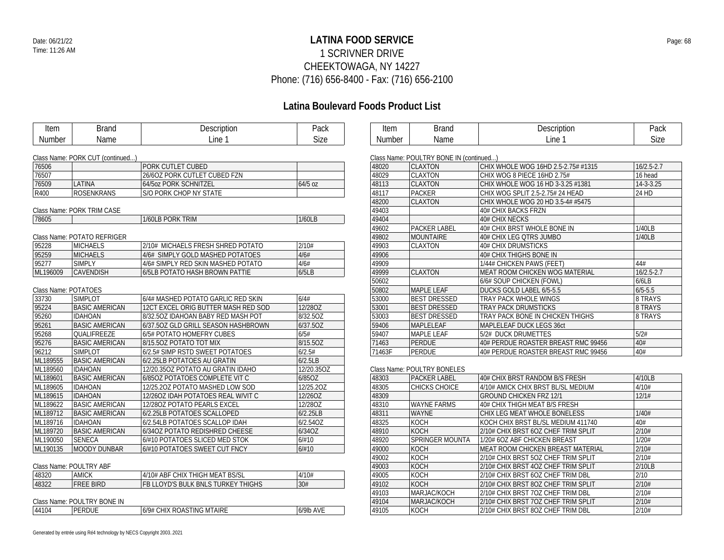### **LATINA FOOD SERVICE** Date: 06/21/22 Page: 68 1 SCRIVNER DRIVE CHEEKTOWAGA, NY 14227 Phone: (716) 656-8400 - Fax: (716) 656-2100

| Item                 | <b>Brand</b>                     | Description                         | Pack       | Item          | <b>Brand</b>                            | Description                         | Pack            |
|----------------------|----------------------------------|-------------------------------------|------------|---------------|-----------------------------------------|-------------------------------------|-----------------|
| <b>Number</b>        | Name                             | Line 1                              | Size       | <b>Number</b> | Name                                    | Line 1                              | Size            |
|                      |                                  |                                     |            |               |                                         |                                     |                 |
|                      | Class Name: PORK CUT (continued) |                                     |            |               | Class Name: POULTRY BONE IN (continued) |                                     |                 |
| 76506                |                                  | <b>PORK CUTLET CUBED</b>            |            | 48020         | <b>CLAXTON</b>                          | CHIX WHOLE WOG 16HD 2.5-2.75# #1315 | $16/2.5 - 2.7$  |
| 76507                |                                  | 26/6OZ PORK CUTLET CUBED FZN        |            | 48029         | <b>CLAXTON</b>                          | CHIX WOG 8 PIECE 16HD 2.75#         | 16 head         |
| 76509                | LATINA                           | 64/5oz PORK SCHNITZEL               | 64/5 oz    | 48113         | <b>CLAXTON</b>                          | CHIX WHOLE WOG 16 HD 3-3.25 #1381   | $14 - 3 - 3.25$ |
| R400                 | <b>ROSENKRANS</b>                | S/O PORK CHOP NY STATE              |            | 48117         | PACKER                                  | CHIX WOG SPLIT 2.5-2.75# 24 HEAD    | 24 HD           |
|                      |                                  |                                     |            | 48200         | <b>CLAXTON</b>                          | CHIX WHOLE WOG 20 HD 3.5-4# #5475   |                 |
|                      | Class Name: PORK TRIM CASE       |                                     |            | 49403         |                                         | 40# CHIX BACKS FRZN                 |                 |
| 78605                |                                  | 1/60LB PORK TRIM                    | 1/60LB     | 49404         |                                         | 40# CHIX NECKS                      |                 |
|                      |                                  |                                     |            | 49602         | PACKER LABEL                            | 40# CHIX BRST WHOLE BONE IN         | 1/40LB          |
|                      | Class Name: POTATO REFRIGER      |                                     |            | 49802         | <b>MOUNTAIRE</b>                        | 40# CHIX LEG QTRS JUMBO             | 1/40LB          |
| 95228                | <b>MICHAELS</b>                  | 2/10# MICHAELS FRESH SHRED POTATO   | 2/10#      | 49903         | <b>CLAXTON</b>                          | <b>40# CHIX DRUMSTICKS</b>          |                 |
| 95259                | <b>MICHAELS</b>                  | 4/6# SIMPLY GOLD MASHED POTATOES    | 4/6#       | 49906         |                                         | 40# CHIX THIGHS BONE IN             |                 |
| 95277                | <b>SIMPLY</b>                    | 4/6# SIMPLY RED SKIN MASHED POTATO  | 4/6#       | 49909         |                                         | 1/44# CHICKEN PAWS (FEET)           | 44#             |
| ML196009             | CAVENDISH                        | 6/5LB POTATO HASH BROWN PATTIE      | 6/5LB      | 49999         | <b>CLAXTON</b>                          | MEAT ROOM CHICKEN WOG MATERIAL      | $16/2.5 - 2.7$  |
|                      |                                  |                                     |            | 50602         |                                         | 6/6# SOUP CHICKEN (FOWL)            | 6/6LB           |
| Class Name: POTATOES |                                  |                                     |            | 50802         | <b>MAPLE LEAF</b>                       | DUCKS GOLD LABEL 6/5-5.5            | $6/5 - 5.5$     |
| 33730                | <b>SIMPLOT</b>                   | 6/4# MASHED POTATO GARLIC RED SKIN  | 6/4#       | 53000         | <b>BEST DRESSED</b>                     | TRAY PACK WHOLE WINGS               | 8 TRAYS         |
| 95224                | <b>BASIC AMERICAN</b>            | 12CT EXCEL ORIG BUTTER MASH RED SOD | 12/28OZ    | 53001         | <b>BEST DRESSED</b>                     | TRAY PACK DRUMSTICKS                | 8 TRAYS         |
| 95260                | <b>IDAHOAN</b>                   | 8/32.50Z IDAHOAN BABY RED MASH POT  | 8/32.5OZ   | 53003         | <b>BEST DRESSED</b>                     | TRAY PACK BONE IN CHICKEN THIGHS    | 8 TRAYS         |
| 95261                | <b>BASIC AMERICAN</b>            | 6/37.50Z GLD GRILL SEASON HASHBROWN | 6/37.50Z   | 59406         | <b>MAPLELEAF</b>                        | MAPLELEAF DUCK LEGS 36ct            |                 |
| 95268                | <b>QUALIFREEZE</b>               | 6/5# POTATO HOMEFRY CUBES           | 6/5#       | 59407         | <b>MAPLE LEAF</b>                       | 5/2# DUCK DRUMETTES                 | 5/2#            |
| 95276                | <b>BASIC AMERICAN</b>            | 8/15.50Z POTATO TOT MIX             | 8/15.50Z   | 71463         | <b>PERDUE</b>                           | 40# PERDUE ROASTER BREAST RMC 99456 | 40#             |
| 96212                | <b>SIMPLOT</b>                   | 6/2.5# SIMP RSTD SWEET POTATOES     | 6/2.5#     | 71463F        | <b>PERDUE</b>                           | 40# PERDUE ROASTER BREAST RMC 99456 | 40#             |
| ML189555             | <b>BASIC AMERICAN</b>            | 6/2.25LB POTATOES AU GRATIN         | 6/2.5LB    |               |                                         |                                     |                 |
| ML189560             | <b>IDAHOAN</b>                   | 12/20.350Z POTATO AU GRATIN IDAHO   | 12/20.35OZ |               | Class Name: POULTRY BONELES             |                                     |                 |
| ML189601             | <b>BASIC AMERICAN</b>            | 6/85OZ POTATOES COMPLETE VIT C      | 6/85OZ     | 48303         | <b>PACKER LABEL</b>                     | 40# CHIX BRST RANDOM B/S FRESH      | 4/10LB          |
| ML189605             | <b>IDAHOAN</b>                   | 12/25.20Z POTATO MASHED LOW SOD     | 12/25.20Z  | 48305         | <b>CHICKS CHOICE</b>                    | 4/10# AMICK CHIX BRST BL/SL MEDIUM  | 4/10#           |
| ML189615             | <b>IDAHOAN</b>                   | 12/260Z IDAH POTATOES REAL W/VIT C  | 12/26OZ    | 48309         |                                         | <b>GROUND CHICKEN FRZ 12/1</b>      | 12/1#           |
| ML189622             | <b>BASIC AMERICAN</b>            | 12/280Z POTATO PEARLS EXCEL         | 12/28OZ    | 48310         | <b>WAYNE FARMS</b>                      | 40# CHIX THIGH MEAT B/S FRESH       |                 |
| ML189712             | <b>BASIC AMERICAN</b>            | 6/2.25LB POTATOES SCALLOPED         | 6/2.25LB   | 48311         | WAYNE                                   | CHIX LEG MEAT WHOLE BONELESS        | 1/40#           |
| ML189716             | <b>IDAHOAN</b>                   | 6/2.54LB POTATOES SCALLOP IDAH      | 6/2.54OZ   | 48325         | KOCH                                    | KOCH CHIX BRST BL/SL MEDIUM 411740  | 40#             |
| ML189720             | <b>BASIC AMERICAN</b>            | 6/34OZ POTATO REDISHRED CHEESE      | 6/34OZ     | 48910         | <b>KOCH</b>                             | 2/10# CHIX BRST 6OZ CHEF TRIM SPLIT | 2/10#           |
| ML190050             | <b>SENECA</b>                    | 6/#10 POTATOES SLICED MED STOK      | 6/#10      | 48920         | <b>SPRINGER MOUNTA</b>                  | 1/20# 6OZ ABF CHICKEN BREAST        | 1/20#           |
| ML190135             | MOODY DUNBAR                     | 6/#10 POTATOES SWEET CUT FNCY       | 6/#10      | 49000         | <b>KOCH</b>                             | MEAT ROOM CHICKEN BREAST MATERIAL   | 2/10#           |
|                      |                                  |                                     |            | 49002         | <b>KOCH</b>                             | 2/10# CHIX BRST 5OZ CHEF TRIM SPLIT | 2/10#           |
|                      | Class Name: POULTRY ABF          |                                     |            | 49003         | <b>KOCH</b>                             | 2/10# CHIX BRST 4OZ CHEF TRIM SPLIT | 2/10LB          |
| 48320                | <b>AMICK</b>                     | 4/10# ABF CHIX THIGH MEAT BS/SL     | 4/10#      | 49005         | KOCH                                    | 2/10# CHIX BRST 6OZ CHEF TRIM DBL   | 2/10            |
| 48322                | <b>FREE BIRD</b>                 | FB LLOYD'S BULK BNLS TURKEY THIGHS  | 30#        | 49102         | <b>KOCH</b>                             | 2/10# CHIX BRST 8OZ CHEF TRIM SPLIT | 2/10#           |
|                      |                                  |                                     |            | 49103         | MARJAC/KOCH                             | 2/10# CHIX BRST 7OZ CHEF TRIM DBL   | 2/10#           |
|                      | Class Name: POULTRY BONE IN      |                                     |            | 49104         | MARJAC/KOCH                             | 2/10# CHIX BRST 7OZ CHEF TRIM SPLIT | 2/10#           |
| 44104                | <b>PERDUE</b>                    | 6/9# CHIX ROASTING MTAIRE           | 6/9lb AVE  | 49105         | KOCH                                    | 2/10# CHIX BRST 8OZ CHEF TRIM DBL   | 2/10#           |
|                      |                                  |                                     |            |               |                                         |                                     |                 |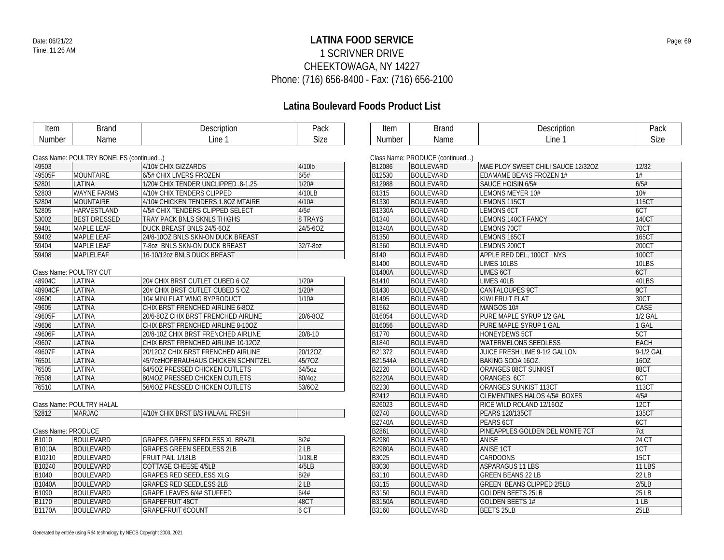### **LATINA FOOD SERVICE** Date: 06/21/22 Page: 69 1 SCRIVNER DRIVE CHEEKTOWAGA, NY 14227 Phone: (716) 656-8400 - Fax: (716) 656-2100

| Item                | <b>Brand</b>                            | Description                            | Pack     | Item           | <b>Brand</b>                    | Description                         | Pack               |
|---------------------|-----------------------------------------|----------------------------------------|----------|----------------|---------------------------------|-------------------------------------|--------------------|
| Number              | Name                                    | Line 1                                 | Size     | Number         | Name                            | Line 1                              | Size               |
|                     |                                         |                                        |          |                |                                 |                                     |                    |
|                     | Class Name: POULTRY BONELES (continued) |                                        |          |                | Class Name: PRODUCE (continued) |                                     |                    |
| 49503               |                                         | 4/10# CHIX GIZZARDS                    | 4/10lb   | B12086         | BOULEVARD                       | MAE PLOY SWEET CHILI SAUCE 12/32OZ  | 12/32              |
| 49505F              | <b>MOUNTAIRE</b>                        | 6/5# CHIX LIVERS FROZEN                | 6/5#     | B12530         | <b>BOULEVARD</b>                | EDAMAME BEANS FROZEN 1#             | 1#                 |
| 52801               | LATINA                                  | 1/20# CHIX TENDER UNCLIPPED .8-1.25    | 1/20#    | B12988         | BOULEVARD                       | SAUCE HOISIN 6/5#                   | 6/5#               |
| 52803               | <b>WAYNE FARMS</b>                      | 4/10# CHIX TENDERS CLIPPED             | 4/10LB   | B1315          | <b>BOULEVARD</b>                | LEMONS MEYER 10#                    | 10#                |
| 52804               | <b>MOUNTAIRE</b>                        | 4/10# CHICKEN TENDERS 1.80Z MTAIRE     | 4/10#    | B1330          | <b>BOULEVARD</b>                | LEMONS 115CT                        | 115CT              |
| 52805               | <b>HARVESTLAND</b>                      | 4/5# CHIX TENDERS CLIPPED SELECT       | 4/5#     | <b>B1330A</b>  | <b>BOULEVARD</b>                | <b>LEMONS 6CT</b>                   | 6CT                |
| 53002               | <b>BEST DRESSED</b>                     | TRAY PACK BNLS SKNLS THIGHS            | 8 TRAYS  | B1340          | BOULEVARD                       | <b>LEMONS 140CT FANCY</b>           | <b>140CT</b>       |
| 59401               | MAPLE LEAF                              | DUCK BREAST BNLS 24/5-6OZ              | 24/5-6OZ | <b>B1340A</b>  | <b>BOULEVARD</b>                | LEMONS 70CT                         | <b>70CT</b>        |
| 59402               | MAPLE LEAF                              | 24/8-10OZ BNLS SKN-ON DUCK BREAST      |          | <b>B1350</b>   | <b>BOULEVARD</b>                | LEMONS 165CT                        | <b>165CT</b>       |
| 59404               | <b>MAPLE LEAF</b>                       | 7-80Z BNLS SKN-ON DUCK BREAST          | 32/7-80Z | <b>B1360</b>   | <b>BOULEVARD</b>                | LEMONS 200CT                        | 200CT              |
| 59408               | <b>MAPLELEAF</b>                        | 16-10/12oz BNLS DUCK BREAST            |          | <b>B140</b>    | <b>BOULEVARD</b>                | APPLE RED DEL, 100CT NYS            | 100CT              |
|                     |                                         |                                        |          | B1400          | <b>BOULEVARD</b>                | <b>LIMES 10LBS</b>                  | $10L\overline{BS}$ |
|                     | Class Name: POULTRY CUT                 |                                        |          | <b>B1400A</b>  | BOULEVARD                       | LIMES 6CT                           | 6CT                |
| 48904C              | LATINA                                  | 20# CHIX BRST CUTLET CUBED 6 OZ        | 1/20#    | B1410          | <b>BOULEVARD</b>                | LIMES 40LB                          | 40LBS              |
| 48904CF             | LATINA                                  | 20# CHIX BRST CUTLET CUBED 5 OZ        | 1/20#    | <b>B1430</b>   | <b>BOULEVARD</b>                | CANTALOUPES 9CT                     | 9CT                |
| 49600               | LATINA                                  | 10# MINI FLAT WING BYPRODUCT           | 1/10#    | B1495          | <b>BOULEVARD</b>                | KIWI FRUIT FLAT                     | 30CT               |
| 49605               | <b>LATINA</b>                           | CHIX BRST FRENCHED AIRLINE 6-8OZ       |          | B1562          | <b>BOULEVARD</b>                | MANGOS 10#                          | CASE               |
| 49605F              | LATINA                                  | 20/6-80Z CHIX BRST FRENCHED AIRLINE    | 20/6-8OZ | B16054         | <b>BOULEVARD</b>                | PURE MAPLE SYRUP 1/2 GAL            | 1/2 GAL            |
| 49606               | LATINA                                  | CHIX BRST FRENCHED AIRLINE 8-10OZ      |          | B16056         | BOULEVARD                       | PURE MAPLE SYRUP 1 GAL              | 1 GAL              |
| 49606F              | LATINA                                  | 20/8-10Z CHIX BRST FRENCHED AIRLINE    | 20/8-10  | B1770          | <b>BOULEVARD</b>                | <b>HONEYDEWS 5CT</b>                | 5CT                |
| 49607               | LATINA                                  | CHIX BRST FRENCHED AIRLINE 10-12OZ     |          | B1840          | BOULEVARD                       | <b>WATERMELONS SEEDLESS</b>         | EACH               |
| 49607F              | LATINA                                  | 20/12OZ CHIX BRST FRENCHED AIRLINE     | 20/12OZ  | B21372         | <b>BOULEVARD</b>                | JUICE FRESH LIME 9-1/2 GALLON       | 9-1/2 GAL          |
| 76501               | LATINA                                  | 45/7ozHOFBRAUHAUS CHICKEN SCHNITZEL    | 45/70Z   | <b>B21544A</b> | <b>BOULEVARD</b>                | BAKING SODA 16OZ.                   | 160Z               |
| 76505               | LATINA                                  | 64/5OZ PRESSED CHICKEN CUTLETS         | 64/5oz   | B2220          | <b>BOULEVARD</b>                | ORANGES 88CT SUNKIST                | 88CT               |
| 76508               | LATINA                                  | 80/4OZ PRESSED CHICKEN CUTLETS         | 80/4oz   | <b>B2220A</b>  | BOULEVARD                       | ORANGES 6CT                         | 6CT                |
| 76510               | LATINA                                  | 56/6OZ PRESSED CHICKEN CUTLETS         | 53/6OZ   | B2230          | <b>BOULEVARD</b>                | ORANGES SUNKIST 113CT               | 113CT              |
|                     |                                         |                                        |          | B2412          | <b>BOULEVARD</b>                | <b>CLEMENTINES HALOS 4/5# BOXES</b> | 4/5#               |
|                     | Class Name: POULTRY HALAL               |                                        |          | B26023         | <b>BOULEVARD</b>                | RICE WILD ROLAND 12/16OZ            | 12CT               |
| 52812               | <b>MARJAC</b>                           | 4/10# CHIX BRST B/S HALAAL FRESH       |          | <b>B2740</b>   | <b>BOULEVARD</b>                | <b>PEARS 120/135CT</b>              | 135CT              |
|                     |                                         |                                        |          | <b>B2740A</b>  | <b>BOULEVARD</b>                | PEARS 6CT                           | 6CT                |
| Class Name: PRODUCE |                                         |                                        |          | B2861          | BOULEVARD                       | PINEAPPLES GOLDEN DEL MONTE 7CT     | 7ct                |
| B1010               | <b>BOULEVARD</b>                        | <b>GRAPES GREEN SEEDLESS XL BRAZIL</b> | 8/2#     | B2980          | <b>BOULEVARD</b>                | ANISE                               | 24 CT              |
| <b>B1010A</b>       | <b>BOULEVARD</b>                        | <b>GRAPES GREEN SEEDLESS 2LB</b>       | 2LB      | <b>B2980A</b>  | <b>BOULEVARD</b>                | ANISE 1CT                           | 1CT                |
| B10210              | <b>BOULEVARD</b>                        | FRUIT PAIL 1/18LB                      | 1/18LB   | B3025          | <b>BOULEVARD</b>                | CARDOONS                            | 15CT               |
| B10240              | <b>BOULEVARD</b>                        | <b>COTTAGE CHEESE 4/5LB</b>            | 4/5LB    | B3030          | BOULEVARD                       | <b>ASPARAGUS 11 LBS</b>             | <b>11 LBS</b>      |
| B1040               | <b>BOULEVARD</b>                        | <b>GRAPES RED SEEDLESS XLG</b>         | 8/2#     | B3110          | <b>BOULEVARD</b>                | <b>GREEN BEANS 22 LB</b>            | 22 LB              |
| <b>B1040A</b>       | <b>BOULEVARD</b>                        | <b>GRAPES RED SEEDLESS 2LB</b>         | 2LB      | <b>B</b> 3115  | <b>BOULEVARD</b>                | <b>GREEN BEANS CLIPPED 2/5LB</b>    | 2/5LB              |
| B1090               | <b>BOULEVARD</b>                        | <b>GRAPE LEAVES 6/4# STUFFED</b>       | 6/4#     | B3150          | <b>BOULEVARD</b>                | <b>GOLDEN BEETS 25LB</b>            | 25 LB              |
| B1170               | <b>BOULEVARD</b>                        | <b>GRAPEFRUIT 48CT</b>                 | 48CT     | <b>B3150A</b>  | <b>BOULEVARD</b>                | <b>GOLDEN BEETS 1#</b>              | 1LB                |
| <b>B1170A</b>       | <b>BOULEVARD</b>                        | <b>GRAPEFRUIT 6COUNT</b>               | 6 CT     | <b>B3160</b>   | <b>BOULEVARD</b>                | <b>BEETS 25LB</b>                   | 25LB               |
|                     |                                         |                                        |          |                |                                 |                                     |                    |

| <b>NUMBER</b> | name                            | riue i                              | ыzе            |
|---------------|---------------------------------|-------------------------------------|----------------|
|               |                                 |                                     |                |
|               | Class Name: PRODUCE (continued) |                                     |                |
| B12086        | <b>BOULEVARD</b>                | MAE PLOY SWEET CHILI SAUCE 12/320Z  | 12/32          |
| B12530        | <b>BOULEVARD</b>                | EDAMAME BEANS FROZEN 1#             | 1#             |
| B12988        | <b>BOULEVARD</b>                | SAUCE HOISIN 6/5#                   | 6/5#           |
| B1315         | <b>BOULEVARD</b>                | LEMONS MEYER 10#                    | 10#            |
| B1330         | <b>BOULEVARD</b>                | LEMONS 115CT                        | 115CT          |
| B1330A        | <b>BOULEVARD</b>                | <b>LEMONS 6CT</b>                   | 6CT            |
| B1340         | <b>BOULEVARD</b>                | <b>LEMONS 140CT FANCY</b>           | 140CT          |
| B1340A        | <b>BOULEVARD</b>                | <b>LEMONS 70CT</b>                  | <b>70CT</b>    |
| B1350         | <b>BOULEVARD</b>                | LEMONS 165CT                        | 165CT          |
| B1360         | <b>BOULEVARD</b>                | LEMONS 200CT                        | 200CT          |
| B140          | <b>BOULEVARD</b>                | APPLE RED DEL, 100CT NYS            | 100CT          |
| B1400         | <b>BOULEVARD</b>                | <b>LIMES 10LBS</b>                  | 10LBS          |
| B1400A        | <b>BOULEVARD</b>                | LIMES 6CT                           | 6CT            |
| B1410         | <b>BOULEVARD</b>                | LIMES 40LB                          | 40LBS          |
| B1430         | <b>BOULEVARD</b>                | <b>CANTALOUPES 9CT</b>              | 9CT            |
| B1495         | <b>BOULEVARD</b>                | KIWI FRUIT FLAT                     | 30CT           |
| B1562         | <b>BOULEVARD</b>                | MANGOS 10#                          | CASE           |
| B16054        | <b>BOULEVARD</b>                | PURE MAPLE SYRUP 1/2 GAL            | <b>1/2 GAL</b> |
| B16056        | <b>BOULEVARD</b>                | PURE MAPLE SYRUP 1 GAL              | 1 GAL          |
| B1770         | <b>BOULEVARD</b>                | <b>HONEYDEWS 5CT</b>                | 5CT            |
| B1840         | <b>BOULEVARD</b>                | <b>WATERMELONS SEEDLESS</b>         | <b>EACH</b>    |
| B21372        | <b>BOULEVARD</b>                | JUICE FRESH LIME 9-1/2 GALLON       | 9-1/2 GAL      |
| B21544A       | <b>BOULEVARD</b>                | BAKING SODA 160Z.                   | 16OZ           |
| B2220         | <b>BOULEVARD</b>                | ORANGES 88CT SUNKIST                | 88CT           |
| <b>B2220A</b> | <b>BOULEVARD</b>                | ORANGES 6CT                         | 6CT            |
| B2230         | <b>BOULEVARD</b>                | ORANGES SUNKIST 113CT               | 113CT          |
| B2412         | <b>BOULEVARD</b>                | <b>CLEMENTINES HALOS 4/5# BOXES</b> | 4/5#           |
| B26023        | <b>BOULEVARD</b>                | RICE WILD ROLAND 12/16OZ            | 12CT           |
| B2740         | <b>BOULEVARD</b>                | <b>PEARS 120/135CT</b>              | 135CT          |
| B2740A        | <b>BOULEVARD</b>                | PEARS 6CT                           | 6CT            |
| B2861         | <b>BOULEVARD</b>                | PINEAPPLES GOLDEN DEL MONTE 7CT     | 7ct            |
| B2980         | <b>BOULEVARD</b>                | <b>ANISE</b>                        | 24 CT          |
| <b>B2980A</b> | <b>BOULEVARD</b>                | <b>ANISE 1CT</b>                    | 1CT            |
| B3025         | <b>BOULEVARD</b>                | <b>CARDOONS</b>                     | 15CT           |
| B3030         | <b>BOULEVARD</b>                | <b>ASPARAGUS 11 LBS</b>             | 11 LBS         |
| B3110         | <b>BOULEVARD</b>                | <b>GREEN BEANS 22 LB</b>            | 22 LB          |
| B3115         | <b>BOULEVARD</b>                | <b>GREEN BEANS CLIPPED 2/5LB</b>    | 2/5LB          |
| B3150         | <b>BOULEVARD</b>                | <b>GOLDEN BEETS 25LB</b>            | 25 LB          |
| <b>B3150A</b> | <b>BOULEVARD</b>                | <b>GOLDEN BEETS 1#</b>              | 1LB            |
|               |                                 |                                     |                |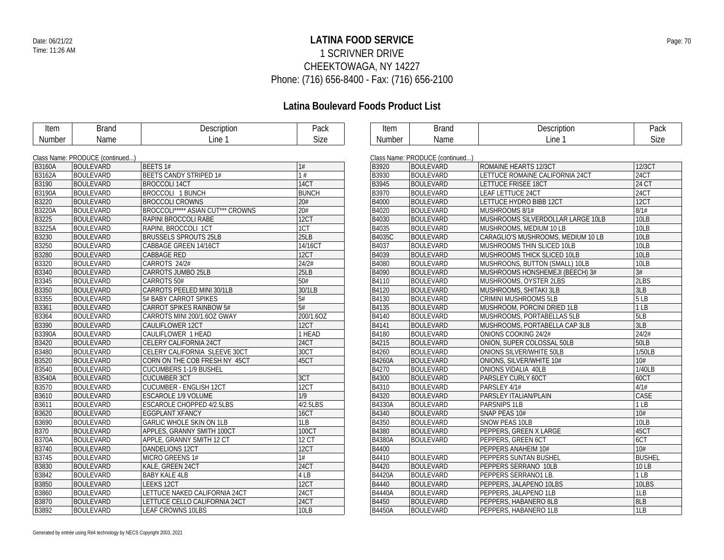### **LATINA FOOD SERVICE** Date: 06/21/22 Page: 70 1 SCRIVNER DRIVE CHEEKTOWAGA, NY 14227 Phone: (716) 656-8400 - Fax: (716) 656-2100

| Item          | <b>Brand</b>                    | Description                       | Pack             | <b>Item</b>   | <b>Brand</b>                    | Description                        | Pack          |  |  |  |
|---------------|---------------------------------|-----------------------------------|------------------|---------------|---------------------------------|------------------------------------|---------------|--|--|--|
| <b>Number</b> | Name                            | Line 1                            | <b>Size</b>      | <b>Number</b> | Name                            | Line 1                             | <b>Size</b>   |  |  |  |
|               |                                 |                                   |                  |               |                                 |                                    |               |  |  |  |
|               | Class Name: PRODUCE (continued) |                                   |                  |               | Class Name: PRODUCE (continued) |                                    |               |  |  |  |
| <b>B3160A</b> | <b>BOULEVARD</b>                | BEETS 1#                          | 1#               | <b>B</b> 3920 | <b>BOULEVARD</b>                | ROMAINE HEARTS 12/3CT              | 12/3CT        |  |  |  |
| <b>B3162A</b> | <b>BOULEVARD</b>                | <b>BEETS CANDY STRIPED 1#</b>     | $\overline{1\#}$ | <b>B3930</b>  | <b>BOULEVARD</b>                | LETTUCE ROMAINE CALIFORNIA 24CT    | 24CT          |  |  |  |
| B3190         | <b>BOULEVARD</b>                | <b>BROCCOLI 14CT</b>              | 14CT             | <b>B</b> 3945 | <b>BOULEVARD</b>                | LETTUCE FRISEE 18CT                | 24 CT         |  |  |  |
| <b>B3190A</b> | <b>BOULEVARD</b>                | BROCCOLI 1 BUNCH                  | <b>BUNCH</b>     | B3970         | <b>BOULEVARD</b>                | <b>LEAF LETTUCE 24CT</b>           | 24CT          |  |  |  |
| <b>B3220</b>  | <b>BOULEVARD</b>                | <b>BROCCOLI CROWNS</b>            | 20#              | <b>B4000</b>  | <b>BOULEVARD</b>                | LETTUCE HYDRO BIBB 12CT            | 12CT          |  |  |  |
| <b>B3220A</b> | <b>BOULEVARD</b>                | BROCCOLI***** ASIAN CUT*** CROWNS | 20#              | <b>B4020</b>  | <b>BOULEVARD</b>                | MUSHROOMS 8/1#                     | 8/1#          |  |  |  |
| B3225         | <b>BOULEVARD</b>                | RAPINI BROCCOLI RABE              | 12CT             | B4030         | <b>BOULEVARD</b>                | MUSHROOMS SILVERDOLLAR LARGE 10LB  | <b>10LB</b>   |  |  |  |
| <b>B3225A</b> | <b>BOULEVARD</b>                | RAPINI, BROCCOLI 1CT              | 1CT              | B4035         | <b>BOULEVARD</b>                | MUSHROOMS, MEDIUM 10 LB            | <b>10LB</b>   |  |  |  |
| <b>B3230</b>  | <b>BOULEVARD</b>                | <b>BRUSSELS SPROUTS 25LB</b>      | 25LB             | <b>B4035C</b> | <b>BOULEVARD</b>                | CARAGLIO'S MUSHROOMS, MEDIUM 10 LB | <b>10LB</b>   |  |  |  |
| B3250         | <b>BOULEVARD</b>                | CABBAGE GREEN 14/16CT             | 14/16CT          | <b>B4037</b>  | <b>BOULEVARD</b>                | MUSHROOMS THIN SLICED 10LB         | <b>10LB</b>   |  |  |  |
| <b>B3280</b>  | <b>BOULEVARD</b>                | <b>CABBAGE RED</b>                | 12CT             | B4039         | <b>BOULEVARD</b>                | MUSHROOMS THICK SLICED 10LB        | 10LB          |  |  |  |
| B3320         | <b>BOULEVARD</b>                | CARROTS 24/2#                     | 24/2#            | <b>B4080</b>  | <b>BOULEVARD</b>                | MUSHROONS, BUTTON (SMALL) 10LB     | 10LB          |  |  |  |
| <b>B3340</b>  | <b>BOULEVARD</b>                | CARROTS JUMBO 25LB                | 25LB             | <b>B4090</b>  | <b>BOULEVARD</b>                | MUSHROOMS HONSHEMEJI (BEECH) 3#    | 3#            |  |  |  |
| B3345         | <b>BOULEVARD</b>                | CARROTS 50#                       | 50#              | B4110         | <b>BOULEVARD</b>                | MUSHROOMS, OYSTER 2LBS             | 2LBS          |  |  |  |
| <b>B</b> 3350 | <b>BOULEVARD</b>                | CARROTS PEELED MINI 30/1LB        | 30/1LB           | <b>B4120</b>  | <b>BOULEVARD</b>                | MUSHROOMS, SHITAKI 3LB             | 3LB           |  |  |  |
| <b>B3355</b>  | <b>BOULEVARD</b>                | 5# BABY CARROT SPIKES             | 5#               | <b>B4130</b>  | <b>BOULEVARD</b>                | CRIMINI MUSHROOMS 5LB              | 5LB           |  |  |  |
| <b>B3361</b>  | <b>BOULEVARD</b>                | CARROT SPIKES RAINBOW 5#          | 5#               | <b>B4135</b>  | <b>BOULEVARD</b>                | MUSHROOM, PORCINI DRIED 1LB        | 1LB           |  |  |  |
| <b>B3364</b>  | <b>BOULEVARD</b>                | CARROTS MINI 200/1.6OZ GWAY       | 200/1.6OZ        | <b>B4140</b>  | <b>BOULEVARD</b>                | MUSHROOMS, PORTABELLAS 5LB         | 5LB           |  |  |  |
| <b>B</b> 3390 | <b>BOULEVARD</b>                | CAULIFLOWER 12CT                  | 12CT             | <b>B4141</b>  | <b>BOULEVARD</b>                | MUSHROOMS, PORTABELLA CAP 3LB      | 3LB           |  |  |  |
| <b>B3390A</b> | <b>BOULEVARD</b>                | CAULIFLOWER 1 HEAD                | 1 HEAD           | B4180         | <b>BOULEVARD</b>                | ONIONS COOKING 24/2#               | 24/2#         |  |  |  |
| <b>B3420</b>  | <b>BOULEVARD</b>                | CELERY CALIFORNIA 24CT            | <b>24CT</b>      | B4215         | <b>BOULEVARD</b>                | ONION, SUPER COLOSSAL 50LB         | <b>50LB</b>   |  |  |  |
| B3480         | <b>BOULEVARD</b>                | CELERY CALIFORNIA SLEEVE 30CT     | 30CT             | <b>B4260</b>  | <b>BOULEVARD</b>                | ONIONS SILVER/WHITE 50LB           | 1/50LB        |  |  |  |
| <b>B3520</b>  | <b>BOULEVARD</b>                | CORN ON THE COB FRESH NY 45CT     | 45CT             | <b>B4260A</b> | <b>BOULEVARD</b>                | ONIONS, SILVER/WHITE 10#           | 10#           |  |  |  |
| B3540         | <b>BOULEVARD</b>                | <b>CUCUMBERS 1-1/9 BUSHEL</b>     |                  | <b>B4270</b>  | <b>BOULEVARD</b>                | ONIONS VIDALIA 40LB                | 1/40LB        |  |  |  |
| <b>B3540A</b> | <b>BOULEVARD</b>                | <b>CUCUMBER 3CT</b>               | 3CT              | B4300         | <b>BOULEVARD</b>                | PARSLEY CURLY 60CT                 | 60CT          |  |  |  |
| B3570         | <b>BOULEVARD</b>                | CUCUMBER - ENGLISH 12CT           | 12CT             | B4310         | <b>BOULEVARD</b>                | PARSLEY 4/1#                       | 4/1#          |  |  |  |
| <b>B3610</b>  | <b>BOULEVARD</b>                | <b>ESCAROLE 1/9 VOLUME</b>        | $\overline{1/9}$ | <b>B4320</b>  | <b>BOULEVARD</b>                | PARSLEY ITALIAN/PLAIN              | CASE          |  |  |  |
| B3611         | <b>BOULEVARD</b>                | <b>ESCAROLE CHOPPED 4/2.5LBS</b>  | 4/2.5LBS         | <b>B4330A</b> | <b>BOULEVARD</b>                | PARSNIPS 1LB                       | 1LB           |  |  |  |
| B3620         | <b>BOULEVARD</b>                | <b>EGGPLANT XFANCY</b>            | <b>16CT</b>      | <b>B4340</b>  | <b>BOULEVARD</b>                | SNAP PEAS 10#                      | 10#           |  |  |  |
| B3690         | <b>BOULEVARD</b>                | GARLIC WHOLE SKIN ON 1LB          | 1LB              | <b>B4350</b>  | <b>BOULEVARD</b>                | SNOW PEAS 10LB                     | 10LB          |  |  |  |
| <b>B</b> 370  | <b>BOULEVARD</b>                | APPLES, GRANNY SMITH 100CT        | 100CT            | <b>B4380</b>  | <b>BOULEVARD</b>                | PEPPERS, GREEN X LARGE             | 45CT          |  |  |  |
| <b>B370A</b>  | <b>BOULEVARD</b>                | APPLE, GRANNY SMITH 12 CT         | <b>12 CT</b>     | <b>B4380A</b> | <b>BOULEVARD</b>                | PEPPERS, GREEN 6CT                 | 6CT           |  |  |  |
| <b>B3740</b>  | <b>BOULEVARD</b>                | DANDELIONS 12CT                   | 12CT             | <b>B4400</b>  |                                 | PEPPERS ANAHEIM 10#                | 10#           |  |  |  |
| <b>B3745</b>  | <b>BOULEVARD</b>                | MICRO GREENS 1#                   | 1#               | B4410         | <b>BOULEVARD</b>                | PEPPERS SUNTAN BUSHEL              | <b>BUSHEL</b> |  |  |  |
| <b>B3830</b>  | <b>BOULEVARD</b>                | KALE, GREEN 24CT                  | 24CT             | <b>B4420</b>  | <b>BOULEVARD</b>                | PEPPERS SERRANO 10LB               | 10 LB         |  |  |  |
| B3842         | <b>BOULEVARD</b>                | <b>BABY KALE 4LB</b>              | 4LB              | <b>B4420A</b> | <b>BOULEVARD</b>                | PEPPERS SERRANO1 LB.               | 1LB           |  |  |  |
| <b>B</b> 3850 | <b>BOULEVARD</b>                | LEEKS 12CT                        | 12CT             | <b>B4440</b>  | <b>BOULEVARD</b>                | PEPPERS, JALAPENO 10LBS            | 10LBS         |  |  |  |
| <b>B3860</b>  | <b>BOULEVARD</b>                | LETTUCE NAKED CALIFORNIA 24CT     | <b>24CT</b>      | <b>B4440A</b> | <b>BOULEVARD</b>                | PEPPERS, JALAPENO 1LB              | 1LB           |  |  |  |
| <b>B3870</b>  | <b>BOULEVARD</b>                | LETTUCE CELLO CALIFORNIA 24CT     | <b>24CT</b>      | <b>B4450</b>  | <b>BOULEVARD</b>                | PEPPERS, HABANERO 8LB              | 8LB           |  |  |  |
| B3892         | <b>BOULEVARD</b>                | <b>LEAF CROWNS 10LBS</b>          | 10LB             | <b>B4450A</b> | <b>BOULEVARD</b>                | PEPPERS, HABANERO 1LB              | 1LB           |  |  |  |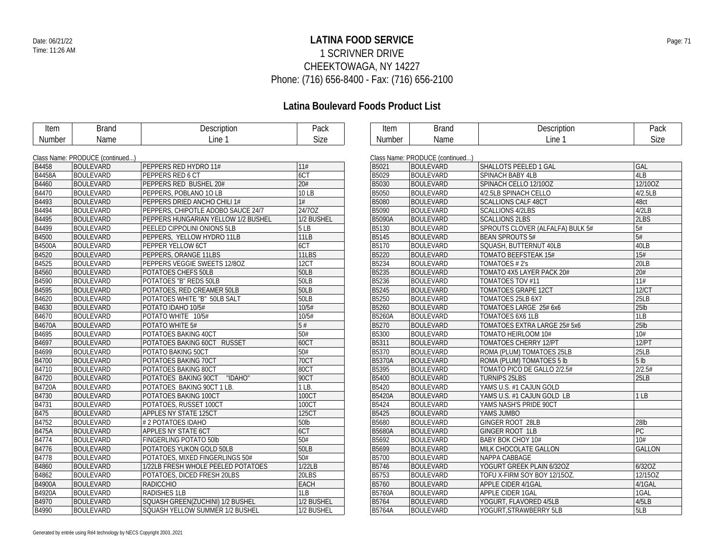### **LATINA FOOD SERVICE** Date: 06/21/22 Page: 71 1 SCRIVNER DRIVE CHEEKTOWAGA, NY 14227 Phone: (716) 656-8400 - Fax: (716) 656-2100

| Item          | <b>Brand</b>                    | Description                         | Pack          | Item          | <b>Brand</b>                   | Description                      | Pack              |  |  |  |
|---------------|---------------------------------|-------------------------------------|---------------|---------------|--------------------------------|----------------------------------|-------------------|--|--|--|
| Number        | Name                            | Line 1                              | <b>Size</b>   | Number        | Name                           | Line 1                           | Size              |  |  |  |
|               |                                 |                                     |               |               |                                |                                  |                   |  |  |  |
|               | Class Name: PRODUCE (continued) |                                     |               |               | Class Name: PRODUCE (continued |                                  |                   |  |  |  |
| <b>B4458</b>  | <b>BOULEVARD</b>                | PEPPERS RED HYDRO 11#               | 11#           | <b>B5021</b>  | <b>BOULEVARD</b>               | SHALLOTS PEELED 1 GAL            | GAL               |  |  |  |
| <b>B4458A</b> | <b>BOULEVARD</b>                | <b>PEPPERS RED 6 CT</b>             | 6CT           | B5029         | <b>BOULEVARD</b>               | <b>SPINACH BABY 4LB</b>          | 4LB               |  |  |  |
| <b>B4460</b>  | <b>BOULEVARD</b>                | <b>PEPPERS RED BUSHEL 20#</b>       | 20#           | <b>B5030</b>  | <b>BOULEVARD</b>               | SPINACH CELLO 12/10OZ            | 12/10OZ           |  |  |  |
| <b>B4470</b>  | <b>BOULEVARD</b>                | PEPPERS, POBLANO 10 LB              | 10 LB         | B5050         | <b>BOULEVARD</b>               | 4/2.5LB SPINACH CELLO            | 4/2.5LB           |  |  |  |
| B4493         | <b>BOULEVARD</b>                | PEPPERS DRIED ANCHO CHILI 1#        | 1#            | B5080         | <b>BOULEVARD</b>               | <b>SCALLIONS CALF 48CT</b>       | 48ct              |  |  |  |
| <b>B4494</b>  | <b>BOULEVARD</b>                | PEPPERS, CHIPOTLE ADOBO SAUCE 24/7  | 24/7OZ        | B5090         | <b>BOULEVARD</b>               | <b>SCALLIONS 4/2LBS</b>          | 4/2LB             |  |  |  |
| <b>B4495</b>  | <b>BOULEVARD</b>                | PEPPERS HUNGARIAN YELLOW 1/2 BUSHEL | 1/2 BUSHEL    | B5090A        | <b>BOULEVARD</b>               | <b>SCALLIONS 2LBS</b>            | 2LBS              |  |  |  |
| B4499         | <b>BOULEVARD</b>                | PEELED CIPPOLINI ONIONS 5LB         | 5LB           | B5130         | <b>BOULEVARD</b>               | SPROUTS CLOVER (ALFALFA) BULK 5# | 5#                |  |  |  |
| <b>B4500</b>  | <b>BOULEVARD</b>                | PEPPERS, YELLOW HYDRO 11LB          | $\sqrt{11LB}$ | <b>B5145</b>  | <b>BOULEVARD</b>               | <b>BEAN SPROUTS 5#</b>           | $\overline{5#}$   |  |  |  |
| <b>B4500A</b> | <b>BOULEVARD</b>                | PEPPER YELLOW 6CT                   | 6CT           | B5170         | <b>BOULEVARD</b>               | SQUASH, BUTTERNUT 40LB           | 40LB              |  |  |  |
| <b>B4520</b>  | <b>BOULEVARD</b>                | PEPPERS, ORANGE 11LBS               | 11LBS         | B5220         | <b>BOULEVARD</b>               | <b>TOMATO BEEFSTEAK 15#</b>      | 15#               |  |  |  |
| <b>B4525</b>  | <b>BOULEVARD</b>                | PEPPERS VEGGIE SWEETS 12/80Z        | 12CT          | B5234         | <b>BOULEVARD</b>               | TOMATOES # 2's                   | 20LB              |  |  |  |
| <b>B4560</b>  | <b>BOULEVARD</b>                | POTATOES CHEFS 50LB                 | 50LB          | B5235         | <b>BOULEVARD</b>               | TOMATO 4X5 LAYER PACK 20#        | $\overline{20}$   |  |  |  |
| <b>B4590</b>  | <b>BOULEVARD</b>                | POTATOES "B" REDS 50LB              | 50LB          | B5236         | <b>BOULEVARD</b>               | TOMATOES TOV #11                 | $\overline{11\#}$ |  |  |  |
| <b>B4595</b>  | <b>BOULEVARD</b>                | POTATOES, RED CREAMER 50LB          | 50LB          | B5245         | <b>BOULEVARD</b>               | <b>TOMATOES GRAPE 12CT</b>       | 12/CT             |  |  |  |
| <b>B4620</b>  | <b>BOULEVARD</b>                | POTATOES WHITE "B" 50LB SALT        | 50LB          | B5250         | <b>BOULEVARD</b>               | TOMATOES 25LB 6X7                | <b>25LB</b>       |  |  |  |
| <b>B4630</b>  | <b>BOULEVARD</b>                | POTATO IDAHO 10/5#                  | 10/5#         | B5260         | <b>BOULEVARD</b>               | TOMATOES LARGE 25# 6x6           | $25$ lb           |  |  |  |
| B4670         | <b>BOULEVARD</b>                | POTATO WHITE 10/5#                  | 10/5#         | B5260A        | <b>BOULEVARD</b>               | <b>TOMATOES 6X6 1LB</b>          | 1LB               |  |  |  |
| <b>B4670A</b> | <b>BOULEVARD</b>                | POTATO WHITE 5#                     | $5#$          | <b>B5270</b>  | <b>BOULEVARD</b>               | TOMATOES EXTRA LARGE 25# 5x6     | 25 <sub>lb</sub>  |  |  |  |
| <b>B4695</b>  | <b>BOULEVARD</b>                | POTATOES BAKING 40CT                | 50#           | B5300         | <b>BOULEVARD</b>               | TOMATO HEIRLOOM 10#              | 10#               |  |  |  |
| <b>B4697</b>  | <b>BOULEVARD</b>                | POTATOES BAKING 60CT RUSSET         | 60CT          | B5311         | <b>BOULEVARD</b>               | <b>TOMATOES CHERRY 12/PT</b>     | 12/PT             |  |  |  |
| <b>B4699</b>  | <b>BOULEVARD</b>                | POTATO BAKING 50CT                  | 50#           | B5370         | <b>BOULEVARD</b>               | ROMA (PLUM) TOMATOES 25LB        | 25LB              |  |  |  |
| <b>B4700</b>  | <b>BOULEVARD</b>                | POTATOES BAKING 70CT                | 70CT          | B5370A        | <b>BOULEVARD</b>               | ROMA (PLUM) TOMATOES 5 lb        | 5 <sub>lb</sub>   |  |  |  |
| B4710         | <b>BOULEVARD</b>                | POTATOES BAKING 80CT                | 80CT          | B5395         | <b>BOULEVARD</b>               | TOMATO PICO DE GALLO 2/2.5#      | 2/2.5#            |  |  |  |
| <b>B4720</b>  | <b>BOULEVARD</b>                | "IDAHO"<br>POTATOES BAKING 90CT     | 90CT          | <b>B5400</b>  | <b>BOULEVARD</b>               | <b>TURNIPS 25LBS</b>             | 25LB              |  |  |  |
| <b>B4720A</b> | <b>BOULEVARD</b>                | POTATOES BAKING 90CT 1 LB.          | $1$ LB.       | <b>B5420</b>  | <b>BOULEVARD</b>               | YAMS U.S. #1 CAJUN GOLD          |                   |  |  |  |
| <b>B4730</b>  | <b>BOULEVARD</b>                | POTATOES BAKING 100CT               | 100CT         | <b>B5420A</b> | <b>BOULEVARD</b>               | YAMS U.S. #1 CAJUN GOLD LB       | 1LB               |  |  |  |
| <b>B4731</b>  | <b>BOULEVARD</b>                | POTATOES, RUSSET 100CT              | 100CT         | B5424         | <b>BOULEVARD</b>               | YAMS NASH'S PRIDE 90CT           |                   |  |  |  |
| <b>B475</b>   | <b>BOULEVARD</b>                | <b>APPLES NY STATE 125CT</b>        | 125CT         | B5425         | <b>BOULEVARD</b>               | YAMS JUMBO                       |                   |  |  |  |
| <b>B4752</b>  | <b>BOULEVARD</b>                | # 2 POTATOES IDAHO                  | 50lb          | B5680         | <b>BOULEVARD</b>               | GINGER ROOT 28LB                 | 28lb              |  |  |  |
| <b>B475A</b>  | <b>BOULEVARD</b>                | <b>APPLES NY STATE 6CT</b>          | 6CT           | <b>B5680A</b> | <b>BOULEVARD</b>               | GINGER ROOT 1LB                  | PC                |  |  |  |
| <b>B4774</b>  | <b>BOULEVARD</b>                | FINGERLING POTATO 50lb              | 50#           | B5692         | <b>BOULEVARD</b>               | BABY BOK CHOY 10#                | 10#               |  |  |  |
| <b>B4776</b>  | <b>BOULEVARD</b>                | POTATOES YUKON GOLD 50LB            | <b>50LB</b>   | B5699         | <b>BOULEVARD</b>               | MILK CHOCOLATE GALLON            | <b>GALLON</b>     |  |  |  |
| B4778         | <b>BOULEVARD</b>                | POTATOES, MIXED FINGERLINGS 50#     | 50#           | <b>B5700</b>  | <b>BOULEVARD</b>               | NAPPA CABBAGE                    |                   |  |  |  |
| <b>B4860</b>  | <b>BOULEVARD</b>                | 1/22LB FRESH WHOLE PEELED POTATOES  | 1/22LB        | B5746         | <b>BOULEVARD</b>               | YOGURT GREEK PLAIN 6/32OZ        | 6/32OZ            |  |  |  |
| B4862         | <b>BOULEVARD</b>                | POTATOES, DICED FRESH 20LBS         | 20LBS         | B5753         | <b>BOULEVARD</b>               | TOFU X-FIRM SOY BOY 12/15OZ.     | 12/15OZ           |  |  |  |
| <b>B4900A</b> | <b>BOULEVARD</b>                | RADICCHIO                           | <b>EACH</b>   | B5760         | <b>BOULEVARD</b>               | APPLE CIDER 4/1GAL               | 4/1GAL            |  |  |  |
| <b>B4920A</b> | <b>BOULEVARD</b>                | <b>RADISHES 1LB</b>                 | 1LB           | B5760A        | <b>BOULEVARD</b>               | <b>APPLE CIDER 1GAL</b>          | 1GAL              |  |  |  |
| B4970         | <b>BOULEVARD</b>                | SQUASH GREEN(ZUCHINI) 1/2 BUSHEL    | 1/2 BUSHEL    | B5764         | <b>BOULEVARD</b>               | YOGURT, FLAVORED 4/5LB           | 4/5LB             |  |  |  |
| B4990         | <b>BOULEVARD</b>                | SQUASH YELLOW SUMMER 1/2 BUSHEL     | 1/2 BUSHEL    | <b>B5764A</b> | <b>BOULEVARD</b>               | YOGURT, STRAWBERRY 5LB           | 5LB               |  |  |  |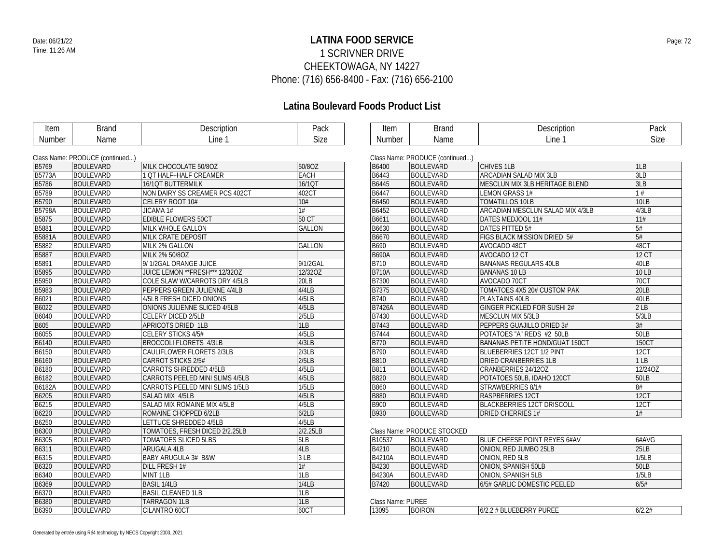### **LATINA FOOD SERVICE** Date: 06/21/22 Page: 72 1 SCRIVNER DRIVE CHEEKTOWAGA, NY 14227 Phone: (716) 656-8400 - Fax: (716) 656-2100

| Item          | <b>Brand</b>                    | Description                      | Pack          | Item              | <b>Brand</b>                    | Description                           | Pack            |
|---------------|---------------------------------|----------------------------------|---------------|-------------------|---------------------------------|---------------------------------------|-----------------|
| Number        | Name                            | Line 1                           | Size          | Number            | Name                            | Line 1                                | Size            |
|               |                                 |                                  |               |                   |                                 |                                       |                 |
|               | Class Name: PRODUCE (continued) |                                  |               |                   | Class Name: PRODUCE (continued) |                                       |                 |
| <b>B5769</b>  | <b>BOULEVARD</b>                | MILK CHOCOLATE 50/8OZ            | 50/8OZ        | <b>B6400</b>      | <b>BOULEVARD</b>                | <b>CHIVES 1LB</b>                     | 1LB             |
| B5773A        | <b>BOULEVARD</b>                | 1 OT HALF+HALF CREAMER           | <b>EACH</b>   | B6443             | <b>BOULEVARD</b>                | ARCADIAN SALAD MIX 3LB                | 3LB             |
| B5786         | <b>BOULEVARD</b>                | <b>16/1QT BUTTERMILK</b>         | 16/1QT        | <b>B6445</b>      | BOULEVARD                       | MESCLUN MIX 3LB HERITAGE BLEND        | 3LB             |
| B5789         | <b>BOULEVARD</b>                | NON DAIRY SS CREAMER PCS 402CT   | 402CT         | B6447             | <b>BOULEVARD</b>                | <b>LEMON GRASS 1#</b>                 | 1#              |
| B5790         | <b>BOULEVARD</b>                | CELERY ROOT 10#                  | 10#           | B6450             | <b>BOULEVARD</b>                | <b>TOMATILLOS 10LB</b>                | 10LB            |
| <b>B5798A</b> | <b>BOULEVARD</b>                | JICAMA 1#                        | 1#            | B6452             | <b>BOULEVARD</b>                | ARCADIAN MESCLUN SALAD MIX 4/3LB      | 4/3LB           |
| <b>B5875</b>  | <b>BOULEVARD</b>                | EDIBLE FLOWERS 50CT              | 50 CT         | B6611             | <b>BOULEVARD</b>                | DATES MEDJOOL 11#                     | 11#             |
| B5881         | <b>BOULEVARD</b>                | MILK WHOLE GALLON                | <b>GALLON</b> | B6630             | <b>BOULEVARD</b>                | DATES PITTED 5#                       | 5#              |
| B5881A        | <b>BOULEVARD</b>                | <b>MILK CRATE DEPOSIT</b>        |               | <b>B6670</b>      | <b>BOULEVARD</b>                | FIGS BLACK MISSION DRIED 5#           | $\overline{5#}$ |
| B5882         | <b>BOULEVARD</b>                | MILK 2% GALLON                   | GALLON        | B690              | <b>BOULEVARD</b>                | AVOCADO 48CT                          | 48CT            |
| B5887         | <b>BOULEVARD</b>                | MILK 2% 50/8OZ                   |               | <b>B690A</b>      | <b>BOULEVARD</b>                | AVOCADO 12 CT                         | <b>12 CT</b>    |
| B5891         | <b>BOULEVARD</b>                | 9/1/2GAL ORANGE JUICE            | 9/1/2GAL      | B710              | <b>BOULEVARD</b>                | <b>BANANAS REGULARS 40LB</b>          | 40LB            |
| B5895         | <b>BOULEVARD</b>                | JUICE LEMON ** FRESH *** 12/320Z | 12/320Z       | <b>B710A</b>      | <b>BOULEVARD</b>                | <b>BANANAS 10 LB</b>                  | 10 LB           |
| B5950         | <b>BOULEVARD</b>                | COLE SLAW W/CARROTS DRY 4/5LB    | 20LB          | B7300             | <b>BOULEVARD</b>                | AVOCADO 70CT                          | <b>70CT</b>     |
| B5983         | <b>BOULEVARD</b>                | PEPPERS GREEN JULIENNE 4/4LB     | 4/4LB         | <b>B7375</b>      | <b>BOULEVARD</b>                | TOMATOES 4X5 20# CUSTOM PAK           | 20LB            |
| B6021         | <b>BOULEVARD</b>                | 4/5LB FRESH DICED ONIONS         | 4/5LB         | B740              | <b>BOULEVARD</b>                | PLANTAINS 40LB                        | 40LB            |
| B6022         | <b>BOULEVARD</b>                | ONIONS JULIENNE SLICED 4/5LB     | 4/5LB         | <b>B7426A</b>     | <b>BOULEVARD</b>                | GINGER PICKLED FOR SUSHI 2#           | 2LB             |
| B6040         | <b>BOULEVARD</b>                | CELERY DICED 2/5LB               | 2/5LB         | B7430             | <b>BOULEVARD</b>                | <b>MESCLUN MIX 5/3LB</b>              | 5/3LB           |
| B605          | <b>BOULEVARD</b>                | APRICOTS DRIED 1LB               | 1LB           | <b>B7443</b>      | <b>BOULEVARD</b>                | PEPPERS GUAJILLO DRIED 3#             | 3#              |
| B6055         | <b>BOULEVARD</b>                | CELERY STICKS 4/5#               | 4/5LB         | B7444             | <b>BOULEVARD</b>                | POTATOES "A" REDS #2 50LB             | 50LB            |
| B6140         | <b>BOULEVARD</b>                | <b>BROCCOLI FLORETS 4/3LB</b>    | 4/3LB         | <b>B770</b>       | <b>BOULEVARD</b>                | <b>BANANAS PETITE HOND/GUAT 150CT</b> | <b>150CT</b>    |
| B6150         | <b>BOULEVARD</b>                | CAULIFLOWER FLORETS 2/3LB        | 2/3LB         | <b>B790</b>       | <b>BOULEVARD</b>                | BLUEBERRIES 12CT 1/2 PINT             | 12CT            |
| B6160         | <b>BOULEVARD</b>                | CARROT STICKS 2/5#               | 2/5LB         | <b>B810</b>       | <b>BOULEVARD</b>                | <b>DRIED CRANBERRIES 1LB</b>          | 1LB             |
| B6180         | <b>BOULEVARD</b>                | CARROTS SHREDDED 4/5LB           | 4/5LB         | B811              | <b>BOULEVARD</b>                | CRANBERRIES 24/12OZ                   | 12/24OZ         |
| B6182         | <b>BOULEVARD</b>                | CARROTS PEELED MINI SLIMS 4/5LB  | 4/5LB         | <b>B820</b>       | <b>BOULEVARD</b>                | POTATOES 50LB, IDAHO 120CT            | <b>50LB</b>     |
| B6182A        | <b>BOULEVARD</b>                | CARROTS PEELED MINI SLIMS 1/5LB  | 1/5LB         | <b>B860</b>       | <b>BOULEVARD</b>                | STRAWBERRIES 8/1#                     | 8#              |
| B6205         | <b>BOULEVARD</b>                | SALAD MIX 4/5LB                  | 4/5LB         | <b>B880</b>       | <b>BOULEVARD</b>                | RASPBERRIES 12CT                      | 12CT            |
| B6215         | <b>BOULEVARD</b>                | SALAD MIX ROMAINE MIX 4/5LB      | 4/5LB         | B900              | <b>BOULEVARD</b>                | <b>BLACKBERRIES 12CT DRISCOLL</b>     | 12CT            |
| B6220         | <b>BOULEVARD</b>                | ROMAINE CHOPPED 6/2LB            | 6/2LB         | <b>B930</b>       | <b>BOULEVARD</b>                | <b>DRIED CHERRIES 1#</b>              | 1#              |
| B6250         | <b>BOULEVARD</b>                | LETTUCE SHREDDED 4/5LB           | 4/5LB         |                   |                                 |                                       |                 |
| B6300         | <b>BOULEVARD</b>                | TOMATOES, FRESH DICED 2/2.25LB   | 2/2.25LB      |                   | Class Name: PRODUCE STOCKED     |                                       |                 |
| B6305         | <b>BOULEVARD</b>                | TOMATOES SLICED 5LBS             | 5LB           | <b>B10537</b>     | <b>BOULEVARD</b>                | BLUE CHEESE POINT REYES 6#AV          | 6#AVG           |
| B6311         | <b>BOULEVARD</b>                | ARUGALA 4LB                      | 4LB           | <b>B4210</b>      | <b>BOULEVARD</b>                | ONION, RED JUMBO 25LB                 | 25LB            |
| B6315         | <b>BOULEVARD</b>                | BABY ARUGULA 3# B&W              | 3LB           | B4210A            | <b>BOULEVARD</b>                | ONION, RED 5LB                        | 1/5LB           |
| B6320         | <b>BOULEVARD</b>                | DILL FRESH 1#                    | 1#            | B4230             | <b>BOULEVARD</b>                | ONION, SPANISH 50LB                   | <b>50LB</b>     |
| B6340         | <b>BOULEVARD</b>                | MINT 1LB                         | 1LB           | B4230A            | <b>BOULEVARD</b>                | ONION, SPANISH 5LB                    | 1/5LB           |
| B6369         | <b>BOULEVARD</b>                | <b>BASIL 1/4LB</b>               | 1/4LB         | B7420             | <b>BOULEVARD</b>                | 6/5# GARLIC DOMESTIC PEELED           | 6/5#            |
| B6370         | <b>BOULEVARD</b>                | <b>BASIL CLEANED 1LB</b>         | 1LB           |                   |                                 |                                       |                 |
| B6380         | <b>BOULEVARD</b>                | <b>TARRAGON 1LB</b>              | 1LB           | Class Name: PUREE |                                 |                                       |                 |
| B6390         | <b>BOULEVARD</b>                | CILANTRO 60CT                    | 60CT          | 13095             | <b>BOIRON</b>                   | 6/2.2 # BLUEBERRY PUREE               | 6/2.2#          |
|               |                                 |                                  |               |                   |                                 |                                       |                 |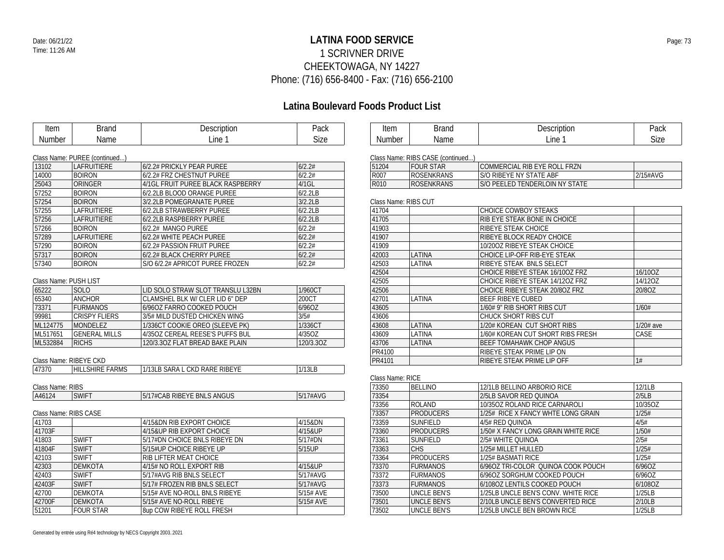### **LATINA FOOD SERVICE** Date: 06/21/22 Page: 73 1 SCRIVNER DRIVE CHEEKTOWAGA, NY 14227 Phone: (716) 656-8400 - Fax: (716) 656-2100

| Item                  | <b>Brand</b>                  | Description                       | Pack      | Item                 | <b>Brand</b>                      | Description                         | Pack        |
|-----------------------|-------------------------------|-----------------------------------|-----------|----------------------|-----------------------------------|-------------------------------------|-------------|
| Number                | Name                          | Line 1                            | Size      | Number               | Name                              | Line 1                              | <b>Size</b> |
|                       |                               |                                   |           |                      |                                   |                                     |             |
|                       | Class Name: PUREE (continued) |                                   |           |                      | Class Name: RIBS CASE (continued) |                                     |             |
| 13102                 | LAFRUITIERE                   | 6/2.2# PRICKLY PEAR PUREE         | 6/2.2#    | 51204                | <b>FOUR STAR</b>                  | COMMERCIAL RIB EYE ROLL FRZN        |             |
| 14000                 | <b>BOIRON</b>                 | 6/2.2# FRZ CHESTNUT PUREE         | 6/2.2#    | R007                 | <b>ROSENKRANS</b>                 | S/O RIBEYE NY STATE ABF             | 2/15#AVG    |
| 25043                 | ORINGER                       | 4/1GL FRUIT PUREE BLACK RASPBERRY | 4/1GL     | R010                 | <b>ROSENKRANS</b>                 | S/O PEELED TENDERLOIN NY STATE      |             |
| 57252                 | <b>BOIRON</b>                 | 6/2.2LB BLOOD ORANGE PUREE        | 6/2.2LB   |                      |                                   |                                     |             |
| 57254                 | <b>BOIRON</b>                 | 3/2.2LB POMEGRANATE PUREE         | 3/2.2LB   | Class Name: RIBS CUT |                                   |                                     |             |
| 57255                 | LAFRUITIERE                   | 6/2.2LB STRAWBERRY PUREE          | 6/2.2LB   | 41704                |                                   | CHOICE COWBOY STEAKS                |             |
| 57256                 | LAFRUITIERE                   | 6/2.2LB RASPBERRY PUREE           | 6/2.2LB   | 41705                |                                   | RIB EYE STEAK BONE IN CHOICE        |             |
| 57266                 | <b>BOIRON</b>                 | 6/2.2# MANGO PUREE                | 6/2.2#    | 41903                |                                   | RIBEYE STEAK CHOICE                 |             |
| 57289                 | LAFRUITIERE                   | 6/2.2# WHITE PEACH PUREE          | 6/2.2#    | 41907                |                                   | RIBEYE BLOCK READY CHOICE           |             |
| 57290                 | <b>BOIRON</b>                 | 6/2.2# PASSION FRUIT PUREE        | 6/2.2#    | 41909                |                                   | 10/200Z RIBEYE STEAK CHOICE         |             |
| 57317                 | <b>BOIRON</b>                 | 6/2.2# BLACK CHERRY PUREE         | 6/2.2#    | 42003                | LATINA                            | CHOICE LIP-OFF RIB-EYE STEAK        |             |
| 57340                 | <b>BOIRON</b>                 | S/O 6/2.2# APRICOT PUREE FROZEN   | 6/2.2#    | 42503                | LATINA                            | RIBEYE STEAK BNLS SELECT            |             |
|                       |                               |                                   |           | 42504                |                                   | CHOICE RIBEYE STEAK 16/100Z FRZ     | 16/10OZ     |
| Class Name: PUSH LIST |                               |                                   |           | 42505                |                                   | CHOICE RIBEYE STEAK 14/120Z FRZ     | 14/12OZ     |
| 65222                 | <b>SOLO</b>                   | LID SOLO STRAW SLOT TRANSLU L32BN | 1/960CT   | 42506                |                                   | CHOICE RIBEYE STEAK 20/8OZ FRZ      | 20/8OZ      |
| 65340                 | <b>ANCHOR</b>                 | CLAMSHEL BLK W/ CLER LID 6" DEP   | 200CT     | 42701                | LATINA                            | <b>BEEF RIBEYE CUBED</b>            |             |
| 73371                 | <b>FURMANOS</b>               | 6/96OZ FARRO COOKED POUCH         | 6/96OZ    | 43605                |                                   | 1/60# 9" RIB SHORT RIBS CUT         | 1/60#       |
| 99981                 | <b>CRISPY FLIERS</b>          | 3/5# MILD DUSTED CHICKEN WING     | 3/5#      | 43606                |                                   | CHUCK SHORT RIBS CUT                |             |
| ML124775              | MONDELEZ                      | 1/336CT COOKIE OREO (SLEEVE PK)   | 1/336CT   | 43608                | LATINA                            | 1/20# KOREAN CUT SHORT RIBS         | 1/20# ave   |
| ML517651              | <b>GENERAL MILLS</b>          | 4/35OZ CEREAL REESE'S PUFFS BUL   | 4/35OZ    | 43609                | LATINA                            | 1/60# KOREAN CUT SHORT RIBS FRESH   | CASE        |
| ML532884              | <b>RICHS</b>                  | 120/3.30Z FLAT BREAD BAKE PLAIN   | 120/3.3OZ | 43706                | LATINA                            | <b>BEEF TOMAHAWK CHOP ANGUS</b>     |             |
|                       |                               |                                   |           | <b>PR4100</b>        |                                   | RIBEYE STEAK PRIME LIP ON           |             |
|                       | Class Name: RIBEYE CKD        |                                   |           | PR4101               |                                   | RIBEYE STEAK PRIME LIP OFF          | 1#          |
| 47370                 | <b>HILLSHIRE FARMS</b>        | 1/13LB SARA L CKD RARE RIBEYE     | 1/13LB    |                      |                                   |                                     |             |
|                       |                               |                                   |           | Class Name: RICE     |                                   |                                     |             |
| Class Name: RIBS      |                               |                                   |           | 73350                | <b>BELLINO</b>                    | 12/1LB BELLINO ARBORIO RICE         | 12/1LB      |
| A46124                | <b>SWIFT</b>                  | 5/17#CAB RIBEYE BNLS ANGUS        | 5/17#AVG  | 73354                |                                   | 2/5LB SAVOR RED QUINOA              | 2/5LB       |
|                       |                               |                                   |           | 73356                | <b>ROLAND</b>                     | 10/35OZ ROLAND RICE CARNAROLI       | 10/35OZ     |
| Class Name: RIBS CASE |                               |                                   |           | 73357                | <b>PRODUCERS</b>                  | 1/25# RICE X FANCY WHTE LONG GRAIN  | 1/25#       |
| 41703                 |                               | 4/15&DN RIB EXPORT CHOICE         | 4/15&DN   | 73359                | <b>SUNFIELD</b>                   | 4/5# RED QUINOA                     | 4/5#        |
| 41703F                |                               | 4/15&UP RIB EXPORT CHOICE         | 4/15&UP   | 73360                | <b>PRODUCERS</b>                  | 1/50# X FANCY LONG GRAIN WHITE RICE | 1/50#       |
| 41803                 | <b>SWIFT</b>                  | 5/17#DN CHOICE BNLS RIBEYE DN     | 5/17#DN   | 73361                | <b>SUNFIELD</b>                   | 2/5# WHITE QUINOA                   | 2/5#        |
| 41804F                | <b>SWIFT</b>                  | 5/15#UP CHOICE RIBEYE UP          | 5/15UP    | 73363                | <b>CHS</b>                        | 1/25# MILLET HULLED                 | 1/25#       |
| 42103                 | <b>SWIFT</b>                  | <b>RIB LIFTER MEAT CHOICE</b>     |           | 73364                | <b>PRODUCERS</b>                  | 1/25# BASMATI RICE                  | 1/25#       |
| 42303                 | <b>DEMKOTA</b>                | 4/15# NO ROLL EXPORT RIB          | 4/15&UP   | 73370                | <b>FURMANOS</b>                   | 6/960Z TRI-COLOR QUINOA COOK POUCH  | 6/96OZ      |
| 42403                 | <b>SWIFT</b>                  | 5/17#AVG RIB BNLS SELECT          | 5/17#AVG  | 73372                | <b>FURMANOS</b>                   | 6/96OZ SORGHUM COOKED POUCH         | 6/96OZ      |
| 42403F                | <b>SWIFT</b>                  | 5/17# FROZEN RIB BNLS SELECT      | 5/17#AVG  | 73373                | <b>FURMANOS</b>                   | 6/1080Z LENTILS COOKED POUCH        | 6/108OZ     |
| 42700                 | <b>DEMKOTA</b>                | 5/15# AVE NO-ROLL BNLS RIBEYE     | 5/15# AVE | 73500                | <b>UNCLE BEN'S</b>                | 1/25LB UNCLE BEN'S CONV. WHITE RICE | 1/25LB      |
| 42700F                | <b>DEMKOTA</b>                | 5/15# AVE NO-ROLL RIBEYE          | 5/15# AVE | 73501                | <b>UNCLE BEN'S</b>                | 2/10LB UNCLE BEN'S CONVERTED RICE   | 2/10LB      |
| 51201                 | <b>FOUR STAR</b>              | 8up COW RIBEYE ROLL FRESH         |           | 73502                | <b>UNCLE BEN'S</b>                | 1/25LB UNCLE BEN BROWN RICE         | 1/25LB      |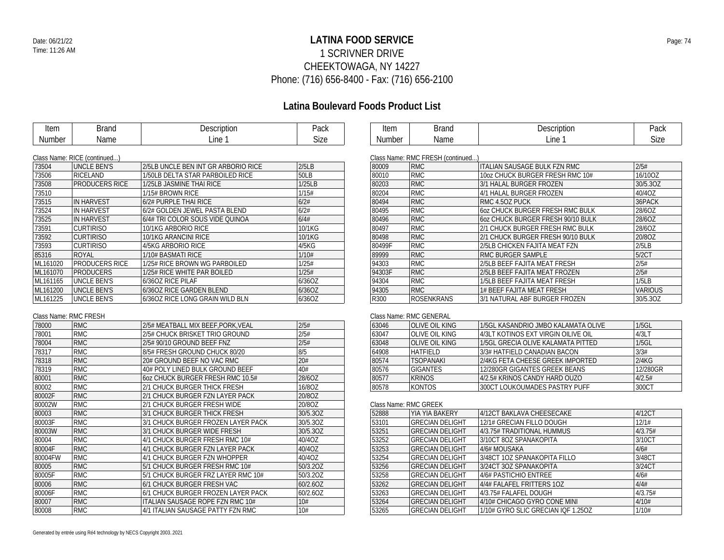### **LATINA FOOD SERVICE** Date: 06/21/22 Page: 74 1 SCRIVNER DRIVE CHEEKTOWAGA, NY 14227 Phone: (716) 656-8400 - Fax: (716) 656-2100

## **Latina Boulevard Foods Product List**

| Item   | Brand | Description | Pack |
|--------|-------|-------------|------|
| Number | Name  | ∟ine⊹       | Size |

| Item   | $\cdots$<br>١u         | Description | Pack |
|--------|------------------------|-------------|------|
| Number | $\sim$ $\sim$<br>ivame | ∟ine        | Size |

|                                              | Class Name: RICE (continued) |          |
|----------------------------------------------|------------------------------|----------|
| 2/5LB UNCLE BEN INT GR ARBORIO RICE<br>2/5LB | <b>UNCLE BEN'S</b>           | 73504    |
| 1/50LB DELTA STAR PARBOILED RICE<br>50LB     | RICELAND                     | 73506    |
| 1/25LB JASMINE THAI RICE<br>1/25LB           | <b>PRODUCERS RICE</b>        | 73508    |
| 1/15# BROWN RICE<br>1/15#                    |                              | 73510    |
| 6/2# PURPLE THAI RICE<br>6/2#                | <b>IN HARVEST</b>            | 73515    |
| 6/2# GOLDEN JEWEL PASTA BLEND<br>6/2#        | <b>IN HARVEST</b>            | 73524    |
| 6/4# TRI COLOR SOUS VIDE QUINOA<br>6/4#      | <b>IN HARVEST</b>            | 73525    |
| 10/1KG<br>10/1KG ARBORIO RICE                | <b>CURTIRISO</b>             | 73591    |
| 10/1KG<br>10/1KG ARANCINI RICE               | <b>CURTIRISO</b>             | 73592    |
| 4/5KG ARBORIO RICE<br>4/5KG                  | <b>CURTIRISO</b>             | 73593    |
| 1/10# BASMATI RICE<br>1/10#                  | ROYAL                        | 85316    |
| 1/25# RICE BROWN WG PARBOILED<br>1/25#       | <b>PRODUCERS RICE</b>        | ML161020 |
| 1/25# RICE WHITE PAR BOILED<br>1/25#         | <b>PRODUCERS</b>             | ML161070 |
| 6/360Z RICE PILAF<br>6/36OZ                  | <b>UNCLE BEN'S</b>           | ML161165 |
| 6/36OZ RICE GARDEN BLEND<br>6/36OZ           | <b>UNCLE BEN'S</b>           | ML161200 |
| 6/360Z RICE LONG GRAIN WILD BLN<br>6/36OZ    | <b>UNCLE BEN'S</b>           | ML161225 |
|                                              |                              |          |

#### Class Name: RMC FRESH

| 78000   | <b>RMC</b> | 2/5# MEATBALL MIX BEEF, PORK, VEAL | 2/5#     |
|---------|------------|------------------------------------|----------|
| 78001   | <b>RMC</b> | 2/5# CHUCK BRISKET TRIO GROUND     | 2/5#     |
| 78004   | <b>RMC</b> | 2/5# 90/10 GROUND BEEF FNZ         | 2/5#     |
| 78317   | <b>RMC</b> | 8/5# FRESH GROUND CHUCK 80/20      | 8/5      |
| 78318   | <b>RMC</b> | 20# GROUND BEEF NO VAC RMC         | 20#      |
| 78319   | <b>RMC</b> | 40# POLY LINED BULK GROUND BEEF    | 40#      |
| 80001   | <b>RMC</b> | 60Z CHUCK BURGER FRESH RMC 10.5#   | 28/6OZ   |
| 80002   | <b>RMC</b> | 2/1 CHUCK BURGER THICK FRESH       | 16/80Z   |
| 80002F  | <b>RMC</b> | 2/1 CHUCK BURGER FZN LAYER PACK    | 20/8OZ   |
| 80002W  | <b>RMC</b> | 2/1 CHUCK BURGER FRESH WIDE        | 20/8OZ   |
| 80003   | <b>RMC</b> | 3/1 CHUCK BURGER THICK FRESH       | 30/5.3OZ |
| 80003F  | <b>RMC</b> | 3/1 CHUCK BURGER FROZEN LAYER PACK | 30/5.3OZ |
| 80003W  | <b>RMC</b> | 3/1 CHUCK BURGER WIDE FRESH        | 30/5.3OZ |
| 80004   | <b>RMC</b> | 4/1 CHUCK BURGER FRESH RMC 10#     | 40/40Z   |
| 80004F  | <b>RMC</b> | 4/1 CHUCK BURGER FZN LAYER PACK    | 40/40Z   |
| 80004FW | <b>RMC</b> | 4/1 CHUCK BURGER FZN WHOPPER       | 40/40Z   |
| 80005   | <b>RMC</b> | 5/1 CHUCK BURGER FRESH RMC 10#     | 50/3.2OZ |
| 80005F  | <b>RMC</b> | 5/1 CHUCK BURGER FRZ LAYER RMC 10# | 50/3.2OZ |
| 80006   | <b>RMC</b> | 6/1 CHUCK BURGER FRESH VAC         | 60/2.6OZ |
| 80006F  | <b>RMC</b> | 6/1 CHUCK BURGER FROZEN LAYER PACK | 60/2.6OZ |
| 80007   | <b>RMC</b> | ITALIAN SAUSAGE ROPE FZN RMC 10#   | 10#      |
| 80008   | <b>RMC</b> | 4/1 ITALIAN SAUSAGE PATTY FZN RMC  | 10#      |

| Class Name: RMC FRESH (continued) |  |
|-----------------------------------|--|
|-----------------------------------|--|

|        | GRASS INAMIC: RIVIG FREST (COMMITMED) |                                     |                |
|--------|---------------------------------------|-------------------------------------|----------------|
| 80009  | <b>RMC</b>                            | <b>ITALIAN SAUSAGE BULK FZN RMC</b> | 2/5#           |
| 80010  | <b>RMC</b>                            | 10oz CHUCK BURGER FRESH RMC 10#     | 16/10OZ        |
| 80203  | <b>RMC</b>                            | 3/1 HALAL BURGER FROZEN             | 30/5.30Z       |
| 80204  | <b>RMC</b>                            | 4/1 HALAL BURGER FROZEN             | 40/40Z         |
| 80494  | <b>RMC</b>                            | RMC 4.50Z PUCK                      | 36PACK         |
| 80495  | <b>RMC</b>                            | 60Z CHUCK BURGER FRESH RMC BULK     | 28/6OZ         |
| 80496  | <b>RMC</b>                            | 607 CHUCK BURGER FRESH 90/10 BULK   | 28/6OZ         |
| 80497  | <b>RMC</b>                            | 2/1 CHUCK BURGER FRESH RMC BULK     | 28/6OZ         |
| 80498  | <b>RMC</b>                            | 2/1 CHUCK BURGER FRESH 90/10 BULK   | 20/8OZ         |
| 80499F | <b>RMC</b>                            | 2/5LB CHICKEN FAJITA MEAT FZN       | 2/5LB          |
| 89999  | <b>RMC</b>                            | RMC BURGER SAMPLE                   | 5/2CT          |
| 94303  | <b>RMC</b>                            | 2/5LB BEEF FAJITA MEAT FRESH        | 2/5#           |
| 94303F | <b>RMC</b>                            | 2/5LB BEEF FAJITA MEAT FROZEN       | 2/5#           |
| 94304  | <b>RMC</b>                            | 1/5LB BEEF FAJITA MEAT FRESH        | 1/5LB          |
| 94305  | <b>RMC</b>                            | 1# BEEF FAJITA MEAT FRESH           | <b>VARIOUS</b> |
| R300   | <b>ROSENKRANS</b>                     | 3/1 NATURAL ABF BURGER FROZEN       | 30/5.3OZ       |

#### Class Name: RMC GENERAL

| 63046 | OLIVE OIL KING   | 1/5GL KASANDRIO JMBO KALAMATA OLIVE | $1/5$ GL |  |  |
|-------|------------------|-------------------------------------|----------|--|--|
| 63047 | OLIVE OIL KING   | 4/3LT KOTINOS EXT VIRGIN OILIVE OIL | 4/3LT    |  |  |
| 63048 | OLIVE OIL KING   | 1/5GL GRECIA OLIVE KALAMATA PITTED  | $1/5$ GL |  |  |
| 64908 | <b>HATFIFID</b>  | 3/3# HATFIELD CANADIAN BACON        | 3/3#     |  |  |
| 80574 | <b>TSOPANAKI</b> | 2/4KG FETA CHEESE GREEK IMPORTED    | 2/4KG    |  |  |
| 80576 | <b>GIGANTES</b>  | 12/280GR GIGANTES GREEK BEANS       | 12/280GR |  |  |
| 80577 | <b>KRINOS</b>    | 4/2.5# KRINOS CANDY HARD OUZO       | 4/2.5#   |  |  |
| 80578 | <b>KONTOS</b>    | 300CT LOUKOUMADES PASTRY PUFF       | 300CT    |  |  |

# Class Name: RMC GREEK

| 52888 | YIA YIA BAKERY         | 4/12CT BAKLAVA CHEESECAKE          | 4/12CT  |
|-------|------------------------|------------------------------------|---------|
| 53101 | <b>GRECIAN DELIGHT</b> | 12/1# GRECIAN FILLO DOUGH          | 12/1#   |
| 53251 | <b>GRECIAN DELIGHT</b> | 4/3.75# TRADITIONAL HUMMUS         | 4/3.75# |
| 53252 | <b>GRECIAN DELIGHT</b> | 3/10CT 8OZ SPANAKOPITA             | 3/10CT  |
| 53253 | <b>GRECIAN DELIGHT</b> | 4/6# MOUSAKA                       | 4/6#    |
| 53254 | <b>GRECIAN DELIGHT</b> | 3/48CT 1OZ SPANAKOPITA FILLO       | 3/48CT  |
| 53256 | <b>GRECIAN DELIGHT</b> | 3/24CT 3OZ SPANAKOPITA             | 3/24CT  |
| 53258 | <b>GRECIAN DELIGHT</b> | 4/6# PASTICHIO ENTREE              | 4/6#    |
| 53262 | <b>GRECIAN DELIGHT</b> | 4/4# FALAFEL FRITTERS 1OZ          | 4/4#    |
| 53263 | <b>GRECIAN DELIGHT</b> | 4/3.75# FALAFEL DOUGH              | 4/3.75# |
| 53264 | <b>GRECIAN DELIGHT</b> | 4/10# CHICAGO GYRO CONE MINI       | 4/10#   |
| 53265 | <b>GRECIAN DELIGHT</b> | 1/10# GYRO SLIC GRECIAN IOF 1.25OZ | 1/10#   |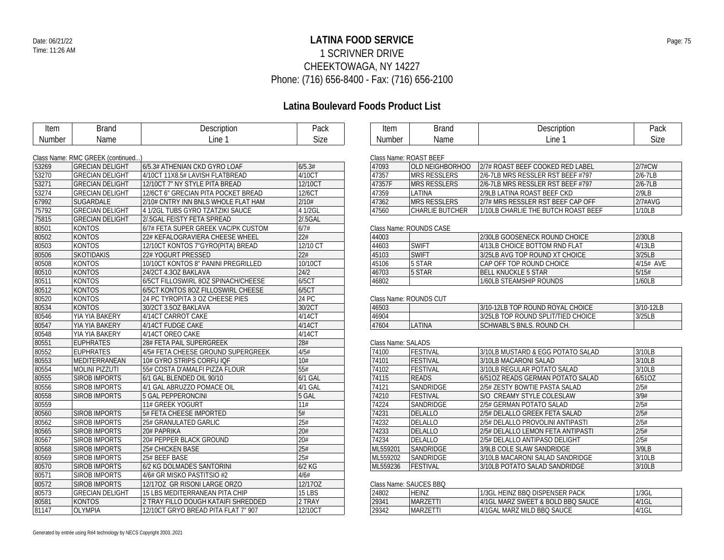### **LATINA FOOD SERVICE** Date: 06/21/22 Page: 75 1 SCRIVNER DRIVE CHEEKTOWAGA, NY 14227 Phone: (716) 656-8400 - Fax: (716) 656-2100

## **Latina Boulevard Foods Product List**

| Item   | <b>Brand</b>                      | Description                         | Pack          |  |  |  |
|--------|-----------------------------------|-------------------------------------|---------------|--|--|--|
| Number | Name                              | Line 1                              | Size          |  |  |  |
|        |                                   |                                     |               |  |  |  |
|        | Class Name: RMC GREEK (continued) |                                     |               |  |  |  |
| 53269  | <b>GRECIAN DELIGHT</b>            | 6/5.3# ATHENIAN CKD GYRO LOAF       | 6/5.3#        |  |  |  |
| 53270  | <b>GRECIAN DELIGHT</b>            | 4/10CT 11X8.5# LAVISH FLATBREAD     | 4/10CT        |  |  |  |
| 53271  | <b>GRECIAN DELIGHT</b>            | 12/10CT 7" NY STYLE PITA BREAD      | 12/10CT       |  |  |  |
| 53274  | <b>GRECIAN DELIGHT</b>            | 12/6CT 6" GRECIAN PITA POCKET BREAD | 12/6CT        |  |  |  |
| 67992  | SUGARDALE                         | 2/10# CNTRY INN BNLS WHOLE FLAT HAM | 2/10#         |  |  |  |
| 75792  | <b>GRECIAN DELIGHT</b>            | 4 1/2GL TUBS GYRO TZATZIKI SAUCE    | 4 1/2GL       |  |  |  |
| 75815  | <b>GRECIAN DELIGHT</b>            | 2/.5GAL FEISTY FETA SPREAD          | 2/.5GAL       |  |  |  |
| 80501  | <b>KONTOS</b>                     | 6/7# FETA SUPER GREEK VAC/PK CUSTOM | 6/7#          |  |  |  |
| 80502  | <b>KONTOS</b>                     | 22# KEFALOGRAVIERA CHEESE WHEEL     | 22#           |  |  |  |
| 80503  | <b>KONTOS</b>                     | 12/10CT KONTOS 7"GYRO(PITA) BREAD   | 12/10 CT      |  |  |  |
| 80506  | <b>SKOTIDAKIS</b>                 | 22# YOGURT PRESSED                  | 22#           |  |  |  |
| 80508  | <b>KONTOS</b>                     | 10/10CT KONTOS 8" PANINI PREGRILLED | 10/10CT       |  |  |  |
| 80510  | <b>KONTOS</b>                     | 24/2CT 4.3OZ BAKLAVA                | 24/2          |  |  |  |
| 80511  | <b>KONTOS</b>                     | 6/5CT FILLOSWIRL 80Z SPINACH/CHEESE | 6/5CT         |  |  |  |
| 80512  | <b>KONTOS</b>                     | 6/5CT KONTOS 80Z FILLOSWIRL CHEESE  | 6/5CT         |  |  |  |
| 80520  | <b>KONTOS</b>                     | 24 PC TYROPITA 3 OZ CHEESE PIES     | 24 PC         |  |  |  |
| 80534  | <b>KONTOS</b>                     | 30/2CT 3.5OZ BAKLAVA                | 30/2CT        |  |  |  |
| 80546  | YIA YIA BAKERY                    | 4/14CT CARROT CAKE                  | 4/14CT        |  |  |  |
| 80547  | YIA YIA BAKERY                    | 4/14CT FUDGE CAKE                   | 4/14CT        |  |  |  |
| 80548  | YIA YIA BAKERY                    | 4/14CT OREO CAKE                    | 4/14CT        |  |  |  |
| 80551  | <b>EUPHRATES</b>                  | 28# FETA PAIL SUPERGREEK            | 28#           |  |  |  |
| 80552  | <b>EUPHRATES</b>                  | 4/5# FETA CHEESE GROUND SUPERGREEK  | 4/5#          |  |  |  |
| 80553  | MEDITERRANEAN                     | 10# GYRO STRIPS CORFU IQF           | 10#           |  |  |  |
| 80554  | <b>MOLINI PIZZUTI</b>             | 55# COSTA D'AMALFI PIZZA FLOUR      | 55#           |  |  |  |
| 80555  | <b>SIROB IMPORTS</b>              | 6/1 GAL BLENDED OIL 90/10           | 6/1 GAL       |  |  |  |
| 80556  | <b>SIROB IMPORTS</b>              | 4/1 GAL ABRUZZO POMACE OIL          | 4/1 GAL       |  |  |  |
| 80558  | <b>SIROB IMPORTS</b>              | 5 GAL PEPPERONCINI                  | 5 GAL         |  |  |  |
| 80559  |                                   | 11# GREEK YOGURT                    | 11#           |  |  |  |
| 80560  | <b>SIROB IMPORTS</b>              | 5# FETA CHEESE IMPORTED             | 5#            |  |  |  |
| 80562  | <b>SIROB IMPORTS</b>              | 25# GRANULATED GARLIC               | 25#           |  |  |  |
| 80565  | <b>SIROB IMPORTS</b>              | 20# PAPRIKA                         | 20#           |  |  |  |
| 80567  | <b>SIROB IMPORTS</b>              | 20# PEPPER BLACK GROUND             | 20#           |  |  |  |
| 80568  | <b>SIROB IMPORTS</b>              | 25# CHICKEN BASE                    | 25#           |  |  |  |
| 80569  | <b>SIROB IMPORTS</b>              | 25# BEEF BASE                       | 25#           |  |  |  |
| 80570  | <b>SIROB IMPORTS</b>              | 6/2 KG DOLMADES SANTORINI           | $6/2$ KG      |  |  |  |
| 80571  | <b>SIROB IMPORTS</b>              | 4/6# GR MISKO PASTITSIO #2          | 4/6#          |  |  |  |
| 80572  | <b>SIROB IMPORTS</b>              | 12/170Z GR RISONI LARGE ORZO        | 12/17OZ       |  |  |  |
| 80573  | <b>GRECIAN DELIGHT</b>            | 15 LBS MEDITERRANEAN PITA CHIP      | <b>15 LBS</b> |  |  |  |
| 80581  | <b>KONTOS</b>                     | 2 TRAY FILLO DOUGH KATAIFI SHREDDED | 2 TRAY        |  |  |  |
| 81147  | <b>OLYMPIA</b>                    | 12/10CT GRYO BREAD PITA FLAT 7" 907 | 12/10CT       |  |  |  |

| Item   | $1 - 1 - 1$ | 120<br>הוטורי . | Pack            |
|--------|-------------|-----------------|-----------------|
| Number | பட          | ine             | <b></b><br>Size |

| Class Name: ROAST BEEF |                        |                                     |             |  |  |
|------------------------|------------------------|-------------------------------------|-------------|--|--|
| 47093                  | OLD NEIGHBORHOO        | 2/7# ROAST BEEF COOKED RED LABEL    | $2/7$ #CW   |  |  |
| 47357                  | <b>MRS RESSLERS</b>    | 2/6-7LB MRS RESSLER RST BEEF #797   | $2/6 - 7LB$ |  |  |
| 47357F                 | <b>IMRS RESSI FRS</b>  | 2/6-7LB MRS RESSLER RST BFFF #797   | $2/6 - 7LB$ |  |  |
| 47359                  | I ATINA                | 2/9LB LATINA ROAST BEEF CKD         | 2/9LB       |  |  |
| 47362                  | <b>MRS RESSLERS</b>    | 2/7# MRS RESSLER RST BEEF CAP OFF   | $2/7$ #AVG  |  |  |
| 47560                  | <b>CHARLIE BUTCHER</b> | 1/10LB CHARLIF THE BUTCH ROAST BEEF | 1/10LB      |  |  |

#### Class Name: ROUNDS CASE

| 44003 |              | 2/30LB GOOSENECK ROUND CHOICE  | 2/30LB       |
|-------|--------------|--------------------------------|--------------|
| 44603 | <b>SWIFT</b> | 4/13LB CHOICE BOTTOM RND FLAT  | 4/13LB       |
| 45103 | <b>SWIFT</b> | 3/25LB AVG TOP ROUND XT CHOICE | 3/251B       |
| 45106 | 5 STAR       | CAP OFF TOP ROUND CHOICE       | $4/15$ # AVF |
| 46703 | 5 STAR       | <b>BELL KNUCKLE 5 STAR</b>     | 5/15#        |
| 46802 |              | 1/60LB STEAMSHIP ROUNDS        | 1/60LB       |

#### Class Name: ROUNDS CUT

| 46503 |       | 3/10-12LB TOP ROUND ROYAL CHOICE   | 3/10-12LB |
|-------|-------|------------------------------------|-----------|
| 46904 |       | 3/25LB TOP ROUND SPLIT/TIED CHOICE | 3/25LB    |
| 47604 | ATINA | SCHWABL'S BNLS. ROUND CH.          |           |

#### Class Name: SALADS

| 74100    | <b>FESTIVAL</b>  | 3/10LB MUSTARD & EGG POTATO SALAD | 3/10LB |
|----------|------------------|-----------------------------------|--------|
| 74101    | <b>FESTIVAL</b>  | 3/10LB MACARONI SALAD             | 3/10LB |
| 74102    | <b>FESTIVAL</b>  | 3/10LB REGULAR POTATO SALAD       | 3/10LB |
| 74115    | <b>READS</b>     | 6/510Z READS GERMAN POTATO SALAD  | 6/510Z |
| 74121    | SANDRIDGE        | 2/5# ZESTY BOWTIE PASTA SALAD     | 2/5#   |
| 74210    | <b>FESTIVAL</b>  | S/O CREAMY STYLE COLESLAW         | 3/9#   |
| 74224    | <b>SANDRIDGE</b> | 2/5# GERMAN POTATO SALAD          | 2/5#   |
| 74231    | DELALLO          | 2/5# DELALLO GREEK FETA SALAD     | 2/5#   |
| 74232    | DELALLO          | 2/5# DELALLO PROVOLINI ANTIPASTI  | 2/5#   |
| 74233    | DELALLO          | 2/5# DELALLO LEMON FETA ANTIPASTI | 2/5#   |
| 74234    | DELALLO          | 2/5# DELALLO ANTIPASO DELIGHT     | 2/5#   |
| ML559201 | SANDRIDGE        | 3/9LB COLE SLAW SANDRIDGE         | 3/9LB  |
| ML559202 | SANDRIDGE        | 3/10LB MACARONI SALAD SANDRIDGE   | 3/10LB |
| ML559236 | <b>FESTIVAL</b>  | 3/10LB POTATO SALAD SANDRIDGE     | 3/10LB |

#### Class Name: SAUCES BBQ

| 24802 | <b>HEINZ</b>    | 1/3GL HEINZ BBO DISPENSER PACK             | 1/3GL    |
|-------|-----------------|--------------------------------------------|----------|
| 29341 | <b>MARZETT</b>  | 4/1GL MARZ SWEET & BOLD BBQ SAUCE          | 14/1GL   |
| 29342 | <b>IMARZETT</b> | MARZ MILD BBO SAUCE<br><sup>1</sup> 4/1GAL | $4/1$ GL |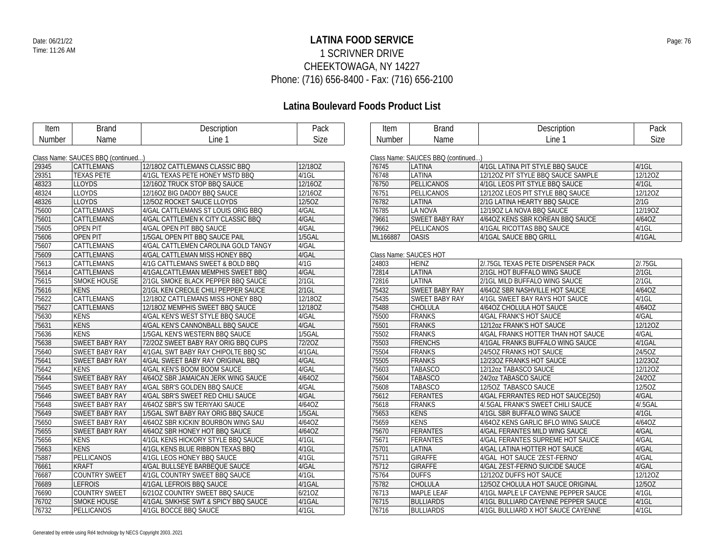### **LATINA FOOD SERVICE** Date: 06/21/22 Page: 76 1 SCRIVNER DRIVE CHEEKTOWAGA, NY 14227 Phone: (716) 656-8400 - Fax: (716) 656-2100

| Item   | <b>Brand</b>                       | Description                         | Pack        | Item     | <b>Brand</b>                       | Description                         | Pack        |
|--------|------------------------------------|-------------------------------------|-------------|----------|------------------------------------|-------------------------------------|-------------|
| Number | Name                               | Line 1                              | <b>Size</b> | Number   | Name                               | Line 1                              | <b>Size</b> |
|        |                                    |                                     |             |          |                                    |                                     |             |
|        | Class Name: SAUCES BBQ (continued) |                                     |             |          | Class Name: SAUCES BBQ (continued) |                                     |             |
| 29345  | <b>CATTLEMANS</b>                  | 12/180Z CATTLEMANS CLASSIC BBQ      | 12/180Z     | 76745    | LATINA                             | 4/1GL LATINA PIT STYLE BBQ SAUCE    | 4/1GL       |
| 29351  | <b>TEXAS PETE</b>                  | 4/1GL TEXAS PETE HONEY MSTD BBQ     | $4/1$ GL    | 76748    | <b>LATINA</b>                      | 12/120Z PIT STYLE BBQ SAUCE SAMPLE  | 12/12OZ     |
| 48323  | <b>LLOYDS</b>                      | 12/160Z TRUCK STOP BBQ SAUCE        | 12/16OZ     | 76750    | PELLICANOS                         | 4/1GL LEOS PIT STYLE BBQ SAUCE      | 4/1GL       |
| 48324  | <b>LLOYDS</b>                      | 12/16OZ BIG DADDY BBQ SAUCE         | 12/16OZ     | 76751    | PELLICANOS                         | 12/120Z LEOS PIT STYLE BBQ SAUCE    | 12/12OZ     |
| 48326  | <b>LLOYDS</b>                      | 12/50Z ROCKET SAUCE LLOYDS          | 12/5OZ      | 76782    | LATINA                             | 2/1G LATINA HEARTY BBQ SAUCE        | 2/1G        |
| 75600  | CATTLEMANS                         | 4/GAL CATTLEMANS ST LOUIS ORIG BBQ  | 4/GAL       | 76785    | <b>LA NOVA</b>                     | 12/190Z LA NOVA BBQ SAUCE           | 12/190Z     |
| 75601  | <b>CATTLEMANS</b>                  | 4/GAL CATTLEMEN K CITY CLASSIC BBQ  | 4/GAL       | 79661    | <b>SWEET BABY RAY</b>              | 4/64OZ KENS SBR KOREAN BBQ SAUCE    | 4/64OZ      |
| 75605  | <b>OPEN PIT</b>                    | 4/GAL OPEN PIT BBQ SAUCE            | 4/GAL       | 79662    | PELLICANOS                         | 4/1GAL RICOTTAS BBQ SAUCE           | 4/1GL       |
| 75606  | <b>OPEN PIT</b>                    | 1/5GAL OPEN PIT BBQ SAUCE PAIL      | 1/5GAL      | ML166887 | <b>OASIS</b>                       | 4/1GAL SAUCE BBQ GRILL              | 4/1GAL      |
| 75607  | CATTLEMANS                         | 4/GAL CATTLEMEN CAROLINA GOLD TANGY | 4/GAL       |          |                                    |                                     |             |
| 75609  | <b>CATTLEMANS</b>                  | 4/GAL CATTLEMAN MISS HONEY BBQ      | 4/GAL       |          | Class Name: SAUCES HOT             |                                     |             |
| 75613  | CATTLEMANS                         | 4/1G CATTLEMANS SWEET & BOLD BBQ    | 4/1G        | 24803    | <b>HEINZ</b>                       | 2/.75GL TEXAS PETE DISPENSER PACK   | 2/.75GL     |
| 75614  | <b>CATTLEMANS</b>                  | 4/1GALCATTLEMAN MEMPHIS SWEET BBQ   | 4/GAL       | 72814    | LATINA                             | 2/1GL HOT BUFFALO WING SAUCE        | 2/1GL       |
| 75615  | SMOKE HOUSE                        | 2/1GL SMOKE BLACK PEPPER BBQ SAUCE  | $2/1$ GL    | 72816    | LATINA                             | 2/1GL MILD BUFFALO WING SAUCE       | $2/1$ GL    |
| 75616  | <b>KENS</b>                        | 2/1GL KEN CREOLE CHILI PEPPER SAUCE | $2/1$ GL    | 75432    | <b>SWEET BABY RAY</b>              | 4/64OZ SBR NASHVILLE HOT SAUCE      | 4/64OZ      |
| 75622  | CATTLEMANS                         | 12/180Z CATTLEMANS MISS HONEY BBQ   | 12/18OZ     | 75435    | <b>SWEET BABY RAY</b>              | 4/1GL SWEET BAY RAYS HOT SAUCE      | $4/1$ GL    |
| 75627  | <b>CATTLEMANS</b>                  | 12/180Z MEMPHIS SWEET BBQ SAUCE     | 12/18OZ     | 75488    | CHOLULA                            | 4/64OZ CHOLULA HOT SAUCE            | 4/64OZ      |
| 75630  | <b>KENS</b>                        | 4/GAL KEN'S WEST STYLE BBQ SAUCE    | 4/GAL       | 75500    | <b>FRANKS</b>                      | 4/GAL FRANK'S HOT SAUCE             | 4/GAL       |
| 75631  | <b>KENS</b>                        | 4/GAL KEN'S CANNONBALL BBQ SAUCE    | 4/GAL       | 75501    | <b>FRANKS</b>                      | 12/12oz FRANK'S HOT SAUCE           | 12/12OZ     |
| 75636  | <b>KENS</b>                        | 1/5GAL KEN'S WESTERN BBQ SAUCE      | 1/5GAL      | 75502    | <b>FRANKS</b>                      | 4/GAL FRANKS HOTTER THAN HOT SAUCE  | 4/GAL       |
| 75638  | <b>SWEET BABY RAY</b>              | 72/20Z SWEET BABY RAY ORIG BBQ CUPS | 72/20Z      | 75503    | <b>FRENCHS</b>                     | 4/1GAL FRANKS BUFFALO WING SAUCE    | 4/1GAL      |
| 75640  | <b>SWEET BABY RAY</b>              | 4/1GAL SWT BABY RAY CHIPOLTE BBQ SC | 4/1GAL      | 75504    | <b>FRANKS</b>                      | 24/50Z FRANKS HOT SAUCE             | 24/5OZ      |
| 75641  | <b>SWEET BABY RAY</b>              | 4/GAL SWEET BABY RAY ORIGINAL BBQ   | 4/GAL       | 75505    | <b>FRANKS</b>                      | 12/230Z FRANKS HOT SAUCE            | 12/23OZ     |
| 75642  | <b>KENS</b>                        | 4/GAL KEN'S BOOM BOOM SAUCE         | 4/GAL       | 75603    | <b>TABASCO</b>                     | 12/12oz TABASCO SAUCE               | 12/12OZ     |
| 75644  | <b>SWEET BABY RAY</b>              | 4/64OZ SBR JAMAICAN JERK WING SAUCE | 4/64OZ      | 75604    | <b>TABASCO</b>                     | 24/2oz TABASCO SAUCE                | 24/20Z      |
| 75645  | SWEET BABY RAY                     | 4/GAL SBR'S GOLDEN BBQ SAUCE        | 4/GAL       | 75608    | <b>TABASCO</b>                     | 12/50Z TABASCO SAUCE                | 12/5OZ      |
| 75646  | <b>SWEET BABY RAY</b>              | 4/GAL SBR'S SWEET RED CHILI SAUCE   | 4/GAL       | 75612    | <b>FERANTES</b>                    | 4/GAL FERRANTES RED HOT SAUCE(250)  | 4/GAL       |
| 75648  | <b>SWEET BABY RAY</b>              | 4/64OZ SBR'S SW TERIYAKI SAUCE      | 4/64OZ      | 75618    | <b>FRANKS</b>                      | 4/.5GAL FRANK'S SWEET CHILI SAUCE   | 4/.5GAL     |
| 75649  | <b>SWEET BABY RAY</b>              | 1/5GAL SWT BABY RAY ORIG BBQ SAUCE  | 1/5GAL      | 75653    | <b>KENS</b>                        | 4/1GL SBR BUFFALO WING SAUCE        | 4/1GL       |
| 75650  | SWEET BABY RAY                     | 4/64OZ SBR KICKIN' BOURBON WING SAU | 4/64OZ      | 75659    | <b>KENS</b>                        | 4/64OZ KENS GARLIC BFLO WING SAUCE  | 4/64OZ      |
| 75655  | <b>SWEET BABY RAY</b>              | 4/64OZ SBR HONEY HOT BBQ SAUCE      | 4/64OZ      | 75670    | <b>FERANTES</b>                    | 4/GAL FERANTES MILD WING SAUCE      | 4/GAL       |
| 75656  | <b>KENS</b>                        | 4/1GL KENS HICKORY STYLE BBQ SAUCE  | $4/1$ GL    | 75671    | <b>FERANTES</b>                    | 4/GAL FERANTES SUPREME HOT SAUCE    | 4/GAL       |
| 75663  | <b>KENS</b>                        | 4/1GL KENS BLUE RIBBON TEXAS BBQ    | $4/1$ GL    | 75701    | LATINA                             | 4/GAL LATINA HOTTER HOT SAUCE       | 4/GAL       |
| 75887  | PELLICANOS                         | 4/1GL LEOS HONEY BBQ SAUCE          | $4/1$ GL    | 75711    | <b>GIRAFFE</b>                     | 4/GAL HOT SAUCE 'ZEST-FERNO'        | 4/GAL       |
| 76661  | <b>KRAFT</b>                       | 4/GAL BULLSEYE BARBEQUE SAUCE       | 4/GAL       | 75712    | <b>GIRAFFE</b>                     | 4/GAL ZEST-FERNO SUICIDE SAUCE      | 4/GAL       |
| 76687  | <b>COUNTRY SWEET</b>               | 4/1GL COUNTRY SWEET BBQ SAUCE       | $4/1$ GL    | 75764    | <b>DUFFS</b>                       | 12/12OZ DUFFS HOT SAUCE             | 12/12OZ     |
| 76689  | <b>LEFROIS</b>                     | 4/1GAL LEFROIS BBQ SAUCE            | 4/1GAL      | 75782    | <b>CHOLULA</b>                     | 12/50Z CHOLULA HOT SAUCE ORIGINAL   | 12/5OZ      |
| 76690  | <b>COUNTRY SWEET</b>               | 6/21OZ COUNTRY SWEET BBQ SAUCE      | 6/210Z      | 76713    | <b>MAPLE LEAF</b>                  | 4/1GL MAPLE LF CAYENNE PEPPER SAUCE | $4/1$ GL    |
| 76702  | <b>SMOKE HOUSE</b>                 | 4/1GAL SMKHSE SWT & SPICY BBQ SAUCE | 4/1GAL      | 76715    | <b>BULLIARDS</b>                   | 4/1GL BULLIARD CAYENNE PEPPER SAUCE | 4/1GL       |
| 76732  | PELLICANOS                         | 4/1GL BOCCE BBQ SAUCE               | $4/1$ GL    | 76716    | <b>BULLIARDS</b>                   | 4/1GL BULLIARD X HOT SAUCE CAYENNE  | 4/1GL       |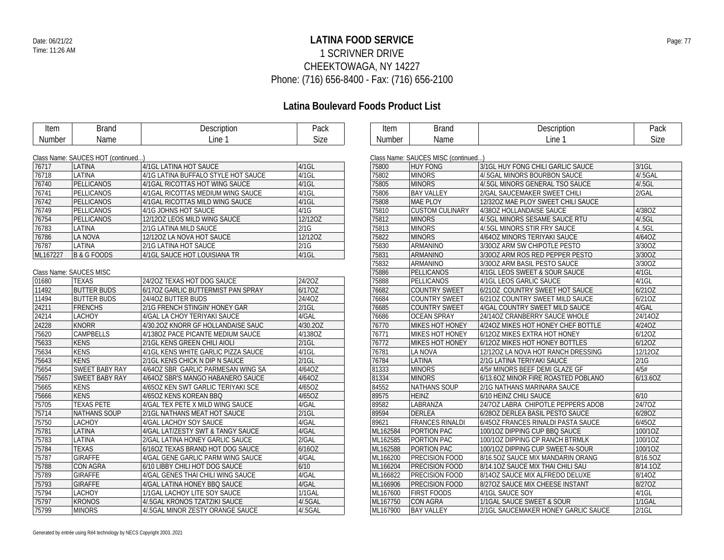### **LATINA FOOD SERVICE** Date: 06/21/22 Page: 77 1 SCRIVNER DRIVE CHEEKTOWAGA, NY 14227 Phone: (716) 656-8400 - Fax: (716) 656-2100

| Item     | <b>Brand</b>                       | Description                         | Pack     | Item     | <b>Brand</b>                        | Description                         | Pack      |
|----------|------------------------------------|-------------------------------------|----------|----------|-------------------------------------|-------------------------------------|-----------|
| Number   | Name                               | Line 1                              | Size     | Number   | Name                                | Line 1                              | Size      |
|          |                                    |                                     |          |          |                                     |                                     |           |
|          | Class Name: SAUCES HOT (continued) |                                     |          |          | Class Name: SAUCES MISC (continued) |                                     |           |
| 76717    | LATINA                             | 4/1GL LATINA HOT SAUCE              | 4/1GL    | 75800    | <b>HUY FONG</b>                     | 3/1GL HUY FONG CHILI GARLIC SAUCE   | $3/1$ GL  |
| 76718    | LATINA                             | 4/1G LATINA BUFFALO STYLE HOT SAUCE | $4/1$ GL | 75802    | <b>MINORS</b>                       | 4/.5GAL MINORS BOURBON SAUCE        | $4$ .5GAL |
| 76740    | PELLICANOS                         | 4/1GAL RICOTTAS HOT WING SAUCE      | 4/1GL    | 75805    | <b>MINORS</b>                       | 4/.5GL MINORS GENERAL TSO SAUCE     | 4/.5GL    |
| 76741    | PELLICANOS                         | 4/1GAL RICOTTAS MEDIUM WING SAUCE   | $4/1$ GL | 75806    | <b>BAY VALLEY</b>                   | 2/GAL SAUCEMAKER SWEET CHILI        | 2/GAL     |
| 76742    | PELLICANOS                         | 4/1GAL RICOTTAS MILD WING SAUCE     | $4/1$ GL | 75808    | MAE PLOY                            | 12/320Z MAE PLOY SWEET CHILI SAUCE  |           |
| 76749    | PELLICANOS                         | 4/1G JOHNS HOT SAUCE                | 4/1G     | 75810    | <b>CUSTOM CULINARY</b>              | 4/380Z HOLLANDAISE SAUCE            | 4/38OZ    |
| 76754    | PELLICANOS                         | 12/12OZ LEOS MILD WING SAUCE        | 12/12OZ  | 75812    | <b>MINORS</b>                       | 4/.5GL MINORS SESAME SAUCE RTU      | 4/.5GL    |
| 76783    | LATINA                             | 2/1G LATINA MILD SAUCE              | 2/1G     | 75813    | <b>MINORS</b>                       | 4/.5GL MINORS STIR FRY SAUCE        | 4.5GL     |
| 76786    | LA NOVA                            | 12/120Z LA NOVA HOT SAUCE           | 12/120Z  | 75822    | <b>MINORS</b>                       | 4/64OZ MINORS TERIYAKI SAUCE        | 4/64OZ    |
| 76787    | LATINA                             | 2/1G LATINA HOT SAUCE               | 2/1G     | 75830    | <b>ARMANINO</b>                     | 3/300Z ARM SW CHIPOTLE PESTO        | 3/30OZ    |
| ML167227 | B & G FOODS                        | 4/1GL SAUCE HOT LOUISIANA TR        | $4/1$ GL | 75831    | ARMANINO                            | 3/300Z ARM ROS RED PEPPER PESTO     | 3/30OZ    |
|          |                                    |                                     |          | 75832    | ARMANINO                            | 3/300Z ARM BASIL PESTO SAUCE        | 3/30OZ    |
|          | Class Name: SAUCES MISC            |                                     |          | 75886    | PELLICANOS                          | 4/1GL LEOS SWEET & SOUR SAUCE       | $4/1$ GL  |
| 01680    | <b>TEXAS</b>                       | 24/20Z TEXAS HOT DOG SAUCE          | 24/2OZ   | 75888    | PELLICANOS                          | 4/1GL LEOS GARLIC SAUCE             | $4/1$ GL  |
| 11492    | <b>BUTTER BUDS</b>                 | 6/170Z GARLIC BUTTERMIST PAN SPRAY  | 6/170Z   | 76682    | <b>COUNTRY SWEET</b>                | 6/210Z COUNTRY SWEET HOT SAUCE      | 6/21OZ    |
| 11494    | <b>BUTTER BUDS</b>                 | 24/4OZ BUTTER BUDS                  | 24/4OZ   | 76684    | <b>COUNTRY SWEET</b>                | 6/21OZ COUNTRY SWEET MILD SAUCE     | 6/210Z    |
| 24211    | <b>FRENCHS</b>                     | 2/1G FRENCH STINGIN' HONEY GAR      | $2/1$ GL | 76685    | <b>COUNTRY SWEET</b>                | 4/GAL COUNTRY SWEET MILD SAUCE      | 4/GAL     |
| 24214    | LACHOY                             | 4/GAL LA CHOY TERIYAKI SAUCE        | 4/GAL    | 76686    | <b>OCEAN SPRAY</b>                  | 24/14OZ CRANBERRY SAUCE WHOLE       | 24/14OZ   |
| 24228    | <b>KNORR</b>                       | 4/30.20Z KNORR GF HOLLANDAISE SAUC  | 4/30.20Z | 76770    | MIKES HOT HONEY                     | 4/24OZ MIKES HOT HONEY CHEF BOTTLE  | 4/24OZ    |
| 75620    | CAMPBELLS                          | 4/1380Z PACE PICANTE MEDIUM SAUCE   | 4/1380Z  | 76771    | MIKES HOT HONEY                     | 6/120Z MIKES EXTRA HOT HONEY        | 6/12OZ    |
| 75633    | <b>KENS</b>                        | 2/1GL KENS GREEN CHILI AIOLI        | $2/1$ GL | 76772    | MIKES HOT HONEY                     | 6/120Z MIKES HOT HONEY BOTTLES      | 6/12OZ    |
| 75634    | <b>KENS</b>                        | 4/1GL KENS WHITE GARLIC PIZZA SAUCE | $4/1$ GL | 76781    | LA NOVA                             | 12/120Z LA NOVA HOT RANCH DRESSING  | $12/120Z$ |
| 75643    | <b>KENS</b>                        | 2/1GL KENS CHICK N DIP N SAUCE      | $2/1$ GL | 76784    | LATINA                              | 2/1G LATINA TERIYAKI SAUCE          | 2/1G      |
| 75654    | <b>SWEET BABY RAY</b>              | 4/64OZ SBR GARLIC PARMESAN WING SA  | 4/64OZ   | 81333    | <b>MINORS</b>                       | 4/5# MINORS BEEF DEMI GLAZE GF      | 4/5#      |
| 75657    | <b>SWEET BABY RAY</b>              | 4/64OZ SBR'S MANGO HABANERO SAUCE   | 4/64OZ   | 81334    | <b>MINORS</b>                       | 6/13.6OZ MINOR FIRE ROASTED POBLANO | 6/13.6OZ  |
| 75665    | <b>KENS</b>                        | 4/65OZ KEN SWT GARLIC TERIYAKI SCE  | 4/65OZ   | 84552    | NATHANS SOUP                        | 2/1G NATHANS MARINARA SAUCE         |           |
| 75666    | <b>KENS</b>                        | 4/65OZ KENS KOREAN BBQ              | 4/65OZ   | 89575    | <b>HEINZ</b>                        | 6/10 HEINZ CHILI SAUCE              | 6/10      |
| 75705    | <b>TEXAS PETE</b>                  | 4/GAL TEX PETE X MILD WING SAUCE    | 4/GAL    | 89582    | LABRANZA                            | 24/70Z LABRA CHIPOTLE PEPPERS ADOB  | 24/7OZ    |
| 75714    | <b>NATHANS SOUP</b>                | 2/1GL NATHANS MEAT HOT SAUCE        | $2/1$ GL | 89594    | <b>DERLEA</b>                       | 6/280Z DERLEA BASIL PESTO SAUCE     | 6/28OZ    |
| 75750    | <b>LACHOY</b>                      | 4/GAL LACHOY SOY SAUCE              | 4/GAL    | 89621    | <b>FRANCES RINALDI</b>              | 6/45OZ FRANCES RINALDI PASTA SAUCE  | 6/45OZ    |
| 75781    | <b>LATINA</b>                      | 4/GAL LAT/ZESTY SWT & TANGY SAUCE   | 4/GAL    | ML162584 | PORTION PAC                         | 100/10Z DIPPING CUP BBQ SAUCE       | 100/10Z   |
| 75783    | LATINA                             | 2/GAL LATINA HONEY GARLIC SAUCE     | 2/GAL    | ML162585 | PORTION PAC                         | 100/10Z DIPPING CP RANCH BTRMLK     | 100/10Z   |
| 75784    | <b>TEXAS</b>                       | 6/16OZ TEXAS BRAND HOT DOG SAUCE    | 6/16OZ   | ML162588 | PORTION PAC                         | 100/10Z DIPPING CUP SWEET-N-SOUR    | 100/10Z   |
| 75787    | <b>GIRAFFE</b>                     | 4/GAL GENE GARLIC PARM WING SAUCE   | 4/GAL    | ML166200 | <b>PRECISION FOOD</b>               | 8/16.5OZ SAUCE MIX MANDARIN ORANG   | 8/16.5OZ  |
| 75788    | <b>CON AGRA</b>                    | 6/10 LIBBY CHILI HOT DOG SAUCE      | 6/10     | ML166204 | PRECISION FOOD                      | 8/14.10Z SAUCE MIX THAI CHILI SAU   | 8/14.10Z  |
| 75789    | <b>GIRAFFE</b>                     | 4/GAL GENES THAI CHILI WING SAUCE   | 4/GAL    | ML166822 | <b>PRECISION FOOD</b>               | 8/14OZ SAUCE MIX ALFREDO DELUXE     | 8/14OZ    |
| 75793    | <b>GIRAFFE</b>                     | 4/GAL LATINA HONEY BBQ SAUCE        | 4/GAL    | ML166906 | <b>PRECISION FOOD</b>               | 8/27OZ SAUCE MIX CHEESE INSTANT     | 8/270Z    |
| 75794    | <b>LACHOY</b>                      | 1/1GAL LACHOY LITE SOY SAUCE        | 1/1GAL   | ML167600 | <b>FIRST FOODS</b>                  | 4/1GL SAUCE SOY                     | $4/1$ GL  |
| 75797    | <b>KRONOS</b>                      | 4/.5GAL KRONOS TZATZIKI SAUCE       | 4/.5GAL  | ML167750 | <b>CON AGRA</b>                     | 1/1GAL SAUCE SWEET & SOUR           | $1/1$ GAL |
| 75799    | <b>MINORS</b>                      | 4/5GAL MINOR ZESTY ORANGE SAUCE     | 4/.5GAL  | ML167900 | <b>BAY VALLEY</b>                   | 2/1GL SAUCEMAKER HONEY GARLIC SAUCE | $2/1$ GL  |
|          |                                    |                                     |          |          |                                     |                                     |           |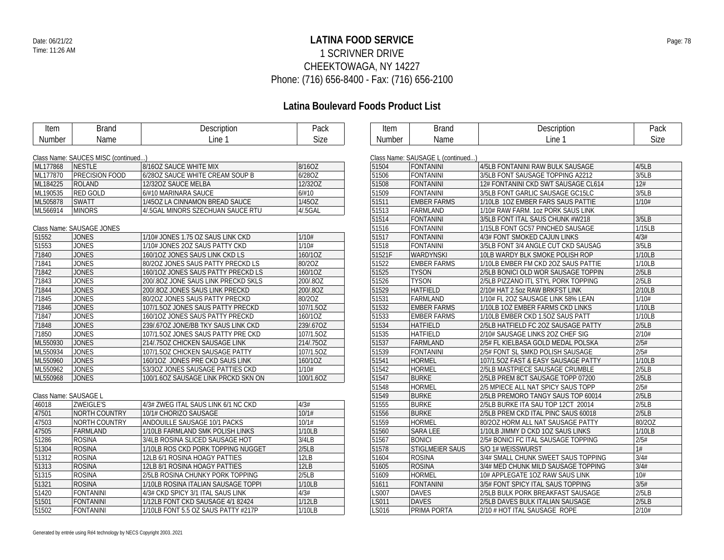### **LATINA FOOD SERVICE** Date: 06/21/22 Page: 78 1 SCRIVNER DRIVE CHEEKTOWAGA, NY 14227 Phone: (716) 656-8400 - Fax: (716) 656-2100

| Item                  | <b>Brand</b>                        | Description                         | Pack      | Item         | <b>Brand</b>                      | Description                         | Pack   |
|-----------------------|-------------------------------------|-------------------------------------|-----------|--------------|-----------------------------------|-------------------------------------|--------|
| Number                | Name                                | Line 1                              | Size      | Number       | Name                              | Line 1                              | Size   |
|                       |                                     |                                     |           |              |                                   |                                     |        |
|                       | Class Name: SAUCES MISC (continued) |                                     |           |              | Class Name: SAUSAGE L (continued) |                                     |        |
| ML177868              | <b>NESTLE</b>                       | 8/16OZ SAUCE WHITE MIX              | 8/16OZ    | 51504        | FONTANINI                         | 4/5LB FONTANINI RAW BULK SAUSAGE    | 4/5LB  |
| ML177870              | <b>PRECISION FOOD</b>               | 6/28OZ SAUCE WHITE CREAM SOUP B     | 6/28OZ    | 51506        | <b>FONTANINI</b>                  | 3/5LB FONT SAUSAGE TOPPING A2212    | 3/5LB  |
| ML184225              | <b>ROLAND</b>                       | 12/32OZ SAUCE MELBA                 | 12/32OZ   | 51508        | FONTANINI                         | 12# FONTANINI CKD SWT SAUSAGE CL614 | 12#    |
| ML190535              | RED GOLD                            | 6/#10 MARINARA SAUCE                | 6/#10     | 51509        | <b>FONTANINI</b>                  | 3/5LB FONT GARLIC SAUSAGE GC15LC    | 3/5LB  |
| ML505878              | <b>SWATT</b>                        | 1/45OZ LA CINNAMON BREAD SAUCE      | 1/45OZ    | 51511        | <b>EMBER FARMS</b>                | 1/10LB 1OZ EMBER FARS SAUS PATTIE   | 1/10#  |
| ML566914              | <b>MINORS</b>                       | 4/.5GAL MINORS SZECHUAN SAUCE RTU   | 4/.5GAL   | 51513        | FARMLAND                          | 1/10# RAW FARM. 1oz PORK SAUS LINK  |        |
|                       |                                     |                                     |           | 51514        | <b>FONTANINI</b>                  | 3/5LB FONT ITAL SAUS CHUNK #W218    | 3/5LB  |
|                       | Class Name: SAUSAGE JONES           |                                     |           | 51516        | <b>FONTANINI</b>                  | 1/15LB FONT GC57 PINCHED SAUSAGE    | 1/15LB |
| 51552                 | <b>JONES</b>                        | 1/10# JONES 1.75 OZ SAUS LINK CKD   | 1/10#     | 51517        | FONTANINI                         | 4/3# FONT SMOKED CAJUN LINKS        | 4/3#   |
| 51553                 | <b>JONES</b>                        | 1/10# JONES 2OZ SAUS PATTY CKD      | 1/10#     | 51518        | <b>FONTANINI</b>                  | 3/5LB FONT 3/4 ANGLE CUT CKD SAUSAG | 3/5LB  |
| 71840                 | <b>JONES</b>                        | 160/10Z JONES SAUS LINK CKD LS      | 160/10Z   | 51521F       | <b>WARDYNSKI</b>                  | 10LB WARDY BLK SMOKE POLISH ROP     | 1/10LB |
| 71841                 | <b>JONES</b>                        | 80/2OZ JONES SAUS PATTY PRECKD LS   | 80/20Z    | 51522        | <b>EMBER FARMS</b>                | 1/10LB EMBER FM CKD 2OZ SAUS PATTIE | 1/10LB |
| 71842                 | <b>JONES</b>                        | 160/10Z JONES SAUS PATTY PRECKD LS  | 160/10Z   | 51525        | <b>TYSON</b>                      | 2/5LB BONICI OLD WOR SAUSAGE TOPPIN | 2/5LB  |
| 71843                 | <b>JONES</b>                        | 200/802 JONE SAUS LINK PRECKD SKLS  | 200/.8OZ  | 51526        | <b>TYSON</b>                      | 2/5LB PIZZANO ITL STYL PORK TOPPING | 2/5LB  |
| 71844                 | <b>JONES</b>                        | 200/.80Z JONES SAUS LINK PRECKD     | 200/.8OZ  | 51529        | <b>HATFIELD</b>                   | 2/10# HAT 2.5oz RAW BRKFST LINK     | 2/10LB |
| 71845                 | <b>JONES</b>                        | 80/2OZ JONES SAUS PATTY PRECKD      | 80/20Z    | 51531        | FARMLAND                          | 1/10# FL 2OZ SAUSAGE LINK 58% LEAN  | 1/10#  |
| 71846                 | <b>JONES</b>                        | 107/1.5OZ JONES SAUS PATTY PRECKD   | 107/1.5OZ | 51532        | <b>EMBER FARMS</b>                | 1/10LB 1OZ EMBER FARMS CKD LINKS    | 1/10LB |
| 71847                 | <b>JONES</b>                        | 160/10Z JONES SAUS PATTY PRECKD     | 160/10Z   | 51533        | <b>EMBER FARMS</b>                | 1/10LB EMBER CKD 1.5OZ SAUS PATT    | 1/10LB |
| 71848                 | <b>JONES</b>                        | 239/.67OZ JONE/BB TKY SAUS LINK CKD | 239/.67OZ | 51534        | <b>HATFIELD</b>                   | 2/5LB HATFIELD FC 20Z SAUSAGE PATTY | 2/5LB  |
| 71850                 | <b>JONES</b>                        | 107/1.5OZ JONES SAUS PATTY PRE CKD  | 107/1.5OZ | 51535        | <b>HATFIELD</b>                   | 2/10# SAUSAGE LINKS 20Z CHEF SIG    | 2/10#  |
| ML550930              | <b>JONES</b>                        | 214/.750Z CHICKEN SAUSAGE LINK      | 214/.75OZ | 51537        | FARMLAND                          | 2/5# FL KIELBASA GOLD MEDAL POLSKA  | 2/5#   |
| ML550934              | <b>JONES</b>                        | 107/1.5OZ CHICKEN SAUSAGE PATTY     | 107/1.5OZ | 51539        | FONTANINI                         | 2/5# FONT SL SMKD POLISH SAUSAGE    | 2/5#   |
| ML550960              | <b>JONES</b>                        | 160/10Z JONES PRE CKD SAUS LINK     | 160/10Z   | 51541        | <b>HORMEL</b>                     | 107/1.50Z FAST & EASY SAUSAGE PATTY | 1/10LB |
| ML550962              | <b>JONES</b>                        | 53/3OZ JONES SAUSAGE PATTIES CKD    | 1/10#     | 51542        | <b>HORMEL</b>                     | 2/5LB MASTPIECE SAUSAGE CRUMBLE     | 2/5LB  |
| ML550968              | <b>JONES</b>                        | 100/1.6OZ SAUSAGE LINK PRCKD SKN ON | 100/1.6OZ | 51547        | <b>BURKE</b>                      | 2/5LB PREM 8CT SAUSAGE TOPP 07200   | 2/5LB  |
|                       |                                     |                                     |           | 51548        | <b>HORMEL</b>                     | 2/5 MPIECE ALL NAT SPICY SAUS TOPP  | 2/5#   |
| Class Name: SAUSAGE L |                                     |                                     |           | 51549        | <b>BURKE</b>                      | 2/5LB PREMORO TANGY SAUS TOP 60014  | 2/5LB  |
| 46018                 | <b>ZWEIGLE'S</b>                    | 4/3# ZWEG ITAL SAUS LINK 6/1 NC CKD | 4/3#      | 51555        | <b>BURKE</b>                      | 2/5LB BURKE ITA SAU TOP 12CT 20014  | 2/5LB  |
| 47501                 | NORTH COUNTRY                       | 10/1# CHORIZO SAUSAGE               | 10/1#     | 51556        | <b>BURKE</b>                      | 2/5LB PREM CKD ITAL PINC SAUS 60018 | 2/5LB  |
| 47503                 | NORTH COUNTRY                       | ANDOUILLE SAUSAGE 10/1 PACKS        | 10/1#     | 51559        | <b>HORMEL</b>                     | 80/20Z HORM ALL NAT SAUSAGE PATTY   | 80/20Z |
| 47505                 | FARMLAND                            | 1/10LB FARMLAND SMK POLISH LINKS    | 1/10LB    | 51560        | <b>SARA LEE</b>                   | 1/10LB JIMMY D CKD 10Z SAUS LINKS   | 1/10LB |
| 51286                 | <b>ROSINA</b>                       | 3/4LB ROSINA SLICED SAUSAGE HOT     | 3/4LB     | 51567        | <b>BONICI</b>                     | 2/5# BONICI FC ITAL SAUSAGE TOPPING | 2/5#   |
| 51304                 | <b>ROSINA</b>                       | 1/10LB ROS CKD PORK TOPPING NUGGET  | 2/5LB     | 51578        | <b>STIGLMEIER SAUS</b>            | S/O 1# WEISSWURST                   | 1#     |
| 51312                 | <b>ROSINA</b>                       | 12LB 6/1 ROSINA HOAGY PATTIES       | 12LB      | 51604        | <b>ROSINA</b>                     | 3/4# SMALL CHUNK SWEET SAUS TOPPING | 3/4#   |
| 51313                 | <b>ROSINA</b>                       | 12LB 8/1 ROSINA HOAGY PATTIES       | 12LB      | 51605        | <b>ROSINA</b>                     | 3/4# MED CHUNK MILD SAUSAGE TOPPING | 3/4#   |
| 51315                 | <b>ROSINA</b>                       | 2/5LB ROSINA CHUNKY PORK TOPPING    | 2/5LB     | 51609        | <b>HORMEL</b>                     | 10# APPLEGATE 1OZ RAW SAUS LINK     | 10#    |
| 51321                 | <b>ROSINA</b>                       | 1/10LB ROSINA ITALIAN SAUSAGE TOPPI | 1/10LB    | 51611        | <b>FONTANINI</b>                  | 3/5# FONT SPICY ITAL SAUS TOPPING   | 3/5#   |
| 51420                 | <b>FONTANINI</b>                    | 4/3# CKD SPICY 3/1 ITAL SAUS LINK   | 4/3#      | <b>LS007</b> | <b>DAVES</b>                      | 2/5LB BULK PORK BREAKFAST SAUSAGE   | 2/5LB  |
| 51501                 | <b>FONTANINI</b>                    | 1/12LB FONT CKD SAUSAGE 4/1 82424   | 1/12LB    | LS011        | <b>DAVES</b>                      | 2/5LB DAVES BULK ITALIAN SAUSAGE    | 2/5LB  |
| 51502                 | <b>FONTANINI</b>                    | 1/10LB FONT 5.5 OZ SAUS PATTY #217P | 1/10LB    | LS016        | PRIMA PORTA                       | 2/10 # HOT ITAL SAUSAGE ROPE        | 2/10#  |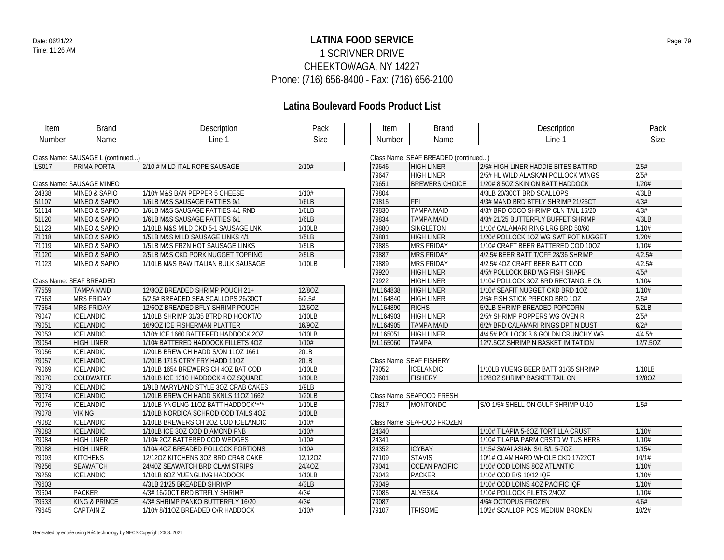### **LATINA FOOD SERVICE** Date: 06/21/22 Page: 79 1 SCRIVNER DRIVE CHEEKTOWAGA, NY 14227 Phone: (716) 656-8400 - Fax: (716) 656-2100

| Item   | <b>Brand</b>                      | Description                         | Pack        | Item     | <b>Brand</b>                         | Description                         | Pack     |
|--------|-----------------------------------|-------------------------------------|-------------|----------|--------------------------------------|-------------------------------------|----------|
| Number | Name                              | Line 1                              | <b>Size</b> | Number   | Name                                 | Line 1                              | Size     |
|        |                                   |                                     |             |          |                                      |                                     |          |
|        | Class Name: SAUSAGE L (continued) |                                     |             |          | Class Name: SEAF BREADED (continued) |                                     |          |
| LS017  | PRIMA PORTA                       | 2/10 # MILD ITAL ROPE SAUSAGE       | 2/10#       | 79646    | <b>HIGH LINER</b>                    | 2/5# HIGH LINER HADDIE BITES BATTRD | 2/5#     |
|        |                                   |                                     |             | 79647    | <b>HIGH LINER</b>                    | 2/5# HL WILD ALASKAN POLLOCK WINGS  | 2/5#     |
|        | Class Name: SAUSAGE MINEO         |                                     |             | 79651    | <b>BREWERS CHOICE</b>                | 1/20# 8.5OZ SKIN ON BATT HADDOCK    | 1/20#    |
| 24338  | MINEO & SAPIO                     | 1/10# M&S BAN PEPPER 5 CHEESE       | 1/10#       | 79804    |                                      | 4/3LB 20/30CT BRD SCALLOPS          | 4/3LB    |
| 51107  | <b>MINEO &amp; SAPIO</b>          | 1/6LB M&S SAUSAGE PATTIES 9/1       | 1/6LB       | 79815    | <b>FPI</b>                           | 4/3# MAND BRD BTFLY SHRIMP 21/25CT  | 4/3#     |
| 51114  | <b>MINEO &amp; SAPIO</b>          | 1/6LB M&S SAUSAGE PATTIES 4/1 RND   | 1/6LB       | 79830    | <b>TAMPA MAID</b>                    | 4/3# BRD COCO SHRIMP CLN TAIL 16/20 | 4/3#     |
| 51120  | <b>MINEO &amp; SAPIO</b>          | 1/6LB M&S SAUSAGE PATTIES 6/1       | 1/6LB       | 79834    | <b>TAMPA MAID</b>                    | 4/3# 21/25 BUTTERFLY BUFFET SHRIMP  | 4/3LB    |
| 51123  | MINEO & SAPIO                     | 1/10LB M&S MILD CKD 5-1 SAUSAGE LNK | 1/10LB      | 79880    | SINGLETON                            | 1/10# CALAMARI RING LRG BRD 50/60   | 1/10#    |
| 71018  | <b>MINEO &amp; SAPIO</b>          | 1/5LB M&S MILD SAUSAGE LINKS 4/1    | 1/5LB       | 79881    | <b>HIGH LINER</b>                    | 1/20# POLLOCK 1OZ WG SWT POT NUGGET | 1/20#    |
| 71019  | MINEO & SAPIO                     | 1/5LB M&S FRZN HOT SAUSAGE LINKS    | 1/5LB       | 79885    | <b>MRS FRIDAY</b>                    | 1/10# CRAFT BEER BATTERED COD 10OZ  | 1/10#    |
| 71020  | <b>MINEO &amp; SAPIO</b>          | 2/5LB M&S CKD PORK NUGGET TOPPING   | 2/5LB       | 79887    | <b>MRS FRIDAY</b>                    | 4/2.5# BEER BATT T/OFF 28/36 SHRIMP | 4/2.5#   |
| 71023  | <b>MINEO &amp; SAPIO</b>          | 1/10LB M&S RAW ITALIAN BULK SAUSAGE | 1/10LB      | 79889    | <b>MRS FRIDAY</b>                    | 4/2.5# 4OZ CRAFT BEER BATT COD      | 4/2.5#   |
|        |                                   |                                     |             | 79920    | <b>HIGH LINER</b>                    | 4/5# POLLOCK BRD WG FISH SHAPE      | 4/5#     |
|        | Class Name: SEAF BREADED          |                                     |             | 79922    | <b>HIGH LINER</b>                    | 1/10# POLLOCK 3OZ BRD RECTANGLE CN  | 1/10#    |
| 77559  | <b>TAMPA MAID</b>                 | 12/80Z BREADED SHRIMP POUCH 21+     | 12/80Z      | ML164838 | <b>HIGH LINER</b>                    | 1/10# SEAFIT NUGGET CKD BRD 1OZ     | 1/10#    |
| 77563  | <b>MRS FRIDAY</b>                 | 6/2.5# BREADED SEA SCALLOPS 26/30CT | 6/2.5#      | ML164840 | <b>HIGH LINER</b>                    | 2/5# FISH STICK PRECKD BRD 10Z      | 2/5#     |
| 77564  | <b>MRS FRIDAY</b>                 | 12/60Z BREADED BFLY SHRIMP POUCH    | 12/60Z      | ML164890 | <b>RICHS</b>                         | 5/2LB SHRIMP BREADED POPCORN        | 5/2LB    |
| 79047  | <b>ICELANDIC</b>                  | 1/10LB SHRIMP 31/35 BTRD RD HOOKT/O | 1/10LB      | ML164903 | <b>HIGH LINER</b>                    | 2/5# SHRIMP POPPERS WG OVEN R       | 2/5#     |
| 79051  | <b>ICELANDIC</b>                  | 16/90Z ICE FISHERMAN PLATTER        | 16/90Z      | ML164905 | <b>TAMPA MAID</b>                    | 6/2# BRD CALAMARI RINGS DPT N DUST  | 6/2#     |
| 79053  | <b>ICELANDIC</b>                  | 1/10# ICE 1660 BATTERED HADDOCK 2OZ | 1/10LB      | ML165051 | <b>HIGH LINER</b>                    | 4/4.5# POLLOCK 3.6 GOLDN CRUNCHY WG | 4/4.5#   |
| 79054  | <b>HIGH LINER</b>                 | 1/10# BATTERED HADDOCK FILLETS 4OZ  | 1/10#       | ML165060 | <b>TAMPA</b>                         | 12/7.50Z SHRIMP N BASKET IMITATION  | 12/7.50Z |
| 79056  | <b>ICELANDIC</b>                  | 1/20LB BREW CH HADD S/ON 11OZ 1661  | 20LB        |          |                                      |                                     |          |
| 79057  | <b>ICELANDIC</b>                  | 1/20LB 1715 CTRY FRY HADD 11OZ      | 20LB        |          | Class Name: SEAF FISHERY             |                                     |          |
| 79069  | <b>ICELANDIC</b>                  | 1/10LB 1654 BREWERS CH 4OZ BAT COD  | 1/10LB      | 79052    | <b>ICELANDIC</b>                     | 1/10LB YUENG BEER BATT 31/35 SHRIMP | 1/10LB   |
| 79070  | COLDWATER                         | 1/10LB ICE 1310 HADDOCK 4 OZ SQUARE | 1/10LB      | 79601    | <b>FISHERY</b>                       | 12/80Z SHRIMP BASKET TAIL ON        | 12/8OZ   |
| 79073  | <b>ICELANDIC</b>                  | 1/9LB MARYLAND STYLE 30Z CRAB CAKES | 1/9LB       |          |                                      |                                     |          |
| 79074  | <b>ICELANDIC</b>                  | 1/20LB BREW CH HADD SKNLS 11OZ 1662 | 1/20LB      |          | Class Name: SEAFOOD FRESH            |                                     |          |
| 79076  | <b>ICELANDIC</b>                  | 1/10LB YNGLNG 11OZ BATT HADDOCK**** | 1/10LB      | 79817    | <b>MONTONDO</b>                      | S/O 1/5# SHELL ON GULF SHRIMP U-10  | 1/5#     |
| 79078  | <b>VIKING</b>                     | 1/10LB NORDICA SCHROD COD TAILS 4OZ | 1/10LB      |          |                                      |                                     |          |
| 79082  | <b>ICELANDIC</b>                  | 1/10LB BREWERS CH 2OZ COD ICELANDIC | 1/10#       |          | Class Name: SEAFOOD FROZEN           |                                     |          |
| 79083  | <b>ICELANDIC</b>                  | 1/10LB ICE 3OZ COD DIAMOND FNB      | 1/10#       | 24340    |                                      | 1/10# TILAPIA 5-6OZ TORTILLA CRUST  | 1/10#    |
| 79084  | <b>HIGH LINER</b>                 | 1/10# 2OZ BATTERED COD WEDGES       | 1/10#       | 24341    |                                      | 1/10# TILAPIA PARM CRSTD W TUS HERB | 1/10#    |
| 79088  | <b>HIGH LINER</b>                 | 1/10# 4OZ BREADED POLLOCK PORTIONS  | 1/10#       | 24352    | <b>ICYBAY</b>                        | 1/15# SWAI ASIAN S/L B/L 5-70Z      | 1/15#    |
| 79093  | <b>KITCHENS</b>                   | 12/120Z KITCHENS 30Z BRD CRAB CAKE  | 12/12OZ     | 77109    | <b>STAVIS</b>                        | 10/1# CLAM HARD WHOLE CKD 17/22CT   | 10/1#    |
| 79256  | <b>SEAWATCH</b>                   | 24/40Z SEAWATCH BRD CLAM STRIPS     | 24/4OZ      | 79041    | <b>OCEAN PACIFIC</b>                 | 1/10# COD LOINS 8OZ ATLANTIC        | 1/10#    |
| 79259  | <b>ICELANDIC</b>                  | 1/10LB 6OZ YUENGLING HADDOCK        | 1/10LB      | 79043    | <b>PACKER</b>                        | 1/10# COD B/S 10/12 IQF             | 1/10#    |
| 79603  |                                   | 4/3LB 21/25 BREADED SHRIMP          | 4/3LB       | 79049    |                                      | 1/10# COD LOINS 4OZ PACIFIC IQF     | 1/10#    |
| 79604  | <b>PACKER</b>                     | 4/3#16/20CT BRD BTRFLY SHRIMP       | 4/3#        | 79085    | <b>ALYESKA</b>                       | 1/10# POLLOCK FILETS 2/4OZ          | 1/10#    |
| 79633  | <b>KING &amp; PRINCE</b>          | 4/3# SHRIMP PANKO BUTTERFLY 16/20   | 4/3#        | 79087    |                                      | 4/6# OCTOPUS FROZEN                 | 4/6#     |
| 79645  | <b>CAPTAIN Z</b>                  | 1/10# 8/11OZ BREADED O/R HADDOCK    | 1/10#       | 79107    | <b>TRISOME</b>                       | 10/2# SCALLOP PCS MEDIUM BROKEN     | 10/2#    |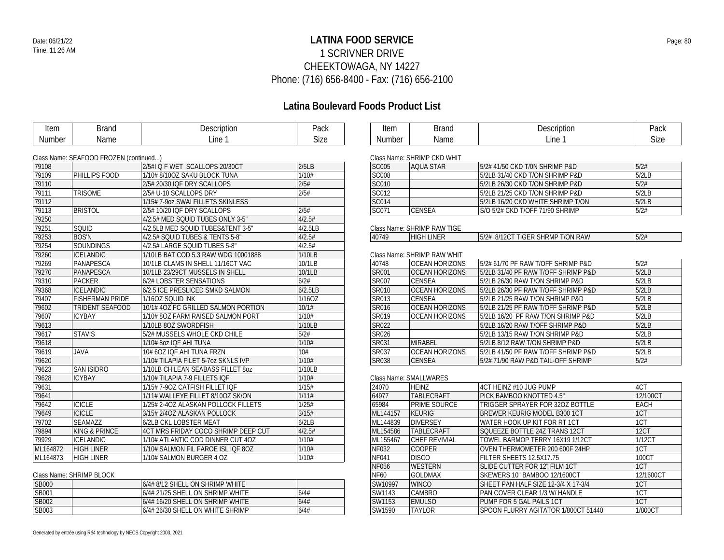$\Gamma$ 

### **LATINA FOOD SERVICE** Date: 06/21/22 Page: 80 1 SCRIVNER DRIVE CHEEKTOWAGA, NY 14227 Phone: (716) 656-8400 - Fax: (716) 656-2100

## **Latina Boulevard Foods Product List**

Г

| Item          | <b>Brand</b>                           | Description                         | Pack        | Item          | <b>Brand</b>                | Description                         | Pack      |
|---------------|----------------------------------------|-------------------------------------|-------------|---------------|-----------------------------|-------------------------------------|-----------|
| <b>Number</b> | Name                                   | Line 1                              | <b>Size</b> | <b>Number</b> | Name                        | Line 1                              | Size      |
|               |                                        |                                     |             |               |                             |                                     |           |
|               | Class Name: SEAFOOD FROZEN (continued) |                                     |             |               | Class Name: SHRIMP CKD WHIT |                                     |           |
| 79108         |                                        | 2/5#I Q F WET SCALLOPS 20/30CT      | 2/5LB       | <b>SC005</b>  | <b>AQUA STAR</b>            | 5/2# 41/50 CKD T/0N SHRIMP P&D      | 5/2#      |
| 79109         | PHILLIPS FOOD                          | 1/10# 8/10OZ SAKU BLOCK TUNA        | 1/10#       | <b>SC008</b>  |                             | 5/2LB 31/40 CKD T/ON SHRIMP P&D     | 5/2LB     |
| 79110         |                                        | 2/5# 20/30 IQF DRY SCALLOPS         | 2/5#        | <b>SC010</b>  |                             | 5/2LB 26/30 CKD T/ON SHRIMP P&D     | 5/2#      |
| 79111         | <b>TRISOME</b>                         | 2/5# U-10 SCALLOPS DRY              | 2/5#        | SC012         |                             | 5/2LB 21/25 CKD T/ON SHRIMP P&D     | 5/2LB     |
| 79112         |                                        | 1/15# 7-9oz SWAI FILLETS SKINLESS   |             | <b>SC014</b>  |                             | 5/2LB 16/20 CKD WHITE SHRIMP T/ON   | 5/2LB     |
| 79113         | <b>BRISTOL</b>                         | 2/5#10/20 IQF DRY SCALLOPS          | 2/5#        | SC071         | <b>CENSEA</b>               | S/O 5/2# CKD T/OFF 71/90 SHRIMP     | 5/2#      |
| 79250         |                                        | 4/2.5# MED SQUID TUBES ONLY 3-5"    | 4/2.5#      |               |                             |                                     |           |
| 79251         | SQUID                                  | 4/2.5LB MED SQUID TUBES&TENT 3-5"   | 4/2.5LB     |               | Class Name: SHRIMP RAW TIGE |                                     |           |
| 79253         | <b>BOS'N</b>                           | 4/2.5# SQUID TUBES & TENTS 5-8"     | 4/2.5#      | 40749         | <b>HIGH LINER</b>           | 5/2# 8/12CT TIGER SHRMP T/ON RAW    | 5/2#      |
| 79254         | SOUNDINGS                              | 4/2.5# LARGE SQUID TUBES 5-8"       | 4/2.5#      |               |                             |                                     |           |
| 79260         | <b>ICELANDIC</b>                       | 1/10LB BAT COD 5.3 RAW WDG 10001888 | 1/10LB      |               | Class Name: SHRIMP RAW WHIT |                                     |           |
| 79269         | PANAPESCA                              | 10/1LB CLAMS IN SHELL 11/16CT VAC   | 10/1LB      | 40748         | <b>OCEAN HORIZONS</b>       | 5/2# 61/70 PF RAW T/OFF SHRIMP P&D  | 5/2#      |
| 79270         | PANAPESCA                              | 10/1LB 23/29CT MUSSELS IN SHELL     | 10/1LB      | <b>SR001</b>  | <b>OCEAN HORIZONS</b>       | 5/2LB 31/40 PF RAW T/OFF SHRIMP P&D | 5/2LB     |
| 79310         | PACKER                                 | 6/2# LOBSTER SENSATIONS             | 6/2#        | SR007         | <b>CENSEA</b>               | 5/2LB 26/30 RAW T/ON SHRIMP P&D     | 5/2LB     |
| 79368         | <b>ICELANDIC</b>                       | 6/2.5 ICE PRESLICED SMKD SALMON     | 6/2.5LB     | SR010         | <b>OCEAN HORIZONS</b>       | 5/2LB 26/30 PF RAW T/OFF SHRIMP P&D | 5/2LB     |
| 79407         | <b>FISHERMAN PRIDE</b>                 | 1/160Z SQUID INK                    | 1/16OZ      | SRO13         | <b>CENSEA</b>               | 5/2LB 21/25 RAW T/ON SHRIMP P&D     | 5/2LB     |
| 79602         | <b>TRIDENT SEAFOOD</b>                 | 10/1# 4OZ FC GRILLED SALMON PORTION | 10/1#       | SR016         | <b>OCEAN HORIZONS</b>       | 5/2LB 21/25 PF RAW T/OFF SHRIMP P&D | 5/2LB     |
| 79607         | <b>ICYBAY</b>                          | 1/10# 8OZ FARM RAISED SALMON PORT   | 1/10#       | SR019         | <b>OCEAN HORIZONS</b>       | 5/2LB 16/20 PF RAW T/ON SHRIMP P&D  | 5/2LB     |
| 79613         |                                        | 1/10LB 8OZ SWORDFISH                | 1/10LB      | SR022         |                             | 5/2LB 16/20 RAW T/OFF SHRIMP P&D    | 5/2LB     |
| 79617         | <b>STAVIS</b>                          | 5/2# MUSSELS WHOLE CKD CHILE        | 5/2#        | SR026         |                             | 5/2LB 13/15 RAW T/ON SHRIMP P&D     | 5/2LB     |
| 79618         |                                        | 1/10# 8oz IQF AHI TUNA              | 1/10#       | SR031         | <b>MIRABEL</b>              | 5/2LB 8/12 RAW T/ON SHRIMP P&D      | 5/2LB     |
| 79619         | <b>JAVA</b>                            | 10# 6OZ IQF AHI TUNA FRZN           | 10#         | SR037         | <b>OCEAN HORIZONS</b>       | 5/2LB 41/50 PF RAW T/OFF SHRIMP P&D | 5/2LB     |
| 79620         |                                        | 1/10# TILAPIA FILET 5-70Z SKNLS IVP | 1/10#       | SR038         | <b>CENSEA</b>               | 5/2# 71/90 RAW P&D TAIL-OFF SHRIMP  | 5/2#      |
| 79623         | <b>SAN ISIDRO</b>                      | 1/10LB CHILEAN SEABASS FILLET 80Z   | 1/10LB      |               |                             |                                     |           |
| 79628         | <b>ICYBAY</b>                          | 1/10# TILAPIA 7-9 FILLETS IQF       | 1/10#       |               | Class Name: SMALLWARES      |                                     |           |
| 79631         |                                        | 1/15# 7-9OZ CATFISH FILLET IQF      | 1/15#       | 24070         | <b>HEINZ</b>                | 4CT HEINZ #10 JUG PUMP              | 4CT       |
| 79641         |                                        | 1/11# WALLEYE FILLET 8/10OZ SK/ON   | 1/11#       | 64977         | <b>TABLECRAFT</b>           | PICK BAMBOO KNOTTED 4.5"            | 12/100CT  |
| 79642         | <b>ICICLE</b>                          | 1/25# 2-4OZ ALASKAN POLLOCK FILLETS | 1/25#       | 65984         | <b>PRIME SOURCE</b>         | TRIGGER SPRAYER FOR 320Z BOTTLE     | EACH      |
| 79649         | <b>ICICLE</b>                          | 3/15# 2/4OZ ALASKAN POLLOCK         | 3/15#       | ML144157      | KEURIG                      | <b>BREWER KEURIG MODEL B300 1CT</b> | 1CT       |
| 79702         | SEAMAZZ                                | 6/2LB CKL LOBSTER MEAT              | 6/2LB       | ML144839      | <b>DIVERSEY</b>             | WATER HOOK UP KIT FOR RT 1CT        | 1CT       |
| 79894         | <b>KING &amp; PRINCE</b>               | 4CT MRS FRIDAY COCO SHRIMP DEEP CUT | 4/2.5#      | ML154586      | TABLECRAFT                  | SQUEEZE BOTTLE 24Z TRANS 12CT       | 12CT      |
| 79929         | <b>ICELANDIC</b>                       | 1/10# ATLANTIC COD DINNER CUT 4OZ   | 1/10#       | ML155467      | <b>CHEF REVIVIAL</b>        | TOWEL BARMOP TERRY 16X19 1/12CT     | 1/12CT    |
| ML164872      | <b>HIGH LINER</b>                      | 1/10# SALMON FIL FAROE ISL IQF 8OZ  | 1/10#       | NF032         | <b>COOPER</b>               | OVEN THERMOMETER 200 600F 24HP      | 1CT       |
| ML164873      | <b>HIGH LINER</b>                      | 1/10# SALMON BURGER 4 OZ            | 1/10#       | <b>NF041</b>  | <b>DISCO</b>                | FILTER SHEETS 12.5X17.75            | 100CT     |
|               |                                        |                                     |             | <b>NF056</b>  | <b>WESTERN</b>              | SLIDE CUTTER FOR 12" FILM 1CT       | 1CT       |
|               | Class Name: SHRIMP BLOCK               |                                     |             | NF60          | <b>GOLDMAX</b>              | SKEWERS 10" BAMBOO 12/1600CT        | 12/1600CT |

SW10997 | WINCO | SHEET PAN HALF SIZE 12-3/4 X 17-3/4 SW1143 CAMBRO PAN COVER CLEAR 1/3 W/ HANDLE 1CT<br>
SW1153 EMULSO PUMP FOR 5 GAL PAILS 1CT 1CT

SPOON FLURRY AGITATOR 1/800CT 51440 1/800CT

SW1153 EMULSO PUMP FOR 5 GAL PAILS 1CT<br>
SW1590 TAYLOR SPOON FLURRY AGITATOR

| Class Name: SHRIMP BLOCK |  |                                  |       |  |  |  |  |
|--------------------------|--|----------------------------------|-------|--|--|--|--|
| <b>SB000</b>             |  | 6/4# 8/12 SHELL ON SHRIMP WHITE  |       |  |  |  |  |
| <b>SB001</b>             |  | 6/4# 21/25 SHELL ON SHRIMP WHITE | .6/4# |  |  |  |  |
| <b>SB002</b>             |  | 6/4# 16/20 SHELL ON SHRIMP WHITE | 6/4#  |  |  |  |  |
| <b>SB003</b>             |  | 6/4# 26/30 SHELL ON WHITE SHRIMP | 6/4#  |  |  |  |  |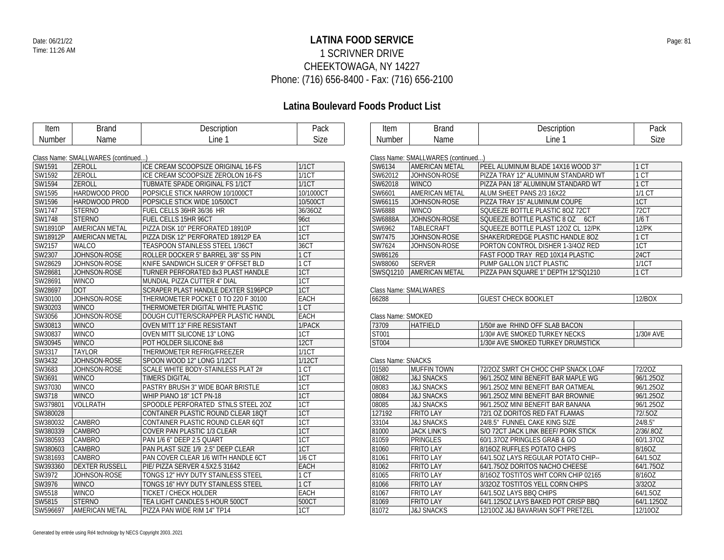### **LATINA FOOD SERVICE** Date: 06/21/22 Page: 81 1 SCRIVNER DRIVE CHEEKTOWAGA, NY 14227 Phone: (716) 656-8400 - Fax: (716) 656-2100

| Item     | <b>Brand</b>                       | Description                                | Pack              | Item               | <b>Brand</b>                       | Description                         | Pack         |
|----------|------------------------------------|--------------------------------------------|-------------------|--------------------|------------------------------------|-------------------------------------|--------------|
| Number   | Name                               | Line 1                                     | <b>Size</b>       | <b>Number</b>      | Name                               | Line 1                              | Size         |
|          | Class Name: SMALLWARES (continued) |                                            |                   |                    | Class Name: SMALLWARES (continued) |                                     |              |
| SW1591   | <b>ZEROLL</b>                      | ICE CREAM SCOOPSIZE ORIGINAL 16-FS         | 1/1CT             | SW6134             | <b>AMERICAN METAL</b>              | PEEL ALUMINUM BLADE 14X16 WOOD 37"  | 1 CT         |
| SW1592   | ZEROLL                             | ICE CREAM SCOOPSIZE ZEROLON 16-FS          | 1/1CT             | SW62012            | JOHNSON-ROSE                       | PIZZA TRAY 12" ALUMINUM STANDARD WT | 1 CT         |
| SW1594   | ZEROLL                             | <b>TUBMATE SPADE ORIGINAL FS 1/1CT</b>     | <b>1/1CT</b>      | SW62018            | <b>WINCO</b>                       | PIZZA PAN 18" ALUMINUM STANDARD WT  | 1 CT         |
| SW1595   | HARDWOOD PROD                      | POPSICLE STICK NARROW 10/1000CT            | 10/1000CT         | SW6601             | <b>AMERICAN METAL</b>              | ALUM SHEET PANS 2/3 16X22           | 1/1 CT       |
| SW1596   | <b>HARDWOOD PROD</b>               | POPSICLE STICK WIDE 10/500CT               | 10/500CT          | SW66115            | JOHNSON-ROSE                       | PIZZA TRAY 15" ALUMINUM COUPE       | 1CT          |
| SW1747   | <b>STERNO</b>                      | FUEL CELLS 36HR 36/36 HR                   | 36/36OZ           | SW6888             | <b>WINCO</b>                       | SQUEEZE BOTTLE PLASTIC 80Z 72CT     | 72CT         |
| SW1748   | <b>STERNO</b>                      | FUEL CELLS 15HR 96CT                       | 96ct              | <b>SW6888A</b>     | JOHNSON-ROSE                       | SQUEEZE BOTTLE PLASTIC 8 OZ 6CT     | 1/6T         |
| SW18910P | <b>AMERICAN METAL</b>              | PIZZA DISK 10" PERFORATED 18910P           | $\overline{1}$ CT | SW6962             | TABLECRAFT                         | SQUEEZE BOTTLE PLAST 120Z CL 12/PK  | <b>12/PK</b> |
| SW18912P | <b>AMERICAN METAL</b>              | PIZZA DISK 12" PERFORATED 18912P EA        | 1CT               | SW7475             | JOHNSON-ROSE                       | SHAKER/DREDGE PLASTIC HANDLE 80Z    | 1 CT         |
| SW2157   | <b>WALCO</b>                       | TEASPOON STAINLESS STEEL 1/36CT            | 36CT              | SW7624             | JOHNSON-ROSE                       | PORTON CONTROL DISHER 1-3/4OZ RED   | 1CT          |
| SW2307   | JOHNSON-ROSE                       | ROLLER DOCKER 5" BARREL 3/8" SS PIN        | 1 CT              | SW86126            |                                    | FAST FOOD TRAY RED 10X14 PLASTIC    | <b>24CT</b>  |
| SW28629  | JOHNSON-ROSE                       | KNIFE SANDWICH SLICER 9" OFFSET BLD        | 1 CT              | SW88060            | <b>SERVER</b>                      | PUMP GALLON 1/1CT PLASTIC           | 1/1CT        |
| SW28681  | JOHNSON-ROSE                       | TURNER PERFORATED 8x3 PLAST HANDLE         | 1CT               |                    | SWSQ1210   AMERICAN METAL          | PIZZA PAN SQUARE 1" DEPTH 12"SQ1210 | 1 CT         |
| SW28691  | <b>WINCO</b>                       | MUNDIAL PIZZA CUTTER 4" DIAL               | 1CT               |                    |                                    |                                     |              |
| SW28697  | <b>DOT</b>                         | <b>SCRAPER PLAST HANDLE DEXTER S196PCP</b> | 1CT               |                    | Class Name: SMALWARES              |                                     |              |
| SW30100  | JOHNSON-ROSE                       | THERMOMETER POCKET 0 TO 220 F 30100        | EACH              | 66288              |                                    | <b>GUEST CHECK BOOKLET</b>          | 12/BOX       |
| SW30203  | <b>WINCO</b>                       | THERMOMETER DIGITAL WHITE PLASTIC          | 1CT               |                    |                                    |                                     |              |
| SW3056   | JOHNSON-ROSE                       | DOUGH CUTTER/SCRAPPER PLASTIC HANDL        | <b>EACH</b>       | Class Name: SMOKED |                                    |                                     |              |
| SW30813  | <b>WINCO</b>                       | OVEN MITT 13" FIRE RESISTANT               | 1/PACK            | 73709              | <b>HATFIELD</b>                    | 1/50# ave RHIND OFF SLAB BACON      |              |
| SW30837  | <b>WINCO</b>                       | OVEN MITT SILICONE 13" LONG                | 1CT               | ST001              |                                    | 1/30# AVE SMOKED TURKEY NECKS       | 1/30# AVE    |
| SW30945  | <b>WINCO</b>                       | POT HOLDER SILICONE 8x8                    | 12CT              | <b>ST004</b>       |                                    | 1/30# AVE SMOKED TURKEY DRUMSTICK   |              |
| SW3317   | <b>TAYLOR</b>                      | THERMOMETER REFRIG/FREEZER                 | 1/1CT             |                    |                                    |                                     |              |
| SW3432   | JOHNSON-ROSE                       | SPOON WOOD 12" LONG 1/12CT                 | 1/12CT            | Class Name: SNACKS |                                    |                                     |              |
| SW3683   | JOHNSON-ROSE                       | SCALE WHITE BODY-STAINLESS PLAT 2#         | 1 CT              | 01580              | <b>MUFFIN TOWN</b>                 | 72/20Z SMRT CH CHOC CHIP SNACK LOAF | 72/20Z       |
| SW3691   | <b>WINCO</b>                       | <b>TIMERS DIGITAL</b>                      | 1CT               | 08082              | <b>J&amp;J SNACKS</b>              | 96/1.25OZ MINI BENEFIT BAR MAPLE WG | 96/1.25OZ    |
| SW37030  | <b>WINCO</b>                       | PASTRY BRUSH 3" WIDE BOAR BRISTLE          | 1CT               | 08083              | <b>J&amp;J SNACKS</b>              | 96/1.25OZ MINI BENEFIT BAR OATMEAL  | 96/1.25OZ    |
| SW3718   | <b>WINCO</b>                       | WHIP PIANO 18" 1CT PN-18                   | 1CT               | 08084              | <b>J&amp;J SNACKS</b>              | 96/1.25OZ MINI BENEFIT BAR BROWNIE  | 96/1.25OZ    |
| SW379801 | <b>VOLLRATH</b>                    | SPOODLE PERFORATED STNLS STEEL 20Z         | 1CT               | 08085              | <b>J&amp;J SNACKS</b>              | 96/1.25OZ MINI BENEFIT BAR BANANA   | 96/1.25OZ    |
| SW380028 |                                    | CONTAINER PLASTIC ROUND CLEAR 18QT         | 1CT               | 127192             | <b>FRITO LAY</b>                   | 72/1 OZ DORITOS RED FAT FLAMAS      | 72/.5OZ      |
| SW380032 | CAMBRO                             | CONTAINER PLASTIC ROUND CLEAR 6QT          | 1CT               | 33104              | <b>J&amp;J SNACKS</b>              | 24/8.5" FUNNEL CAKE KING SIZE       | 24/8.5"      |
| SW380339 | <b>CAMBRO</b>                      | COVER PAN PLASTIC 1/3 CLEAR                | $\overline{1CT}$  | 81000              | <b>JACK LINK'S</b>                 | S/O 72CT JACK LINK BEEF/ PORK STICK | 2/36/.8OZ    |
|          |                                    |                                            | 1CT               |                    |                                    |                                     |              |
| SW380593 | <b>CAMBRO</b>                      | PAN 1/6 6" DEEP 2.5 QUART                  | 1CT               | 81059<br>81060     | <b>PRINGLES</b>                    | 60/1.37OZ PRINGLES GRAB & GO        | 60/1.37OZ    |
| SW380603 | <b>CAMBRO</b>                      | PAN PLAST SIZE 1/9 2.5" DEEP CLEAR         |                   |                    | <b>FRITO LAY</b>                   | 8/160Z RUFFLES POTATO CHIPS         | 8/16OZ       |
| SW381693 | CAMBRO                             | PAN COVER CLEAR 1/6 WITH HANDLE 6CT        | 1/6 CT            | 81061              | <b>FRITO LAY</b>                   | 64/1.50Z LAYS REGULAR POTATO CHIP-- | 64/1.5OZ     |
| SW393360 | <b>DEXTER RUSSELL</b>              | PIE/ PIZZA SERVER 4.5X2.5 31642            | EACH              | 81062              | <b>FRITO LAY</b>                   | 64/1.750Z DORITOS NACHO CHEESE      | 64/1.75OZ    |
| SW3972   | JOHNSON-ROSE                       | TONGS 12" HVY DUTY STAINLESS STEEL         | 1 CT              | 81065              | <b>FRITO LAY</b>                   | 8/16OZ TOSTITOS WHT CORN CHIP 02165 | 8/16OZ       |
| SW3976   | <b>WINCO</b>                       | TONGS 16" HVY DUTY STAINLESS STEEL         | 1 CT              | 81066              | <b>FRITO LAY</b>                   | 3/320Z TOSTITOS YELL CORN CHIPS     | 3/320Z       |
| SW5518   | <b>WINCO</b>                       | TICKET / CHECK HOLDER                      | <b>EACH</b>       | 81067              | <b>FRITO LAY</b>                   | 64/1.50Z LAYS BBQ CHIPS             | 64/1.50Z     |
| SW5815   | <b>STERNO</b>                      | TEA LIGHT CANDLES 5 HOUR 500CT             | 500CT             | 81069              | <b>FRITO LAY</b>                   | 64/1.125OZ LAYS BAKED POT CRISP BBQ | 64/1.12507   |
| SW596697 | <b>AMERICAN METAL</b>              | PIZZA PAN WIDE RIM 14" TP14                | 1CT               | 81072              | <b>J&amp;J SNACKS</b>              | 12/100Z J&J BAVARIAN SOFT PRETZEL   | 12/10OZ      |

| Class Natile. SIVIALLWANLS (COHILIDED) |                       |                                     |          |  |  |  |  |  |
|----------------------------------------|-----------------------|-------------------------------------|----------|--|--|--|--|--|
| SW6134                                 | <b>AMERICAN METAL</b> | PEEL ALUMINUM BLADE 14X16 WOOD 37"  | 1 CT     |  |  |  |  |  |
| SW62012                                | JOHNSON-ROSE          | PIZZA TRAY 12" ALUMINUM STANDARD WT | 1 CT     |  |  |  |  |  |
| SW62018                                | <b>WINCO</b>          | PIZZA PAN 18" ALUMINUM STANDARD WT  | 1 CT     |  |  |  |  |  |
| SW6601                                 | AMERICAN METAL        | ALUM SHEET PANS 2/3 16X22           | $1/1$ CT |  |  |  |  |  |
| SW66115                                | JOHNSON-ROSE          | PIZZA TRAY 15" ALUMINUM COUPE       | 1CT      |  |  |  |  |  |
| SW6888                                 | <b>WINCO</b>          | SOUFFZE BOTTLE PLASTIC 807 72CT     | 72CT     |  |  |  |  |  |
| SW6888A                                | JOHNSON-ROSE          | SQUEEZE BOTTLE PLASTIC 8 OZ<br>6CT  | $1/6$ T  |  |  |  |  |  |
| SW6962                                 | TABLECRAFT            | SQUEEZE BOTTLE PLAST 120Z CL 12/PK  | $12$ /PK |  |  |  |  |  |
| SW7475                                 | JOHNSON-ROSE          | SHAKER/DREDGE PLASTIC HANDLE 80Z    | 1 CT     |  |  |  |  |  |
| SW7624                                 | JOHNSON-ROSE          | PORTON CONTROL DISHER 1-3/40Z RED   | 1CT      |  |  |  |  |  |
| SW86126                                |                       | FAST FOOD TRAY RED 10X14 PLASTIC    | 24CT     |  |  |  |  |  |
| SW88060                                | <b>SERVER</b>         | PUMP GALLON 1/1CT PLASTIC           | 1/1CT    |  |  |  |  |  |
| SWSO1210                               | <b>AMERICAN METAL</b> | PIZZA PAN SQUARE 1" DEPTH 12"SQ1210 | 1 CT     |  |  |  |  |  |

| <u>UIUJJI INUITIU. JIVII ILIVI II ILJ</u> |  |                            |        |  |  |
|-------------------------------------------|--|----------------------------|--------|--|--|
| 66288                                     |  | <b>GUEST CHECK BOOKLET</b> | 12/BOX |  |  |

| 73709 | <b>HATFIELD</b> | 1/50# ave RHIND OFF SLAB BACON    |           |
|-------|-----------------|-----------------------------------|-----------|
| ST001 |                 | 1/30# AVE SMOKED TURKEY NECKS     | 1/30# AVE |
| ST004 |                 | 1/30# AVE SMOKED TURKEY DRUMSTICK |           |

| 01580  | <b>MUFFIN TOWN</b>    | 72/20Z SMRT CH CHOC CHIP SNACK LOAF | 72/20Z     |  |  |  |
|--------|-----------------------|-------------------------------------|------------|--|--|--|
| 08082  | <b>J&amp;J SNACKS</b> | 96/1.250Z MINI BENEFIT BAR MAPLE WG | 96/1.25OZ  |  |  |  |
| 08083  | <b>J&amp;J SNACKS</b> | 96/1.250Z MINI BENEFIT BAR OATMEAL  | 96/1.25OZ  |  |  |  |
| 08084  | <b>J&amp;J SNACKS</b> | 96/1.250Z MINI BENEFIT BAR BROWNIE  | 96/1.250Z  |  |  |  |
| 08085  | <b>J&amp;J SNACKS</b> | 96/1.25OZ MINI BENEFIT BAR BANANA   | 96/1.250Z  |  |  |  |
| 127192 | <b>FRITO LAY</b>      | 72/1 OZ DORITOS RED FAT FLAMAS      | 72/.5OZ    |  |  |  |
| 33104  | <b>J&amp;J SNACKS</b> | 24/8.5" FUNNEL CAKE KING SIZE       | 24/8.5"    |  |  |  |
| 81000  | JACK LINK'S           | S/O 72CT JACK LINK BEEF/ PORK STICK | 2/36/.8OZ  |  |  |  |
| 81059  | <b>PRINGLES</b>       | 60/1.370Z PRINGLES GRAB & GO        | 60/1.370Z  |  |  |  |
| 81060  | <b>FRITO LAY</b>      | 8/160Z RUFFLES POTATO CHIPS         | 8/16OZ     |  |  |  |
| 81061  | <b>FRITO LAY</b>      | 64/1.50Z LAYS REGULAR POTATO CHIP-- | 64/1.50Z   |  |  |  |
| 81062  | <b>FRITO LAY</b>      | 64/1.750Z DORITOS NACHO CHEESE      | 64/1.750Z  |  |  |  |
| 81065  | <b>FRITO LAY</b>      | 8/16OZ TOSTITOS WHT CORN CHIP 02165 | 8/16OZ     |  |  |  |
| 81066  | <b>FRITO LAY</b>      | 3/320Z TOSTITOS YELL CORN CHIPS     | 3/32OZ     |  |  |  |
| 81067  | <b>FRITO LAY</b>      | 64/1.50Z LAYS BBQ CHIPS             | 64/1.5OZ   |  |  |  |
| 81069  | <b>FRITO LAY</b>      | 64/1.1250Z LAYS BAKED POT CRISP BBO | 64/1.1250Z |  |  |  |
| 81072  | <b>J&amp;J SNACKS</b> | 12/100Z J&J BAVARIAN SOFT PRETZEL   | 12/10OZ    |  |  |  |
|        |                       |                                     |            |  |  |  |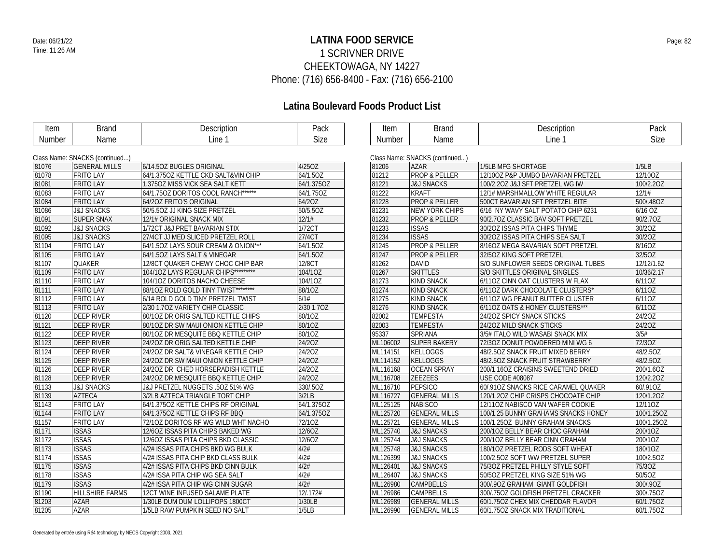### **LATINA FOOD SERVICE** Date: 06/21/22 Page: 82 1 SCRIVNER DRIVE CHEEKTOWAGA, NY 14227 Phone: (716) 656-8400 - Fax: (716) 656-2100

| Item   | <b>Brand</b>                   | Description                           | Pack       | Item     | <b>Brand</b>                   | Description                         | Pack       |
|--------|--------------------------------|---------------------------------------|------------|----------|--------------------------------|-------------------------------------|------------|
| Number | Name                           | Line 1                                | Size       | Number   | Name                           | Line 1                              | Size       |
|        |                                |                                       |            |          |                                |                                     |            |
|        | Class Name: SNACKS (continued) |                                       |            |          | Class Name: SNACKS (continued) |                                     |            |
| 81076  | <b>GENERAL MILLS</b>           | 6/14.50Z BUGLES ORIGINAL              | 4/25OZ     | 81206    | <b>AZAR</b>                    | 1/5LB MFG SHORTAGE                  | 1/5LB      |
| 81078  | <b>FRITO LAY</b>               | 64/1.375OZ KETTLE CKD SALT&VIN CHIP   | 64/1.5OZ   | 81212    | <b>PROP &amp; PELLER</b>       | 12/100Z P&P JUMBO BAVARIAN PRETZEL  | 12/10OZ    |
| 81081  | <b>FRITO LAY</b>               | 1.3750Z MISS VICK SEA SALT KETT       | 64/1.375OZ | 81221    | <b>J&amp;J SNACKS</b>          | 100/2.2OZ J&J SFT PRETZEL WG IW     | 100/2.2OZ  |
| 81083  | <b>FRITO LAY</b>               | 64/1.750Z DORITOS COOL RANCH******    | 64/1.75OZ  | 81222    | <b>KRAFT</b>                   | 12/1# MARSHMALLOW WHITE REGULAR     | 12/1#      |
| 81084  | <b>FRITO LAY</b>               | 64/20Z FRITO'S ORIGINAL               | 64/2OZ     | 81228    | <b>PROP &amp; PELLER</b>       | 500CT BAVARIAN SFT PRETZEL BITE     | 500/.48OZ  |
| 81086  | <b>J&amp;J SNACKS</b>          | 50/5.50Z JJ KING SIZE PRETZEL         | 50/5.5OZ   | 81231    | <b>NEW YORK CHIPS</b>          | 6/16 NY WAVY SALT POTATO CHIP 6231  | 6/16 OZ    |
| 81091  | <b>SUPER SNAX</b>              | 12/1# ORIGINAL SNACK MIX              | 12/1#      | 81232    | <b>PROP &amp; PELLER</b>       | 90/2.7OZ CLASSIC BAV SOFT PRETZEL   | 90/2.70Z   |
| 81092  | <b>J&amp;J SNACKS</b>          | 1/72CT J&J PRET BAVARIAN STIX         | 1/72CT     | 81233    | <b>ISSAS</b>                   | 30/2OZ ISSAS PITA CHIPS THYME       | 30/2OZ     |
| 81095  | <b>J&amp;J SNACKS</b>          | 27/4CT JJ MED SLICED PRETZEL ROLL     | 27/4CT     | 81234    | <b>ISSAS</b>                   | 30/20Z ISSAS PITA CHIPS SEA SALT    | 30/20Z     |
| 81104  | <b>FRITO LAY</b>               | 64/1.50Z LAYS SOUR CREAM & ONION***   | 64/1.5OZ   | 81245    | <b>PROP &amp; PELLER</b>       | 8/16OZ MEGA BAVARIAN SOFT PRETZEL   | 8/16OZ     |
| 81105  | <b>FRITO LAY</b>               | 64/1.50Z LAYS SALT & VINEGAR          | 64/1.5OZ   | 81247    | <b>PROP &amp; PELLER</b>       | 32/50Z KING SOFT PRETZEL            | 32/5OZ     |
| 81107  | <b>QUAKER</b>                  | 12/8CT QUAKER CHEWY CHOC CHIP BAR     | 12/8CT     | 81262    | <b>DAVID</b>                   | S/O SUNFLOWER SEEDS ORIGINAL TUBES  | 12/12/1.62 |
| 81109  | <b>FRITO LAY</b>               | 104/10Z LAYS REGULAR CHIPS*********   | 104/10Z    | 81267    | <b>SKITTLES</b>                | S/O SKITTLES ORIGINAL SINGLES       | 10/36/2.17 |
| 81110  | <b>FRITO LAY</b>               | 104/10Z DORITOS NACHO CHEESE          | 104/10Z    | 81273    | <b>KIND SNACK</b>              | 6/11OZ CINN OAT CLUSTERS W FLAX     | 6/110Z     |
| 81111  | <b>FRITO LAY</b>               | 88/10Z ROLD GOLD TINY TWIST ********* | 88/10Z     | 81274    | <b>KIND SNACK</b>              | 6/110Z DARK CHOCOLATE CLUSTERS*     | 6/110Z     |
| 81112  | <b>FRITO LAY</b>               | 6/1# ROLD GOLD TINY PRETZEL TWIST     | 6/1#       | 81275    | <b>KIND SNACK</b>              | 6/11OZ WG PEANUT BUTTER CLUSTER     | 6/110Z     |
| 81113  | <b>FRITO LAY</b>               | 2/30 1.7OZ VARIETY CHIP CLASSIC       | 2/30 1.7OZ | 81276    | <b>KIND SNACK</b>              | 6/110Z OATS & HONEY CLUSTERS***     | 6/110Z     |
| 81120  | <b>DEEP RIVER</b>              | 80/10Z DR ORIG SALTED KETTLE CHIPS    | 80/1OZ     | 82002    | <b>TEMPESTA</b>                | 24/20Z SPICY SNACK STICKS           | 24/20Z     |
| 81121  | <b>DEEP RIVER</b>              | 80/10Z DR SW MAUI ONION KETTLE CHIP   | 80/1OZ     | 82003    | <b>TEMPESTA</b>                | 24/20Z MILD SNACK STICKS            | 24/20Z     |
| 81122  | <b>DEEP RIVER</b>              | 80/10Z DR MESQUITE BBQ KETTLE CHIP    | 80/1OZ     | 95337    | <b>SPRIANA</b>                 | 3/5# ITALO WILD WASABI SNACK MIX    | 3/5#       |
| 81123  | <b>DEEP RIVER</b>              | 24/20Z DR ORIG SALTED KETTLE CHIP     | 24/2OZ     | ML106002 | <b>SUPER BAKERY</b>            | 72/30Z DONUT POWDERED MINI WG 6     | 72/30Z     |
| 81124  | <b>DEEP RIVER</b>              | 24/20Z DR SALT& VINEGAR KETTLE CHIP   | 24/20Z     | ML114151 | <b>KELLOGGS</b>                | 48/2.50Z SNACK FRUIT MIXED BERRY    | 48/2.5OZ   |
| 81125  | <b>DEEP RIVER</b>              | 24/20Z DR SW MAUI ONION KETTLE CHIP   | 24/20Z     | ML114152 | <b>KELLOGGS</b>                | 48/2.50Z SNACK FRUIT STRAWBERRY     | 48/2.5OZ   |
| 81126  | <b>DEEP RIVER</b>              | 24/20Z DR CHED HORSERADISH KETTLE     | 24/2OZ     | ML116168 | <b>OCEAN SPRAY</b>             | 200/1.16OZ CRAISINS SWEETEND DRIED  | 200/1.6OZ  |
| 81128  | <b>DEEP RIVER</b>              | 24/20Z DR MESQUITE BBQ KETTLE CHIP    | 24/2OZ     | ML116708 | <b>ZEEZEES</b>                 | <b>USE CODE #08087</b>              | 120/2.20Z  |
| 81133  | <b>J&amp;J SNACKS</b>          | J&J PRETZEL NUGGETS .50Z 51% WG       | 330/.5OZ   | ML116710 | PEPSICO                        | 60/910Z SNACKS RICE CARAMEL QUAKER  | 60/.91OZ   |
| 81139  | <b>AZTECA</b>                  | 3/2LB AZTECA TRIANGLE TORT CHIP       | 3/2LB      | ML116727 | <b>GENERAL MILLS</b>           | 120/1.20Z CHIP CRISPS CHOCOATE CHIP | 120/1.20Z  |
| 81143  | <b>FRITO LAY</b>               | 64/1.375OZ KETTLE CHIPS RF ORIGINAL   | 64/1.375OZ | ML125125 | <b>NABISCO</b>                 | 12/110Z NABISCO VAN WAFER COOKIE    | 12/110Z    |
| 81144  | <b>FRITO LAY</b>               | 64/1.375OZ KETTLE CHIPS RF BBQ        | 64/1.375OZ | ML125720 | <b>GENERAL MILLS</b>           | 100/1.25 BUNNY GRAHAMS SNACKS HONEY | 100/1.25OZ |
| 81157  | <b>FRITO LAY</b>               | 72/10Z DORITOS RF WG WILD WHT NACHO   | 72/10Z     | ML125721 | <b>GENERAL MILLS</b>           | 100/1.25OZ BUNNY GRAHAM SNACKS      | 100/1.25OZ |
| 81171  | <b>ISSAS</b>                   | 12/6OZ ISSAS PITA CHIPS BAKED WG      | 12/6OZ     | ML125740 | <b>J&amp;J SNACKS</b>          | 200/10Z BELLY BEAR CHOC GRAHAM      | 200/1OZ    |
| 81172  | <b>ISSAS</b>                   | 12/60Z ISSAS PITA CHIPS BKD CLASSIC   | 12/6OZ     | ML125744 | <b>J&amp;J SNACKS</b>          | 200/10Z BELLY BEAR CINN GRAHAM      | 200/1OZ    |
| 81173  | <b>ISSAS</b>                   | 4/2# ISSAS PITA CHIPS BKD WG BULK     | 4/2#       | ML125748 | <b>J&amp;J SNACKS</b>          | 180/1OZ PRETZEL RODS SOFT WHEAT     | 180/1OZ    |
| 81174  | <b>ISSAS</b>                   | 4/2# ISSAS PITA CHIP BKD CLASS BULK   | 4/2#       | ML126399 | <b>J&amp;J SNACKS</b>          | 100/2.5OZ SOFT WW PRETZEL SUPER     | 100/2.5OZ  |
| 81175  | <b>ISSAS</b>                   | 4/2# ISSAS PITA CHIPS BKD CINN BULK   | 4/2#       | ML126401 | <b>J&amp;J SNACKS</b>          | 75/30Z PRETZEL PHILLY STYLE SOFT    | 75/30Z     |
| 81178  | <b>ISSAS</b>                   | 4/2# ISSA PITA CHIP WG SEA SALT       | 4/2#       | ML126407 | <b>J&amp;J SNACKS</b>          | 50/5OZ PRETZEL KING SIZE 51% WG     | 50/5OZ     |
| 81179  | <b>ISSAS</b>                   | 4/2# ISSA PITA CHIP WG CINN SUGAR     | 4/2#       | ML126980 | <b>CAMPBELLS</b>               | 300/902 GRAHAM GIANT GOLDFISH       | 300/.90Z   |
| 81190  | <b>HILLSHIRE FARMS</b>         | 12CT WINE INFUSED SALAME PLATE        | 12/.172#   | ML126986 | CAMPBELLS                      | 300/.75OZ GOLDFISH PRETZEL CRACKER  | 300/.75OZ  |
| 81203  | <b>AZAR</b>                    | 1/30LB DUM DUM LOLLIPOPS 1800CT       | 1/30LB     | ML126989 | <b>GENERAL MILLS</b>           | 60/1.750Z CHEX MIX CHEDDAR FLAVOR   | 60/1.75OZ  |
| 81205  | <b>AZAR</b>                    | 1/5LB RAW PUMPKIN SEED NO SALT        | 1/5LB      | ML126990 | <b>GENERAL MILLS</b>           | 60/1.750Z SNACK MIX TRADITIONAL     | 60/1.75OZ  |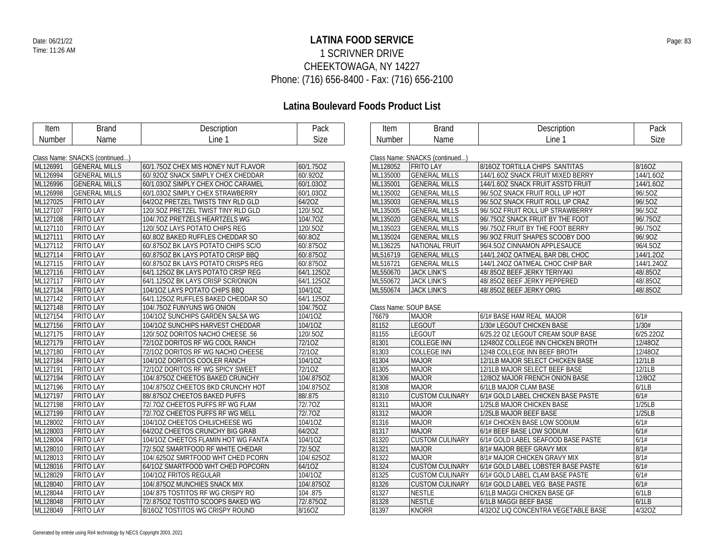### **LATINA FOOD SERVICE** Date: 06/21/22 Page: 83 1 SCRIVNER DRIVE CHEEKTOWAGA, NY 14227 Phone: (716) 656-8400 - Fax: (716) 656-2100

| Item     | <b>Brand</b>                   | Description                         | Pack       | Item                  | <b>Brand</b>                   | Description                         | Pack       |
|----------|--------------------------------|-------------------------------------|------------|-----------------------|--------------------------------|-------------------------------------|------------|
| Number   | Name                           | Line 1                              | Size       | Number                | Name                           | Line 1                              | Size       |
|          |                                |                                     |            |                       |                                |                                     |            |
|          | Class Name: SNACKS (continued) |                                     |            |                       | Class Name: SNACKS (continued) |                                     |            |
| ML126991 | <b>GENERAL MILLS</b>           | 60/1.75OZ CHEX MIS HONEY NUT FLAVOR | 60/1.75OZ  | ML128052              | <b>FRITO LAY</b>               | 8/160Z TORTILLA CHIPS SANTITAS      | 8/16OZ     |
| ML126994 | <b>GENERAL MILLS</b>           | 60/.920Z SNACK SIMPLY CHEX CHEDDAR  | 60/.92OZ   | ML135000              | <b>GENERAL MILLS</b>           | 144/1.6OZ SNACK FRUIT MIXED BERRY   | 144/1.6OZ  |
| ML126996 | <b>GENERAL MILLS</b>           | 60/1.03OZ SIMPLY CHEX CHOC CARAMEL  | 60/1.03OZ  | ML135001              | <b>GENERAL MILLS</b>           | 144/1.6OZ SNACK FRUIT ASSTD FRUIT   | 144/1.6OZ  |
| ML126998 | <b>GENERAL MILLS</b>           | 60/1.03OZ SIMPLY CHEX STRAWBERRY    | 60/1.03OZ  | ML135002              | <b>GENERAL MILLS</b>           | 96/.50Z SNACK FRUIT ROLL UP HOT     | 96/.5OZ    |
| ML127025 | <b>FRITO LAY</b>               | 64/20Z PRETZEL TWISTS TINY RLD GLD  | 64/2OZ     | ML135003              | <b>GENERAL MILLS</b>           | 96/.50Z SNACK FRUIT ROLL UP CRAZ    | 96/.5OZ    |
| ML127107 | <b>FRITO LAY</b>               | 120/.50Z PRETZEL TWIST TINY RLD GLD | 120/.5OZ   | ML135005              | <b>GENERAL MILLS</b>           | 96/.50Z FRUIT ROLL UP STRAWBERRY    | 96/.5OZ    |
| ML127108 | <b>FRITO LAY</b>               | 104/.70Z PRETZELS HEARTZELS WG      | 104/.70Z   | ML135020              | <b>GENERAL MILLS</b>           | 96/.750Z SNACK FRUIT BY THE FOOT    | 96/.75OZ   |
| ML127110 | <b>FRITO LAY</b>               | 120/.50Z LAYS POTATO CHIPS REG      | 120/.5OZ   | ML135023              | <b>GENERAL MILLS</b>           | 96/.750Z FRUIT BY THE FOOT BERRY    | 96/.75OZ   |
| ML127111 | <b>FRITO LAY</b>               | 60/802 BAKED RUFFLES CHEDDAR SO     | 60/.80Z    | ML135024              | <b>GENERAL MILLS</b>           | 96/.90Z FRUIT SHAPES SCOOBY DOO     | 96/.90Z    |
| ML127112 | <b>FRITO LAY</b>               | 60/8750Z BK LAYS POTATO CHIPS SC/O  | 60/.875OZ  | ML136225              | NATIONAL FRUIT                 | 96/4.50Z CINNAMON APPLESAUCE        | 96/4.5OZ   |
| ML127114 | <b>FRITO LAY</b>               | 60/8750Z BK LAYS POTATO CRISP BBQ   | 60/.875OZ  | ML516719              | <b>GENERAL MILLS</b>           | 144/1.24OZ OATMEAL BAR DBL CHOC     | 144/1.20Z  |
| ML127115 | <b>FRITO LAY</b>               | 60/8750Z BK LAYS POTATO CRISPS REG  | 60/.875OZ  | ML516721              | <b>GENERAL MILLS</b>           | 144/1.24OZ OATMEAL CHOC CHIP BAR    | 144/1.24OZ |
| ML127116 | <b>FRITO LAY</b>               | 64/1.1250Z BK LAYS POTATO CRSP REG  | 64/1.125OZ | ML550670              | <b>JACK LINK'S</b>             | 48/.85OZ BEEF JERKY TERIYAKI        | 48/.85OZ   |
| ML127117 | <b>FRITO LAY</b>               | 64/1.1250Z BK LAYS CRISP SCR/ONION  | 64/1.125OZ | ML550672              | <b>JACK LINK'S</b>             | 48/.85OZ BEEF JERKY PEPPERED        | 48/.85OZ   |
| ML127134 | <b>FRITO LAY</b>               | 104/10Z LAYS POTATO CHIPS BBQ       | 104/10Z    | ML550674              | <b>JACK LINK'S</b>             | 48/.85OZ BEEF JERKY ORIG            | 48/.85OZ   |
| ML127142 | <b>FRITO LAY</b>               | 64/1.1250Z RUFFLES BAKED CHEDDAR SO | 64/1.125OZ |                       |                                |                                     |            |
| ML127148 | <b>FRITO LAY</b>               | 104/.75OZ FUNYUNS WG ONION          | 104/.75OZ  | Class Name: SOUP BASE |                                |                                     |            |
| ML127154 | <b>FRITO LAY</b>               | 104/10Z SUNCHIPS GARDEN SALSA WG    | 104/1OZ    | 76679                 | <b>MAJOR</b>                   | 6/1# BASE HAM REAL MAJOR            | 6/1#       |
| ML127156 | <b>FRITO LAY</b>               | 104/10Z SUNCHIPS HARVEST CHEDDAR    | 104/10Z    | 81152                 | <b>LEGOUT</b>                  | 1/30# LEGOUT CHICKEN BASE           | 1/30#      |
| ML127175 | <b>FRITO LAY</b>               | 120/.50Z DORITOS NACHO CHEESE .56   | 120/.5OZ   | 81155                 | <b>LEGOUT</b>                  | 6/25.22 OZ LEGOUT CREAM SOUP BASE   | 6/25.22OZ  |
| ML127179 | <b>FRITO LAY</b>               | 72/10Z DORITOS RF WG COOL RANCH     | 72/10Z     | 81301                 | <b>COLLEGE INN</b>             | 12/48OZ COLLEGE INN CHICKEN BROTH   | 12/48OZ    |
| ML127180 | <b>FRITO LAY</b>               | 72/10Z DORITOS RF WG NACHO CHEESE   | 72/10Z     | 81303                 | <b>COLLEGE INN</b>             | 12/48 COLLEGE INN BEEF BROTH        | 12/48OZ    |
| ML127184 | <b>FRITO LAY</b>               | 104/10Z DORITOS COOLER RANCH        | 104/10Z    | 81304                 | <b>MAJOR</b>                   | 12/1LB MAJOR SELECT CHICKEN BASE    | 12/1LB     |
| ML127191 | <b>FRITO LAY</b>               | 72/10Z DORITOS RF WG SPICY SWEET    | 72/10Z     | 81305                 | <b>MAJOR</b>                   | 12/1LB MAJOR SELECT BEEF BASE       | 12/1LB     |
| ML127194 | <b>FRITO LAY</b>               | 104/8750Z CHEETOS BAKED CRUNCHY     | 104/.875OZ | 81306                 | <b>MAJOR</b>                   | 12/80Z MAJOR FRENCH ONION BASE      | 12/8OZ     |
| ML127196 | <b>FRITO LAY</b>               | 104/8750Z CHEETOS BKD CRUNCHY HOT   | 104/.875OZ | 81308                 | <b>MAJOR</b>                   | 6/1LB MAJOR CLAM BASE               | 6/1LB      |
| ML127197 | <b>FRITO LAY</b>               | 88/8750Z CHEETOS BAKED PUFFS        | 88/.875    | 81310                 | <b>CUSTOM CULINARY</b>         | 6/1# GOLD LABEL CHICKEN BASE PASTE  | 6/1#       |
| ML127198 | <b>FRITO LAY</b>               | 72/.70Z CHEETOS PUFFS RF WG FLAM    | 72/.70Z    | 81311                 | <b>MAJOR</b>                   | 1/25LB MAJOR CHICKEN BASE           | 1/25LB     |
| ML127199 | <b>FRITO LAY</b>               | 72/.70Z CHEETOS PUFFS RF WG MELL    | 72/.70Z    | 81312                 | <b>MAJOR</b>                   | 1/25LB MAJOR BEEF BASE              | 1/25LB     |
| ML128002 | <b>FRITO LAY</b>               | 104/10Z CHEETOS CHILI/CHEESE WG     | 104/10Z    | 81316                 | <b>MAJOR</b>                   | 6/1# CHICKEN BASE LOW SODIUM        | 6/1#       |
| ML128003 | <b>FRITO LAY</b>               | 64/2OZ CHEETOS CRUNCHY BIG GRAB     | 64/2OZ     | 81317                 | <b>MAJOR</b>                   | 6/1# BEEF BASE LOW SODIUM           | 6/1#       |
| ML128004 | <b>FRITO LAY</b>               | 104/10Z CHEETOS FLAMIN HOT WG FANTA | 104/1OZ    | 81320                 | <b>CUSTOM CULINARY</b>         | 6/1# GOLD LABEL SEAFOOD BASE PASTE  | 6/1#       |
| ML128010 | <b>FRITO LAY</b>               | 72/.50Z SMARTFOOD RF WHITE CHEDAR   | 72/.50Z    | 81321                 | <b>MAJOR</b>                   | 8/1# MAJOR BEEF GRAVY MIX           | 8/1#       |
| ML128013 | <b>FRITO LAY</b>               | 104/.625OZ SMRTFOOD WHT CHED PCORN  | 104/.625OZ | 81322                 | <b>MAJOR</b>                   | 8/1# MAJOR CHICKEN GRAVY MIX        | 8/1#       |
| ML128016 | <b>FRITO LAY</b>               | 64/10Z SMARTFOOD WHT CHED POPCORN   | 64/10Z     | 81324                 | <b>CUSTOM CULINARY</b>         | 6/1# GOLD LABEL LOBSTER BASE PASTE  | 6/1#       |
| ML128029 | <b>FRITO LAY</b>               | 104/10Z FRITOS REGULAR              | 104/10Z    | 81325                 | <b>CUSTOM CULINARY</b>         | 6/1# GOLD LABEL CLAM BASE PASTE     | 6/1#       |
| ML128040 | <b>FRITO LAY</b>               | 104/8750Z MUNCHIES SNACK MIX        | 104/.875OZ | 81326                 | <b>CUSTOM CULINARY</b>         | 6/1# GOLD LABEL VEG BASE PASTE      | 6/1#       |
| ML128044 | <b>FRITO LAY</b>               | 104/.875 TOSTITOS RF WG CRISPY RO   | 104.875    | 81327                 | <b>NESTLE</b>                  | 6/1LB MAGGI CHICKEN BASE GF         | 6/1LB      |
| ML128048 | <b>FRITO LAY</b>               | 72/8750Z TOSTITO SCOOPS BAKED WG    | 72/.875OZ  | 81328                 | <b>NESTLE</b>                  | 6/1LB MAGGI BEEF BASE               | 6/1LB      |
| ML128049 | <b>FRITO LAY</b>               | 8/160Z TOSTITOS WG CRISPY ROUND     | 8/16OZ     | 81397                 | <b>KNORR</b>                   | 4/320Z LIQ CONCENTRA VEGETABLE BASE | 4/32OZ     |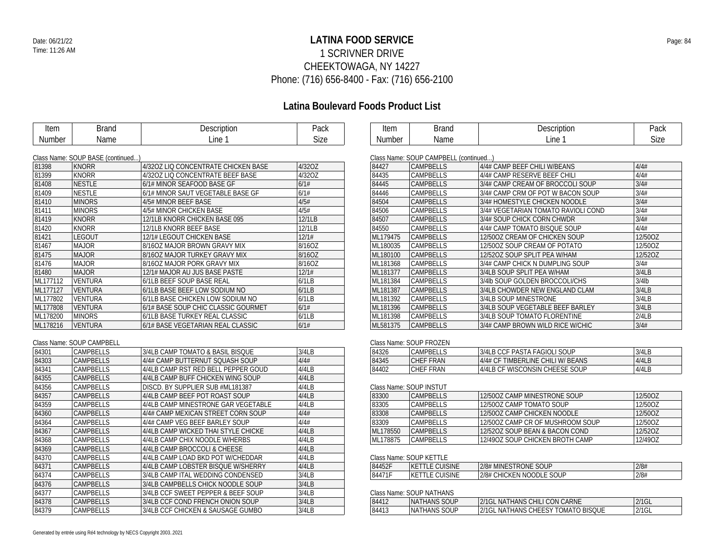### **LATINA FOOD SERVICE** Date: 06/21/22 Page: 84 1 SCRIVNER DRIVE CHEEKTOWAGA, NY 14227 Phone: (716) 656-8400 - Fax: (716) 656-2100

## **Latina Boulevard Foods Product List**

| Item   | Brand | Description | Pack |
|--------|-------|-------------|------|
| Number | Name  | .ine        | Size |

| Item   | }rand | aaarintian<br>VUUH<br>⊷ | יומח<br>raun |
|--------|-------|-------------------------|--------------|
| Number | Name  | Line                    | Size         |

#### Class Name: SOUP BASE (continued...)

|          | $5.48$ . Terms, $5.50$ , $5.10$ , $5.00$ , $5.00$ |                                     |        |
|----------|---------------------------------------------------|-------------------------------------|--------|
| 81398    | <b>KNORR</b>                                      | 4/320Z LIQ CONCENTRATE CHICKEN BASE | 4/32OZ |
| 81399    | <b>KNORR</b>                                      | 4/32OZ LIQ CONCENTRATE BEEF BASE    | 4/32OZ |
| 81408    | <b>NESTLE</b>                                     | 6/1# MINOR SEAFOOD BASE GF          | 6/1#   |
| 81409    | <b>NESTLE</b>                                     | 6/1# MINOR SAUT VEGETABLE BASE GF   | 6/1#   |
| 81410    | <b>MINORS</b>                                     | 4/5# MINOR BEEF BASE                | 4/5#   |
| 81411    | <b>MINORS</b>                                     | 4/5# MINOR CHICKEN BASE             | 4/5#   |
| 81419    | <b>KNORR</b>                                      | 12/1LB KNORR CHICKEN BASE 095       | 12/1LB |
| 81420    | <b>KNORR</b>                                      | 12/1LB KNORR BEEF BASE              | 12/1LB |
| 81421    | LEGOUT                                            | 12/1# LEGOUT CHICKEN BASE           | 12/1#  |
| 81467    | <b>MAJOR</b>                                      | 8/160Z MAJOR BROWN GRAVY MIX        | 8/16OZ |
| 81475    | <b>MAJOR</b>                                      | 8/16OZ MAJOR TURKEY GRAVY MIX       | 8/16OZ |
| 81476    | <b>MAJOR</b>                                      | 8/160Z MAJOR PORK GRAVY MIX         | 8/16OZ |
| 81480    | <b>MAJOR</b>                                      | 12/1# MAJOR AU JUS BASE PASTE       | 12/1#  |
| ML177112 | <b>VENTURA</b>                                    | 6/1LB BEEF SOUP BASE REAL           | 6/1LB  |
| ML177127 | <b>VENTURA</b>                                    | 6/1LB BASE BEEF LOW SODIUM NO       | 6/1LB  |
| ML177802 | <b>VENTURA</b>                                    | 6/1LB BASE CHICKEN LOW SODIUM NO    | 6/1LB  |
| ML177808 | <b>VENTURA</b>                                    | 6/1# BASE SOUP CHIC CLASSIC GOURMET | 6/1#   |
| ML178200 | <b>MINORS</b>                                     | 6/1LB BASE TURKEY REAL CLASSIC      | 6/1LB  |
| ML178216 | <b>VENTURA</b>                                    | 6/1# BASE VEGETARIAN REAL CLASSIC   | 6/1#   |

#### Class Name: SOUP CAMPBELL

| 84301 | <b>CAMPRELLS</b> | 3/4LB CAMP TOMATO & BASIL BISOUE    | 3/4LB |
|-------|------------------|-------------------------------------|-------|
| 84303 | <b>CAMPBELLS</b> | 4/4# CAMP BUTTERNUT SOUASH SOUP     | 4/4#  |
| 84341 | CAMPBELLS        | 4/4LB CAMP RST RED BELL PEPPER GOUD | 4/4LB |
| 84355 | <b>CAMPRELLS</b> | 4/4LB CAMP BUFF CHICKEN WING SOUP   | 4/4LB |
| 84356 | CAMPBELLS        | DISCD. BY SUPPLIER SUB #ML181387    | 4/4LB |
| 84357 | <b>CAMPBELLS</b> | 4/4LB CAMP BEEF POT ROAST SOUP      | 4/4LB |
| 84359 | CAMPBELLS        | 4/4LB CAMP MINESTRONE GAR VEGETABLE | 4/4LB |
| 84360 | <b>CAMPBELLS</b> | 4/4# CAMP MEXICAN STREET CORN SOUP  | 4/4#  |
| 84364 | CAMPBELLS        | 4/4# CAMP VEG BEEF BARLEY SOUP      | 4/4#  |
| 84367 | <b>CAMPBELLS</b> | 4/4LB CAMP WICKED THAI STYLE CHICKE | 4/4LB |
| 84368 | CAMPBELLS        | 4/4LB CAMP CHIX NOODLE W/HERBS      | 4/4LB |
| 84369 | <b>CAMPBELLS</b> | 4/4LB CAMP BROCCOLL & CHEESE        | 4/4LB |
| 84370 | CAMPBELLS        | 4/4LB CAMP LOAD BKD POT W/CHEDDAR   | 4/4LB |
| 84371 | <b>CAMPBELLS</b> | 4/4LB CAMP LOBSTER BISOUE W/SHERRY  | 4/4LB |
| 84374 | CAMPBELLS        | 3/4LB CAMP ITAL WEDDING CONDENSED   | 3/4LB |
| 84376 | <b>CAMPBELLS</b> | 3/4LB CAMPBELLS CHICK NOODLE SOUP   | 3/4LB |
| 84377 | CAMPBELLS        | 3/4LB CCF SWEET PEPPER & BEEF SOUP  | 3/4LB |
| 84378 | <b>CAMPBELLS</b> | 3/4LB CCF COND FRENCH ONION SOUP    | 3/4LB |
| 84379 | <b>CAMPBELLS</b> | 3/4LB CCF CHICKEN & SAUSAGE GUMBO   | 3/4LB |
|       |                  |                                     |       |

| Class Natile. SOUP CANIFULLE (CONTINUED) |                                     |          |  |  |  |
|------------------------------------------|-------------------------------------|----------|--|--|--|
| <b>CAMPBELLS</b>                         | 4/4# CAMP BEEF CHILI W/BEANS        | 4/4#     |  |  |  |
| <b>CAMPBELLS</b>                         | 4/4# CAMP RESERVE BEEF CHILI        | 4/4#     |  |  |  |
| <b>CAMPBELLS</b>                         | 3/4# CAMP CREAM OF BROCCOLI SOUP    | 3/4#     |  |  |  |
| <b>CAMPBELLS</b>                         | 3/4# CAMP CRM OF POT W BACON SOUP   | 3/4#     |  |  |  |
| <b>CAMPBELLS</b>                         | 3/4# HOMESTYLE CHICKEN NOODLE       | 3/4#     |  |  |  |
| CAMPBELLS                                | 3/4# VEGETARIAN TOMATO RAVIOLI COND | 3/4#     |  |  |  |
| <b>CAMPBELLS</b>                         | 3/4# SOUP CHICK CORN CHWDR          | 3/4#     |  |  |  |
| CAMPBELLS                                | 4/4# CAMP TOMATO BISQUE SOUP        | 4/4#     |  |  |  |
| <b>CAMPBELLS</b>                         | 12/50OZ CREAM OF CHICKEN SOUP       | 12/50OZ  |  |  |  |
| CAMPBELLS                                | 12/500Z SOUP CREAM OF POTATO        | 12/50OZ  |  |  |  |
| <b>CAMPBELLS</b>                         | 12/520Z SOUP SPLIT PEA W/HAM        | 12/520Z  |  |  |  |
| CAMPBELLS                                | 3/4# CAMP CHICK N DUMPLING SOUP     | 3/4#     |  |  |  |
| <b>CAMPBELLS</b>                         | 3/4LB SOUP SPLIT PEA W/HAM          | 3/4LB    |  |  |  |
| CAMPBELLS                                | 3/4lb SOUP GOLDEN BROCCOLI/CHS      | $3/4$ lb |  |  |  |
| <b>CAMPBELLS</b>                         | 3/4LB CHOWDER NEW ENGLAND CLAM      | 3/4LB    |  |  |  |
| <b>CAMPBELLS</b>                         | 3/4LB SOUP MINESTRONE               | 3/4LB    |  |  |  |
| <b>CAMPBELLS</b>                         | 3/4LB SOUP VEGETABLE BEEF BARLEY    | 3/4LB    |  |  |  |
| CAMPBELLS                                | 3/4LB SOUP TOMATO FLORENTINE        | 2/4LB    |  |  |  |
| <b>CAMPBELLS</b>                         | 3/4# CAMP BROWN WILD RICE W/CHIC    | 3/4#     |  |  |  |
|                                          |                                     |          |  |  |  |

#### Class Name: SOUP FROZEN

| 84326 | CAMPBELLS | 3/4LB CCF PASTA FAGIOLI SOUP      | 3/4LB |  |
|-------|-----------|-----------------------------------|-------|--|
| 84345 | CHEF FRAN | 4/4# CF TIMBERLINE CHILI W/ BEANS | 4/4LB |  |
| 84402 | CHEF FRAN | 4/4LB CF WISCONSIN CHEESE SOUP    | 4/4LB |  |

#### Class Name: SOUP INSTUT

| 83300    | <b>CAMPBELLS</b> | 12/5007 CAMP MINESTRONE SOUP     | 12/50OZ |
|----------|------------------|----------------------------------|---------|
| 83305    | CAMPBELLS        | 12/500Z CAMP TOMATO SOUP         | 12/50OZ |
| 83308    | <b>CAMPRELLS</b> | 12/5007 CAMP CHICKEN NOODLE      | 12/5007 |
| 83309    | <b>CAMPRELLS</b> | 12/5007 CAMP CR OF MUSHROOM SOUP | 12/5007 |
| ML178550 | <b>CAMPBELLS</b> | 12/520Z SOUP BEAN & BACON COND   | 12/5207 |
| ML178875 | CAMPBELLS        | 12/490Z SOUP CHICKEN BROTH CAMP  | 12/490Z |

#### Class Name: SOUP KETTLE

| 84452F | <b>CUISINE</b><br>$V\Gamma$<br>'KE.<br><b>TELES</b> | 2/8# MINESTRONE<br>SOUP       | 2/8# |
|--------|-----------------------------------------------------|-------------------------------|------|
| 84471F | <b>CUISINE</b><br><b>VE</b><br>NE.<br><b>LL</b>     | 2/8# CHICKEN<br>I NOODLE SOUP | 2/8# |

#### Class Name: SOUP NATHANS

|  | 84412 | <b>NATHANS SOUP</b> | 2/1GL NATHANS CHILI CON CARNE              | $2/1$ GL |
|--|-------|---------------------|--------------------------------------------|----------|
|  | 84413 | THANS SOUP<br>NAT   | $2/1$ GL<br>. NATHANS CHEESY TOMATO BISQUE | $2/1$ GL |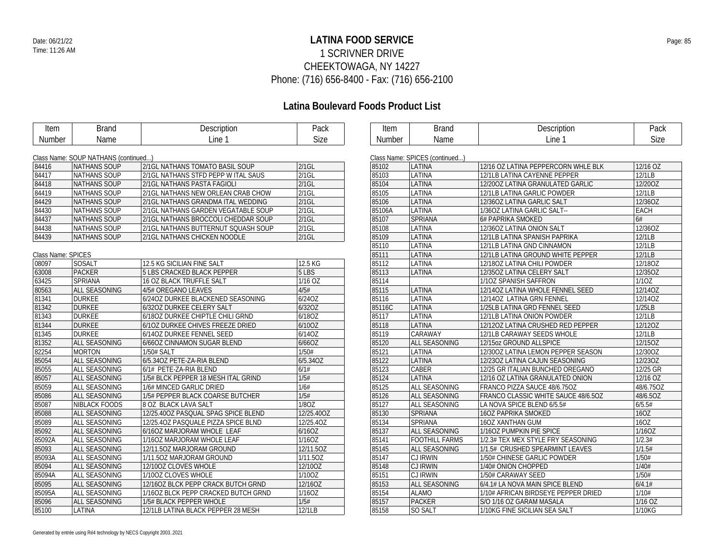### **LATINA FOOD SERVICE** Date: 06/21/22 Page: 85 1 SCRIVNER DRIVE CHEEKTOWAGA, NY 14227 Phone: (716) 656-8400 - Fax: (716) 656-2100

| Item               | <b>Brand</b>                         | Description                         | Pack               | Item          | <b>Brand</b>                   | Description                         | Pack      |
|--------------------|--------------------------------------|-------------------------------------|--------------------|---------------|--------------------------------|-------------------------------------|-----------|
| Number             | Name                                 | Line 1                              | Size               | <b>Number</b> | Name                           | Line 1                              | Size      |
|                    |                                      |                                     |                    |               |                                |                                     |           |
|                    | Class Name: SOUP NATHANS (continued) |                                     |                    |               | Class Name: SPICES (continued) |                                     |           |
| 84416              | <b>NATHANS SOUP</b>                  | 2/1GL NATHANS TOMATO BASIL SOUP     | $2/1$ GL           | 85102         | LATINA                         | 12/16 OZ LATINA PEPPERCORN WHLE BLK | 12/16 OZ  |
| 84417              | <b>NATHANS SOUP</b>                  | 2/1GL NATHANS STFD PEPP W ITAL SAUS | $2/1$ GL           | 85103         | LATINA                         | 12/1LB LATINA CAYENNE PEPPER        | 12/1LB    |
| 84418              | <b>NATHANS SOUP</b>                  | 2/1GL NATHANS PASTA FAGIOLI         | $2/1$ GL           | 85104         | LATINA                         | 12/200Z LATINA GRANULATED GARLIC    | 12/20OZ   |
| 84419              | <b>NATHANS SOUP</b>                  | 2/1GL NATHANS NEW ORLEAN CRAB CHOW  | $2/1$ GL           | 85105         | LATINA                         | 12/1LB LATINA GARLIC POWDER         | 12/1LB    |
| 84429              | <b>NATHANS SOUP</b>                  | 2/1GL NATHANS GRANDMA ITAL WEDDING  | $2/1$ GL           | 85106         | LATINA                         | 12/36OZ LATINA GARLIC SALT          | 12/36OZ   |
| 84430              | NATHANS SOUP                         | 2/1GL NATHANS GARDEN VEGATABLE SOUP | $2/1$ GL           | 85106A        | LATINA                         | 1/36OZ LATINA GARLIC SALT--         | EACH      |
| 84437              | <b>NATHANS SOUP</b>                  | 2/1GL NATHANS BROCCOLI CHEDDAR SOUP | $2/1$ GL           | 85107         | SPRIANA                        | 6# PAPRIKA SMOKED                   | 6#        |
| 84438              | <b>NATHANS SOUP</b>                  | 2/1GL NATHANS BUTTERNUT SQUASH SOUP | $2/1$ GL           | 85108         | LATINA                         | 12/36OZ LATINA ONION SALT           | 12/36OZ   |
| 84439              | <b>NATHANS SOUP</b>                  | 2/1GL NATHANS CHICKEN NOODLE        | 2/1GL              | 85109         | LATINA                         | 12/1LB LATINA SPANISH PAPRIKA       | 12/1LB    |
|                    |                                      |                                     |                    | 85110         | LATINA                         | 12/1LB LATINA GND CINNAMON          | 12/1LB    |
| Class Name: SPICES |                                      |                                     |                    | 85111         | LATINA                         | 12/1LB LATINA GROUND WHITE PEPPER   | 12/1LB    |
| 08097              | SOSALT                               | 12.5 KG SICILIAN FINE SALT          | 12.5 KG            | 85112         | LATINA                         | 12/180Z LATINA CHILI POWDER         | 12/18OZ   |
| 63008              | <b>PACKER</b>                        | 5 LBS CRACKED BLACK PEPPER          | 5 LBS              | 85113         | LATINA                         | 12/350Z LATINA CELERY SALT          | 12/35OZ   |
| 63425              | SPRIANA                              | 16 OZ BLACK TRUFFLE SALT            | 1/16 OZ            | 85114         |                                | 1/10Z SPANISH SAFFRON               | 1/10Z     |
| 80563              | <b>ALL SEASONING</b>                 | 4/5# OREGANO LEAVES                 | 4/5#               | 85115         | LATINA                         | 12/14OZ LATINA WHOLE FENNEL SEED    | 12/14OZ   |
| 81341              | <b>DURKEE</b>                        | 6/24OZ DURKEE BLACKENED SEASONING   | 6/24OZ             | 85116         | LATINA                         | 12/14OZ LATINA GRN FENNEL           | 12/14OZ   |
| 81342              | <b>DURKEE</b>                        | 6/32OZ DURKEE CELERY SALT           | 6/32OZ             | 85116C        | LATINA                         | 1/25LB LATINA GRD FENNEL SEED       | 1/25LB    |
| 81343              | <b>DURKEE</b>                        | 6/180Z DURKEE CHIPTLE CHILI GRND    | 6/18OZ             | 85117         | LATINA                         | 12/1LB LATINA ONION POWDER          | 12/1LB    |
| 81344              | <b>DURKEE</b>                        | 6/10Z DURKEE CHIVES FREEZE DRIED    | 6/10OZ             | 85118         | LATINA                         | 12/120Z LATINA CRUSHED RED PEPPER   | 12/12OZ   |
| 81345              | DURKEE                               | 6/14OZ DURKEE FENNEL SEED           | 6/14OZ             | 85119         | CARAWAY                        | 12/1LB CARAWAY SEEDS WHOLE          | 12/1LB    |
| 81352              | <b>ALL SEASONING</b>                 | 6/66OZ CINNAMON SUGAR BLEND         | 6/66OZ             | 85120         | ALL SEASONING                  | 12/15oz GROUND ALLSPICE             | 12/15OZ   |
| 82254              | <b>MORTON</b>                        | 1/50# SALT                          | 1/50#              | 85121         | LATINA                         | 12/30OZ LATINA LEMON PEPPER SEASON  | 12/30OZ   |
| 85054              | ALL SEASONING                        | 6/5.34OZ PETE-ZA-RIA BLEND          | 6/5.34OZ           | 85122         | LATINA                         | 12/230Z LATINA CAJUN SEASONING      | 12/23OZ   |
| 85055              | <b>ALL SEASONING</b>                 | 6/1# PETE-ZA-RIA BLEND              | 6/1#               | 85123         | <b>CABER</b>                   | 12/25 GR ITALIAN BUNCHED OREGANO    | 12/25 GR  |
| 85057              | <b>ALL SEASONING</b>                 | 1/5# BLCK PEPPER 18 MESH ITAL GRIND | 1/5#               | 85124         | LATINA                         | 12/16 OZ LATINA GRANULATED ONION    | 12/16 OZ  |
| 85059              | ALL SEASONING                        | 1/6# MINCED GARLIC DRIED            | 1/6#               | 85125         | ALL SEASONING                  | FRANCO PIZZA SAUCE 48/6.750Z        | 48/6.75OZ |
| 85086              | ALL SEASONING                        | 1/5# PEPPER BLACK COARSE BUTCHER    | 1/5#               | 85126         | ALL SEASONING                  | FRANCO CLASSIC WHITE SAUCE 48/6.50Z | 48/6.5OZ  |
| 85087              | NIBLACK FOODS                        | 8 OZ BLACK LAVA SALT                | 1/80Z              | 85127         | ALL SEASONING                  | LA NOVA SPICE BLEND 6/5.5#          | 6/5.5#    |
| 85088              | <b>ALL SEASONING</b>                 | 12/25.400Z PASQUAL SPAG SPICE BLEND | 12/25.40OZ         | 85130         | SPRIANA                        | 16OZ PAPRIKA SMOKED                 | 16OZ      |
| 85089              | ALL SEASONING                        | 12/25.40Z PASQUALE PIZZA SPICE BLND | 12/25.40Z          | 85134         | <b>SPRIANA</b>                 | <b>16OZ XANTHAN GUM</b>             | 160Z      |
| 85092              | <b>ALL SEASONING</b>                 | 6/160Z MARJORAM WHOLE LEAF          | 6/160Z             | 85137         | ALL SEASONING                  | 1/160Z PUMPKIN PIE SPICE            | 1/16OZ    |
| 85092A             | ALL SEASONING                        | 1/160Z MARJORAM WHOLE LEAF          | 1/16OZ             | 85141         | <b>FOOTHILL FARMS</b>          | 1/2.3# TEX MEX STYLE FRY SEASONING  | 1/2.3#    |
| 85093              | ALL SEASONING                        | 12/11.50Z MARJORAM GROUND           | 12/11.50Z          | 85145         | ALL SEASONING                  | 1/1.5# CRUSHED SPEARMINT LEAVES     | 1/1.5#    |
| 85093A             | ALL SEASONING                        | 1/11.50Z MARJORAM GROUND            | 1/11.50Z           | 85147         | <b>CJ IRWIN</b>                | 1/50# CHINESE GARLIC POWDER         | 1/50#     |
| 85094              | ALL SEASONING                        | 12/100Z CLOVES WHOLE                | 12/10OZ            | 85148         | <b>CJ IRWIN</b>                | 1/40# ONION CHOPPED                 | 1/40#     |
| 85094A             | ALL SEASONING                        | 1/100Z CLOVES WHOLE                 | 1/10OZ             | 85151         | <b>CJ IRWIN</b>                | 1/50# CARAWAY SEED                  | 1/50#     |
| 85095              | ALL SEASONING                        | 12/16OZ BLCK PEPP CRACK BUTCH GRND  | 12/16OZ            | 85153         | <b>ALL SEASONING</b>           | 6/4.1# LA NOVA MAIN SPICE BLEND     | 6/4.1#    |
| 85095A             | ALL SEASONING                        | 1/160Z BLCK PEPP CRACKED BUTCH GRND | $\overline{1/160}$ | 85154         | <b>ALAMO</b>                   | 1/10# AFRICAN BIRDSEYE PEPPER DRIED | 1/10#     |
| 85096              | ALL SEASONING                        | 1/5# BLACK PEPPER WHOLE             | 1/5#               | 85157         | <b>PACKER</b>                  | S/O 1/16 OZ GARAM MASALA            | 1/16 OZ   |
| 85100              | LATINA                               | 12/1LB LATINA BLACK PEPPER 28 MESH  | 12/1LB             | 85158         | SO SALT                        | 1/10KG FINE SICILIAN SEA SALT       | 1/10KG    |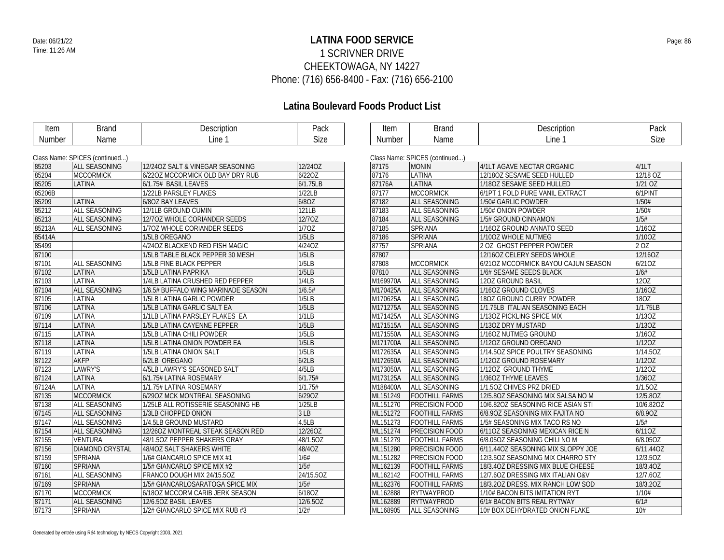### **LATINA FOOD SERVICE** Date: 06/21/22 Page: 86 1 SCRIVNER DRIVE CHEEKTOWAGA, NY 14227 Phone: (716) 656-8400 - Fax: (716) 656-2100

| Item   | <b>Brand</b>                   | Description                         | Pack            | Item     | <b>Brand</b>                   | Description                         | Pack        |
|--------|--------------------------------|-------------------------------------|-----------------|----------|--------------------------------|-------------------------------------|-------------|
| Number | Name                           | Line 1                              | Size            | Number   | Name                           | Line 1                              | <b>Size</b> |
|        |                                |                                     |                 |          |                                |                                     |             |
|        | Class Name: SPICES (continued) |                                     |                 |          | Class Name: SPICES (continued) |                                     |             |
| 85203  | <b>ALL SEASONING</b>           | 12/240Z SALT & VINEGAR SEASONING    | 12/24OZ         | 87175    | <b>MONIN</b>                   | 4/1LT AGAVE NECTAR ORGANIC          | 4/1LT       |
| 85204  | <b>MCCORMICK</b>               | 6/220Z MCCORMICK OLD BAY DRY RUB    | 6/22OZ          | 87176    | LATINA                         | 12/180Z SESAME SEED HULLED          | 12/18 OZ    |
| 85205  | LATINA                         | 6/1.75# BASIL LEAVES                | 6/1.75LB        | 87176A   | LATINA                         | 1/180Z SESAME SEED HULLED           | 1/21 OZ     |
| 85206B |                                | 1/22LB PARSLEY FLAKES               | 1/22LB          | 87177    | <b>MCCORMICK</b>               | 6/1PT 1 FOLD PURE VANIL EXTRACT     | 6/1PINT     |
| 85209  | LATINA                         | 6/80Z BAY LEAVES                    | 6/8OZ           | 87182    | ALL SEASONING                  | 1/50# GARLIC POWDER                 | 1/50#       |
| 85212  | ALL SEASONING                  | 12/1LB GROUND CUMIN                 | 121LB           | 87183    | ALL SEASONING                  | 1/50# ONION POWDER                  | 1/50#       |
| 85213  | ALL SEASONING                  | 12/70Z WHOLE CORIANDER SEEDS        | 12/70Z          | 87184    | ALL SEASONING                  | 1/5# GROUND CINNAMON                | 1/5#        |
| 85213A | ALL SEASONING                  | 1/70Z WHOLE CORIANDER SEEDS         | 1/70Z           | 87185    | SPRIANA                        | 1/16OZ GROUND ANNATO SEED           | 1/16OZ      |
| 85414A |                                | 1/5LB OREGANO                       | 1/5LB           | 87186    | <b>SPRIANA</b>                 | 1/100Z WHOLE NUTMEG                 | 1/10OZ      |
| 85499  |                                | 4/24OZ BLACKEND RED FISH MAGIC      | 4/24OZ          | 87757    | <b>SPRIANA</b>                 | 2 OZ GHOST PEPPER POWDER            | 2 OZ        |
| 87100  |                                | 1/5LB TABLE BLACK PEPPER 30 MESH    | 1/5LB           | 87807    |                                | 12/16OZ CELERY SEEDS WHOLE          | 12/16OZ     |
| 87101  | ALL SEASONING                  | 1/5LB FINE BLACK PEPPER             | 1/5LB           | 87808    | <b>MCCORMICK</b>               | 6/210Z MCCORMICK BAYOU CAJUN SEASON | 6/210Z      |
| 87102  | LATINA                         | 1/5LB LATINA PAPRIKA                | 1/5LB           | 87810    | ALL SEASONING                  | 1/6# SESAME SEEDS BLACK             | 1/6#        |
| 87103  | LATINA                         | 1/4LB LATINA CRUSHED RED PEPPER     | 1/4LB           | M169970A | ALL SEASONING                  | 120Z GROUND BASIL                   | 120Z        |
| 87104  | ALL SEASONING                  | 1/6.5# BUFFALO WING MARINADE SEASON | 1/6.5#          | M170425A | <b>ALL SEASONING</b>           | 1/160Z GROUND CLOVES                | 1/16OZ      |
| 87105  | LATINA                         | 1/5LB LATINA GARLIC POWDER          | 1/5LB           | M170625A | ALL SEASONING                  | 180Z GROUND CURRY POWDER            | 180Z        |
| 87106  | LATINA                         | 1/5LB LATINA GARLIC SALT EA         | 1/5LB           | M171275A | <b>ALL SEASONING</b>           | 1/1.75LB ITALIAN SEASONING EACH     | 1/1.75LB    |
| 87109  | LATINA                         | 1/1LB LATINA PARSLEY FLAKES EA      | 1/1LB           | M171425A | <b>ALL SEASONING</b>           | 1/130Z PICKLING SPICE MIX           | 1/130Z      |
| 87114  | LATINA                         | 1/5LB LATINA CAYENNE PEPPER         | 1/5LB           | M171515A | <b>ALL SEASONING</b>           | 1/13OZ DRY MUSTARD                  | 1/13OZ      |
| 87115  | LATINA                         | 1/5LB LATINA CHILI POWDER           | 1/5LB           | M171550A | ALL SEASONING                  | 1/160Z NUTMEG GROUND                | 1/16OZ      |
| 87118  | LATINA                         | 1/5LB LATINA ONION POWDER EA        | 1/5LB           | M171700A | <b>ALL SEASONING</b>           | 1/120Z GROUND OREGANO               | 1/12OZ      |
| 87119  | LATINA                         | 1/5LB LATINA ONION SALT             | 1/5LB           | M172635A | <b>ALL SEASONING</b>           | 1/14.50Z SPICE POULTRY SEASONING    | 1/14.5OZ    |
| 87122  | <b>AKFP</b>                    | 6/2LB OREGANO                       | 6/2LB           | M172650A | <b>ALL SEASONING</b>           | 1/120Z GROUND ROSEMARY              | 1/12OZ      |
| 87123  | LAWRY'S                        | 4/5LB LAWRY'S SEASONED SALT         | 4/5LB           | M173050A | ALL SEASONING                  | 1/12OZ GROUND THYME                 | 1/120Z      |
| 87124  | LATINA                         | 6/1.75# LATINA ROSEMARY             | 6/1.75#         | M173125A | ALL SEASONING                  | 1/36OZ THYME LEAVES                 | 1/36OZ      |
| 87124A | LATINA                         | 1/1.75# LATINA ROSEMARY             | 1/1.75#         | M188400A | ALL SEASONING                  | 1/1.50Z CHIVES PRZ DRIED            | 1/1.50Z     |
| 87135  | <b>MCCORMICK</b>               | 6/290Z MCK MONTREAL SEASONING       | 6/29OZ          | ML151249 | <b>FOOTHILL FARMS</b>          | 12/5.80Z SEASONING MIX SALSA NO M   | 12/5.80Z    |
| 87138  | ALL SEASONING                  | 1/25LB ALL ROTISSERIE SEASONING HB  | 1/25LB          | ML151270 | PRECISION FOOD                 | 10/6.82OZ SEASONING RICE ASIAN STI  | 10/6.82OZ   |
| 87145  | ALL SEASONING                  | 1/3LB CHOPPED ONION                 | 3 <sub>LB</sub> | ML151272 | <b>FOOTHILL FARMS</b>          | 6/8.90Z SEASONING MIX FAJITA NO     | 6/8.90Z     |
| 87147  | ALL SEASONING                  | 1/4.5LB GROUND MUSTARD              | 4.5LB           | ML151273 | <b>FOOTHILL FARMS</b>          | 1/5# SEASONING MIX TACO RS NO       | 1/5#        |
| 87154  | ALL SEASONING                  | 12/260Z MONTREAL STEAK SEASON RED   | 12/26OZ         | ML151274 | PRECISION FOOD                 | 6/110Z SEASONING MEXICAN RICE N     | 6/110Z      |
| 87155  | <b>VENTURA</b>                 | 48/1.50Z PEPPER SHAKERS GRAY        | 48/1.5OZ        | ML151279 | <b>FOOTHILL FARMS</b>          | 6/8.05OZ SEASONING CHILI NO M       | 6/8.05OZ    |
| 87156  | <b>DIAMOND CRYSTAL</b>         | 48/40Z SALT SHAKERS WHITE           | 48/4OZ          | ML151280 | PRECISION FOOD                 | 6/11.44OZ SEASONING MIX SLOPPY JOE  | 6/11.44OZ   |
| 87159  | SPRIANA                        | 1/6# GIANCARLO SPICE MIX #1         | 1/6#            | ML151282 | PRECISION FOOD                 | 12/3.50Z SEASONING MIX CHARRO STY   | 12/3.5OZ    |
| 87160  | <b>SPRIANA</b>                 | 1/5# GIANCARLO SPICE MIX #2         | 1/5#            | ML162139 | <b>FOOTHILL FARMS</b>          | 18/3.40Z DRESSING MIX BLUE CHEESE   | 18/3.40Z    |
| 87161  | ALL SEASONING                  | FRANCO DOUGH MIX 24/15.5OZ          | 24/15.5OZ       | ML162142 | <b>FOOTHILL FARMS</b>          | 12/7.60Z DRESSING MIX ITALIAN O&V   | 12/7.60Z    |
| 87169  | <b>SPRIANA</b>                 | 1/5# GIANCARLOSARATOGA SPICE MIX    | 1/5#            | ML162376 | <b>FOOTHILL FARMS</b>          | 18/3.20Z DRESS. MIX RANCH LOW SOD   | 18/3.20Z    |
| 87170  | <b>MCCORMICK</b>               | 6/180Z MCCORM CARIB JERK SEASON     | 6/18OZ          | ML162888 | RYTWAYPROD                     | 1/10# BACON BITS IMITATION RYT      | 1/10#       |
| 87171  | ALL SEASONING                  | 12/6.50Z BASIL LEAVES               | 12/6.50Z        | ML162889 | <b>RYTWAYPROD</b>              | 6/1# BACON BITS REAL RYTWAY         | 6/1#        |
| 87173  | <b>SPRIANA</b>                 | 1/2# GIANCARLO SPICE MIX RUB #3     | 1/2#            | ML168905 | <b>ALL SEASONING</b>           | 10# BOX DEHYDRATED ONION FLAKE      | 10#         |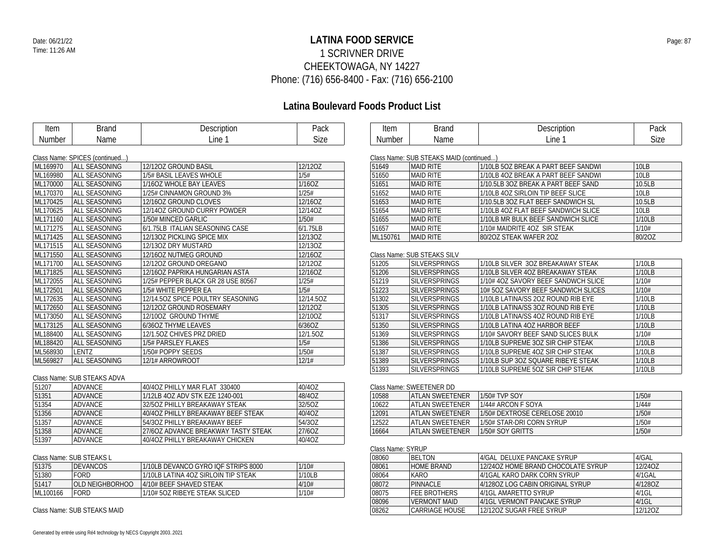### **LATINA FOOD SERVICE** Date: 06/21/22 Page: 87 1 SCRIVNER DRIVE CHEEKTOWAGA, NY 14227 Phone: (716) 656-8400 - Fax: (716) 656-2100

## **Latina Boulevard Foods Product List**

| Item          | <b>Brand</b>                   | Description                        | Pack      |
|---------------|--------------------------------|------------------------------------|-----------|
| <b>Number</b> | Name                           | Line 1                             | Size      |
|               |                                |                                    |           |
|               | Class Name: SPICES (continued) |                                    |           |
| ML169970      | <b>ALL SEASONING</b>           | 12/120Z GROUND BASIL               | 12/120Z   |
| ML169980      | ALL SEASONING                  | 1/5# BASIL LEAVES WHOLE            | 1/5#      |
| ML170000      | ALL SEASONING                  | 1/1607 WHOLE BAY LEAVES            | 1/160Z    |
| ML170370      | ALL SEASONING                  | 1/25# CINNAMON GROUND 3%           | 1/25#     |
| ML170425      | ALL SEASONING                  | 12/160Z GROUND CLOVES              | 12/16OZ   |
| ML170625      | ALL SEASONING                  | 12/140Z GROUND CURRY POWDER        | 12/14OZ   |
| ML171160      | <b>ALL SEASONING</b>           | 1/50# MINCED GARLIC                | 1/50#     |
| ML171275      | ALL SEASONING                  | 6/1.75LB ITALIAN SEASONING CASE    | 6/1.75LB  |
| ML171425      | ALL SEASONING                  | 12/130Z PICKLING SPICE MIX         | 12/13OZ   |
| ML171515      | <b>ALL SEASONING</b>           | 12/13OZ DRY MUSTARD                | 12/13OZ   |
| ML171550      | ALL SEASONING                  | 12/160Z NUTMEG GROUND              | 12/16OZ   |
| ML171700      | ALL SEASONING                  | 12/120Z GROUND OREGANO             | 12/120Z   |
| ML171825      | ALL SEASONING                  | 12/16OZ PAPRIKA HUNGARIAN ASTA     | 12/16OZ   |
| ML172055      | ALL SEASONING                  | 1/25# PEPPER BLACK GR 28 USE 80567 | 1/25#     |
| ML172501      | ALL SEASONING                  | 1/5# WHITE PEPPER EA               | 1/5#      |
| ML172635      | ALL SEASONING                  | 12/14.50Z SPICE POULTRY SEASONING  | 12/14.5OZ |
| ML172650      | ALL SEASONING                  | 12/120Z GROUND ROSEMARY            | 12/120Z   |
| ML173050      | ALL SEASONING                  | 12/10OZ GROUND THYME               | 12/10OZ   |
| ML173125      | ALL SEASONING                  | 6/36OZ THYME LEAVES                | 6/36OZ    |
| ML188400      | ALL SEASONING                  | 12/1.50Z CHIVES PRZ DRIED          | 12/1.50Z  |
| ML188420      | <b>ALL SEASONING</b>           | 1/5# PARSLEY FLAKES                | 1/5#      |
| ML568930      | LENTZ                          | 1/50# POPPY SEEDS                  | 1/50#     |
| ML569827      | ALL SEASONING                  | 12/1# ARROWROOT                    | 12/1#     |

#### Class Name: SUB STEAKS ADVA

| 51207 | ADVANCE        | 40/40Z PHILLY MAR FLAT 330400       | 40/40Z |
|-------|----------------|-------------------------------------|--------|
| 51351 | <b>ADVANCE</b> | 1/12LB 4OZ ADV STK EZE 1240-001     | 48/40Z |
| 51354 | ADVANCE        | 32/507 PHILLY BREAKAWAY STEAK       | 32/5OZ |
| 51356 | <b>ADVANCE</b> | 40/40Z PHILLY BREAKAWAY BEEF STEAK  | 40/40Z |
| 51357 | <b>ADVANCE</b> | 54/30Z PHILLY BREAKAWAY BEEF        | 54/3OZ |
| 51358 | <b>ADVANCE</b> | 27/607 ADVANCE BREAKWAY TASTY STEAK | 27/60Z |
| 51397 | ADVANCE        | 40/40Z PHILLY BREAKAWAY CHICKEN     | 40/40Z |

#### Class Name: SUB STEAKS L

| 51375    | <b>DEVANCOS</b> | 1/10LB DEVANCO GYRO IQF STRIPS 8000   | 1/10#  |
|----------|-----------------|---------------------------------------|--------|
| 51380    | <b>FORD</b>     | l 1/10LB LATINA 4OZ SIRLOIN TIP STEAK | 1/10LB |
| 51417    | OLD NEIGHBORHOO | 4/10# BEEF SHAVED STEAK               | 4/10#  |
| ML100166 | FORD            | 1/10# 5OZ RIBEYE STEAK SLICED         | 1/10#  |

Class Name: SUB STEAKS MAID

| Item        | $\sim$         | '≏ا<br><b>HPHOL</b> | יה ה<br>'dur |
|-------------|----------------|---------------------|--------------|
| Num<br>nber | $\sim$<br>Name | Line                | ~∙           |

|  | Class Name: SUB STEAKS MAID (continued) |  |  |
|--|-----------------------------------------|--|--|
|  |                                         |  |  |

| 51649    | <b>MAID RITE</b> | 1/10LB 5OZ BREAK A PART BEEF SANDWI | 10LB             |
|----------|------------------|-------------------------------------|------------------|
| 51650    | <b>MAID RITE</b> | 1/10LB 4OZ BREAK A PART BEEF SANDWI | 10 <sub>LB</sub> |
| 51651    | <b>MAID RITE</b> | 1/10.5LB 3OZ BREAK A PART BEEF SAND | 10.5LB           |
| 51652    | <b>MAID RITE</b> | 1/10LB 4OZ SIRLOIN TIP BEEF SLICE   | 10LB             |
| 51653    | <b>MAID RITE</b> | 1/10.5LB 3OZ FLAT BEEF SANDWICH SL  | 10.5LB           |
| 51654    | <b>MAID RITE</b> | 1/10LB 4OZ FLAT BEEF SANDWICH SLICE | 10 <sub>LB</sub> |
| 51655    | <b>MAID RITE</b> | 1/10LB MR BULK BEEF SANDWICH SLICE  | 1/10LB           |
| 51657    | <b>MAID RITE</b> | 1/10# MAIDRITE 4OZ SIR STEAK        | 1/10#            |
| ML150761 | <b>MAID RITE</b> | 80/20Z STEAK WAFER 20Z              | 80/20Z           |

#### Class Name: SUB STEAKS SILV

| 51205 | <b>SILVERSPRINGS</b> | 1/10LB SILVER 30Z BREAKAWAY STEAK   | 1/10LB |
|-------|----------------------|-------------------------------------|--------|
| 51206 | <b>SILVERSPRINGS</b> | 1/10LB SILVER 4OZ BREAKAWAY STEAK   | 1/10LB |
| 51219 | <b>SILVERSPRINGS</b> | 1/10# 4OZ SAVORY BEEF SANDWCH SLICE | 1/10#  |
| 51223 | <b>SILVERSPRINGS</b> | 10# 50Z SAVORY BEEF SANDWICH SLICES | 1/10#  |
| 51302 | <b>SILVERSPRINGS</b> | 1/10LB LATINA/SS 2OZ ROUND RIB EYE  | 1/10LB |
| 51305 | <b>SILVERSPRINGS</b> | 1/10LB LATINA/SS 3OZ ROUND RIB EYE  | 1/10LB |
| 51317 | <b>SILVERSPRINGS</b> | 1/10LB LATINA/SS 4OZ ROUND RIB EYE  | 1/10LB |
| 51350 | <b>SILVERSPRINGS</b> | 1/10LB LATINA 4OZ HARBOR BEEF       | 1/10LB |
| 51369 | <b>SILVERSPRINGS</b> | 1/10# SAVORY BEEF SAND SLICES BULK  | 1/10#  |
| 51386 | <b>SILVERSPRINGS</b> | 1/10LB SUPREME 3OZ SIR CHIP STEAK   | 1/10LB |
| 51387 | <b>SILVERSPRINGS</b> | 1/10LB SUPREME 4OZ SIR CHIP STEAK   | 1/10LB |
| 51389 | <b>SILVERSPRINGS</b> | 1/10LB SUP 3OZ SQUARE RIBEYE STEAK  | 1/10LB |
| 51393 | <b>SILVERSPRINGS</b> | 1/10LB SUPREME 5OZ SIR CHIP STEAK   | 1/10LB |

#### Class Name: SWEETENER DD

| 10588 | ATI AN SWEETENER  | 1/50# TVP SOY                 | 1/50# |  |
|-------|-------------------|-------------------------------|-------|--|
| 10622 | ATI AN SWEFTENER  | 1/44# ARCON F SOYA            | 1/44# |  |
| 12091 | ATI AN SWFFTFNFR  | 1/50# DEXTROSE CERELOSE 20010 | 1/50# |  |
| 12522 | LATI AN SWEFTENER | 1/50# STAR-DRI CORN SYRUP     | 1/50# |  |
| 16664 | ATI AN SWFFTFNFR  | 1/50# SOY GRITTS              | 1/50# |  |

#### Class Name: SYRUP

| 08060 | <b>BELTON</b>         | 4/GAL DELUXE PANCAKE SYRUP         | 4/GAL    |
|-------|-----------------------|------------------------------------|----------|
| 08061 | HOME BRAND            | 12/240Z HOME BRAND CHOCOLATE SYRUP | 12/240Z  |
| 08064 | KARO                  | 4/1GAL KARO DARK CORN SYRUP        | 4/1GAL   |
| 08072 | PINNACLE              | 4/1280Z LOG CABIN ORIGINAL SYRUP   | 4/1280Z  |
| 08075 | <b>FFF BROTHERS</b>   | 4/1GL AMARETTO SYRUP               | 4/1GL    |
| 08096 | <b>VERMONT MAID</b>   | 4/1GL VERMONT PANCAKE SYRUP        | $4/1$ GL |
| 08262 | <b>CARRIAGE HOUSE</b> | 12/120Z SUGAR FREE SYRUP           | 12/120Z  |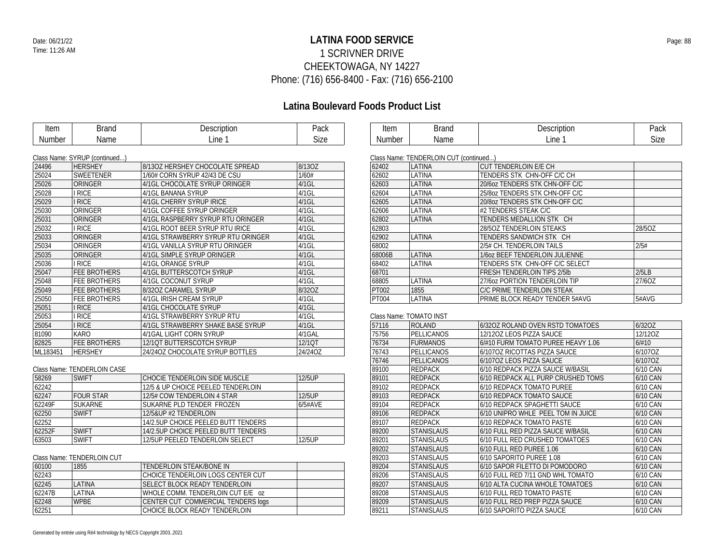### **LATINA FOOD SERVICE** Date: 06/21/22 Page: 88 1 SCRIVNER DRIVE CHEEKTOWAGA, NY 14227 Phone: (716) 656-8400 - Fax: (716) 656-2100

## **Latina Boulevard Foods Product List**

| Item   | 3rand | Description | Pack |  |
|--------|-------|-------------|------|--|
| Number | Name  | Line        | Size |  |

| Item   | 3rand | 1) escription<br><b>RESCRIPTION</b> | יומה<br>-dlh |
|--------|-------|-------------------------------------|--------------|
| Number | Name  | Line                                | $\sim$ izo   |

| 24496    | <b>HERSHEY</b>      | 8/130Z HERSHEY CHOCOLATE SPREAD    | 8/13OZ   |
|----------|---------------------|------------------------------------|----------|
| 25024    | <b>SWEETENER</b>    | 1/60# CORN SYRUP 42/43 DE CSU      | 1/60#    |
| 25026    | ORINGER             | 4/1GL CHOCOLATE SYRUP ORINGER      | $4/1$ GL |
| 25028    | <b>I RICE</b>       | 4/1GL BANANA SYRUP                 | $4/1$ GL |
| 25029    | <b>I RICE</b>       | 4/1GL CHERRY SYRUP IRICE           | $4/1$ GL |
| 25030    | ORINGER             | 4/1GL COFFEE SYRUP ORINGER         | $4/1$ GL |
| 25031    | ORINGER             | 4/1GL RASPBERRY SYRUP RTU ORINGER  | $4/1$ GL |
| 25032    | <b>I RICE</b>       | 4/1GL ROOT BEER SYRUP RTU IRICE    | $4/1$ GL |
| 25033    | ORINGER             | 4/1GL STRAWBERRY SYRUP RTU ORINGER | $4/1$ GL |
| 25034    | ORINGER             | 4/1GL VANILLA SYRUP RTU ORINGER    | $4/1$ GL |
| 25035    | ORINGER             | 4/1GL SIMPLE SYRUP ORINGER         | $4/1$ GL |
| 25036    | <b>I RICE</b>       | 4/1GL ORANGE SYRUP                 | $4/1$ GL |
| 25047    | FEE BROTHERS        | 4/1GL BUTTERSCOTCH SYRUP           | $4/1$ GL |
| 25048    | FEE BROTHERS        | 4/1GL COCONUT SYRUP                | $4/1$ GL |
| 25049    | FEE BROTHERS        | 8/320Z CARAMEL SYRUP               | 8/32OZ   |
| 25050    | FEE BROTHERS        | 4/1GL IRISH CREAM SYRUP            | $4/1$ GL |
| 25051    | <b>I RICE</b>       | 4/1GL CHOCOLATE SYRUP              | $4/1$ GL |
| 25053    | <b>I RICE</b>       | 4/1GL STRAWBERRY SYRUP RTU         | $4/1$ GL |
| 25054    | <b>I RICE</b>       | 4/1GL STRAWBERRY SHAKE BASE SYRUP  | $4/1$ GL |
| 81090    | KARO                | 4/1GAL LIGHT CORN SYRUP            | 4/1GAL   |
| 82825    | <b>FEE BROTHERS</b> | 12/10T BUTTERSCOTCH SYRUP          | 12/1QT   |
| ML183451 | <b>HERSHEY</b>      | 24/240Z CHOCOLATE SYRUP BOTTLES    | 24/24OZ  |

Class Name: TENDERLOIN CASE

| 58269  | <b>SWIFT</b>     | CHOCIE TENDERLOIN SIDE MUSCLE       | 12/5UP  |
|--------|------------------|-------------------------------------|---------|
| 62242  |                  | 12/5 & UP CHOICE PEELED TENDERLOIN  |         |
| 62247  | <b>FOUR STAR</b> | 12/5# COW TENDERLOIN 4 STAR         | 12/5UP  |
| 62249F | <b>SUKARNE</b>   | SUKARNE PLD TENDER FROZEN           | 6/5#AVE |
| 62250  | <b>SWIFT</b>     | 12/5&UP #2 TENDERLOIN               |         |
| 62252  |                  | 14/2.5UP CHOICE PEELED BUTT TENDERS |         |
| 62252F | <b>SWIFT</b>     | 14/2.5UP CHOICE PEELED BUTT TENDERS |         |
| 63503  | <b>SWIFT</b>     | 12/5 UP PEELED TENDERLOIN SELECT    | 12/5UP  |

Class Name: TENDERLOIN CUT

| 60100  | 1855          | TENDERLOIN STEAK/BONE IN           |  |
|--------|---------------|------------------------------------|--|
| 62243  |               | CHOICE TENDERLOIN LOGS CENTER CUT  |  |
| 62245  | I ATINA       | ISELECT BLOCK READY TENDERLOIN.    |  |
| 62247B | <b>LATINA</b> | WHOLE COMM. TENDERLOIN CUT F/F 07  |  |
| 62248  | <b>WPBE</b>   | CENTER CUT COMMERCIAL TENDERS logs |  |
| 62251  |               | I CHOICE BI OCK READY TENDERI OIN. |  |

| .                                        |        | ___.______________________   |  |  |  |  |
|------------------------------------------|--------|------------------------------|--|--|--|--|
| 62402                                    | LATINA | <b>CUT TENDERLOIN E/E CH</b> |  |  |  |  |
| Class Natile. TENDERLUIN CUT (CONTINUED) |        |                              |  |  |  |  |

Class Name: TENDERLOIN CUT (continued...)

| 62402  | LATINA | CUT TENDERLUIN E/E CH              |        |
|--------|--------|------------------------------------|--------|
| 62602  | LATINA | TENDERS STK CHN-OFF C/C CH         |        |
| 62603  | LATINA | 20/60Z TENDERS STK CHN-OFF C/C     |        |
| 62604  | LATINA | 25/80Z TENDERS STK CHN-OFF C/C     |        |
| 62605  | LATINA | 20/80Z TENDERS STK CHN-OFF C/C     |        |
| 62606  | LATINA | #2 TENDERS STEAK C/C               |        |
| 62802  | LATINA | TENDERS MEDALLION STK CH           |        |
| 62803  |        | 28/50Z TENDERLOIN STEAKS           | 28/5OZ |
| 62902  | LATINA | TENDERS SANDWICH STK CH            |        |
| 68002  |        | 2/5# CH. TENDERLOIN TAILS          | 2/5#   |
| 68006B | LATINA | 1/60Z BEEF TENDERLOIN JULIENNE     |        |
| 68402  | LATINA | TENDERS STK CHN-OFF C/C SELECT     |        |
| 68701  |        | <b>FRESH TENDERLOIN TIPS 2/5lb</b> | 2/5LB  |
| 68805  | LATINA | 27/607 PORTION TENDERLOIN TIP      | 27/60Z |
| PT002  | 1855   | C/C PRIME TENDERLOIN STEAK         |        |
| PT004  | LATINA | PRIME BLOCK READY TENDER 5#AVG     | 5#AVG  |
|        |        |                                    |        |

#### Class Name: TOMATO INST

| 57116 | <b>ROLAND</b>     | 6/32OZ ROLAND OVEN RSTD TOMATOES   | 6/32OZ   |
|-------|-------------------|------------------------------------|----------|
| 75756 | PELLICANOS        | 12/12OZ LEOS PIZZA SAUCE           | 12/12OZ  |
| 76734 | <b>FURMANOS</b>   | 6/#10 FURM TOMATO PUREE HEAVY 1.06 | 6/#10    |
| 76743 | <b>PELLICANOS</b> | 6/1070Z RICOTTAS PIZZA SAUCE       | 6/107OZ  |
| 76746 | PELLICANOS        | 6/1070Z LEOS PIZZA SAUCE           | 6/107OZ  |
| 89100 | <b>REDPACK</b>    | 6/10 REDPACK PIZZA SAUCE W/BASIL   | 6/10 CAN |
| 89101 | <b>REDPACK</b>    | 6/10 REDPACK ALL PURP CRUSHED TOMS | 6/10 CAN |
| 89102 | <b>REDPACK</b>    | 6/10 REDPACK TOMATO PUREE          | 6/10 CAN |
| 89103 | <b>REDPACK</b>    | 6/10 REDPACK TOMATO SAUCE          | 6/10 CAN |
| 89104 | <b>REDPACK</b>    | 6/10 REDPACK SPAGHETTI SAUCE       | 6/10 CAN |
| 89106 | <b>REDPACK</b>    | 6/10 UNIPRO WHLE PEEL TOM IN JUICE | 6/10 CAN |
| 89107 | <b>REDPACK</b>    | 6/10 REDPACK TOMATO PASTE          | 6/10 CAN |
| 89200 | <b>STANISLAUS</b> | 6/10 FULL RED PIZZA SAUCE W/BASIL  | 6/10 CAN |
| 89201 | <b>STANISLAUS</b> | 6/10 FULL RED CRUSHED TOMATOES     | 6/10 CAN |
| 89202 | <b>STANISLAUS</b> | 6/10 FULL RED PUREE 1.06           | 6/10 CAN |
| 89203 | <b>STANISLAUS</b> | 6/10 SAPORITO PUREE 1.08           | 6/10 CAN |
| 89204 | <b>STANISLAUS</b> | 6/10 SAPOR FILETTO DI POMODORO     | 6/10 CAN |
| 89206 | <b>STANISLAUS</b> | 6/10 FULL RED 7/11 GND WHL TOMATO  | 6/10 CAN |
| 89207 | <b>STANISLAUS</b> | 6/10 ALTA CUCINA WHOLE TOMATOES    | 6/10 CAN |
| 89208 | <b>STANISLAUS</b> | 6/10 FULL RED TOMATO PASTE         | 6/10 CAN |
| 89209 | <b>STANISLAUS</b> | 6/10 FULL RED PREP PIZZA SAUCE     | 6/10 CAN |
| 89211 | <b>STANISLAUS</b> | 6/10 SAPORITO PIZZA SAUCE          | 6/10 CAN |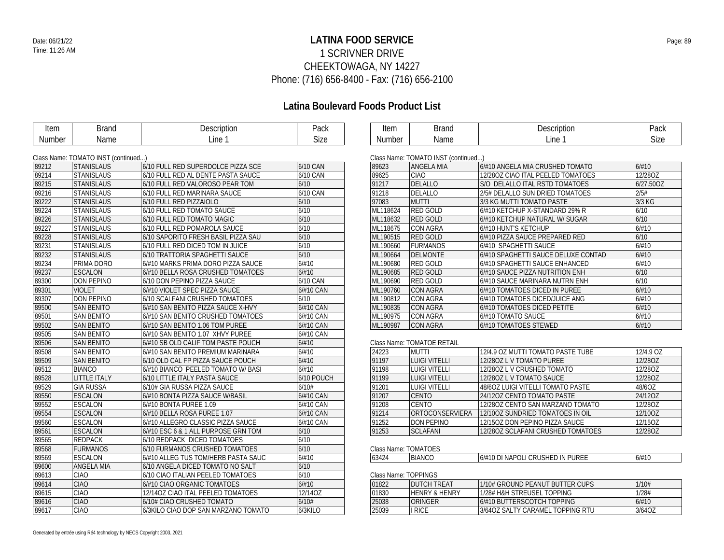### **LATINA FOOD SERVICE** Date: 06/21/22 Page: 89 1 SCRIVNER DRIVE CHEEKTOWAGA, NY 14227 Phone: (716) 656-8400 - Fax: (716) 656-2100

| <b>Item</b>   | <b>Brand</b>                        | Description                         | Pack       | Item                 | <b>Brand</b>                        | Description                         | Pack      |
|---------------|-------------------------------------|-------------------------------------|------------|----------------------|-------------------------------------|-------------------------------------|-----------|
| <b>Number</b> | Name                                | Line 1                              | Size       | Number               | Name                                | Line 1                              | Size      |
|               |                                     |                                     |            |                      |                                     |                                     |           |
|               | Class Name: TOMATO INST (continued) |                                     |            |                      | Class Name: TOMATO INST (continued) |                                     |           |
| 89212         | <b>STANISLAUS</b>                   | 6/10 FULL RED SUPERDOLCE PIZZA SCE  | 6/10 CAN   | 89623                | <b>ANGELA MIA</b>                   | 6/#10 ANGELA MIA CRUSHED TOMATO     | 6/#10     |
| 89214         | <b>STANISLAUS</b>                   | 6/10 FULL RED AL DENTE PASTA SAUCE  | 6/10 CAN   | 89625                | <b>CIAO</b>                         | 12/280Z CIAO ITAL PEELED TOMATOES   | 12/28OZ   |
| 89215         | <b>STANISLAUS</b>                   | 6/10 FULL RED VALOROSO PEAR TOM     | $6/10$     | 91217                | <b>DELALLO</b>                      | S/O DELALLO ITAL RSTD TOMATOES      | 6/27.50OZ |
| 89216         | <b>STANISLAUS</b>                   | 6/10 FULL RED MARINARA SAUCE        | 6/10 CAN   | 91218                | DELALLO                             | 2/5# DELALLO SUN DRIED TOMATOES     | 2/5#      |
| 89222         | <b>STANISLAUS</b>                   | 6/10 FULL RED PIZZAIOLO             | 6/10       | 97083                | <b>MUTTI</b>                        | 3/3 KG MUTTI TOMATO PASTE           | 3/3 KG    |
| 89224         | <b>STANISLAUS</b>                   | 6/10 FULL RED TOMATO SAUCE          | 6/10       | ML118624             | <b>RED GOLD</b>                     | 6/#10 KETCHUP X-STANDARD 29% R      | 6/10      |
| 89226         | <b>STANISLAUS</b>                   | 6/10 FULL RED TOMATO MAGIC          | 6/10       | ML118632             | <b>RED GOLD</b>                     | 6/#10 KETCHUP NATURAL W/ SUGAR      | 6/10      |
| 89227         | <b>STANISLAUS</b>                   | 6/10 FULL RED POMAROLA SAUCE        | 6/10       | ML118675             | <b>CON AGRA</b>                     | 6/#10 HUNT'S KETCHUP                | 6/#10     |
| 89228         | <b>STANISLAUS</b>                   | 6/10 SAPORITO FRESH BASIL PIZZA SAU | 6/10       | ML190515             | <b>RED GOLD</b>                     | 6/#10 PIZZA SAUCE PREPARED RED      | 6/10      |
| 89231         | <b>STANISLAUS</b>                   | 6/10 FULL RED DICED TOM IN JUICE    | 6/10       | ML190660             | <b>FURMANOS</b>                     | 6/#10 SPAGHETTI SAUCE               | 6/#10     |
| 89232         | <b>STANISLAUS</b>                   | 6/10 TRATTORIA SPAGHETTI SAUCE      | 6/10       | ML190664             | <b>DELMONTE</b>                     | 6/#10 SPAGHETTI SAUCE DELUXE CONTAD | 6/#10     |
| 89234         | PRIMA DORO                          | 6/#10 MARKS PRIMA DORO PIZZA SAUCE  | 6/#10      | ML190680             | <b>RED GOLD</b>                     | 6/#10 SPAGHETTI SAUCE ENHANCED      | 6/#10     |
| 89237         | <b>ESCALON</b>                      | 6/#10 BELLA ROSA CRUSHED TOMATOES   | 6/#10      | ML190685             | <b>RED GOLD</b>                     | 6/#10 SAUCE PIZZA NUTRITION ENH     | 6/10      |
| 89300         | DON PEPINO                          | 6/10 DON PEPINO PIZZA SAUCE         | 6/10 CAN   | ML190690             | <b>RED GOLD</b>                     | 6/#10 SAUCE MARINARA NUTRN ENH      | 6/10      |
| 89301         | <b>VIOLET</b>                       | 6/#10 VIOLET SPEC PIZZA SAUCE       | 6/#10 CAN  | ML190760             | <b>CON AGRA</b>                     | 6/#10 TOMATOES DICED IN PUREE       | 6/#10     |
| 89307         | DON PEPINO                          | 6/10 SCALFANI CRUSHED TOMATOES      | 6/10       | ML190812             | <b>CON AGRA</b>                     | 6/#10 TOMATOES DICED/JUICE ANG      | 6/#10     |
| 89500         | <b>SAN BENITO</b>                   | 6/#10 SAN BENITO PIZZA SAUCE X-HVY  | 6/#10 CAN  | ML190835             | <b>CON AGRA</b>                     | 6/#10 TOMATOES DICED PETITE         | 6/#10     |
| 89501         | <b>SAN BENITO</b>                   | 6/#10 SAN BENITO CRUSHED TOMATOES   | 6/#10 CAN  | ML190975             | <b>CON AGRA</b>                     | 6/#10 TOMATO SAUCE                  | 6/#10     |
| 89502         | <b>SAN BENITO</b>                   | 6/#10 SAN BENITO 1.06 TOM PUREE     | 6/#10 CAN  | ML190987             | CON AGRA                            | 6/#10 TOMATOES STEWED               | 6/#10     |
| 89505         | <b>SAN BENITO</b>                   | 6/#10 SAN BENITO 1.07 XHVY PUREE    | 6/#10 CAN  |                      |                                     |                                     |           |
| 89506         | <b>SAN BENITO</b>                   | 6/#10 SB OLD CALIF TOM PASTE POUCH  | 6/#10      |                      | Class Name: TOMATOE RETAIL          |                                     |           |
| 89508         | <b>SAN BENITO</b>                   | 6/#10 SAN BENITO PREMIUM MARINARA   | 6/#10      | 24223                | <b>MUTTI</b>                        | 12/4.9 OZ MUTTI TOMATO PASTE TUBE   | 12/4.9 OZ |
| 89509         | <b>SAN BENITO</b>                   | 6/10 OLD CAL FP PIZZA SAUCE POUCH   | 6/#10      | 91197                | <b>LUIGI VITELLI</b>                | 12/280Z L V TOMATO PUREE            | 12/28OZ   |
| 89512         | <b>BIANCO</b>                       | 6/#10 BIANCO PEELED TOMATO W/ BASI  | 6/#10      | 91198                | <b>LUIGI VITELLI</b>                | 12/280Z L V CRUSHED TOMATO          | 12/28OZ   |
| 89528         | <b>LITTLE ITALY</b>                 | 6/10 LITTLE ITALY PASTA SAUCE       | 6/10 POUCH | 91199                | <b>LUIGI VITELLI</b>                | 12/280Z L V TOMATO SAUCE            | 12/28OZ   |
| 89529         | <b>GIA RUSSA</b>                    | 6/10# GIA RUSSA PIZZA SAUCE         | 6/10#      | 91201                | <b>LUIGI VITELLI</b>                | 48/6OZ LUIGI VITELLI TOMATO PASTE   | 48/6OZ    |
| 89550         | <b>ESCALON</b>                      | 6/#10 BONTA PIZZA SAUCE W/BASIL     | 6/#10 CAN  | 91207                | <b>CENTO</b>                        | 24/12OZ CENTO TOMATO PASTE          | 24/12OZ   |
| 89552         | <b>ESCALON</b>                      | 6/#10 BONTA PUREE 1.09              | 6/#10 CAN  | 91208                | <b>CENTO</b>                        | 12/280Z CENTO SAN MARZANO TOMATO    | 12/28OZ   |
| 89554         | <b>ESCALON</b>                      | 6/#10 BELLA ROSA PUREE 1.07         | 6/#10 CAN  | 91214                | ORTOCONSERVIERA                     | 12/100Z SUNDRIED TOMATOES IN OIL    | 12/10OZ   |
| 89560         | ESCALON                             | 6/#10 ALLEGRO CLASSIC PIZZA SAUCE   | 6/#10 CAN  | 91252                | DON PEPINO                          | 12/150Z DON PEPINO PIZZA SAUCE      | 12/15OZ   |
| 89561         | <b>ESCALON</b>                      | 6/#10 ESC 6 & 1 ALL PURPOSE GRN TOM | $6/10$     | 91253                | <b>SCLAFANI</b>                     | 12/280Z SCLAFANI CRUSHED TOMATOES   | 12/28OZ   |
| 89565         | <b>REDPACK</b>                      | 6/10 REDPACK DICED TOMATOES         | 6/10       |                      |                                     |                                     |           |
| 89568         | <b>FURMANOS</b>                     | 6/10 FURMANOS CRUSHED TOMATOES      | $6/10$     | Class Name: TOMATOES |                                     |                                     |           |
| 89569         | ESCALON                             | 6/#10 ALLEG TUS TOM/HERB PASTA SAUC | 6/#10      | 63424                | <b>BIANCO</b>                       | 6/#10 DI NAPOLI CRUSHED IN PUREE    | 6/#10     |
| 89600         | <b>ANGELA MIA</b>                   | 6/10 ANGELA DICED TOMATO NO SALT    | 6/10       |                      |                                     |                                     |           |
| 89613         | <b>CIAO</b>                         | 6/10 CIAO ITALIAN PEELED TOMATOES   | 6/10       | Class Name: TOPPINGS |                                     |                                     |           |
| 89614         | <b>CIAO</b>                         | 6/#10 CIAO ORGANIC TOMATOES         | 6/#10      | 01822                | <b>DUTCH TREAT</b>                  | 1/10# GROUND PEANUT BUTTER CUPS     | 1/10#     |
| 89615         | <b>CIAO</b>                         | 12/140Z CIAO ITAL PEELED TOMATOES   | 12/14OZ    | 01830                | <b>HENRY &amp; HENRY</b>            | 1/28# H&H STREUSEL TOPPING          | 1/28#     |
| 89616         | <b>CIAO</b>                         | 6/10# CIAO CRUSHED TOMATO           | 6/10#      | 25038                | ORINGER                             | 6/#10 BUTTERSCOTCH TOPPING          | 6/#10     |
| 89617         | <b>CIAO</b>                         | 6/3KILO CIAO DOP SAN MARZANO TOMATO | 6/3KILO    | 25039                | <b>I RICE</b>                       | 3/64OZ SALTY CARAMEL TOPPING RTU    | 3/64OZ    |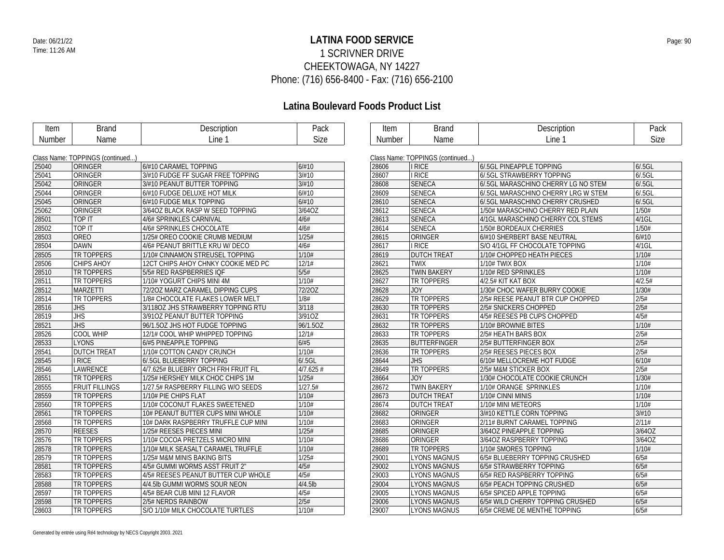### **LATINA FOOD SERVICE** Date: 06/21/22 Page: 90 1 SCRIVNER DRIVE CHEEKTOWAGA, NY 14227 Phone: (716) 656-8400 - Fax: (716) 656-2100

| Item   | <b>Brand</b>                     | Description                         | Pack        | Item   | <b>Brand</b>                     | Description                        | Pack     |
|--------|----------------------------------|-------------------------------------|-------------|--------|----------------------------------|------------------------------------|----------|
| Number | Name                             | Line 1                              | <b>Size</b> | Number | Name                             | Line 1                             | Size     |
|        |                                  |                                     |             |        |                                  |                                    |          |
|        | Class Name: TOPPINGS (continued) |                                     |             |        | Class Name: TOPPINGS (continued) |                                    |          |
| 25040  | ORINGER                          | 6/#10 CARAMEL TOPPING               | 6/#10       | 28606  | I RICE                           | 6/5GL PINEAPPLE TOPPING            | 6/0.5GL  |
| 25041  | ORINGER                          | 3/#10 FUDGE FF SUGAR FREE TOPPING   | 3/H10       | 28607  | I RICE                           | 6/.5GL STRAWBERRY TOPPING          | 6/0.5GL  |
| 25042  | ORINGER                          | 3/#10 PEANUT BUTTER TOPPING         | 3/#10       | 28608  | <b>SENECA</b>                    | 6/5GL MARASCHINO CHERRY LG NO STEM | 6/0.5GL  |
| 25044  | ORINGER                          | 6/#10 FUDGE DELUXE HOT MILK         | 6/#10       | 28609  | <b>SENECA</b>                    | 6/5GL MARASCHINO CHERRY LRG W STEM | 6/0.5GL  |
| 25045  | ORINGER                          | 6/#10 FUDGE MILK TOPPING            | 6/#10       | 28610  | <b>SENECA</b>                    | 6/5GL MARASCHINO CHERRY CRUSHED    | 6/0.5GL  |
| 25062  | ORINGER                          | 3/64OZ BLACK RASP W SEED TOPPING    | 3/64OZ      | 28612  | <b>SENECA</b>                    | 1/50# MARASCHINO CHERRY RED PLAIN  | 1/50#    |
| 28501  | TOP IT                           | 4/6# SPRINKLES CARNIVAL             | 4/6#        | 28613  | <b>SENECA</b>                    | 4/1GL MARASCHINO CHERRY COL STEMS  | $4/1$ GL |
| 28502  | TOP IT                           | 4/6# SPRINKLES CHOCOLATE            | 4/6#        | 28614  | <b>SENECA</b>                    | 1/50# BORDEAUX CHERRIES            | 1/50#    |
| 28503  | <b>OREO</b>                      | 1/25# OREO COOKIE CRUMB MEDIUM      | 1/25#       | 28615  | ORINGER                          | 6/#10 SHERBERT BASE NEUTRAL        | 6/#10    |
| 28504  | <b>DAWN</b>                      | 4/6# PEANUT BRITTLE KRU W/ DECO     | 4/6#        | 28617  | I RICE                           | S/O 4/1GL FF CHOCOLATE TOPPING     | $4/1$ GL |
| 28505  | <b>TR TOPPERS</b>                | 1/10# CINNAMON STREUSEL TOPPING     | 1/10#       | 28619  | <b>DUTCH TREAT</b>               | 1/10# CHOPPED HEATH PIECES         | 1/10#    |
| 28506  | <b>CHIPS AHOY</b>                | 12CT CHIPS AHOY CHNKY COOKIE MED PC | 12/1#       | 28621  | <b>TWIX</b>                      | 1/10# TWIX BOX                     | 1/10#    |
| 28510  | <b>TR TOPPERS</b>                | 5/5# RED RASPBERRIES IQF            | 5/5#        | 28625  | <b>TWIN BAKERY</b>               | 1/10# RED SPRINKLES                | 1/10#    |
| 28511  | TR TOPPERS                       | 1/10# YOGURT CHIPS MINI 4M          | 1/10#       | 28627  | TR TOPPERS                       | 4/2.5# KIT KAT BOX                 | 4/2.5#   |
| 28512  | <b>MARZETTI</b>                  | 72/20Z MARZ CARAMEL DIPPING CUPS    | 72/20Z      | 28628  | <b>JOY</b>                       | 1/30# CHOC WAFER BURRY COOKIE      | 1/30#    |
| 28514  | <b>TR TOPPERS</b>                | 1/8# CHOCOLATE FLAKES LOWER MELT    | 1/8#        | 28629  | TR TOPPERS                       | 2/5# REESE PEANUT BTR CUP CHOPPED  | 2/5#     |
| 28516  | <b>JHS</b>                       | 3/1180Z JHS STRAWBERRY TOPPING RTU  | 3/118       | 28630  | TR TOPPERS                       | 2/5# SNICKERS CHOPPED              | 2/5#     |
| 28519  | <b>JHS</b>                       | 3/910Z PEANUT BUTTER TOPPING        | 3/910Z      | 28631  | TR TOPPERS                       | 4/5# REESES PB CUPS CHOPPED        | 4/5#     |
| 28521  | <b>JHS</b>                       | 96/1.5OZ JHS HOT FUDGE TOPPING      | 96/1.50Z    | 28632  | TR TOPPERS                       | 1/10# BROWNIE BITES                | 1/10#    |
| 28526  | <b>COOL WHIP</b>                 | 12/1# COOL WHIP WHIPPED TOPPING     | 12/1#       | 28633  | TR TOPPERS                       | 2/5# HEATH BARS BOX                | 2/5#     |
| 28533  | LYONS                            | 6/#5 PINEAPPLE TOPPING              | 6/#5        | 28635  | <b>BUTTERFINGER</b>              | 2/5# BUTTERFINGER BOX              | 2/5#     |
| 28541  | <b>DUTCH TREAT</b>               | 1/10# COTTON CANDY CRUNCH           | 1/10#       | 28636  | TR TOPPERS                       | 2/5# REESES PIECES BOX             | 2/5#     |
| 28545  | <b>I RICE</b>                    | 6/.5GL BLUEBERRY TOPPING            | 6/0.5GL     | 28644  | <b>JHS</b>                       | 6/10# MELLOCREME HOT FUDGE         | 6/10#    |
| 28546  | LAWRENCE                         | 4/7.625# BLUEBRY ORCH FRH FRUIT FIL | $4/7.625$ # | 28649  | TR TOPPERS                       | 2/5# M&M STICKER BOX               | 2/5#     |
| 28551  | <b>TR TOPPERS</b>                | 1/25# HERSHEY MILK CHOC CHIPS 1M    | 1/25#       | 28664  | <b>JOY</b>                       | 1/30# CHOCOLATE COOKIE CRUNCH      | 1/30#    |
| 28555  | <b>FRUIT FILLINGS</b>            | 1/27.5# RASPBERRY FILLING W/O SEEDS | 1/27.5#     | 28672  | <b>TWIN BAKERY</b>               | 1/10# ORANGE SPRINKLES             | 1/10#    |
| 28559  | <b>TR TOPPERS</b>                | 1/10# PIE CHIPS FLAT                | 1/10#       | 28673  | <b>DUTCH TREAT</b>               | 1/10# CINNI MINIS                  | 1/10#    |
| 28560  | <b>TR TOPPERS</b>                | 1/10# COCONUT FLAKES SWEETENED      | 1/10#       | 28674  | <b>DUTCH TREAT</b>               | 1/10# MINI METEORS                 | 1/10#    |
| 28561  | <b>TR TOPPERS</b>                | 10# PEANUT BUTTER CUPS MINI WHOLE   | 1/10#       | 28682  | ORINGER                          | 3/#10 KETTLE CORN TOPPING          | 3/H10    |
| 28568  | TR TOPPERS                       | 10# DARK RASPBERRY TRUFFLE CUP MINI | 1/10#       | 28683  | ORINGER                          | 2/11# BURNT CARAMEL TOPPING        | 2/11#    |
| 28570  | <b>REESES</b>                    | 1/25# REESES PIECES MINI            | 1/25#       | 28685  | ORINGER                          | 3/64OZ PINEAPPLE TOPPING           | 3/64OZ   |
| 28576  | <b>TR TOPPERS</b>                | 1/10# COCOA PRETZELS MICRO MINI     | 1/10#       | 28686  | ORINGER                          | 3/64OZ RASPBERRY TOPPING           | 3/64OZ   |
| 28578  | TR TOPPERS                       | 1/10# MILK SEASALT CARAMEL TRUFFLE  | 1/10#       | 28689  | TR TOPPERS                       | 1/10# SMORES TOPPING               | 1/10#    |
| 28579  | <b>TR TOPPERS</b>                | 1/25# M&M MINIS BAKING BITS         | 1/25#       | 29001  | <b>LYONS MAGNUS</b>              | 6/5# BLUEBERRY TOPPING CRUSHED     | 6/5#     |
| 28581  | <b>TR TOPPERS</b>                | 4/5# GUMMI WORMS ASST FRUIT 2"      | 4/5#        | 29002  | <b>LYONS MAGNUS</b>              | 6/5# STRAWBERRY TOPPING            | 6/5#     |
| 28583  | TR TOPPERS                       | 4/5# REESES PEANUT BUTTER CUP WHOLE | 4/5#        | 29003  | <b>LYONS MAGNUS</b>              | 6/5# RED RASPBERRY TOPPING         | 6/5#     |
| 28588  | <b>TR TOPPERS</b>                | 4/4.5lb GUMMI WORMS SOUR NEON       | $4/4.5$ lb  | 29004  | <b>LYONS MAGNUS</b>              | 6/5# PEACH TOPPING CRUSHED         | 6/5#     |
| 28597  | <b>TR TOPPERS</b>                | 4/5# BEAR CUB MINI 12 FLAVOR        | 4/5#        | 29005  | <b>LYONS MAGNUS</b>              | 6/5# SPICED APPLE TOPPING          | 6/5#     |
| 28598  | <b>TR TOPPERS</b>                | 2/5# NERDS RAINBOW                  | 2/5#        | 29006  | <b>LYONS MAGNUS</b>              | 6/5# WILD CHERRY TOPPING CRUSHED   | 6/5#     |
| 28603  | <b>TR TOPPERS</b>                | S/O 1/10# MILK CHOCOLATE TURTLES    | 1/10#       | 29007  | <b>LYONS MAGNUS</b>              | 6/5# CREME DE MENTHE TOPPING       | 6/5#     |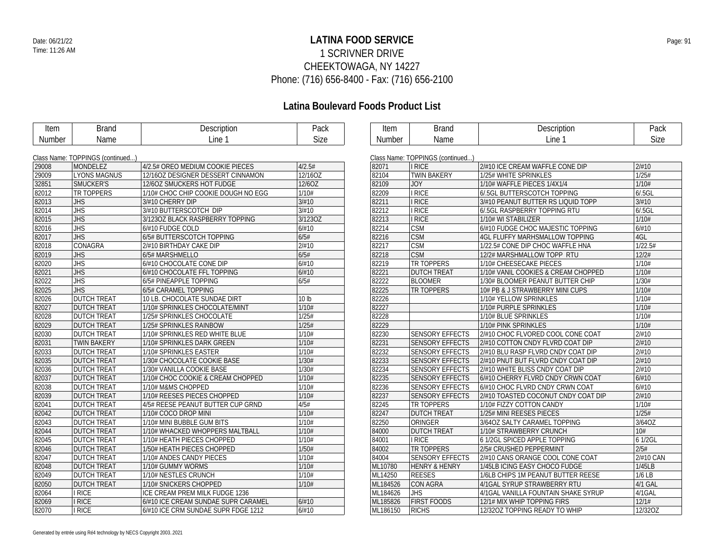### **LATINA FOOD SERVICE** Date: 06/21/22 Page: 91 1 SCRIVNER DRIVE CHEEKTOWAGA, NY 14227 Phone: (716) 656-8400 - Fax: (716) 656-2100

| Item          | <b>Brand</b>                     | Description                         | Pack             | <b>Item</b>   | <b>Brand</b>                     | Description                         | Pack        |
|---------------|----------------------------------|-------------------------------------|------------------|---------------|----------------------------------|-------------------------------------|-------------|
| <b>Number</b> | Name                             | Line 1                              | Size             | <b>Number</b> | Name                             | Line 1                              | <b>Size</b> |
|               |                                  |                                     |                  |               |                                  |                                     |             |
|               | Class Name: TOPPINGS (continued) |                                     |                  |               | Class Name: TOPPINGS (continued) |                                     |             |
| 29008         | MONDELEZ                         | 4/2.5# OREO MEDIUM COOKIE PIECES    | 4/2.5#           | 82071         | <b>I RICE</b>                    | 2/#10 ICE CREAM WAFFLE CONE DIP     | 2/#10       |
| 29009         | <b>LYONS MAGNUS</b>              | 12/16OZ DESIGNER DESSERT CINNAMON   | 12/16OZ          | 82104         | <b>TWIN BAKERY</b>               | 1/25# WHITE SPRINKLES               | 1/25#       |
| 32851         | <b>SMUCKER'S</b>                 | 12/6OZ SMUCKERS HOT FUDGE           | 12/6OZ           | 82109         | <b>JOY</b>                       | 1/10# WAFFLE PIECES 1/4X1/4         | 1/10#       |
| 82012         | <b>TR TOPPERS</b>                | 1/10# CHOC CHIP COOKIE DOUGH NO EGG | 1/10#            | 82209         | <b>I RICE</b>                    | 6/5GL BUTTERSCOTCH TOPPING          | 6/.5GL      |
| 82013         | <b>JHS</b>                       | 3/#10 CHERRY DIP                    | 3/#10            | 82211         | <b>I RICE</b>                    | 3/#10 PEANUT BUTTER RS LIQUID TOPP  | 3/H10       |
| 82014         | <b>JHS</b>                       | 3/#10 BUTTERSCOTCH DIP              | 3/H10            | 82212         | I RICE                           | 6/5GL RASPBERRY TOPPING RTU         | 6/0.5GL     |
| 82015         | <b>JHS</b>                       | 3/1230Z BLACK RASPBERRY TOPPING     | 3/123OZ          | 82213         | I RICE                           | 1/10# WI STABILIZER                 | 1/10#       |
| 82016         | JHS                              | 6/#10 FUDGE COLD                    | 6/#10            | 82214         | <b>CSM</b>                       | 6/#10 FUDGE CHOC MAJESTIC TOPPING   | 6/#10       |
| 82017         | JHS                              | 6/5# BUTTERSCOTCH TOPPING           | 6/5#             | 82216         | <b>CSM</b>                       | 4GL FLUFFY MARHSMALLOW TOPPING      | 4GL         |
| 82018         | <b>CONAGRA</b>                   | 2/#10 BIRTHDAY CAKE DIP             | 2/#10            | 82217         | <b>CSM</b>                       | 1/22.5# CONE DIP CHOC WAFFLE HNA    | 1/22.5#     |
| 82019         | <b>JHS</b>                       | 6/5# MARSHMELLO                     | 6/5#             | 82218         | <b>CSM</b>                       | 12/2# MARSHMALLOW TOPP RTU          | 12/2#       |
| 82020         | $\overline{JHS}$                 | 6/#10 CHOCOLATE CONE DIP            | 6/#10            | 82219         | <b>TR TOPPERS</b>                | 1/10# CHEESECAKE PIECES             | 1/10#       |
| 82021         | <b>JHS</b>                       | 6/#10 CHOCOLATE FFL TOPPING         | 6/#10            | 82221         | <b>DUTCH TREAT</b>               | 1/10# VANIL COOKIES & CREAM CHOPPED | 1/10#       |
| 82022         | <b>JHS</b>                       | 6/5# PINEAPPLE TOPPING              | 6/5#             | 82222         | <b>BLOOMER</b>                   | 1/30# BLOOMER PEANUT BUTTER CHIP    | 1/30#       |
| 82025         | <b>JHS</b>                       | 6/5# CARAMEL TOPPING                |                  | 82225         | <b>TR TOPPERS</b>                | 10# PB & J STRAWBERRY MINI CUPS     | 1/10#       |
| 82026         | <b>DUTCH TREAT</b>               | 10 LB. CHOCOLATE SUNDAE DIRT        | 10 <sub>lb</sub> | 82226         |                                  | 1/10# YELLOW SPRINKLES              | 1/10#       |
| 82027         | <b>DUTCH TREAT</b>               | 1/10# SPRINKLES CHOCOLATE/MINT      | 1/10#            | 82227         |                                  | 1/10# PURPLE SPRINKLES              | 1/10#       |
| 82028         | <b>DUTCH TREAT</b>               | 1/25# SPRINKLES CHOCOLATE           | 1/25#            | 82228         |                                  | 1/10# BLUE SPRINKLES                | 1/10#       |
| 82029         | <b>DUTCH TREAT</b>               | 1/25# SPRINKLES RAINBOW             | 1/25#            | 82229         |                                  | 1/10# PINK SPRINKLES                | 1/10#       |
| 82030         | <b>DUTCH TREAT</b>               | 1/10# SPRINKLES RED WHITE BLUE      | 1/10#            | 82230         | <b>SENSORY EFFECTS</b>           | 2/#10 CHOC FLVORED COOL CONE COAT   | 2/H10       |
| 82031         | <b>TWIN BAKERY</b>               | 1/10# SPRINKLES DARK GREEN          | 1/10#            | 82231         | <b>SENSORY EFFECTS</b>           | 2/#10 COTTON CNDY FLVRD COAT DIP    | 2/H10       |
| 82033         | <b>DUTCH TREAT</b>               | 1/10# SPRINKLES EASTER              | 1/10#            | 82232         | <b>SENSORY EFFECTS</b>           | 2/#10 BLU RASP FLVRD CNDY COAT DIP  | 2/#10       |
| 82035         | <b>DUTCH TREAT</b>               | 1/30# CHOCOLATE COOKIE BASE         | 1/30#            | 82233         | <b>SENSORY EFFECTS</b>           | 2/#10 PNUT BUT FLVRD CNDY COAT DIP  | 2/#10       |
| 82036         | <b>DUTCH TREAT</b>               | 1/30# VANILLA COOKIE BASE           | 1/30#            | 82234         | <b>SENSORY EFFECTS</b>           | 2/#10 WHITE BLISS CNDY COAT DIP     | 2/#10       |
| 82037         | <b>DUTCH TREAT</b>               | 1/10# CHOC COOKIE & CREAM CHOPPED   | 1/10#            | 82235         | <b>SENSORY EFFECTS</b>           | 6/#10 CHERRY FLVRD CNDY CRWN COAT   | 6/#10       |
| 82038         | <b>DUTCH TREAT</b>               | 1/10# M&MS CHOPPED                  | 1/10#            | 82236         | <b>SENSORY EFFECTS</b>           | 6/#10 CHOC FLVRD CNDY CRWN COAT     | 6/#10       |
| 82039         | <b>DUTCH TREAT</b>               | 1/10# REESES PIECES CHOPPED         | 1/10#            | 82237         | <b>SENSORY EFFECTS</b>           | 2/#10 TOASTED COCONUT CNDY COAT DIP | 2/#10       |
| 82041         | <b>DUTCH TREAT</b>               | 4/5# REESE PEANUT BUTTER CUP GRND   | 4/5#             | 82245         | TR TOPPERS                       | 1/10# FIZZY COTTON CANDY            | 1/10#       |
| 82042         | <b>DUTCH TREAT</b>               | 1/10# COCO DROP MINI                | 1/10#            | 82247         | <b>DUTCH TREAT</b>               | 1/25# MINI REESES PIECES            | 1/25#       |
| 82043         | <b>DUTCH TREAT</b>               | 1/10# MINI BUBBLE GUM BITS          | 1/10#            | 82250         | ORINGER                          | 3/64OZ SALTY CARAMEL TOPPING        | 3/64OZ      |
| 82044         | <b>DUTCH TREAT</b>               | 1/10# WHACKED WHOPPERS MALTBALL     | 1/10#            | 84000         | <b>DUTCH TREAT</b>               | 1/10# STRAWBERRY CRUNCH             | 10#         |
| 82045         | <b>DUTCH TREAT</b>               | 1/10# HEATH PIECES CHOPPED          | 1/10#            | 84001         | I RICE                           | 6 1/2GL SPICED APPLE TOPPING        | 6 1/2GL     |
| 82046         | <b>DUTCH TREAT</b>               | 1/50# HEATH PIECES CHOPPED          | 1/50#            | 84002         | TR TOPPERS                       | 2/5# CRUSHED PEPPERMINT             | 2/5#        |
| 82047         | <b>DUTCH TREAT</b>               | 1/10# ANDES CANDY PIECES            | 1/10#            | 84004         | <b>SENSORY EFFECTS</b>           | 2/#10 CANS ORANGE COOL CONE COAT    | 2/#10 CAN   |
| 82048         | <b>DUTCH TREAT</b>               | 1/10# GUMMY WORMS                   | 1/10#            | ML10780       | <b>HENRY &amp; HENRY</b>         | 1/45LB ICING EASY CHOCO FUDGE       | 1/45LB      |
| 82049         | <b>DUTCH TREAT</b>               | 1/10# NESTLES CRUNCH                | 1/10#            | ML14250       | <b>REESES</b>                    | 1/6LB CHIPS 1M PEANUT BUTTER REESE  | $1/6$ LB    |
| 82050         | <b>DUTCH TREAT</b>               | 1/10# SNICKERS CHOPPED              | 1/10#            | ML184526      | <b>CON AGRA</b>                  | 4/1GAL SYRUP STRAWBERRY RTU         | 4/1 GAL     |
| 82064         | <b>I RICE</b>                    | ICE CREAM PREM MILK FUDGE 1236      |                  | ML184626      | <b>JHS</b>                       | 4/1GAL VANILLA FOUNTAIN SHAKE SYRUP | 4/1GAL      |
| 82069         | <b>I RICE</b>                    | 6/#10 ICE CREAM SUNDAE SUPR CARAMEL | 6/#10            | ML185826      | <b>FIRST FOODS</b>               | 12/1# MIX WHIP TOPPING FIRS         | 12/1#       |
| 82070         | <b>I RICE</b>                    | 6/#10 ICE CRM SUNDAE SUPR FDGE 1212 | 6/#10            | ML186150      | <b>RICHS</b>                     | 12/320Z TOPPING READY TO WHIP       | 12/32OZ     |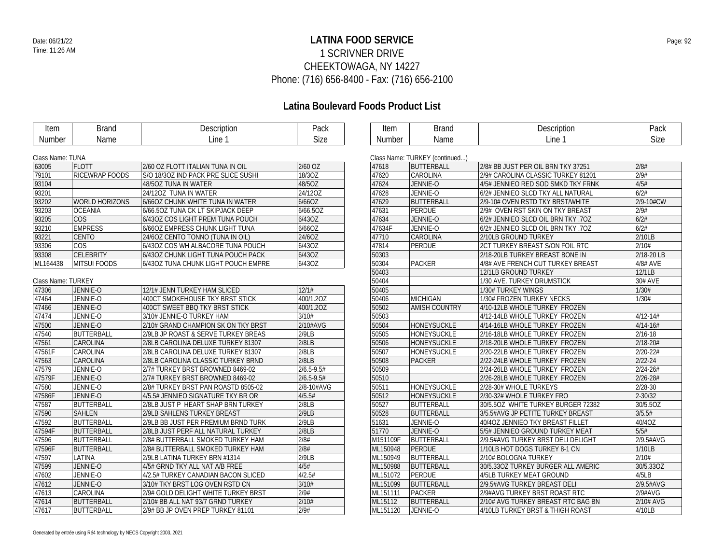### **LATINA FOOD SERVICE** Date: 06/21/22 Page: 92 1 SCRIVNER DRIVE CHEEKTOWAGA, NY 14227 Phone: (716) 656-8400 - Fax: (716) 656-2100

# **Latina Boulevard Foods Product List**

| Item               | <b>Brand</b>          | Description                         | Pack           | Item     | <b>Brand</b>                   | Description                            | Pack         |
|--------------------|-----------------------|-------------------------------------|----------------|----------|--------------------------------|----------------------------------------|--------------|
| Number             | Name                  | Line 1                              | Size           | Number   | Name                           | Line 1                                 | Size         |
|                    |                       |                                     |                |          |                                |                                        |              |
| Class Name: TUNA   |                       |                                     |                |          | Class Name: TURKEY (continued) |                                        |              |
| 63005              | <b>FLOTT</b>          | 2/60 OZ FLOTT ITALIAN TUNA IN OIL   | 2/60 OZ        | 47618    | <b>BUTTERBALL</b>              | 2/8# BB JUST PER OIL BRN TKY 37251     | 2/8#         |
| 79101              | <b>RICEWRAP FOODS</b> | S/O 18/30Z IND PACK PRE SLICE SUSHI | 18/30Z         | 47620    | <b>CAROLINA</b>                | 2/9# CAROLINA CLASSIC TURKEY 81201     | 2/9#         |
| 93104              |                       | 48/5OZ TUNA IN WATER                | 48/5OZ         | 47624    | JENNIE-O                       | 4/5# JENNIEO RED SOD SMKD TKY FRNK     | 4/5#         |
| 93201              |                       | 24/12OZ TUNA IN WATER               | 24/12OZ        | 47628    | JENNIE-O                       | 6/2# JENNIEO SLCD TKY ALL NATURAL      | 6/2#         |
| 93202              | <b>WORLD HORIZONS</b> | 6/66OZ CHUNK WHITE TUNA IN WATER    | 6/66OZ         | 47629    | <b>BUTTERBALL</b>              | 2/9-10# OVEN RSTD TKY BRST/WHITE       | 2/9-10#CW    |
| 93203              | <b>OCEANIA</b>        | 6/66.50Z TUNA CK LT SKIPJACK DEEP   | 6/66.50Z       | 47631    | PERDUE                         | 2/9# OVEN RST SKIN ON TKY BREAST       | 2/9#         |
| 93205              | <b>COS</b>            | 6/43OZ COS LIGHT PREM TUNA POUCH    | 6/43OZ         | 47634    | JENNIE-O                       | 6/2# JENNIEO SLCD OIL BRN TKY .7OZ     | 6/2#         |
| 93210              | <b>EMPRESS</b>        | 6/66OZ EMPRESS CHUNK LIGHT TUNA     | 6/66OZ         | 47634F   | JENNIE-O                       | 6/2# JENNIEO SLCD OIL BRN TKY .7OZ     | 6/2#         |
| 93221              | <b>CENTO</b>          | 24/6OZ CENTO TONNO (TUNA IN OIL)    | 24/60Z         | 47710    | CAROLINA                       | 2/10LB GROUND TURKEY                   | 2/10LB       |
| 93306              | <b>COS</b>            | 6/43OZ COS WH ALBACORE TUNA POUCH   | 6/43OZ         | 47814    | PERDUE                         | <b>2CT TURKEY BREAST S/ON FOIL RTC</b> | 2/10#        |
| 93308              | <b>CELEBRITY</b>      | 6/43OZ CHUNK LIGHT TUNA POUCH PACK  | 6/43OZ         | 50303    |                                | 2/18-20LB TURKEY BREAST BONE IN        | 2/18-20 LB   |
| ML164438           | <b>MITSUI FOODS</b>   | 6/43OZ TUNA CHUNK LIGHT POUCH EMPRE | 6/43OZ         | 50304    | <b>PACKER</b>                  | 4/8# AVE FRENCH CUT TURKEY BREAST      | 4/8# AVE     |
|                    |                       |                                     |                | 50403    |                                | 12/1LB GROUND TURKEY                   | 12/1LB       |
| Class Name: TURKEY |                       |                                     |                | 50404    |                                | 1/30 AVE. TURKEY DRUMSTICK             | 30# AVE      |
| 47306              | JENNIE-O              | 12/1# JENN TURKEY HAM SLICED        | 12/1#          | 50405    |                                | 1/30# TURKEY WINGS                     | 1/30#        |
| 47464              | JENNIE-O              | 400CT SMOKEHOUSE TKY BRST STICK     | 400/1.2OZ      | 50406    | <b>MICHIGAN</b>                | 1/30# FROZEN TURKEY NECKS              | 1/30#        |
| 47466              | JENNIE-O              | 400CT SWEET BBQ TKY BRST STICK      | 400/1.2OZ      | 50502    | <b>AMISH COUNTRY</b>           | 4/10-12LB WHOLE TURKEY FROZEN          |              |
| 47474              | JENNIE-O              | 3/10# JENNIE-O TURKEY HAM           | 3/10#          | 50503    |                                | 4/12-14LB WHOLE TURKEY FROZEN          | $4/12 - 14#$ |
| 47500              | JENNIE-O              | 2/10# GRAND CHAMPION SK ON TKY BRST | 2/10#AVG       | 50504    | HONEYSUCKLE                    | 4/14-16LB WHOLE TURKEY FROZEN          | $4/14 - 16#$ |
| 47540              | <b>BUTTERBALL</b>     | 2/9LB JP ROAST & SERVE TURKEY BREAS | 2/9LB          | 50505    | <b>HONEYSUCKLE</b>             | 2/16-18LB WHOLE TURKEY FROZEN          | $2/16 - 18$  |
| 47561              | CAROLINA              | 2/8LB CAROLINA DELUXE TURKEY 81307  | 2/8LB          | 50506    | HONEYSUCKLE                    | 2/18-20LB WHOLE TURKEY FROZEN          | $2/18 - 20#$ |
| 47561F             | CAROLINA              | 2/8LB CAROLINA DELUXE TURKEY 81307  | 2/8LB          | 50507    | HONEYSUCKLE                    | 2/20-22LB WHOLE TURKEY FROZEN          | $2/20 - 22#$ |
| 47563              | CAROLINA              | 2/8LB CAROLINA CLASSIC TURKEY BRND  | 2/8LB          | 50508    | <b>PACKER</b>                  | 2/22-24LB WHOLE TURKEY FROZEN          | $2/22 - 24$  |
| 47579              | JENNIE-O              | 2/7# TURKEY BRST BROWNED 8469-02    | $2/6.5 - 9.5#$ | 50509    |                                | 2/24-26LB WHOLE TURKEY FROZEN          | $2/24 - 26#$ |
| 47579F             | JENNIE-O              | 2/7# TURKEY BRST BROWNED 8469-02    | $2/6.5 - 9.5#$ | 50510    |                                | 2/26-28LB WHOLE TURKEY FROZEN          | $2/26 - 28#$ |
| 47580              | JENNIE-O              | 2/8# TURKEY BRST PAN ROASTD 8505-02 | 2/8-10#AVG     | 50511    | HONEYSUCKLE                    | 2/28-30# WHOLE TURKEYS                 | $2/28 - 30$  |
| 47586F             | JENNIE-O              | 4/5.5# JENNIEO SIGNATURE TKY BR OR  | 4/5.5#         | 50512    | HONEYSUCKLE                    | 2/30-32# WHOLE TURKEY FRO              | $2 - 30/32$  |
| 47587              | <b>BUTTERBALL</b>     | 2/8LB JUST P HEART SHAP BRN TURKEY  | 2/8LB          | 50527    | BUTTERBALL                     | 30/5.50Z WHITE TURKEY BURGER 72382     | 30/5.50Z     |
| 47590              | <b>SAHLEN</b>         | 2/9LB SAHLENS TURKEY BREAST         | 2/9LB          | 50528    | <b>BUTTERBALL</b>              | 3/5.5#AVG JP PETITE TURKEY BREAST      | 3/5.5#       |
| 47592              | <b>BUTTERBALL</b>     | 2/9LB BB JUST PER PREMIUM BRND TURK | 2/9LB          | 51631    | JENNIE-O                       | 40/4OZ JENNIEO TKY BREAST FILLET       | 40/40Z       |
| 47594F             | BUTTERBALL            | 2/8LB JUST PERF ALL NATURAL TURKEY  | 2/8LB          | 51770    | JENNIE-O                       | 5/5# JENNIEO GROUND TURKEY MEAT        | 5/5#         |
| 47596              | <b>BUTTERBALL</b>     | 2/8# BUTTERBALL SMOKED TURKEY HAM   | 2/8#           | M151109F | <b>BUTTERBALL</b>              | 2/9.5#AVG TURKEY BRST DELI DELIGHT     | 2/9.5#AVG    |
| 47596F             | <b>BUTTERBALL</b>     | 2/8# BUTTERBALL SMOKED TURKEY HAM   | 2/8#           | ML150948 | PERDUE                         | 1/10LB HOT DOGS TURKEY 8-1 CN          | 1/10LB       |
| 47597              | LATINA                | 2/9LB LATINA TURKEY BRN #1314       | 2/9LB          | ML150949 | <b>BUTTERBALL</b>              | 2/10# BOLOGNA TURKEY                   | 2/10#        |
| 47599              | JENNIE-O              | 4/5# GRND TKY ALL NAT A/B FREE      | 4/5#           | ML150988 | <b>BUTTERBALL</b>              | 30/5.33OZ TURKEY BURGER ALL AMERIC     | 30/5.33OZ    |
| 47602              | JENNIE-O              | 4/2.5# TURKEY CANADIAN BACON SLICED | 4/2.5#         | ML151072 | PERDUE                         | 4/5LB TURKEY MEAT GROUND               | 4/5LB        |
| 47612              | JENNIE-O              | 3/10# TKY BRST LOG OVEN RSTD CN     | 3/10#          | ML151099 | <b>BUTTERBALL</b>              | 2/9.5#AVG TURKEY BREAST DELI           | 2/9.5#AVG    |
| 47613              | CAROLINA              | 2/9# GOLD DELIGHT WHITE TURKEY BRST | 2/9#           | ML151111 | <b>PACKER</b>                  | 2/9#AVG TURKEY BRST ROAST RTC          | 2/9#AVG      |
| 47614              | <b>BUTTERBALL</b>     | 2/10# BB ALL NAT 93/7 GRND TURKEY   | 2/10#          | ML15112  | <b>BUTTERBALL</b>              | 2/10# AVG TURKEY BREAST RTC BAG BN     | 2/10# AVG    |
| 47617              | <b>BUTTERBALL</b>     | 2/9# BB JP OVEN PREP TURKEY 81101   | 2/9#           | ML151120 | JENNIE-O                       | 4/10LB TURKEY BRST & THIGH ROAST       | 4/10LB       |
|                    |                       |                                     |                |          |                                |                                        |              |

 $\overline{\phantom{0}}$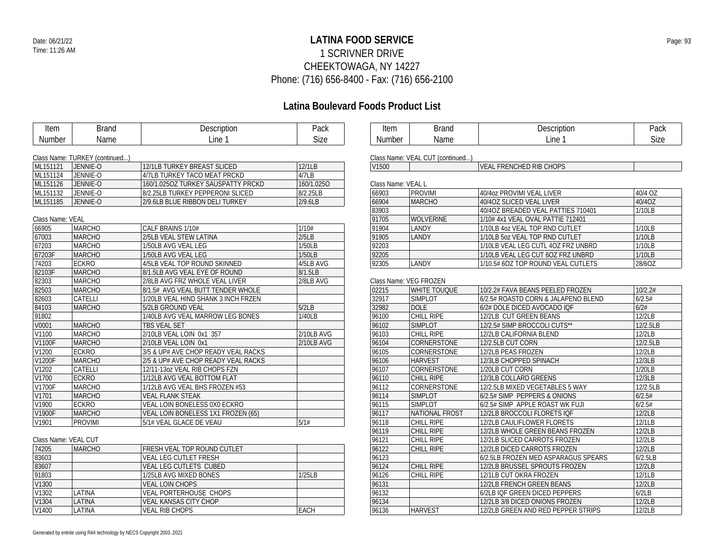#### **LATINA FOOD SERVICE** Date: 06/21/22 Page: 93 1 SCRIVNER DRIVE CHEEKTOWAGA, NY 14227 Phone: (716) 656-8400 - Fax: (716) 656-2100

| Item                 | <b>Brand</b>                   | Description                         | Pack       | Item               | <b>Brand</b>                     | Description                         | Pack     |
|----------------------|--------------------------------|-------------------------------------|------------|--------------------|----------------------------------|-------------------------------------|----------|
| <b>Number</b>        | Name                           | Line 1                              | Size       | Number             | Name                             | Line 1                              | Size     |
|                      |                                |                                     |            |                    |                                  |                                     |          |
|                      | Class Name: TURKEY (continued) |                                     |            |                    | Class Name: VEAL CUT (continued) |                                     |          |
| ML151121             | JENNIE-O                       | 12/1LB TURKEY BREAST SLICED         | 12/1LB     | V <sub>1500</sub>  |                                  | <b>VEAL FRENCHED RIB CHOPS</b>      |          |
| ML151124             | JENNIE-O                       | 4/7LB TURKEY TACO MEAT PRCKD        | 4/7LB      |                    |                                  |                                     |          |
| ML151126             | JENNIE-O                       | 160/1.025OZ TURKEY SAUSPATTY PRCKD  | 160/1.0250 | Class Name: VEAL L |                                  |                                     |          |
| ML151132             | JENNIE-O                       | 8/2.25LB TURKEY PEPPERONI SLICED    | 8/2.25LB   | 66903              | <b>PROVIMI</b>                   | 40/4oz PROVIMI VEAL LIVER           | 40/4 OZ  |
| ML151185             | JENNIE-O                       | 2/9.6LB BLUE RIBBON DELI TURKEY     | 2/9.6LB    | 66904              | <b>MARCHO</b>                    | 40/40Z SLICED VEAL LIVER            | 40/4OZ   |
|                      |                                |                                     |            | 83903              |                                  | 40/4OZ BREADED VEAL PATTIES 710401  | 1/10LB   |
| Class Name: VEAL     |                                |                                     |            | 91705              | <b>WOLVERINE</b>                 | 1/10# 4x1 VEAL OVAL PATTIE 712401   |          |
| 66905                | <b>MARCHO</b>                  | CALF BRAINS 1/10#                   | 1/10#      | 91904              | LANDY                            | 1/10LB 4oz VEAL TOP RND CUTLET      | 1/10LB   |
| 67003                | <b>MARCHO</b>                  | 2/5LB VEAL STEW LATINA              | 2/5LB      | 91905              | LANDY                            | 1/10LB 5oz VEAL TOP RND CUTLET      | 1/10LB   |
| 67203                | <b>MARCHO</b>                  | 1/50LB AVG VEAL LEG                 | 1/50LB     | 92203              |                                  | 1/10LB VEAL LEG CUTL 4OZ FRZ UNBRD  | 1/10LB   |
| 67203F               | <b>MARCHO</b>                  | 1/50LB AVG VEAL LEG                 | 1/50LB     | 92205              |                                  | 1/10LB VEAL LEG CUT 6OZ FRZ UNBRD   | 1/10LB   |
| 74203                | <b>ECKRO</b>                   | 4/5LB VEAL TOP ROUND SKINNED        | 4/5LB AVG  | 92305              | LANDY                            | 1/10.5# 6OZ TOP ROUND VEAL CUTLETS  | 28/6OZ   |
| 82103F               | <b>MARCHO</b>                  | 8/1.5LB AVG VEAL EYE OF ROUND       | 8/1.5LB    |                    |                                  |                                     |          |
| 82303                | <b>MARCHO</b>                  | 2/8LB AVG FRZ WHOLE VEAL LIVER      | 2/8LB AVG  |                    | Class Name: VEG FROZEN           |                                     |          |
| 82503                | <b>MARCHO</b>                  | 8/1.5# AVG VEAL BUTT TENDER WHOLE   |            | 02215              | WHITE TOUQUE                     | 10/2.2# FAVA BEANS PEELED FROZEN    | 10/2.2#  |
| 82603                | CATELLI                        | 1/20LB VEAL HIND SHANK 3 INCH FRZEN |            | 32917              | <b>SIMPLOT</b>                   | 6/2.5# ROASTD CORN & JALAPENO BLEND | 6/2.5#   |
| 84103                | <b>MARCHO</b>                  | 5/2LB GROUND VEAL                   | 5/2LB      | 32982              | <b>DOLE</b>                      | 6/2# DOLE DICED AVOCADO IQF         | 6/2#     |
| 91802                |                                | 1/40LB AVG VEAL MARROW LEG BONES    | 1/40LB     | 96100              | CHILL RIPE                       | 12/2LB CUT GREEN BEANS              | 12/2LB   |
| V0001                | <b>MARCHO</b>                  | <b>TBS VEAL SET</b>                 |            | 96102              | <b>SIMPLOT</b>                   | 12/2.5# SIMP BROCCOLI CUTS**        | 12/2.5LB |
| V1100                | <b>MARCHO</b>                  | 2/10LB VEAL LOIN 0x1 357            | 2/10LB AVG | 96103              | CHILL RIPE                       | 12/2LB CALIFORNIA BLEND             | 12/2LB   |
| V1100F               | <b>MARCHO</b>                  | 2/10LB VEAL LOIN 0x1                | 2/10LB AVG | 96104              | <b>CORNERSTONE</b>               | 12/2.5LB CUT CORN                   | 12/2.5LB |
| V1200                | <b>ECKRO</b>                   | 3/5 & UP# AVE CHOP READY VEAL RACKS |            | 96105              | CORNERSTONE                      | 12/2LB PEAS FROZEN                  | 12/2LB   |
| V1200F               | <b>MARCHO</b>                  | 2/5 & UP# AVE CHOP READY VEAL RACKS |            | 96106              | <b>HARVEST</b>                   | 12/3LB CHOPPED SPINACH              | 12/3LB   |
| V1202                | CATELLI                        | 12/11-13oz VEAL RIB CHOPS FZN       |            | 96107              | <b>CORNERSTONE</b>               | 1/20LB CUT CORN                     | 1/20LB   |
| V1700                | <b>ECKRO</b>                   | 1/12LB AVG VEAL BOTTOM FLAT         |            | 96110              | <b>CHILL RIPE</b>                | 12/3LB COLLARD GREENS               | 12/3LB   |
| V1700F               | <b>MARCHO</b>                  | 1/12LB AVG VEAL BHS FROZEN #53      |            | 96112              | CORNERSTONE                      | 12/2.5LB MIXED VEGETABLES 5 WAY     | 12/2.5LB |
| V1701                | <b>MARCHO</b>                  | <b>VEAL FLANK STEAK</b>             |            | 96114              | <b>SIMPLOT</b>                   | 6/2.5# SIMP PEPPERS & ONIONS        | 6/2.5#   |
| V1900                | <b>ECKRO</b>                   | VEAL LOIN BONELESS 0X0 ECKRO        |            | 96115              | <b>SIMPLOT</b>                   | 6/2.5# SIMP APPLE ROAST WK FUJI     | 6/2.5#   |
| V1900F               | <b>MARCHO</b>                  | VEAL LOIN BONELESS 1X1 FROZEN (65)  |            | 96117              | NATIONAL FROST                   | 12/2LB BROCCOLI FLORETS IQF         | 12/2LB   |
| V1901                | <b>PROVIMI</b>                 | 5/1# VEAL GLACE DE VEAU             | 5/1#       | 96118              | CHILL RIPE                       | 12/2LB CAULIFLOWER FLORETS          | 12/1LB   |
|                      |                                |                                     |            | 96119              | <b>CHILL RIPE</b>                | 12/2LB WHOLE GREEN BEANS FROZEN     | 12/2LB   |
| Class Name: VEAL CUT |                                |                                     |            | 96121              | <b>CHILL RIPE</b>                | 12/2LB SLICED CARROTS FROZEN        | 12/2LB   |
| 74205                | <b>MARCHO</b>                  | FRESH VEAL TOP ROUND CUTLET         |            | 96122              | CHILL RIPE                       | 12/2LB DICED CARROTS FROZEN         | 12/2LB   |
| 83603                |                                | <b>VEAL LEG CUTLET FRESH</b>        |            | 96123              |                                  | 6/2.5LB FROZEN MED ASPARAGUS SPEARS | 6/2.5LB  |
| 83607                |                                | <b>VEAL LEG CUTLETS CUBED</b>       |            | 96124              | <b>CHILL RIPE</b>                | 12/2LB BRUSSEL SPROUTS FROZEN       | 12/2LB   |
| 91803                |                                | 1/25LB AVG MIXED BONES              | 1/25LB     | 96126              | CHILL RIPE                       | 12/1LB CUT OKRA FROZEN              | 12/1LB   |
| V1300                |                                | <b>VEAL LOIN CHOPS</b>              |            | 96131              |                                  | 12/2LB FRENCH GREEN BEANS           | 12/2LB   |
| V1302                | LATINA                         | <b>VEAL PORTERHOUSE CHOPS</b>       |            | 96132              |                                  | 6/2LB IQF GREEN DICED PEPPERS       | 6/2LB    |
| V1304                | LATINA                         | <b>VEAL KANSAS CITY CHOP</b>        |            | 96134              |                                  | 12/2LB 3/8 DICED ONIONS FROZEN      | 12/2LB   |
| V1400                | LATINA                         | <b>VEAL RIB CHOPS</b>               | EACH       | 96136              | <b>HARVEST</b>                   | 12/2LB GREEN AND RED PEPPER STRIPS  | 12/2LB   |
|                      |                                |                                     |            |                    |                                  |                                     |          |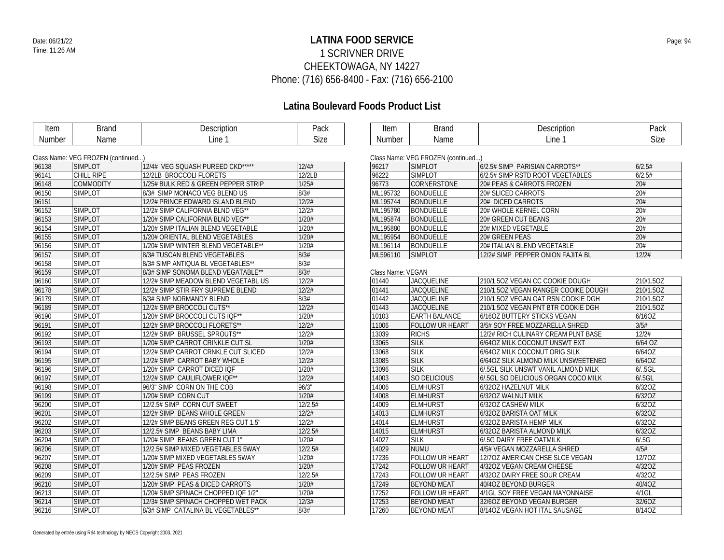### **LATINA FOOD SERVICE** Date: 06/21/22 Page: 94 1 SCRIVNER DRIVE CHEEKTOWAGA, NY 14227 Phone: (716) 656-8400 - Fax: (716) 656-2100

| Item   | <b>Brand</b>                       | Description                         | Pack    | Item              | <b>Brand</b>                       | Description                         | Pack             |
|--------|------------------------------------|-------------------------------------|---------|-------------------|------------------------------------|-------------------------------------|------------------|
| Number | Name                               | Line 1                              | Size    | Number            | Name                               | Line 1                              | Size             |
|        |                                    |                                     |         |                   |                                    |                                     |                  |
|        | Class Name: VEG FROZEN (continued) |                                     |         |                   | Class Name: VEG FROZEN (continued) |                                     |                  |
| 96138  | <b>SIMPLOT</b>                     | 12/4# VEG SQUASH PUREED CKD*****    | 12/4#   | 96217             | <b>SIMPLOT</b>                     | 6/2.5# SIMP PARISIAN CARROTS**      | 6/2.5#           |
| 96141  | CHILL RIPE                         | 12/2LB BROCCOLI FLORETS             | 12/2LB  | 96222             | <b>SIMPLOT</b>                     | 6/2.5# SIMP RSTD ROOT VEGETABLES    | 6/2.5#           |
| 96148  | <b>COMMODITY</b>                   | 1/25# BULK RED & GREEN PEPPER STRIP | 1/25#   | 96773             | <b>CORNERSTONE</b>                 | 20# PEAS & CARROTS FROZEN           | 20#              |
| 96150  | <b>SIMPLOT</b>                     | 8/3# SIMP MONACO VEG BLEND US       | 8/3#    | ML195732          | <b>BONDUELLE</b>                   | 20# SLICED CARROTS                  | 20#              |
| 96151  |                                    | 12/2# PRINCE EDWARD ISLAND BLEND    | 12/2#   | ML195744          | <b>BONDUELLE</b>                   | 20# DICED CARROTS                   | 20#              |
| 96152  | <b>SIMPLOT</b>                     | 12/2# SIMP CALIFORNIA BLND VEG**    | 12/2#   | ML195780          | BONDUELLE                          | 20# WHOLE KERNEL CORN               | 20#              |
| 96153  | <b>SIMPLOT</b>                     | 1/20# SIMP CALIFORNIA BLND VEG**    | 1/20#   | ML195874          | <b>BONDUELLE</b>                   | 20# GREEN CUT BEANS                 | 20#              |
| 96154  | <b>SIMPLOT</b>                     | 1/20# SIMP ITALIAN BLEND VEGETABLE  | 1/20#   | ML195880          | <b>BONDUELLE</b>                   | 20# MIXED VEGETABLE                 | 20#              |
| 96155  | <b>SIMPLOT</b>                     | 1/20# ORIENTAL BLEND VEGETABLES     | 1/20#   | ML195954          | BONDUELLE                          | 20# GREEN PEAS                      | $\overline{20#}$ |
| 96156  | <b>SIMPLOT</b>                     | 1/20# SIMP WINTER BLEND VEGETABLE** | 1/20#   | ML196114          | BONDUELLE                          | 20# ITALIAN BLEND VEGETABLE         | 20#              |
| 96157  | <b>SIMPLOT</b>                     | 8/3# TUSCAN BLEND VEGETABLES        | 8/3#    | ML596110          | <b>SIMPLOT</b>                     | 12/2# SIMP PEPPER ONION FAJITA BL   | 12/2#            |
| 96158  | <b>SIMPLOT</b>                     | 8/3# SIMP ANTIQUA BL VEGETABLES**   | 8/3#    |                   |                                    |                                     |                  |
| 96159  | <b>SIMPLOT</b>                     | 8/3# SIMP SONOMA BLEND VEGATABLE**  | 8/3#    | Class Name: VEGAN |                                    |                                     |                  |
| 96160  | <b>SIMPLOT</b>                     | 12/2# SIMP MEADOW BLEND VEGETABL US | 12/2#   | 01440             | <b>JACQUELINE</b>                  | 210/1.5OZ VEGAN CC COOKIE DOUGH     | 210/1.5OZ        |
| 96178  | <b>SIMPLOT</b>                     | 12/2# SIMP STIR FRY SUPREME BLEND   | 12/2#   | 01441             | <b>JACQUELINE</b>                  | 210/1.5OZ VEGAN RANGER COOIKE DOUGH | 210/1.5OZ        |
| 96179  | <b>SIMPLOT</b>                     | 8/3# SIMP NORMANDY BLEND            | 8/3#    | $ 01442\rangle$   | <b>JACQUELINE</b>                  | 210/1.5OZ VEGAN OAT RSN COOKIE DGH  | 210/1.5OZ        |
| 96189  | <b>SIMPLOT</b>                     | 12/2# SIMP BROCCOLI CUTS**          | 12/2#   | 01443             | <b>JACQUELINE</b>                  | 210/1.50Z VEGAN PNT BTR COOKIE DGH  | 210/1.5OZ        |
| 96190  | <b>SIMPLOT</b>                     | 1/20# SIMP BROCCOLI CUTS IQF**      | 1/20#   | 10103             | <b>EARTH BALANCE</b>               | 6/16OZ BUTTERY STICKS VEGAN         | 6/16OZ           |
| 96191  | <b>SIMPLOT</b>                     | 12/2# SIMP BROCCOLI FLORETS**       | 12/2#   | 11006             | <b>FOLLOW UR HEART</b>             | 3/5# SOY FREE MOZZARELLA SHRED      | 3/5#             |
| 96192  | <b>SIMPLOT</b>                     | 12/2# SIMP BRUSSEL SPROUTS**        | 12/2#   | 13039             | <b>RICHS</b>                       | 12/2# RICH CULINARY CREAM PLNT BASE | 12/2#            |
| 96193  | <b>SIMPLOT</b>                     | 1/20# SIMP CARROT CRINKLE CUT SL    | 1/20#   | 13065             | <b>SILK</b>                        | 6/64OZ MILK COCONUT UNSWT EXT       | 6/64 OZ          |
| 96194  | <b>SIMPLOT</b>                     | 12/2# SIMP CARROT CRNKLE CUT SLICED | 12/2#   | 13068             | <b>SILK</b>                        | 6/640Z MILK COCONUT ORIG SILK       | 6/64OZ           |
| 96195  | <b>SIMPLOT</b>                     | 12/2# SIMP CARROT BABY WHOLE        | 12/2#   | 13085             | <b>SILK</b>                        | 6/64OZ SILK ALMOND MILK UNSWEETENED | 6/64OZ           |
| 96196  | <b>SIMPLOT</b>                     | 1/20# SIMP CARROT DICED IQF         | 1/20#   | 13096             | <b>SILK</b>                        | 6/.5GL SILK UNSWT VANIL ALMOND MILK | 6/.5GL           |
| 96197  | <b>SIMPLOT</b>                     | 12/2# SIMP CAULIFLOWER IQF**        | 12/2#   | 14003             | SO DELICIOUS                       | 6/5GL SO DELICIOUS ORGAN COCO MILK  | 6/0.5GL          |
| 96198  | <b>SIMPLOT</b>                     | 96/3" SIMP CORN ON THE COB          | 96/3"   | 14006             | <b>ELMHURST</b>                    | 6/32OZ HAZELNUT MILK                | 6/32OZ           |
| 96199  | <b>SIMPLOT</b>                     | 1/20# SIMP CORN CUT                 | 1/20#   | 14008             | <b>ELMHURST</b>                    | 6/32OZ WALNUT MILK                  | 6/32OZ           |
| 96200  | <b>SIMPLOT</b>                     | 12/2.5# SIMP CORN CUT SWEET         | 12/2.5# | 14009             | <b>ELMHURST</b>                    | 6/32OZ CASHEW MILK                  | 6/32OZ           |
| 96201  | <b>SIMPLOT</b>                     | 12/2# SIMP BEANS WHOLE GREEN        | 12/2#   | 14013             | <b>ELMHURST</b>                    | 6/32OZ BARISTA OAT MILK             | 6/32OZ           |
| 96202  | <b>SIMPLOT</b>                     | 12/2# SIMP BEANS GREEN REG CUT 1.5" | 12/2#   | 14014             | <b>ELMHURST</b>                    | 6/32OZ BARISTA HEMP MILK            | 6/32OZ           |
| 96203  | <b>SIMPLOT</b>                     | 12/2.5# SIMP BEANS BABY LIMA        | 12/2.5# | 14015             | <b>ELMHURST</b>                    | 6/32OZ BARISTA ALMOND MILK          | 6/32OZ           |
| 96204  | <b>SIMPLOT</b>                     | 1/20# SIMP BEANS GREEN CUT 1"       | 1/20#   | 14027             | <b>SILK</b>                        | 6/5G DAIRY FREE OATMILK             | 6/0.5G           |
| 96206  | <b>SIMPLOT</b>                     | 12/2.5# SIMP MIXED VEGETABLES 5WAY  | 12/2.5# | 14029             | <b>NUMU</b>                        | 4/5# VEGAN MOZZARELLA SHRED         | 4/5#             |
| 96207  | <b>SIMPLOT</b>                     | 1/20# SIMP MIXED VEGETABLES 5WAY    | 1/20#   | 17236             | FOLLOW UR HEART                    | 12/70Z AMERICAN CHSE SLCE VEGAN     | 12/70Z           |
| 96208  | <b>SIMPLOT</b>                     | 1/20# SIMP PEAS FROZEN              | 1/20#   | 17242             | <b>FOLLOW UR HEART</b>             | 4/32OZ VEGAN CREAM CHEESE           | 4/32OZ           |
| 96209  | <b>SIMPLOT</b>                     | 12/2.5# SIMP PEAS FROZEN            | 12/2.5# | 17243             | <b>FOLLOW UR HEART</b>             | 4/320Z DAIRY FREE SOUR CREAM        | 4/32OZ           |
| 96210  | <b>SIMPLOT</b>                     | 1/20# SIMP PEAS & DICED CARROTS     | 1/20#   | 17249             | <b>BEYOND MEAT</b>                 | 40/4OZ BEYOND BURGER                | 40/4OZ           |
| 96213  | <b>SIMPLOT</b>                     | 1/20# SIMP SPINACH CHOPPED IQF 1/2" | 1/20#   | 17252             | <b>FOLLOW UR HEART</b>             | 4/1GL SOY FREE VEGAN MAYONNAISE     | $4/1$ GL         |
| 96214  | <b>SIMPLOT</b>                     | 12/3# SIMP SPINACH CHOPPED WET PACK | 12/3#   | 17253             | <b>BEYOND MEAT</b>                 | 32/6OZ BEYOND VEGAN BURGER          | 32/6OZ           |
| 96216  | <b>SIMPLOT</b>                     | 8/3# SIMP CATALINA BL VEGETABLES**  | 8/3#    | 17260             | <b>BEYOND MEAT</b>                 | 8/14OZ VEGAN HOT ITAL SAUSAGE       | 8/14OZ           |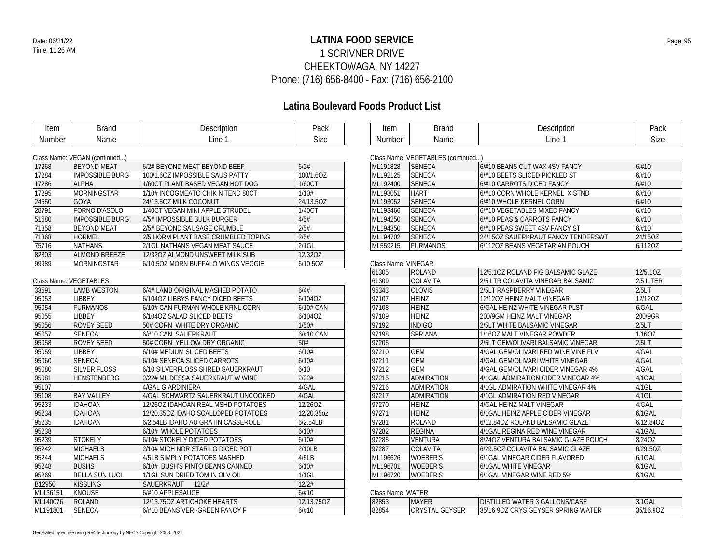### **LATINA FOOD SERVICE** Date: 06/21/22 Page: 95 1 SCRIVNER DRIVE CHEEKTOWAGA, NY 14227 Phone: (716) 656-8400 - Fax: (716) 656-2100

| Item     | <b>Brand</b>                  | Description                         | Pack        | Item                | <b>Brand</b>                       | Description                         | Pack      |
|----------|-------------------------------|-------------------------------------|-------------|---------------------|------------------------------------|-------------------------------------|-----------|
| Number   | Name                          | Line 1                              | <b>Size</b> | <b>Number</b>       | Name                               | Line 1                              | Size      |
|          |                               |                                     |             |                     |                                    |                                     |           |
|          | Class Name: VEGAN (continued) |                                     |             |                     | Class Name: VEGETABLES (continued) |                                     |           |
| 17268    | <b>BEYOND MEAT</b>            | 6/2# BEYOND MEAT BEYOND BEEF        | 6/2#        | ML191828            | SENECA                             | 6/#10 BEANS CUT WAX 4SV FANCY       | 6/#10     |
| 17284    | <b>IMPOSSIBLE BURG</b>        | 100/1.6OZ IMPOSSIBLE SAUS PATTY     | 100/1.6OZ   | ML192125            | <b>SENECA</b>                      | 6/#10 BEETS SLICED PICKLED ST       | 6/#10     |
| 17286    | <b>ALPHA</b>                  | 1/60CT PLANT BASED VEGAN HOT DOG    | 1/60CT      | ML192400            | <b>SENECA</b>                      | 6/#10 CARROTS DICED FANCY           | 6/#10     |
| 17295    | <b>MORNINGSTAR</b>            | 1/10# INCOGMEATO CHIK N TEND 80CT   | 1/10#       | ML193051            | <b>HART</b>                        | 6/#10 CORN WHOLE KERNEL X STND      | 6/#10     |
| 24550    | GOYA                          | 24/13.50Z MILK COCONUT              | 24/13.5OZ   | ML193052            | <b>SENECA</b>                      | 6/#10 WHOLE KERNEL CORN             | 6/#10     |
| 28791    | FORNO D'ASOLO                 | 1/40CT VEGAN MINI APPLE STRUDEL     | 1/40CT      | ML193466            | <b>SENECA</b>                      | 6/#10 VEGETABLES MIXED FANCY        | 6/#10     |
| 51680    | <b>IMPOSSIBLE BURG</b>        | 4/5# IMPOSSIBLE BULK BURGER         | 4/5#        | ML194250            | <b>SENECA</b>                      | 6/#10 PEAS & CARROTS FANCY          | 6/#10     |
| 71858    | <b>BEYOND MEAT</b>            | 2/5# BEYOND SAUSAGE CRUMBLE         | 2/5#        | ML194350            | <b>SENECA</b>                      | 6/#10 PEAS SWEET 4SV FANCY ST       | 6/#10     |
| 71868    | <b>HORMEL</b>                 | 2/5 HORM PLANT BASE CRUMBLED TOPING | 2/5#        | ML194702            | <b>SENECA</b>                      | 24/15OZ SAUERKRAUT FANCY TENDERSWT  | 24/15OZ   |
| 75716    | <b>NATHANS</b>                | 2/1GL NATHANS VEGAN MEAT SAUCE      | $2/1$ GL    | ML559215            | <b>FURMANOS</b>                    | 6/112OZ BEANS VEGETARIAN POUCH      | 6/1120Z   |
| 82803    | <b>ALMOND BREEZE</b>          | 12/320Z ALMOND UNSWEET MILK SUB     | 12/32OZ     |                     |                                    |                                     |           |
| 99989    | <b>MORNINGSTAR</b>            | 6/10.50Z MORN BUFFALO WINGS VEGGIE  | 6/10.5OZ    | Class Name: VINEGAR |                                    |                                     |           |
|          |                               |                                     |             | 61305               | ROLAND                             | 12/5.10Z ROLAND FIG BALSAMIC GLAZE  | 12/5.10Z  |
|          | Class Name: VEGETABLES        |                                     |             | 61309               | COLAVITA                           | 2/5 LTR COLAVITA VINEGAR BALSAMIC   | 2/5 LITER |
| 33591    | <b>LAMB WESTON</b>            | 6/4# LAMB ORIGINAL MASHED POTATO    | 6/4#        | 95343               | <b>CLOVIS</b>                      | 2/5LT RASPBERRY VINEGAR             | 2/5LT     |
| 95053    | LIBBEY                        | 6/104OZ LIBBYS FANCY DICED BEETS    | 6/104OZ     | 97107               | <b>HEINZ</b>                       | 12/12OZ HEINZ MALT VINEGAR          | 12/120Z   |
| 95054    | <b>FURMANOS</b>               | 6/10# CAN FURMAN WHOLE KRNL CORN    | 6/10# CAN   | 97108               | <b>HEINZ</b>                       | 6/GAL HEINZ WHITE VINEGAR PLST      | 6/GAL     |
| 95055    | <b>LIBBEY</b>                 | 6/104OZ SALAD SLICED BEETS          | 6/104OZ     | 97109               | <b>HEINZ</b>                       | 200/9GM HEINZ MALT VINEGAR          | 200/9GR   |
| 95056    | <b>ROVEY SEED</b>             | 50# CORN WHITE DRY ORGANIC          | 1/50#       | 97192               | <b>INDIGO</b>                      | 2/5LT WHITE BALSAMIC VINEGAR        | 2/5LT     |
| 95057    | <b>SENECA</b>                 | 6/#10 CAN SAUERKRAUT                | 6/#10 CAN   | 97198               | <b>SPRIANA</b>                     | 1/160Z MALT VINEGAR POWDER          | 1/16OZ    |
| 95058    | <b>ROVEY SEED</b>             | 50# CORN YELLOW DRY ORGANIC         | 50#         | 97205               |                                    | 2/5LT GEM/OLIVARI BALSAMIC VINEGAR  | 2/5LT     |
| 95059    | <b>LIBBEY</b>                 | 6/10# MEDIUM SLICED BEETS           | 6/10#       | 97210               | <b>GEM</b>                         | 4/GAL GEM/OLIVARI RED WINE VINE FLV | 4/GAL     |
| 95060    | <b>SENECA</b>                 | 6/10# SENECA SLICED CARROTS         | 6/10#       | 97211               | GEM                                | 4/GAL GEM/OLIVARI WHITE VINEGAR     | 4/GAL     |
| 95080    | <b>SILVER FLOSS</b>           | 6/10 SILVERFLOSS SHRED SAUERKRAUT   | 6/10        | 97212               | <b>GEM</b>                         | 4/GAL GEM/OLIVARI CIDER VINEGAR 4%  | 4/GAL     |
| 95081    | <b>HENSTENBERG</b>            | 2/22# MILDESSA SAUERKRAUT W WINE    | 2/22#       | 97215               | <b>ADMIRATION</b>                  | 4/1GAL ADMIRATION CIDER VINEGAR 4%  | 4/1GAL    |
| 95107    |                               | 4/GAL GIARDINIERA                   | 4/GAL       | 97216               | <b>ADMIRATION</b>                  | 4/1GL ADMIRATION WHITE VINEGAR 4%   | $4/1$ GL  |
| 95108    | <b>BAY VALLEY</b>             | 4/GAL SCHWARTZ SAUERKRAUT UNCOOKED  | 4/GAL       | 97217               | <b>ADMIRATION</b>                  | 4/1GL ADMIRATION RED VINEGAR        | 4/1GL     |
| 95233    | <b>IDAHOAN</b>                | 12/26OZ IDAHOAN REAL MSHD POTATOES  | 12/26OZ     | 97270               | <b>HEINZ</b>                       | 4/GAL HEINZ MALT VINEGAR            | 4/GAL     |
| 95234    | <b>IDAHOAN</b>                | 12/20.35OZ IDAHO SCALLOPED POTATOES | 12/20.35oz  | 97271               | <b>HEINZ</b>                       | 6/1GAL HEINZ APPLE CIDER VINEGAR    | 6/1GAL    |
| 95235    | <b>IDAHOAN</b>                | 6/2.54LB IDAHO AU GRATIN CASSEROLE  | 6/2.54LB    | 97281               | <b>ROLAND</b>                      | 6/12.84OZ ROLAND BALSAMIC GLAZE     | 6/12.84OZ |
| 95238    |                               | 6/10# WHOLE POTATOES                | 6/10#       | 97282               | <b>REGINA</b>                      | 4/1GAL REGINA RED WINE VINEGAR      | $4/1$ GAL |
| 95239    | <b>STOKELY</b>                | 6/10# STOKELY DICED POTATOES        | 6/10#       | 97285               | <b>VENTURA</b>                     | 8/24OZ VENTURA BALSAMIC GLAZE POUCH | 8/24OZ    |
| 95242    | <b>MICHAELS</b>               | 2/10# MICH NOR STAR LG DICED POT    | 2/10LB      | 97287               | COLAVITA                           | 6/29.50Z COLAVITA BALSAMIC GLAZE    | 6/29.50Z  |
| 95244    | <b>MICHAELS</b>               | 4/5LB SIMPLY POTATOES MASHED        | 4/5LB       | ML196626            | <b>WOEBER'S</b>                    | 6/1GAL VINEGAR CIDER FLAVORED       | 6/1GAL    |
| 95248    | <b>BUSHS</b>                  | 6/10# BUSH'S PINTO BEANS CANNED     | 6/10#       | ML196701            | <b>WOEBER'S</b>                    | 6/1GAL WHITE VINEGAR                | 6/1GAL    |
| 95269    | <b>BELLA SUN LUCI</b>         | 1/1GL SUN DRIED TOM IN OLV OIL      | $1/1$ GL    | ML196720            | <b>WOEBER'S</b>                    | 6/1GAL VINEGAR WINE RED 5%          | 6/1GAL    |
| B12950   | <b>KISSLING</b>               | SAUERKRAUT 12/2#                    | 12/2#       |                     |                                    |                                     |           |
| ML136151 | KNOUSE                        | 6/#10 APPLESAUCE                    | 6/#10       | Class Name: WATER   |                                    |                                     |           |
| ML140076 | <b>ROLAND</b>                 | 12/13.75OZ ARTICHOKE HEARTS         | 12/13.75OZ  | 82853               | <b>MAYER</b>                       | DISTILLED WATER 3 GALLONS/CASE      | 3/1GAL    |
| ML191801 | <b>SENECA</b>                 | 6/#10 BEANS VERI-GREEN FANCY F      | 6/#10       | 82854               | CRYSTAL GEYSER                     | 35/16.9OZ CRYS GEYSER SPRING WATER  | 35/16.90Z |
|          |                               |                                     |             |                     |                                    |                                     |           |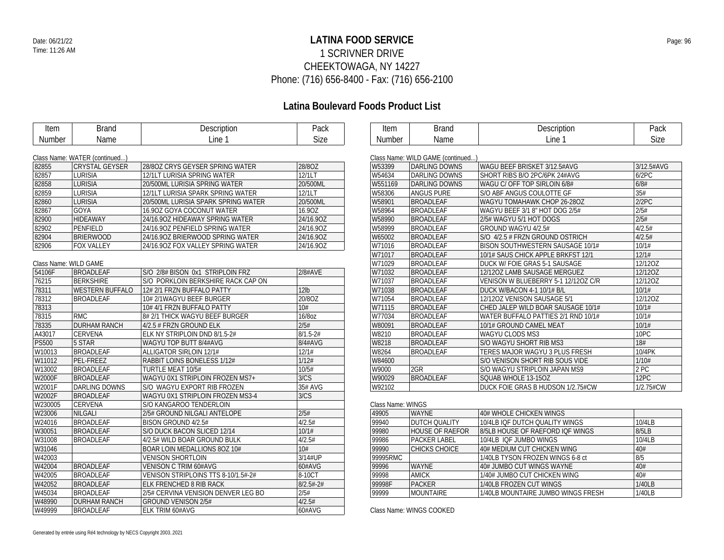### **LATINA FOOD SERVICE** Date: 06/21/22 Page: 96 1 SCRIVNER DRIVE CHEEKTOWAGA, NY 14227 Phone: (716) 656-8400 - Fax: (716) 656-2100

## **Latina Boulevard Foods Product List**

| Item              | <b>Brand</b>                                           | Description                                                    | Pack             | Item              | <b>Brand</b>                     | Description                                                   | Pack             |
|-------------------|--------------------------------------------------------|----------------------------------------------------------------|------------------|-------------------|----------------------------------|---------------------------------------------------------------|------------------|
| Number            | Name                                                   | Line 1                                                         | Size             | Number            | Name                             | Line 1                                                        | Size             |
|                   |                                                        |                                                                |                  |                   | Class Name: WILD GAME (continued |                                                               |                  |
| 82855             | Class Name: WATER (continued)<br><b>CRYSTAL GEYSER</b> | 28/8OZ CRYS GEYSER SPRING WATER                                | 28/8OZ           | W53399            | <b>DARLING DOWNS</b>             | WAGU BEEF BRISKET 3/12.5#AVG                                  | 3/12.5#AV        |
| 82857             | <b>LURISIA</b>                                         | 12/1LT LURISIA SPRING WATER                                    | 12/1LT           | W54634            | <b>DARLING DOWNS</b>             | SHORT RIBS B/O 2PC/6PK 24#AVG                                 | 6/2PC            |
| 82858             | <b>LURISIA</b>                                         | 20/500ML LURISIA SPRING WATER                                  | 20/500ML         | W551169           | <b>DARLING DOWNS</b>             | WAGU C/ OFF TOP SIRLOIN 6/8#                                  | 6/8#             |
| 82859             | <b>LURISIA</b>                                         | 12/1LT LURISIA SPARK SPRING WATER                              | 12/1LT           | W58306            | <b>ANGUS PURE</b>                | S/O ABF ANGUS COULOTTE GF                                     | 35#              |
| 82860             | <b>LURISIA</b>                                         | 20/500ML LURISIA SPARK SPRING WATER                            | 20/500ML         | W58901            | <b>BROADLEAF</b>                 | WAGYU TOMAHAWK CHOP 26-28OZ                                   | 2/2PC            |
| 82867             | GOYA                                                   | 16.90Z GOYA COCONUT WATER                                      | 16.90Z           | W58964            | <b>BROADLEAF</b>                 | WAGYU BEEF 3/1 8" HOT DOG 2/5#                                | 2/5#             |
| 82900             | <b>HIDEAWAY</b>                                        | 24/16.90Z HIDEAWAY SPRING WATER                                | 24/16.90Z        | W58990            | <b>BROADLEAF</b>                 | 2/5# WAGYU 5/1 HOT DOGS                                       | 2/5#             |
| 82902             | PENFIELD                                               | 24/16.90Z PENFIELD SPRING WATER                                | 24/16.90Z        | W58999            | <b>BROADLEAF</b>                 | GROUND WAGYU 4/2.5#                                           | 4/2.5#           |
| 82904             | <b>BRIERWOOD</b>                                       | 24/16.90Z BRIERWOOD SPRING WATER                               | 24/16.90Z        | W65002            | <b>BROADLEAF</b>                 | S/O 4/2.5 # FRZN GROUND OSTRICH                               | 4/2.5#           |
| 82906             | <b>FOX VALLEY</b>                                      | 24/16.90Z FOX VALLEY SPRING WATER                              | 24/16.90Z        | W71016            | <b>BROADLEAF</b>                 | BISON SOUTHWESTERN SAUSAGE 10/1#                              | 10/1#            |
|                   |                                                        |                                                                |                  | W71017            | <b>BROADLEAF</b>                 | 10/1# SAUS CHICK APPLE BRKFST 12/1                            | 12/1#            |
|                   | Class Name: WILD GAME                                  |                                                                |                  | W71029            | <b>BROADLEAF</b>                 | <b>DUCK W/ FOIE GRAS 5-1 SAUSAGE</b>                          | 12/12OZ          |
| 54106F            | <b>BROADLEAF</b>                                       | S/O 2/8# BISON 0x1 STRIPLOIN FRZ                               | 2/8#AVE          | W71032            | <b>BROADLEAF</b>                 | 12/12OZ LAMB SAUSAGE MERGUEZ                                  | 12/12OZ          |
| 76215             | <b>BERKSHIRE</b>                                       | S/O PORKLOIN BERKSHIRE RACK CAP ON                             |                  | W71037            | <b>BROADLEAF</b>                 | VENISON W BLUEBERRY 5-1 12/12OZ C/R                           | 12/12OZ          |
| 78311             | <b>WESTERN BUFFALO</b>                                 | 12# 2/1 FRZN BUFFALO PATTY                                     | 12 <sub>lb</sub> | W71038            | <b>BROADLEAF</b>                 | DUCK W/BACON 4-1 10/1# B/L                                    | 10/1#            |
| 78312             | <b>BROADLEAF</b>                                       | 10# 2/1WAGYU BEEF BURGER                                       | 20/8OZ           | W71054            | <b>BROADLEAF</b>                 | 12/12OZ VENISON SAUSAGE 5/1                                   | 12/120Z          |
| 78313             |                                                        | 10# 4/1 FRZN BUFFALO PATTY                                     | 10#              | W71115            | <b>BROADLEAF</b>                 | CHED JALEP WILD BOAR SAUSAGE 10/1#                            | 10/1#            |
| 78315             | <b>RMC</b>                                             | 8# 2/1 THICK WAGYU BEEF BURGER                                 | 16/8oz           | W77034            | <b>BROADLEAF</b>                 | WATER BUFFALO PATTIES 2/1 RND 10/1#                           | 10/1#            |
| 78335             | <b>DURHAM RANCH</b>                                    | 4/2.5 # FRZN GROUND ELK                                        | 2/5#             | W80091            | <b>BROADLEAF</b>                 | 10/1# GROUND CAMEL MEAT                                       | 10/1#            |
| A43017            | CERVENA                                                | ELK NY STRIPLOIN DND 8/1.5-2#                                  | $8/1.5 - 2#$     | W8210             | <b>BROADLEAF</b>                 | WAGYU CLODS MS3                                               | 10PC             |
| <b>PS500</b>      | 5 STAR                                                 | WAGYU TOP BUTT 8/4#AVG                                         | 8/4#AVG          | W8218             | <b>BROADLEAF</b>                 | S/O WAGYU SHORT RIB MS3                                       | 18#              |
| W10013            | <b>BROADLEAF</b>                                       | ALLIGATOR SIRLOIN 12/1#                                        | 12/1#            | W8264             | <b>BROADLEAF</b>                 | TERES MAJOR WAGYU 3 PLUS FRESH                                | 10/4PK           |
| W11012            | PEL-FREEZ                                              | RABBIT LOINS BONELESS 1/12#                                    | 1/12#            | W84600            |                                  | S/O VENISON SHORT RIB SOUS VIDE                               | 1/10#            |
| W13002            |                                                        | TURTLE MEAT 10/5#                                              | 10/5#            | W9000             | 2GR                              |                                                               | 2 PC             |
| <b>W2000F</b>     | <b>BROADLEAF</b><br><b>BROADLEAF</b>                   | WAGYU 0X1 STRIPLOIN FROZEN MS7+                                | 3/CS             | W90029            | <b>BROADLEAF</b>                 | S/O WAGYU STRIPLOIN JAPAN MS9<br>SQUAB WHOLE 13-15OZ          | 12PC             |
| W2001F            | <b>DARLING DOWNS</b>                                   | S/O WAGYU EXPORT RIB FROZEN                                    | 35# AVG          | W92102            |                                  | DUCK FOIE GRAS B HUDSON 1/2.75#CW                             | 1/2.75#CW        |
|                   |                                                        |                                                                | 3/CS             |                   |                                  |                                                               |                  |
| W2002F<br>W230005 | <b>BROADLEAF</b><br>CERVENA                            | WAGYU 0X1 STRIPLOIN FROZEN MS3-4<br>S/O KANGAROO TENDERLOIN    |                  | Class Name: WINGS |                                  |                                                               |                  |
| W23006            | NILGALI                                                | 2/5# GROUND NILGALI ANTELOPE                                   | 2/5#             | 49905             | <b>WAYNE</b>                     | 40# WHOLE CHICKEN WINGS                                       |                  |
| W24016            | <b>BROADLEAF</b>                                       | BISON GROUND 4/2.5#                                            | 4/2.5#           | 99940             | <b>DUTCH QUALITY</b>             | 10/4LB IQF DUTCH QUALITY WINGS                                | 10/4LB           |
| W30051            | <b>BROADLEAF</b>                                       | S/O DUCK BACON SLICED 12/14                                    | 10/1#            | 99980             | HOUSE OF RAEFOR                  | 8/5LB HOUSE OF RAEFORD IQF WINGS                              | 8/5LB            |
| W31008            | <b>BROADLEAF</b>                                       | 4/2.5# WILD BOAR GROUND BULK                                   | 4/2.5#           | 99986             | <b>PACKER LABEL</b>              | 10/4LB IQF JUMBO WINGS                                        | 10/4LB           |
| W31046            |                                                        | BOAR LOIN MEDALLIONS 80Z 10#                                   | 10#              | 99990             | <b>CHICKS CHOICE</b>             | 40# MEDIUM CUT CHICKEN WING                                   | 40#              |
| W42003            |                                                        | <b>VENISON SHORTLOIN</b>                                       | 3/14#UP          | 99995RMC          |                                  | 1/40LB TYSON FROZEN WINGS 6-8 ct                              | 8/5              |
|                   | <b>BROADLEAF</b>                                       |                                                                | 60#AVG           | 99996             | <b>WAYNE</b>                     |                                                               | 40#              |
| W42004<br>W42005  | <b>BROADLEAF</b>                                       | VENISON C TRIM 60#AVG<br>VENISON STRIPLOINS TTS 8-10/1.5#-2#   | 8-10CT           | 99998             | AMICK                            | 40# JUMBO CUT WINGS WAYNE<br>1/40# JUMBO CUT CHICKEN WING     | 40#              |
|                   |                                                        |                                                                | $8/2.5# - 2#$    | 99998F            | <b>PACKER</b>                    |                                                               |                  |
| W42052<br>W45034  | <b>BROADLEAF</b><br><b>BROADLEAF</b>                   | ELK FRENCHED 8 RIB RACK<br>2/5# CERVINA VENISION DENVER LEG BO | 2/5#             | 99999             | <b>MOUNTAIRE</b>                 | 1/40LB FROZEN CUT WINGS<br>1/40LB MOUNTAIRE JUMBO WINGS FRESH | 1/40LB<br>1/40LB |
|                   |                                                        |                                                                | 4/2.5#           |                   |                                  |                                                               |                  |
| W48990            | <b>DURHAM RANCH</b>                                    | <b>GROUND VENISON 2/5#</b>                                     |                  |                   |                                  |                                                               |                  |
| W49999            | <b>BROADLEAF</b>                                       | ELK TRIM 60#AVG                                                | 60#AVG           |                   | Class Name: WINGS COOKED         |                                                               |                  |

3/12.5#AVG<br>6/2PC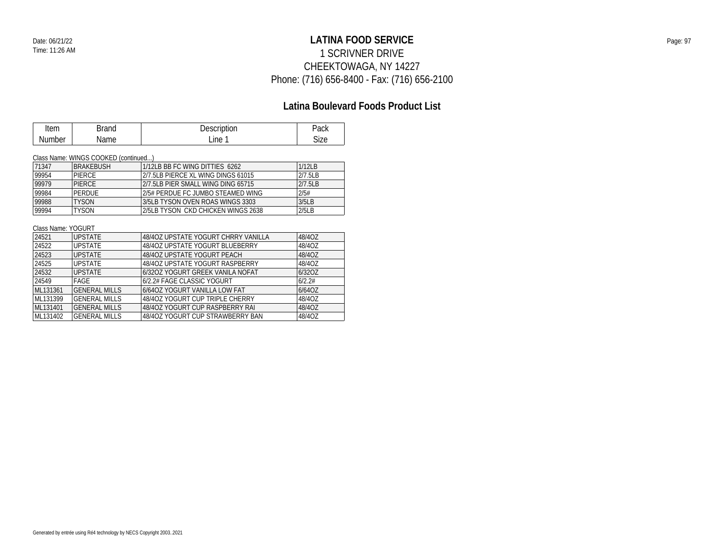## **LATINA FOOD SERVICE** Date: 06/21/22 Page: 97 1 SCRIVNER DRIVE CHEEKTOWAGA, NY 14227 Phone: (716) 656-8400 - Fax: (716) 656-2100

### **Latina Boulevard Foods Product List**

| Item   | Brand | Description | Pack |
|--------|-------|-------------|------|
| Number | Name  | Line        | Size |

#### Class Name: WINGS COOKED (continued...)

| 71347 | <b>BRAKFBUSH</b> | 1/12LB BB FC WING DITTIES 6262     | 1/12LB  |
|-------|------------------|------------------------------------|---------|
| 99954 | <b>PIFRCF</b>    | 2/7.5LB PIERCE XL WING DINGS 61015 | 2/7.5LB |
| 99979 | <b>PIFRCF</b>    | 2/7.5LB PIER SMALL WING DING 65715 | 2/7.5LB |
| 99984 | PERDUE           | 2/5# PERDUE FC. JUMBO STEAMED WING | 2/5#    |
| 99988 | <b>TYSON</b>     | 3/5LB TYSON OVEN ROAS WINGS 3303   | 3/5LB   |
| 99994 | <b>TYSON</b>     | 2/5LB TYSON CKD CHICKEN WINGS 2638 | 2/5LB   |

#### Class Name: YOGURT

| 24521    | <b>UPSTATE</b>       | 48/40Z UPSTATE YOGURT CHRRY VANILLA | 48/40Z |
|----------|----------------------|-------------------------------------|--------|
| 24522    | <b>UPSTATE</b>       | 48/40Z UPSTATE YOGURT BLUEBERRY     | 48/40Z |
| 24523    | <b>UPSTATE</b>       | 48/40Z UPSTATE YOGURT PEACH         | 48/40Z |
| 24525    | <b>UPSTATE</b>       | 48/40Z UPSTATE YOGURT RASPBERRY     | 48/40Z |
| 24532    | <b>UPSTATE</b>       | 6/32OZ YOGURT GREEK VANILA NOFAT    | 6/320Z |
| 24549    | FAGE                 | 6/2.2# FAGE CLASSIC YOGURT          | 6/2.2# |
| ML131361 | <b>GENERAL MILLS</b> | 6/640Z YOGURT VANILLA LOW FAT       | 6/640Z |
| ML131399 | <b>GENERAL MILLS</b> | 48/40Z YOGURT CUP TRIPLE CHERRY     | 48/40Z |
| ML131401 | <b>GENERAL MILLS</b> | 48/40Z YOGURT CUP RASPBERRY RAI     | 48/40Z |
| ML131402 | <b>GENERAL MILLS</b> | 48/40Z YOGURT CUP STRAWBERRY BAN    | 48/40Z |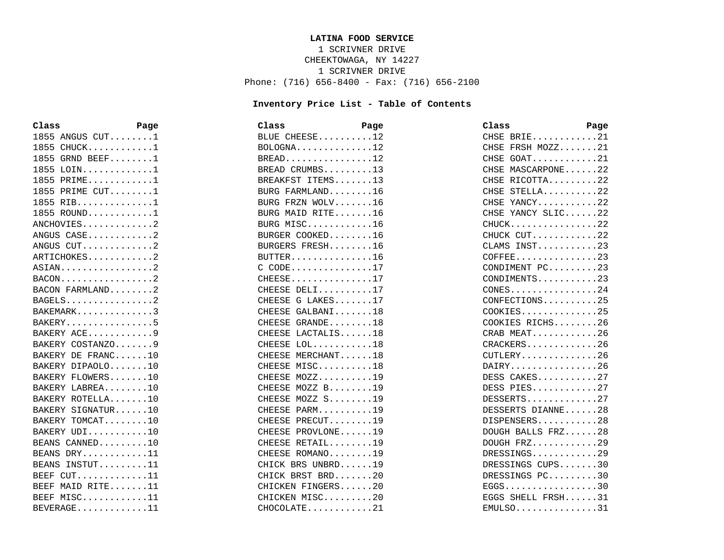#### **LATINA FOOD SERVICE**

1 SCRIVNER DRIVE CHEEKTOWAGA, NY 14227 1 SCRIVNER DRIVE Phone: (716) 656-8400 - Fax: (716) 656-2100

#### **Inventory Price List - Table of Contents**

| Class              | Page | Class                                    | Page | Class                                    | Page |
|--------------------|------|------------------------------------------|------|------------------------------------------|------|
| 1855 ANGUS $CUT$ 1 |      | BLUE CHEESE12                            |      | CHSE BRIE21                              |      |
| $1855$ CHUCK1      |      | $BOLOGNA$ 12                             |      | CHSE FRSH MOZZ21                         |      |
| 1855 GRND BEEF1    |      | $BREAD$ 12                               |      | CHSE GOAT21                              |      |
| 1855 LOIN1         |      | BREAD CRUMBS13                           |      | CHSE MASCARPONE22                        |      |
| $1855$ PRIME1      |      | BREAKFST ITEMS13                         |      | CHSE RICOTTA22                           |      |
| 1855 PRIME $CUT$ 1 |      | BURG FARMLAND16                          |      | CHSE STELLA22                            |      |
| 1855 RIB1          |      | BURG FRZN WOLV16                         |      | CHSE YANCY22                             |      |
| 1855 ROUND1        |      | BURG MAID RITE16                         |      | CHSE YANCY SLIC22                        |      |
| $ANCHOVIES$ 2      |      | BURG MISC16                              |      | $CHUCK$ 22                               |      |
| ANGUS CASE2        |      | BURGER COOKED16                          |      | CHUCK CUT22                              |      |
| ANGUS CUT2         |      | BURGERS FRESH16                          |      | CLAMS INST23                             |      |
| ARTICHOKES2        |      | $BUTTER. \ldots \ldots \ldots \ldots 16$ |      | $COFFEE$ 23                              |      |
| ASIAN2             |      | $C$ CODE17                               |      | CONDIMENT PC23                           |      |
|                    |      | $CHEESE$ 17                              |      | CONDIMENTS23                             |      |
| BACON FARMLAND2    |      | CHEESE DELI17                            |      | $CONFS$ 24                               |      |
| $BAGELS$           |      | CHEESE G LAKES17                         |      | CONFECTIONS25                            |      |
| BAKEMARK3          |      | CHEESE GALBANI18                         |      | $COOKIES$ 25                             |      |
| BAKERY5            |      | CHEESE GRANDE18                          |      | COOKIES RICHS26                          |      |
| BAKERY ACE9        |      | CHEESE LACTALIS18                        |      | CRAB MEAT26                              |      |
| BAKERY COSTANZO9   |      | CHEESE LOL18                             |      | CRACKERS26                               |      |
| BAKERY DE FRANC10  |      | CHEESE MERCHANT18                        |      | $CUTLERY$ , , , , , , , , , , , , , , 26 |      |
| BAKERY DIPAOLO10   |      | CHEESE MISC18                            |      | DAIRY26                                  |      |
| BAKERY FLOWERS10   |      | CHEESE MOZZ19                            |      | DESS CAKES27                             |      |
| BAKERY LABREA10    |      | CHEESE MOZZ B19                          |      | DESS PIES27                              |      |
| BAKERY ROTELLA10   |      | CHEESE MOZZ S19                          |      | DESSERTS27                               |      |
| BAKERY SIGNATUR10  |      | CHEESE PARM19                            |      | DESSERTS DIANNE28                        |      |
| BAKERY TOMCAT10    |      | CHEESE PRECUT19                          |      | DISPENSERS28                             |      |
| BAKERY UDI10       |      | CHEESE PROVLONE19                        |      | DOUGH BALLS FRZ28                        |      |
| BEANS CANNED10     |      | CHEESE RETAIL19                          |      | DOUGH FRZ29                              |      |
| BEANS DRY11        |      | CHEESE ROMANO19                          |      | DRESSINGS29                              |      |
| BEANS INSTUT11     |      | CHICK BRS UNBRD19                        |      | DRESSINGS CUPS30                         |      |
| BEEF $CUT$ 11      |      | CHICK BRST BRD20                         |      | DRESSINGS PC30                           |      |
| BEEF MAID RITE11   |      | CHICKEN FINGERS20                        |      | EGGS30                                   |      |
| BEEF MISC11        |      | CHICKEN MISC20                           |      | EGGS SHELL FRSH31                        |      |
| BEVERAGE11         |      | $CHOCOLATE$ 21                           |      | $EMULSO$ 31                              |      |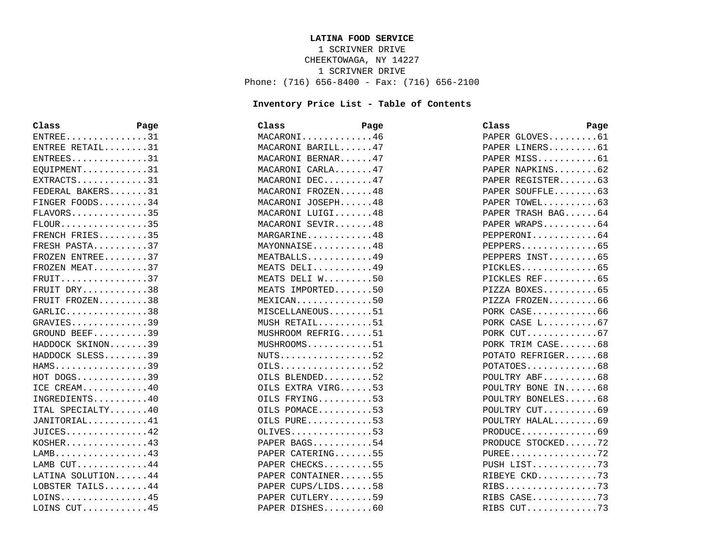#### **LATINA FOOD SERVICE**

1 SCRIVNER DRIVE CHEEKTOWAGA, NY 14227 1 SCRIVNER DRIVE Phone: (716) 656-8400 - Fax: (716) 656-2100

#### **Inventory Price List - Table of Contents**

| Class                                    | Page | Class             | Page | Class | Page                                            |
|------------------------------------------|------|-------------------|------|-------|-------------------------------------------------|
| $ENTER$ 31                               |      | MACARONI46        |      |       | PAPER GLOVES61                                  |
| ENTREE RETAIL31                          |      | MACARONI BARILL47 |      |       | PAPER LINERS61                                  |
| ENTREES31                                |      | MACARONI BERNAR47 |      |       | PAPER MISS61                                    |
| $EOUIPMENT$ 31                           |      | MACARONI CARLA47  |      |       | PAPER NAPKINS62                                 |
| $EXTRACTS$ 31                            |      | MACARONI DEC47    |      |       | PAPER REGISTER63                                |
| FEDERAL BAKERS31                         |      | MACARONI FROZEN48 |      |       | PAPER SOUFFLE63                                 |
| FINGER FOODS34                           |      | MACARONI JOSEPH48 |      |       | PAPER TOWEL63                                   |
| $FLAVORS$ 35                             |      | MACARONI LUIGI48  |      |       | PAPER TRASH BAG64                               |
| $FLOUR$ 35                               |      | MACARONI SEVIR48  |      |       | PAPER WRAPS64                                   |
| FRENCH FRIES35                           |      | MARGARINE48       |      |       | PEPPERONI64                                     |
| FRESH PASTA37                            |      | MAYONNAISE48      |      |       | PEPPERS65                                       |
| FROZEN ENTREE37                          |      | MEATBALLS49       |      |       | PEPPERS INST65                                  |
| FROZEN MEAT37                            |      | MEATS DELI49      |      |       | $PICKLES$ 65                                    |
| $FRUIT.$ 37                              |      | MEATS DELI W50    |      |       | PICKLES REF65                                   |
| FRUIT DRY38                              |      | MEATS IMPORTED50  |      |       | PIZZA BOXES65                                   |
| FRUIT FROZEN38                           |      | $MEXICAN$ 50      |      |       | PIZZA FROZEN66                                  |
| $GARLIC$ 38                              |      | MISCELLANEOUS51   |      |       | PORK CASE66                                     |
| $GRAVIES$ 39                             |      | MUSH RETAIL51     |      |       | PORK CASE L67                                   |
| GROUND BEEF39                            |      | MUSHROOM REFRIG51 |      |       | PORK CUT67                                      |
| HADDOCK SKINON39                         |      | MUSHROOMS51       |      |       | PORK TRIM CASE68                                |
| HADDOCK SLESS39                          |      | $NUTS$ 52         |      |       | POTATO REFRIGER68                               |
| HAMS39                                   |      | $OILS$ 52         |      |       | POTATOES68                                      |
| $HOT$ DOGS39                             |      | OILS BLENDED52    |      |       | POULTRY ABF68                                   |
| ICE CREAM40                              |      | OILS EXTRA VIRG53 |      |       | POULTRY BONE IN68                               |
| INGREDIENTS40                            |      | OILS FRYING53     |      |       | POULTRY BONELES68                               |
| ITAL SPECIALTY40                         |      | OILS POMACE53     |      |       | POULTRY CUT69                                   |
| JANITORIAL41                             |      | OILS PURE53       |      |       | POULTRY HALAL69                                 |
| $JULCES.$ 42                             |      | $OLIVES.$ 53      |      |       | $PRODUCE \ldots \ldots \ldots \ldots \ldots 69$ |
| $KOSHER. \ldots \ldots \ldots \ldots 43$ |      | PAPER BAGS54      |      |       | PRODUCE STOCKED72                               |
| $LAMB$ 43                                |      | PAPER CATERING55  |      |       | PUREE72                                         |
| LAMB CUT44                               |      | PAPER CHECKS55    |      |       | PUSH LIST73                                     |
| LATINA SOLUTION44                        |      | PAPER CONTAINER55 |      |       | RIBEYE CKD73                                    |
| LOBSTER TAILS44                          |      | PAPER CUPS/LIDS58 |      |       | RIBS73                                          |
| $LOINS$ 45                               |      | PAPER CUTLERY59   |      |       | RIBS CASE73                                     |
| LOINS CUT45                              |      | PAPER DISHES60    |      |       | RIBS $CUT$ 73                                   |